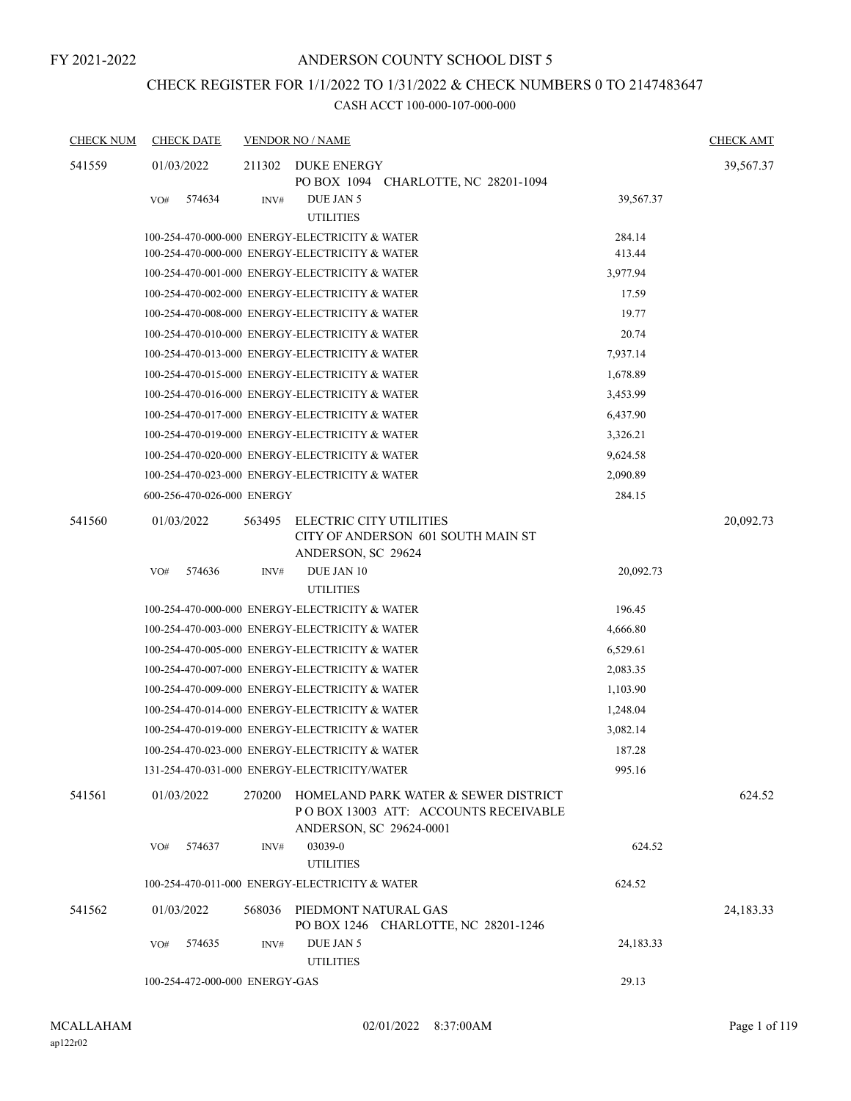# CHECK REGISTER FOR 1/1/2022 TO 1/31/2022 & CHECK NUMBERS 0 TO 2147483647

| <b>CHECK NUM</b> | <b>CHECK DATE</b>              |        | <b>VENDOR NO / NAME</b>                                                                                 |           | <b>CHECK AMT</b> |
|------------------|--------------------------------|--------|---------------------------------------------------------------------------------------------------------|-----------|------------------|
| 541559           | 01/03/2022                     | 211302 | DUKE ENERGY<br>PO BOX 1094 CHARLOTTE, NC 28201-1094                                                     |           | 39,567.37        |
|                  | 574634<br>VO#                  | INV#   | DUE JAN 5<br><b>UTILITIES</b>                                                                           | 39,567.37 |                  |
|                  |                                |        | 100-254-470-000-000 ENERGY-ELECTRICITY & WATER                                                          | 284.14    |                  |
|                  |                                |        | 100-254-470-000-000 ENERGY-ELECTRICITY & WATER                                                          | 413.44    |                  |
|                  |                                |        | 100-254-470-001-000 ENERGY-ELECTRICITY & WATER                                                          | 3,977.94  |                  |
|                  |                                |        | 100-254-470-002-000 ENERGY-ELECTRICITY & WATER                                                          | 17.59     |                  |
|                  |                                |        | 100-254-470-008-000 ENERGY-ELECTRICITY & WATER                                                          | 19.77     |                  |
|                  |                                |        | 100-254-470-010-000 ENERGY-ELECTRICITY & WATER                                                          | 20.74     |                  |
|                  |                                |        | 100-254-470-013-000 ENERGY-ELECTRICITY & WATER                                                          | 7,937.14  |                  |
|                  |                                |        | 100-254-470-015-000 ENERGY-ELECTRICITY & WATER                                                          | 1,678.89  |                  |
|                  |                                |        | 100-254-470-016-000 ENERGY-ELECTRICITY & WATER                                                          | 3,453.99  |                  |
|                  |                                |        | 100-254-470-017-000 ENERGY-ELECTRICITY & WATER                                                          | 6,437.90  |                  |
|                  |                                |        | 100-254-470-019-000 ENERGY-ELECTRICITY & WATER                                                          | 3,326.21  |                  |
|                  |                                |        | 100-254-470-020-000 ENERGY-ELECTRICITY & WATER                                                          | 9,624.58  |                  |
|                  |                                |        | 100-254-470-023-000 ENERGY-ELECTRICITY & WATER                                                          | 2,090.89  |                  |
|                  | 600-256-470-026-000 ENERGY     |        |                                                                                                         | 284.15    |                  |
| 541560           | 01/03/2022                     | 563495 | ELECTRIC CITY UTILITIES<br>CITY OF ANDERSON 601 SOUTH MAIN ST<br>ANDERSON, SC 29624                     |           | 20,092.73        |
|                  | 574636<br>VO#                  | INV#   | DUE JAN 10<br><b>UTILITIES</b>                                                                          | 20,092.73 |                  |
|                  |                                |        | 100-254-470-000-000 ENERGY-ELECTRICITY & WATER                                                          | 196.45    |                  |
|                  |                                |        | 100-254-470-003-000 ENERGY-ELECTRICITY & WATER                                                          | 4,666.80  |                  |
|                  |                                |        | 100-254-470-005-000 ENERGY-ELECTRICITY & WATER                                                          | 6,529.61  |                  |
|                  |                                |        | 100-254-470-007-000 ENERGY-ELECTRICITY & WATER                                                          | 2,083.35  |                  |
|                  |                                |        | 100-254-470-009-000 ENERGY-ELECTRICITY & WATER                                                          | 1,103.90  |                  |
|                  |                                |        | 100-254-470-014-000 ENERGY-ELECTRICITY & WATER                                                          | 1,248.04  |                  |
|                  |                                |        | 100-254-470-019-000 ENERGY-ELECTRICITY & WATER                                                          | 3,082.14  |                  |
|                  |                                |        | 100-254-470-023-000 ENERGY-ELECTRICITY & WATER                                                          | 187.28    |                  |
|                  |                                |        | 131-254-470-031-000 ENERGY-ELECTRICITY/WATER                                                            | 995.16    |                  |
| 541561           | 01/03/2022                     | 270200 | HOMELAND PARK WATER & SEWER DISTRICT<br>POBOX 13003 ATT: ACCOUNTS RECEIVABLE<br>ANDERSON, SC 29624-0001 |           | 624.52           |
|                  | 574637<br>VO#                  | INV#   | 03039-0<br><b>UTILITIES</b>                                                                             | 624.52    |                  |
|                  |                                |        | 100-254-470-011-000 ENERGY-ELECTRICITY & WATER                                                          | 624.52    |                  |
| 541562           | 01/03/2022                     | 568036 | PIEDMONT NATURAL GAS<br>PO BOX 1246 CHARLOTTE, NC 28201-1246                                            |           | 24,183.33        |
|                  | 574635<br>VO#                  | INV#   | DUE JAN 5<br><b>UTILITIES</b>                                                                           | 24,183.33 |                  |
|                  | 100-254-472-000-000 ENERGY-GAS |        |                                                                                                         | 29.13     |                  |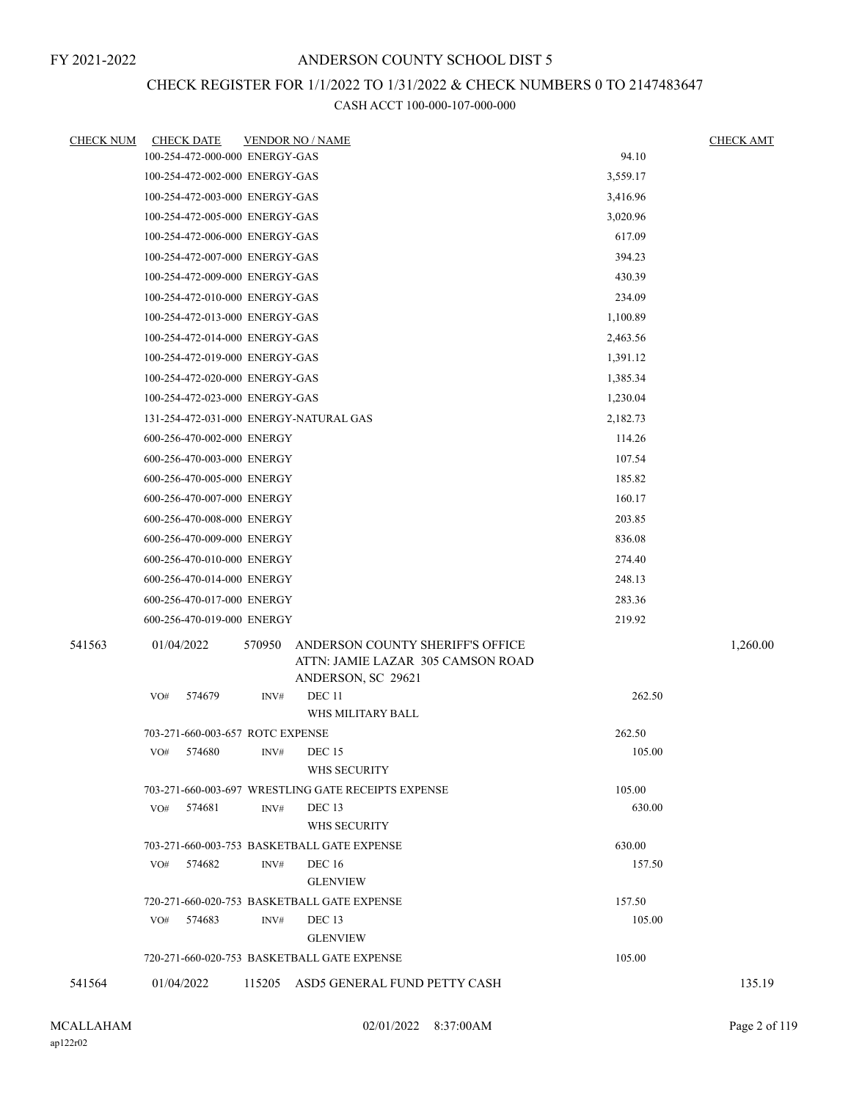# CHECK REGISTER FOR 1/1/2022 TO 1/31/2022 & CHECK NUMBERS 0 TO 2147483647

| <b>CHECK NUM</b> |     | <b>CHECK DATE</b>                |        | <b>VENDOR NO / NAME</b>                                                                     |          | <b>CHECK AMT</b> |
|------------------|-----|----------------------------------|--------|---------------------------------------------------------------------------------------------|----------|------------------|
|                  |     | 100-254-472-000-000 ENERGY-GAS   |        |                                                                                             | 94.10    |                  |
|                  |     | 100-254-472-002-000 ENERGY-GAS   |        |                                                                                             | 3,559.17 |                  |
|                  |     | 100-254-472-003-000 ENERGY-GAS   |        |                                                                                             | 3,416.96 |                  |
|                  |     | 100-254-472-005-000 ENERGY-GAS   |        |                                                                                             | 3,020.96 |                  |
|                  |     | 100-254-472-006-000 ENERGY-GAS   |        |                                                                                             | 617.09   |                  |
|                  |     | 100-254-472-007-000 ENERGY-GAS   |        |                                                                                             | 394.23   |                  |
|                  |     | 100-254-472-009-000 ENERGY-GAS   |        |                                                                                             | 430.39   |                  |
|                  |     | 100-254-472-010-000 ENERGY-GAS   |        |                                                                                             | 234.09   |                  |
|                  |     | 100-254-472-013-000 ENERGY-GAS   |        |                                                                                             | 1,100.89 |                  |
|                  |     | 100-254-472-014-000 ENERGY-GAS   |        |                                                                                             | 2,463.56 |                  |
|                  |     | 100-254-472-019-000 ENERGY-GAS   |        |                                                                                             | 1,391.12 |                  |
|                  |     | 100-254-472-020-000 ENERGY-GAS   |        |                                                                                             | 1,385.34 |                  |
|                  |     | 100-254-472-023-000 ENERGY-GAS   |        |                                                                                             | 1,230.04 |                  |
|                  |     |                                  |        | 131-254-472-031-000 ENERGY-NATURAL GAS                                                      | 2,182.73 |                  |
|                  |     | 600-256-470-002-000 ENERGY       |        |                                                                                             | 114.26   |                  |
|                  |     | 600-256-470-003-000 ENERGY       |        |                                                                                             | 107.54   |                  |
|                  |     | 600-256-470-005-000 ENERGY       |        |                                                                                             | 185.82   |                  |
|                  |     | 600-256-470-007-000 ENERGY       |        |                                                                                             | 160.17   |                  |
|                  |     | 600-256-470-008-000 ENERGY       |        |                                                                                             | 203.85   |                  |
|                  |     | 600-256-470-009-000 ENERGY       |        |                                                                                             | 836.08   |                  |
|                  |     | 600-256-470-010-000 ENERGY       |        |                                                                                             | 274.40   |                  |
|                  |     | 600-256-470-014-000 ENERGY       |        |                                                                                             | 248.13   |                  |
|                  |     | 600-256-470-017-000 ENERGY       |        |                                                                                             | 283.36   |                  |
|                  |     | 600-256-470-019-000 ENERGY       |        |                                                                                             | 219.92   |                  |
| 541563           |     | 01/04/2022                       | 570950 | ANDERSON COUNTY SHERIFF'S OFFICE<br>ATTN: JAMIE LAZAR 305 CAMSON ROAD<br>ANDERSON, SC 29621 |          | 1,260.00         |
|                  | VO# | 574679                           | INV#   | DEC <sub>11</sub>                                                                           | 262.50   |                  |
|                  |     |                                  |        | WHS MILITARY BALL                                                                           |          |                  |
|                  |     | 703-271-660-003-657 ROTC EXPENSE |        |                                                                                             | 262.50   |                  |
|                  |     | VO# 574680                       |        | $INV#$ DEC 15<br>WHS SECURITY                                                               | 105.00   |                  |
|                  |     |                                  |        | 703-271-660-003-697 WRESTLING GATE RECEIPTS EXPENSE                                         | 105.00   |                  |
|                  | VO# | 574681                           | INV#   | DEC <sub>13</sub><br>WHS SECURITY                                                           | 630.00   |                  |
|                  |     |                                  |        | 703-271-660-003-753 BASKETBALL GATE EXPENSE                                                 | 630.00   |                  |
|                  | VO# | 574682                           | INV#   | <b>DEC</b> 16<br><b>GLENVIEW</b>                                                            | 157.50   |                  |
|                  |     |                                  |        | 720-271-660-020-753 BASKETBALL GATE EXPENSE                                                 | 157.50   |                  |
|                  | VO# | 574683                           | INV#   | DEC <sub>13</sub>                                                                           | 105.00   |                  |
|                  |     |                                  |        | <b>GLENVIEW</b>                                                                             |          |                  |
|                  |     |                                  |        | 720-271-660-020-753 BASKETBALL GATE EXPENSE                                                 | 105.00   |                  |
| 541564           |     | 01/04/2022                       |        | 115205 ASD5 GENERAL FUND PETTY CASH                                                         |          | 135.19           |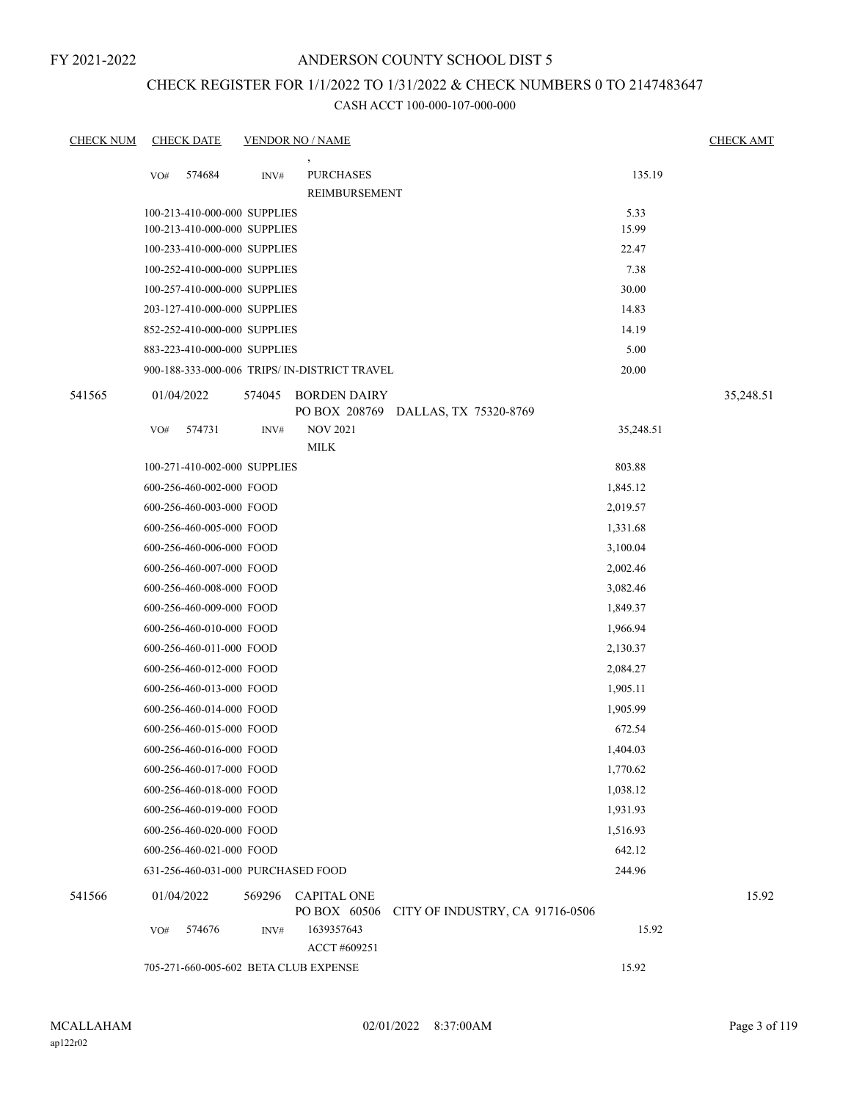## ANDERSON COUNTY SCHOOL DIST 5

## CHECK REGISTER FOR 1/1/2022 TO 1/31/2022 & CHECK NUMBERS 0 TO 2147483647

| <b>CHECK NUM</b> |     | <b>CHECK DATE</b>                                            |        | <b>VENDOR NO / NAME</b>                                    |                                              |               | <b>CHECK AMT</b> |
|------------------|-----|--------------------------------------------------------------|--------|------------------------------------------------------------|----------------------------------------------|---------------|------------------|
|                  | VO# | 574684                                                       | INV#   | <b>PURCHASES</b><br>REIMBURSEMENT                          |                                              | 135.19        |                  |
|                  |     | 100-213-410-000-000 SUPPLIES<br>100-213-410-000-000 SUPPLIES |        |                                                            |                                              | 5.33<br>15.99 |                  |
|                  |     | 100-233-410-000-000 SUPPLIES                                 |        |                                                            |                                              | 22.47         |                  |
|                  |     | 100-252-410-000-000 SUPPLIES                                 |        |                                                            |                                              | 7.38          |                  |
|                  |     | 100-257-410-000-000 SUPPLIES                                 |        |                                                            |                                              | 30.00         |                  |
|                  |     | 203-127-410-000-000 SUPPLIES                                 |        |                                                            |                                              | 14.83         |                  |
|                  |     | 852-252-410-000-000 SUPPLIES                                 |        |                                                            |                                              | 14.19         |                  |
|                  |     | 883-223-410-000-000 SUPPLIES                                 |        |                                                            |                                              | 5.00          |                  |
|                  |     |                                                              |        | 900-188-333-000-006 TRIPS/ IN-DISTRICT TRAVEL              |                                              | 20.00         |                  |
| 541565           |     | 01/04/2022                                                   | 574045 | <b>BORDEN DAIRY</b><br>PO BOX 208769 DALLAS, TX 75320-8769 |                                              |               | 35,248.51        |
|                  | VO# | 574731                                                       | INV#   | <b>NOV 2021</b>                                            |                                              | 35,248.51     |                  |
|                  |     |                                                              |        | <b>MILK</b>                                                |                                              |               |                  |
|                  |     | 100-271-410-002-000 SUPPLIES                                 |        |                                                            |                                              | 803.88        |                  |
|                  |     | 600-256-460-002-000 FOOD                                     |        |                                                            |                                              | 1,845.12      |                  |
|                  |     | 600-256-460-003-000 FOOD                                     |        |                                                            |                                              | 2,019.57      |                  |
|                  |     | 600-256-460-005-000 FOOD                                     |        |                                                            |                                              | 1,331.68      |                  |
|                  |     | 600-256-460-006-000 FOOD                                     |        |                                                            |                                              | 3,100.04      |                  |
|                  |     | 600-256-460-007-000 FOOD                                     |        |                                                            |                                              | 2,002.46      |                  |
|                  |     | 600-256-460-008-000 FOOD                                     |        |                                                            |                                              | 3,082.46      |                  |
|                  |     | 600-256-460-009-000 FOOD                                     |        |                                                            |                                              | 1,849.37      |                  |
|                  |     | 600-256-460-010-000 FOOD                                     |        |                                                            |                                              | 1,966.94      |                  |
|                  |     | 600-256-460-011-000 FOOD                                     |        |                                                            |                                              | 2,130.37      |                  |
|                  |     | 600-256-460-012-000 FOOD                                     |        |                                                            |                                              | 2,084.27      |                  |
|                  |     | 600-256-460-013-000 FOOD                                     |        |                                                            |                                              | 1,905.11      |                  |
|                  |     | 600-256-460-014-000 FOOD                                     |        |                                                            |                                              | 1,905.99      |                  |
|                  |     | 600-256-460-015-000 FOOD                                     |        |                                                            |                                              | 672.54        |                  |
|                  |     | 600-256-460-016-000 FOOD                                     |        |                                                            |                                              | 1,404.03      |                  |
|                  |     | 600-256-460-017-000 FOOD                                     |        |                                                            |                                              | 1,770.62      |                  |
|                  |     | 600-256-460-018-000 FOOD                                     |        |                                                            |                                              | 1,038.12      |                  |
|                  |     | 600-256-460-019-000 FOOD                                     |        |                                                            |                                              | 1,931.93      |                  |
|                  |     | 600-256-460-020-000 FOOD                                     |        |                                                            |                                              | 1,516.93      |                  |
|                  |     | 600-256-460-021-000 FOOD                                     |        |                                                            |                                              | 642.12        |                  |
|                  |     | 631-256-460-031-000 PURCHASED FOOD                           |        |                                                            |                                              | 244.96        |                  |
| 541566           |     | 01/04/2022                                                   |        | 569296 CAPITAL ONE                                         | PO BOX 60506 CITY OF INDUSTRY, CA 91716-0506 |               | 15.92            |
|                  | VO# | 574676                                                       | INV#   | 1639357643<br>ACCT #609251                                 |                                              | 15.92         |                  |
|                  |     |                                                              |        | 705-271-660-005-602 BETA CLUB EXPENSE                      |                                              | 15.92         |                  |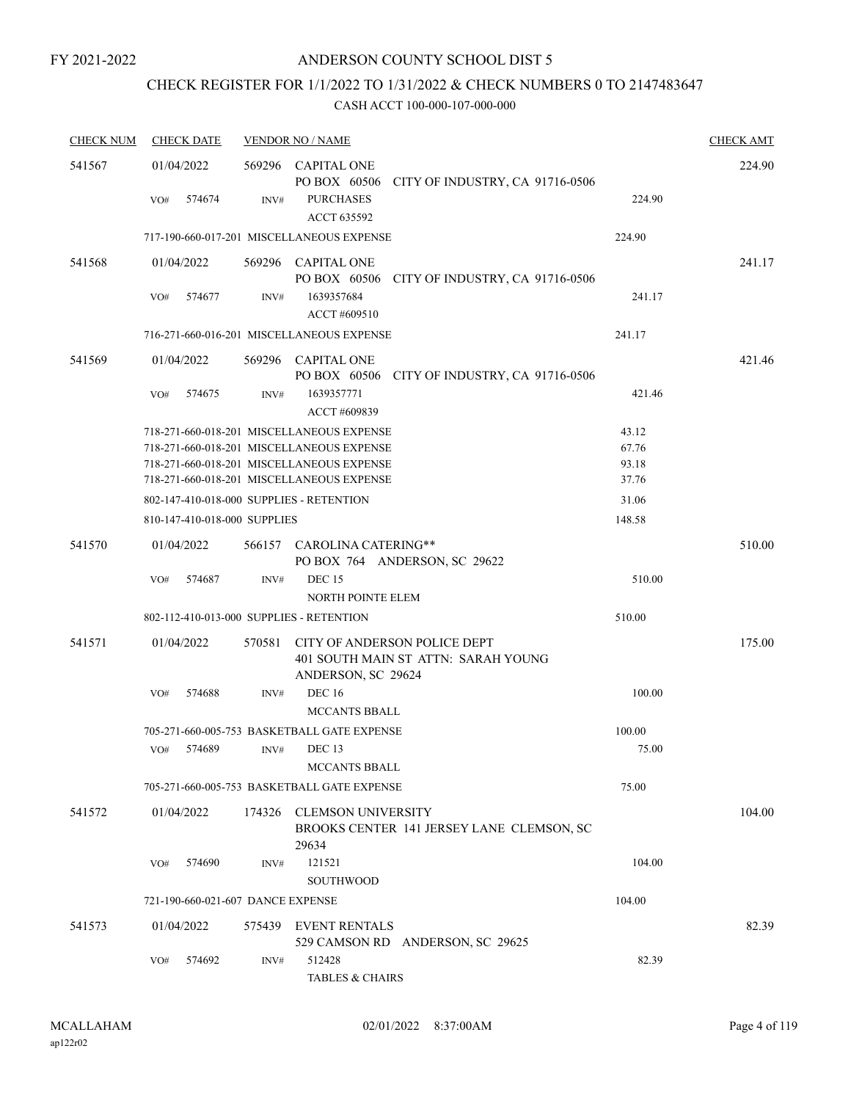# CHECK REGISTER FOR 1/1/2022 TO 1/31/2022 & CHECK NUMBERS 0 TO 2147483647

| <b>CHECK NUM</b> | <b>CHECK DATE</b>                        |        | <b>VENDOR NO / NAME</b>                                                                   |        | <b>CHECK AMT</b> |
|------------------|------------------------------------------|--------|-------------------------------------------------------------------------------------------|--------|------------------|
| 541567           | 01/04/2022                               |        | 569296 CAPITAL ONE<br>PO BOX 60506 CITY OF INDUSTRY, CA 91716-0506                        |        | 224.90           |
|                  | 574674<br>VO#                            | INV#   | <b>PURCHASES</b><br><b>ACCT 635592</b>                                                    | 224.90 |                  |
|                  |                                          |        | 717-190-660-017-201 MISCELLANEOUS EXPENSE                                                 | 224.90 |                  |
| 541568           | 01/04/2022                               |        | 569296 CAPITAL ONE<br>PO BOX 60506 CITY OF INDUSTRY, CA 91716-0506                        |        | 241.17           |
|                  | 574677<br>VO#                            | INV#   | 1639357684<br>ACCT #609510                                                                | 241.17 |                  |
|                  |                                          |        | 716-271-660-016-201 MISCELLANEOUS EXPENSE                                                 | 241.17 |                  |
| 541569           | 01/04/2022                               |        | 569296 CAPITAL ONE<br>PO BOX 60506 CITY OF INDUSTRY, CA 91716-0506                        |        | 421.46           |
|                  | VO#<br>574675                            | INV#   | 1639357771<br>ACCT #609839                                                                | 421.46 |                  |
|                  |                                          |        | 718-271-660-018-201 MISCELLANEOUS EXPENSE                                                 | 43.12  |                  |
|                  |                                          |        | 718-271-660-018-201 MISCELLANEOUS EXPENSE                                                 | 67.76  |                  |
|                  |                                          |        | 718-271-660-018-201 MISCELLANEOUS EXPENSE                                                 | 93.18  |                  |
|                  |                                          |        | 718-271-660-018-201 MISCELLANEOUS EXPENSE                                                 | 37.76  |                  |
|                  | 802-147-410-018-000 SUPPLIES - RETENTION |        |                                                                                           | 31.06  |                  |
|                  | 810-147-410-018-000 SUPPLIES             |        |                                                                                           | 148.58 |                  |
| 541570           | 01/04/2022                               |        | 566157 CAROLINA CATERING**<br>PO BOX 764 ANDERSON, SC 29622                               |        | 510.00           |
|                  | VO#<br>574687                            | INV#   | <b>DEC 15</b>                                                                             | 510.00 |                  |
|                  | 802-112-410-013-000 SUPPLIES - RETENTION |        | <b>NORTH POINTE ELEM</b>                                                                  | 510.00 |                  |
|                  |                                          |        |                                                                                           |        |                  |
| 541571           | 01/04/2022                               | 570581 | CITY OF ANDERSON POLICE DEPT<br>401 SOUTH MAIN ST ATTN: SARAH YOUNG<br>ANDERSON, SC 29624 |        | 175.00           |
|                  | VO#<br>574688                            | INV#   | <b>DEC 16</b><br><b>MCCANTS BBALL</b>                                                     | 100.00 |                  |
|                  |                                          |        | 705-271-660-005-753 BASKETBALL GATE EXPENSE                                               | 100.00 |                  |
|                  | 574689<br>VO#                            | INV#   | DEC <sub>13</sub><br>MCCANTS BBALL                                                        | 75.00  |                  |
|                  |                                          |        | 705-271-660-005-753 BASKETBALL GATE EXPENSE                                               | 75.00  |                  |
| 541572           | 01/04/2022                               | 174326 | <b>CLEMSON UNIVERSITY</b><br>BROOKS CENTER 141 JERSEY LANE CLEMSON, SC                    |        | 104.00           |
|                  | 574690<br>VO#                            | INV#   | 29634<br>121521<br><b>SOUTHWOOD</b>                                                       | 104.00 |                  |
|                  | 721-190-660-021-607 DANCE EXPENSE        |        |                                                                                           | 104.00 |                  |
|                  |                                          |        |                                                                                           |        |                  |
| 541573           | 01/04/2022                               | 575439 | EVENT RENTALS<br>529 CAMSON RD ANDERSON, SC 29625                                         |        | 82.39            |
|                  | 574692<br>VO#                            | INV#   | 512428<br><b>TABLES &amp; CHAIRS</b>                                                      | 82.39  |                  |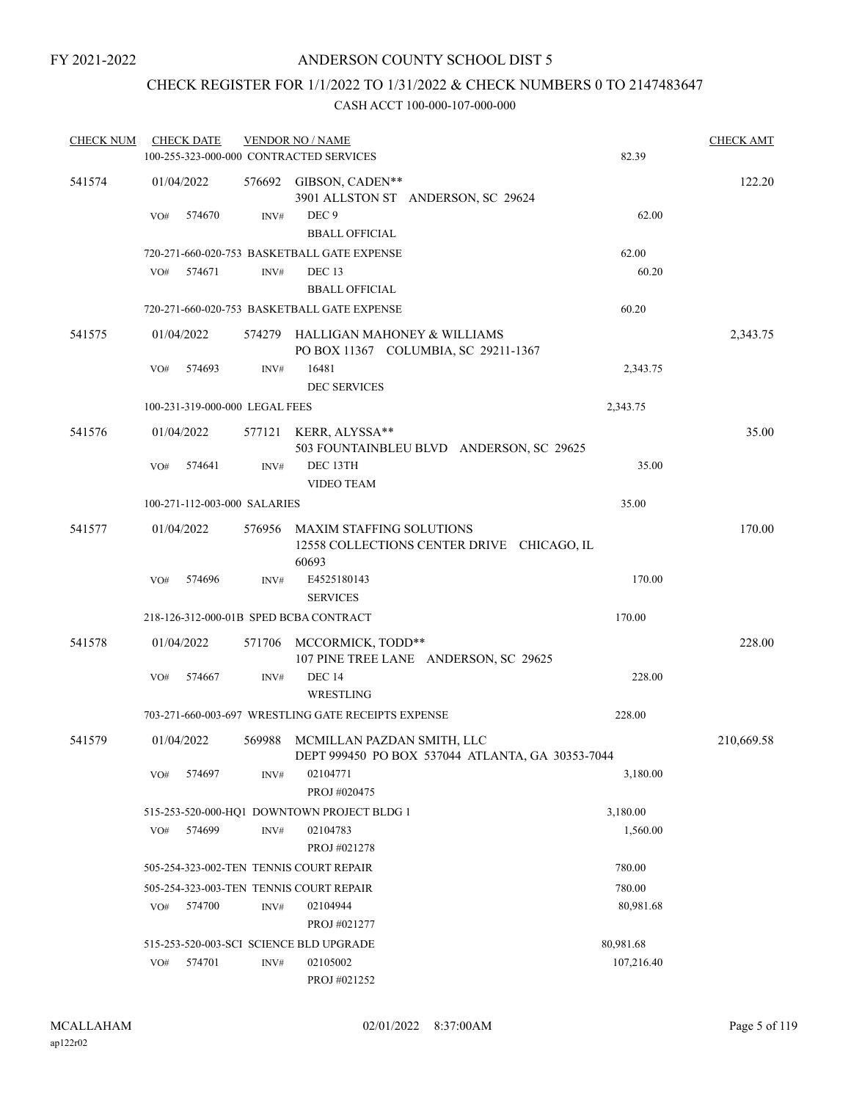# CHECK REGISTER FOR 1/1/2022 TO 1/31/2022 & CHECK NUMBERS 0 TO 2147483647

| <b>CHECK NUM</b> |     | <b>CHECK DATE</b>              |        | <b>VENDOR NO / NAME</b>                             |                                                  |            | <b>CHECK AMT</b> |
|------------------|-----|--------------------------------|--------|-----------------------------------------------------|--------------------------------------------------|------------|------------------|
|                  |     |                                |        | 100-255-323-000-000 CONTRACTED SERVICES             |                                                  | 82.39      |                  |
| 541574           |     | 01/04/2022                     |        | 576692 GIBSON, CADEN**                              | 3901 ALLSTON ST ANDERSON, SC 29624               |            | 122.20           |
|                  | VO# | 574670                         | INV#   | DEC <sub>9</sub><br><b>BBALL OFFICIAL</b>           |                                                  | 62.00      |                  |
|                  |     |                                |        | 720-271-660-020-753 BASKETBALL GATE EXPENSE         |                                                  | 62.00      |                  |
|                  | VO# | 574671                         | INV#   | DEC <sub>13</sub>                                   |                                                  | 60.20      |                  |
|                  |     |                                |        | <b>BBALL OFFICIAL</b>                               |                                                  |            |                  |
|                  |     |                                |        | 720-271-660-020-753 BASKETBALL GATE EXPENSE         |                                                  | 60.20      |                  |
| 541575           |     | 01/04/2022                     |        | 574279 HALLIGAN MAHONEY & WILLIAMS                  | PO BOX 11367 COLUMBIA, SC 29211-1367             |            | 2,343.75         |
|                  | VO# | 574693                         | INV#   | 16481<br><b>DEC SERVICES</b>                        |                                                  | 2,343.75   |                  |
|                  |     | 100-231-319-000-000 LEGAL FEES |        |                                                     |                                                  | 2,343.75   |                  |
| 541576           |     | 01/04/2022                     |        | 577121 KERR, ALYSSA**                               | 503 FOUNTAINBLEU BLVD ANDERSON, SC 29625         |            | 35.00            |
|                  | VO# | 574641                         | INV#   | DEC 13TH<br><b>VIDEO TEAM</b>                       |                                                  | 35.00      |                  |
|                  |     | 100-271-112-003-000 SALARIES   |        |                                                     |                                                  | 35.00      |                  |
| 541577           |     | 01/04/2022                     | 576956 | MAXIM STAFFING SOLUTIONS<br>60693                   | 12558 COLLECTIONS CENTER DRIVE CHICAGO, IL       |            | 170.00           |
|                  | VO# | 574696                         | INV#   | E4525180143                                         |                                                  | 170.00     |                  |
|                  |     |                                |        | <b>SERVICES</b>                                     |                                                  |            |                  |
|                  |     |                                |        | 218-126-312-000-01B SPED BCBA CONTRACT              |                                                  | 170.00     |                  |
| 541578           |     | 01/04/2022                     | 571706 | MCCORMICK, TODD**                                   | 107 PINE TREE LANE ANDERSON, SC 29625            |            | 228.00           |
|                  | VO# | 574667                         | INV#   | <b>DEC 14</b><br>WRESTLING                          |                                                  | 228.00     |                  |
|                  |     |                                |        | 703-271-660-003-697 WRESTLING GATE RECEIPTS EXPENSE |                                                  | 228.00     |                  |
| 541579           |     | 01/04/2022                     | 569988 | MCMILLAN PAZDAN SMITH, LLC                          | DEPT 999450 PO BOX 537044 ATLANTA, GA 30353-7044 |            | 210,669.58       |
|                  | VO# | 574697                         | INV#   | 02104771<br>PROJ #020475                            |                                                  | 3,180.00   |                  |
|                  |     |                                |        | 515-253-520-000-HQ1 DOWNTOWN PROJECT BLDG 1         |                                                  | 3,180.00   |                  |
|                  | VO# | 574699                         | INV#   | 02104783<br>PROJ #021278                            |                                                  | 1,560.00   |                  |
|                  |     |                                |        | 505-254-323-002-TEN TENNIS COURT REPAIR             |                                                  | 780.00     |                  |
|                  |     |                                |        | 505-254-323-003-TEN TENNIS COURT REPAIR             |                                                  | 780.00     |                  |
|                  | VO# | 574700                         | INV#   | 02104944<br>PROJ #021277                            |                                                  | 80,981.68  |                  |
|                  |     |                                |        | 515-253-520-003-SCI SCIENCE BLD UPGRADE             |                                                  | 80,981.68  |                  |
|                  | VO# | 574701                         | INV#   | 02105002<br>PROJ #021252                            |                                                  | 107,216.40 |                  |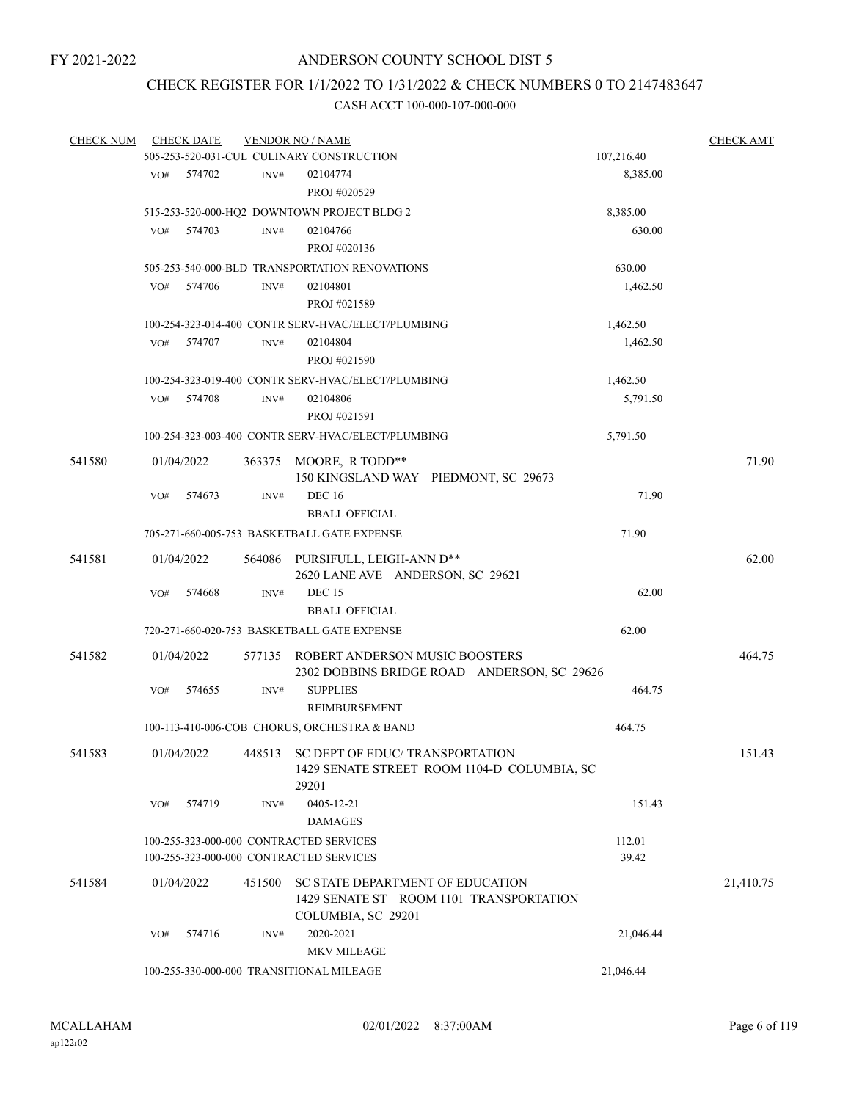# CHECK REGISTER FOR 1/1/2022 TO 1/31/2022 & CHECK NUMBERS 0 TO 2147483647

| <b>CHECK NUM</b> |     | <b>CHECK DATE</b> |                | <b>VENDOR NO / NAME</b><br>505-253-520-031-CUL CULINARY CONSTRUCTION |                                             | 107,216.40 | <b>CHECK AMT</b> |
|------------------|-----|-------------------|----------------|----------------------------------------------------------------------|---------------------------------------------|------------|------------------|
|                  |     |                   |                |                                                                      |                                             |            |                  |
|                  | VO# | 574702            | $\text{INV}\#$ | 02104774                                                             |                                             | 8,385.00   |                  |
|                  |     |                   |                | PROJ #020529                                                         |                                             |            |                  |
|                  |     |                   |                | 515-253-520-000-HQ2 DOWNTOWN PROJECT BLDG 2                          |                                             | 8,385.00   |                  |
|                  | VO# | 574703            | INV#           | 02104766                                                             |                                             | 630.00     |                  |
|                  |     |                   |                | PROJ #020136                                                         |                                             |            |                  |
|                  |     |                   |                | 505-253-540-000-BLD TRANSPORTATION RENOVATIONS                       |                                             | 630.00     |                  |
|                  | VO# | 574706            | INV#           | 02104801                                                             |                                             | 1,462.50   |                  |
|                  |     |                   |                | PROJ #021589                                                         |                                             |            |                  |
|                  |     |                   |                | 100-254-323-014-400 CONTR SERV-HVAC/ELECT/PLUMBING                   |                                             | 1,462.50   |                  |
|                  | VO# | 574707            | INV#           | 02104804                                                             |                                             | 1,462.50   |                  |
|                  |     |                   |                | PROJ #021590                                                         |                                             |            |                  |
|                  |     |                   |                | 100-254-323-019-400 CONTR SERV-HVAC/ELECT/PLUMBING                   |                                             | 1,462.50   |                  |
|                  | VO# | 574708            | INV#           | 02104806                                                             |                                             | 5,791.50   |                  |
|                  |     |                   |                | PROJ #021591                                                         |                                             |            |                  |
|                  |     |                   |                | 100-254-323-003-400 CONTR SERV-HVAC/ELECT/PLUMBING                   |                                             | 5,791.50   |                  |
|                  |     |                   |                |                                                                      |                                             |            |                  |
| 541580           |     | 01/04/2022        |                | 363375 MOORE, R TODD**                                               | 150 KINGSLAND WAY PIEDMONT, SC 29673        |            | 71.90            |
|                  | VO# | 574673            | INV#           | <b>DEC 16</b>                                                        |                                             | 71.90      |                  |
|                  |     |                   |                | <b>BBALL OFFICIAL</b>                                                |                                             |            |                  |
|                  |     |                   |                | 705-271-660-005-753 BASKETBALL GATE EXPENSE                          |                                             |            |                  |
|                  |     |                   |                |                                                                      |                                             | 71.90      |                  |
| 541581           |     | 01/04/2022        |                | 564086 PURSIFULL, LEIGH-ANN D**                                      |                                             |            | 62.00            |
|                  |     |                   |                | 2620 LANE AVE ANDERSON, SC 29621                                     |                                             |            |                  |
|                  | VO# | 574668            | INV#           | <b>DEC 15</b>                                                        |                                             | 62.00      |                  |
|                  |     |                   |                | <b>BBALL OFFICIAL</b>                                                |                                             |            |                  |
|                  |     |                   |                | 720-271-660-020-753 BASKETBALL GATE EXPENSE                          |                                             | 62.00      |                  |
| 541582           |     | 01/04/2022        |                | 577135 ROBERT ANDERSON MUSIC BOOSTERS                                | 2302 DOBBINS BRIDGE ROAD ANDERSON, SC 29626 |            | 464.75           |
|                  | VO# | 574655            | INV#           | <b>SUPPLIES</b>                                                      |                                             | 464.75     |                  |
|                  |     |                   |                | <b>REIMBURSEMENT</b>                                                 |                                             |            |                  |
|                  |     |                   |                | 100-113-410-006-COB CHORUS, ORCHESTRA & BAND                         |                                             | 464.75     |                  |
| 541583           |     | 01/04/2022        | 448513         | SC DEPT OF EDUC/ TRANSPORTATION                                      |                                             |            | 151.43           |
|                  |     |                   |                | 29201                                                                | 1429 SENATE STREET ROOM 1104-D COLUMBIA, SC |            |                  |
|                  | VO# | 574719            | INV#           | 0405-12-21                                                           |                                             | 151.43     |                  |
|                  |     |                   |                | <b>DAMAGES</b>                                                       |                                             |            |                  |
|                  |     |                   |                | 100-255-323-000-000 CONTRACTED SERVICES                              |                                             | 112.01     |                  |
|                  |     |                   |                | 100-255-323-000-000 CONTRACTED SERVICES                              |                                             | 39.42      |                  |
|                  |     |                   |                |                                                                      |                                             |            |                  |
| 541584           |     | 01/04/2022        | 451500         | SC STATE DEPARTMENT OF EDUCATION                                     |                                             |            | 21,410.75        |
|                  |     |                   |                |                                                                      | 1429 SENATE ST ROOM 1101 TRANSPORTATION     |            |                  |
|                  |     | 574716            |                | COLUMBIA, SC 29201<br>2020-2021                                      |                                             |            |                  |
|                  | VO# |                   | INV#           | <b>MKV MILEAGE</b>                                                   |                                             | 21,046.44  |                  |
|                  |     |                   |                |                                                                      |                                             |            |                  |
|                  |     |                   |                | 100-255-330-000-000 TRANSITIONAL MILEAGE                             |                                             | 21,046.44  |                  |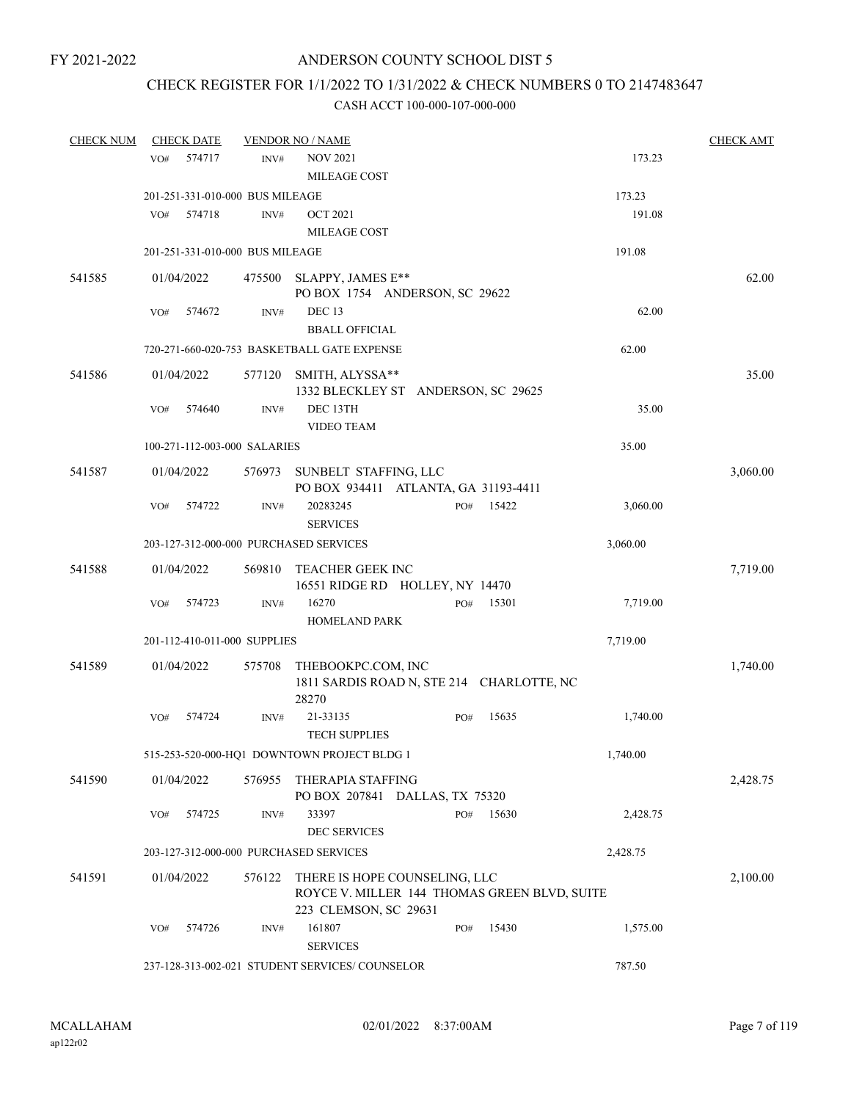# CHECK REGISTER FOR 1/1/2022 TO 1/31/2022 & CHECK NUMBERS 0 TO 2147483647

| <b>CHECK NUM</b> | <b>CHECK DATE</b>                      |        | <b>VENDOR NO / NAME</b>                                                                                |     |       |          | <b>CHECK AMT</b> |
|------------------|----------------------------------------|--------|--------------------------------------------------------------------------------------------------------|-----|-------|----------|------------------|
|                  | 574717<br>VO#                          | INV#   | <b>NOV 2021</b><br>MILEAGE COST                                                                        |     |       | 173.23   |                  |
|                  | 201-251-331-010-000 BUS MILEAGE        |        |                                                                                                        |     |       | 173.23   |                  |
|                  | VO#<br>574718                          | INV#   | <b>OCT 2021</b><br><b>MILEAGE COST</b>                                                                 |     |       | 191.08   |                  |
|                  | 201-251-331-010-000 BUS MILEAGE        |        |                                                                                                        |     |       | 191.08   |                  |
| 541585           | 01/04/2022                             | 475500 | SLAPPY, JAMES E**<br>PO BOX 1754 ANDERSON, SC 29622                                                    |     |       |          | 62.00            |
|                  | VO#<br>574672                          | INV#   | DEC <sub>13</sub><br><b>BBALL OFFICIAL</b>                                                             |     |       | 62.00    |                  |
|                  |                                        |        | 720-271-660-020-753 BASKETBALL GATE EXPENSE                                                            |     |       | 62.00    |                  |
| 541586           | 01/04/2022                             | 577120 | SMITH, ALYSSA**<br>1332 BLECKLEY ST ANDERSON, SC 29625                                                 |     |       |          | 35.00            |
|                  | 574640<br>VO#                          | INV#   | DEC 13TH<br><b>VIDEO TEAM</b>                                                                          |     |       | 35.00    |                  |
|                  | 100-271-112-003-000 SALARIES           |        |                                                                                                        |     |       | 35.00    |                  |
| 541587           | 01/04/2022                             |        | 576973 SUNBELT STAFFING, LLC<br>PO BOX 934411 ATLANTA, GA 31193-4411                                   |     |       |          | 3,060.00         |
|                  | VO#<br>574722                          | INV#   | 20283245<br><b>SERVICES</b>                                                                            | PO# | 15422 | 3,060.00 |                  |
|                  | 203-127-312-000-000 PURCHASED SERVICES |        |                                                                                                        |     |       | 3,060.00 |                  |
| 541588           | 01/04/2022                             | 569810 | TEACHER GEEK INC<br>16551 RIDGE RD HOLLEY, NY 14470                                                    |     |       |          | 7,719.00         |
|                  | 574723<br>VO#                          | INV#   | 16270<br><b>HOMELAND PARK</b>                                                                          | PO# | 15301 | 7,719.00 |                  |
|                  | 201-112-410-011-000 SUPPLIES           |        |                                                                                                        |     |       | 7,719.00 |                  |
| 541589           | 01/04/2022                             | 575708 | THEBOOKPC.COM, INC<br>1811 SARDIS ROAD N, STE 214 CHARLOTTE, NC<br>28270                               |     |       |          | 1,740.00         |
|                  | VO#<br>574724                          | INV#   | 21-33135<br><b>TECH SUPPLIES</b>                                                                       | PO# | 15635 | 1,740.00 |                  |
|                  |                                        |        | 515-253-520-000-HQ1 DOWNTOWN PROJECT BLDG 1                                                            |     |       | 1,740.00 |                  |
| 541590           | 01/04/2022                             | 576955 | THERAPIA STAFFING<br>PO BOX 207841 DALLAS, TX 75320                                                    |     |       |          | 2,428.75         |
|                  | 574725<br>VO#                          | INV#   | 33397<br><b>DEC SERVICES</b>                                                                           | PO# | 15630 | 2,428.75 |                  |
|                  | 203-127-312-000-000 PURCHASED SERVICES |        |                                                                                                        |     |       | 2,428.75 |                  |
| 541591           | 01/04/2022                             | 576122 | THERE IS HOPE COUNSELING, LLC<br>ROYCE V. MILLER 144 THOMAS GREEN BLVD, SUITE<br>223 CLEMSON, SC 29631 |     |       |          | 2,100.00         |
|                  | 574726<br>VO#                          | INV#   | 161807<br><b>SERVICES</b>                                                                              | PO# | 15430 | 1,575.00 |                  |
|                  |                                        |        | 237-128-313-002-021 STUDENT SERVICES/ COUNSELOR                                                        |     |       | 787.50   |                  |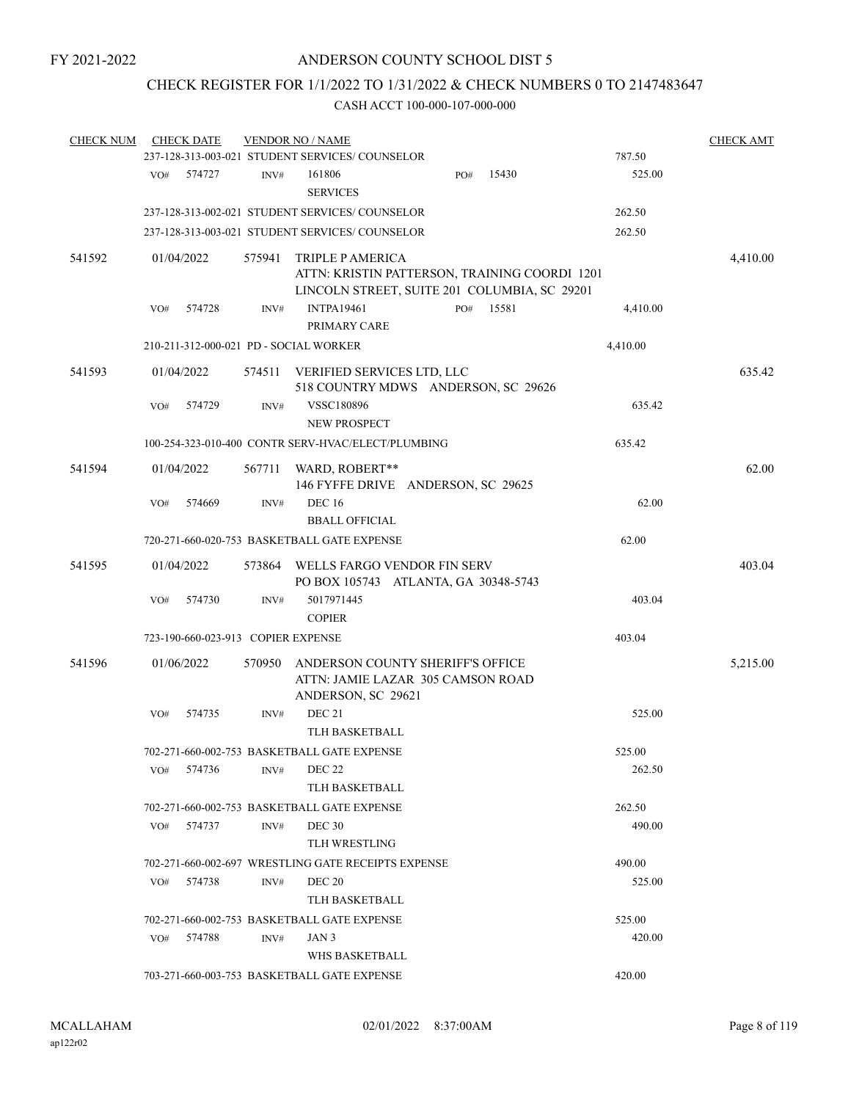# CHECK REGISTER FOR 1/1/2022 TO 1/31/2022 & CHECK NUMBERS 0 TO 2147483647

| <b>CHECK NUM</b> |     | <b>CHECK DATE</b>                  |        | <b>VENDOR NO / NAME</b>                                                                                                  |     |       |          | <b>CHECK AMT</b> |
|------------------|-----|------------------------------------|--------|--------------------------------------------------------------------------------------------------------------------------|-----|-------|----------|------------------|
|                  |     |                                    |        | 237-128-313-003-021 STUDENT SERVICES/COUNSELOR                                                                           |     |       | 787.50   |                  |
|                  | VO# | 574727                             | INV#   | 161806<br><b>SERVICES</b>                                                                                                | PO# | 15430 | 525.00   |                  |
|                  |     |                                    |        | 237-128-313-002-021 STUDENT SERVICES/COUNSELOR                                                                           |     |       | 262.50   |                  |
|                  |     |                                    |        | 237-128-313-003-021 STUDENT SERVICES/COUNSELOR                                                                           |     |       | 262.50   |                  |
| 541592           |     | 01/04/2022                         | 575941 | <b>TRIPLE P AMERICA</b><br>ATTN: KRISTIN PATTERSON, TRAINING COORDI 1201<br>LINCOLN STREET, SUITE 201 COLUMBIA, SC 29201 |     |       |          | 4,410.00         |
|                  | VO# | 574728                             | INV#   | <b>INTPA19461</b>                                                                                                        | PO# | 15581 | 4,410.00 |                  |
|                  |     |                                    |        | PRIMARY CARE                                                                                                             |     |       |          |                  |
|                  |     |                                    |        | 210-211-312-000-021 PD - SOCIAL WORKER                                                                                   |     |       | 4,410.00 |                  |
| 541593           |     | 01/04/2022                         | 574511 | VERIFIED SERVICES LTD, LLC<br>518 COUNTRY MDWS ANDERSON, SC 29626                                                        |     |       |          | 635.42           |
|                  | VO# | 574729                             | INV#   | VSSC180896<br>NEW PROSPECT                                                                                               |     |       | 635.42   |                  |
|                  |     |                                    |        | 100-254-323-010-400 CONTR SERV-HVAC/ELECT/PLUMBING                                                                       |     |       | 635.42   |                  |
| 541594           |     | 01/04/2022                         | 567711 | WARD, ROBERT**<br>146 FYFFE DRIVE ANDERSON, SC 29625                                                                     |     |       |          | 62.00            |
|                  | VO# | 574669                             | INV#   | <b>DEC 16</b><br><b>BBALL OFFICIAL</b>                                                                                   |     |       | 62.00    |                  |
|                  |     |                                    |        | 720-271-660-020-753 BASKETBALL GATE EXPENSE                                                                              |     |       | 62.00    |                  |
| 541595           |     | 01/04/2022                         | 573864 | WELLS FARGO VENDOR FIN SERV<br>PO BOX 105743 ATLANTA, GA 30348-5743                                                      |     |       |          | 403.04           |
|                  | VO# | 574730                             | INV#   | 5017971445<br><b>COPIER</b>                                                                                              |     |       | 403.04   |                  |
|                  |     | 723-190-660-023-913 COPIER EXPENSE |        |                                                                                                                          |     |       | 403.04   |                  |
| 541596           |     | 01/06/2022                         | 570950 | ANDERSON COUNTY SHERIFF'S OFFICE<br>ATTN: JAMIE LAZAR 305 CAMSON ROAD<br>ANDERSON, SC 29621                              |     |       |          | 5,215.00         |
|                  | VO# | 574735                             | INV#   | <b>DEC 21</b><br>TLH BASKETBALL                                                                                          |     |       | 525.00   |                  |
|                  |     |                                    |        | 702-271-660-002-753 BASKETBALL GATE EXPENSE                                                                              |     |       | 525.00   |                  |
|                  | VO# | 574736                             | INV#   | <b>DEC 22</b><br><b>TLH BASKETBALL</b>                                                                                   |     |       | 262.50   |                  |
|                  |     |                                    |        | 702-271-660-002-753 BASKETBALL GATE EXPENSE                                                                              |     |       | 262.50   |                  |
|                  | VO# | 574737                             | INV#   | DEC <sub>30</sub><br><b>TLH WRESTLING</b>                                                                                |     |       | 490.00   |                  |
|                  |     |                                    |        | 702-271-660-002-697 WRESTLING GATE RECEIPTS EXPENSE                                                                      |     |       | 490.00   |                  |
|                  | VO# | 574738                             | INV#   | <b>DEC 20</b><br><b>TLH BASKETBALL</b>                                                                                   |     |       | 525.00   |                  |
|                  |     |                                    |        | 702-271-660-002-753 BASKETBALL GATE EXPENSE                                                                              |     |       | 525.00   |                  |
|                  | VO# | 574788                             | INV#   | JAN 3                                                                                                                    |     |       | 420.00   |                  |
|                  |     |                                    |        | WHS BASKETBALL<br>703-271-660-003-753 BASKETBALL GATE EXPENSE                                                            |     |       | 420.00   |                  |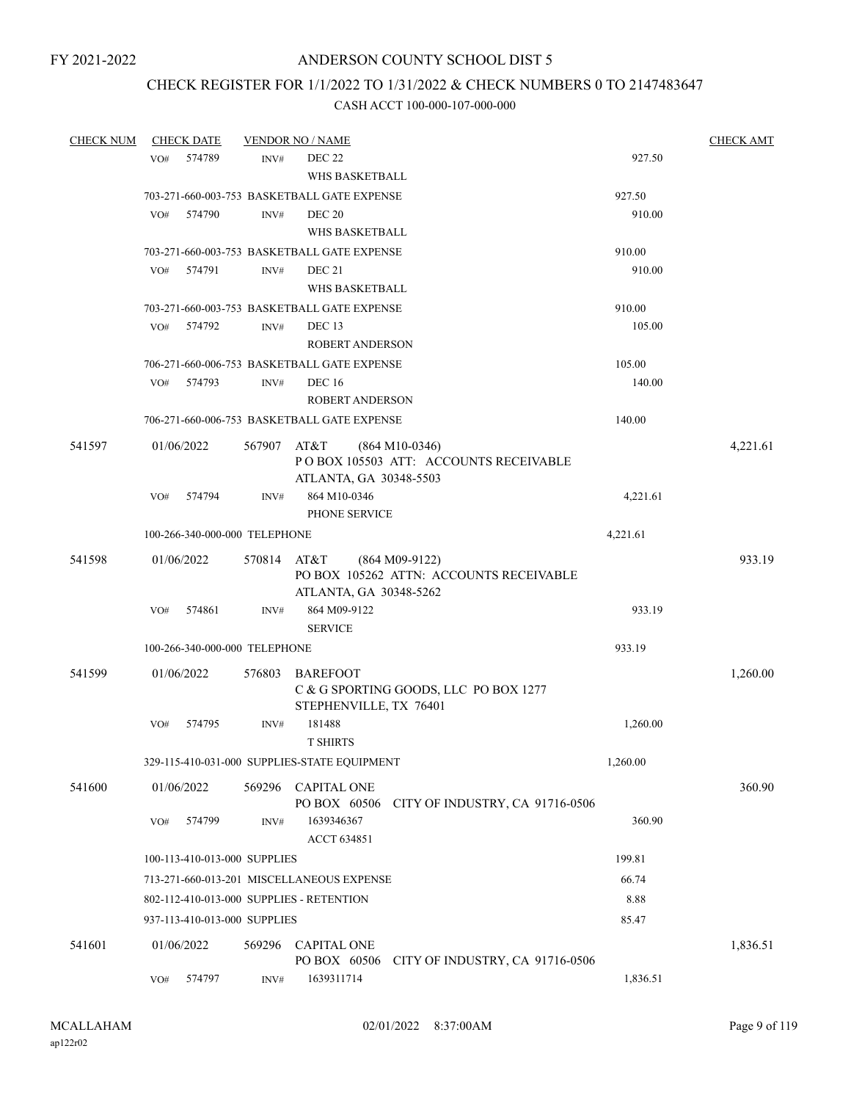## CHECK REGISTER FOR 1/1/2022 TO 1/31/2022 & CHECK NUMBERS 0 TO 2147483647

| <b>CHECK NUM</b> | <b>CHECK DATE</b>                        |             | <b>VENDOR NO / NAME</b>                      |                                                             | <b>CHECK AMT</b> |
|------------------|------------------------------------------|-------------|----------------------------------------------|-------------------------------------------------------------|------------------|
|                  | 574789<br>VO#                            | INV#        | <b>DEC 22</b><br>WHS BASKETBALL              |                                                             | 927.50           |
|                  |                                          |             |                                              |                                                             |                  |
|                  |                                          |             | 703-271-660-003-753 BASKETBALL GATE EXPENSE  |                                                             | 927.50           |
|                  | 574790<br>VO#                            | INV#        | <b>DEC 20</b>                                |                                                             | 910.00           |
|                  |                                          |             | WHS BASKETBALL                               |                                                             |                  |
|                  |                                          |             | 703-271-660-003-753 BASKETBALL GATE EXPENSE  |                                                             | 910.00           |
|                  | 574791<br>VO#                            | INV#        | DEC 21                                       |                                                             | 910.00           |
|                  |                                          |             | WHS BASKETBALL                               |                                                             |                  |
|                  |                                          |             | 703-271-660-003-753 BASKETBALL GATE EXPENSE  |                                                             | 910.00           |
|                  | VO#<br>574792                            | INV#        | DEC <sub>13</sub>                            |                                                             | 105.00           |
|                  |                                          |             | <b>ROBERT ANDERSON</b>                       |                                                             |                  |
|                  |                                          |             | 706-271-660-006-753 BASKETBALL GATE EXPENSE  |                                                             | 105.00           |
|                  | 574793<br>VO#                            | INV#        | <b>DEC</b> 16                                |                                                             | 140.00           |
|                  |                                          |             | <b>ROBERT ANDERSON</b>                       |                                                             |                  |
|                  |                                          |             | 706-271-660-006-753 BASKETBALL GATE EXPENSE  |                                                             | 140.00           |
| 541597           | 01/06/2022                               | 567907      | AT&T<br>ATLANTA, GA 30348-5503               | $(864 M10-0346)$<br>PO BOX 105503 ATT: ACCOUNTS RECEIVABLE  | 4,221.61         |
|                  | 574794<br>VO#                            | INV#        | 864 M10-0346<br>PHONE SERVICE                |                                                             | 4,221.61         |
|                  | 100-266-340-000-000 TELEPHONE            |             |                                              | 4,221.61                                                    |                  |
|                  |                                          |             |                                              |                                                             |                  |
| 541598           | 01/06/2022                               | 570814 AT&T | ATLANTA, GA 30348-5262                       | $(864 M09-9122)$<br>PO BOX 105262 ATTN: ACCOUNTS RECEIVABLE | 933.19           |
|                  | VO#<br>574861                            | INV#        | 864 M09-9122<br><b>SERVICE</b>               |                                                             | 933.19           |
|                  |                                          |             |                                              |                                                             |                  |
|                  | 100-266-340-000-000 TELEPHONE            |             |                                              |                                                             | 933.19           |
| 541599           | 01/06/2022                               | 576803      | <b>BAREFOOT</b><br>STEPHENVILLE, TX 76401    | C & G SPORTING GOODS, LLC PO BOX 1277                       | 1,260.00         |
|                  | 574795<br>VO#                            | INV#        | 181488                                       |                                                             | 1,260.00         |
|                  |                                          |             | <b>T SHIRTS</b>                              |                                                             |                  |
|                  |                                          |             | 329-115-410-031-000 SUPPLIES-STATE EQUIPMENT | 1,260.00                                                    |                  |
| 541600           | 01/06/2022                               | 569296      | <b>CAPITAL ONE</b><br>PO BOX 60506           | CITY OF INDUSTRY, CA 91716-0506                             | 360.90           |
|                  | 574799<br>VO#                            | INV#        | 1639346367<br>ACCT 634851                    |                                                             | 360.90           |
|                  | 100-113-410-013-000 SUPPLIES             |             |                                              |                                                             | 199.81           |
|                  |                                          |             | 713-271-660-013-201 MISCELLANEOUS EXPENSE    |                                                             | 66.74            |
|                  |                                          |             |                                              |                                                             |                  |
|                  | 802-112-410-013-000 SUPPLIES - RETENTION |             |                                              |                                                             | 8.88             |
|                  | 937-113-410-013-000 SUPPLIES             |             |                                              |                                                             | 85.47            |
| 541601           | 01/06/2022                               | 569296      | <b>CAPITAL ONE</b><br>PO BOX 60506           | CITY OF INDUSTRY, CA 91716-0506                             | 1,836.51         |
|                  | 574797<br>VO#                            | INV#        | 1639311714                                   |                                                             | 1,836.51         |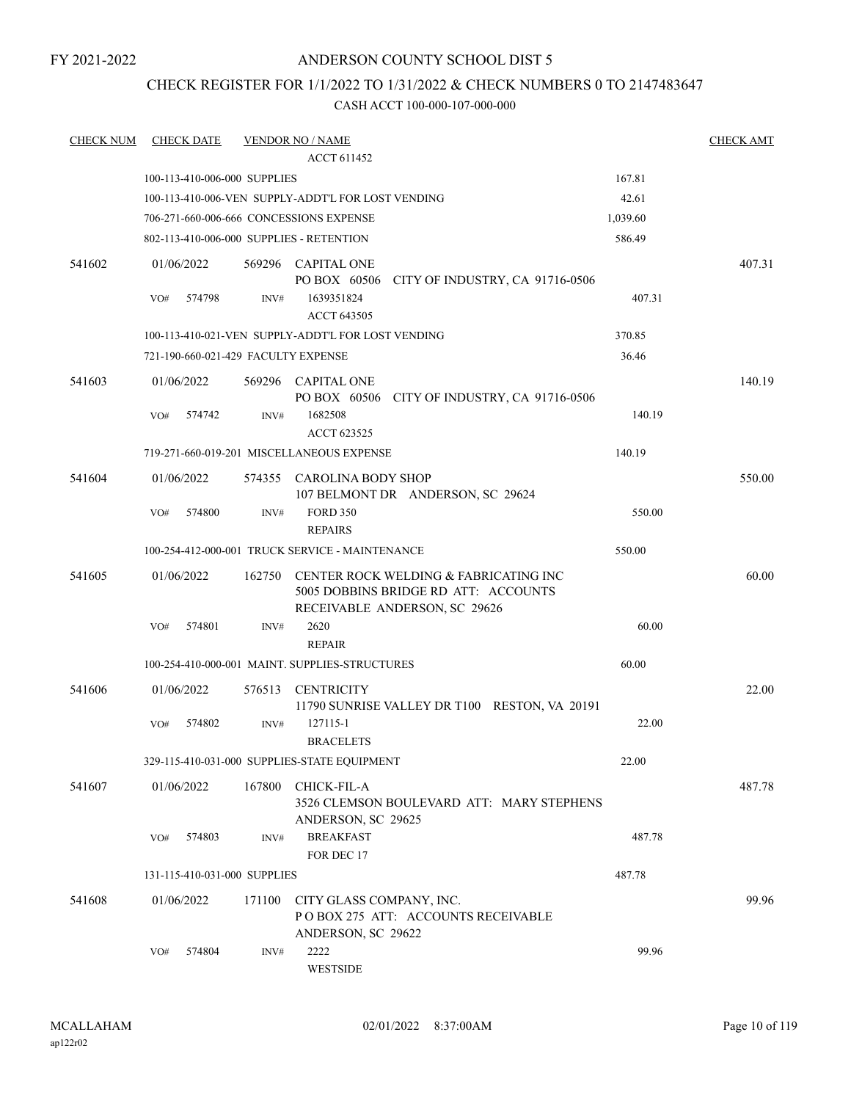## ANDERSON COUNTY SCHOOL DIST 5

# CHECK REGISTER FOR 1/1/2022 TO 1/31/2022 & CHECK NUMBERS 0 TO 2147483647

| <b>CHECK NUM</b> | <b>CHECK DATE</b>                        |        | <b>VENDOR NO / NAME</b>                                                                                        |          | <b>CHECK AMT</b> |
|------------------|------------------------------------------|--------|----------------------------------------------------------------------------------------------------------------|----------|------------------|
|                  |                                          |        | <b>ACCT 611452</b>                                                                                             |          |                  |
|                  | 100-113-410-006-000 SUPPLIES             |        |                                                                                                                | 167.81   |                  |
|                  |                                          |        | 100-113-410-006-VEN SUPPLY-ADDT'L FOR LOST VENDING                                                             | 42.61    |                  |
|                  |                                          |        | 706-271-660-006-666 CONCESSIONS EXPENSE                                                                        | 1,039.60 |                  |
|                  | 802-113-410-006-000 SUPPLIES - RETENTION |        |                                                                                                                | 586.49   |                  |
| 541602           | 01/06/2022                               |        | 569296 CAPITAL ONE<br>PO BOX 60506 CITY OF INDUSTRY, CA 91716-0506                                             |          | 407.31           |
|                  | VO#<br>574798                            | INV#   | 1639351824<br>ACCT 643505                                                                                      | 407.31   |                  |
|                  |                                          |        | 100-113-410-021-VEN SUPPLY-ADDT'L FOR LOST VENDING                                                             | 370.85   |                  |
|                  | 721-190-660-021-429 FACULTY EXPENSE      |        |                                                                                                                | 36.46    |                  |
| 541603           | 01/06/2022                               |        | 569296 CAPITAL ONE<br>PO BOX 60506 CITY OF INDUSTRY, CA 91716-0506                                             |          | 140.19           |
|                  | VO#<br>574742                            | INV#   | 1682508<br>ACCT 623525                                                                                         | 140.19   |                  |
|                  |                                          |        | 719-271-660-019-201 MISCELLANEOUS EXPENSE                                                                      | 140.19   |                  |
| 541604           | 01/06/2022                               |        | 574355 CAROLINA BODY SHOP<br>107 BELMONT DR ANDERSON, SC 29624                                                 |          | 550.00           |
|                  | 574800<br>VO#                            | INV#   | <b>FORD 350</b><br><b>REPAIRS</b>                                                                              | 550.00   |                  |
|                  |                                          |        | 100-254-412-000-001 TRUCK SERVICE - MAINTENANCE                                                                | 550.00   |                  |
| 541605           | 01/06/2022                               | 162750 | CENTER ROCK WELDING & FABRICATING INC<br>5005 DOBBINS BRIDGE RD ATT: ACCOUNTS<br>RECEIVABLE ANDERSON, SC 29626 |          | 60.00            |
|                  | VO#<br>574801                            | INV#   | 2620<br><b>REPAIR</b>                                                                                          | 60.00    |                  |
|                  |                                          |        | 100-254-410-000-001 MAINT. SUPPLIES-STRUCTURES                                                                 | 60.00    |                  |
| 541606           | 01/06/2022                               |        | 576513 CENTRICITY<br>11790 SUNRISE VALLEY DR T100 RESTON, VA 20191                                             |          | 22.00            |
|                  | 574802<br>VO#                            | INV#   | 127115-1<br><b>BRACELETS</b>                                                                                   | 22.00    |                  |
|                  |                                          |        | 329-115-410-031-000 SUPPLIES-STATE EQUIPMENT                                                                   | 22.00    |                  |
| 541607           | 01/06/2022                               | 167800 | <b>CHICK-FIL-A</b><br>3526 CLEMSON BOULEVARD ATT: MARY STEPHENS                                                |          | 487.78           |
|                  | 574803<br>VO#                            | INV#   | ANDERSON, SC 29625<br><b>BREAKFAST</b><br>FOR DEC 17                                                           | 487.78   |                  |
|                  | 131-115-410-031-000 SUPPLIES             |        |                                                                                                                | 487.78   |                  |
|                  |                                          |        |                                                                                                                |          |                  |
| 541608           | 01/06/2022                               | 171100 | CITY GLASS COMPANY, INC.<br>PO BOX 275 ATT: ACCOUNTS RECEIVABLE<br>ANDERSON, SC 29622                          |          | 99.96            |
|                  | 574804<br>VO#                            | INV#   | 2222<br>WESTSIDE                                                                                               | 99.96    |                  |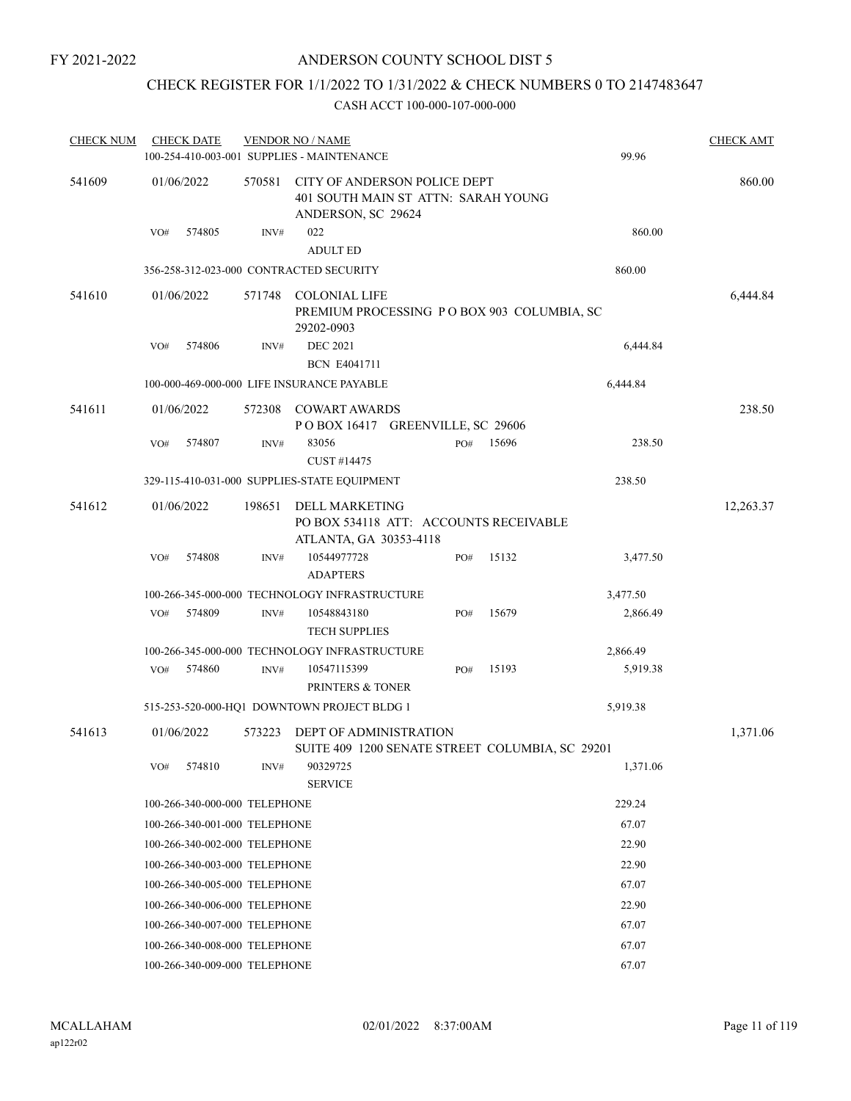# CHECK REGISTER FOR 1/1/2022 TO 1/31/2022 & CHECK NUMBERS 0 TO 2147483647

| <b>CHECK NUM</b> |     | <b>CHECK DATE</b>             |        | <b>VENDOR NO / NAME</b><br>100-254-410-003-001 SUPPLIES - MAINTENANCE                     |     |       | 99.96    | <b>CHECK AMT</b> |
|------------------|-----|-------------------------------|--------|-------------------------------------------------------------------------------------------|-----|-------|----------|------------------|
| 541609           |     | 01/06/2022                    | 570581 | CITY OF ANDERSON POLICE DEPT<br>401 SOUTH MAIN ST ATTN: SARAH YOUNG<br>ANDERSON, SC 29624 |     |       |          | 860.00           |
|                  | VO# | 574805                        | INV#   | 022<br><b>ADULT ED</b>                                                                    |     |       | 860.00   |                  |
|                  |     |                               |        | 356-258-312-023-000 CONTRACTED SECURITY                                                   |     |       | 860.00   |                  |
| 541610           |     | 01/06/2022                    | 571748 | COLONIAL LIFE<br>PREMIUM PROCESSING PO BOX 903 COLUMBIA, SC<br>29202-0903                 |     |       |          | 6,444.84         |
|                  | VO# | 574806                        | INV#   | <b>DEC 2021</b><br><b>BCN E4041711</b>                                                    |     |       | 6,444.84 |                  |
|                  |     |                               |        | 100-000-469-000-000 LIFE INSURANCE PAYABLE                                                |     |       | 6,444.84 |                  |
| 541611           |     | 01/06/2022                    | 572308 | <b>COWART AWARDS</b><br>POBOX 16417 GREENVILLE, SC 29606                                  |     |       |          | 238.50           |
|                  | VO# | 574807                        | INV#   | 83056<br>CUST #14475                                                                      | PO# | 15696 | 238.50   |                  |
|                  |     |                               |        | 329-115-410-031-000 SUPPLIES-STATE EQUIPMENT                                              |     |       | 238.50   |                  |
| 541612           |     | 01/06/2022                    | 198651 | <b>DELL MARKETING</b><br>PO BOX 534118 ATT: ACCOUNTS RECEIVABLE<br>ATLANTA, GA 30353-4118 |     |       |          | 12,263.37        |
|                  | VO# | 574808                        | INV#   | 10544977728<br><b>ADAPTERS</b>                                                            | PO# | 15132 | 3,477.50 |                  |
|                  |     |                               |        | 100-266-345-000-000 TECHNOLOGY INFRASTRUCTURE                                             |     |       | 3,477.50 |                  |
|                  | VO# | 574809                        | INV#   | 10548843180<br><b>TECH SUPPLIES</b>                                                       | PO# | 15679 | 2,866.49 |                  |
|                  |     |                               |        | 100-266-345-000-000 TECHNOLOGY INFRASTRUCTURE                                             |     |       | 2,866.49 |                  |
|                  | VO# | 574860                        | INV#   | 10547115399<br>PRINTERS & TONER                                                           | PO# | 15193 | 5,919.38 |                  |
|                  |     |                               |        | 515-253-520-000-HQ1 DOWNTOWN PROJECT BLDG 1                                               |     |       | 5,919.38 |                  |
| 541613           |     | 01/06/2022                    | 573223 | <b>DEPT OF ADMINISTRATION</b><br>SUITE 409 1200 SENATE STREET COLUMBIA, SC 29201          |     |       |          | 1,371.06         |
|                  | VO# | 574810                        | INV#   | 90329725<br><b>SERVICE</b>                                                                |     |       | 1,371.06 |                  |
|                  |     | 100-266-340-000-000 TELEPHONE |        |                                                                                           |     |       | 229.24   |                  |
|                  |     | 100-266-340-001-000 TELEPHONE |        |                                                                                           |     |       | 67.07    |                  |
|                  |     | 100-266-340-002-000 TELEPHONE |        |                                                                                           |     |       | 22.90    |                  |
|                  |     | 100-266-340-003-000 TELEPHONE |        |                                                                                           |     |       | 22.90    |                  |
|                  |     | 100-266-340-005-000 TELEPHONE |        |                                                                                           |     |       | 67.07    |                  |
|                  |     | 100-266-340-006-000 TELEPHONE |        |                                                                                           |     |       | 22.90    |                  |
|                  |     | 100-266-340-007-000 TELEPHONE |        |                                                                                           |     |       | 67.07    |                  |
|                  |     | 100-266-340-008-000 TELEPHONE |        |                                                                                           |     |       | 67.07    |                  |
|                  |     | 100-266-340-009-000 TELEPHONE |        |                                                                                           |     |       | 67.07    |                  |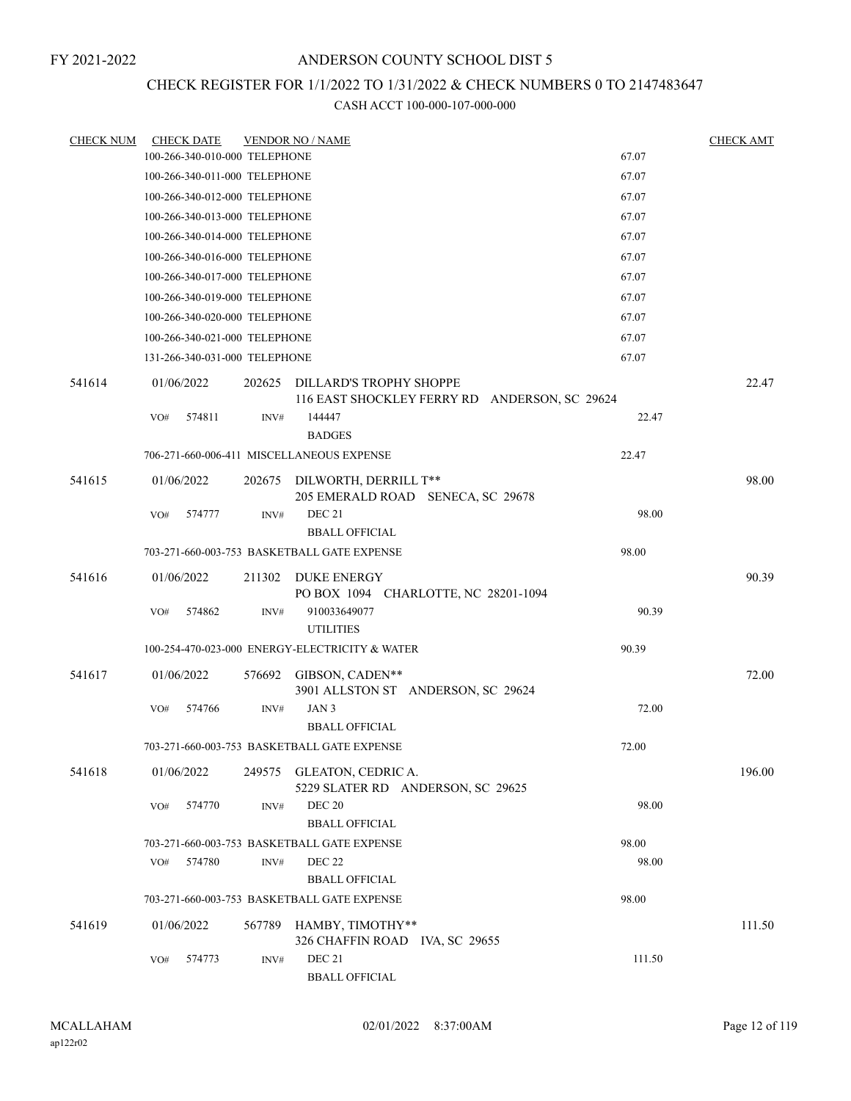# CHECK REGISTER FOR 1/1/2022 TO 1/31/2022 & CHECK NUMBERS 0 TO 2147483647

| <b>CHECK NUM</b> | <b>CHECK DATE</b>             |        | <b>VENDOR NO / NAME</b>                                                  |        | CHECK AMT |
|------------------|-------------------------------|--------|--------------------------------------------------------------------------|--------|-----------|
|                  | 100-266-340-010-000 TELEPHONE |        |                                                                          | 67.07  |           |
|                  | 100-266-340-011-000 TELEPHONE |        |                                                                          | 67.07  |           |
|                  | 100-266-340-012-000 TELEPHONE |        |                                                                          | 67.07  |           |
|                  | 100-266-340-013-000 TELEPHONE |        |                                                                          | 67.07  |           |
|                  | 100-266-340-014-000 TELEPHONE |        |                                                                          | 67.07  |           |
|                  | 100-266-340-016-000 TELEPHONE |        |                                                                          | 67.07  |           |
|                  | 100-266-340-017-000 TELEPHONE |        |                                                                          | 67.07  |           |
|                  | 100-266-340-019-000 TELEPHONE |        |                                                                          | 67.07  |           |
|                  | 100-266-340-020-000 TELEPHONE |        |                                                                          | 67.07  |           |
|                  | 100-266-340-021-000 TELEPHONE |        |                                                                          | 67.07  |           |
|                  | 131-266-340-031-000 TELEPHONE |        |                                                                          | 67.07  |           |
| 541614           | 01/06/2022                    | 202625 | DILLARD'S TROPHY SHOPPE<br>116 EAST SHOCKLEY FERRY RD ANDERSON, SC 29624 |        | 22.47     |
|                  | 574811<br>VO#                 | INV#   | 144447<br><b>BADGES</b>                                                  | 22.47  |           |
|                  |                               |        | 706-271-660-006-411 MISCELLANEOUS EXPENSE                                | 22.47  |           |
| 541615           | 01/06/2022                    | 202675 | DILWORTH, DERRILL T**<br>205 EMERALD ROAD SENECA, SC 29678               |        | 98.00     |
|                  | VO#<br>574777                 | INV#   | <b>DEC 21</b><br><b>BBALL OFFICIAL</b>                                   | 98.00  |           |
|                  |                               |        | 703-271-660-003-753 BASKETBALL GATE EXPENSE                              | 98.00  |           |
| 541616           | 01/06/2022                    | 211302 | DUKE ENERGY                                                              |        | 90.39     |
|                  |                               |        | PO BOX 1094 CHARLOTTE, NC 28201-1094                                     |        |           |
|                  | 574862<br>VO#                 | INV#   | 910033649077                                                             | 90.39  |           |
|                  |                               |        | <b>UTILITIES</b>                                                         |        |           |
|                  |                               |        | 100-254-470-023-000 ENERGY-ELECTRICITY & WATER                           | 90.39  |           |
| 541617           | 01/06/2022                    | 576692 | GIBSON, CADEN**<br>3901 ALLSTON ST ANDERSON, SC 29624                    |        | 72.00     |
|                  | VO#<br>574766                 | INV#   | JAN 3                                                                    | 72.00  |           |
|                  |                               |        | <b>BBALL OFFICIAL</b>                                                    |        |           |
|                  |                               |        | 703-271-660-003-753 BASKETBALL GATE EXPENSE                              | 72.00  |           |
| 541618           | 01/06/2022                    |        | 249575 GLEATON, CEDRIC A.<br>5229 SLATER RD ANDERSON, SC 29625           |        | 196.00    |
|                  | 574770<br>VO#                 | INV#   | <b>DEC 20</b>                                                            | 98.00  |           |
|                  |                               |        | <b>BBALL OFFICIAL</b>                                                    |        |           |
|                  |                               |        | 703-271-660-003-753 BASKETBALL GATE EXPENSE                              | 98.00  |           |
|                  | 574780<br>VO#                 | INV#   | <b>DEC 22</b>                                                            | 98.00  |           |
|                  |                               |        | <b>BBALL OFFICIAL</b>                                                    |        |           |
|                  |                               |        | 703-271-660-003-753 BASKETBALL GATE EXPENSE                              | 98.00  |           |
| 541619           | 01/06/2022                    | 567789 | HAMBY, TIMOTHY**<br>326 CHAFFIN ROAD IVA, SC 29655                       |        | 111.50    |
|                  | VO#<br>574773                 | INV#   | <b>DEC 21</b><br><b>BBALL OFFICIAL</b>                                   | 111.50 |           |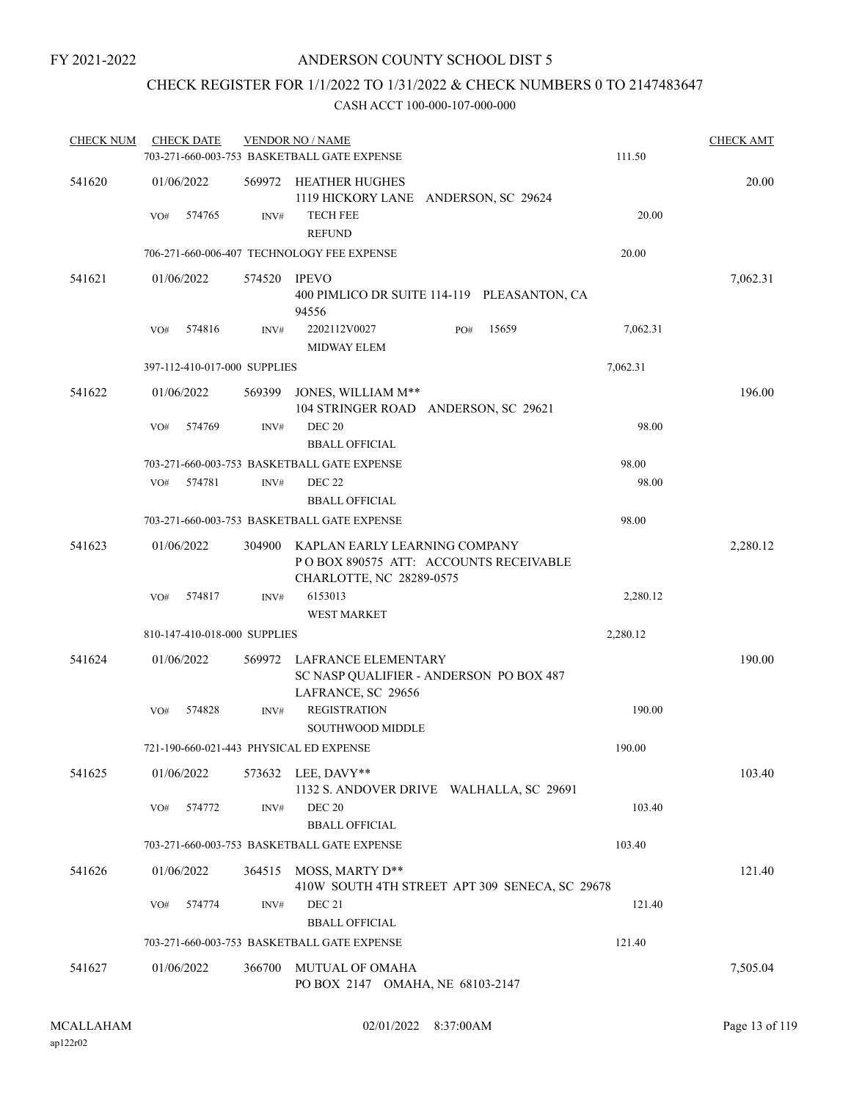# CHECK REGISTER FOR 1/1/2022 TO 1/31/2022 & CHECK NUMBERS 0 TO 2147483647

| <b>CHECK NUM</b> | <b>CHECK DATE</b>                       |                | <b>VENDOR NO / NAME</b><br>703-271-660-003-753 BASKETBALL GATE EXPENSE |                                                | 111.50   | <b>CHECK AMT</b> |
|------------------|-----------------------------------------|----------------|------------------------------------------------------------------------|------------------------------------------------|----------|------------------|
| 541620           | 01/06/2022                              |                | 569972 HEATHER HUGHES                                                  | 1119 HICKORY LANE ANDERSON, SC 29624           |          | 20.00            |
|                  | 574765<br>VO#                           | INV#           | <b>TECH FEE</b><br><b>REFUND</b>                                       |                                                | 20.00    |                  |
|                  |                                         |                | 706-271-660-006-407 TECHNOLOGY FEE EXPENSE                             |                                                | 20.00    |                  |
| 541621           | 01/06/2022                              | 574520         | <b>IPEVO</b><br>94556                                                  | 400 PIMLICO DR SUITE 114-119 PLEASANTON, CA    |          | 7,062.31         |
|                  | 574816<br>VO#                           | INV#           | 2202112V0027<br><b>MIDWAY ELEM</b>                                     | 15659<br>PO#                                   | 7,062.31 |                  |
|                  | 397-112-410-017-000 SUPPLIES            |                |                                                                        |                                                | 7,062.31 |                  |
| 541622           | 01/06/2022                              | 569399         | JONES, WILLIAM M**                                                     | 104 STRINGER ROAD ANDERSON, SC 29621           |          | 196.00           |
|                  | 574769<br>VO#                           | $\text{INV}\#$ | <b>DEC 20</b><br><b>BBALL OFFICIAL</b>                                 |                                                | 98.00    |                  |
|                  |                                         |                | 703-271-660-003-753 BASKETBALL GATE EXPENSE                            |                                                | 98.00    |                  |
|                  | 574781<br>VO#                           | INV#           | DEC 22<br><b>BBALL OFFICIAL</b>                                        |                                                | 98.00    |                  |
|                  |                                         |                | 703-271-660-003-753 BASKETBALL GATE EXPENSE                            |                                                | 98.00    |                  |
| 541623           | 01/06/2022                              | 304900         | KAPLAN EARLY LEARNING COMPANY<br>CHARLOTTE, NC 28289-0575              | PO BOX 890575 ATT: ACCOUNTS RECEIVABLE         |          | 2,280.12         |
|                  | 574817<br>VO#                           | INV#           | 6153013                                                                |                                                | 2,280.12 |                  |
|                  |                                         |                | <b>WEST MARKET</b>                                                     |                                                |          |                  |
|                  | 810-147-410-018-000 SUPPLIES            |                |                                                                        |                                                | 2,280.12 |                  |
| 541624           | 01/06/2022                              | 569972         | LAFRANCE ELEMENTARY<br>LAFRANCE, SC 29656                              | SC NASP QUALIFIER - ANDERSON PO BOX 487        |          | 190.00           |
|                  | 574828<br>VO#                           | INV#           | <b>REGISTRATION</b><br><b>SOUTHWOOD MIDDLE</b>                         |                                                | 190.00   |                  |
|                  | 721-190-660-021-443 PHYSICAL ED EXPENSE |                |                                                                        |                                                | 190.00   |                  |
| 541625           | 01/06/2022                              |                | 573632 LEE, DAVY**                                                     | 1132 S. ANDOVER DRIVE WALHALLA, SC 29691       |          | 103.40           |
|                  | 574772<br>VO#                           | INV#           | <b>DEC 20</b><br><b>BBALL OFFICIAL</b>                                 |                                                | 103.40   |                  |
|                  |                                         |                | 703-271-660-003-753 BASKETBALL GATE EXPENSE                            |                                                | 103.40   |                  |
| 541626           | 01/06/2022                              | 364515         | MOSS, MARTY D**                                                        | 410W SOUTH 4TH STREET APT 309 SENECA, SC 29678 |          | 121.40           |
|                  | VO#<br>574774                           | INV#           | DEC 21<br><b>BBALL OFFICIAL</b>                                        |                                                | 121.40   |                  |
|                  |                                         |                | 703-271-660-003-753 BASKETBALL GATE EXPENSE                            |                                                | 121.40   |                  |
| 541627           | 01/06/2022                              | 366700         | <b>MUTUAL OF OMAHA</b><br>PO BOX 2147 OMAHA, NE 68103-2147             |                                                |          | 7,505.04         |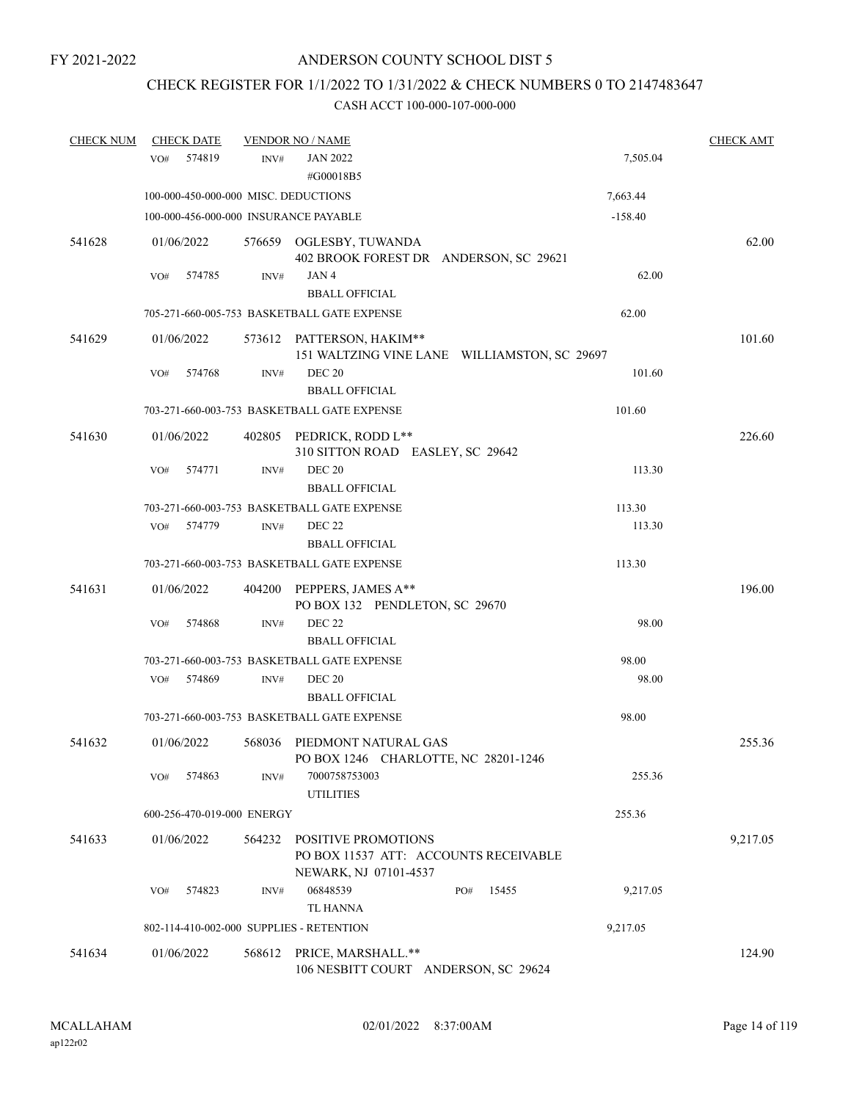# CHECK REGISTER FOR 1/1/2022 TO 1/31/2022 & CHECK NUMBERS 0 TO 2147483647

| <b>CHECK NUM</b> | <b>CHECK DATE</b>                        |                | <b>VENDOR NO / NAME</b>                                                               |           | <b>CHECK AMT</b> |
|------------------|------------------------------------------|----------------|---------------------------------------------------------------------------------------|-----------|------------------|
|                  | 574819<br>VO#                            | INV#           | <b>JAN 2022</b><br>#G00018B5                                                          | 7,505.04  |                  |
|                  | 100-000-450-000-000 MISC. DEDUCTIONS     |                |                                                                                       | 7,663.44  |                  |
|                  | 100-000-456-000-000 INSURANCE PAYABLE    |                |                                                                                       | $-158.40$ |                  |
| 541628           | 01/06/2022                               |                | 576659 OGLESBY, TUWANDA<br>402 BROOK FOREST DR ANDERSON, SC 29621                     |           | 62.00            |
|                  | 574785<br>VO#                            | INV#           | JAN4<br><b>BBALL OFFICIAL</b>                                                         | 62.00     |                  |
|                  |                                          |                | 705-271-660-005-753 BASKETBALL GATE EXPENSE                                           | 62.00     |                  |
| 541629           | 01/06/2022                               |                | 573612 PATTERSON, HAKIM**<br>151 WALTZING VINE LANE WILLIAMSTON, SC 29697             |           | 101.60           |
|                  | 574768<br>VO#                            | INV#           | <b>DEC 20</b><br><b>BBALL OFFICIAL</b>                                                | 101.60    |                  |
|                  |                                          |                | 703-271-660-003-753 BASKETBALL GATE EXPENSE                                           | 101.60    |                  |
| 541630           | 01/06/2022                               | 402805         | PEDRICK, RODD L**<br>310 SITTON ROAD EASLEY, SC 29642                                 |           | 226.60           |
|                  | VO#<br>574771                            | INV#           | <b>DEC 20</b><br><b>BBALL OFFICIAL</b>                                                | 113.30    |                  |
|                  |                                          |                | 703-271-660-003-753 BASKETBALL GATE EXPENSE                                           | 113.30    |                  |
|                  | VO#<br>574779                            | $\text{INV}\#$ | <b>DEC 22</b>                                                                         | 113.30    |                  |
|                  |                                          |                | <b>BBALL OFFICIAL</b>                                                                 |           |                  |
|                  |                                          |                | 703-271-660-003-753 BASKETBALL GATE EXPENSE                                           | 113.30    |                  |
| 541631           | 01/06/2022                               | 404200         | PEPPERS, JAMES A**<br>PO BOX 132 PENDLETON, SC 29670                                  |           | 196.00           |
|                  | 574868<br>VO#                            | INV#           | <b>DEC 22</b><br><b>BBALL OFFICIAL</b>                                                | 98.00     |                  |
|                  |                                          |                | 703-271-660-003-753 BASKETBALL GATE EXPENSE                                           | 98.00     |                  |
|                  | 574869<br>VO#                            | INV#           | <b>DEC 20</b><br><b>BBALL OFFICIAL</b>                                                | 98.00     |                  |
|                  |                                          |                | 703-271-660-003-753 BASKETBALL GATE EXPENSE                                           | 98.00     |                  |
| 541632           | 01/06/2022                               |                | 568036 PIEDMONT NATURAL GAS<br>PO BOX 1246 CHARLOTTE, NC 28201-1246                   |           | 255.36           |
|                  | VO#<br>574863                            | INV#           | 7000758753003<br><b>UTILITIES</b>                                                     | 255.36    |                  |
|                  | 600-256-470-019-000 ENERGY               |                |                                                                                       | 255.36    |                  |
| 541633           | 01/06/2022                               | 564232         | POSITIVE PROMOTIONS<br>PO BOX 11537 ATT: ACCOUNTS RECEIVABLE<br>NEWARK, NJ 07101-4537 |           | 9,217.05         |
|                  | 574823<br>VO#                            | INV#           | 06848539<br>15455<br>PO#<br>TL HANNA                                                  | 9,217.05  |                  |
|                  | 802-114-410-002-000 SUPPLIES - RETENTION |                |                                                                                       | 9,217.05  |                  |
| 541634           | 01/06/2022                               | 568612         | PRICE, MARSHALL.**<br>106 NESBITT COURT ANDERSON, SC 29624                            |           | 124.90           |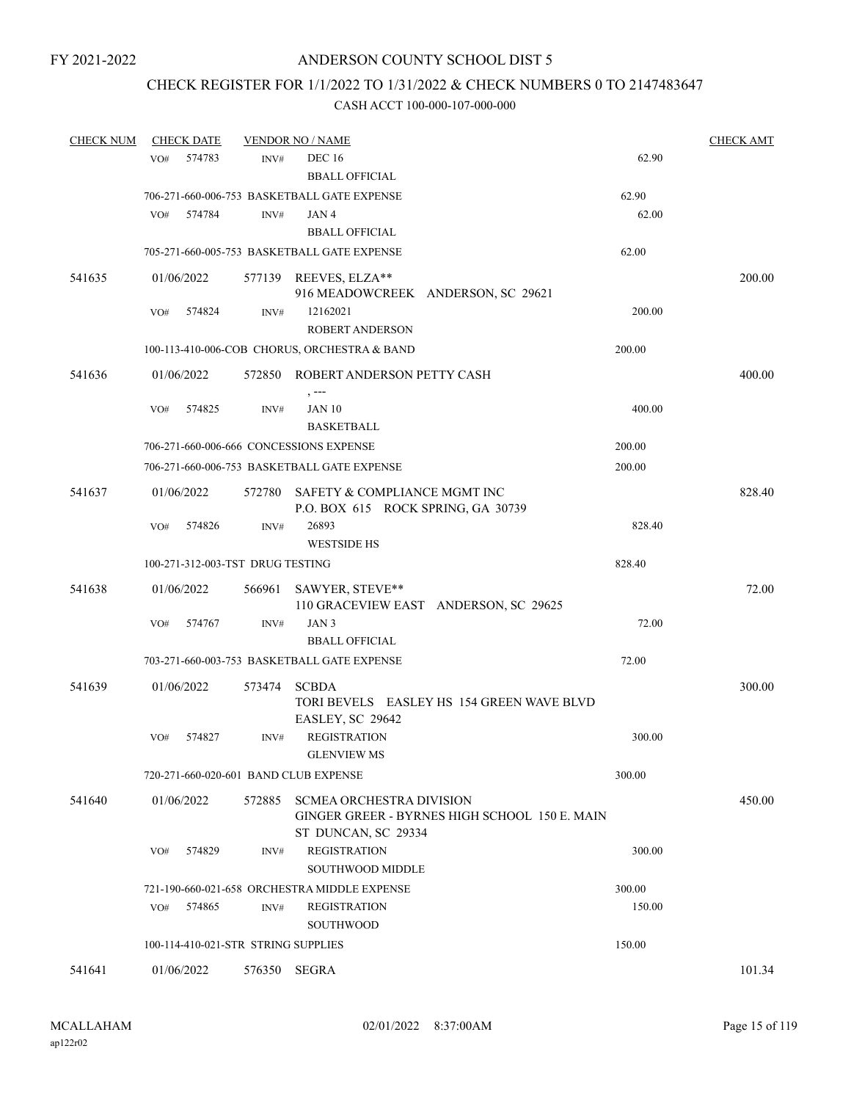# CHECK REGISTER FOR 1/1/2022 TO 1/31/2022 & CHECK NUMBERS 0 TO 2147483647

| <b>CHECK NUM</b> | <b>CHECK DATE</b>                     |        | <b>VENDOR NO / NAME</b>                                            |                                               | <b>CHECK AMT</b> |
|------------------|---------------------------------------|--------|--------------------------------------------------------------------|-----------------------------------------------|------------------|
|                  | 574783<br>VO#                         | INV#   | <b>DEC 16</b><br><b>BBALL OFFICIAL</b>                             |                                               | 62.90            |
|                  |                                       |        | 706-271-660-006-753 BASKETBALL GATE EXPENSE                        | 62.90                                         |                  |
|                  | VO#<br>574784                         | INV#   | JAN4<br><b>BBALL OFFICIAL</b>                                      |                                               | 62.00            |
|                  |                                       |        | 705-271-660-005-753 BASKETBALL GATE EXPENSE                        | 62.00                                         |                  |
| 541635           | 01/06/2022                            |        | 577139 REEVES, ELZA**                                              | 916 MEADOWCREEK ANDERSON, SC 29621            | 200.00           |
|                  | 574824<br>VO#                         | INV#   | 12162021<br><b>ROBERT ANDERSON</b>                                 |                                               | 200.00           |
|                  |                                       |        | 100-113-410-006-COB CHORUS, ORCHESTRA & BAND                       | 200.00                                        |                  |
| 541636           | 01/06/2022                            | 572850 | ROBERT ANDERSON PETTY CASH                                         |                                               | 400.00           |
|                  | 574825<br>VO#                         | INV#   | , ---<br><b>JAN 10</b><br><b>BASKETBALL</b>                        |                                               | 400.00           |
|                  |                                       |        | 706-271-660-006-666 CONCESSIONS EXPENSE                            | 200.00                                        |                  |
|                  |                                       |        | 706-271-660-006-753 BASKETBALL GATE EXPENSE                        | 200.00                                        |                  |
| 541637           | 01/06/2022                            | 572780 | SAFETY & COMPLIANCE MGMT INC<br>P.O. BOX 615 ROCK SPRING, GA 30739 |                                               | 828.40           |
|                  | 574826<br>VO#                         | INV#   | 26893<br><b>WESTSIDE HS</b>                                        |                                               | 828.40           |
|                  | 100-271-312-003-TST DRUG TESTING      |        |                                                                    | 828.40                                        |                  |
| 541638           | 01/06/2022                            | 566961 | SAWYER, STEVE**                                                    | 110 GRACEVIEW EAST ANDERSON, SC 29625         | 72.00            |
|                  | VO#<br>574767                         | INV#   | JAN <sub>3</sub><br><b>BBALL OFFICIAL</b>                          |                                               | 72.00            |
|                  |                                       |        | 703-271-660-003-753 BASKETBALL GATE EXPENSE                        | 72.00                                         |                  |
| 541639           | 01/06/2022                            | 573474 | <b>SCBDA</b><br>EASLEY, SC 29642                                   | TORI BEVELS EASLEY HS 154 GREEN WAVE BLVD     | 300.00           |
|                  | 574827<br>VO#                         | INV#   | <b>REGISTRATION</b><br><b>GLENVIEW MS</b>                          |                                               | 300.00           |
|                  | 720-271-660-020-601 BAND CLUB EXPENSE |        |                                                                    | 300.00                                        |                  |
| 541640           | 01/06/2022                            | 572885 | <b>SCMEA ORCHESTRA DIVISION</b><br>ST DUNCAN, SC 29334             | GINGER GREER - BYRNES HIGH SCHOOL 150 E. MAIN | 450.00           |
|                  | 574829<br>VO#                         | INV#   | <b>REGISTRATION</b><br><b>SOUTHWOOD MIDDLE</b>                     |                                               | 300.00           |
|                  |                                       |        | 721-190-660-021-658 ORCHESTRA MIDDLE EXPENSE                       | 300.00                                        |                  |
|                  | 574865<br>VO#                         | INV#   | <b>REGISTRATION</b><br>SOUTHWOOD                                   |                                               | 150.00           |
|                  | 100-114-410-021-STR STRING SUPPLIES   |        |                                                                    | 150.00                                        |                  |
| 541641           | 01/06/2022                            | 576350 | SEGRA                                                              |                                               | 101.34           |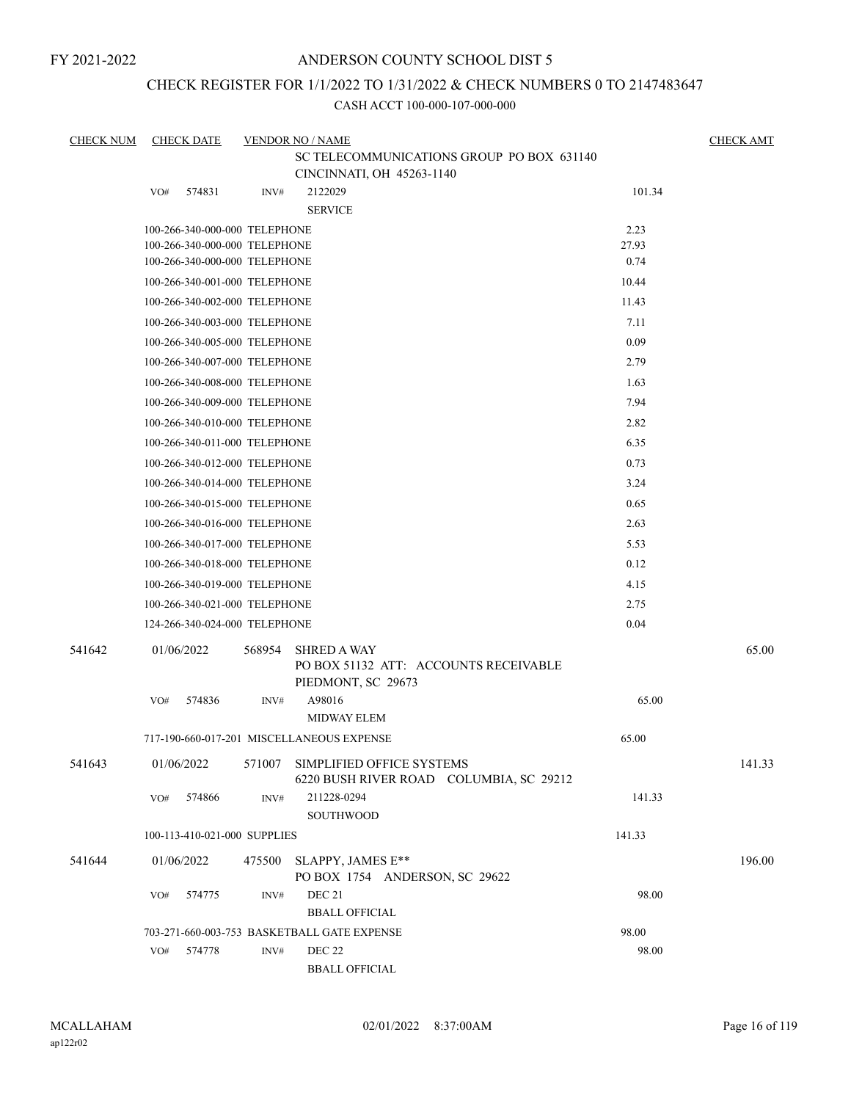## ANDERSON COUNTY SCHOOL DIST 5

# CHECK REGISTER FOR 1/1/2022 TO 1/31/2022 & CHECK NUMBERS 0 TO 2147483647

| <b>CHECK NUM</b> |     | <b>CHECK DATE</b>             |        | <b>VENDOR NO / NAME</b><br>SC TELECOMMUNICATIONS GROUP PO BOX 631140              |        | <b>CHECK AMT</b> |
|------------------|-----|-------------------------------|--------|-----------------------------------------------------------------------------------|--------|------------------|
|                  |     |                               |        | CINCINNATI, OH 45263-1140                                                         |        |                  |
|                  | VO# | 574831                        | INV#   | 2122029<br><b>SERVICE</b>                                                         | 101.34 |                  |
|                  |     | 100-266-340-000-000 TELEPHONE |        |                                                                                   | 2.23   |                  |
|                  |     | 100-266-340-000-000 TELEPHONE |        |                                                                                   | 27.93  |                  |
|                  |     | 100-266-340-000-000 TELEPHONE |        |                                                                                   | 0.74   |                  |
|                  |     | 100-266-340-001-000 TELEPHONE |        |                                                                                   | 10.44  |                  |
|                  |     | 100-266-340-002-000 TELEPHONE |        |                                                                                   | 11.43  |                  |
|                  |     | 100-266-340-003-000 TELEPHONE |        |                                                                                   | 7.11   |                  |
|                  |     | 100-266-340-005-000 TELEPHONE |        |                                                                                   | 0.09   |                  |
|                  |     | 100-266-340-007-000 TELEPHONE |        |                                                                                   | 2.79   |                  |
|                  |     | 100-266-340-008-000 TELEPHONE |        |                                                                                   | 1.63   |                  |
|                  |     | 100-266-340-009-000 TELEPHONE |        |                                                                                   | 7.94   |                  |
|                  |     | 100-266-340-010-000 TELEPHONE |        |                                                                                   | 2.82   |                  |
|                  |     | 100-266-340-011-000 TELEPHONE |        |                                                                                   | 6.35   |                  |
|                  |     | 100-266-340-012-000 TELEPHONE |        |                                                                                   | 0.73   |                  |
|                  |     | 100-266-340-014-000 TELEPHONE |        |                                                                                   | 3.24   |                  |
|                  |     | 100-266-340-015-000 TELEPHONE |        |                                                                                   | 0.65   |                  |
|                  |     | 100-266-340-016-000 TELEPHONE |        |                                                                                   | 2.63   |                  |
|                  |     | 100-266-340-017-000 TELEPHONE |        |                                                                                   | 5.53   |                  |
|                  |     | 100-266-340-018-000 TELEPHONE |        |                                                                                   | 0.12   |                  |
|                  |     | 100-266-340-019-000 TELEPHONE |        |                                                                                   | 4.15   |                  |
|                  |     | 100-266-340-021-000 TELEPHONE |        |                                                                                   | 2.75   |                  |
|                  |     | 124-266-340-024-000 TELEPHONE |        |                                                                                   | 0.04   |                  |
| 541642           |     | 01/06/2022                    | 568954 | <b>SHRED A WAY</b><br>PO BOX 51132 ATT: ACCOUNTS RECEIVABLE<br>PIEDMONT, SC 29673 |        | 65.00            |
|                  | VO# | 574836                        | INV#   | A98016<br><b>MIDWAY ELEM</b>                                                      | 65.00  |                  |
|                  |     |                               |        | 717-190-660-017-201 MISCELLANEOUS EXPENSE                                         | 65.00  |                  |
| 541643           |     | 01/06/2022                    | 571007 | SIMPLIFIED OFFICE SYSTEMS<br>6220 BUSH RIVER ROAD COLUMBIA, SC 29212              |        | 141.33           |
|                  | VO# | 574866                        | INV#   | 211228-0294<br>SOUTHWOOD                                                          | 141.33 |                  |
|                  |     | 100-113-410-021-000 SUPPLIES  |        |                                                                                   | 141.33 |                  |
| 541644           |     | 01/06/2022                    | 475500 | SLAPPY, JAMES E**<br>PO BOX 1754 ANDERSON, SC 29622                               |        | 196.00           |
|                  | VO# | 574775                        | INV#   | <b>DEC 21</b><br><b>BBALL OFFICIAL</b>                                            | 98.00  |                  |
|                  |     |                               |        | 703-271-660-003-753 BASKETBALL GATE EXPENSE                                       | 98.00  |                  |
|                  | VO# | 574778                        | INV#   | <b>DEC 22</b><br><b>BBALL OFFICIAL</b>                                            | 98.00  |                  |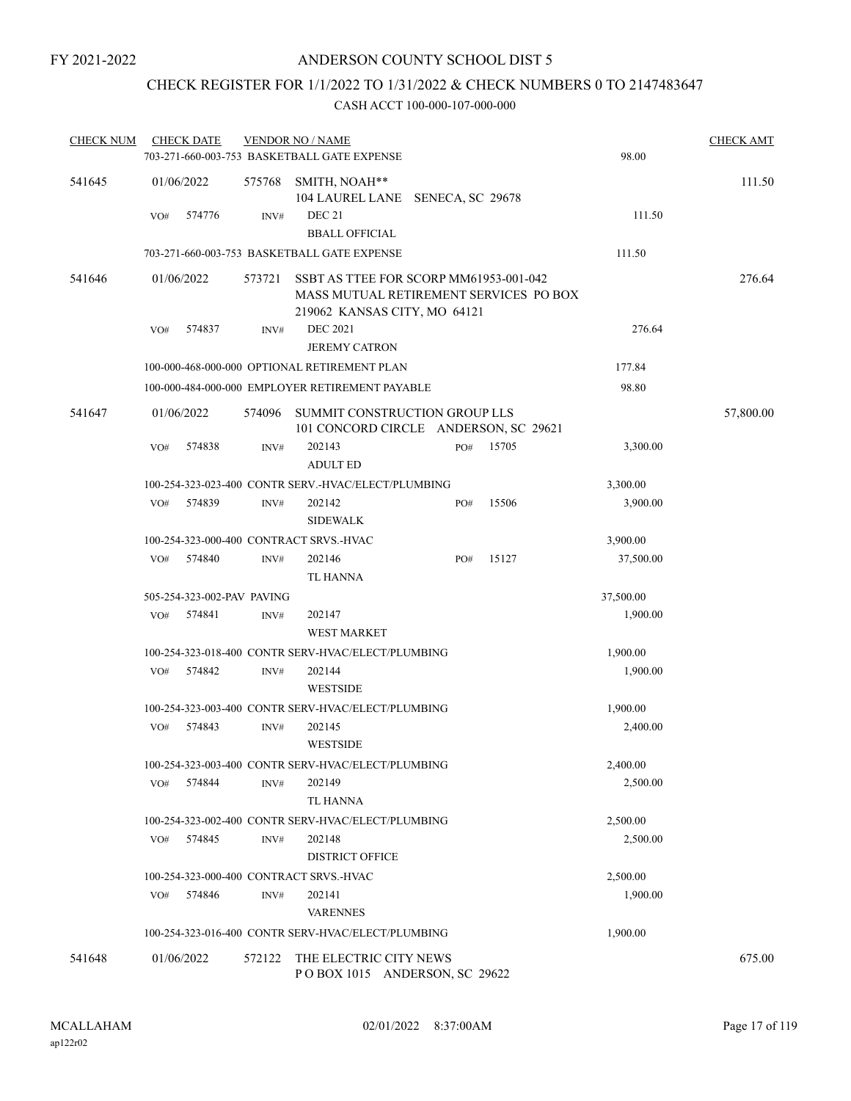# CHECK REGISTER FOR 1/1/2022 TO 1/31/2022 & CHECK NUMBERS 0 TO 2147483647

| <b>CHECK NUM</b> |     | <b>CHECK DATE</b>          |        | <b>VENDOR NO / NAME</b><br>703-271-660-003-753 BASKETBALL GATE EXPENSE                                           |     |       | 98.00                | <b>CHECK AMT</b> |
|------------------|-----|----------------------------|--------|------------------------------------------------------------------------------------------------------------------|-----|-------|----------------------|------------------|
| 541645           |     | 01/06/2022                 | 575768 | SMITH, NOAH**<br>104 LAUREL LANE SENECA, SC 29678                                                                |     |       |                      | 111.50           |
|                  | VO# | 574776                     | INV#   | DEC 21<br><b>BBALL OFFICIAL</b>                                                                                  |     |       | 111.50               |                  |
|                  |     |                            |        | 703-271-660-003-753 BASKETBALL GATE EXPENSE                                                                      |     |       | 111.50               |                  |
| 541646           |     | 01/06/2022                 | 573721 | SSBT AS TTEE FOR SCORP MM61953-001-042<br>MASS MUTUAL RETIREMENT SERVICES PO BOX<br>219062 KANSAS CITY, MO 64121 |     |       |                      | 276.64           |
|                  | VO# | 574837                     | INV#   | <b>DEC 2021</b><br><b>JEREMY CATRON</b>                                                                          |     |       | 276.64               |                  |
|                  |     |                            |        | 100-000-468-000-000 OPTIONAL RETIREMENT PLAN                                                                     |     |       | 177.84               |                  |
|                  |     |                            |        | 100-000-484-000-000 EMPLOYER RETIREMENT PAYABLE                                                                  |     |       | 98.80                |                  |
| 541647           |     | 01/06/2022                 | 574096 | SUMMIT CONSTRUCTION GROUP LLS<br>101 CONCORD CIRCLE ANDERSON, SC 29621                                           |     |       |                      | 57,800.00        |
|                  | VO# | 574838                     | INV#   | 202143<br><b>ADULT ED</b>                                                                                        | PO# | 15705 | 3,300.00             |                  |
|                  |     |                            |        | 100-254-323-023-400 CONTR SERV.-HVAC/ELECT/PLUMBING                                                              |     |       | 3,300.00             |                  |
|                  | VO# | 574839                     | INV#   | 202142<br><b>SIDEWALK</b>                                                                                        | PO# | 15506 | 3,900.00             |                  |
|                  |     |                            |        | 100-254-323-000-400 CONTRACT SRVS.-HVAC                                                                          |     |       | 3,900.00             |                  |
|                  | VO# | 574840                     | INV#   | 202146<br><b>TL HANNA</b>                                                                                        | PO# | 15127 | 37,500.00            |                  |
|                  |     | 505-254-323-002-PAV PAVING |        |                                                                                                                  |     |       | 37,500.00            |                  |
|                  | VO# | 574841                     | INV#   | 202147<br><b>WEST MARKET</b>                                                                                     |     |       | 1,900.00             |                  |
|                  |     |                            |        | 100-254-323-018-400 CONTR SERV-HVAC/ELECT/PLUMBING                                                               |     |       | 1,900.00             |                  |
|                  | VO# | 574842                     | INV#   | 202144<br><b>WESTSIDE</b>                                                                                        |     |       | 1,900.00             |                  |
|                  |     |                            |        | 100-254-323-003-400 CONTR SERV-HVAC/ELECT/PLUMBING                                                               |     |       | 1,900.00             |                  |
|                  | VO# | 574843                     | INV#   | 202145<br><b>WESTSIDE</b>                                                                                        |     |       | 2,400.00             |                  |
|                  | VO# | 574844                     | INV#   | 100-254-323-003-400 CONTR SERV-HVAC/ELECT/PLUMBING<br>202149<br><b>TL HANNA</b>                                  |     |       | 2,400.00<br>2,500.00 |                  |
|                  | VO# | 574845                     | INV#   | 100-254-323-002-400 CONTR SERV-HVAC/ELECT/PLUMBING<br>202148<br><b>DISTRICT OFFICE</b>                           |     |       | 2,500.00<br>2,500.00 |                  |
|                  |     |                            |        | 100-254-323-000-400 CONTRACT SRVS.-HVAC                                                                          |     |       | 2,500.00             |                  |
|                  | VO# | 574846                     | INV#   | 202141<br><b>VARENNES</b>                                                                                        |     |       | 1,900.00             |                  |
|                  |     |                            |        | 100-254-323-016-400 CONTR SERV-HVAC/ELECT/PLUMBING                                                               |     |       | 1,900.00             |                  |
| 541648           |     | 01/06/2022                 | 572122 | THE ELECTRIC CITY NEWS<br>POBOX 1015 ANDERSON, SC 29622                                                          |     |       |                      | 675.00           |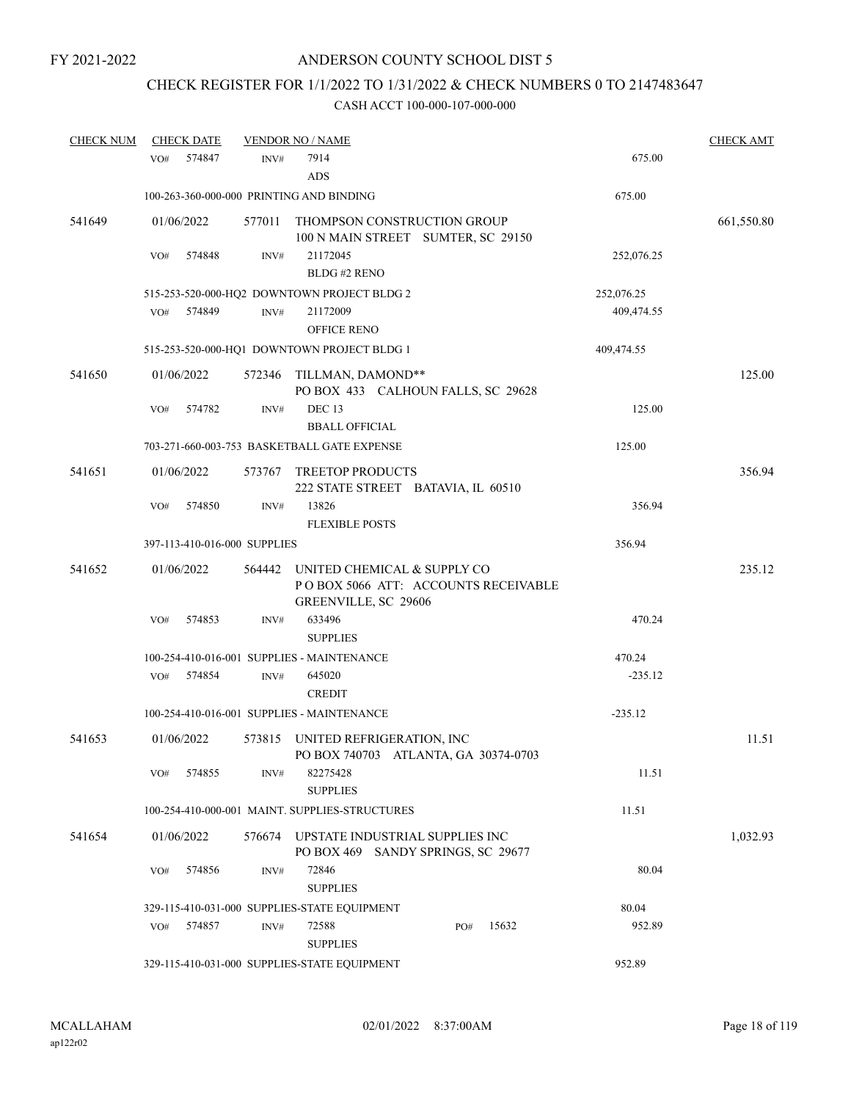# CHECK REGISTER FOR 1/1/2022 TO 1/31/2022 & CHECK NUMBERS 0 TO 2147483647

| <b>CHECK NUM</b> | <b>CHECK DATE</b>            |                | <b>VENDOR NO / NAME</b>                                                                    |            | <b>CHECK AMT</b> |
|------------------|------------------------------|----------------|--------------------------------------------------------------------------------------------|------------|------------------|
|                  | 574847<br>VO#                | INV#           | 7914<br>ADS                                                                                | 675.00     |                  |
|                  |                              |                | 100-263-360-000-000 PRINTING AND BINDING                                                   | 675.00     |                  |
| 541649           | 01/06/2022                   | 577011         | THOMPSON CONSTRUCTION GROUP<br>100 N MAIN STREET SUMTER, SC 29150                          |            | 661,550.80       |
|                  | 574848<br>VO#                | INV#           | 21172045<br>BLDG#2 RENO                                                                    | 252,076.25 |                  |
|                  |                              |                | 515-253-520-000-HQ2 DOWNTOWN PROJECT BLDG 2                                                | 252,076.25 |                  |
|                  | VO#<br>574849                | $\text{INV}\#$ | 21172009<br><b>OFFICE RENO</b>                                                             | 409,474.55 |                  |
|                  |                              |                | 515-253-520-000-HQ1 DOWNTOWN PROJECT BLDG 1                                                | 409,474.55 |                  |
| 541650           | 01/06/2022                   |                | 572346 TILLMAN, DAMOND**<br>PO BOX 433 CALHOUN FALLS, SC 29628                             |            | 125.00           |
|                  | 574782<br>VO#                | INV#           | DEC <sub>13</sub><br><b>BBALL OFFICIAL</b>                                                 | 125.00     |                  |
|                  |                              |                | 703-271-660-003-753 BASKETBALL GATE EXPENSE                                                | 125.00     |                  |
| 541651           | 01/06/2022                   | 573767         | <b>TREETOP PRODUCTS</b><br>222 STATE STREET BATAVIA, IL 60510                              |            | 356.94           |
|                  | 574850<br>VO#                | INV#           | 13826<br><b>FLEXIBLE POSTS</b>                                                             | 356.94     |                  |
|                  | 397-113-410-016-000 SUPPLIES |                |                                                                                            | 356.94     |                  |
| 541652           | 01/06/2022                   | 564442         | UNITED CHEMICAL & SUPPLY CO<br>POBOX 5066 ATT: ACCOUNTS RECEIVABLE<br>GREENVILLE, SC 29606 |            | 235.12           |
|                  | 574853<br>VO#                | $\text{INV}\#$ | 633496<br><b>SUPPLIES</b>                                                                  | 470.24     |                  |
|                  |                              |                | 100-254-410-016-001 SUPPLIES - MAINTENANCE                                                 | 470.24     |                  |
|                  | 574854<br>VO#                | INV#           | 645020<br><b>CREDIT</b>                                                                    | $-235.12$  |                  |
|                  |                              |                | 100-254-410-016-001 SUPPLIES - MAINTENANCE                                                 | $-235.12$  |                  |
| 541653           | 01/06/2022                   |                | 573815 UNITED REFRIGERATION, INC<br>PO BOX 740703 ATLANTA, GA 30374-0703                   |            | 11.51            |
|                  | 574855<br>VO#                | INV#           | 82275428<br><b>SUPPLIES</b>                                                                | 11.51      |                  |
|                  |                              |                | 100-254-410-000-001 MAINT, SUPPLIES-STRUCTURES                                             | 11.51      |                  |
| 541654           | 01/06/2022                   | 576674         | UPSTATE INDUSTRIAL SUPPLIES INC<br>PO BOX 469 SANDY SPRINGS, SC 29677                      |            | 1,032.93         |
|                  | 574856<br>VO#                | INV#           | 72846<br><b>SUPPLIES</b>                                                                   | 80.04      |                  |
|                  |                              |                | 329-115-410-031-000 SUPPLIES-STATE EQUIPMENT                                               | 80.04      |                  |
|                  | VO#<br>574857                | INV#           | 72588<br>15632<br>PO#<br><b>SUPPLIES</b>                                                   | 952.89     |                  |
|                  |                              |                | 329-115-410-031-000 SUPPLIES-STATE EQUIPMENT                                               | 952.89     |                  |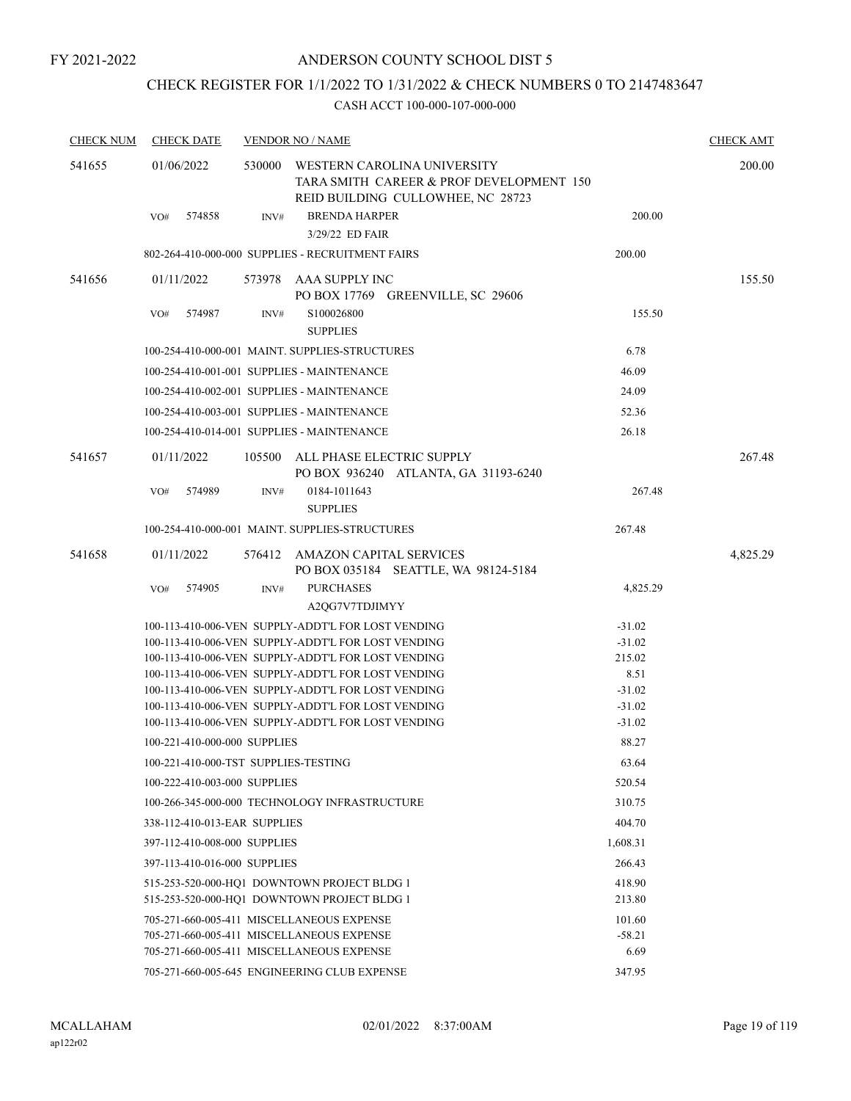# CHECK REGISTER FOR 1/1/2022 TO 1/31/2022 & CHECK NUMBERS 0 TO 2147483647

| <b>CHECK NUM</b> | <b>CHECK DATE</b>                    |        | <b>VENDOR NO / NAME</b>                                                                                      |                      | <b>CHECK AMT</b> |
|------------------|--------------------------------------|--------|--------------------------------------------------------------------------------------------------------------|----------------------|------------------|
| 541655           | 01/06/2022                           | 530000 | WESTERN CAROLINA UNIVERSITY<br>TARA SMITH CAREER & PROF DEVELOPMENT 150<br>REID BUILDING CULLOWHEE, NC 28723 |                      | 200.00           |
|                  | 574858<br>VO#                        | INV#   | <b>BRENDA HARPER</b><br>3/29/22 ED FAIR                                                                      | 200.00               |                  |
|                  |                                      |        | 802-264-410-000-000 SUPPLIES - RECRUITMENT FAIRS                                                             | 200.00               |                  |
| 541656           | 01/11/2022                           |        | 573978 AAA SUPPLY INC                                                                                        |                      | 155.50           |
|                  |                                      |        | PO BOX 17769 GREENVILLE, SC 29606                                                                            |                      |                  |
|                  | 574987<br>VO#                        | INV#   | S100026800<br><b>SUPPLIES</b>                                                                                | 155.50               |                  |
|                  |                                      |        | 100-254-410-000-001 MAINT. SUPPLIES-STRUCTURES                                                               | 6.78                 |                  |
|                  |                                      |        | 100-254-410-001-001 SUPPLIES - MAINTENANCE                                                                   | 46.09                |                  |
|                  |                                      |        | 100-254-410-002-001 SUPPLIES - MAINTENANCE                                                                   | 24.09                |                  |
|                  |                                      |        | 100-254-410-003-001 SUPPLIES - MAINTENANCE                                                                   | 52.36                |                  |
|                  |                                      |        | 100-254-410-014-001 SUPPLIES - MAINTENANCE                                                                   | 26.18                |                  |
| 541657           | 01/11/2022                           | 105500 | ALL PHASE ELECTRIC SUPPLY<br>PO BOX 936240 ATLANTA, GA 31193-6240                                            |                      | 267.48           |
|                  | 574989<br>VO#                        | INV#   | 0184-1011643<br><b>SUPPLIES</b>                                                                              | 267.48               |                  |
|                  |                                      |        | 100-254-410-000-001 MAINT. SUPPLIES-STRUCTURES                                                               | 267.48               |                  |
| 541658           | 01/11/2022                           | 576412 | AMAZON CAPITAL SERVICES<br>PO BOX 035184 SEATTLE, WA 98124-5184                                              |                      | 4,825.29         |
|                  | 574905<br>VO#                        | INV#   | <b>PURCHASES</b>                                                                                             | 4,825.29             |                  |
|                  |                                      |        | A2QG7V7TDJIMYY                                                                                               |                      |                  |
|                  |                                      |        | 100-113-410-006-VEN SUPPLY-ADDT'L FOR LOST VENDING                                                           | $-31.02$             |                  |
|                  |                                      |        | 100-113-410-006-VEN SUPPLY-ADDT'L FOR LOST VENDING                                                           | $-31.02$             |                  |
|                  |                                      |        | 100-113-410-006-VEN SUPPLY-ADDT'L FOR LOST VENDING                                                           | 215.02               |                  |
|                  |                                      |        | 100-113-410-006-VEN SUPPLY-ADDT'L FOR LOST VENDING                                                           | 8.51                 |                  |
|                  |                                      |        | 100-113-410-006-VEN SUPPLY-ADDT'L FOR LOST VENDING<br>100-113-410-006-VEN SUPPLY-ADDT'L FOR LOST VENDING     | $-31.02$<br>$-31.02$ |                  |
|                  |                                      |        | 100-113-410-006-VEN SUPPLY-ADDT'L FOR LOST VENDING                                                           | $-31.02$             |                  |
|                  | 100-221-410-000-000 SUPPLIES         |        |                                                                                                              | 88.27                |                  |
|                  | 100-221-410-000-TST SUPPLIES-TESTING |        |                                                                                                              | 63.64                |                  |
|                  | 100-222-410-003-000 SUPPLIES         |        |                                                                                                              | 520.54               |                  |
|                  |                                      |        | 100-266-345-000-000 TECHNOLOGY INFRASTRUCTURE                                                                | 310.75               |                  |
|                  | 338-112-410-013-EAR SUPPLIES         |        |                                                                                                              | 404.70               |                  |
|                  | 397-112-410-008-000 SUPPLIES         |        |                                                                                                              | 1,608.31             |                  |
|                  | 397-113-410-016-000 SUPPLIES         |        |                                                                                                              | 266.43               |                  |
|                  |                                      |        | 515-253-520-000-HO1 DOWNTOWN PROJECT BLDG 1                                                                  | 418.90               |                  |
|                  |                                      |        | 515-253-520-000-HO1 DOWNTOWN PROJECT BLDG 1                                                                  | 213.80               |                  |
|                  |                                      |        | 705-271-660-005-411 MISCELLANEOUS EXPENSE                                                                    | 101.60               |                  |
|                  |                                      |        | 705-271-660-005-411 MISCELLANEOUS EXPENSE                                                                    | $-58.21$             |                  |
|                  |                                      |        | 705-271-660-005-411 MISCELLANEOUS EXPENSE                                                                    | 6.69                 |                  |
|                  |                                      |        | 705-271-660-005-645 ENGINEERING CLUB EXPENSE                                                                 | 347.95               |                  |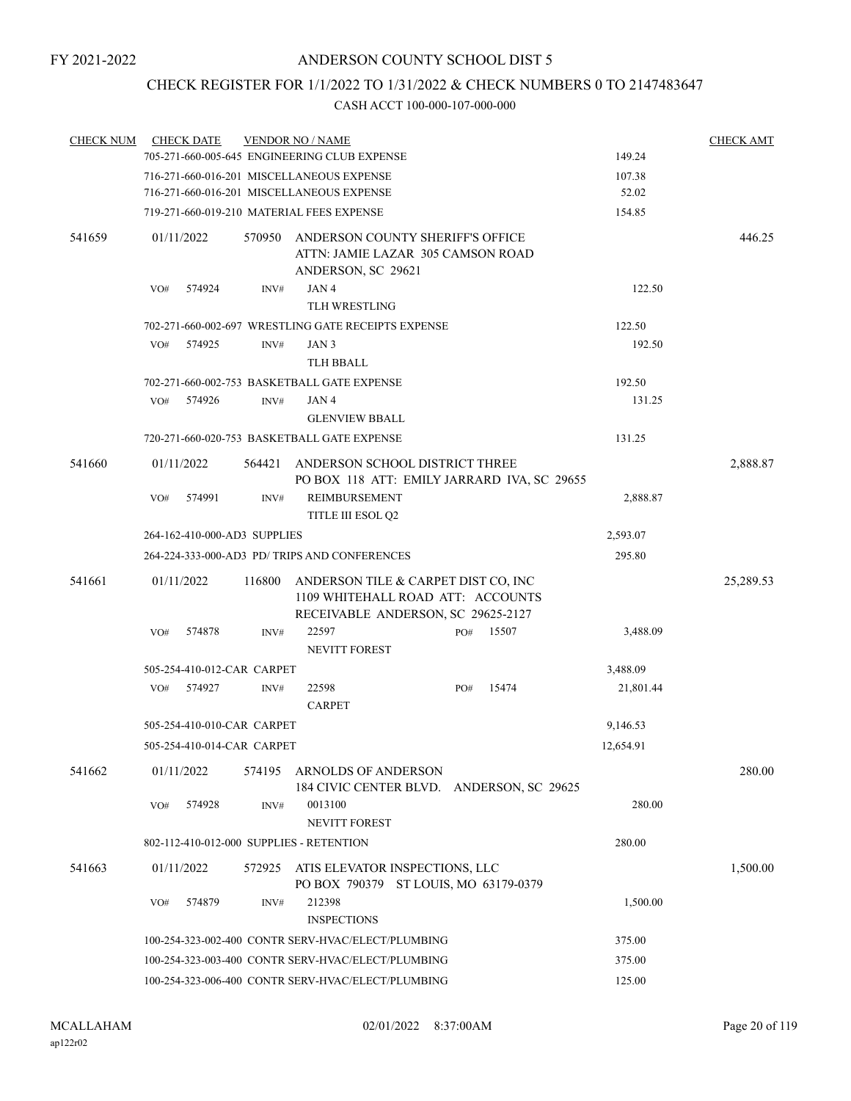# CHECK REGISTER FOR 1/1/2022 TO 1/31/2022 & CHECK NUMBERS 0 TO 2147483647

| <b>CHECK NUM</b> | <b>CHECK DATE</b>                                                                                                                      |        | <b>VENDOR NO / NAME</b>                                                       |  |     |       |                  | <b>CHECK AMT</b> |
|------------------|----------------------------------------------------------------------------------------------------------------------------------------|--------|-------------------------------------------------------------------------------|--|-----|-------|------------------|------------------|
|                  |                                                                                                                                        |        | 705-271-660-005-645 ENGINEERING CLUB EXPENSE                                  |  |     |       | 149.24           |                  |
|                  |                                                                                                                                        |        | 716-271-660-016-201 MISCELLANEOUS EXPENSE                                     |  |     |       | 107.38           |                  |
|                  |                                                                                                                                        |        | 716-271-660-016-201 MISCELLANEOUS EXPENSE                                     |  |     |       | 52.02            |                  |
|                  |                                                                                                                                        |        | 719-271-660-019-210 MATERIAL FEES EXPENSE                                     |  |     |       | 154.85           |                  |
| 541659           | 01/11/2022                                                                                                                             | 570950 | ANDERSON COUNTY SHERIFF'S OFFICE<br>ATTN: JAMIE LAZAR 305 CAMSON ROAD         |  |     |       |                  | 446.25           |
|                  |                                                                                                                                        |        | ANDERSON, SC 29621                                                            |  |     |       |                  |                  |
|                  | VO#<br>574924                                                                                                                          | INV#   | JAN4<br><b>TLH WRESTLING</b>                                                  |  |     |       | 122.50           |                  |
|                  |                                                                                                                                        |        | 702-271-660-002-697 WRESTLING GATE RECEIPTS EXPENSE                           |  |     |       | 122.50           |                  |
|                  | 574925<br>VO#                                                                                                                          | INV#   | JAN 3                                                                         |  |     |       | 192.50           |                  |
|                  |                                                                                                                                        |        | <b>TLH BBALL</b>                                                              |  |     |       |                  |                  |
|                  |                                                                                                                                        |        | 702-271-660-002-753 BASKETBALL GATE EXPENSE                                   |  |     |       | 192.50           |                  |
|                  | VO#<br>574926                                                                                                                          | INV#   | JAN 4                                                                         |  |     |       | 131.25           |                  |
|                  |                                                                                                                                        |        | <b>GLENVIEW BBALL</b>                                                         |  |     |       |                  |                  |
|                  |                                                                                                                                        |        | 720-271-660-020-753 BASKETBALL GATE EXPENSE                                   |  |     |       | 131.25           |                  |
|                  |                                                                                                                                        |        |                                                                               |  |     |       |                  |                  |
| 541660           | 01/11/2022                                                                                                                             | 564421 | ANDERSON SCHOOL DISTRICT THREE<br>PO BOX 118 ATT: EMILY JARRARD IVA, SC 29655 |  |     |       |                  | 2,888.87         |
|                  | 574991<br>VO#                                                                                                                          | INV#   | REIMBURSEMENT<br><b>TITLE III ESOL Q2</b>                                     |  |     |       | 2,888.87         |                  |
|                  | 264-162-410-000-AD3 SUPPLIES                                                                                                           |        |                                                                               |  |     |       | 2,593.07         |                  |
|                  |                                                                                                                                        |        | 264-224-333-000-AD3 PD/ TRIPS AND CONFERENCES                                 |  |     |       | 295.80           |                  |
| 541661           | 116800<br>ANDERSON TILE & CARPET DIST CO, INC<br>01/11/2022<br>1109 WHITEHALL ROAD ATT: ACCOUNTS<br>RECEIVABLE ANDERSON, SC 29625-2127 |        |                                                                               |  |     |       |                  | 25,289.53        |
|                  | 574878<br>VO#                                                                                                                          | INV#   | 22597                                                                         |  | PO# | 15507 | 3,488.09         |                  |
|                  |                                                                                                                                        |        | <b>NEVITT FOREST</b>                                                          |  |     |       |                  |                  |
|                  | 505-254-410-012-CAR CARPET                                                                                                             |        |                                                                               |  |     |       | 3,488.09         |                  |
|                  | 574927<br>VO#                                                                                                                          | INV#   | 22598                                                                         |  | PO# | 15474 | 21,801.44        |                  |
|                  |                                                                                                                                        |        | <b>CARPET</b>                                                                 |  |     |       |                  |                  |
|                  | 505-254-410-010-CAR CARPET                                                                                                             |        |                                                                               |  |     |       | 9,146.53         |                  |
|                  | 505-254-410-014-CAR CARPET                                                                                                             |        |                                                                               |  |     |       | 12,654.91        |                  |
| 541662           | 01/11/2022                                                                                                                             | 574195 | ARNOLDS OF ANDERSON<br>184 CIVIC CENTER BLVD. ANDERSON, SC 29625              |  |     |       |                  | 280.00           |
|                  | 574928<br>VO#                                                                                                                          | INV#   | 0013100<br><b>NEVITT FOREST</b>                                               |  |     |       | 280.00           |                  |
|                  | 802-112-410-012-000 SUPPLIES - RETENTION                                                                                               |        |                                                                               |  |     |       | 280.00           |                  |
| 541663           | 01/11/2022                                                                                                                             | 572925 | ATIS ELEVATOR INSPECTIONS, LLC<br>PO BOX 790379 ST LOUIS, MO 63179-0379       |  |     |       |                  | 1,500.00         |
|                  | 574879<br>VO#                                                                                                                          | INV#   | 212398                                                                        |  |     |       | 1,500.00         |                  |
|                  |                                                                                                                                        |        | <b>INSPECTIONS</b>                                                            |  |     |       |                  |                  |
|                  | 100-254-323-002-400 CONTR SERV-HVAC/ELECT/PLUMBING                                                                                     |        |                                                                               |  |     |       |                  |                  |
|                  |                                                                                                                                        |        | 100-254-323-003-400 CONTR SERV-HVAC/ELECT/PLUMBING                            |  |     |       | 375.00<br>375.00 |                  |
|                  | 100-254-323-006-400 CONTR SERV-HVAC/ELECT/PLUMBING                                                                                     |        | 125.00                                                                        |  |     |       |                  |                  |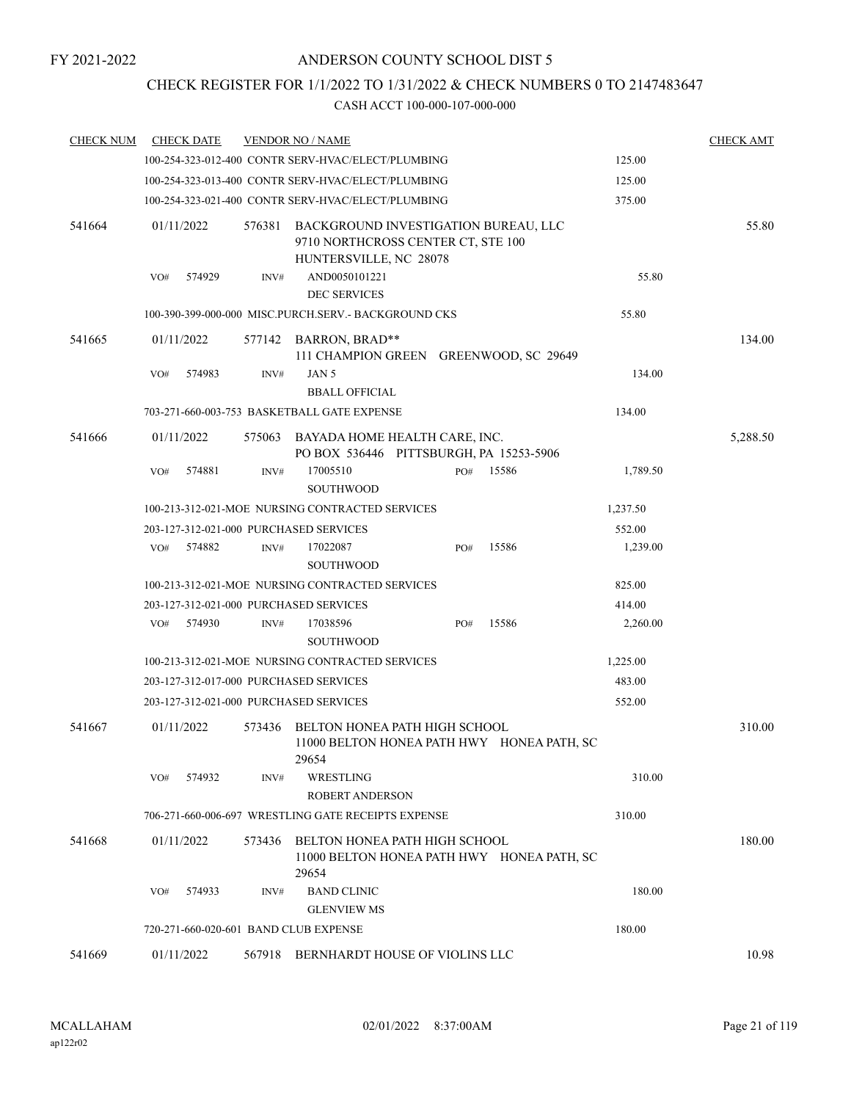# CHECK REGISTER FOR 1/1/2022 TO 1/31/2022 & CHECK NUMBERS 0 TO 2147483647

| <b>CHECK NUM</b> | <b>CHECK DATE</b>                      |        | <b>VENDOR NO / NAME</b>                                                                              |     |       |          | <b>CHECK AMT</b> |
|------------------|----------------------------------------|--------|------------------------------------------------------------------------------------------------------|-----|-------|----------|------------------|
|                  |                                        |        | 100-254-323-012-400 CONTR SERV-HVAC/ELECT/PLUMBING                                                   |     |       | 125.00   |                  |
|                  |                                        |        | 100-254-323-013-400 CONTR SERV-HVAC/ELECT/PLUMBING                                                   |     |       | 125.00   |                  |
|                  |                                        |        | 100-254-323-021-400 CONTR SERV-HVAC/ELECT/PLUMBING                                                   |     |       | 375.00   |                  |
| 541664           | 01/11/2022                             | 576381 | BACKGROUND INVESTIGATION BUREAU, LLC<br>9710 NORTHCROSS CENTER CT, STE 100<br>HUNTERSVILLE, NC 28078 |     |       |          | 55.80            |
|                  | 574929<br>VO#                          | INV#   | AND0050101221<br><b>DEC SERVICES</b>                                                                 |     |       | 55.80    |                  |
|                  |                                        |        | 100-390-399-000-000 MISC.PURCH.SERV.- BACKGROUND CKS                                                 |     |       | 55.80    |                  |
| 541665           | 01/11/2022                             |        | 577142 BARRON, BRAD**<br>111 CHAMPION GREEN GREENWOOD, SC 29649                                      |     |       |          | 134.00           |
|                  | 574983<br>VO#                          | INV#   | JAN 5                                                                                                |     |       | 134.00   |                  |
|                  |                                        |        | <b>BBALL OFFICIAL</b>                                                                                |     |       |          |                  |
|                  |                                        |        | 703-271-660-003-753 BASKETBALL GATE EXPENSE                                                          |     |       | 134.00   |                  |
| 541666           | 01/11/2022                             | 575063 | BAYADA HOME HEALTH CARE, INC.<br>PO BOX 536446 PITTSBURGH, PA 15253-5906                             |     |       |          | 5,288.50         |
|                  | 574881<br>VO#                          | INV#   | 17005510<br><b>SOUTHWOOD</b>                                                                         | PO# | 15586 | 1,789.50 |                  |
|                  |                                        |        | 100-213-312-021-MOE NURSING CONTRACTED SERVICES                                                      |     |       | 1,237.50 |                  |
|                  | 203-127-312-021-000 PURCHASED SERVICES |        |                                                                                                      |     |       | 552.00   |                  |
|                  | 574882<br>VO#                          | INV#   | 17022087<br><b>SOUTHWOOD</b>                                                                         | PO# | 15586 | 1,239.00 |                  |
|                  |                                        |        | 100-213-312-021-MOE NURSING CONTRACTED SERVICES                                                      |     |       | 825.00   |                  |
|                  | 203-127-312-021-000 PURCHASED SERVICES |        |                                                                                                      |     |       | 414.00   |                  |
|                  | 574930<br>VO#                          | INV#   | 17038596<br><b>SOUTHWOOD</b>                                                                         | PO# | 15586 | 2,260.00 |                  |
|                  |                                        |        | 100-213-312-021-MOE NURSING CONTRACTED SERVICES                                                      |     |       | 1,225.00 |                  |
|                  | 203-127-312-017-000 PURCHASED SERVICES |        |                                                                                                      |     |       | 483.00   |                  |
|                  | 203-127-312-021-000 PURCHASED SERVICES |        |                                                                                                      |     |       | 552.00   |                  |
| 541667           | 01/11/2022                             | 573436 | BELTON HONEA PATH HIGH SCHOOL<br>11000 BELTON HONEA PATH HWY HONEA PATH, SC<br>29654                 |     |       |          | 310.00           |
|                  | VO#<br>574932                          | INV#   | WRESTLING<br><b>ROBERT ANDERSON</b>                                                                  |     |       | 310.00   |                  |
|                  |                                        |        | 706-271-660-006-697 WRESTLING GATE RECEIPTS EXPENSE                                                  |     |       | 310.00   |                  |
| 541668           | 01/11/2022                             | 573436 | BELTON HONEA PATH HIGH SCHOOL<br>11000 BELTON HONEA PATH HWY HONEA PATH, SC<br>29654                 |     |       |          | 180.00           |
|                  | 574933<br>VO#                          | INV#   | <b>BAND CLINIC</b><br><b>GLENVIEW MS</b>                                                             |     |       | 180.00   |                  |
|                  | 720-271-660-020-601 BAND CLUB EXPENSE  |        |                                                                                                      |     |       | 180.00   |                  |
| 541669           | 01/11/2022                             |        | 567918 BERNHARDT HOUSE OF VIOLINS LLC                                                                |     |       |          | 10.98            |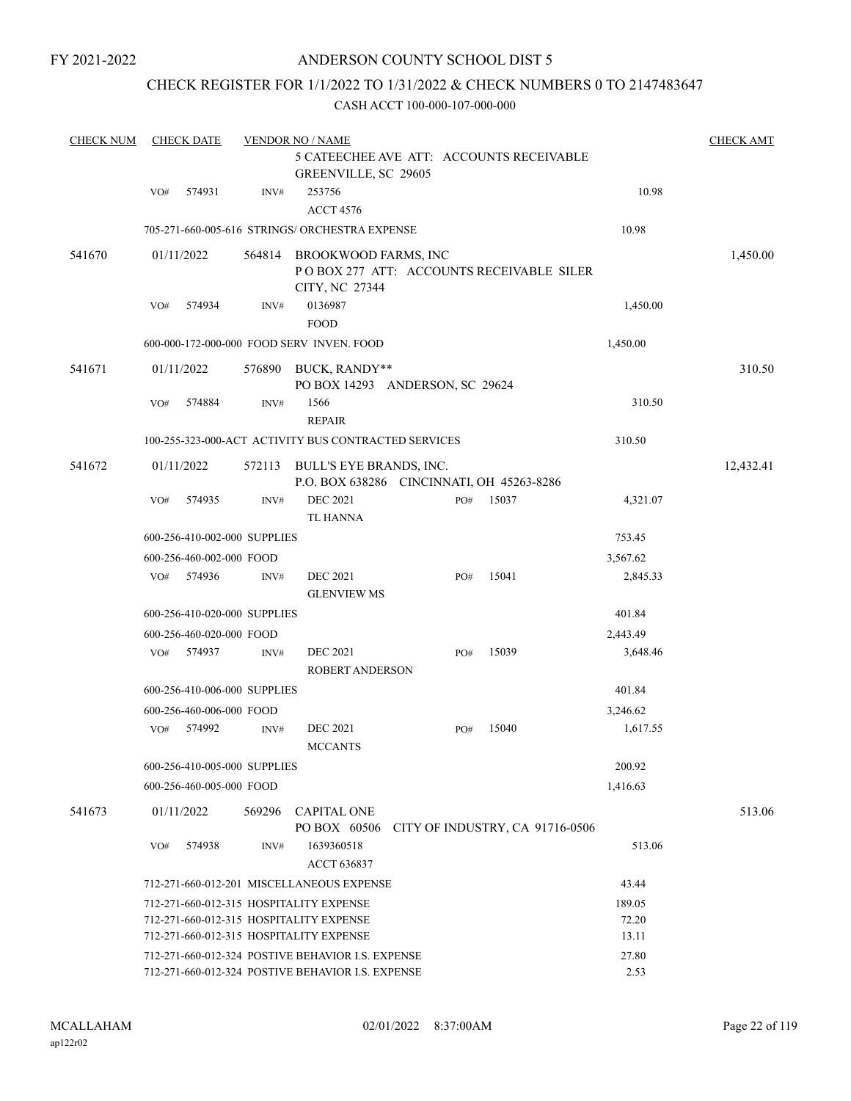## ANDERSON COUNTY SCHOOL DIST 5

## CHECK REGISTER FOR 1/1/2022 TO 1/31/2022 & CHECK NUMBERS 0 TO 2147483647

| <b>CHECK NUM</b> |     | <b>CHECK DATE</b>            |        | <b>VENDOR NO / NAME</b>                                                            |                                 |       |          | <b>CHECK AMT</b> |
|------------------|-----|------------------------------|--------|------------------------------------------------------------------------------------|---------------------------------|-------|----------|------------------|
|                  |     |                              |        | 5 CATEECHEE AVE ATT: ACCOUNTS RECEIVABLE<br>GREENVILLE, SC 29605                   |                                 |       |          |                  |
|                  | VO# | 574931                       | INV#   | 253756                                                                             |                                 |       | 10.98    |                  |
|                  |     |                              |        | <b>ACCT 4576</b>                                                                   |                                 |       |          |                  |
|                  |     |                              |        | 705-271-660-005-616 STRINGS/ ORCHESTRA EXPENSE                                     |                                 |       | 10.98    |                  |
| 541670           |     | 01/11/2022                   | 564814 | BROOKWOOD FARMS, INC<br>POBOX 277 ATT: ACCOUNTS RECEIVABLE SILER<br>CITY, NC 27344 |                                 |       |          | 1,450.00         |
|                  | VO# | 574934                       | INV#   | 0136987                                                                            |                                 |       | 1,450.00 |                  |
|                  |     |                              |        | <b>FOOD</b>                                                                        |                                 |       |          |                  |
|                  |     |                              |        | 600-000-172-000-000 FOOD SERV INVEN. FOOD                                          |                                 |       | 1,450.00 |                  |
| 541671           |     | 01/11/2022                   | 576890 | BUCK, RANDY**<br>PO BOX 14293 ANDERSON, SC 29624                                   |                                 |       |          | 310.50           |
|                  | VO# | 574884                       | INV#   | 1566<br><b>REPAIR</b>                                                              |                                 |       | 310.50   |                  |
|                  |     |                              |        | 100-255-323-000-ACT ACTIVITY BUS CONTRACTED SERVICES                               |                                 |       | 310.50   |                  |
| 541672           |     | 01/11/2022                   | 572113 | BULL'S EYE BRANDS, INC.<br>P.O. BOX 638286 CINCINNATI, OH 45263-8286               |                                 |       |          | 12,432.41        |
|                  | VO# | 574935                       | INV#   | <b>DEC 2021</b><br>TL HANNA                                                        | PO#                             | 15037 | 4,321.07 |                  |
|                  |     | 600-256-410-002-000 SUPPLIES |        |                                                                                    |                                 |       | 753.45   |                  |
|                  |     | 600-256-460-002-000 FOOD     |        |                                                                                    |                                 |       | 3,567.62 |                  |
|                  | VO# | 574936                       | INV#   | <b>DEC 2021</b>                                                                    | PO#                             | 15041 | 2,845.33 |                  |
|                  |     |                              |        | <b>GLENVIEW MS</b>                                                                 |                                 |       |          |                  |
|                  |     | 600-256-410-020-000 SUPPLIES |        |                                                                                    |                                 |       | 401.84   |                  |
|                  |     | 600-256-460-020-000 FOOD     |        |                                                                                    |                                 |       | 2,443.49 |                  |
|                  | VO# | 574937                       | INV#   | <b>DEC 2021</b><br><b>ROBERT ANDERSON</b>                                          | PO#                             | 15039 | 3,648.46 |                  |
|                  |     | 600-256-410-006-000 SUPPLIES |        |                                                                                    |                                 |       | 401.84   |                  |
|                  |     | 600-256-460-006-000 FOOD     |        |                                                                                    |                                 |       | 3,246.62 |                  |
|                  | VO# | 574992                       | INV#   | <b>DEC 2021</b><br><b>MCCANTS</b>                                                  | PO#                             | 15040 | 1,617.55 |                  |
|                  |     | 600-256-410-005-000 SUPPLIES |        |                                                                                    |                                 |       | 200.92   |                  |
|                  |     | 600-256-460-005-000 FOOD     |        |                                                                                    |                                 |       | 1,416.63 |                  |
| 541673           |     | 01/11/2022                   | 569296 | <b>CAPITAL ONE</b><br>PO BOX 60506                                                 | CITY OF INDUSTRY, CA 91716-0506 |       |          | 513.06           |
|                  | VO# | 574938                       | INV#   | 1639360518<br>ACCT 636837                                                          |                                 |       | 513.06   |                  |
|                  |     |                              |        | 712-271-660-012-201 MISCELLANEOUS EXPENSE                                          |                                 |       | 43.44    |                  |
|                  |     |                              |        | 712-271-660-012-315 HOSPITALITY EXPENSE                                            |                                 |       | 189.05   |                  |
|                  |     |                              |        | 712-271-660-012-315 HOSPITALITY EXPENSE                                            |                                 |       | 72.20    |                  |
|                  |     |                              |        | 712-271-660-012-315 HOSPITALITY EXPENSE                                            |                                 |       | 13.11    |                  |
|                  |     |                              |        | 712-271-660-012-324 POSTIVE BEHAVIOR I.S. EXPENSE                                  |                                 |       | 27.80    |                  |
|                  |     |                              |        | 712-271-660-012-324 POSTIVE BEHAVIOR I.S. EXPENSE                                  |                                 |       | 2.53     |                  |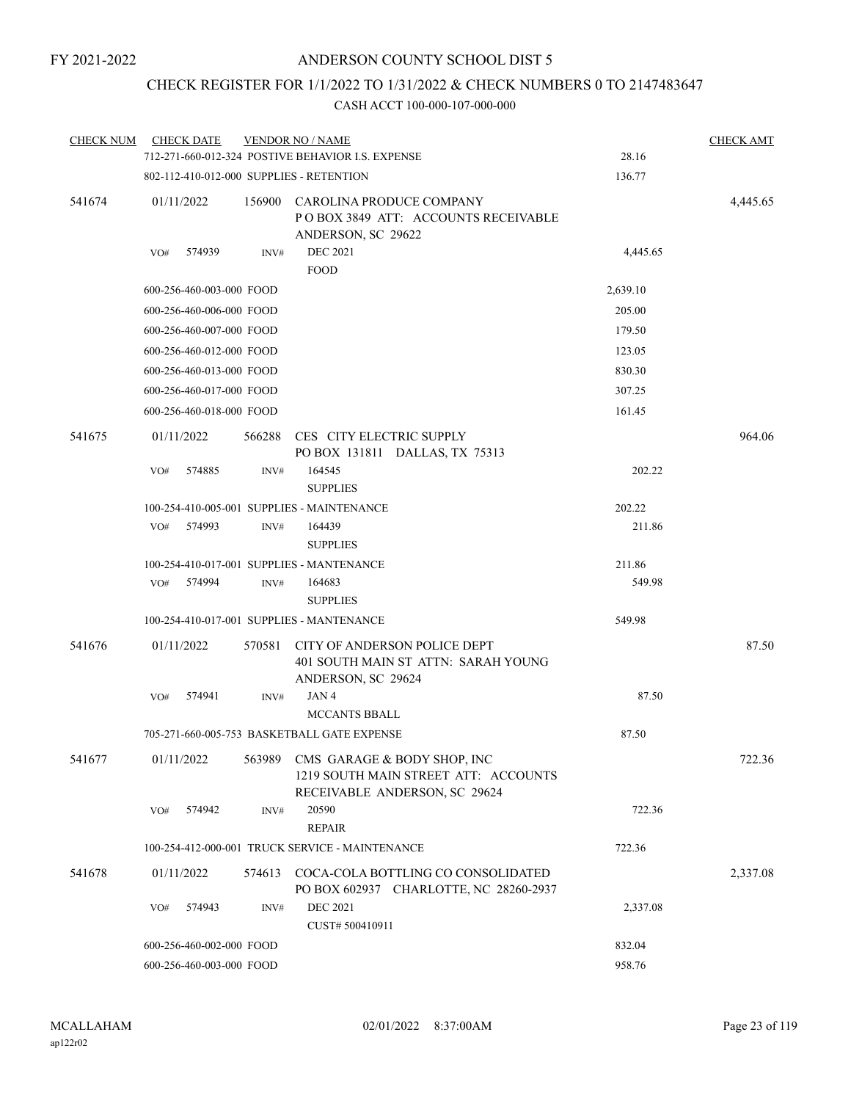# CHECK REGISTER FOR 1/1/2022 TO 1/31/2022 & CHECK NUMBERS 0 TO 2147483647

| <b>CHECK NUM</b> | <b>CHECK DATE</b>                        |        | <b>VENDOR NO / NAME</b>                                                                                     |          | <b>CHECK AMT</b> |
|------------------|------------------------------------------|--------|-------------------------------------------------------------------------------------------------------------|----------|------------------|
|                  |                                          |        | 712-271-660-012-324 POSTIVE BEHAVIOR I.S. EXPENSE                                                           | 28.16    |                  |
|                  | 802-112-410-012-000 SUPPLIES - RETENTION |        |                                                                                                             | 136.77   |                  |
| 541674           | 01/11/2022                               | 156900 | CAROLINA PRODUCE COMPANY<br>POBOX 3849 ATT: ACCOUNTS RECEIVABLE<br>ANDERSON, SC 29622                       |          | 4,445.65         |
|                  | 574939<br>VO#                            | INV#   | <b>DEC 2021</b>                                                                                             | 4,445.65 |                  |
|                  |                                          |        | <b>FOOD</b>                                                                                                 |          |                  |
|                  | 600-256-460-003-000 FOOD                 |        |                                                                                                             | 2,639.10 |                  |
|                  | 600-256-460-006-000 FOOD                 |        |                                                                                                             | 205.00   |                  |
|                  | 600-256-460-007-000 FOOD                 |        |                                                                                                             | 179.50   |                  |
|                  | 600-256-460-012-000 FOOD                 |        |                                                                                                             | 123.05   |                  |
|                  | 600-256-460-013-000 FOOD                 |        |                                                                                                             | 830.30   |                  |
|                  | 600-256-460-017-000 FOOD                 |        |                                                                                                             | 307.25   |                  |
|                  | 600-256-460-018-000 FOOD                 |        |                                                                                                             | 161.45   |                  |
| 541675           | 01/11/2022                               | 566288 | CES CITY ELECTRIC SUPPLY<br>PO BOX 131811 DALLAS, TX 75313                                                  |          | 964.06           |
|                  | VO#<br>574885                            | INV#   | 164545<br><b>SUPPLIES</b>                                                                                   | 202.22   |                  |
|                  |                                          |        | 100-254-410-005-001 SUPPLIES - MAINTENANCE                                                                  | 202.22   |                  |
|                  | 574993<br>VO#                            | INV#   | 164439<br><b>SUPPLIES</b>                                                                                   | 211.86   |                  |
|                  |                                          |        | 100-254-410-017-001 SUPPLIES - MANTENANCE                                                                   | 211.86   |                  |
|                  | 574994<br>VO#                            | INV#   | 164683<br><b>SUPPLIES</b>                                                                                   | 549.98   |                  |
|                  |                                          |        | 100-254-410-017-001 SUPPLIES - MANTENANCE                                                                   | 549.98   |                  |
| 541676           | 01/11/2022                               | 570581 | CITY OF ANDERSON POLICE DEPT<br>401 SOUTH MAIN ST ATTN: SARAH YOUNG<br>ANDERSON, SC 29624                   |          | 87.50            |
|                  | 574941<br>VO#                            | INV#   | JAN4<br><b>MCCANTS BBALL</b>                                                                                | 87.50    |                  |
|                  |                                          |        | 705-271-660-005-753 BASKETBALL GATE EXPENSE                                                                 | 87.50    |                  |
| 541677           | 01/11/2022                               |        | 563989 CMS GARAGE & BODY SHOP, INC<br>1219 SOUTH MAIN STREET ATT: ACCOUNTS<br>RECEIVABLE ANDERSON, SC 29624 |          | 722.36           |
|                  | 574942<br>VO#                            | INV#   | 20590<br><b>REPAIR</b>                                                                                      | 722.36   |                  |
|                  |                                          |        | 100-254-412-000-001 TRUCK SERVICE - MAINTENANCE                                                             | 722.36   |                  |
| 541678           | 01/11/2022                               | 574613 | COCA-COLA BOTTLING CO CONSOLIDATED<br>PO BOX 602937 CHARLOTTE, NC 28260-2937                                |          | 2,337.08         |
|                  | VO#<br>574943                            | INV#   | <b>DEC 2021</b><br>CUST# 500410911                                                                          | 2,337.08 |                  |
|                  | 600-256-460-002-000 FOOD                 |        |                                                                                                             | 832.04   |                  |
|                  | 600-256-460-003-000 FOOD                 |        | 958.76                                                                                                      |          |                  |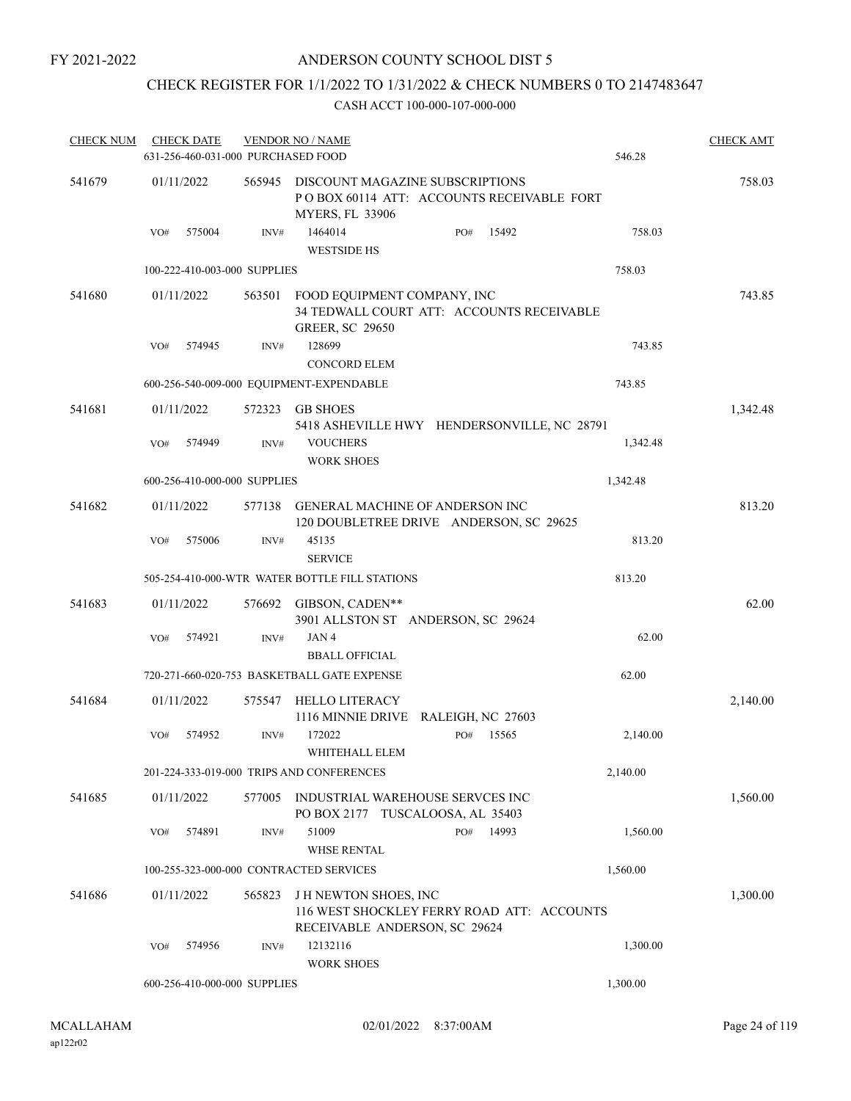## ANDERSON COUNTY SCHOOL DIST 5

# CHECK REGISTER FOR 1/1/2022 TO 1/31/2022 & CHECK NUMBERS 0 TO 2147483647

| <b>CHECK NUM</b> | <b>CHECK DATE</b>                  |        | <b>VENDOR NO / NAME</b>                                                                                    |     |       |          | <b>CHECK AMT</b> |
|------------------|------------------------------------|--------|------------------------------------------------------------------------------------------------------------|-----|-------|----------|------------------|
|                  | 631-256-460-031-000 PURCHASED FOOD |        |                                                                                                            |     |       | 546.28   |                  |
| 541679           | 01/11/2022                         | 565945 | DISCOUNT MAGAZINE SUBSCRIPTIONS<br>POBOX 60114 ATT: ACCOUNTS RECEIVABLE FORT<br><b>MYERS, FL 33906</b>     |     |       |          | 758.03           |
|                  | 575004<br>VO#                      | INV#   | 1464014<br><b>WESTSIDE HS</b>                                                                              | PO# | 15492 | 758.03   |                  |
|                  | 100-222-410-003-000 SUPPLIES       |        |                                                                                                            |     |       | 758.03   |                  |
| 541680           | 01/11/2022                         | 563501 | FOOD EQUIPMENT COMPANY, INC<br>34 TEDWALL COURT ATT: ACCOUNTS RECEIVABLE<br><b>GREER, SC 29650</b>         |     |       |          | 743.85           |
|                  | 574945<br>VO#                      | INV#   | 128699<br><b>CONCORD ELEM</b>                                                                              |     |       | 743.85   |                  |
|                  |                                    |        | 600-256-540-009-000 EQUIPMENT-EXPENDABLE                                                                   |     |       | 743.85   |                  |
| 541681           | 01/11/2022                         | 572323 | <b>GB SHOES</b>                                                                                            |     |       |          | 1,342.48         |
|                  | 574949<br>VO#                      | INV#   | 5418 ASHEVILLE HWY HENDERSONVILLE, NC 28791<br><b>VOUCHERS</b><br><b>WORK SHOES</b>                        |     |       | 1,342.48 |                  |
|                  | 600-256-410-000-000 SUPPLIES       |        |                                                                                                            |     |       | 1,342.48 |                  |
| 541682           | 01/11/2022                         |        | 577138 GENERAL MACHINE OF ANDERSON INC<br>120 DOUBLETREE DRIVE ANDERSON, SC 29625                          |     |       |          | 813.20           |
|                  | 575006<br>VO#                      | INV#   | 45135<br><b>SERVICE</b>                                                                                    |     |       | 813.20   |                  |
|                  |                                    |        | 505-254-410-000-WTR WATER BOTTLE FILL STATIONS                                                             |     |       | 813.20   |                  |
| 541683           | 01/11/2022                         |        | 576692 GIBSON, CADEN**<br>3901 ALLSTON ST ANDERSON, SC 29624                                               |     |       |          | 62.00            |
|                  | 574921<br>VO#                      | INV#   | JAN4<br><b>BBALL OFFICIAL</b>                                                                              |     |       | 62.00    |                  |
|                  |                                    |        | 720-271-660-020-753 BASKETBALL GATE EXPENSE                                                                |     |       | 62.00    |                  |
| 541684           | 01/11/2022                         | 575547 | HELLO LITERACY<br>1116 MINNIE DRIVE RALEIGH, NC 27603                                                      |     |       |          | 2,140.00         |
|                  | 574952<br>VO#                      | INV#   | 172022<br>WHITEHALL ELEM                                                                                   | PO# | 15565 | 2,140.00 |                  |
|                  |                                    |        | 201-224-333-019-000 TRIPS AND CONFERENCES                                                                  |     |       | 2,140.00 |                  |
| 541685           | 01/11/2022                         | 577005 | INDUSTRIAL WAREHOUSE SERVCES INC<br>PO BOX 2177 TUSCALOOSA, AL 35403                                       |     |       |          | 1,560.00         |
|                  | 574891<br>VO#                      | INV#   | 51009<br><b>WHSE RENTAL</b>                                                                                | PO# | 14993 | 1,560.00 |                  |
|                  |                                    |        | 100-255-323-000-000 CONTRACTED SERVICES                                                                    |     |       | 1,560.00 |                  |
| 541686           | 01/11/2022                         | 565823 | <b>JH NEWTON SHOES, INC</b><br>116 WEST SHOCKLEY FERRY ROAD ATT: ACCOUNTS<br>RECEIVABLE ANDERSON, SC 29624 |     |       |          | 1,300.00         |
|                  | 574956<br>VO#                      | INV#   | 12132116<br><b>WORK SHOES</b>                                                                              |     |       | 1,300.00 |                  |
|                  | 600-256-410-000-000 SUPPLIES       |        |                                                                                                            |     |       | 1,300.00 |                  |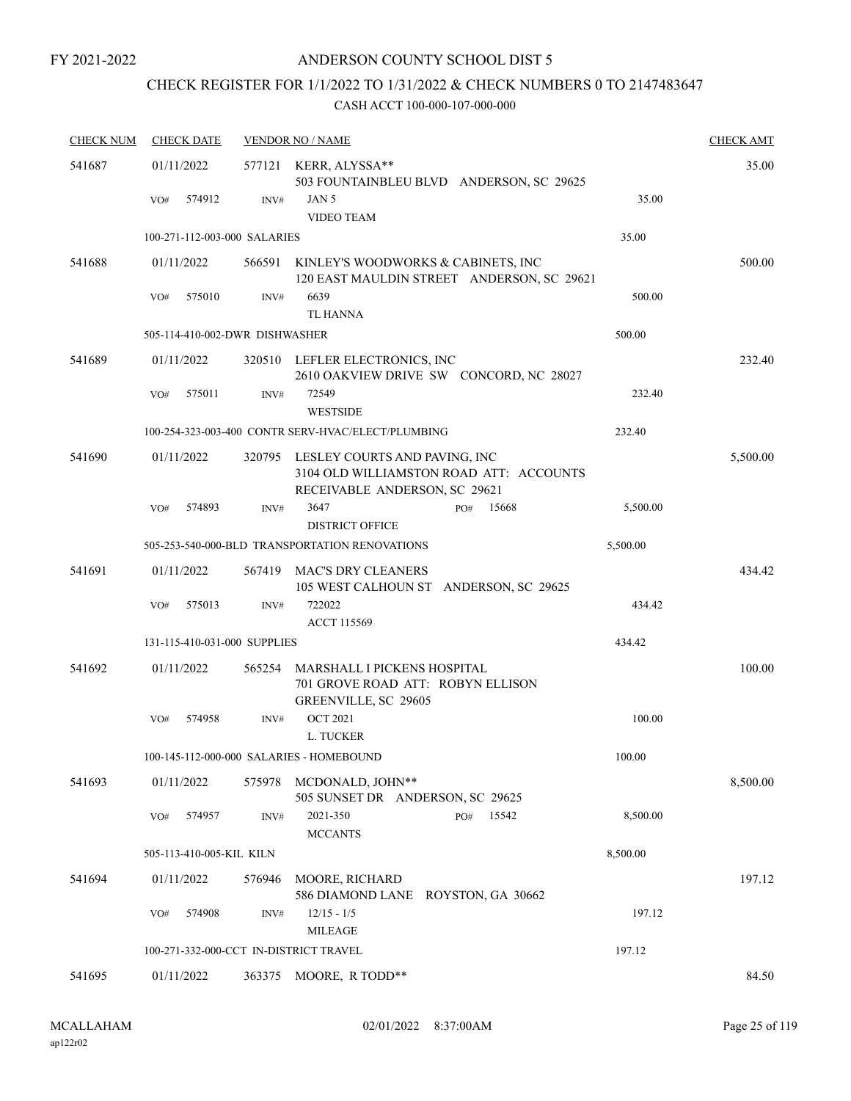# CHECK REGISTER FOR 1/1/2022 TO 1/31/2022 & CHECK NUMBERS 0 TO 2147483647

| <b>CHECK NUM</b> | <b>CHECK DATE</b>                      |        | <b>VENDOR NO / NAME</b>                                                                                   |          | <b>CHECK AMT</b> |
|------------------|----------------------------------------|--------|-----------------------------------------------------------------------------------------------------------|----------|------------------|
| 541687           | 01/11/2022                             |        | 577121 KERR, ALYSSA**<br>503 FOUNTAINBLEU BLVD ANDERSON, SC 29625                                         |          | 35.00            |
|                  | 574912<br>VO#                          | INV#   | JAN 5<br>VIDEO TEAM                                                                                       | 35.00    |                  |
|                  | 100-271-112-003-000 SALARIES           |        |                                                                                                           | 35.00    |                  |
| 541688           | 01/11/2022                             | 566591 | KINLEY'S WOODWORKS & CABINETS, INC<br>120 EAST MAULDIN STREET ANDERSON, SC 29621                          |          | 500.00           |
|                  | 575010<br>VO#                          | INV#   | 6639<br><b>TL HANNA</b>                                                                                   | 500.00   |                  |
|                  | 505-114-410-002-DWR DISHWASHER         |        |                                                                                                           | 500.00   |                  |
| 541689           | 01/11/2022                             |        | 320510 LEFLER ELECTRONICS, INC<br>2610 OAKVIEW DRIVE SW CONCORD, NC 28027                                 |          | 232.40           |
|                  | VO#<br>575011                          | INV#   | 72549<br><b>WESTSIDE</b>                                                                                  | 232.40   |                  |
|                  |                                        |        | 100-254-323-003-400 CONTR SERV-HVAC/ELECT/PLUMBING                                                        | 232.40   |                  |
| 541690           | 01/11/2022                             | 320795 | LESLEY COURTS AND PAVING, INC<br>3104 OLD WILLIAMSTON ROAD ATT: ACCOUNTS<br>RECEIVABLE ANDERSON, SC 29621 |          | 5,500.00         |
|                  | 574893<br>VO#                          | INV#   | 3647<br>15668<br>PO#                                                                                      | 5,500.00 |                  |
|                  |                                        |        | <b>DISTRICT OFFICE</b>                                                                                    |          |                  |
|                  |                                        |        | 505-253-540-000-BLD TRANSPORTATION RENOVATIONS                                                            | 5,500.00 |                  |
| 541691           | 01/11/2022                             | 567419 | <b>MAC'S DRY CLEANERS</b><br>105 WEST CALHOUN ST ANDERSON, SC 29625                                       |          | 434.42           |
|                  | 575013<br>VO#                          | INV#   | 722022<br><b>ACCT 115569</b>                                                                              | 434.42   |                  |
|                  | 131-115-410-031-000 SUPPLIES           |        |                                                                                                           | 434.42   |                  |
| 541692           | 01/11/2022                             | 565254 | MARSHALL I PICKENS HOSPITAL<br>701 GROVE ROAD ATT: ROBYN ELLISON<br>GREENVILLE, SC 29605                  |          | 100.00           |
|                  | 574958<br>VO#                          | INV#   | <b>OCT 2021</b><br>L. TUCKER                                                                              | 100.00   |                  |
|                  |                                        |        | 100-145-112-000-000 SALARIES - HOMEBOUND                                                                  | 100.00   |                  |
| 541693           | 01/11/2022                             | 575978 | MCDONALD, JOHN**<br>505 SUNSET DR ANDERSON, SC 29625                                                      |          | 8,500.00         |
|                  | 574957<br>VO#                          | INV#   | 2021-350<br>15542<br>PO#<br><b>MCCANTS</b>                                                                | 8,500.00 |                  |
|                  | 505-113-410-005-KIL KILN               |        |                                                                                                           | 8,500.00 |                  |
| 541694           | 01/11/2022                             | 576946 | MOORE, RICHARD<br>586 DIAMOND LANE ROYSTON, GA 30662                                                      |          | 197.12           |
|                  | VO#<br>574908                          | INV#   | $12/15 - 1/5$<br><b>MILEAGE</b>                                                                           | 197.12   |                  |
|                  | 100-271-332-000-CCT IN-DISTRICT TRAVEL |        |                                                                                                           | 197.12   |                  |
| 541695           | 01/11/2022                             | 363375 | MOORE, R TODD**                                                                                           |          | 84.50            |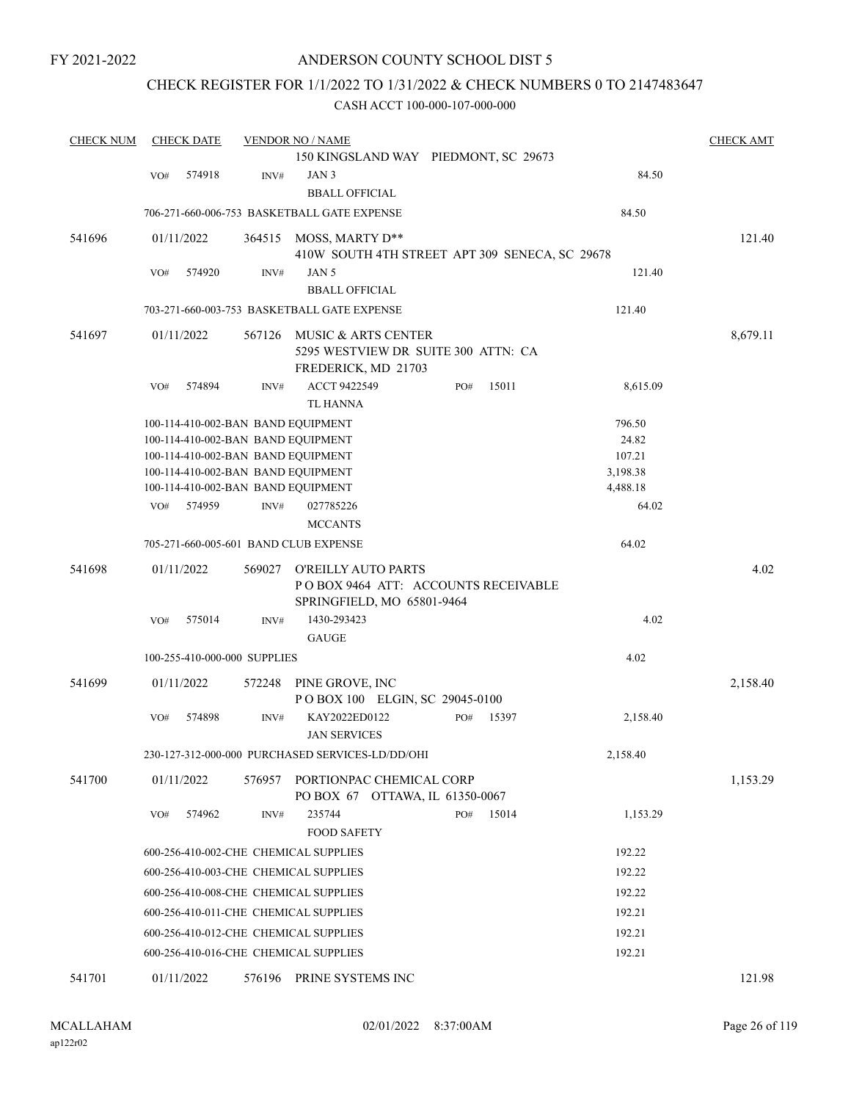### ANDERSON COUNTY SCHOOL DIST 5

## CHECK REGISTER FOR 1/1/2022 TO 1/31/2022 & CHECK NUMBERS 0 TO 2147483647

| <b>CHECK NUM</b> | <b>CHECK DATE</b>                  |        | <b>VENDOR NO / NAME</b>                                                                  |     |       |          | <b>CHECK AMT</b> |
|------------------|------------------------------------|--------|------------------------------------------------------------------------------------------|-----|-------|----------|------------------|
|                  |                                    |        | 150 KINGSLAND WAY PIEDMONT, SC 29673                                                     |     |       |          |                  |
|                  | 574918<br>VO#                      | INV#   | JAN 3                                                                                    |     |       | 84.50    |                  |
|                  |                                    |        | <b>BBALL OFFICIAL</b>                                                                    |     |       |          |                  |
|                  |                                    |        | 706-271-660-006-753 BASKETBALL GATE EXPENSE                                              |     |       | 84.50    |                  |
| 541696           | 01/11/2022                         | 364515 | MOSS, MARTY D**                                                                          |     |       |          | 121.40           |
|                  |                                    |        | 410W SOUTH 4TH STREET APT 309 SENECA, SC 29678                                           |     |       |          |                  |
|                  | 574920<br>VO#                      | INV#   | JAN 5                                                                                    |     |       | 121.40   |                  |
|                  |                                    |        | <b>BBALL OFFICIAL</b>                                                                    |     |       |          |                  |
|                  |                                    |        | 703-271-660-003-753 BASKETBALL GATE EXPENSE                                              |     |       | 121.40   |                  |
| 541697           | 01/11/2022                         | 567126 | MUSIC & ARTS CENTER<br>5295 WESTVIEW DR SUITE 300 ATTN: CA<br>FREDERICK, MD 21703        |     |       |          | 8,679.11         |
|                  | VO#<br>574894                      | INV#   | ACCT 9422549                                                                             | PO# | 15011 | 8,615.09 |                  |
|                  |                                    |        | <b>TL HANNA</b>                                                                          |     |       |          |                  |
|                  | 100-114-410-002-BAN BAND EQUIPMENT |        |                                                                                          |     |       | 796.50   |                  |
|                  | 100-114-410-002-BAN BAND EQUIPMENT |        |                                                                                          |     |       | 24.82    |                  |
|                  | 100-114-410-002-BAN BAND EQUIPMENT |        |                                                                                          |     |       | 107.21   |                  |
|                  | 100-114-410-002-BAN BAND EQUIPMENT |        |                                                                                          |     |       | 3,198.38 |                  |
|                  | 100-114-410-002-BAN BAND EQUIPMENT |        |                                                                                          |     |       | 4,488.18 |                  |
|                  | 574959<br>VO <sub>#</sub>          | INV#   | 027785226                                                                                |     |       | 64.02    |                  |
|                  |                                    |        | <b>MCCANTS</b>                                                                           |     |       |          |                  |
|                  |                                    |        | 705-271-660-005-601 BAND CLUB EXPENSE                                                    |     |       | 64.02    |                  |
| 541698           | 01/11/2022                         | 569027 | O'REILLY AUTO PARTS<br>POBOX 9464 ATT: ACCOUNTS RECEIVABLE<br>SPRINGFIELD, MO 65801-9464 |     |       |          | 4.02             |
|                  | 575014<br>VO#                      | INV#   | 1430-293423<br><b>GAUGE</b>                                                              |     |       | 4.02     |                  |
|                  | 100-255-410-000-000 SUPPLIES       |        |                                                                                          |     |       | 4.02     |                  |
|                  |                                    |        |                                                                                          |     |       |          |                  |
| 541699           | 01/11/2022                         | 572248 | PINE GROVE, INC<br>POBOX 100 ELGIN, SC 29045-0100                                        |     |       |          | 2,158.40         |
|                  | VO#<br>574898                      | INV#   | KAY2022ED0122<br><b>JAN SERVICES</b>                                                     | PO# | 15397 | 2,158.40 |                  |
|                  |                                    |        | 230-127-312-000-000 PURCHASED SERVICES-LD/DD/OHI                                         |     |       | 2,158.40 |                  |
| 541700           | 01/11/2022                         | 576957 | PORTIONPAC CHEMICAL CORP<br>PO BOX 67 OTTAWA, IL 61350-0067                              |     |       |          | 1,153.29         |
|                  | 574962<br>VO#                      | INV#   | 235744<br><b>FOOD SAFETY</b>                                                             | PO# | 15014 | 1,153.29 |                  |
|                  |                                    |        | 600-256-410-002-CHE CHEMICAL SUPPLIES                                                    |     |       | 192.22   |                  |
|                  |                                    |        | 600-256-410-003-CHE CHEMICAL SUPPLIES                                                    |     |       | 192.22   |                  |
|                  |                                    |        | 600-256-410-008-CHE CHEMICAL SUPPLIES                                                    |     |       | 192.22   |                  |
|                  |                                    |        | 600-256-410-011-CHE CHEMICAL SUPPLIES                                                    |     |       | 192.21   |                  |
|                  |                                    |        |                                                                                          |     |       |          |                  |
|                  |                                    |        | 600-256-410-012-CHE CHEMICAL SUPPLIES                                                    |     |       | 192.21   |                  |
|                  |                                    |        | 600-256-410-016-CHE CHEMICAL SUPPLIES                                                    |     |       | 192.21   |                  |
| 541701           | 01/11/2022                         | 576196 | PRINE SYSTEMS INC                                                                        |     |       |          | 121.98           |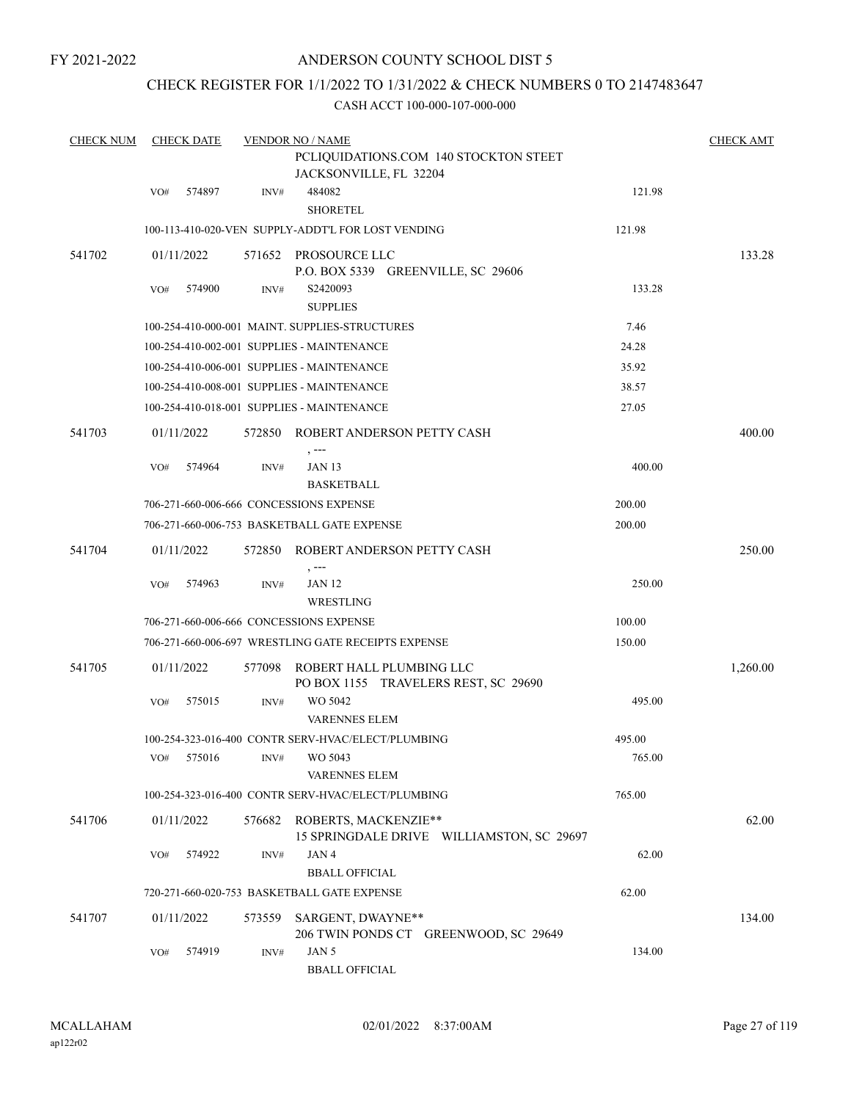## ANDERSON COUNTY SCHOOL DIST 5

## CHECK REGISTER FOR 1/1/2022 TO 1/31/2022 & CHECK NUMBERS 0 TO 2147483647

| <b>CHECK NUM</b> |     | <b>CHECK DATE</b> |        | <b>VENDOR NO / NAME</b>                                                  |        | <b>CHECK AMT</b> |
|------------------|-----|-------------------|--------|--------------------------------------------------------------------------|--------|------------------|
|                  |     |                   |        | PCLIQUIDATIONS.COM 140 STOCKTON STEET<br>JACKSONVILLE, FL 32204          |        |                  |
|                  | VO# | 574897            | INV#   | 484082<br><b>SHORETEL</b>                                                | 121.98 |                  |
|                  |     |                   |        | 100-113-410-020-VEN SUPPLY-ADDT'L FOR LOST VENDING                       | 121.98 |                  |
| 541702           |     | 01/11/2022        |        | 571652 PROSOURCE LLC<br>P.O. BOX 5339 GREENVILLE, SC 29606               |        | 133.28           |
|                  | VO# | 574900            | INV#   | S2420093<br><b>SUPPLIES</b>                                              | 133.28 |                  |
|                  |     |                   |        | 100-254-410-000-001 MAINT. SUPPLIES-STRUCTURES                           | 7.46   |                  |
|                  |     |                   |        | 100-254-410-002-001 SUPPLIES - MAINTENANCE                               | 24.28  |                  |
|                  |     |                   |        | 100-254-410-006-001 SUPPLIES - MAINTENANCE                               | 35.92  |                  |
|                  |     |                   |        | 100-254-410-008-001 SUPPLIES - MAINTENANCE                               | 38.57  |                  |
|                  |     |                   |        | 100-254-410-018-001 SUPPLIES - MAINTENANCE                               | 27.05  |                  |
| 541703           |     | 01/11/2022        |        | 572850 ROBERT ANDERSON PETTY CASH<br>$, --$                              |        | 400.00           |
|                  | VO# | 574964            | INV#   | <b>JAN 13</b><br><b>BASKETBALL</b>                                       | 400.00 |                  |
|                  |     |                   |        | 706-271-660-006-666 CONCESSIONS EXPENSE                                  | 200.00 |                  |
|                  |     |                   |        | 706-271-660-006-753 BASKETBALL GATE EXPENSE                              | 200.00 |                  |
| 541704           |     | 01/11/2022        |        | 572850 ROBERT ANDERSON PETTY CASH                                        |        | 250.00           |
|                  | VO# | 574963            | INV#   | <b>JAN 12</b><br>WRESTLING                                               | 250.00 |                  |
|                  |     |                   |        | 706-271-660-006-666 CONCESSIONS EXPENSE                                  | 100.00 |                  |
|                  |     |                   |        | 706-271-660-006-697  WRESTLING GATE RECEIPTS EXPENSE                     | 150.00 |                  |
| 541705           |     | 01/11/2022        | 577098 | ROBERT HALL PLUMBING LLC<br>PO BOX 1155 TRAVELERS REST, SC 29690         |        | 1,260.00         |
|                  | VO# | 575015            | INV#   | WO 5042<br><b>VARENNES ELEM</b>                                          | 495.00 |                  |
|                  |     |                   |        | 100-254-323-016-400 CONTR SERV-HVAC/ELECT/PLUMBING                       | 495.00 |                  |
|                  |     |                   |        | VO# 575016 INV# WO 5043<br><b>VARENNES ELEM</b>                          | 765.00 |                  |
|                  |     |                   |        | 100-254-323-016-400 CONTR SERV-HVAC/ELECT/PLUMBING                       | 765.00 |                  |
| 541706           |     | 01/11/2022        |        | 576682 ROBERTS, MACKENZIE**<br>15 SPRINGDALE DRIVE WILLIAMSTON, SC 29697 |        | 62.00            |
|                  | VO# | 574922            | INV#   | JAN4<br><b>BBALL OFFICIAL</b>                                            | 62.00  |                  |
|                  |     |                   |        | 720-271-660-020-753 BASKETBALL GATE EXPENSE                              | 62.00  |                  |
| 541707           |     | 01/11/2022        | 573559 | SARGENT, DWAYNE**<br>206 TWIN PONDS CT GREENWOOD, SC 29649               |        | 134.00           |
|                  | VO# | 574919            | INV#   | JAN 5<br><b>BBALL OFFICIAL</b>                                           | 134.00 |                  |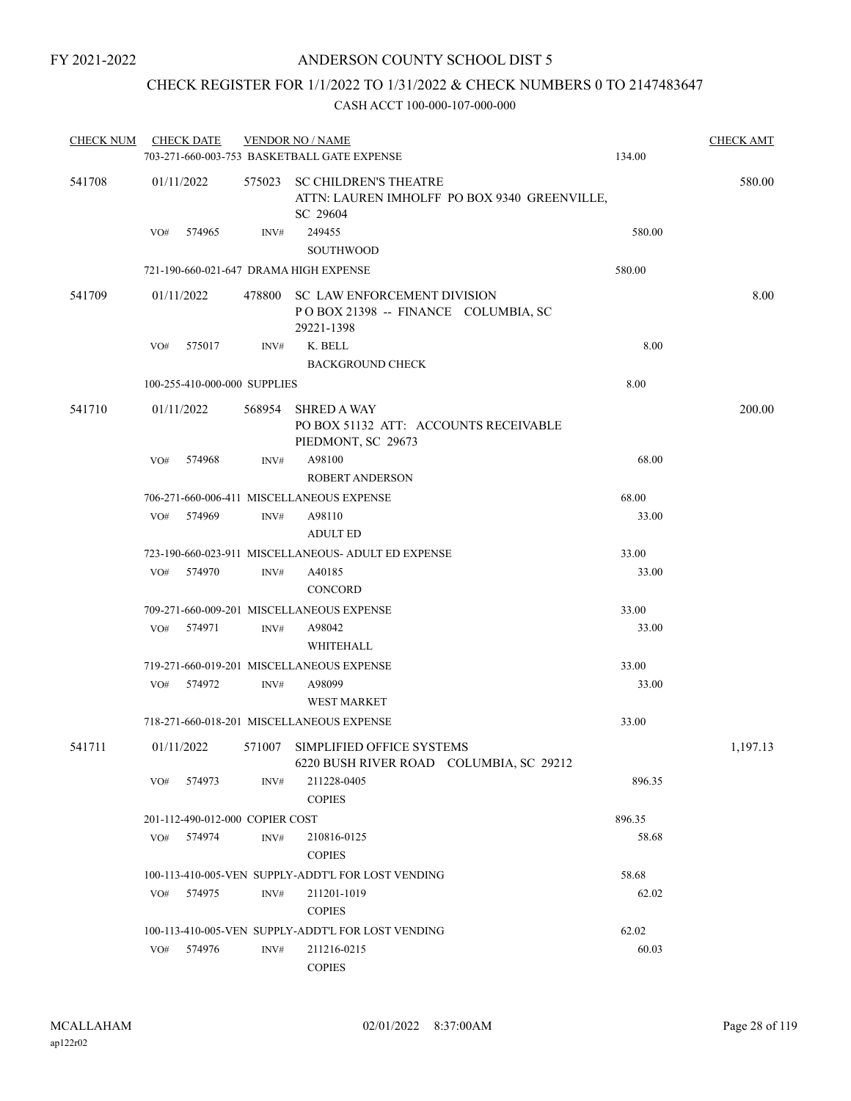# CHECK REGISTER FOR 1/1/2022 TO 1/31/2022 & CHECK NUMBERS 0 TO 2147483647

| CHECK NUM |                              | <b>CHECK DATE</b>               |      | <b>VENDOR NO / NAME</b><br>703-271-660-003-753 BASKETBALL GATE EXPENSE                   | <b>CHECK AMT</b><br>134.00 |          |  |  |
|-----------|------------------------------|---------------------------------|------|------------------------------------------------------------------------------------------|----------------------------|----------|--|--|
| 541708    | 01/11/2022                   |                                 |      | 575023 SC CHILDREN'S THEATRE<br>ATTN: LAUREN IMHOLFF PO BOX 9340 GREENVILLE,<br>SC 29604 |                            | 580.00   |  |  |
|           | VO#                          | 574965                          | INV# | 249455<br><b>SOUTHWOOD</b>                                                               | 580.00                     |          |  |  |
|           |                              |                                 |      | 721-190-660-021-647 DRAMA HIGH EXPENSE                                                   | 580.00                     |          |  |  |
| 541709    |                              | 01/11/2022                      |      | 478800 SC LAW ENFORCEMENT DIVISION<br>POBOX 21398 -- FINANCE COLUMBIA, SC<br>29221-1398  |                            | 8.00     |  |  |
|           | VO#                          | 575017                          | INV# | K. BELL<br><b>BACKGROUND CHECK</b>                                                       | 8.00                       |          |  |  |
|           | 100-255-410-000-000 SUPPLIES |                                 |      |                                                                                          | 8.00                       |          |  |  |
| 541710    |                              | 01/11/2022                      |      | 568954 SHRED A WAY<br>PO BOX 51132 ATT: ACCOUNTS RECEIVABLE<br>PIEDMONT, SC 29673        |                            | 200.00   |  |  |
|           | VO#                          | 574968                          | INV# | A98100<br><b>ROBERT ANDERSON</b>                                                         | 68.00                      |          |  |  |
|           |                              |                                 |      | 706-271-660-006-411 MISCELLANEOUS EXPENSE                                                | 68.00                      |          |  |  |
|           | VO#                          | 574969                          | INV# | A98110<br><b>ADULT ED</b>                                                                | 33.00                      |          |  |  |
|           |                              |                                 |      | 723-190-660-023-911 MISCELLANEOUS- ADULT ED EXPENSE                                      | 33.00                      |          |  |  |
|           | VO#                          | 574970                          | INV# | A40185<br><b>CONCORD</b>                                                                 | 33.00                      |          |  |  |
|           |                              |                                 |      | 709-271-660-009-201 MISCELLANEOUS EXPENSE                                                | 33.00                      |          |  |  |
|           | VO#                          | 574971                          | INV# | A98042<br>WHITEHALL                                                                      | 33.00                      |          |  |  |
|           |                              |                                 |      | 719-271-660-019-201 MISCELLANEOUS EXPENSE                                                | 33.00                      |          |  |  |
|           | VO#                          | 574972                          | INV# | A98099<br><b>WEST MARKET</b>                                                             | 33.00                      |          |  |  |
|           |                              |                                 |      | 718-271-660-018-201 MISCELLANEOUS EXPENSE                                                | 33.00                      |          |  |  |
| 541711    |                              | 01/11/2022                      |      | 571007 SIMPLIFIED OFFICE SYSTEMS<br>6220 BUSH RIVER ROAD COLUMBIA, SC 29212              |                            | 1,197.13 |  |  |
|           | VO#                          | 574973                          | INV# | 211228-0405<br><b>COPIES</b>                                                             | 896.35                     |          |  |  |
|           |                              | 201-112-490-012-000 COPIER COST |      |                                                                                          | 896.35                     |          |  |  |
|           | VO#                          | 574974                          | INV# | 210816-0125<br><b>COPIES</b>                                                             | 58.68                      |          |  |  |
|           |                              |                                 |      | 100-113-410-005-VEN SUPPLY-ADDT'L FOR LOST VENDING                                       | 58.68                      |          |  |  |
|           | VO#                          | 574975                          | INV# | 211201-1019<br><b>COPIES</b>                                                             | 62.02                      |          |  |  |
|           |                              |                                 |      | 100-113-410-005-VEN SUPPLY-ADDT'L FOR LOST VENDING                                       | 62.02                      |          |  |  |
|           | VO#                          | 574976                          | INV# | 211216-0215<br><b>COPIES</b>                                                             | 60.03                      |          |  |  |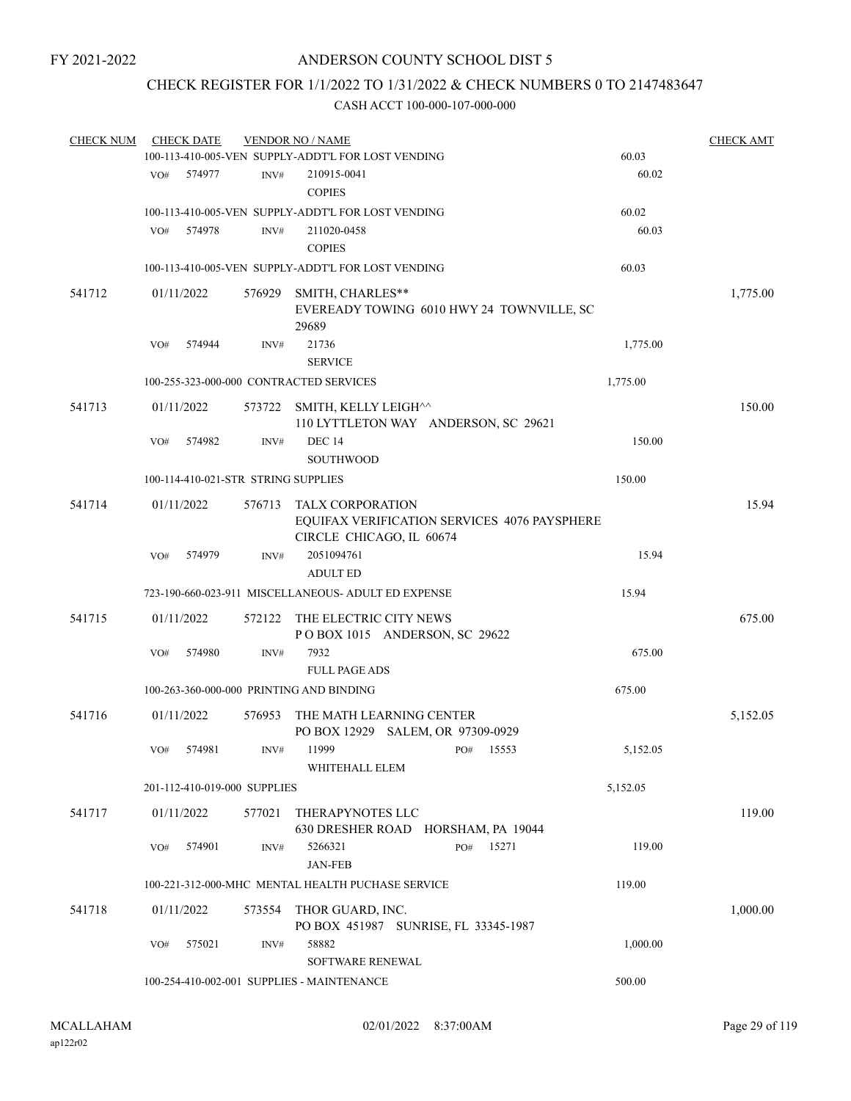# CHECK REGISTER FOR 1/1/2022 TO 1/31/2022 & CHECK NUMBERS 0 TO 2147483647

| <b>CHECK NUM</b> |                                         | <b>CHECK DATE</b> |                                     | <b>VENDOR NO / NAME</b>                                                 |     |       |          | <b>CHECK AMT</b> |
|------------------|-----------------------------------------|-------------------|-------------------------------------|-------------------------------------------------------------------------|-----|-------|----------|------------------|
|                  |                                         |                   |                                     | 100-113-410-005-VEN SUPPLY-ADDT'L FOR LOST VENDING                      |     |       | 60.03    |                  |
|                  | VO#                                     | 574977            | INV#                                | 210915-0041<br><b>COPIES</b>                                            |     |       | 60.02    |                  |
|                  |                                         |                   |                                     | 100-113-410-005-VEN SUPPLY-ADDT'L FOR LOST VENDING                      |     |       | 60.02    |                  |
|                  | VO#                                     | 574978            | INV#                                | 211020-0458<br><b>COPIES</b>                                            |     |       | 60.03    |                  |
|                  |                                         |                   |                                     | 100-113-410-005-VEN SUPPLY-ADDT'L FOR LOST VENDING                      |     |       | 60.03    |                  |
| 541712           |                                         | 01/11/2022        | 576929                              | SMITH, CHARLES**<br>EVEREADY TOWING 6010 HWY 24 TOWNVILLE, SC<br>29689  |     |       |          | 1,775.00         |
|                  | VO#                                     | 574944            | INV#                                | 21736<br><b>SERVICE</b>                                                 |     |       | 1,775.00 |                  |
|                  | 100-255-323-000-000 CONTRACTED SERVICES |                   |                                     |                                                                         |     |       | 1,775.00 |                  |
| 541713           |                                         | 01/11/2022        | 573722                              | SMITH, KELLY LEIGH^^<br>110 LYTTLETON WAY ANDERSON, SC 29621            |     |       |          | 150.00           |
|                  | VO#                                     | 574982            | $\text{INV}\#$                      | <b>DEC 14</b><br><b>SOUTHWOOD</b>                                       |     |       | 150.00   |                  |
|                  |                                         |                   | 100-114-410-021-STR STRING SUPPLIES |                                                                         |     |       | 150.00   |                  |
| 541714           |                                         | 01/11/2022        | 576713                              | <b>TALX CORPORATION</b><br>EQUIFAX VERIFICATION SERVICES 4076 PAYSPHERE |     |       |          | 15.94            |
|                  | VO#                                     | 574979            | INV#                                | CIRCLE CHICAGO, IL 60674<br>2051094761                                  |     |       | 15.94    |                  |
|                  |                                         |                   |                                     | <b>ADULT ED</b>                                                         |     |       |          |                  |
|                  |                                         |                   |                                     | 723-190-660-023-911 MISCELLANEOUS- ADULT ED EXPENSE                     |     |       | 15.94    |                  |
| 541715           |                                         | 01/11/2022        | 572122                              | THE ELECTRIC CITY NEWS<br>POBOX 1015 ANDERSON, SC 29622                 |     |       |          | 675.00           |
|                  | VO#                                     | 574980            | INV#                                | 7932<br><b>FULL PAGE ADS</b>                                            |     |       | 675.00   |                  |
|                  |                                         |                   |                                     | 100-263-360-000-000 PRINTING AND BINDING                                |     |       | 675.00   |                  |
| 541716           |                                         | 01/11/2022        | 576953                              | THE MATH LEARNING CENTER<br>PO BOX 12929 SALEM, OR 97309-0929           |     |       |          | 5,152.05         |
|                  | VO#                                     | 574981            | INV#                                | 11999<br>WHITEHALL ELEM                                                 | PO# | 15553 | 5.152.05 |                  |
|                  |                                         |                   | 201-112-410-019-000 SUPPLIES        |                                                                         |     |       | 5,152.05 |                  |
| 541717           |                                         | 01/11/2022        | 577021                              | THERAPYNOTES LLC<br>630 DRESHER ROAD HORSHAM, PA 19044                  |     |       |          | 119.00           |
|                  | VO#                                     | 574901            | INV#                                | 5266321<br><b>JAN-FEB</b>                                               | PO# | 15271 | 119.00   |                  |
|                  |                                         |                   |                                     | 100-221-312-000-MHC MENTAL HEALTH PUCHASE SERVICE                       |     |       | 119.00   |                  |
| 541718           |                                         | 01/11/2022        | 573554                              | THOR GUARD, INC.<br>PO BOX 451987 SUNRISE, FL 33345-1987                |     |       |          | 1,000.00         |
|                  | VO#                                     | 575021            | INV#                                | 58882<br>SOFTWARE RENEWAL                                               |     |       | 1,000.00 |                  |
|                  |                                         |                   |                                     | 100-254-410-002-001 SUPPLIES - MAINTENANCE                              |     |       | 500.00   |                  |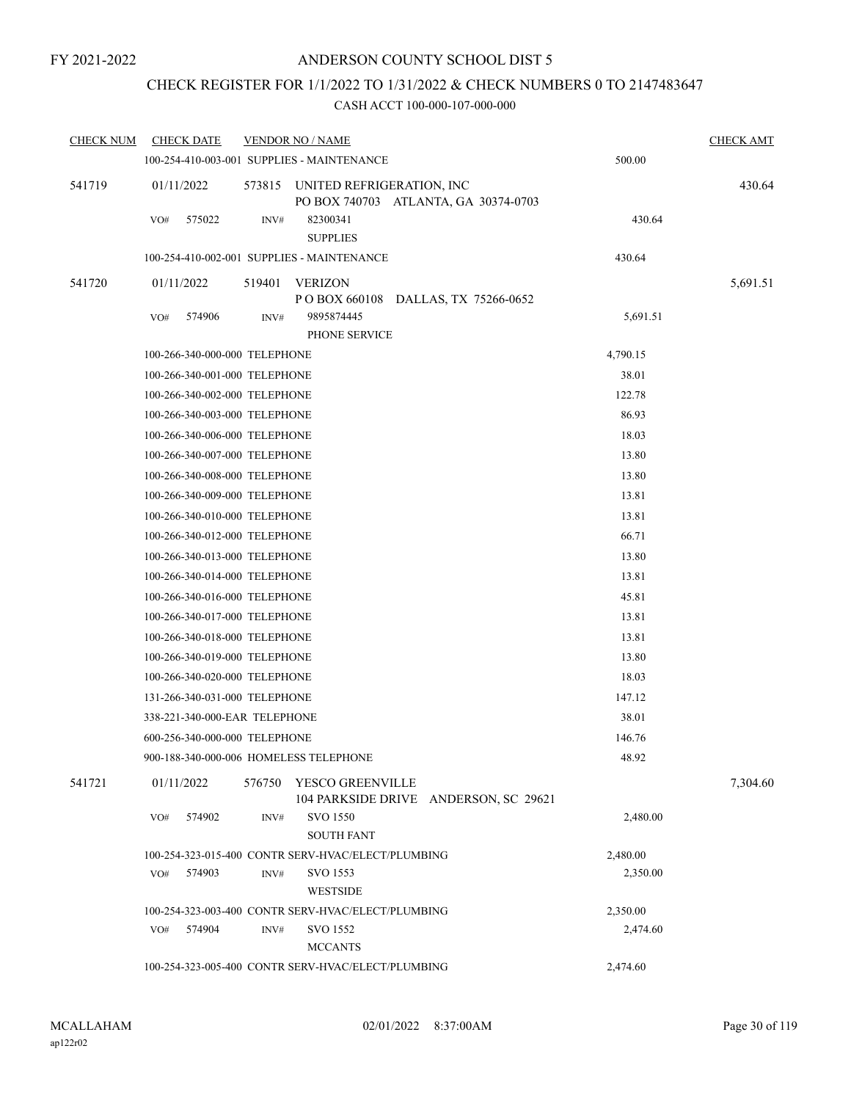# CHECK REGISTER FOR 1/1/2022 TO 1/31/2022 & CHECK NUMBERS 0 TO 2147483647

| <b>CHECK NUM</b> | <b>CHECK DATE</b>                      |        | <b>VENDOR NO / NAME</b>                                           |          | <b>CHECK AMT</b> |
|------------------|----------------------------------------|--------|-------------------------------------------------------------------|----------|------------------|
|                  |                                        |        | 100-254-410-003-001 SUPPLIES - MAINTENANCE                        | 500.00   |                  |
| 541719           | 01/11/2022                             | 573815 | UNITED REFRIGERATION, INC<br>PO BOX 740703 ATLANTA, GA 30374-0703 |          | 430.64           |
|                  | VO#<br>575022                          | INV#   | 82300341<br><b>SUPPLIES</b>                                       | 430.64   |                  |
|                  |                                        |        | 100-254-410-002-001 SUPPLIES - MAINTENANCE                        | 430.64   |                  |
| 541720           | 01/11/2022                             | 519401 | VERIZON<br>P O BOX 660108 DALLAS, TX 75266-0652                   |          | 5,691.51         |
|                  | 574906<br>VO#                          | INV#   | 9895874445<br>PHONE SERVICE                                       | 5,691.51 |                  |
|                  | 100-266-340-000-000 TELEPHONE          |        |                                                                   | 4,790.15 |                  |
|                  | 100-266-340-001-000 TELEPHONE          |        |                                                                   | 38.01    |                  |
|                  | 100-266-340-002-000 TELEPHONE          |        |                                                                   | 122.78   |                  |
|                  | 100-266-340-003-000 TELEPHONE          |        |                                                                   | 86.93    |                  |
|                  | 100-266-340-006-000 TELEPHONE          |        | 18.03                                                             |          |                  |
|                  | 100-266-340-007-000 TELEPHONE          |        |                                                                   | 13.80    |                  |
|                  | 100-266-340-008-000 TELEPHONE          |        |                                                                   | 13.80    |                  |
|                  | 100-266-340-009-000 TELEPHONE          |        |                                                                   | 13.81    |                  |
|                  | 100-266-340-010-000 TELEPHONE          |        |                                                                   | 13.81    |                  |
|                  | 100-266-340-012-000 TELEPHONE          |        |                                                                   | 66.71    |                  |
|                  | 100-266-340-013-000 TELEPHONE          |        |                                                                   | 13.80    |                  |
|                  | 100-266-340-014-000 TELEPHONE          |        |                                                                   | 13.81    |                  |
|                  | 100-266-340-016-000 TELEPHONE          |        |                                                                   | 45.81    |                  |
|                  | 100-266-340-017-000 TELEPHONE          |        |                                                                   | 13.81    |                  |
|                  | 100-266-340-018-000 TELEPHONE          |        |                                                                   | 13.81    |                  |
|                  | 100-266-340-019-000 TELEPHONE          |        |                                                                   | 13.80    |                  |
|                  | 100-266-340-020-000 TELEPHONE          |        |                                                                   | 18.03    |                  |
|                  | 131-266-340-031-000 TELEPHONE          |        |                                                                   | 147.12   |                  |
|                  | 338-221-340-000-EAR TELEPHONE          |        |                                                                   | 38.01    |                  |
|                  | 600-256-340-000-000 TELEPHONE          |        |                                                                   | 146.76   |                  |
|                  | 900-188-340-000-006 HOMELESS TELEPHONE |        |                                                                   | 48.92    |                  |
| 541721           | 01/11/2022                             | 576750 | YESCO GREENVILLE<br>104 PARKSIDE DRIVE ANDERSON, SC 29621         |          | 7,304.60         |
|                  | VO#<br>574902                          | INV#   | <b>SVO 1550</b><br><b>SOUTH FANT</b>                              | 2,480.00 |                  |
|                  |                                        |        | 100-254-323-015-400 CONTR SERV-HVAC/ELECT/PLUMBING                | 2,480.00 |                  |
|                  | 574903<br>VO#                          | INV#   | SVO 1553<br><b>WESTSIDE</b>                                       | 2,350.00 |                  |
|                  |                                        |        | 100-254-323-003-400 CONTR SERV-HVAC/ELECT/PLUMBING                | 2,350.00 |                  |
|                  | 574904<br>VO#                          | INV#   | SVO 1552<br><b>MCCANTS</b>                                        | 2,474.60 |                  |
|                  |                                        |        | 100-254-323-005-400 CONTR SERV-HVAC/ELECT/PLUMBING                | 2,474.60 |                  |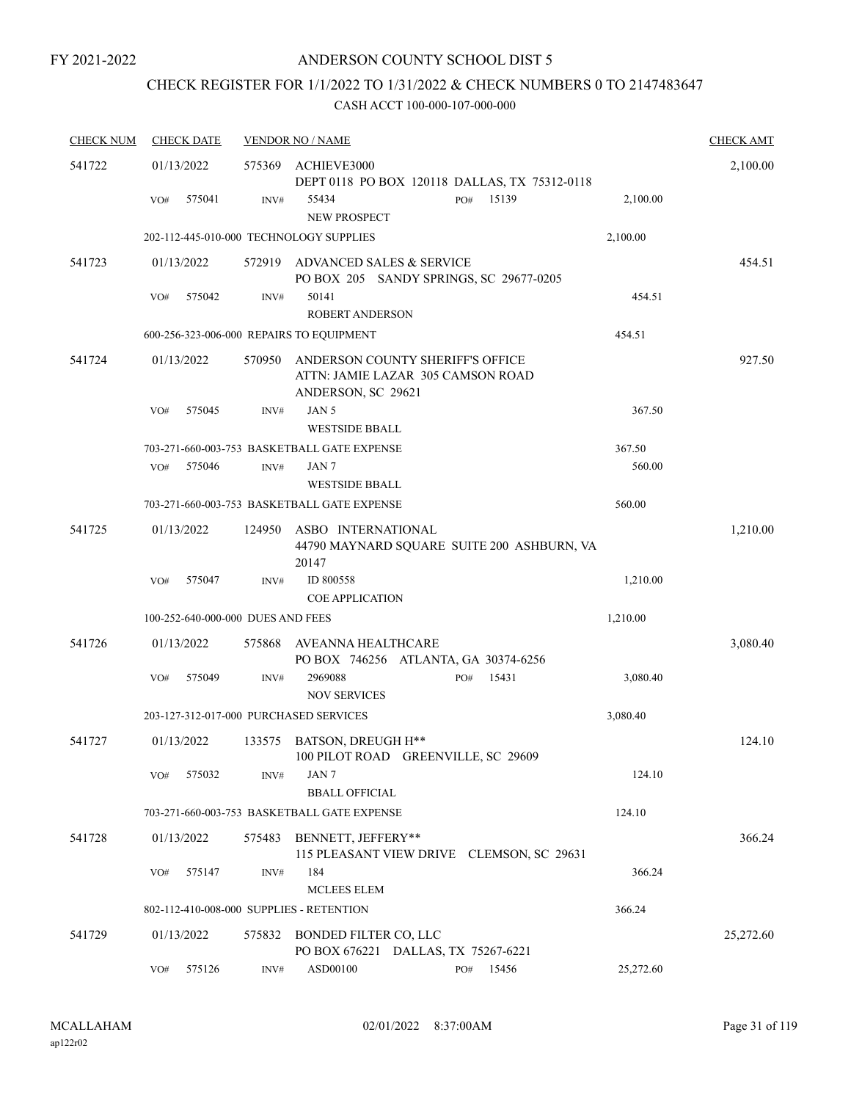# CHECK REGISTER FOR 1/1/2022 TO 1/31/2022 & CHECK NUMBERS 0 TO 2147483647

| <b>CHECK NUM</b> | <b>CHECK DATE</b>                        |        | <b>VENDOR NO / NAME</b>                                                                     |           | <b>CHECK AMT</b> |
|------------------|------------------------------------------|--------|---------------------------------------------------------------------------------------------|-----------|------------------|
| 541722           | 01/13/2022                               | 575369 | ACHIEVE3000<br>DEPT 0118 PO BOX 120118 DALLAS, TX 75312-0118                                |           | 2,100.00         |
|                  | 575041<br>VO#                            | INV#   | 15139<br>55434<br>PO#<br><b>NEW PROSPECT</b>                                                | 2,100.00  |                  |
|                  | 202-112-445-010-000 TECHNOLOGY SUPPLIES  |        |                                                                                             | 2,100.00  |                  |
| 541723           | 01/13/2022                               |        | 572919 ADVANCED SALES & SERVICE<br>PO BOX 205 SANDY SPRINGS, SC 29677-0205                  |           | 454.51           |
|                  | 575042<br>VO#                            | INV#   | 50141<br><b>ROBERT ANDERSON</b>                                                             | 454.51    |                  |
|                  | 600-256-323-006-000 REPAIRS TO EQUIPMENT |        |                                                                                             | 454.51    |                  |
| 541724           | 01/13/2022                               | 570950 | ANDERSON COUNTY SHERIFF'S OFFICE<br>ATTN: JAMIE LAZAR 305 CAMSON ROAD<br>ANDERSON, SC 29621 |           | 927.50           |
|                  | VO#<br>575045                            | INV#   | JAN 5<br><b>WESTSIDE BBALL</b>                                                              | 367.50    |                  |
|                  |                                          |        | 703-271-660-003-753 BASKETBALL GATE EXPENSE                                                 | 367.50    |                  |
|                  | 575046<br>VO#                            | INV#   | JAN 7                                                                                       | 560.00    |                  |
|                  |                                          |        | <b>WESTSIDE BBALL</b>                                                                       |           |                  |
|                  |                                          |        | 703-271-660-003-753 BASKETBALL GATE EXPENSE                                                 | 560.00    |                  |
| 541725           | 01/13/2022                               | 124950 | ASBO INTERNATIONAL<br>44790 MAYNARD SQUARE SUITE 200 ASHBURN, VA<br>20147                   |           | 1,210.00         |
|                  | VO#<br>575047                            | INV#   | ID 800558<br><b>COE APPLICATION</b>                                                         | 1,210.00  |                  |
|                  | 100-252-640-000-000 DUES AND FEES        |        |                                                                                             | 1,210.00  |                  |
| 541726           | 01/13/2022                               | 575868 | AVEANNA HEALTHCARE<br>PO BOX 746256 ATLANTA, GA 30374-6256                                  |           | 3,080.40         |
|                  | 575049<br>VO#                            | INV#   | 2969088<br>15431<br>PO#<br><b>NOV SERVICES</b>                                              | 3,080.40  |                  |
|                  | 203-127-312-017-000 PURCHASED SERVICES   |        |                                                                                             | 3,080.40  |                  |
| 541727           | 01/13/2022                               |        | 133575 BATSON, DREUGH H**<br>100 PILOT ROAD GREENVILLE, SC 29609                            |           | 124.10           |
|                  | 575032<br>VO#                            | INV#   | JAN 7<br><b>BBALL OFFICIAL</b>                                                              | 124.10    |                  |
|                  |                                          |        | 703-271-660-003-753 BASKETBALL GATE EXPENSE                                                 | 124.10    |                  |
| 541728           | 01/13/2022                               | 575483 | BENNETT, JEFFERY**<br>115 PLEASANT VIEW DRIVE CLEMSON, SC 29631                             |           | 366.24           |
|                  | 575147<br>VO#                            | INV#   | 184<br><b>MCLEES ELEM</b>                                                                   | 366.24    |                  |
|                  | 802-112-410-008-000 SUPPLIES - RETENTION |        |                                                                                             | 366.24    |                  |
| 541729           | 01/13/2022                               |        | 575832 BONDED FILTER CO, LLC<br>PO BOX 676221 DALLAS, TX 75267-6221                         |           | 25,272.60        |
|                  | 575126<br>VO#                            | INV#   | ASD00100<br>PO# 15456                                                                       | 25,272.60 |                  |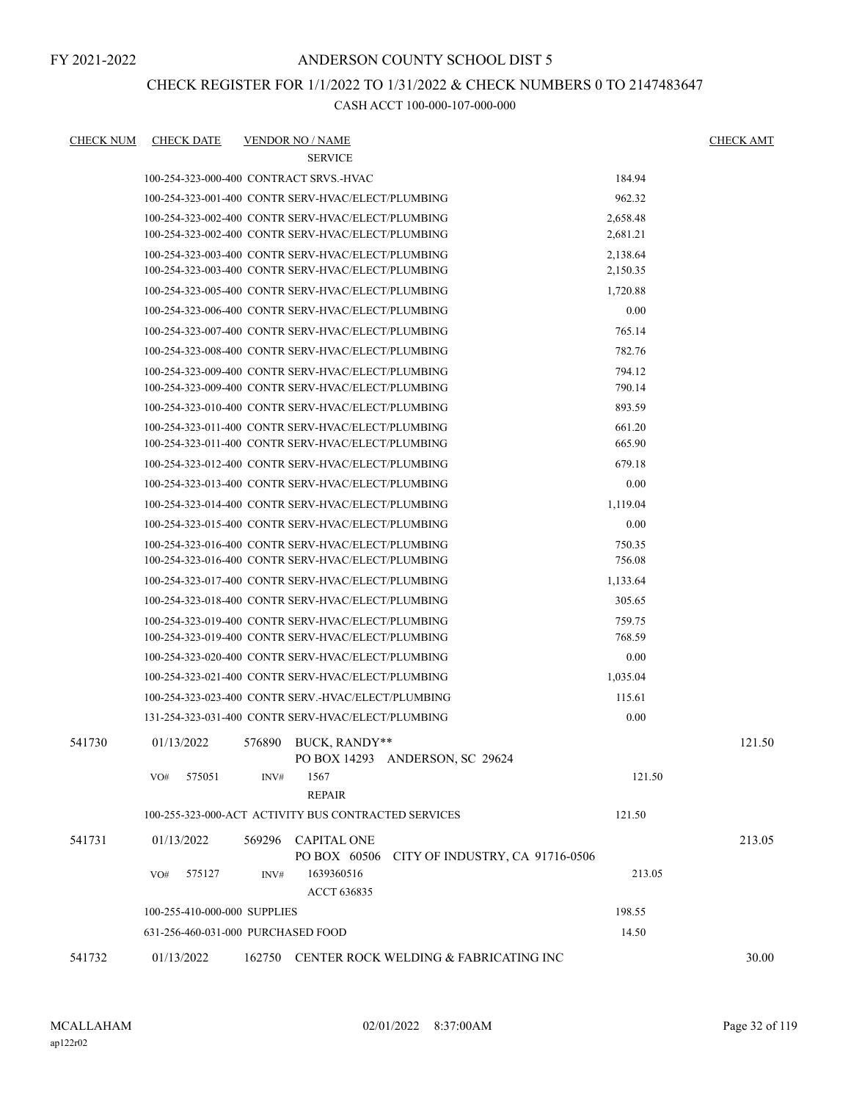### ANDERSON COUNTY SCHOOL DIST 5

# CHECK REGISTER FOR 1/1/2022 TO 1/31/2022 & CHECK NUMBERS 0 TO 2147483647

| CHECK NUM | <b>CHECK DATE</b>                                                                                        |        | <b>VENDOR NO / NAME</b> |                                       |                  | <b>CHECK AMT</b> |
|-----------|----------------------------------------------------------------------------------------------------------|--------|-------------------------|---------------------------------------|------------------|------------------|
|           |                                                                                                          |        | <b>SERVICE</b>          |                                       |                  |                  |
|           | 100-254-323-000-400 CONTRACT SRVS.-HVAC                                                                  |        |                         |                                       | 184.94           |                  |
|           | 100-254-323-001-400 CONTR SERV-HVAC/ELECT/PLUMBING                                                       |        |                         |                                       | 962.32           |                  |
|           | 100-254-323-002-400 CONTR SERV-HVAC/ELECT/PLUMBING                                                       |        |                         |                                       | 2,658.48         |                  |
|           | 100-254-323-002-400 CONTR SERV-HVAC/ELECT/PLUMBING                                                       |        |                         |                                       | 2,681.21         |                  |
|           | 100-254-323-003-400 CONTR SERV-HVAC/ELECT/PLUMBING                                                       |        |                         |                                       | 2,138.64         |                  |
|           | 100-254-323-003-400 CONTR SERV-HVAC/ELECT/PLUMBING                                                       |        |                         |                                       | 2,150.35         |                  |
|           | 100-254-323-005-400 CONTR SERV-HVAC/ELECT/PLUMBING                                                       |        |                         |                                       | 1,720.88         |                  |
|           | 100-254-323-006-400 CONTR SERV-HVAC/ELECT/PLUMBING                                                       |        |                         |                                       | 0.00             |                  |
|           | 100-254-323-007-400 CONTR SERV-HVAC/ELECT/PLUMBING                                                       |        |                         |                                       | 765.14           |                  |
|           | 100-254-323-008-400 CONTR SERV-HVAC/ELECT/PLUMBING                                                       |        |                         |                                       | 782.76           |                  |
|           | 100-254-323-009-400 CONTR SERV-HVAC/ELECT/PLUMBING<br>100-254-323-009-400 CONTR SERV-HVAC/ELECT/PLUMBING |        |                         |                                       | 794.12<br>790.14 |                  |
|           | 100-254-323-010-400 CONTR SERV-HVAC/ELECT/PLUMBING                                                       |        |                         |                                       | 893.59           |                  |
|           | 100-254-323-011-400 CONTR SERV-HVAC/ELECT/PLUMBING                                                       |        |                         |                                       | 661.20           |                  |
|           | 100-254-323-011-400 CONTR SERV-HVAC/ELECT/PLUMBING                                                       |        |                         |                                       | 665.90           |                  |
|           | 100-254-323-012-400 CONTR SERV-HVAC/ELECT/PLUMBING                                                       |        |                         |                                       | 679.18           |                  |
|           | 100-254-323-013-400 CONTR SERV-HVAC/ELECT/PLUMBING                                                       |        |                         |                                       | 0.00             |                  |
|           | 100-254-323-014-400 CONTR SERV-HVAC/ELECT/PLUMBING                                                       |        |                         |                                       | 1,119.04         |                  |
|           | 100-254-323-015-400 CONTR SERV-HVAC/ELECT/PLUMBING                                                       |        |                         |                                       | 0.00             |                  |
|           | 100-254-323-016-400 CONTR SERV-HVAC/ELECT/PLUMBING                                                       |        |                         |                                       | 750.35           |                  |
|           | 100-254-323-016-400 CONTR SERV-HVAC/ELECT/PLUMBING                                                       |        |                         |                                       | 756.08           |                  |
|           | 100-254-323-017-400 CONTR SERV-HVAC/ELECT/PLUMBING                                                       |        |                         |                                       | 1,133.64         |                  |
|           | 100-254-323-018-400 CONTR SERV-HVAC/ELECT/PLUMBING                                                       |        |                         |                                       | 305.65           |                  |
|           | 100-254-323-019-400 CONTR SERV-HVAC/ELECT/PLUMBING                                                       |        |                         |                                       | 759.75           |                  |
|           | 100-254-323-019-400 CONTR SERV-HVAC/ELECT/PLUMBING                                                       |        |                         |                                       | 768.59           |                  |
|           | 100-254-323-020-400 CONTR SERV-HVAC/ELECT/PLUMBING                                                       |        |                         |                                       | 0.00             |                  |
|           | 100-254-323-021-400 CONTR SERV-HVAC/ELECT/PLUMBING                                                       |        |                         |                                       | 1.035.04         |                  |
|           | 100-254-323-023-400 CONTR SERV.-HVAC/ELECT/PLUMBING                                                      |        |                         |                                       | 115.61           |                  |
|           | 131-254-323-031-400 CONTR SERV-HVAC/ELECT/PLUMBING                                                       |        |                         |                                       | 0.00             |                  |
| 541730    | 01/13/2022                                                                                               |        | 576890 BUCK, RANDY**    |                                       |                  | 121.50           |
|           |                                                                                                          |        |                         | PO BOX 14293 ANDERSON, SC 29624       |                  |                  |
|           | 575051<br>VO#                                                                                            | INV#   | 1567                    |                                       | 121.50           |                  |
|           |                                                                                                          |        | <b>REPAIR</b>           |                                       |                  |                  |
|           | 100-255-323-000-ACT ACTIVITY BUS CONTRACTED SERVICES                                                     |        |                         |                                       | 121.50           |                  |
| 541731    | 01/13/2022                                                                                               |        | 569296 CAPITAL ONE      |                                       |                  | 213.05           |
|           |                                                                                                          |        | PO BOX 60506            | CITY OF INDUSTRY, CA 91716-0506       |                  |                  |
|           | 575127<br>VO#                                                                                            | INV#   | 1639360516              |                                       | 213.05           |                  |
|           |                                                                                                          |        | <b>ACCT 636835</b>      |                                       |                  |                  |
|           | 198.55<br>100-255-410-000-000 SUPPLIES                                                                   |        |                         |                                       |                  |                  |
|           | 631-256-460-031-000 PURCHASED FOOD                                                                       |        |                         |                                       | 14.50            |                  |
| 541732    | 01/13/2022                                                                                               | 162750 |                         | CENTER ROCK WELDING & FABRICATING INC |                  | 30.00            |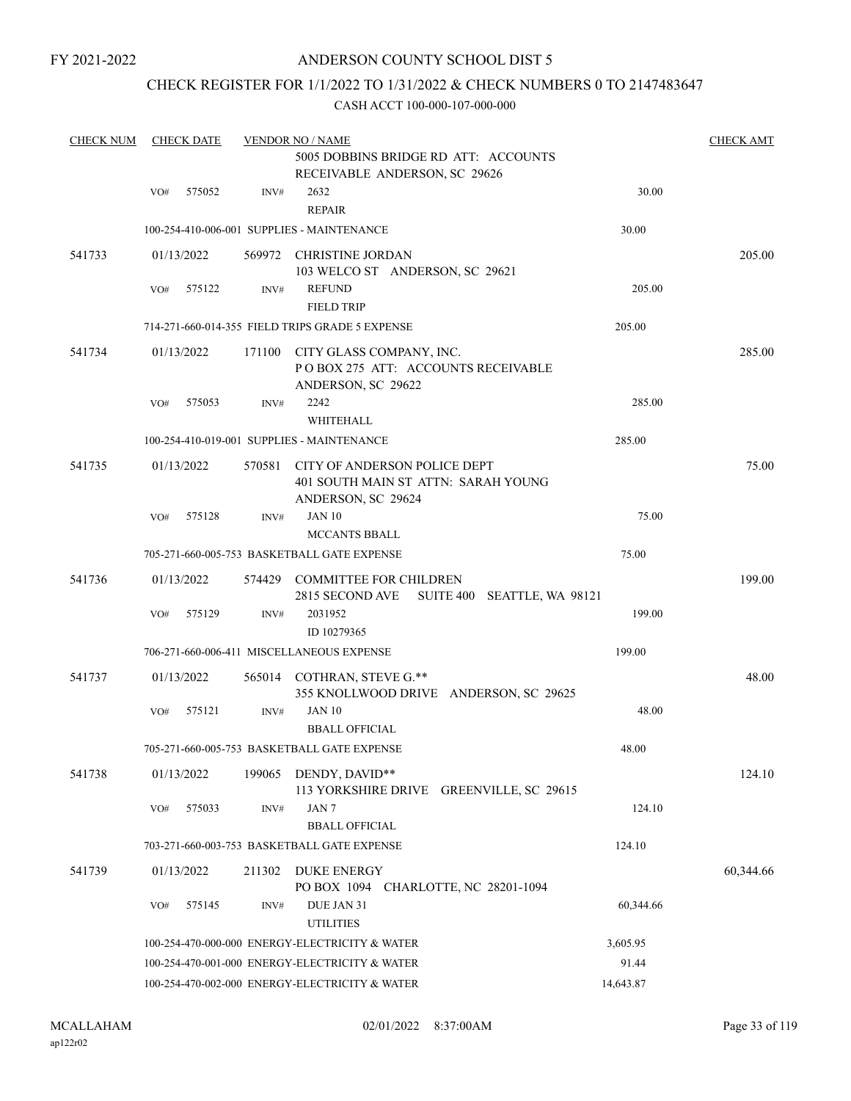## ANDERSON COUNTY SCHOOL DIST 5

# CHECK REGISTER FOR 1/1/2022 TO 1/31/2022 & CHECK NUMBERS 0 TO 2147483647

| <b>CHECK NUM</b> |     | <b>CHECK DATE</b><br><b>VENDOR NO / NAME</b> |        |                                                                                           |           |           |  |
|------------------|-----|----------------------------------------------|--------|-------------------------------------------------------------------------------------------|-----------|-----------|--|
|                  |     |                                              |        | 5005 DOBBINS BRIDGE RD ATT: ACCOUNTS<br>RECEIVABLE ANDERSON, SC 29626                     |           |           |  |
|                  | VO# | 575052                                       | INV#   | 2632<br><b>REPAIR</b>                                                                     | 30.00     |           |  |
|                  |     |                                              |        | 100-254-410-006-001 SUPPLIES - MAINTENANCE                                                | 30.00     |           |  |
| 541733           |     | 01/13/2022                                   |        | 569972 CHRISTINE JORDAN<br>103 WELCO ST ANDERSON, SC 29621                                |           | 205.00    |  |
|                  | VO# | 575122                                       | INV#   | <b>REFUND</b><br><b>FIELD TRIP</b>                                                        | 205.00    |           |  |
|                  |     |                                              |        | 714-271-660-014-355 FIELD TRIPS GRADE 5 EXPENSE                                           | 205.00    |           |  |
| 541734           |     | 01/13/2022                                   | 171100 | CITY GLASS COMPANY, INC.<br>POBOX 275 ATT: ACCOUNTS RECEIVABLE<br>ANDERSON, SC 29622      |           | 285.00    |  |
|                  | VO# | 575053                                       | INV#   | 2242<br>WHITEHALL                                                                         | 285.00    |           |  |
|                  |     |                                              |        | 100-254-410-019-001 SUPPLIES - MAINTENANCE                                                | 285.00    |           |  |
| 541735           |     | 01/13/2022                                   | 570581 | CITY OF ANDERSON POLICE DEPT<br>401 SOUTH MAIN ST ATTN: SARAH YOUNG<br>ANDERSON, SC 29624 |           | 75.00     |  |
|                  | VO# | 575128                                       | INV#   | <b>JAN 10</b><br><b>MCCANTS BBALL</b>                                                     | 75.00     |           |  |
|                  |     |                                              |        | 705-271-660-005-753 BASKETBALL GATE EXPENSE                                               | 75.00     |           |  |
| 541736           |     | 01/13/2022                                   |        | 574429 COMMITTEE FOR CHILDREN<br>SUITE 400 SEATTLE, WA 98121<br>2815 SECOND AVE           |           | 199.00    |  |
|                  | VO# | 575129                                       | INV#   | 2031952<br>ID 10279365                                                                    | 199.00    |           |  |
|                  |     |                                              |        | 706-271-660-006-411 MISCELLANEOUS EXPENSE                                                 | 199.00    |           |  |
| 541737           |     | 01/13/2022                                   |        | 565014 COTHRAN, STEVE G.**<br>355 KNOLLWOOD DRIVE ANDERSON, SC 29625                      |           | 48.00     |  |
|                  | VO# | 575121                                       | INV#   | <b>JAN 10</b><br><b>BBALL OFFICIAL</b>                                                    | 48.00     |           |  |
|                  |     |                                              |        | 705-271-660-005-753 BASKETBALL GATE EXPENSE                                               | 48.00     |           |  |
| 541738           |     | 01/13/2022                                   | 199065 | DENDY, DAVID**<br>113 YORKSHIRE DRIVE GREENVILLE, SC 29615                                |           | 124.10    |  |
|                  | VO# | 575033                                       | INV#   | JAN 7<br><b>BBALL OFFICIAL</b>                                                            | 124.10    |           |  |
|                  |     |                                              |        | 703-271-660-003-753 BASKETBALL GATE EXPENSE                                               | 124.10    |           |  |
| 541739           |     | 01/13/2022                                   | 211302 | <b>DUKE ENERGY</b><br>PO BOX 1094 CHARLOTTE, NC 28201-1094                                |           | 60,344.66 |  |
|                  | VO# | 575145                                       | INV#   | DUE JAN 31<br><b>UTILITIES</b>                                                            | 60,344.66 |           |  |
|                  |     |                                              |        | 100-254-470-000-000 ENERGY-ELECTRICITY & WATER                                            | 3,605.95  |           |  |
|                  |     |                                              |        | 100-254-470-001-000 ENERGY-ELECTRICITY & WATER                                            | 91.44     |           |  |
|                  |     |                                              |        | 100-254-470-002-000 ENERGY-ELECTRICITY & WATER                                            | 14,643.87 |           |  |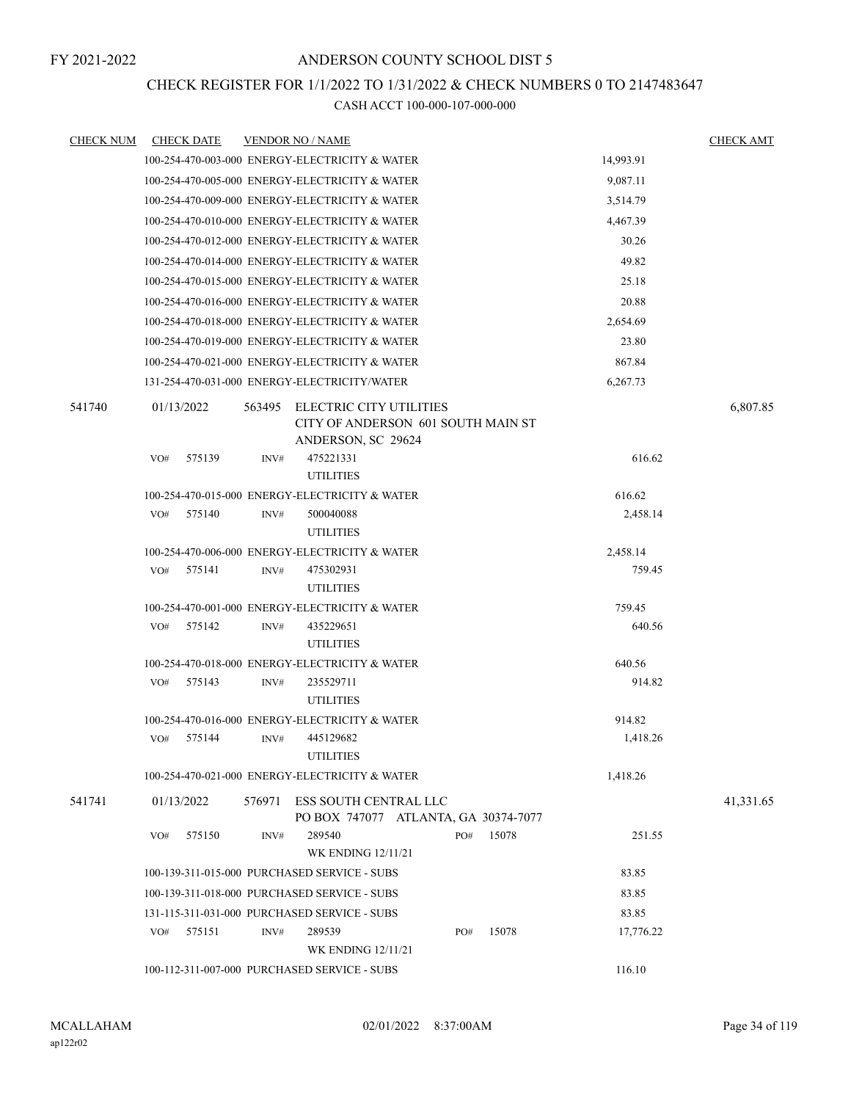## CHECK REGISTER FOR 1/1/2022 TO 1/31/2022 & CHECK NUMBERS 0 TO 2147483647

| <b>CHECK NUM</b> |     | <b>CHECK DATE</b> |        | <b>VENDOR NO / NAME</b>                                                             |        |          |           | <b>CHECK AMT</b> |
|------------------|-----|-------------------|--------|-------------------------------------------------------------------------------------|--------|----------|-----------|------------------|
|                  |     |                   |        | 100-254-470-003-000 ENERGY-ELECTRICITY & WATER                                      |        |          | 14,993.91 |                  |
|                  |     |                   |        | 100-254-470-005-000 ENERGY-ELECTRICITY & WATER                                      |        |          | 9,087.11  |                  |
|                  |     |                   |        | 100-254-470-009-000 ENERGY-ELECTRICITY & WATER                                      |        |          | 3,514.79  |                  |
|                  |     |                   |        | 100-254-470-010-000 ENERGY-ELECTRICITY & WATER                                      |        |          | 4,467.39  |                  |
|                  |     |                   |        | 100-254-470-012-000 ENERGY-ELECTRICITY & WATER                                      |        |          | 30.26     |                  |
|                  |     |                   |        | 100-254-470-014-000 ENERGY-ELECTRICITY & WATER                                      |        |          | 49.82     |                  |
|                  |     |                   |        | 100-254-470-015-000 ENERGY-ELECTRICITY & WATER                                      |        |          | 25.18     |                  |
|                  |     |                   |        | 100-254-470-016-000 ENERGY-ELECTRICITY & WATER                                      |        | 20.88    |           |                  |
|                  |     |                   |        | 100-254-470-018-000 ENERGY-ELECTRICITY & WATER                                      |        | 2,654.69 |           |                  |
|                  |     |                   |        | 100-254-470-019-000 ENERGY-ELECTRICITY & WATER                                      |        |          | 23.80     |                  |
|                  |     |                   |        | 100-254-470-021-000 ENERGY-ELECTRICITY & WATER                                      | 867.84 |          |           |                  |
|                  |     |                   |        | 131-254-470-031-000 ENERGY-ELECTRICITY/WATER                                        |        |          | 6,267.73  |                  |
| 541740           |     | 01/13/2022        | 563495 | ELECTRIC CITY UTILITIES<br>CITY OF ANDERSON 601 SOUTH MAIN ST<br>ANDERSON, SC 29624 |        |          |           | 6,807.85         |
|                  | VO# | 575139            | INV#   | 475221331                                                                           |        |          | 616.62    |                  |
|                  |     |                   |        | <b>UTILITIES</b>                                                                    |        |          |           |                  |
|                  |     |                   |        | 100-254-470-015-000 ENERGY-ELECTRICITY & WATER                                      |        |          | 616.62    |                  |
|                  | VO# | 575140            | INV#   | 500040088                                                                           |        |          | 2,458.14  |                  |
|                  |     |                   |        | <b>UTILITIES</b>                                                                    |        |          |           |                  |
|                  |     |                   |        | 100-254-470-006-000 ENERGY-ELECTRICITY & WATER                                      |        |          | 2,458.14  |                  |
|                  | VO# | 575141            | INV#   | 475302931<br><b>UTILITIES</b>                                                       |        |          | 759.45    |                  |
|                  |     |                   |        | 100-254-470-001-000 ENERGY-ELECTRICITY & WATER                                      |        |          | 759.45    |                  |
|                  | VO# | 575142            | INV#   | 435229651<br><b>UTILITIES</b>                                                       |        |          | 640.56    |                  |
|                  |     |                   |        | 100-254-470-018-000 ENERGY-ELECTRICITY & WATER                                      |        |          | 640.56    |                  |
|                  | VO# | 575143            | INV#   | 235529711                                                                           |        |          | 914.82    |                  |
|                  |     |                   |        | <b>UTILITIES</b>                                                                    |        |          |           |                  |
|                  |     |                   |        | 100-254-470-016-000 ENERGY-ELECTRICITY & WATER                                      |        |          | 914.82    |                  |
|                  | VO# | 575144            | INV#   | 445129682                                                                           |        |          | 1,418.26  |                  |
|                  |     |                   |        | <b>UTILITIES</b>                                                                    |        |          |           |                  |
|                  |     |                   |        | 100-254-470-021-000 ENERGY-ELECTRICITY & WATER                                      |        |          | 1,418.26  |                  |
| 541741           |     | 01/13/2022        | 576971 | ESS SOUTH CENTRAL LLC<br>PO BOX 747077 ATLANTA, GA 30374-7077                       |        |          |           | 41,331.65        |
|                  | VO# | 575150            | INV#   | 289540<br><b>WK ENDING 12/11/21</b>                                                 | PO#    | 15078    | 251.55    |                  |
|                  |     |                   |        | 100-139-311-015-000 PURCHASED SERVICE - SUBS                                        |        |          | 83.85     |                  |
|                  |     |                   |        | 100-139-311-018-000 PURCHASED SERVICE - SUBS                                        |        |          | 83.85     |                  |
|                  |     |                   |        | 131-115-311-031-000 PURCHASED SERVICE - SUBS                                        |        |          | 83.85     |                  |
|                  | VO# | 575151            | INV#   | 289539                                                                              | PO#    | 15078    | 17,776.22 |                  |
|                  |     |                   |        | <b>WK ENDING 12/11/21</b>                                                           |        |          |           |                  |
|                  |     |                   |        | 100-112-311-007-000 PURCHASED SERVICE - SUBS                                        |        |          | 116.10    |                  |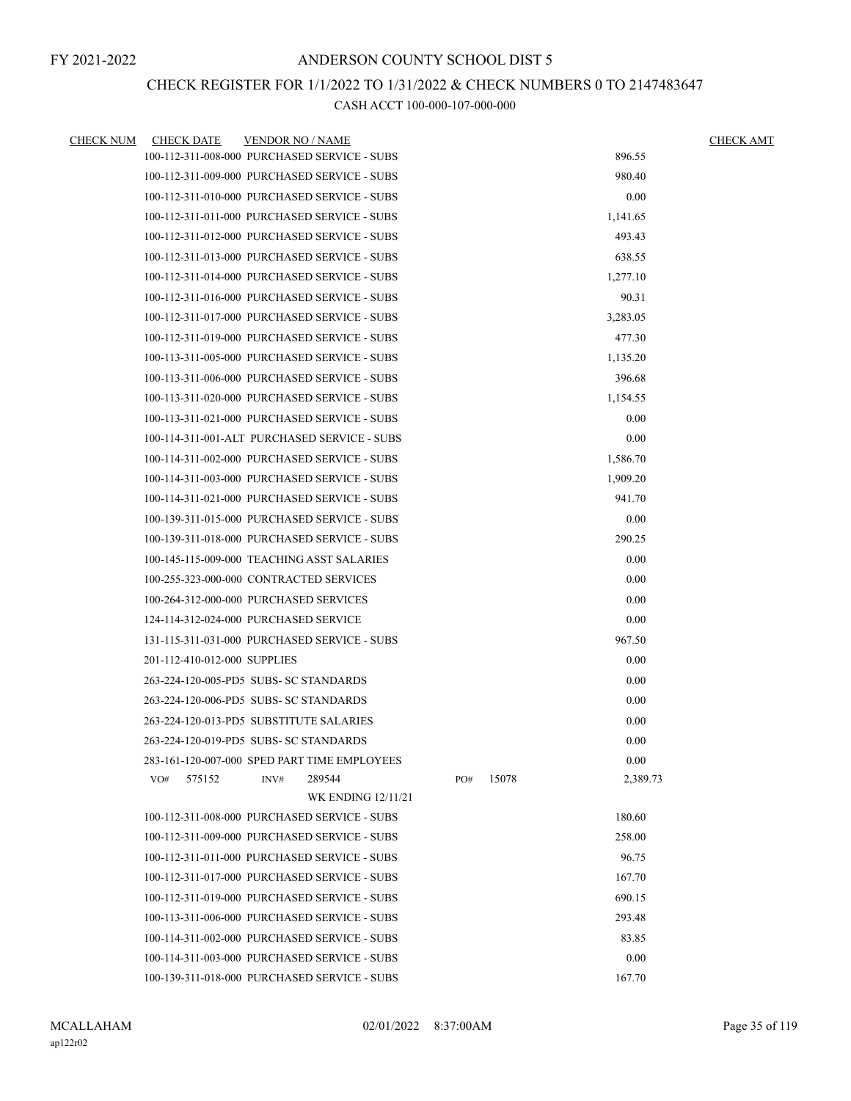### CHECK REGISTER FOR 1/1/2022 TO 1/31/2022 & CHECK NUMBERS 0 TO 2147483647

| <b>CHECK NUM</b> | <b>CHECK DATE</b>            | <b>VENDOR NO / NAME</b>                      |     |       |          | <b>CHECK AMT</b> |
|------------------|------------------------------|----------------------------------------------|-----|-------|----------|------------------|
|                  |                              | 100-112-311-008-000 PURCHASED SERVICE - SUBS |     |       | 896.55   |                  |
|                  |                              | 100-112-311-009-000 PURCHASED SERVICE - SUBS |     |       | 980.40   |                  |
|                  |                              | 100-112-311-010-000 PURCHASED SERVICE - SUBS |     |       | 0.00     |                  |
|                  |                              | 100-112-311-011-000 PURCHASED SERVICE - SUBS |     |       | 1,141.65 |                  |
|                  |                              | 100-112-311-012-000 PURCHASED SERVICE - SUBS |     |       | 493.43   |                  |
|                  |                              | 100-112-311-013-000 PURCHASED SERVICE - SUBS |     |       | 638.55   |                  |
|                  |                              | 100-112-311-014-000 PURCHASED SERVICE - SUBS |     |       | 1,277.10 |                  |
|                  |                              | 100-112-311-016-000 PURCHASED SERVICE - SUBS |     |       | 90.31    |                  |
|                  |                              | 100-112-311-017-000 PURCHASED SERVICE - SUBS |     |       | 3,283.05 |                  |
|                  |                              | 100-112-311-019-000 PURCHASED SERVICE - SUBS |     |       | 477.30   |                  |
|                  |                              | 100-113-311-005-000 PURCHASED SERVICE - SUBS |     |       | 1,135.20 |                  |
|                  |                              | 100-113-311-006-000 PURCHASED SERVICE - SUBS |     |       | 396.68   |                  |
|                  |                              | 100-113-311-020-000 PURCHASED SERVICE - SUBS |     |       | 1,154.55 |                  |
|                  |                              | 100-113-311-021-000 PURCHASED SERVICE - SUBS |     |       | 0.00     |                  |
|                  |                              | 100-114-311-001-ALT PURCHASED SERVICE - SUBS |     |       | 0.00     |                  |
|                  |                              | 100-114-311-002-000 PURCHASED SERVICE - SUBS |     |       | 1,586.70 |                  |
|                  |                              | 100-114-311-003-000 PURCHASED SERVICE - SUBS |     |       | 1,909.20 |                  |
|                  |                              | 100-114-311-021-000 PURCHASED SERVICE - SUBS |     |       | 941.70   |                  |
|                  |                              | 100-139-311-015-000 PURCHASED SERVICE - SUBS |     |       | 0.00     |                  |
|                  |                              | 100-139-311-018-000 PURCHASED SERVICE - SUBS |     |       | 290.25   |                  |
|                  |                              | 100-145-115-009-000 TEACHING ASST SALARIES   |     |       | 0.00     |                  |
|                  |                              | 100-255-323-000-000 CONTRACTED SERVICES      |     |       | 0.00     |                  |
|                  |                              | 100-264-312-000-000 PURCHASED SERVICES       |     |       | 0.00     |                  |
|                  |                              | 124-114-312-024-000 PURCHASED SERVICE        |     |       | 0.00     |                  |
|                  |                              | 131-115-311-031-000 PURCHASED SERVICE - SUBS |     |       | 967.50   |                  |
|                  | 201-112-410-012-000 SUPPLIES |                                              |     |       | 0.00     |                  |
|                  |                              | 263-224-120-005-PD5 SUBS- SC STANDARDS       |     |       | 0.00     |                  |
|                  |                              | 263-224-120-006-PD5 SUBS- SC STANDARDS       |     |       | 0.00     |                  |
|                  |                              | 263-224-120-013-PD5 SUBSTITUTE SALARIES      |     |       | 0.00     |                  |
|                  |                              | 263-224-120-019-PD5 SUBS- SC STANDARDS       |     |       | 0.00     |                  |
|                  |                              | 283-161-120-007-000 SPED PART TIME EMPLOYEES |     |       | 0.00     |                  |
|                  | 575152<br>VO#                | 289544<br>INV#                               | PO# | 15078 | 2,389.73 |                  |
|                  |                              | <b>WK ENDING 12/11/21</b>                    |     |       |          |                  |
|                  |                              | 100-112-311-008-000 PURCHASED SERVICE - SUBS |     |       | 180.60   |                  |
|                  |                              | 100-112-311-009-000 PURCHASED SERVICE - SUBS |     |       | 258.00   |                  |
|                  |                              | 100-112-311-011-000 PURCHASED SERVICE - SUBS |     |       | 96.75    |                  |
|                  |                              | 100-112-311-017-000 PURCHASED SERVICE - SUBS |     |       | 167.70   |                  |
|                  |                              | 100-112-311-019-000 PURCHASED SERVICE - SUBS |     |       | 690.15   |                  |
|                  |                              | 100-113-311-006-000 PURCHASED SERVICE - SUBS |     |       | 293.48   |                  |
|                  |                              | 100-114-311-002-000 PURCHASED SERVICE - SUBS |     |       | 83.85    |                  |
|                  |                              | 100-114-311-003-000 PURCHASED SERVICE - SUBS |     |       | 0.00     |                  |
|                  |                              | 100-139-311-018-000 PURCHASED SERVICE - SUBS |     |       | 167.70   |                  |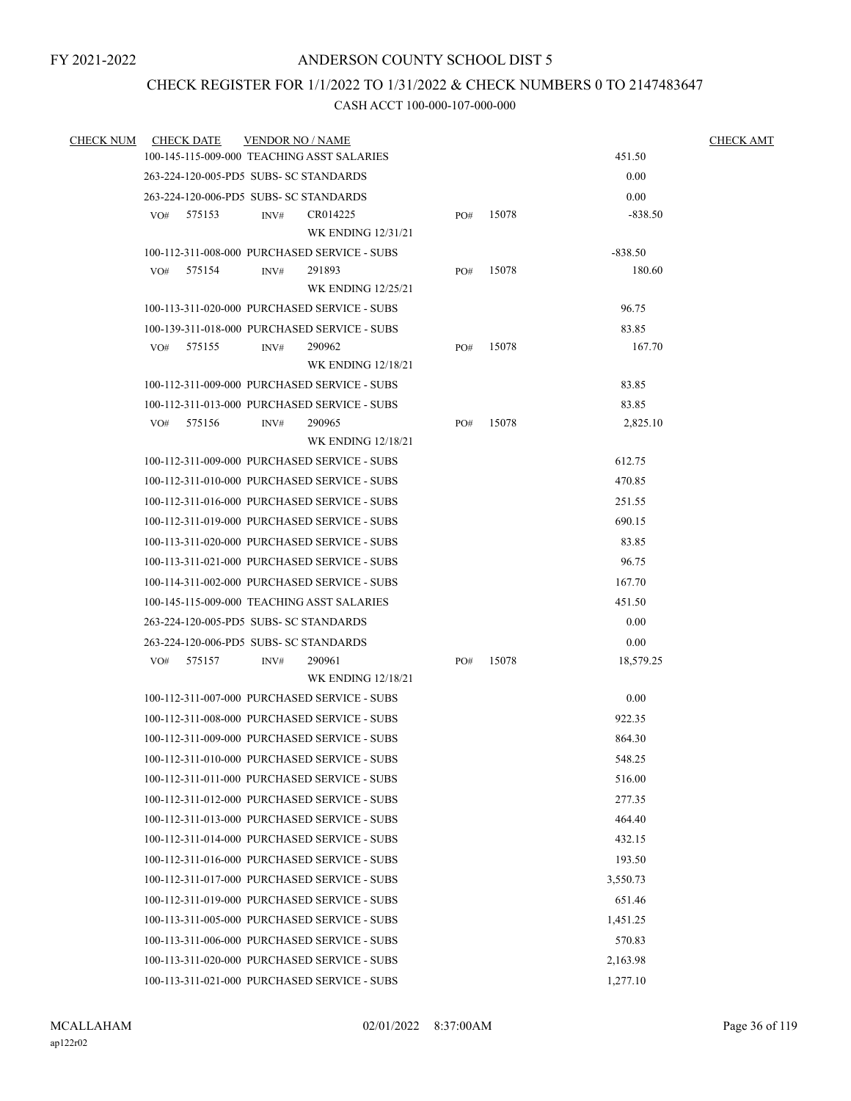# CHECK REGISTER FOR 1/1/2022 TO 1/31/2022 & CHECK NUMBERS 0 TO 2147483647

| <b>CHECK NUM</b> | <b>CHECK DATE</b> | <b>VENDOR NO / NAME</b>                                        |                           |     |       |                 | <b>CHECK AMT</b> |
|------------------|-------------------|----------------------------------------------------------------|---------------------------|-----|-------|-----------------|------------------|
|                  |                   | 100-145-115-009-000 TEACHING ASST SALARIES                     |                           |     |       | 451.50          |                  |
|                  |                   | 263-224-120-005-PD5 SUBS- SC STANDARDS                         |                           |     |       | 0.00            |                  |
|                  |                   | 263-224-120-006-PD5 SUBS- SC STANDARDS                         |                           |     |       | 0.00            |                  |
|                  | 575153<br>VO#     | CR014225<br>INV#                                               |                           | PO# | 15078 | $-838.50$       |                  |
|                  |                   |                                                                | WK ENDING 12/31/21        |     |       |                 |                  |
|                  |                   | 100-112-311-008-000 PURCHASED SERVICE - SUBS                   |                           |     |       | $-838.50$       |                  |
|                  | VO#<br>575154     | 291893<br>INV#                                                 |                           | PO# | 15078 | 180.60          |                  |
|                  |                   |                                                                | <b>WK ENDING 12/25/21</b> |     |       |                 |                  |
|                  |                   | 100-113-311-020-000 PURCHASED SERVICE - SUBS                   |                           |     |       | 96.75           |                  |
|                  | 575155<br>VO#     | 100-139-311-018-000 PURCHASED SERVICE - SUBS<br>INV#<br>290962 |                           | PO# | 15078 | 83.85<br>167.70 |                  |
|                  |                   |                                                                | <b>WK ENDING 12/18/21</b> |     |       |                 |                  |
|                  |                   | 100-112-311-009-000 PURCHASED SERVICE - SUBS                   |                           |     |       | 83.85           |                  |
|                  |                   | 100-112-311-013-000 PURCHASED SERVICE - SUBS                   |                           |     |       | 83.85           |                  |
|                  | 575156<br>VO#     | INV#<br>290965                                                 |                           | PO# | 15078 | 2,825.10        |                  |
|                  |                   |                                                                | <b>WK ENDING 12/18/21</b> |     |       |                 |                  |
|                  |                   | 100-112-311-009-000 PURCHASED SERVICE - SUBS                   |                           |     |       | 612.75          |                  |
|                  |                   | 100-112-311-010-000 PURCHASED SERVICE - SUBS                   |                           |     |       | 470.85          |                  |
|                  |                   | 100-112-311-016-000 PURCHASED SERVICE - SUBS                   |                           |     |       | 251.55          |                  |
|                  |                   | 100-112-311-019-000 PURCHASED SERVICE - SUBS                   |                           |     |       | 690.15          |                  |
|                  |                   | 100-113-311-020-000 PURCHASED SERVICE - SUBS                   |                           |     |       | 83.85           |                  |
|                  |                   | 100-113-311-021-000 PURCHASED SERVICE - SUBS                   |                           |     |       | 96.75           |                  |
|                  |                   | 100-114-311-002-000 PURCHASED SERVICE - SUBS                   |                           |     |       | 167.70          |                  |
|                  |                   | 100-145-115-009-000 TEACHING ASST SALARIES                     |                           |     |       | 451.50          |                  |
|                  |                   | 263-224-120-005-PD5 SUBS- SC STANDARDS                         |                           |     |       | 0.00            |                  |
|                  |                   | 263-224-120-006-PD5 SUBS- SC STANDARDS                         |                           |     |       | 0.00            |                  |
|                  | 575157<br>VO#     | 290961<br>INV#                                                 |                           | PO# | 15078 | 18,579.25       |                  |
|                  |                   |                                                                | <b>WK ENDING 12/18/21</b> |     |       |                 |                  |
|                  |                   | 100-112-311-007-000 PURCHASED SERVICE - SUBS                   |                           |     |       | 0.00            |                  |
|                  |                   | 100-112-311-008-000 PURCHASED SERVICE - SUBS                   |                           |     |       | 922.35          |                  |
|                  |                   | 100-112-311-009-000 PURCHASED SERVICE - SUBS                   |                           |     |       | 864.30          |                  |
|                  |                   | 100-112-311-010-000 PURCHASED SERVICE - SUBS                   |                           |     |       | 548.25          |                  |
|                  |                   | 100-112-311-011-000 PURCHASED SERVICE - SUBS                   |                           |     |       | 516.00          |                  |
|                  |                   | 100-112-311-012-000 PURCHASED SERVICE - SUBS                   |                           |     |       | 277.35          |                  |
|                  |                   | 100-112-311-013-000 PURCHASED SERVICE - SUBS                   |                           |     |       | 464.40          |                  |
|                  |                   | 100-112-311-014-000 PURCHASED SERVICE - SUBS                   |                           |     |       | 432.15          |                  |
|                  |                   | 100-112-311-016-000 PURCHASED SERVICE - SUBS                   |                           |     |       | 193.50          |                  |
|                  |                   | 100-112-311-017-000 PURCHASED SERVICE - SUBS                   |                           |     |       | 3,550.73        |                  |
|                  |                   | 100-112-311-019-000 PURCHASED SERVICE - SUBS                   |                           |     |       | 651.46          |                  |
|                  |                   | 100-113-311-005-000 PURCHASED SERVICE - SUBS                   |                           |     |       | 1,451.25        |                  |
|                  |                   | 100-113-311-006-000 PURCHASED SERVICE - SUBS                   |                           |     |       | 570.83          |                  |
|                  |                   | 100-113-311-020-000 PURCHASED SERVICE - SUBS                   |                           |     |       | 2,163.98        |                  |
|                  |                   | 100-113-311-021-000 PURCHASED SERVICE - SUBS                   |                           |     |       | 1,277.10        |                  |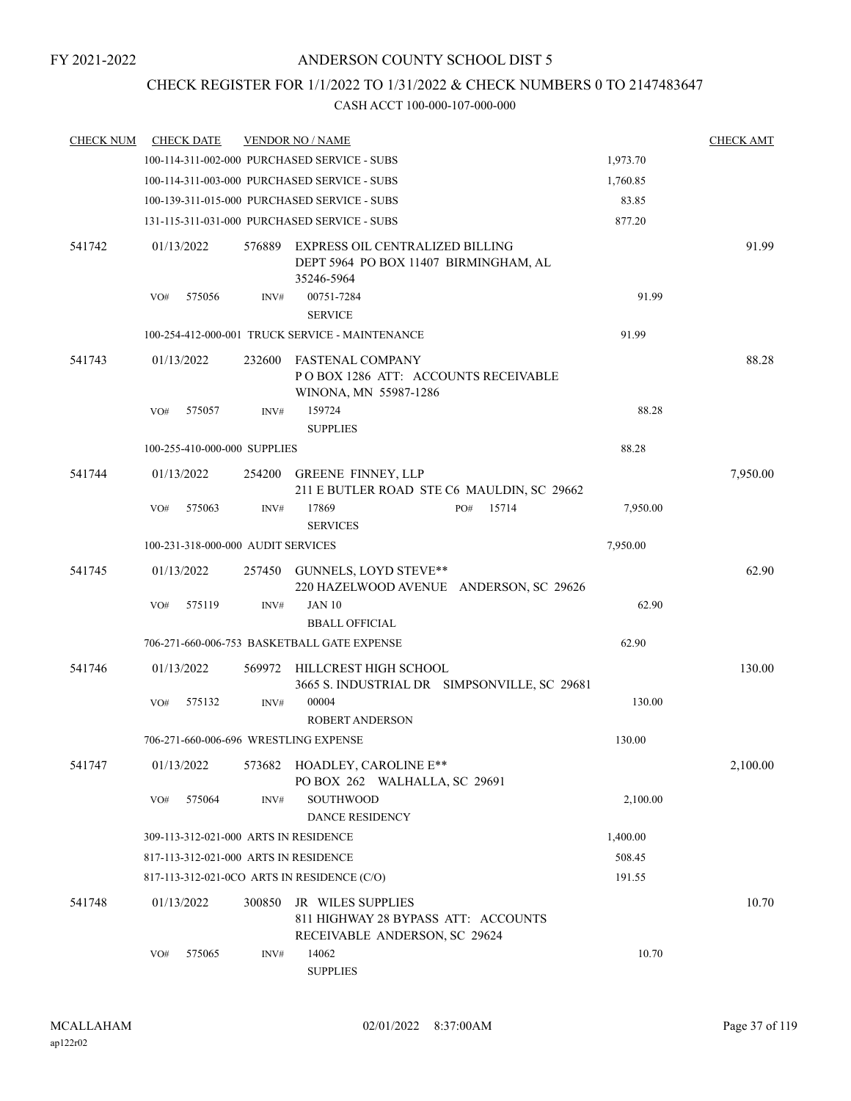### CHECK REGISTER FOR 1/1/2022 TO 1/31/2022 & CHECK NUMBERS 0 TO 2147483647

| <b>CHECK NUM</b> | <b>CHECK DATE</b>                     |        | <b>VENDOR NO / NAME</b>                                                                   |          | <b>CHECK AMT</b> |
|------------------|---------------------------------------|--------|-------------------------------------------------------------------------------------------|----------|------------------|
|                  |                                       |        | 100-114-311-002-000 PURCHASED SERVICE - SUBS                                              | 1,973.70 |                  |
|                  |                                       |        | 100-114-311-003-000 PURCHASED SERVICE - SUBS                                              | 1,760.85 |                  |
|                  |                                       |        | 100-139-311-015-000 PURCHASED SERVICE - SUBS                                              | 83.85    |                  |
|                  |                                       |        | 131-115-311-031-000 PURCHASED SERVICE - SUBS                                              | 877.20   |                  |
| 541742           | 01/13/2022                            | 576889 | EXPRESS OIL CENTRALIZED BILLING<br>DEPT 5964 PO BOX 11407 BIRMINGHAM, AL<br>35246-5964    |          | 91.99            |
|                  | 575056<br>VO#                         | INV#   | 00751-7284<br><b>SERVICE</b>                                                              | 91.99    |                  |
|                  |                                       |        | 100-254-412-000-001 TRUCK SERVICE - MAINTENANCE                                           | 91.99    |                  |
| 541743           | 01/13/2022                            | 232600 | FASTENAL COMPANY<br>POBOX 1286 ATT: ACCOUNTS RECEIVABLE<br>WINONA, MN 55987-1286          |          | 88.28            |
|                  | 575057<br>VO#                         | INV#   | 159724<br><b>SUPPLIES</b>                                                                 | 88.28    |                  |
|                  | 100-255-410-000-000 SUPPLIES          |        |                                                                                           | 88.28    |                  |
| 541744           | 01/13/2022                            | 254200 | <b>GREENE FINNEY, LLP</b><br>211 E BUTLER ROAD STE C6 MAULDIN, SC 29662                   |          | 7,950.00         |
|                  | 575063<br>VO#                         | INV#   | 15714<br>17869<br>PO#<br><b>SERVICES</b>                                                  | 7,950.00 |                  |
|                  | 100-231-318-000-000 AUDIT SERVICES    |        |                                                                                           | 7,950.00 |                  |
| 541745           | 01/13/2022                            | 257450 | GUNNELS, LOYD STEVE**<br>220 HAZELWOOD AVENUE ANDERSON, SC 29626                          |          | 62.90            |
|                  | 575119<br>VO#                         | INV#   | <b>JAN 10</b>                                                                             | 62.90    |                  |
|                  |                                       |        | <b>BBALL OFFICIAL</b>                                                                     |          |                  |
|                  |                                       |        | 706-271-660-006-753 BASKETBALL GATE EXPENSE                                               | 62.90    |                  |
| 541746           | 01/13/2022                            | 569972 | HILLCREST HIGH SCHOOL<br>3665 S. INDUSTRIAL DR SIMPSONVILLE, SC 29681                     |          | 130.00           |
|                  | 575132<br>VO#                         | INV#   | 00004<br><b>ROBERT ANDERSON</b>                                                           | 130.00   |                  |
|                  | 706-271-660-006-696 WRESTLING EXPENSE |        |                                                                                           | 130.00   |                  |
| 541747           | 01/13/2022                            |        | 573682 HOADLEY, CAROLINE E**<br>PO BOX 262 WALHALLA, SC 29691                             |          | 2,100.00         |
|                  | VO#<br>575064                         | INV#   | SOUTHWOOD<br><b>DANCE RESIDENCY</b>                                                       | 2,100.00 |                  |
|                  | 309-113-312-021-000 ARTS IN RESIDENCE |        |                                                                                           | 1,400.00 |                  |
|                  | 817-113-312-021-000 ARTS IN RESIDENCE |        |                                                                                           | 508.45   |                  |
|                  |                                       |        | 817-113-312-021-0CO ARTS IN RESIDENCE (C/O)                                               | 191.55   |                  |
| 541748           | 01/13/2022                            | 300850 | JR WILES SUPPLIES<br>811 HIGHWAY 28 BYPASS ATT: ACCOUNTS<br>RECEIVABLE ANDERSON, SC 29624 |          | 10.70            |
|                  | 575065<br>VO#                         | INV#   | 14062<br><b>SUPPLIES</b>                                                                  | 10.70    |                  |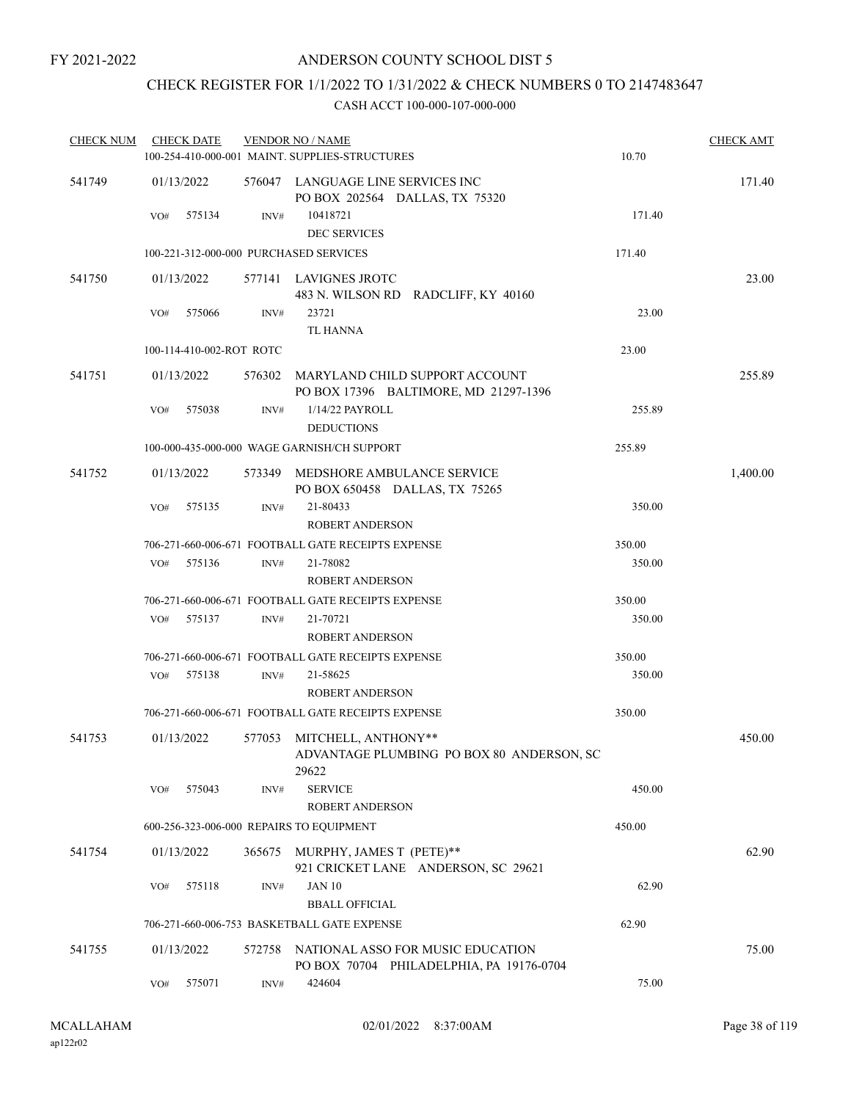## CHECK REGISTER FOR 1/1/2022 TO 1/31/2022 & CHECK NUMBERS 0 TO 2147483647

| <b>CHECK NUM</b> | <b>CHECK DATE</b>        |        | <b>VENDOR NO / NAME</b>                                                          |        | <b>CHECK AMT</b> |
|------------------|--------------------------|--------|----------------------------------------------------------------------------------|--------|------------------|
|                  |                          |        | 100-254-410-000-001 MAINT, SUPPLIES-STRUCTURES                                   | 10.70  |                  |
| 541749           | 01/13/2022               |        | 576047 LANGUAGE LINE SERVICES INC<br>PO BOX 202564 DALLAS, TX 75320              |        | 171.40           |
|                  | VO#<br>575134            | INV#   | 10418721<br><b>DEC SERVICES</b>                                                  | 171.40 |                  |
|                  |                          |        | 100-221-312-000-000 PURCHASED SERVICES                                           | 171.40 |                  |
| 541750           | 01/13/2022               |        | 577141 LAVIGNES JROTC                                                            |        | 23.00            |
|                  |                          |        | 483 N. WILSON RD RADCLIFF, KY 40160                                              |        |                  |
|                  | 575066<br>VO#            | INV#   | 23721                                                                            | 23.00  |                  |
|                  |                          |        | TL HANNA                                                                         |        |                  |
|                  | 100-114-410-002-ROT ROTC |        |                                                                                  | 23.00  |                  |
| 541751           | 01/13/2022               | 576302 | MARYLAND CHILD SUPPORT ACCOUNT<br>PO BOX 17396 BALTIMORE, MD 21297-1396          |        | 255.89           |
|                  | 575038<br>VO#            | INV#   | 1/14/22 PAYROLL                                                                  | 255.89 |                  |
|                  |                          |        | <b>DEDUCTIONS</b>                                                                |        |                  |
|                  |                          |        | 100-000-435-000-000 WAGE GARNISH/CH SUPPORT                                      | 255.89 |                  |
| 541752           | 01/13/2022               | 573349 | MEDSHORE AMBULANCE SERVICE<br>PO BOX 650458 DALLAS, TX 75265                     |        | 1,400.00         |
|                  | 575135<br>VO#            | INV#   | 21-80433<br><b>ROBERT ANDERSON</b>                                               | 350.00 |                  |
|                  |                          |        | 706-271-660-006-671 FOOTBALL GATE RECEIPTS EXPENSE                               | 350.00 |                  |
|                  | 575136<br>VO#            | INV#   | 21-78082                                                                         | 350.00 |                  |
|                  |                          |        | <b>ROBERT ANDERSON</b>                                                           |        |                  |
|                  |                          |        | 706-271-660-006-671 FOOTBALL GATE RECEIPTS EXPENSE                               | 350.00 |                  |
|                  | 575137<br>VO#            | INV#   | 21-70721                                                                         | 350.00 |                  |
|                  |                          |        | <b>ROBERT ANDERSON</b>                                                           |        |                  |
|                  |                          |        | 706-271-660-006-671 FOOTBALL GATE RECEIPTS EXPENSE                               | 350.00 |                  |
|                  | 575138<br>VO#            | INV#   | 21-58625                                                                         | 350.00 |                  |
|                  |                          |        | <b>ROBERT ANDERSON</b>                                                           |        |                  |
|                  |                          |        | 706-271-660-006-671 FOOTBALL GATE RECEIPTS EXPENSE                               | 350.00 |                  |
| 541753           | 01/13/2022               |        | 577053 MITCHELL, ANTHONY**<br>ADVANTAGE PLUMBING PO BOX 80 ANDERSON, SC<br>29622 |        | 450.00           |
|                  | 575043<br>VO#            | INV#   | <b>SERVICE</b><br><b>ROBERT ANDERSON</b>                                         | 450.00 |                  |
|                  |                          |        | 600-256-323-006-000 REPAIRS TO EQUIPMENT                                         | 450.00 |                  |
| 541754           | 01/13/2022               | 365675 | MURPHY, JAMES T (PETE)**<br>921 CRICKET LANE ANDERSON, SC 29621                  |        | 62.90            |
|                  | 575118<br>VO#            | INV#   | <b>JAN 10</b><br><b>BBALL OFFICIAL</b>                                           | 62.90  |                  |
|                  |                          |        | 706-271-660-006-753 BASKETBALL GATE EXPENSE                                      | 62.90  |                  |
| 541755           | 01/13/2022               | 572758 | NATIONAL ASSO FOR MUSIC EDUCATION<br>PO BOX 70704 PHILADELPHIA, PA 19176-0704    |        | 75.00            |
|                  | 575071<br>VO#            | INV#   | 424604                                                                           | 75.00  |                  |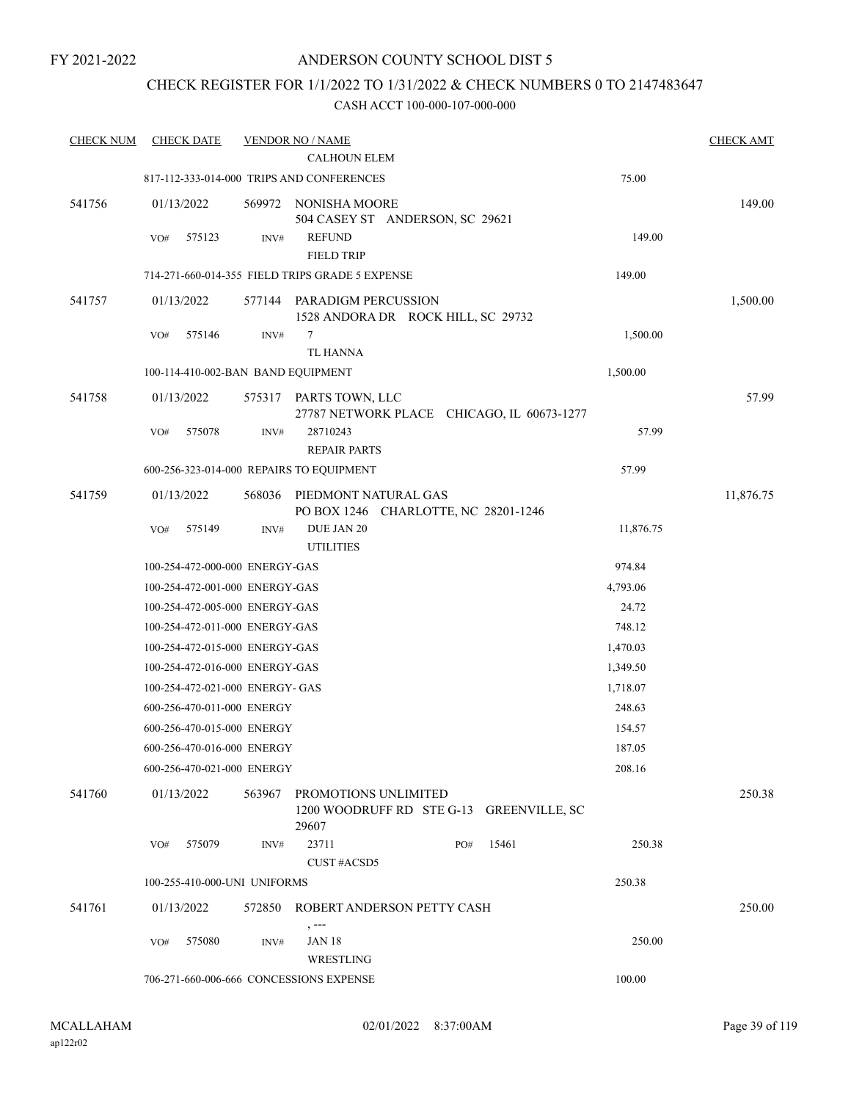### CHECK REGISTER FOR 1/1/2022 TO 1/31/2022 & CHECK NUMBERS 0 TO 2147483647

| <b>CHECK NUM</b> | <b>CHECK DATE</b>                  |        | <b>VENDOR NO / NAME</b><br><b>CALHOUN ELEM</b>                            |     |       |           | <b>CHECK AMT</b> |
|------------------|------------------------------------|--------|---------------------------------------------------------------------------|-----|-------|-----------|------------------|
|                  |                                    |        | 817-112-333-014-000 TRIPS AND CONFERENCES                                 |     |       | 75.00     |                  |
| 541756           | 01/13/2022                         | 569972 | NONISHA MOORE<br>504 CASEY ST ANDERSON, SC 29621                          |     |       |           | 149.00           |
|                  | 575123<br>VO#                      | INV#   | <b>REFUND</b><br><b>FIELD TRIP</b>                                        |     |       | 149.00    |                  |
|                  |                                    |        | 714-271-660-014-355 FIELD TRIPS GRADE 5 EXPENSE                           |     |       | 149.00    |                  |
| 541757           | 01/13/2022                         | 577144 | PARADIGM PERCUSSION<br>1528 ANDORA DR ROCK HILL, SC 29732                 |     |       |           | 1,500.00         |
|                  | 575146<br>VO#                      | INV#   | 7<br><b>TL HANNA</b>                                                      |     |       | 1,500.00  |                  |
|                  | 100-114-410-002-BAN BAND EQUIPMENT |        |                                                                           |     |       | 1,500.00  |                  |
| 541758           | 01/13/2022                         | 575317 | PARTS TOWN, LLC<br>27787 NETWORK PLACE CHICAGO, IL 60673-1277             |     |       |           | 57.99            |
|                  | 575078<br>VO#                      | INV#   | 28710243<br><b>REPAIR PARTS</b>                                           |     |       | 57.99     |                  |
|                  |                                    |        | 600-256-323-014-000 REPAIRS TO EQUIPMENT                                  |     |       | 57.99     |                  |
| 541759           | 01/13/2022                         | 568036 | PIEDMONT NATURAL GAS<br>PO BOX 1246 CHARLOTTE, NC 28201-1246              |     |       |           | 11,876.75        |
|                  | 575149<br>VO#                      | INV#   | DUE JAN 20<br><b>UTILITIES</b>                                            |     |       | 11,876.75 |                  |
|                  | 100-254-472-000-000 ENERGY-GAS     |        |                                                                           |     |       | 974.84    |                  |
|                  | 100-254-472-001-000 ENERGY-GAS     |        |                                                                           |     |       | 4,793.06  |                  |
|                  | 100-254-472-005-000 ENERGY-GAS     |        |                                                                           |     |       | 24.72     |                  |
|                  | 100-254-472-011-000 ENERGY-GAS     |        |                                                                           |     |       | 748.12    |                  |
|                  | 100-254-472-015-000 ENERGY-GAS     |        |                                                                           |     |       | 1,470.03  |                  |
|                  | 100-254-472-016-000 ENERGY-GAS     |        |                                                                           |     |       | 1,349.50  |                  |
|                  | 100-254-472-021-000 ENERGY- GAS    |        |                                                                           |     |       | 1,718.07  |                  |
|                  | 600-256-470-011-000 ENERGY         |        |                                                                           |     |       | 248.63    |                  |
|                  | 600-256-470-015-000 ENERGY         |        |                                                                           |     |       | 154.57    |                  |
|                  | 600-256-470-016-000 ENERGY         |        |                                                                           |     |       | 187.05    |                  |
|                  | 600-256-470-021-000 ENERGY         |        |                                                                           |     |       | 208.16    |                  |
| 541760           | 01/13/2022                         | 563967 | PROMOTIONS UNLIMITED<br>1200 WOODRUFF RD STE G-13 GREENVILLE, SC<br>29607 |     |       |           | 250.38           |
|                  | 575079<br>VO#                      | INV#   | 23711<br>CUST#ACSD5                                                       | PO# | 15461 | 250.38    |                  |
|                  | 100-255-410-000-UNI UNIFORMS       |        |                                                                           |     |       | 250.38    |                  |
| 541761           | 01/13/2022                         | 572850 | ROBERT ANDERSON PETTY CASH                                                |     |       |           | 250.00           |
|                  | 575080<br>VO#                      | INV#   | , ---<br>JAN 18<br>WRESTLING                                              |     |       | 250.00    |                  |
|                  |                                    |        | 706-271-660-006-666 CONCESSIONS EXPENSE                                   |     |       | 100.00    |                  |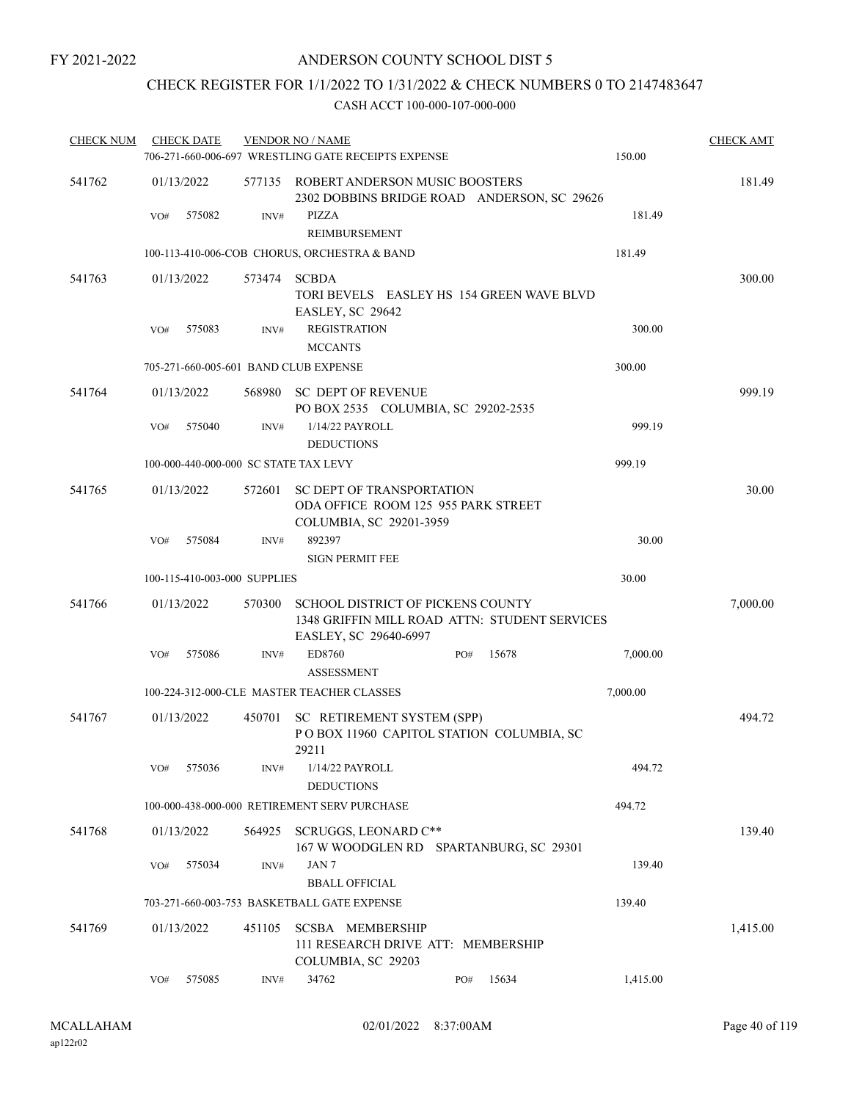# CHECK REGISTER FOR 1/1/2022 TO 1/31/2022 & CHECK NUMBERS 0 TO 2147483647

| <b>CHECK NUM</b> | <b>CHECK DATE</b> |                              |        | <b>VENDOR NO / NAME</b>                                                                            |     |       |          | <b>CHECK AMT</b> |
|------------------|-------------------|------------------------------|--------|----------------------------------------------------------------------------------------------------|-----|-------|----------|------------------|
|                  |                   |                              |        | 706-271-660-006-697 WRESTLING GATE RECEIPTS EXPENSE                                                |     |       | 150.00   |                  |
| 541762           | 01/13/2022        |                              |        | 577135 ROBERT ANDERSON MUSIC BOOSTERS<br>2302 DOBBINS BRIDGE ROAD ANDERSON, SC 29626               |     |       |          | 181.49           |
|                  | VO#               | 575082                       | INV#   | PIZZA<br><b>REIMBURSEMENT</b>                                                                      |     |       | 181.49   |                  |
|                  |                   |                              |        | 100-113-410-006-COB CHORUS, ORCHESTRA & BAND                                                       |     |       | 181.49   |                  |
| 541763           | 01/13/2022        |                              | 573474 | <b>SCBDA</b><br>TORI BEVELS EASLEY HS 154 GREEN WAVE BLVD<br>EASLEY, SC 29642                      |     |       |          | 300.00           |
|                  | VO#               | 575083                       | INV#   | <b>REGISTRATION</b>                                                                                |     |       | 300.00   |                  |
|                  |                   |                              |        | <b>MCCANTS</b>                                                                                     |     |       |          |                  |
|                  |                   |                              |        | 705-271-660-005-601 BAND CLUB EXPENSE                                                              |     |       | 300.00   |                  |
| 541764           | 01/13/2022        |                              | 568980 | <b>SC DEPT OF REVENUE</b><br>PO BOX 2535 COLUMBIA, SC 29202-2535                                   |     |       |          | 999.19           |
|                  | VO#               | 575040                       | INV#   | 1/14/22 PAYROLL<br><b>DEDUCTIONS</b>                                                               |     |       | 999.19   |                  |
|                  |                   |                              |        | 100-000-440-000-000 SC STATE TAX LEVY                                                              |     |       | 999.19   |                  |
| 541765           | 01/13/2022        |                              | 572601 | <b>SC DEPT OF TRANSPORTATION</b><br>ODA OFFICE ROOM 125 955 PARK STREET<br>COLUMBIA, SC 29201-3959 |     |       |          | 30.00            |
|                  | VO#               | 575084                       | INV#   | 892397<br><b>SIGN PERMIT FEE</b>                                                                   |     |       | 30.00    |                  |
|                  |                   | 100-115-410-003-000 SUPPLIES |        |                                                                                                    |     |       | 30.00    |                  |
| 541766           | 01/13/2022        |                              | 570300 | SCHOOL DISTRICT OF PICKENS COUNTY<br>1348 GRIFFIN MILL ROAD ATTN: STUDENT SERVICES                 |     |       |          | 7,000.00         |
|                  |                   |                              |        | EASLEY, SC 29640-6997                                                                              |     |       |          |                  |
|                  | VO#               | 575086                       | INV#   | ED8760<br><b>ASSESSMENT</b>                                                                        | PO# | 15678 | 7,000.00 |                  |
|                  |                   |                              |        | 100-224-312-000-CLE MASTER TEACHER CLASSES                                                         |     |       | 7,000.00 |                  |
| 541767           | 01/13/2022        |                              | 450701 | SC RETIREMENT SYSTEM (SPP)<br>POBOX 11960 CAPITOL STATION COLUMBIA, SC<br>29211                    |     |       |          | 494.72           |
|                  | VO#               | 575036                       | INV#   | 1/14/22 PAYROLL<br><b>DEDUCTIONS</b>                                                               |     |       | 494.72   |                  |
|                  |                   |                              |        | 100-000-438-000-000 RETIREMENT SERV PURCHASE                                                       |     |       | 494.72   |                  |
| 541768           | 01/13/2022        |                              | 564925 | SCRUGGS, LEONARD C**<br>167 W WOODGLEN RD SPARTANBURG, SC 29301                                    |     |       |          | 139.40           |
|                  | VO#               | 575034                       | INV#   | JAN 7<br><b>BBALL OFFICIAL</b>                                                                     |     |       | 139.40   |                  |
|                  |                   |                              |        | 703-271-660-003-753 BASKETBALL GATE EXPENSE                                                        |     |       | 139.40   |                  |
| 541769           | 01/13/2022        |                              | 451105 | <b>SCSBA MEMBERSHIP</b><br>111 RESEARCH DRIVE ATT: MEMBERSHIP<br>COLUMBIA, SC 29203                |     |       |          | 1,415.00         |
|                  | VO#               | 575085                       | INV#   | 34762                                                                                              | PO# | 15634 | 1,415.00 |                  |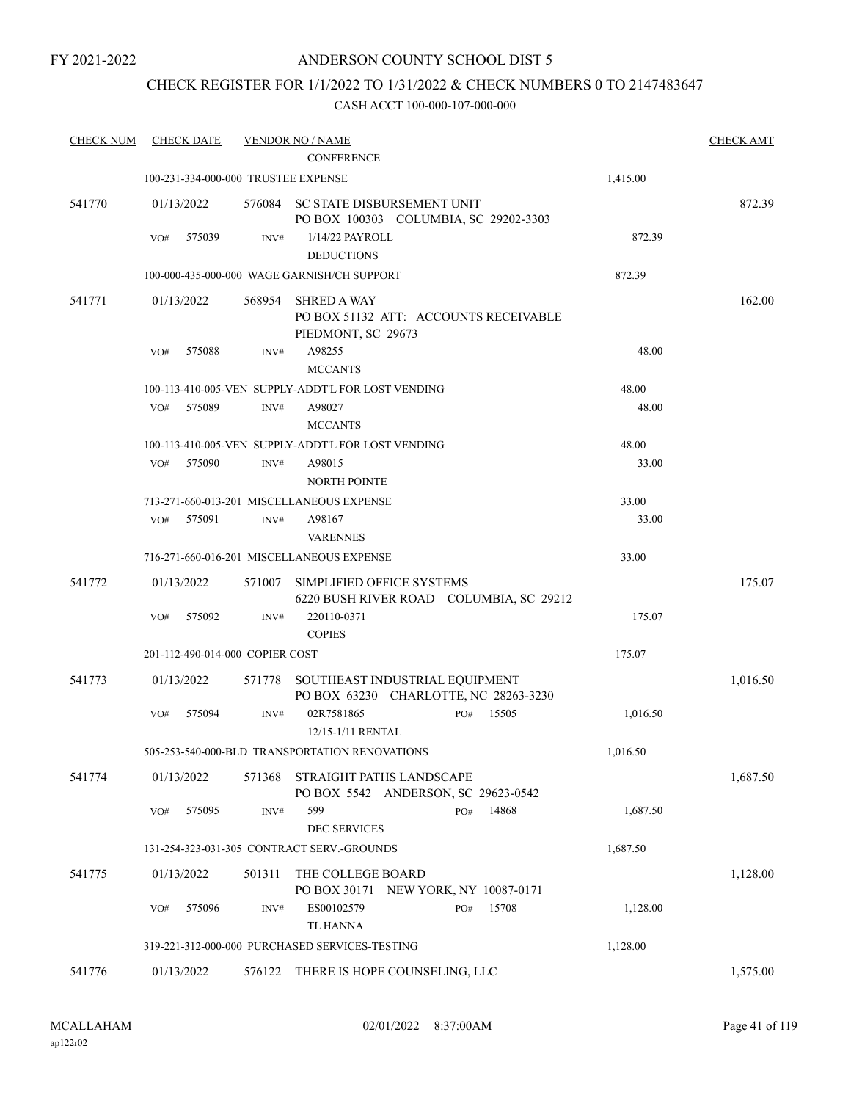FY 2021-2022

### ANDERSON COUNTY SCHOOL DIST 5

# CHECK REGISTER FOR 1/1/2022 TO 1/31/2022 & CHECK NUMBERS 0 TO 2147483647

| <b>CHECK NUM</b> | <b>CHECK DATE</b>                   |        | <b>VENDOR NO / NAME</b>                                                           |          | <b>CHECK AMT</b> |
|------------------|-------------------------------------|--------|-----------------------------------------------------------------------------------|----------|------------------|
|                  |                                     |        | <b>CONFERENCE</b>                                                                 |          |                  |
|                  | 100-231-334-000-000 TRUSTEE EXPENSE |        |                                                                                   | 1,415.00 |                  |
| 541770           | 01/13/2022                          |        | 576084 SC STATE DISBURSEMENT UNIT<br>PO BOX 100303 COLUMBIA, SC 29202-3303        |          | 872.39           |
|                  | 575039<br>VO#                       | INV#   | 1/14/22 PAYROLL<br><b>DEDUCTIONS</b>                                              | 872.39   |                  |
|                  |                                     |        | 100-000-435-000-000 WAGE GARNISH/CH SUPPORT                                       | 872.39   |                  |
| 541771           | 01/13/2022                          | 568954 | <b>SHRED A WAY</b><br>PO BOX 51132 ATT: ACCOUNTS RECEIVABLE<br>PIEDMONT, SC 29673 |          | 162.00           |
|                  | 575088<br>VO#                       | INV#   | A98255<br><b>MCCANTS</b>                                                          | 48.00    |                  |
|                  |                                     |        | 100-113-410-005-VEN SUPPLY-ADDT'L FOR LOST VENDING                                | 48.00    |                  |
|                  | 575089<br>VO#                       | INV#   | A98027<br><b>MCCANTS</b>                                                          | 48.00    |                  |
|                  |                                     |        | 100-113-410-005-VEN SUPPLY-ADDT'L FOR LOST VENDING                                | 48.00    |                  |
|                  | 575090<br>VO#                       | INV#   | A98015<br><b>NORTH POINTE</b>                                                     | 33.00    |                  |
|                  |                                     |        | 713-271-660-013-201 MISCELLANEOUS EXPENSE                                         | 33.00    |                  |
|                  | 575091<br>VO#                       | INV#   | A98167<br><b>VARENNES</b>                                                         | 33.00    |                  |
|                  |                                     |        | 716-271-660-016-201 MISCELLANEOUS EXPENSE                                         | 33.00    |                  |
| 541772           | 01/13/2022                          | 571007 | SIMPLIFIED OFFICE SYSTEMS<br>6220 BUSH RIVER ROAD COLUMBIA, SC 29212              |          | 175.07           |
|                  | 575092<br>VO#                       | INV#   | 220110-0371<br><b>COPIES</b>                                                      | 175.07   |                  |
|                  | 201-112-490-014-000 COPIER COST     |        |                                                                                   | 175.07   |                  |
| 541773           | 01/13/2022                          |        | 571778 SOUTHEAST INDUSTRIAL EQUIPMENT<br>PO BOX 63230 CHARLOTTE, NC 28263-3230    |          | 1,016.50         |
|                  | 575094<br>VO#                       | INV#   | 02R7581865<br>15505<br>PO#<br>12/15-1/11 RENTAL                                   | 1,016.50 |                  |
|                  |                                     |        | 505-253-540-000-BLD TRANSPORTATION RENOVATIONS                                    | 1,016.50 |                  |
| 541774           | 01/13/2022                          | 571368 | STRAIGHT PATHS LANDSCAPE<br>PO BOX 5542 ANDERSON, SC 29623-0542                   |          | 1,687.50         |
|                  | VO#<br>575095                       | INV#   | 599<br>14868<br>PO#<br><b>DEC SERVICES</b>                                        | 1,687.50 |                  |
|                  |                                     |        | 131-254-323-031-305 CONTRACT SERV.-GROUNDS                                        | 1,687.50 |                  |
| 541775           | 01/13/2022                          | 501311 | THE COLLEGE BOARD<br>PO BOX 30171 NEW YORK, NY 10087-0171                         |          | 1,128.00         |
|                  | 575096<br>VO#                       | INV#   | 15708<br>ES00102579<br>PO#<br><b>TL HANNA</b>                                     | 1,128.00 |                  |
|                  |                                     |        | 319-221-312-000-000 PURCHASED SERVICES-TESTING                                    | 1,128.00 |                  |
| 541776           | 01/13/2022                          | 576122 | THERE IS HOPE COUNSELING, LLC                                                     |          | 1,575.00         |
|                  |                                     |        |                                                                                   |          |                  |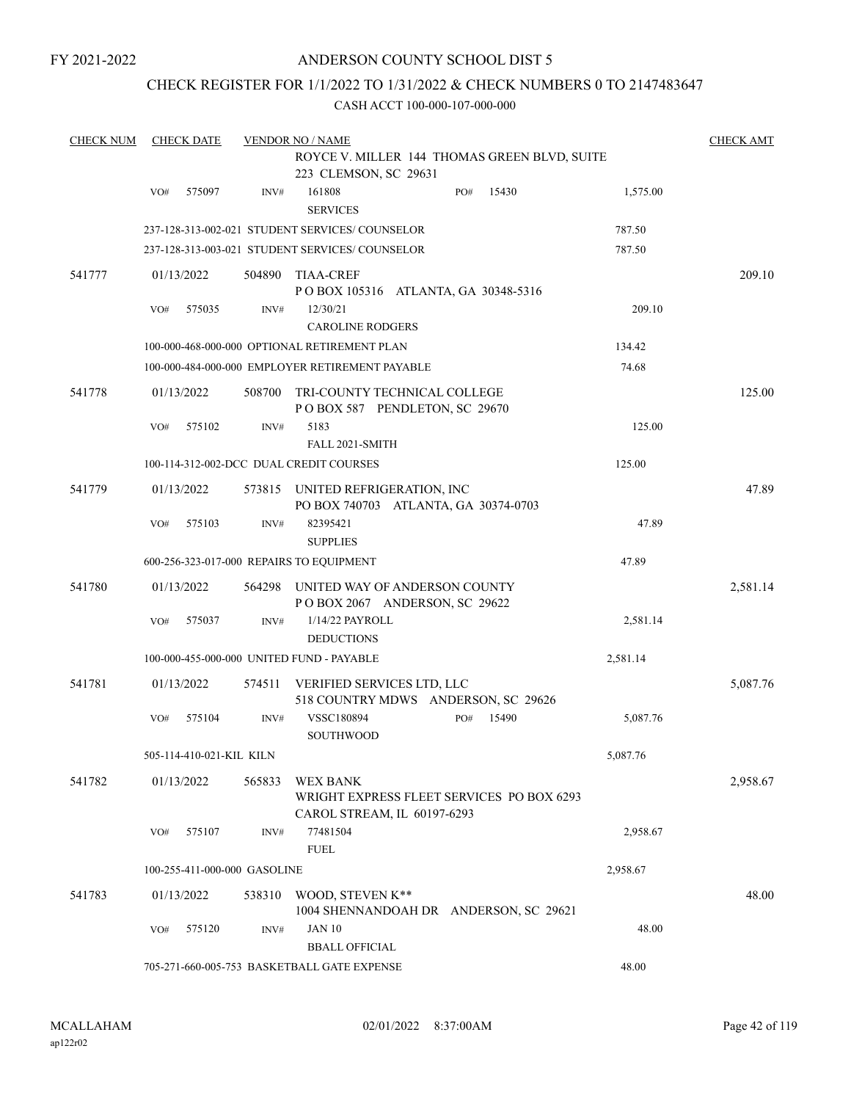FY 2021-2022

### ANDERSON COUNTY SCHOOL DIST 5

### CHECK REGISTER FOR 1/1/2022 TO 1/31/2022 & CHECK NUMBERS 0 TO 2147483647

| <b>CHECK NUM</b> |     | <b>CHECK DATE</b>        |                              | <b>VENDOR NO / NAME</b>                                                              |     |       |          | <b>CHECK AMT</b> |
|------------------|-----|--------------------------|------------------------------|--------------------------------------------------------------------------------------|-----|-------|----------|------------------|
|                  |     |                          |                              | ROYCE V. MILLER 144 THOMAS GREEN BLVD, SUITE<br>223 CLEMSON, SC 29631                |     |       |          |                  |
|                  | VO# | 575097                   | INV#                         | 161808<br><b>SERVICES</b>                                                            | PO# | 15430 | 1,575.00 |                  |
|                  |     |                          |                              | 237-128-313-002-021 STUDENT SERVICES/ COUNSELOR                                      |     |       | 787.50   |                  |
|                  |     |                          |                              | 237-128-313-003-021 STUDENT SERVICES/ COUNSELOR                                      |     |       | 787.50   |                  |
| 541777           |     | 01/13/2022               | 504890                       | <b>TIAA-CREF</b><br>POBOX 105316 ATLANTA, GA 30348-5316                              |     |       |          | 209.10           |
|                  | VO# | 575035                   | INV#                         | 12/30/21<br><b>CAROLINE RODGERS</b>                                                  |     |       | 209.10   |                  |
|                  |     |                          |                              | 100-000-468-000-000 OPTIONAL RETIREMENT PLAN                                         |     |       | 134.42   |                  |
|                  |     |                          |                              | 100-000-484-000-000 EMPLOYER RETIREMENT PAYABLE                                      |     |       | 74.68    |                  |
| 541778           |     | 01/13/2022               | 508700                       | TRI-COUNTY TECHNICAL COLLEGE<br>POBOX 587 PENDLETON, SC 29670                        |     |       |          | 125.00           |
|                  | VO# | 575102                   | INV#                         | 5183                                                                                 |     |       | 125.00   |                  |
|                  |     |                          |                              | FALL 2021-SMITH                                                                      |     |       |          |                  |
|                  |     |                          |                              | 100-114-312-002-DCC DUAL CREDIT COURSES                                              |     |       | 125.00   |                  |
| 541779           |     | 01/13/2022               |                              | 573815 UNITED REFRIGERATION, INC<br>PO BOX 740703 ATLANTA, GA 30374-0703             |     |       |          | 47.89            |
|                  | VO# | 575103                   | INV#                         | 82395421<br><b>SUPPLIES</b>                                                          |     |       | 47.89    |                  |
|                  |     |                          |                              | 600-256-323-017-000 REPAIRS TO EQUIPMENT                                             |     |       | 47.89    |                  |
| 541780           |     | 01/13/2022               | 564298                       | UNITED WAY OF ANDERSON COUNTY<br>POBOX 2067 ANDERSON, SC 29622                       |     |       |          | 2,581.14         |
|                  | VO# | 575037                   | INV#                         | 1/14/22 PAYROLL<br><b>DEDUCTIONS</b>                                                 |     |       | 2,581.14 |                  |
|                  |     |                          |                              | 100-000-455-000-000 UNITED FUND - PAYABLE                                            |     |       | 2,581.14 |                  |
| 541781           |     | 01/13/2022               | 574511                       | VERIFIED SERVICES LTD, LLC<br>518 COUNTRY MDWS ANDERSON, SC 29626                    |     |       |          | 5,087.76         |
|                  | VO# | 575104                   | INV#                         | VSSC180894<br><b>SOUTHWOOD</b>                                                       | PO# | 15490 | 5,087.76 |                  |
|                  |     | 505-114-410-021-KIL KILN |                              |                                                                                      |     |       | 5,087.76 |                  |
| 541782           |     | 01/13/2022               | 565833                       | WEX BANK<br>WRIGHT EXPRESS FLEET SERVICES PO BOX 6293<br>CAROL STREAM, IL 60197-6293 |     |       |          | 2,958.67         |
|                  | VO# | 575107                   | INV#                         | 77481504<br><b>FUEL</b>                                                              |     |       | 2,958.67 |                  |
|                  |     |                          | 100-255-411-000-000 GASOLINE |                                                                                      |     |       | 2,958.67 |                  |
| 541783           |     | 01/13/2022               | 538310                       | WOOD, STEVEN K**<br>1004 SHENNANDOAH DR ANDERSON, SC 29621                           |     |       |          | 48.00            |
|                  | VO# | 575120                   | INV#                         | <b>JAN 10</b><br><b>BBALL OFFICIAL</b>                                               |     |       | 48.00    |                  |
|                  |     |                          |                              | 705-271-660-005-753 BASKETBALL GATE EXPENSE                                          |     |       | 48.00    |                  |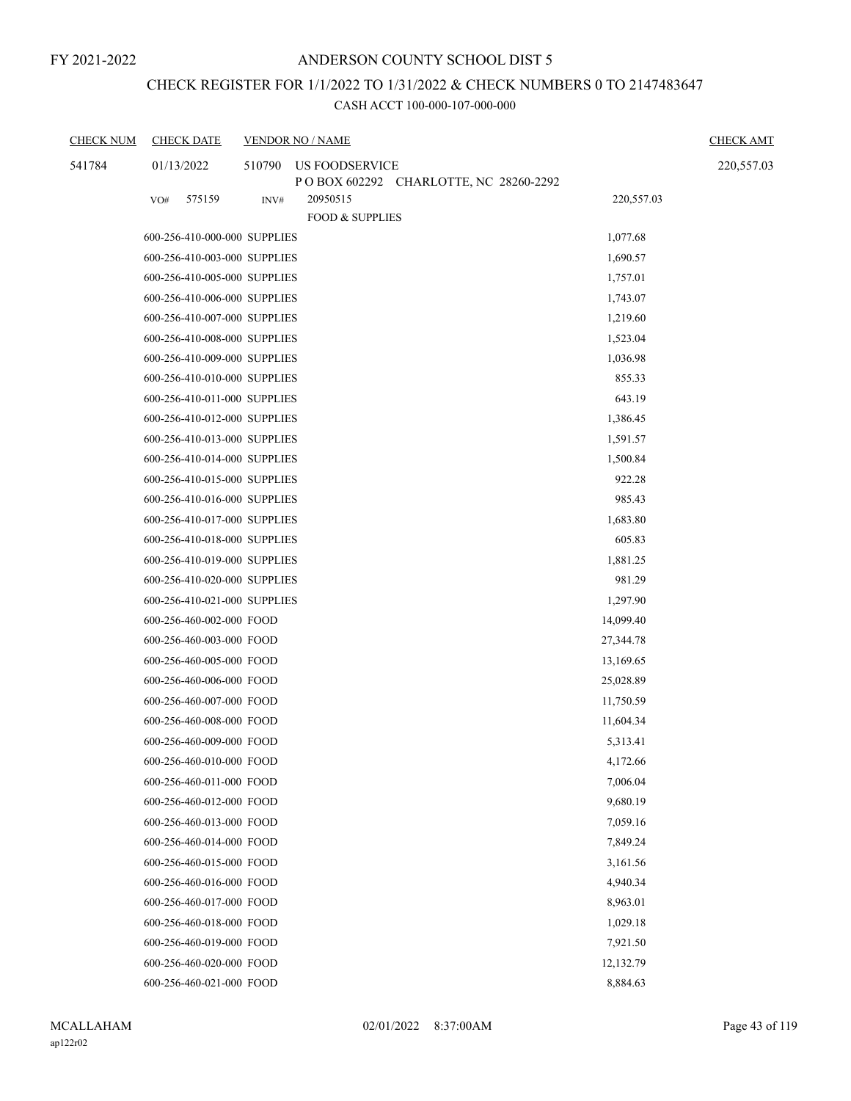# CHECK REGISTER FOR 1/1/2022 TO 1/31/2022 & CHECK NUMBERS 0 TO 2147483647

| <b>CHECK NUM</b> | <b>CHECK DATE</b>            |        | <b>VENDOR NO / NAME</b>                                 |            | <b>CHECK AMT</b> |
|------------------|------------------------------|--------|---------------------------------------------------------|------------|------------------|
| 541784           | 01/13/2022                   | 510790 | US FOODSERVICE<br>POBOX 602292 CHARLOTTE, NC 28260-2292 |            | 220,557.03       |
|                  | 575159<br>VO#                | INV#   | 20950515<br><b>FOOD &amp; SUPPLIES</b>                  | 220,557.03 |                  |
|                  | 600-256-410-000-000 SUPPLIES |        |                                                         | 1,077.68   |                  |
|                  | 600-256-410-003-000 SUPPLIES |        |                                                         | 1,690.57   |                  |
|                  | 600-256-410-005-000 SUPPLIES |        |                                                         | 1,757.01   |                  |
|                  | 600-256-410-006-000 SUPPLIES |        |                                                         | 1,743.07   |                  |
|                  | 600-256-410-007-000 SUPPLIES |        |                                                         | 1,219.60   |                  |
|                  | 600-256-410-008-000 SUPPLIES |        |                                                         | 1,523.04   |                  |
|                  | 600-256-410-009-000 SUPPLIES |        |                                                         | 1,036.98   |                  |
|                  | 600-256-410-010-000 SUPPLIES |        |                                                         | 855.33     |                  |
|                  | 600-256-410-011-000 SUPPLIES |        |                                                         | 643.19     |                  |
|                  | 600-256-410-012-000 SUPPLIES |        |                                                         | 1,386.45   |                  |
|                  | 600-256-410-013-000 SUPPLIES |        |                                                         | 1,591.57   |                  |
|                  | 600-256-410-014-000 SUPPLIES |        |                                                         | 1,500.84   |                  |
|                  | 600-256-410-015-000 SUPPLIES |        |                                                         | 922.28     |                  |
|                  | 600-256-410-016-000 SUPPLIES |        |                                                         | 985.43     |                  |
|                  | 600-256-410-017-000 SUPPLIES |        |                                                         | 1,683.80   |                  |
|                  | 600-256-410-018-000 SUPPLIES |        |                                                         | 605.83     |                  |
|                  | 600-256-410-019-000 SUPPLIES |        |                                                         | 1,881.25   |                  |
|                  | 600-256-410-020-000 SUPPLIES |        |                                                         | 981.29     |                  |
|                  | 600-256-410-021-000 SUPPLIES |        |                                                         | 1,297.90   |                  |
|                  | 600-256-460-002-000 FOOD     |        |                                                         | 14,099.40  |                  |
|                  | 600-256-460-003-000 FOOD     |        |                                                         | 27,344.78  |                  |
|                  | 600-256-460-005-000 FOOD     |        |                                                         | 13,169.65  |                  |
|                  | 600-256-460-006-000 FOOD     |        |                                                         | 25,028.89  |                  |
|                  | 600-256-460-007-000 FOOD     |        |                                                         | 11,750.59  |                  |
|                  | 600-256-460-008-000 FOOD     |        |                                                         | 11,604.34  |                  |
|                  | 600-256-460-009-000 FOOD     |        |                                                         | 5,313.41   |                  |
|                  | 600-256-460-010-000 FOOD     |        |                                                         | 4,172.66   |                  |
|                  | 600-256-460-011-000 FOOD     |        |                                                         | 7,006.04   |                  |
|                  | 600-256-460-012-000 FOOD     |        |                                                         | 9,680.19   |                  |
|                  | 600-256-460-013-000 FOOD     |        |                                                         | 7,059.16   |                  |
|                  | 600-256-460-014-000 FOOD     |        |                                                         | 7,849.24   |                  |
|                  | 600-256-460-015-000 FOOD     |        |                                                         | 3,161.56   |                  |
|                  | 600-256-460-016-000 FOOD     |        |                                                         | 4,940.34   |                  |
|                  | 600-256-460-017-000 FOOD     |        |                                                         | 8,963.01   |                  |
|                  | 600-256-460-018-000 FOOD     |        |                                                         | 1,029.18   |                  |
|                  | 600-256-460-019-000 FOOD     |        |                                                         | 7,921.50   |                  |
|                  | 600-256-460-020-000 FOOD     |        |                                                         | 12,132.79  |                  |
|                  | 600-256-460-021-000 FOOD     |        |                                                         | 8,884.63   |                  |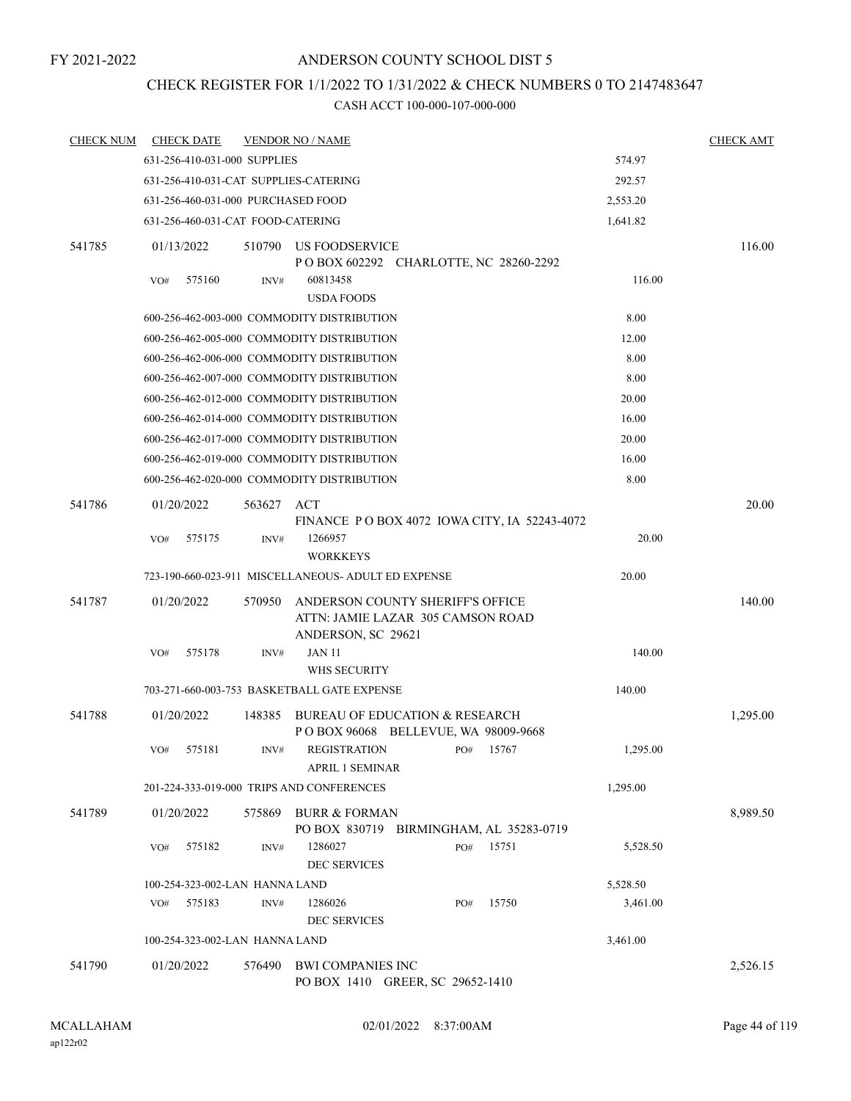# CHECK REGISTER FOR 1/1/2022 TO 1/31/2022 & CHECK NUMBERS 0 TO 2147483647

| <b>CHECK NUM</b> | <b>CHECK DATE</b>                     |            | <b>VENDOR NO / NAME</b>                                                                     |          |       |          | <b>CHECK AMT</b> |
|------------------|---------------------------------------|------------|---------------------------------------------------------------------------------------------|----------|-------|----------|------------------|
|                  | 631-256-410-031-000 SUPPLIES          |            |                                                                                             |          |       | 574.97   |                  |
|                  | 631-256-410-031-CAT SUPPLIES-CATERING |            |                                                                                             |          |       | 292.57   |                  |
|                  | 631-256-460-031-000 PURCHASED FOOD    |            |                                                                                             |          |       | 2,553.20 |                  |
|                  | 631-256-460-031-CAT FOOD-CATERING     |            |                                                                                             |          |       | 1,641.82 |                  |
| 541785           | 01/13/2022                            | 510790     | US FOODSERVICE<br>P O BOX 602292 CHARLOTTE, NC 28260-2292                                   |          |       |          | 116.00           |
|                  | 575160<br>VO#                         | INV#       | 60813458<br><b>USDA FOODS</b>                                                               |          |       | 116.00   |                  |
|                  |                                       |            | 600-256-462-003-000 COMMODITY DISTRIBUTION                                                  |          |       | 8.00     |                  |
|                  |                                       |            | 600-256-462-005-000 COMMODITY DISTRIBUTION                                                  |          |       | 12.00    |                  |
|                  |                                       |            | 600-256-462-006-000 COMMODITY DISTRIBUTION                                                  |          |       | 8.00     |                  |
|                  |                                       |            | 600-256-462-007-000 COMMODITY DISTRIBUTION                                                  |          |       | 8.00     |                  |
|                  |                                       |            | 600-256-462-012-000 COMMODITY DISTRIBUTION                                                  |          |       | 20.00    |                  |
|                  |                                       |            | 600-256-462-014-000 COMMODITY DISTRIBUTION                                                  |          |       | 16.00    |                  |
|                  |                                       |            | 600-256-462-017-000 COMMODITY DISTRIBUTION                                                  |          |       | 20.00    |                  |
|                  |                                       |            | 600-256-462-019-000 COMMODITY DISTRIBUTION                                                  |          |       | 16.00    |                  |
|                  |                                       |            | 600-256-462-020-000 COMMODITY DISTRIBUTION                                                  |          |       | 8.00     |                  |
| 541786           | 01/20/2022                            | 563627 ACT |                                                                                             |          |       |          | 20.00            |
|                  |                                       |            | FINANCE P O BOX 4072 IOWA CITY, IA 52243-4072                                               |          |       |          |                  |
|                  | 575175<br>VO#                         | INV#       | 1266957<br><b>WORKKEYS</b>                                                                  |          |       | 20.00    |                  |
|                  |                                       |            | 723-190-660-023-911 MISCELLANEOUS- ADULT ED EXPENSE                                         |          |       | 20.00    |                  |
| 541787           | 01/20/2022                            | 570950     | ANDERSON COUNTY SHERIFF'S OFFICE<br>ATTN: JAMIE LAZAR 305 CAMSON ROAD<br>ANDERSON, SC 29621 |          |       |          | 140.00           |
|                  | 575178<br>VO#                         | INV#       | <b>JAN 11</b><br>WHS SECURITY                                                               |          |       | 140.00   |                  |
|                  |                                       |            | 703-271-660-003-753 BASKETBALL GATE EXPENSE                                                 |          |       | 140.00   |                  |
| 541788           | 01/20/2022                            | 148385     | BUREAU OF EDUCATION & RESEARCH<br>P O BOX 96068 BELLEVUE, WA 98009-9668                     |          |       |          | 1,295.00         |
|                  | 575181<br>VO#                         | INV#       | <b>REGISTRATION</b><br><b>APRIL 1 SEMINAR</b>                                               | PO#      | 15767 | 1,295.00 |                  |
|                  |                                       |            | 201-224-333-019-000 TRIPS AND CONFERENCES                                                   |          |       | 1,295.00 |                  |
| 541789           | 01/20/2022                            | 575869     | BURR & FORMAN<br>PO BOX 830719 BIRMINGHAM, AL 35283-0719                                    |          |       |          | 8,989.50         |
|                  | VO#<br>575182                         | INV#       | 1286027<br><b>DEC SERVICES</b>                                                              | PO#      | 15751 | 5,528.50 |                  |
|                  | 100-254-323-002-LAN HANNA LAND        |            |                                                                                             |          |       | 5,528.50 |                  |
|                  | 575183<br>VO#                         | INV#       | 1286026<br><b>DEC SERVICES</b>                                                              | PO#      | 15750 | 3,461.00 |                  |
|                  | 100-254-323-002-LAN HANNA LAND        |            |                                                                                             | 3,461.00 |       |          |                  |
| 541790           | 01/20/2022                            | 576490     | <b>BWI COMPANIES INC</b><br>PO BOX 1410 GREER, SC 29652-1410                                |          |       |          | 2,526.15         |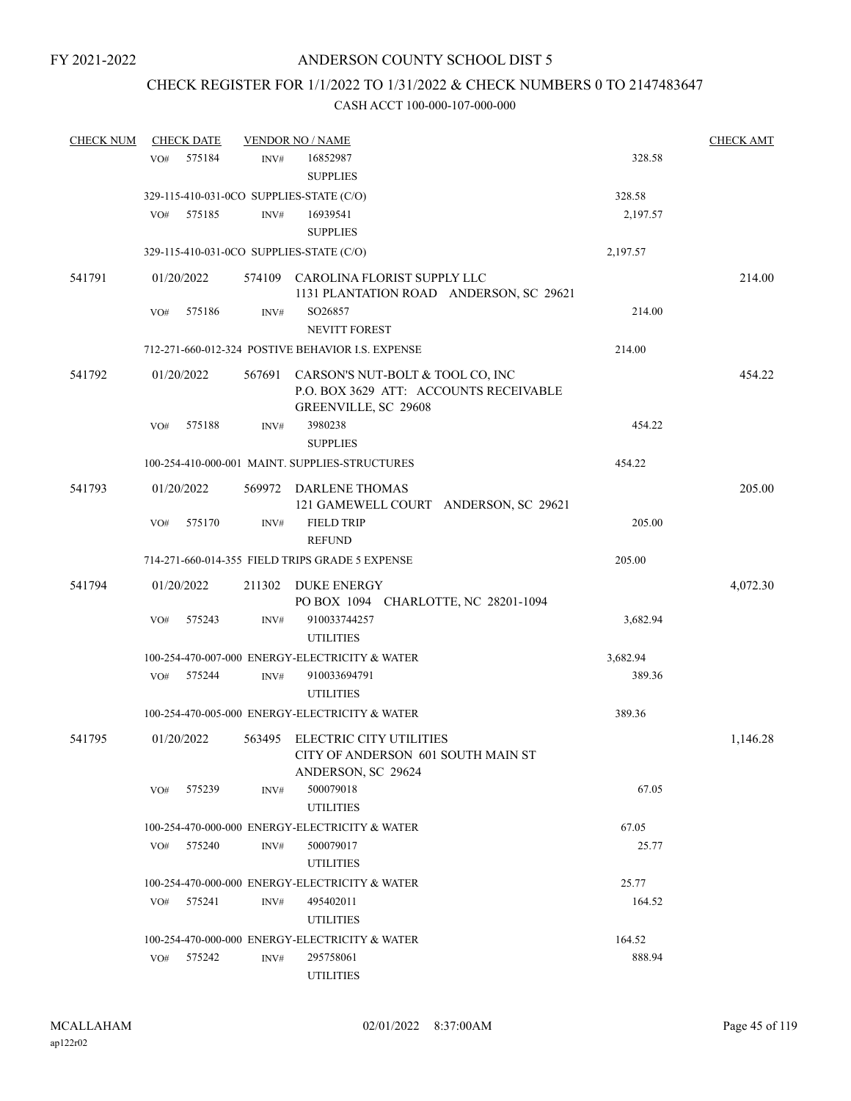# CHECK REGISTER FOR 1/1/2022 TO 1/31/2022 & CHECK NUMBERS 0 TO 2147483647

| <b>CHECK NUM</b> |     | <b>CHECK DATE</b> |        | <b>VENDOR NO / NAME</b>                                                                            |          | <b>CHECK AMT</b> |
|------------------|-----|-------------------|--------|----------------------------------------------------------------------------------------------------|----------|------------------|
|                  | VO# | 575184            | INV#   | 16852987<br><b>SUPPLIES</b>                                                                        | 328.58   |                  |
|                  |     |                   |        | 329-115-410-031-0CO SUPPLIES-STATE (C/O)                                                           | 328.58   |                  |
|                  | VO# | 575185            | INV#   | 16939541                                                                                           | 2,197.57 |                  |
|                  |     |                   |        | <b>SUPPLIES</b>                                                                                    |          |                  |
|                  |     |                   |        | 329-115-410-031-0CO SUPPLIES-STATE (C/O)                                                           | 2,197.57 |                  |
| 541791           |     | 01/20/2022        |        | 574109 CAROLINA FLORIST SUPPLY LLC<br>1131 PLANTATION ROAD ANDERSON, SC 29621                      |          | 214.00           |
|                  | VO# | 575186            | INV#   | SO26857<br><b>NEVITT FOREST</b>                                                                    | 214.00   |                  |
|                  |     |                   |        | 712-271-660-012-324 POSTIVE BEHAVIOR I.S. EXPENSE                                                  | 214.00   |                  |
| 541792           |     | 01/20/2022        | 567691 | CARSON'S NUT-BOLT & TOOL CO, INC<br>P.O. BOX 3629 ATT: ACCOUNTS RECEIVABLE<br>GREENVILLE, SC 29608 |          | 454.22           |
|                  | VO# | 575188            | INV#   | 3980238<br><b>SUPPLIES</b>                                                                         | 454.22   |                  |
|                  |     |                   |        | 100-254-410-000-001 MAINT. SUPPLIES-STRUCTURES                                                     | 454.22   |                  |
| 541793           |     | 01/20/2022        |        | 569972 DARLENE THOMAS<br>121 GAMEWELL COURT ANDERSON, SC 29621                                     |          | 205.00           |
|                  | VO# | 575170            | INV#   | <b>FIELD TRIP</b><br><b>REFUND</b>                                                                 | 205.00   |                  |
|                  |     |                   |        | 714-271-660-014-355 FIELD TRIPS GRADE 5 EXPENSE                                                    | 205.00   |                  |
| 541794           |     | 01/20/2022        | 211302 | DUKE ENERGY<br>PO BOX 1094 CHARLOTTE, NC 28201-1094                                                |          | 4,072.30         |
|                  | VO# | 575243            | INV#   | 910033744257<br><b>UTILITIES</b>                                                                   | 3,682.94 |                  |
|                  |     |                   |        | 100-254-470-007-000 ENERGY-ELECTRICITY & WATER                                                     | 3,682.94 |                  |
|                  | VO# | 575244            | INV#   | 910033694791<br><b>UTILITIES</b>                                                                   | 389.36   |                  |
|                  |     |                   |        | 100-254-470-005-000 ENERGY-ELECTRICITY & WATER                                                     | 389.36   |                  |
| 541795           |     | 01/20/2022        |        | 563495 ELECTRIC CITY UTILITIES<br>CITY OF ANDERSON 601 SOUTH MAIN ST<br>ANDERSON, SC 29624         |          | 1,146.28         |
|                  | VO# | 575239            | INV#   | 500079018<br><b>UTILITIES</b>                                                                      | 67.05    |                  |
|                  |     |                   |        | 100-254-470-000-000 ENERGY-ELECTRICITY & WATER                                                     | 67.05    |                  |
|                  | VO# | 575240            | INV#   | 500079017<br><b>UTILITIES</b>                                                                      | 25.77    |                  |
|                  |     |                   |        | 100-254-470-000-000 ENERGY-ELECTRICITY & WATER                                                     | 25.77    |                  |
|                  | VO# | 575241            | INV#   | 495402011<br><b>UTILITIES</b>                                                                      | 164.52   |                  |
|                  |     |                   |        | 100-254-470-000-000 ENERGY-ELECTRICITY & WATER                                                     | 164.52   |                  |
|                  | VO# | 575242            | INV#   | 295758061<br><b>UTILITIES</b>                                                                      | 888.94   |                  |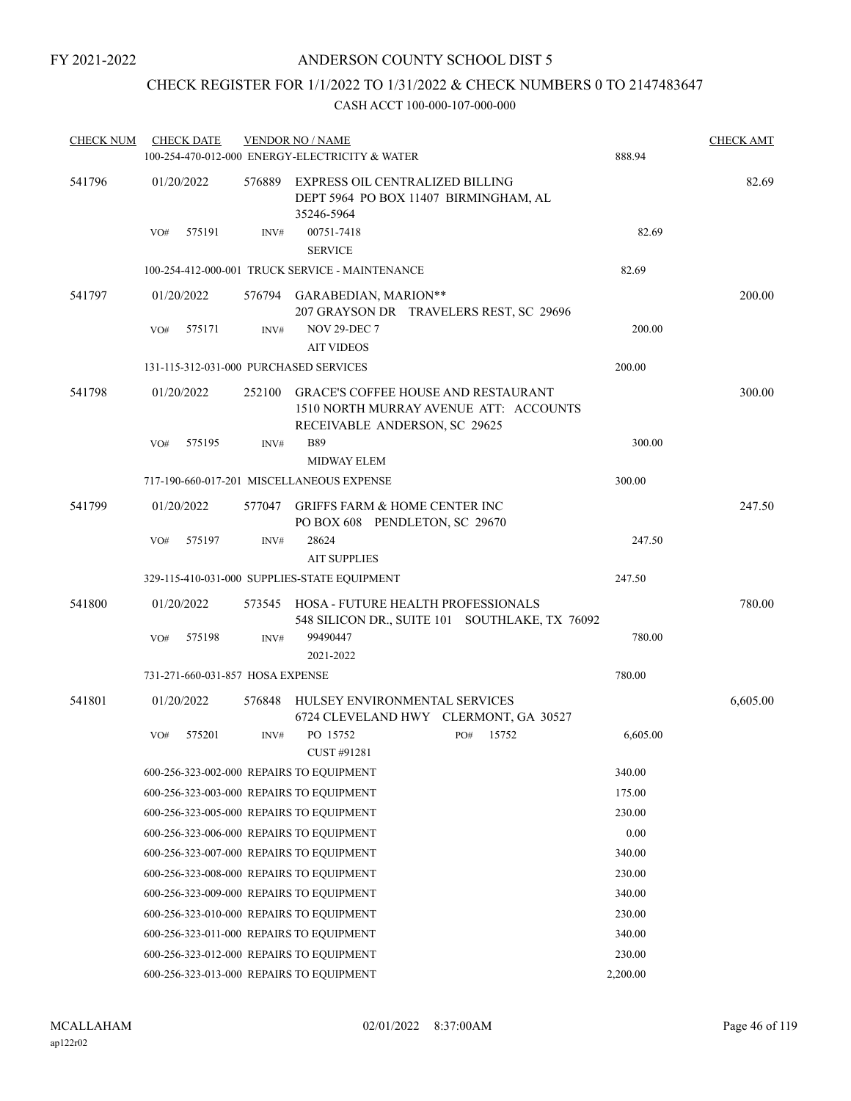# CHECK REGISTER FOR 1/1/2022 TO 1/31/2022 & CHECK NUMBERS 0 TO 2147483647

| <b>CHECK NUM</b> |            | <b>CHECK DATE</b>                |                | <b>VENDOR NO / NAME</b><br>100-254-470-012-000 ENERGY-ELECTRICITY & WATER                                             |     |        | 888.94   | <b>CHECK AMT</b> |
|------------------|------------|----------------------------------|----------------|-----------------------------------------------------------------------------------------------------------------------|-----|--------|----------|------------------|
| 541796           |            | 01/20/2022                       | 576889         | EXPRESS OIL CENTRALIZED BILLING<br>DEPT 5964 PO BOX 11407 BIRMINGHAM, AL<br>35246-5964                                |     |        |          | 82.69            |
|                  | VO#        | 575191                           | INV#           | 00751-7418<br><b>SERVICE</b>                                                                                          |     |        | 82.69    |                  |
|                  |            |                                  |                | 100-254-412-000-001 TRUCK SERVICE - MAINTENANCE                                                                       |     |        | 82.69    |                  |
| 541797           |            | 01/20/2022                       |                | 576794 GARABEDIAN, MARION**<br>207 GRAYSON DR TRAVELERS REST, SC 29696                                                |     | 200.00 |          |                  |
|                  | VO#        | 575171                           | INV#           | <b>NOV 29-DEC 7</b><br><b>AIT VIDEOS</b>                                                                              |     |        | 200.00   |                  |
|                  |            |                                  |                | 131-115-312-031-000 PURCHASED SERVICES                                                                                |     |        | 200.00   |                  |
| 541798           |            | 01/20/2022                       | 252100         | <b>GRACE'S COFFEE HOUSE AND RESTAURANT</b><br>1510 NORTH MURRAY AVENUE ATT: ACCOUNTS<br>RECEIVABLE ANDERSON, SC 29625 |     |        |          | 300.00           |
|                  | VO#        | 575195                           | INV#           | <b>B89</b><br><b>MIDWAY ELEM</b>                                                                                      |     |        | 300.00   |                  |
|                  |            |                                  |                | 717-190-660-017-201 MISCELLANEOUS EXPENSE                                                                             |     |        | 300.00   |                  |
| 541799           |            | 01/20/2022                       |                | 577047 GRIFFS FARM & HOME CENTER INC<br>PO BOX 608 PENDLETON, SC 29670                                                |     |        |          | 247.50           |
|                  | VO#        | 575197                           | INV#           | 28624<br><b>AIT SUPPLIES</b>                                                                                          |     |        | 247.50   |                  |
|                  |            |                                  |                | 329-115-410-031-000 SUPPLIES-STATE EQUIPMENT                                                                          |     |        | 247.50   |                  |
| 541800           | 01/20/2022 |                                  |                | 573545 HOSA - FUTURE HEALTH PROFESSIONALS<br>548 SILICON DR., SUITE 101 SOUTHLAKE, TX 76092                           |     |        |          | 780.00           |
|                  | VO#        | 575198                           | $\text{INV}\#$ | 99490447<br>2021-2022                                                                                                 |     |        | 780.00   |                  |
|                  |            | 731-271-660-031-857 HOSA EXPENSE |                |                                                                                                                       |     |        | 780.00   |                  |
| 541801           |            | 01/20/2022                       | 576848         | HULSEY ENVIRONMENTAL SERVICES<br>6724 CLEVELAND HWY CLERMONT, GA 30527                                                |     |        |          | 6,605.00         |
|                  | VO#        | 575201                           | INV#           | PO 15752<br>CUST #91281                                                                                               | PO# | 15752  | 6,605.00 |                  |
|                  |            |                                  |                | 600-256-323-002-000 REPAIRS TO EQUIPMENT                                                                              |     |        | 340.00   |                  |
|                  |            |                                  |                | 600-256-323-003-000 REPAIRS TO EQUIPMENT                                                                              |     |        | 175.00   |                  |
|                  |            |                                  |                | 600-256-323-005-000 REPAIRS TO EQUIPMENT                                                                              |     |        | 230.00   |                  |
|                  |            |                                  |                | 600-256-323-006-000 REPAIRS TO EQUIPMENT                                                                              |     |        | 0.00     |                  |
|                  |            |                                  |                | 600-256-323-007-000 REPAIRS TO EQUIPMENT                                                                              |     |        | 340.00   |                  |
|                  |            |                                  |                | 600-256-323-008-000 REPAIRS TO EQUIPMENT                                                                              |     |        | 230.00   |                  |
|                  |            |                                  |                | 600-256-323-009-000 REPAIRS TO EQUIPMENT                                                                              |     |        | 340.00   |                  |
|                  |            |                                  |                | 600-256-323-010-000 REPAIRS TO EQUIPMENT                                                                              |     |        | 230.00   |                  |
|                  |            |                                  |                | 600-256-323-011-000 REPAIRS TO EQUIPMENT                                                                              |     |        | 340.00   |                  |
|                  |            |                                  |                | 600-256-323-012-000 REPAIRS TO EQUIPMENT                                                                              |     |        | 230.00   |                  |
|                  |            |                                  |                | 600-256-323-013-000 REPAIRS TO EQUIPMENT                                                                              |     |        | 2,200.00 |                  |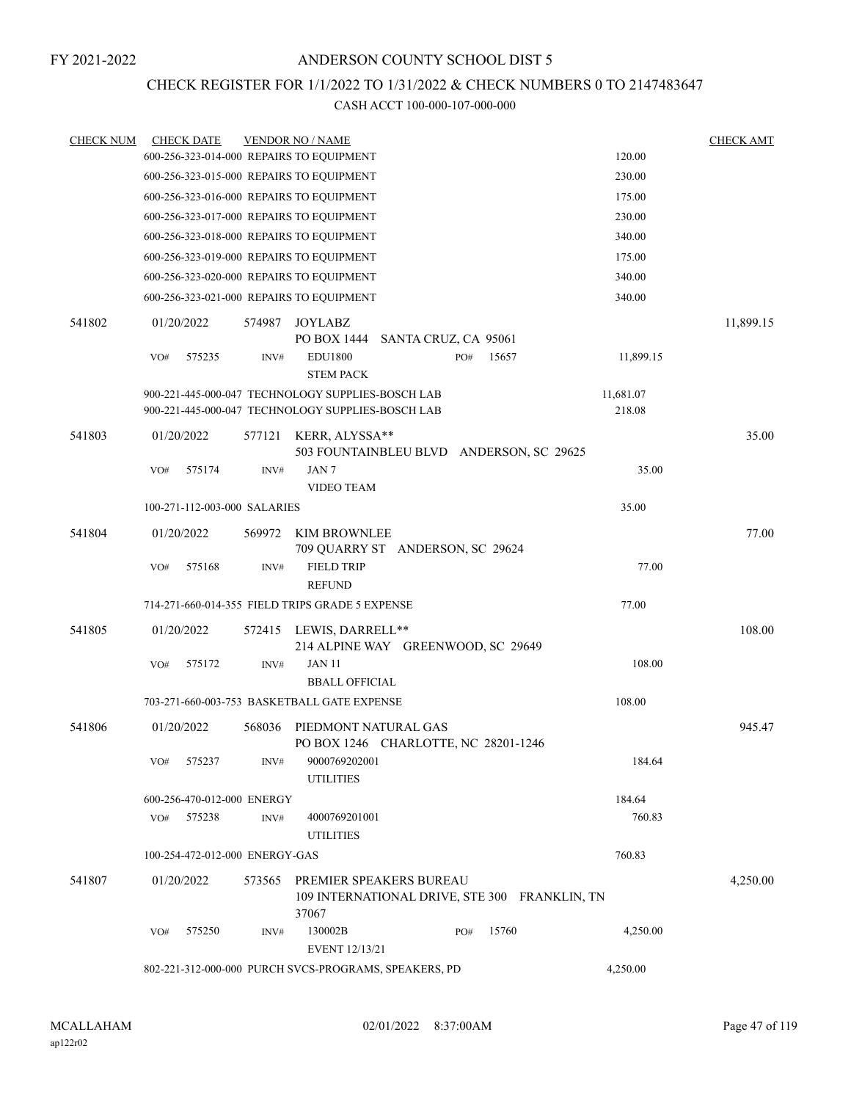### CHECK REGISTER FOR 1/1/2022 TO 1/31/2022 & CHECK NUMBERS 0 TO 2147483647

| <b>CHECK NUM</b> | <b>CHECK DATE</b> |                                |        | <b>VENDOR NO / NAME</b>                                                           |     |       |           | <b>CHECK AMT</b> |
|------------------|-------------------|--------------------------------|--------|-----------------------------------------------------------------------------------|-----|-------|-----------|------------------|
|                  |                   |                                |        | 600-256-323-014-000 REPAIRS TO EQUIPMENT                                          |     |       | 120.00    |                  |
|                  |                   |                                |        | 600-256-323-015-000 REPAIRS TO EQUIPMENT                                          |     |       | 230.00    |                  |
|                  |                   |                                |        | 600-256-323-016-000 REPAIRS TO EQUIPMENT                                          |     |       | 175.00    |                  |
|                  |                   |                                |        | 600-256-323-017-000 REPAIRS TO EQUIPMENT                                          |     |       | 230.00    |                  |
|                  |                   |                                |        | 600-256-323-018-000 REPAIRS TO EQUIPMENT                                          |     |       | 340.00    |                  |
|                  |                   |                                |        | 600-256-323-019-000 REPAIRS TO EQUIPMENT                                          |     |       | 175.00    |                  |
|                  |                   |                                |        | 600-256-323-020-000 REPAIRS TO EQUIPMENT                                          |     |       | 340.00    |                  |
|                  |                   |                                |        | 600-256-323-021-000 REPAIRS TO EQUIPMENT                                          |     |       | 340.00    |                  |
| 541802           | 01/20/2022        |                                | 574987 | JOYLABZ<br>PO BOX 1444 SANTA CRUZ, CA 95061                                       |     |       |           | 11,899.15        |
|                  | VO#               | 575235                         | INV#   | <b>EDU1800</b><br><b>STEM PACK</b>                                                | PO# | 15657 | 11,899.15 |                  |
|                  |                   |                                |        | 900-221-445-000-047 TECHNOLOGY SUPPLIES-BOSCH LAB                                 |     |       | 11,681.07 |                  |
|                  |                   |                                |        | 900-221-445-000-047 TECHNOLOGY SUPPLIES-BOSCH LAB                                 |     |       | 218.08    |                  |
| 541803           | 01/20/2022        |                                | 577121 | KERR, ALYSSA**<br>503 FOUNTAINBLEU BLVD ANDERSON, SC 29625                        |     |       |           | 35.00            |
|                  | VO#               | 575174                         | INV#   | JAN <sub>7</sub>                                                                  |     |       | 35.00     |                  |
|                  |                   |                                |        | <b>VIDEO TEAM</b>                                                                 |     |       |           |                  |
|                  |                   | 100-271-112-003-000 SALARIES   |        |                                                                                   |     |       | 35.00     |                  |
| 541804           | 01/20/2022        |                                | 569972 | KIM BROWNLEE<br>709 QUARRY ST ANDERSON, SC 29624                                  |     |       |           | 77.00            |
|                  | VO#               | 575168                         | INV#   | <b>FIELD TRIP</b><br><b>REFUND</b>                                                |     |       | 77.00     |                  |
|                  |                   |                                |        | 714-271-660-014-355 FIELD TRIPS GRADE 5 EXPENSE                                   |     |       | 77.00     |                  |
| 541805           | 01/20/2022        |                                | 572415 | LEWIS, DARRELL**                                                                  |     |       |           | 108.00           |
|                  | VO#               | 575172                         | INV#   | 214 ALPINE WAY GREENWOOD, SC 29649<br><b>JAN 11</b>                               |     |       | 108.00    |                  |
|                  |                   |                                |        | <b>BBALL OFFICIAL</b>                                                             |     |       |           |                  |
|                  |                   |                                |        | 703-271-660-003-753 BASKETBALL GATE EXPENSE                                       |     |       | 108.00    |                  |
| 541806           | 01/20/2022        |                                | 568036 | PIEDMONT NATURAL GAS<br>PO BOX 1246 CHARLOTTE, NC 28201-1246                      |     |       |           | 945.47           |
|                  | VO#               | 575237                         | INV#   | 9000769202001                                                                     |     |       | 184.64    |                  |
|                  |                   |                                |        | <b>UTILITIES</b>                                                                  |     |       |           |                  |
|                  |                   | 600-256-470-012-000 ENERGY     |        |                                                                                   |     |       | 184.64    |                  |
|                  | VO#               | 575238                         | INV#   | 4000769201001<br><b>UTILITIES</b>                                                 |     |       | 760.83    |                  |
|                  |                   | 100-254-472-012-000 ENERGY-GAS |        |                                                                                   |     |       | 760.83    |                  |
| 541807           | 01/20/2022        |                                | 573565 | PREMIER SPEAKERS BUREAU<br>109 INTERNATIONAL DRIVE, STE 300 FRANKLIN, TN<br>37067 |     |       |           | 4,250.00         |
|                  | VO#               | 575250                         | INV#   | 130002B                                                                           | PO# | 15760 | 4,250.00  |                  |
|                  |                   |                                |        | <b>EVENT 12/13/21</b>                                                             |     |       |           |                  |
|                  |                   |                                |        | 802-221-312-000-000 PURCH SVCS-PROGRAMS, SPEAKERS, PD                             |     |       | 4,250.00  |                  |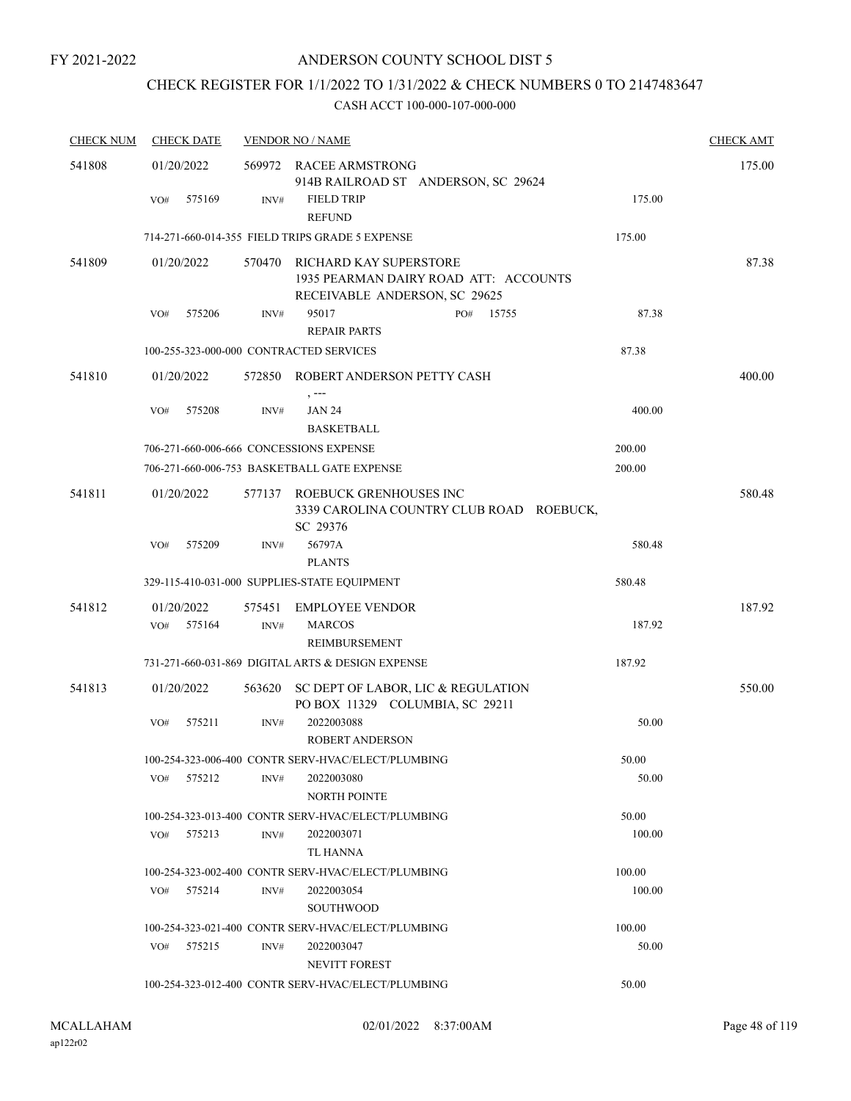# CHECK REGISTER FOR 1/1/2022 TO 1/31/2022 & CHECK NUMBERS 0 TO 2147483647

| <b>CHECK NUM</b> | <b>CHECK DATE</b>                       |                | <b>VENDOR NO / NAME</b>                                                                          |        | <b>CHECK AMT</b> |
|------------------|-----------------------------------------|----------------|--------------------------------------------------------------------------------------------------|--------|------------------|
| 541808           | 01/20/2022                              |                | 569972 RACEE ARMSTRONG<br>914B RAILROAD ST ANDERSON, SC 29624                                    |        | 175.00           |
|                  | 575169<br>VO#                           | INV#           | <b>FIELD TRIP</b><br><b>REFUND</b>                                                               | 175.00 |                  |
|                  |                                         |                | 714-271-660-014-355 FIELD TRIPS GRADE 5 EXPENSE                                                  | 175.00 |                  |
| 541809           | 01/20/2022                              | 570470         | RICHARD KAY SUPERSTORE<br>1935 PEARMAN DAIRY ROAD ATT: ACCOUNTS<br>RECEIVABLE ANDERSON, SC 29625 |        | 87.38            |
|                  | 575206<br>VO#                           | INV#           | 95017<br>PO# 15755<br><b>REPAIR PARTS</b>                                                        | 87.38  |                  |
|                  | 100-255-323-000-000 CONTRACTED SERVICES |                |                                                                                                  | 87.38  |                  |
| 541810           | 01/20/2022                              |                | 572850 ROBERT ANDERSON PETTY CASH<br>, ---                                                       |        | 400.00           |
|                  | 575208<br>VO#                           | INV#           | <b>JAN 24</b><br><b>BASKETBALL</b>                                                               | 400.00 |                  |
|                  | 706-271-660-006-666 CONCESSIONS EXPENSE |                |                                                                                                  | 200.00 |                  |
|                  |                                         |                | 706-271-660-006-753 BASKETBALL GATE EXPENSE                                                      | 200.00 |                  |
| 541811           | 01/20/2022                              |                | 577137 ROEBUCK GRENHOUSES INC<br>3339 CAROLINA COUNTRY CLUB ROAD ROEBUCK,<br>SC 29376            |        | 580.48           |
|                  | VO#<br>575209                           | INV#           | 56797A                                                                                           | 580.48 |                  |
|                  |                                         |                | <b>PLANTS</b>                                                                                    |        |                  |
|                  |                                         |                | 329-115-410-031-000 SUPPLIES-STATE EQUIPMENT                                                     | 580.48 |                  |
| 541812           | 01/20/2022<br>575164<br>VO#             | 575451<br>INV# | <b>EMPLOYEE VENDOR</b><br><b>MARCOS</b><br>REIMBURSEMENT                                         | 187.92 | 187.92           |
|                  |                                         |                | 731-271-660-031-869 DIGITAL ARTS & DESIGN EXPENSE                                                | 187.92 |                  |
| 541813           | 01/20/2022                              | 563620         | SC DEPT OF LABOR, LIC & REGULATION<br>PO BOX 11329 COLUMBIA, SC 29211                            |        | 550.00           |
|                  | 575211<br>VO#                           | INV#           | 2022003088<br><b>ROBERT ANDERSON</b>                                                             | 50.00  |                  |
|                  |                                         |                | 100-254-323-006-400 CONTR SERV-HVAC/ELECT/PLUMBING                                               | 50.00  |                  |
|                  | 575212<br>VO#                           | INV#           | 2022003080<br><b>NORTH POINTE</b>                                                                | 50.00  |                  |
|                  |                                         |                | 100-254-323-013-400 CONTR SERV-HVAC/ELECT/PLUMBING                                               | 50.00  |                  |
|                  | VO# 575213                              | INV#           | 2022003071<br>TL HANNA                                                                           | 100.00 |                  |
|                  |                                         |                | 100-254-323-002-400 CONTR SERV-HVAC/ELECT/PLUMBING                                               | 100.00 |                  |
|                  | 575214<br>VO#                           | INV#           | 2022003054<br><b>SOUTHWOOD</b>                                                                   | 100.00 |                  |
|                  |                                         |                | 100-254-323-021-400 CONTR SERV-HVAC/ELECT/PLUMBING                                               | 100.00 |                  |
|                  | VO# 575215                              | INV#           | 2022003047<br>NEVITT FOREST                                                                      | 50.00  |                  |
|                  |                                         |                | 100-254-323-012-400 CONTR SERV-HVAC/ELECT/PLUMBING                                               | 50.00  |                  |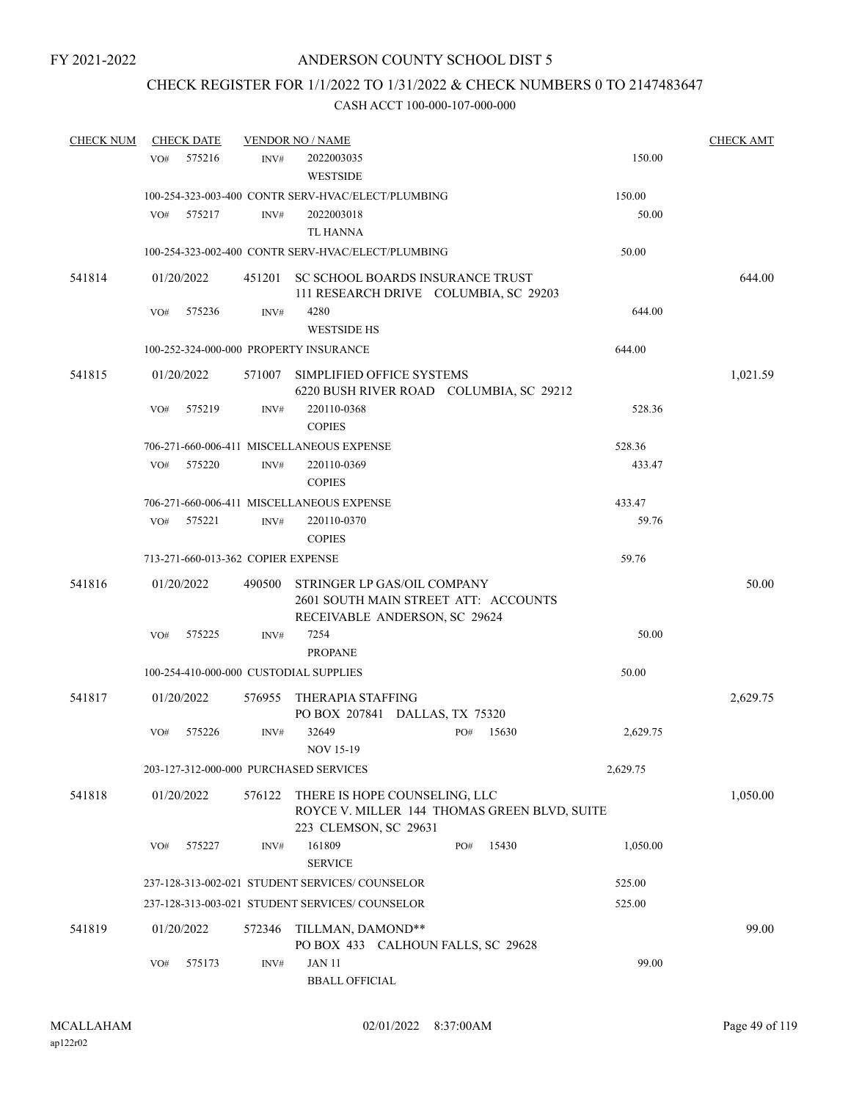# CHECK REGISTER FOR 1/1/2022 TO 1/31/2022 & CHECK NUMBERS 0 TO 2147483647

| <b>CHECK NUM</b> |     | <b>CHECK DATE</b> |                                    | <b>VENDOR NO / NAME</b>                                                                                |     |       |          | <b>CHECK AMT</b> |
|------------------|-----|-------------------|------------------------------------|--------------------------------------------------------------------------------------------------------|-----|-------|----------|------------------|
|                  | VO# | 575216            | INV#                               | 2022003035                                                                                             |     |       | 150.00   |                  |
|                  |     |                   |                                    | <b>WESTSIDE</b>                                                                                        |     |       |          |                  |
|                  |     |                   |                                    | 100-254-323-003-400 CONTR SERV-HVAC/ELECT/PLUMBING                                                     |     |       | 150.00   |                  |
|                  | VO# | 575217            | INV#                               | 2022003018                                                                                             |     |       | 50.00    |                  |
|                  |     |                   |                                    | <b>TL HANNA</b>                                                                                        |     |       |          |                  |
|                  |     |                   |                                    | 100-254-323-002-400 CONTR SERV-HVAC/ELECT/PLUMBING                                                     |     |       | 50.00    |                  |
| 541814           |     | 01/20/2022        | 451201                             | SC SCHOOL BOARDS INSURANCE TRUST                                                                       |     |       |          | 644.00           |
|                  |     |                   |                                    | 111 RESEARCH DRIVE COLUMBIA, SC 29203                                                                  |     |       |          |                  |
|                  | VO# | 575236            | INV#                               | 4280                                                                                                   |     |       | 644.00   |                  |
|                  |     |                   |                                    | <b>WESTSIDE HS</b>                                                                                     |     |       |          |                  |
|                  |     |                   |                                    | 100-252-324-000-000 PROPERTY INSURANCE                                                                 |     |       | 644.00   |                  |
| 541815           |     | 01/20/2022        | 571007                             | SIMPLIFIED OFFICE SYSTEMS<br>6220 BUSH RIVER ROAD COLUMBIA, SC 29212                                   |     |       |          | 1,021.59         |
|                  | VO# | 575219            | INV#                               | 220110-0368                                                                                            |     |       | 528.36   |                  |
|                  |     |                   |                                    | <b>COPIES</b>                                                                                          |     |       |          |                  |
|                  |     |                   |                                    | 706-271-660-006-411 MISCELLANEOUS EXPENSE                                                              |     |       | 528.36   |                  |
|                  | VO# | 575220            | INV#                               | 220110-0369                                                                                            |     |       | 433.47   |                  |
|                  |     |                   |                                    | <b>COPIES</b>                                                                                          |     |       |          |                  |
|                  |     |                   |                                    | 706-271-660-006-411 MISCELLANEOUS EXPENSE                                                              |     |       | 433.47   |                  |
|                  | VO# | 575221            | INV#                               | 220110-0370                                                                                            |     |       | 59.76    |                  |
|                  |     |                   |                                    | <b>COPIES</b>                                                                                          |     |       |          |                  |
|                  |     |                   | 713-271-660-013-362 COPIER EXPENSE |                                                                                                        |     |       | 59.76    |                  |
| 541816           |     | 01/20/2022        | 490500                             | STRINGER LP GAS/OIL COMPANY<br>2601 SOUTH MAIN STREET ATT: ACCOUNTS                                    |     |       |          | 50.00            |
|                  |     |                   |                                    | RECEIVABLE ANDERSON, SC 29624                                                                          |     |       |          |                  |
|                  | VO# | 575225            | INV#                               | 7254<br><b>PROPANE</b>                                                                                 |     |       | 50.00    |                  |
|                  |     |                   |                                    | 100-254-410-000-000 CUSTODIAL SUPPLIES                                                                 |     |       | 50.00    |                  |
|                  |     |                   |                                    |                                                                                                        |     |       |          |                  |
| 541817           |     | 01/20/2022        | 576955                             | THERAPIA STAFFING<br>PO BOX 207841 DALLAS, TX 75320                                                    |     |       |          | 2,629.75         |
|                  | VO# | 575226            | INV#                               | 32649<br><b>NOV 15-19</b>                                                                              | PO# | 15630 | 2,629.75 |                  |
|                  |     |                   |                                    | 203-127-312-000-000 PURCHASED SERVICES                                                                 |     |       | 2,629.75 |                  |
| 541818           |     | 01/20/2022        | 576122                             | THERE IS HOPE COUNSELING, LLC<br>ROYCE V. MILLER 144 THOMAS GREEN BLVD, SUITE<br>223 CLEMSON, SC 29631 |     |       |          | 1,050.00         |
|                  | VO# | 575227            | INV#                               | 161809<br><b>SERVICE</b>                                                                               | PO# | 15430 | 1,050.00 |                  |
|                  |     |                   |                                    | 237-128-313-002-021 STUDENT SERVICES/ COUNSELOR                                                        |     |       | 525.00   |                  |
|                  |     |                   |                                    | 237-128-313-003-021 STUDENT SERVICES/ COUNSELOR                                                        |     |       | 525.00   |                  |
| 541819           |     | 01/20/2022        | 572346                             | TILLMAN, DAMOND**                                                                                      |     |       |          | 99.00            |
|                  | VO# | 575173            | INV#                               | PO BOX 433 CALHOUN FALLS, SC 29628<br><b>JAN 11</b><br><b>BBALL OFFICIAL</b>                           |     |       | 99.00    |                  |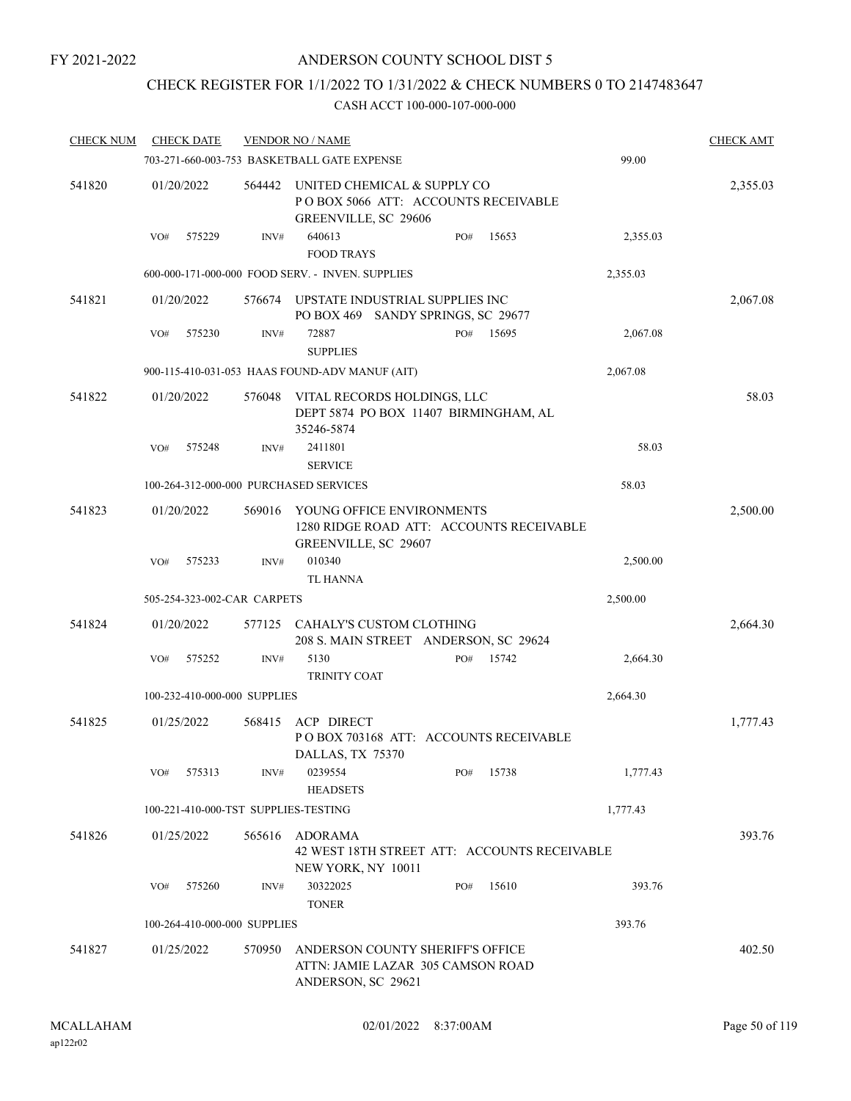## CHECK REGISTER FOR 1/1/2022 TO 1/31/2022 & CHECK NUMBERS 0 TO 2147483647

| <b>CHECK NUM</b> | <b>CHECK DATE</b>                      |        | <b>VENDOR NO / NAME</b>                                                                       |     |       |          | <b>CHECK AMT</b> |
|------------------|----------------------------------------|--------|-----------------------------------------------------------------------------------------------|-----|-------|----------|------------------|
|                  |                                        |        | 703-271-660-003-753 BASKETBALL GATE EXPENSE                                                   |     |       | 99.00    |                  |
| 541820           | 01/20/2022                             | 564442 | UNITED CHEMICAL & SUPPLY CO<br>POBOX 5066 ATT: ACCOUNTS RECEIVABLE<br>GREENVILLE, SC 29606    |     |       |          | 2,355.03         |
|                  | 575229<br>VO#                          | INV#   | 640613<br><b>FOOD TRAYS</b>                                                                   | PO# | 15653 | 2,355.03 |                  |
|                  |                                        |        | 600-000-171-000-000 FOOD SERV. - INVEN. SUPPLIES                                              |     |       | 2,355.03 |                  |
| 541821           | 01/20/2022                             | 576674 | UPSTATE INDUSTRIAL SUPPLIES INC<br>PO BOX 469 SANDY SPRINGS, SC 29677                         |     |       |          | 2,067.08         |
|                  | 575230<br>VO#                          | INV#   | 72887<br><b>SUPPLIES</b>                                                                      | PO# | 15695 | 2,067.08 |                  |
|                  |                                        |        | 900-115-410-031-053 HAAS FOUND-ADV MANUF (AIT)                                                |     |       | 2,067.08 |                  |
| 541822           | 01/20/2022                             | 576048 | VITAL RECORDS HOLDINGS, LLC<br>DEPT 5874 PO BOX 11407 BIRMINGHAM, AL<br>35246-5874            |     |       |          | 58.03            |
|                  | 575248<br>VO#                          | INV#   | 2411801<br><b>SERVICE</b>                                                                     |     |       | 58.03    |                  |
|                  | 100-264-312-000-000 PURCHASED SERVICES |        |                                                                                               |     |       | 58.03    |                  |
| 541823           | 01/20/2022                             | 569016 | YOUNG OFFICE ENVIRONMENTS<br>1280 RIDGE ROAD ATT: ACCOUNTS RECEIVABLE<br>GREENVILLE, SC 29607 |     |       |          | 2,500.00         |
|                  | VO#<br>575233                          | INV#   | 010340<br><b>TL HANNA</b>                                                                     |     |       | 2,500.00 |                  |
|                  | 505-254-323-002-CAR CARPETS            |        |                                                                                               |     |       | 2,500.00 |                  |
| 541824           | 01/20/2022                             | 577125 | CAHALY'S CUSTOM CLOTHING<br>208 S. MAIN STREET ANDERSON, SC 29624                             |     |       |          | 2,664.30         |
|                  | 575252<br>VO#                          | INV#   | 5130<br>TRINITY COAT                                                                          | PO# | 15742 | 2,664.30 |                  |
|                  | 100-232-410-000-000 SUPPLIES           |        |                                                                                               |     |       | 2,664.30 |                  |
| 541825           | 01/25/2022                             | 568415 | <b>ACP DIRECT</b><br>POBOX 703168 ATT: ACCOUNTS RECEIVABLE<br>DALLAS, TX 75370                |     |       |          | 1,777.43         |
|                  | VO#<br>575313                          | INV#   | 0239554<br><b>HEADSETS</b>                                                                    | PO# | 15738 | 1,777.43 |                  |
|                  | 100-221-410-000-TST SUPPLIES-TESTING   |        |                                                                                               |     |       | 1,777.43 |                  |
| 541826           | 01/25/2022                             | 565616 | ADORAMA<br>42 WEST 18TH STREET ATT: ACCOUNTS RECEIVABLE<br>NEW YORK, NY 10011                 |     |       |          | 393.76           |
|                  | 575260<br>VO#                          | INV#   | 30322025<br><b>TONER</b>                                                                      | PO# | 15610 | 393.76   |                  |
|                  | 100-264-410-000-000 SUPPLIES           |        |                                                                                               |     |       | 393.76   |                  |
| 541827           | 01/25/2022                             | 570950 | ANDERSON COUNTY SHERIFF'S OFFICE<br>ATTN: JAMIE LAZAR 305 CAMSON ROAD<br>ANDERSON, SC 29621   |     |       |          | 402.50           |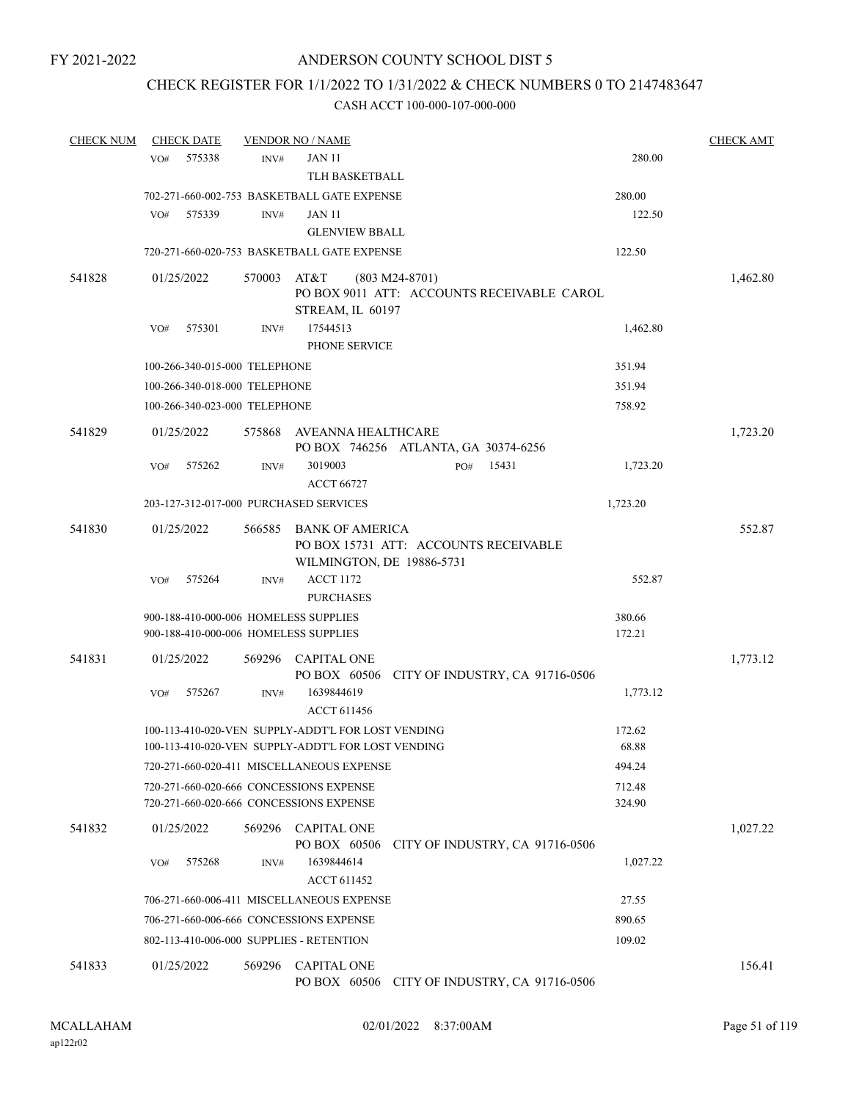## CHECK REGISTER FOR 1/1/2022 TO 1/31/2022 & CHECK NUMBERS 0 TO 2147483647

| <b>CHECK NUM</b> |     | <b>CHECK DATE</b> |                               | <b>VENDOR NO / NAME</b>                                                                                  |                                                                |       |                  | <b>CHECK AMT</b> |
|------------------|-----|-------------------|-------------------------------|----------------------------------------------------------------------------------------------------------|----------------------------------------------------------------|-------|------------------|------------------|
|                  | VO# | 575338            | INV#                          | <b>JAN 11</b>                                                                                            |                                                                |       | 280.00           |                  |
|                  |     |                   |                               | TLH BASKETBALL                                                                                           |                                                                |       |                  |                  |
|                  |     |                   |                               | 702-271-660-002-753 BASKETBALL GATE EXPENSE                                                              |                                                                |       | 280.00           |                  |
|                  | VO# | 575339            | INV#                          | <b>JAN 11</b>                                                                                            |                                                                |       | 122.50           |                  |
|                  |     |                   |                               | <b>GLENVIEW BBALL</b>                                                                                    |                                                                |       |                  |                  |
|                  |     |                   |                               | 720-271-660-020-753 BASKETBALL GATE EXPENSE                                                              |                                                                |       | 122.50           |                  |
| 541828           |     | 01/25/2022        | 570003                        | AT&T<br>STREAM, IL 60197                                                                                 | $(803 M24-8701)$<br>PO BOX 9011 ATT: ACCOUNTS RECEIVABLE CAROL |       |                  | 1,462.80         |
|                  | VO# | 575301            | INV#                          | 17544513<br>PHONE SERVICE                                                                                |                                                                |       | 1,462.80         |                  |
|                  |     |                   | 100-266-340-015-000 TELEPHONE |                                                                                                          |                                                                |       | 351.94           |                  |
|                  |     |                   | 100-266-340-018-000 TELEPHONE |                                                                                                          |                                                                |       | 351.94           |                  |
|                  |     |                   | 100-266-340-023-000 TELEPHONE |                                                                                                          |                                                                |       | 758.92           |                  |
| 541829           |     | 01/25/2022        | 575868                        | AVEANNA HEALTHCARE                                                                                       |                                                                |       |                  | 1,723.20         |
|                  |     |                   |                               |                                                                                                          | PO BOX 746256 ATLANTA, GA 30374-6256                           |       |                  |                  |
|                  | VO# | 575262            | INV#                          | 3019003<br><b>ACCT 66727</b>                                                                             | PO#                                                            | 15431 | 1,723.20         |                  |
|                  |     |                   |                               | 203-127-312-017-000 PURCHASED SERVICES                                                                   |                                                                |       | 1,723.20         |                  |
| 541830           |     | 01/25/2022        | 566585                        | BANK OF AMERICA                                                                                          | PO BOX 15731 ATT: ACCOUNTS RECEIVABLE                          |       |                  | 552.87           |
|                  | VO# | 575264            | INV#                          | WILMINGTON, DE 19886-5731<br><b>ACCT 1172</b><br><b>PURCHASES</b>                                        |                                                                |       | 552.87           |                  |
|                  |     |                   |                               | 900-188-410-000-006 HOMELESS SUPPLIES<br>900-188-410-000-006 HOMELESS SUPPLIES                           |                                                                |       | 380.66<br>172.21 |                  |
| 541831           |     | 01/25/2022        |                               | 569296 CAPITAL ONE                                                                                       | PO BOX 60506 CITY OF INDUSTRY, CA 91716-0506                   |       |                  | 1,773.12         |
|                  | VO# | 575267            | INV#                          | 1639844619<br><b>ACCT 611456</b>                                                                         |                                                                |       | 1,773.12         |                  |
|                  |     |                   |                               | 100-113-410-020-VEN SUPPLY-ADDT'L FOR LOST VENDING<br>100-113-410-020-VEN SUPPLY-ADDT'L FOR LOST VENDING |                                                                |       | 172.62<br>68.88  |                  |
|                  |     |                   |                               | 720-271-660-020-411 MISCELLANEOUS EXPENSE                                                                |                                                                |       | 494.24           |                  |
|                  |     |                   |                               | 720-271-660-020-666 CONCESSIONS EXPENSE                                                                  |                                                                |       | 712.48           |                  |
|                  |     |                   |                               | 720-271-660-020-666 CONCESSIONS EXPENSE                                                                  |                                                                |       | 324.90           |                  |
| 541832           |     | 01/25/2022        | 569296                        | <b>CAPITAL ONE</b><br>PO BOX 60506                                                                       | CITY OF INDUSTRY, CA 91716-0506                                |       |                  | 1,027.22         |
|                  | VO# | 575268            | INV#                          | 1639844614<br><b>ACCT 611452</b>                                                                         |                                                                |       | 1,027.22         |                  |
|                  |     |                   |                               | 706-271-660-006-411 MISCELLANEOUS EXPENSE                                                                |                                                                |       | 27.55            |                  |
|                  |     |                   |                               | 706-271-660-006-666 CONCESSIONS EXPENSE                                                                  |                                                                |       | 890.65           |                  |
|                  |     |                   |                               | 802-113-410-006-000 SUPPLIES - RETENTION                                                                 |                                                                |       | 109.02           |                  |
| 541833           |     | 01/25/2022        | 569296                        | <b>CAPITAL ONE</b>                                                                                       | PO BOX 60506 CITY OF INDUSTRY, CA 91716-0506                   |       |                  | 156.41           |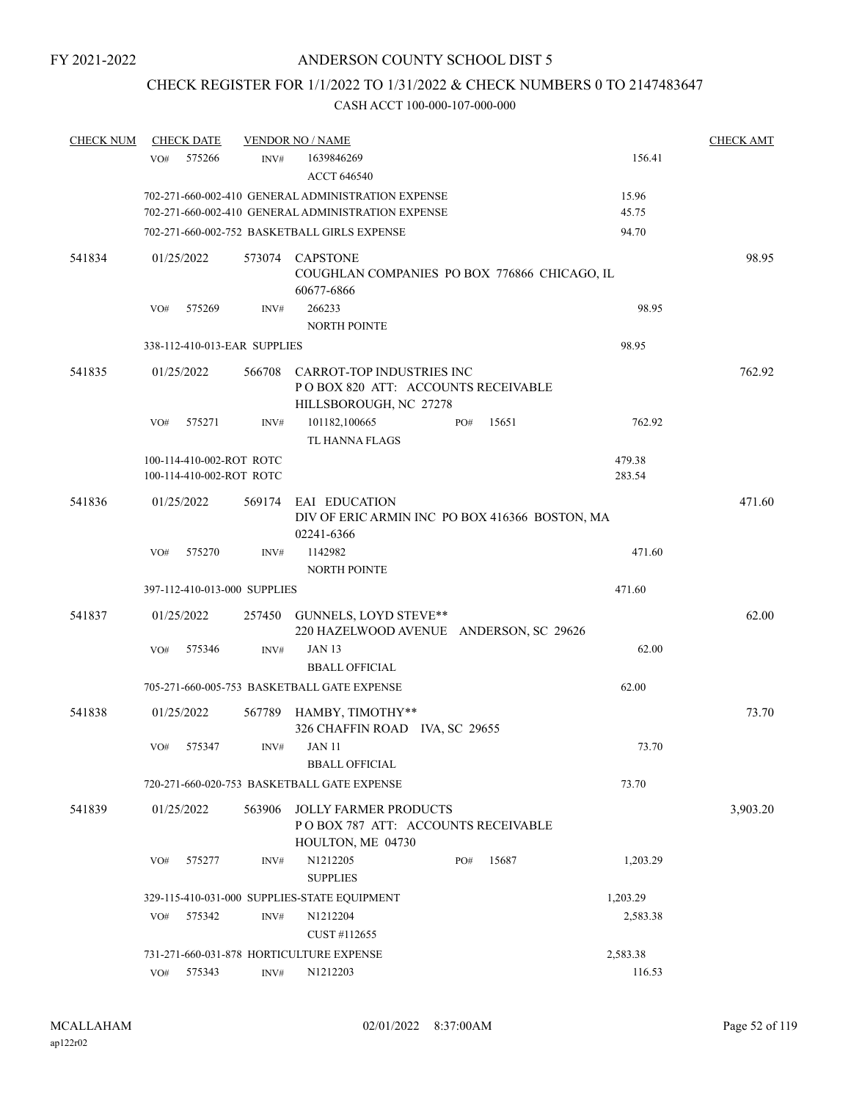## CHECK REGISTER FOR 1/1/2022 TO 1/31/2022 & CHECK NUMBERS 0 TO 2147483647

| <b>CHECK NUM</b> | <b>CHECK DATE</b>            |                | <b>VENDOR NO / NAME</b>                                                                   |              |          | <b>CHECK AMT</b> |
|------------------|------------------------------|----------------|-------------------------------------------------------------------------------------------|--------------|----------|------------------|
|                  | 575266<br>VO#                | INV#           | 1639846269                                                                                |              | 156.41   |                  |
|                  |                              |                | <b>ACCT 646540</b>                                                                        |              |          |                  |
|                  |                              |                | 702-271-660-002-410 GENERAL ADMINISTRATION EXPENSE                                        |              | 15.96    |                  |
|                  |                              |                | 702-271-660-002-410 GENERAL ADMINISTRATION EXPENSE                                        |              | 45.75    |                  |
|                  |                              |                | 702-271-660-002-752 BASKETBALL GIRLS EXPENSE                                              |              | 94.70    |                  |
| 541834           | 01/25/2022                   | 573074         | CAPSTONE<br>COUGHLAN COMPANIES PO BOX 776866 CHICAGO, IL                                  |              |          | 98.95            |
|                  |                              |                | 60677-6866                                                                                |              |          |                  |
|                  | VO#<br>575269                | INV#           | 266233                                                                                    |              | 98.95    |                  |
|                  |                              |                | <b>NORTH POINTE</b>                                                                       |              |          |                  |
|                  | 338-112-410-013-EAR SUPPLIES |                |                                                                                           |              | 98.95    |                  |
| 541835           | 01/25/2022                   | 566708         | CARROT-TOP INDUSTRIES INC<br>POBOX 820 ATT: ACCOUNTS RECEIVABLE<br>HILLSBOROUGH, NC 27278 |              |          | 762.92           |
|                  | 575271<br>VO#                | INV#           | 101182,100665<br>TL HANNA FLAGS                                                           | 15651<br>PO# | 762.92   |                  |
|                  | 100-114-410-002-ROT ROTC     |                |                                                                                           |              | 479.38   |                  |
|                  | 100-114-410-002-ROT ROTC     |                |                                                                                           |              | 283.54   |                  |
| 541836           | 01/25/2022                   | 569174         | EAI EDUCATION<br>DIV OF ERIC ARMIN INC PO BOX 416366 BOSTON, MA                           |              |          | 471.60           |
|                  |                              |                | 02241-6366                                                                                |              |          |                  |
|                  | 575270<br>VO#                | INV#           | 1142982                                                                                   |              | 471.60   |                  |
|                  |                              |                | <b>NORTH POINTE</b>                                                                       |              |          |                  |
|                  | 397-112-410-013-000 SUPPLIES |                |                                                                                           |              | 471.60   |                  |
| 541837           | 01/25/2022                   |                | 257450 GUNNELS, LOYD STEVE**<br>220 HAZELWOOD AVENUE ANDERSON, SC 29626                   |              |          | 62.00            |
|                  | VO#<br>575346                | INV#           | <b>JAN 13</b><br><b>BBALL OFFICIAL</b>                                                    |              | 62.00    |                  |
|                  |                              |                | 705-271-660-005-753 BASKETBALL GATE EXPENSE                                               |              | 62.00    |                  |
| 541838           | 01/25/2022                   |                | 567789 HAMBY, TIMOTHY**<br>326 CHAFFIN ROAD IVA, SC 29655                                 |              |          | 73.70            |
|                  | 575347<br>VO#                | INV#           | JAN 11<br><b>BBALL OFFICIAL</b>                                                           |              | 73.70    |                  |
|                  |                              |                | 720-271-660-020-753 BASKETBALL GATE EXPENSE                                               |              | 73.70    |                  |
| 541839           | 01/25/2022                   | 563906         | <b>JOLLY FARMER PRODUCTS</b><br>PO BOX 787 ATT: ACCOUNTS RECEIVABLE                       |              |          | 3,903.20         |
|                  |                              |                | HOULTON, ME 04730                                                                         |              |          |                  |
|                  | 575277<br>VO#                | INV#           | N1212205                                                                                  | 15687<br>PO# | 1,203.29 |                  |
|                  |                              |                | <b>SUPPLIES</b>                                                                           |              |          |                  |
|                  |                              |                | 329-115-410-031-000 SUPPLIES-STATE EQUIPMENT                                              |              | 1,203.29 |                  |
|                  | 575342<br>VO#                | INV#           | N1212204                                                                                  |              | 2,583.38 |                  |
|                  |                              |                | CUST #112655                                                                              |              |          |                  |
|                  |                              |                | 731-271-660-031-878 HORTICULTURE EXPENSE                                                  |              | 2,583.38 |                  |
|                  | 575343<br>VO#                | $\text{INV}\#$ | N1212203                                                                                  |              | 116.53   |                  |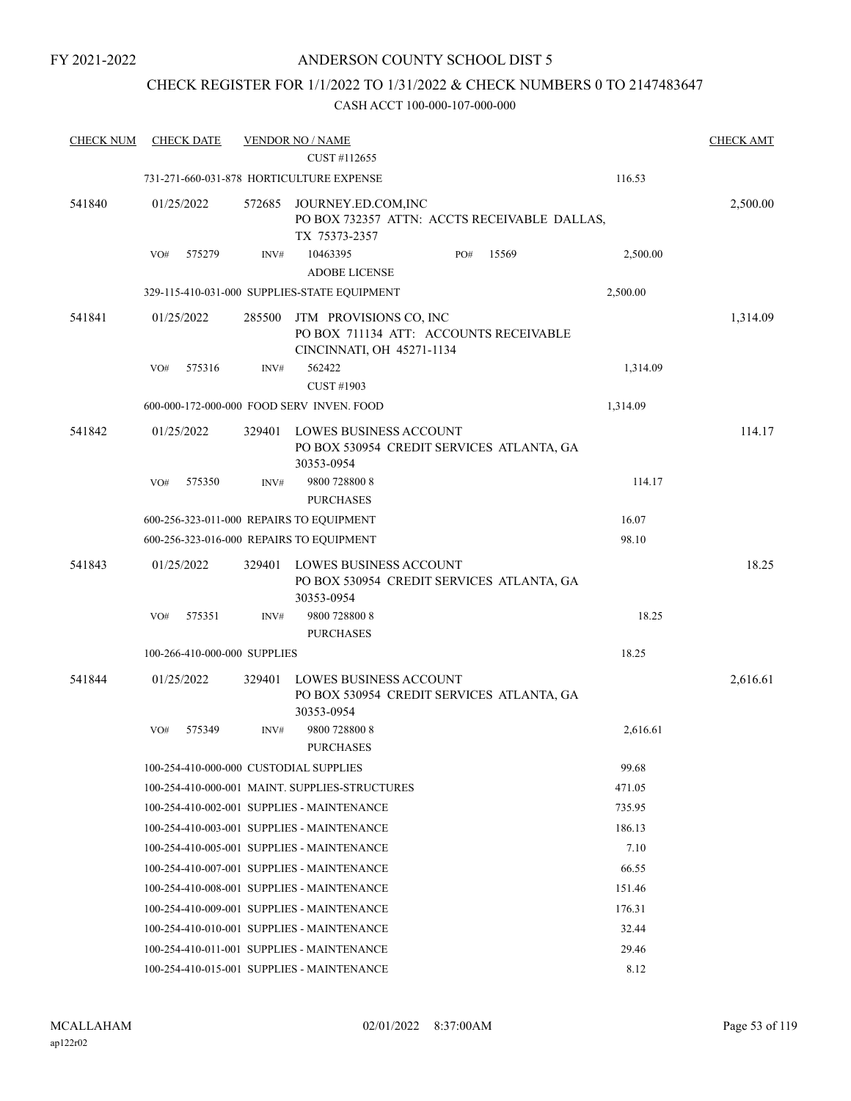## CHECK REGISTER FOR 1/1/2022 TO 1/31/2022 & CHECK NUMBERS 0 TO 2147483647

| 731-271-660-031-878 HORTICULTURE EXPENSE<br>116.53<br>541840<br>01/25/2022<br>572685<br>JOURNEY.ED.COM, INC<br>2,500.00<br>PO BOX 732357 ATTN: ACCTS RECEIVABLE DALLAS,<br>TX 75373-2357<br>575279<br>10463395<br>PO#<br>15569<br>2,500.00<br>VO#<br>INV#<br><b>ADOBE LICENSE</b><br>329-115-410-031-000 SUPPLIES-STATE EQUIPMENT<br>2,500.00<br>541841<br>1,314.09<br>01/25/2022<br>285500<br>JTM PROVISIONS CO, INC<br>PO BOX 711134 ATT: ACCOUNTS RECEIVABLE<br>CINCINNATI, OH 45271-1134<br>575316<br>562422<br>1,314.09<br>VO#<br>INV#<br><b>CUST #1903</b><br>600-000-172-000-000 FOOD SERV INVEN. FOOD<br>1,314.09<br>541842<br>01/25/2022<br>LOWES BUSINESS ACCOUNT<br>114.17<br>329401<br>PO BOX 530954 CREDIT SERVICES ATLANTA, GA<br>30353-0954<br>9800 728800 8<br>114.17<br>575350<br>INV#<br>VO#<br><b>PURCHASES</b><br>600-256-323-011-000 REPAIRS TO EQUIPMENT<br>16.07<br>98.10<br>600-256-323-016-000 REPAIRS TO EQUIPMENT<br>18.25<br>541843<br>01/25/2022<br>LOWES BUSINESS ACCOUNT<br>329401<br>PO BOX 530954 CREDIT SERVICES ATLANTA, GA<br>30353-0954<br>18.25<br>VO#<br>575351<br>INV#<br>9800 728800 8<br><b>PURCHASES</b><br>18.25<br>100-266-410-000-000 SUPPLIES<br>541844<br>01/25/2022<br><b>LOWES BUSINESS ACCOUNT</b><br>2,616.61<br>329401<br>PO BOX 530954 CREDIT SERVICES ATLANTA, GA<br>30353-0954<br>9800 728800 8<br>2,616.61<br>575349<br>INV#<br>VO#<br><b>PURCHASES</b><br>99.68<br>100-254-410-000-000 CUSTODIAL SUPPLIES<br>471.05<br>100-254-410-000-001 MAINT. SUPPLIES-STRUCTURES<br>100-254-410-002-001 SUPPLIES - MAINTENANCE<br>735.95<br>100-254-410-003-001 SUPPLIES - MAINTENANCE<br>186.13<br>100-254-410-005-001 SUPPLIES - MAINTENANCE<br>7.10<br>100-254-410-007-001 SUPPLIES - MAINTENANCE<br>66.55<br>100-254-410-008-001 SUPPLIES - MAINTENANCE<br>151.46 | <b>CHECK NUM</b> | <b>CHECK DATE</b> | <b>VENDOR NO / NAME</b><br>CUST #112655 |        | <b>CHECK AMT</b> |
|----------------------------------------------------------------------------------------------------------------------------------------------------------------------------------------------------------------------------------------------------------------------------------------------------------------------------------------------------------------------------------------------------------------------------------------------------------------------------------------------------------------------------------------------------------------------------------------------------------------------------------------------------------------------------------------------------------------------------------------------------------------------------------------------------------------------------------------------------------------------------------------------------------------------------------------------------------------------------------------------------------------------------------------------------------------------------------------------------------------------------------------------------------------------------------------------------------------------------------------------------------------------------------------------------------------------------------------------------------------------------------------------------------------------------------------------------------------------------------------------------------------------------------------------------------------------------------------------------------------------------------------------------------------------------------------------------------------------------------------------------------------------------------------------------------------------|------------------|-------------------|-----------------------------------------|--------|------------------|
|                                                                                                                                                                                                                                                                                                                                                                                                                                                                                                                                                                                                                                                                                                                                                                                                                                                                                                                                                                                                                                                                                                                                                                                                                                                                                                                                                                                                                                                                                                                                                                                                                                                                                                                                                                                                                      |                  |                   |                                         |        |                  |
|                                                                                                                                                                                                                                                                                                                                                                                                                                                                                                                                                                                                                                                                                                                                                                                                                                                                                                                                                                                                                                                                                                                                                                                                                                                                                                                                                                                                                                                                                                                                                                                                                                                                                                                                                                                                                      |                  |                   |                                         |        |                  |
|                                                                                                                                                                                                                                                                                                                                                                                                                                                                                                                                                                                                                                                                                                                                                                                                                                                                                                                                                                                                                                                                                                                                                                                                                                                                                                                                                                                                                                                                                                                                                                                                                                                                                                                                                                                                                      |                  |                   |                                         |        |                  |
|                                                                                                                                                                                                                                                                                                                                                                                                                                                                                                                                                                                                                                                                                                                                                                                                                                                                                                                                                                                                                                                                                                                                                                                                                                                                                                                                                                                                                                                                                                                                                                                                                                                                                                                                                                                                                      |                  |                   |                                         |        |                  |
|                                                                                                                                                                                                                                                                                                                                                                                                                                                                                                                                                                                                                                                                                                                                                                                                                                                                                                                                                                                                                                                                                                                                                                                                                                                                                                                                                                                                                                                                                                                                                                                                                                                                                                                                                                                                                      |                  |                   |                                         |        |                  |
|                                                                                                                                                                                                                                                                                                                                                                                                                                                                                                                                                                                                                                                                                                                                                                                                                                                                                                                                                                                                                                                                                                                                                                                                                                                                                                                                                                                                                                                                                                                                                                                                                                                                                                                                                                                                                      |                  |                   |                                         |        |                  |
|                                                                                                                                                                                                                                                                                                                                                                                                                                                                                                                                                                                                                                                                                                                                                                                                                                                                                                                                                                                                                                                                                                                                                                                                                                                                                                                                                                                                                                                                                                                                                                                                                                                                                                                                                                                                                      |                  |                   |                                         |        |                  |
|                                                                                                                                                                                                                                                                                                                                                                                                                                                                                                                                                                                                                                                                                                                                                                                                                                                                                                                                                                                                                                                                                                                                                                                                                                                                                                                                                                                                                                                                                                                                                                                                                                                                                                                                                                                                                      |                  |                   |                                         |        |                  |
|                                                                                                                                                                                                                                                                                                                                                                                                                                                                                                                                                                                                                                                                                                                                                                                                                                                                                                                                                                                                                                                                                                                                                                                                                                                                                                                                                                                                                                                                                                                                                                                                                                                                                                                                                                                                                      |                  |                   |                                         |        |                  |
|                                                                                                                                                                                                                                                                                                                                                                                                                                                                                                                                                                                                                                                                                                                                                                                                                                                                                                                                                                                                                                                                                                                                                                                                                                                                                                                                                                                                                                                                                                                                                                                                                                                                                                                                                                                                                      |                  |                   |                                         |        |                  |
|                                                                                                                                                                                                                                                                                                                                                                                                                                                                                                                                                                                                                                                                                                                                                                                                                                                                                                                                                                                                                                                                                                                                                                                                                                                                                                                                                                                                                                                                                                                                                                                                                                                                                                                                                                                                                      |                  |                   |                                         |        |                  |
|                                                                                                                                                                                                                                                                                                                                                                                                                                                                                                                                                                                                                                                                                                                                                                                                                                                                                                                                                                                                                                                                                                                                                                                                                                                                                                                                                                                                                                                                                                                                                                                                                                                                                                                                                                                                                      |                  |                   |                                         |        |                  |
|                                                                                                                                                                                                                                                                                                                                                                                                                                                                                                                                                                                                                                                                                                                                                                                                                                                                                                                                                                                                                                                                                                                                                                                                                                                                                                                                                                                                                                                                                                                                                                                                                                                                                                                                                                                                                      |                  |                   |                                         |        |                  |
|                                                                                                                                                                                                                                                                                                                                                                                                                                                                                                                                                                                                                                                                                                                                                                                                                                                                                                                                                                                                                                                                                                                                                                                                                                                                                                                                                                                                                                                                                                                                                                                                                                                                                                                                                                                                                      |                  |                   |                                         |        |                  |
|                                                                                                                                                                                                                                                                                                                                                                                                                                                                                                                                                                                                                                                                                                                                                                                                                                                                                                                                                                                                                                                                                                                                                                                                                                                                                                                                                                                                                                                                                                                                                                                                                                                                                                                                                                                                                      |                  |                   |                                         |        |                  |
|                                                                                                                                                                                                                                                                                                                                                                                                                                                                                                                                                                                                                                                                                                                                                                                                                                                                                                                                                                                                                                                                                                                                                                                                                                                                                                                                                                                                                                                                                                                                                                                                                                                                                                                                                                                                                      |                  |                   |                                         |        |                  |
|                                                                                                                                                                                                                                                                                                                                                                                                                                                                                                                                                                                                                                                                                                                                                                                                                                                                                                                                                                                                                                                                                                                                                                                                                                                                                                                                                                                                                                                                                                                                                                                                                                                                                                                                                                                                                      |                  |                   |                                         |        |                  |
|                                                                                                                                                                                                                                                                                                                                                                                                                                                                                                                                                                                                                                                                                                                                                                                                                                                                                                                                                                                                                                                                                                                                                                                                                                                                                                                                                                                                                                                                                                                                                                                                                                                                                                                                                                                                                      |                  |                   |                                         |        |                  |
|                                                                                                                                                                                                                                                                                                                                                                                                                                                                                                                                                                                                                                                                                                                                                                                                                                                                                                                                                                                                                                                                                                                                                                                                                                                                                                                                                                                                                                                                                                                                                                                                                                                                                                                                                                                                                      |                  |                   |                                         |        |                  |
|                                                                                                                                                                                                                                                                                                                                                                                                                                                                                                                                                                                                                                                                                                                                                                                                                                                                                                                                                                                                                                                                                                                                                                                                                                                                                                                                                                                                                                                                                                                                                                                                                                                                                                                                                                                                                      |                  |                   |                                         |        |                  |
|                                                                                                                                                                                                                                                                                                                                                                                                                                                                                                                                                                                                                                                                                                                                                                                                                                                                                                                                                                                                                                                                                                                                                                                                                                                                                                                                                                                                                                                                                                                                                                                                                                                                                                                                                                                                                      |                  |                   |                                         |        |                  |
|                                                                                                                                                                                                                                                                                                                                                                                                                                                                                                                                                                                                                                                                                                                                                                                                                                                                                                                                                                                                                                                                                                                                                                                                                                                                                                                                                                                                                                                                                                                                                                                                                                                                                                                                                                                                                      |                  |                   |                                         |        |                  |
|                                                                                                                                                                                                                                                                                                                                                                                                                                                                                                                                                                                                                                                                                                                                                                                                                                                                                                                                                                                                                                                                                                                                                                                                                                                                                                                                                                                                                                                                                                                                                                                                                                                                                                                                                                                                                      |                  |                   |                                         |        |                  |
|                                                                                                                                                                                                                                                                                                                                                                                                                                                                                                                                                                                                                                                                                                                                                                                                                                                                                                                                                                                                                                                                                                                                                                                                                                                                                                                                                                                                                                                                                                                                                                                                                                                                                                                                                                                                                      |                  |                   |                                         |        |                  |
|                                                                                                                                                                                                                                                                                                                                                                                                                                                                                                                                                                                                                                                                                                                                                                                                                                                                                                                                                                                                                                                                                                                                                                                                                                                                                                                                                                                                                                                                                                                                                                                                                                                                                                                                                                                                                      |                  |                   |                                         |        |                  |
| 100-254-410-009-001 SUPPLIES - MAINTENANCE                                                                                                                                                                                                                                                                                                                                                                                                                                                                                                                                                                                                                                                                                                                                                                                                                                                                                                                                                                                                                                                                                                                                                                                                                                                                                                                                                                                                                                                                                                                                                                                                                                                                                                                                                                           |                  |                   |                                         | 176.31 |                  |
| 100-254-410-010-001 SUPPLIES - MAINTENANCE<br>32.44                                                                                                                                                                                                                                                                                                                                                                                                                                                                                                                                                                                                                                                                                                                                                                                                                                                                                                                                                                                                                                                                                                                                                                                                                                                                                                                                                                                                                                                                                                                                                                                                                                                                                                                                                                  |                  |                   |                                         |        |                  |
| 100-254-410-011-001 SUPPLIES - MAINTENANCE<br>29.46                                                                                                                                                                                                                                                                                                                                                                                                                                                                                                                                                                                                                                                                                                                                                                                                                                                                                                                                                                                                                                                                                                                                                                                                                                                                                                                                                                                                                                                                                                                                                                                                                                                                                                                                                                  |                  |                   |                                         |        |                  |
| 8.12<br>100-254-410-015-001 SUPPLIES - MAINTENANCE                                                                                                                                                                                                                                                                                                                                                                                                                                                                                                                                                                                                                                                                                                                                                                                                                                                                                                                                                                                                                                                                                                                                                                                                                                                                                                                                                                                                                                                                                                                                                                                                                                                                                                                                                                   |                  |                   |                                         |        |                  |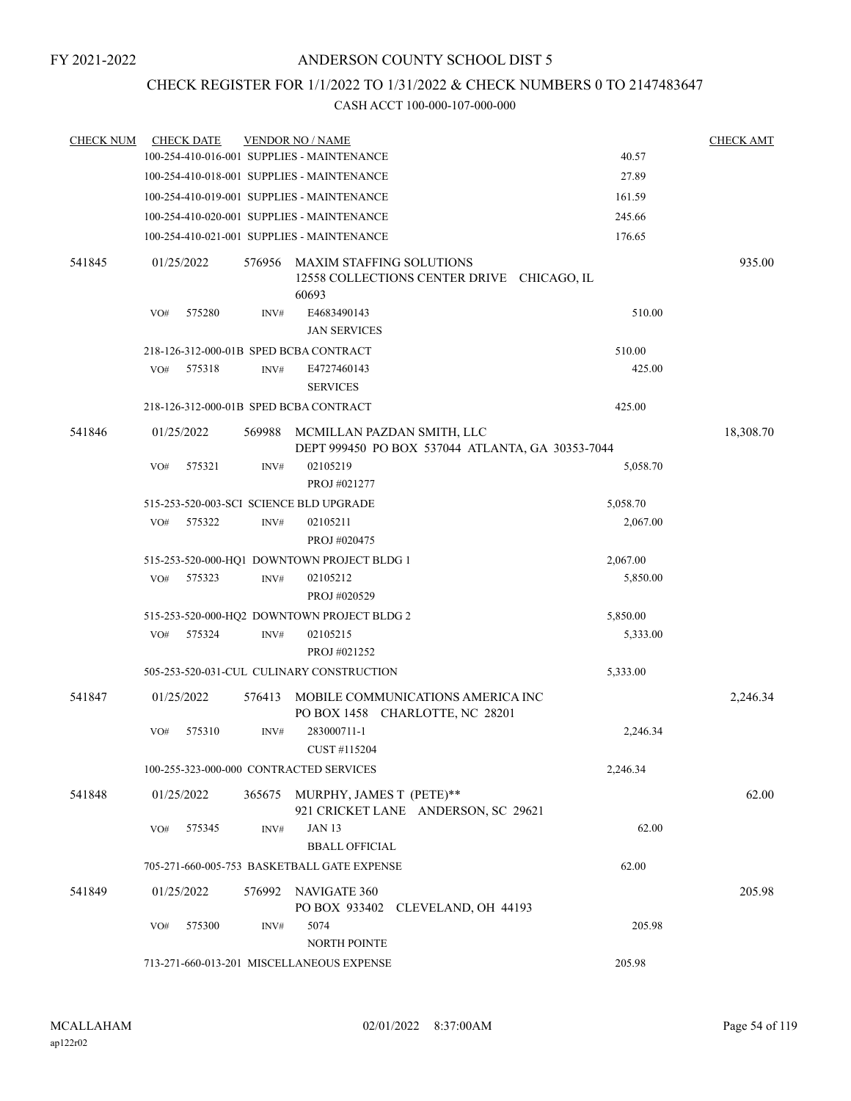### CHECK REGISTER FOR 1/1/2022 TO 1/31/2022 & CHECK NUMBERS 0 TO 2147483647

| <b>CHECK NUM</b> |     | <b>CHECK DATE</b> |        | <b>VENDOR NO / NAME</b>                                                         |          | <b>CHECK AMT</b> |
|------------------|-----|-------------------|--------|---------------------------------------------------------------------------------|----------|------------------|
|                  |     |                   |        | 100-254-410-016-001 SUPPLIES - MAINTENANCE                                      | 40.57    |                  |
|                  |     |                   |        | 100-254-410-018-001 SUPPLIES - MAINTENANCE                                      | 27.89    |                  |
|                  |     |                   |        | 100-254-410-019-001 SUPPLIES - MAINTENANCE                                      | 161.59   |                  |
|                  |     |                   |        | 100-254-410-020-001 SUPPLIES - MAINTENANCE                                      | 245.66   |                  |
|                  |     |                   |        | 100-254-410-021-001 SUPPLIES - MAINTENANCE                                      | 176.65   |                  |
| 541845           |     | 01/25/2022        | 576956 | MAXIM STAFFING SOLUTIONS<br>12558 COLLECTIONS CENTER DRIVE CHICAGO, IL<br>60693 |          | 935.00           |
|                  | VO# | 575280            | INV#   | E4683490143<br><b>JAN SERVICES</b>                                              | 510.00   |                  |
|                  |     |                   |        | 218-126-312-000-01B SPED BCBA CONTRACT                                          | 510.00   |                  |
|                  | VO# | 575318            | INV#   | E4727460143<br><b>SERVICES</b>                                                  | 425.00   |                  |
|                  |     |                   |        | 218-126-312-000-01B SPED BCBA CONTRACT                                          | 425.00   |                  |
| 541846           |     | 01/25/2022        | 569988 | MCMILLAN PAZDAN SMITH, LLC<br>DEPT 999450 PO BOX 537044 ATLANTA, GA 30353-7044  |          | 18,308.70        |
|                  | VO# | 575321            | INV#   | 02105219<br>PROJ #021277                                                        | 5,058.70 |                  |
|                  |     |                   |        | 515-253-520-003-SCI SCIENCE BLD UPGRADE                                         | 5,058.70 |                  |
|                  | VO# | 575322            | INV#   | 02105211<br>PROJ #020475                                                        | 2,067.00 |                  |
|                  |     |                   |        | 515-253-520-000-HQ1 DOWNTOWN PROJECT BLDG 1                                     | 2,067.00 |                  |
|                  | VO# | 575323            | INV#   | 02105212<br>PROJ #020529                                                        | 5,850.00 |                  |
|                  |     |                   |        | 515-253-520-000-HQ2 DOWNTOWN PROJECT BLDG 2                                     | 5,850.00 |                  |
|                  | VO# | 575324            | INV#   | 02105215<br>PROJ #021252                                                        | 5,333.00 |                  |
|                  |     |                   |        | 505-253-520-031-CUL CULINARY CONSTRUCTION                                       | 5,333.00 |                  |
| 541847           |     | 01/25/2022        | 576413 | MOBILE COMMUNICATIONS AMERICA INC<br>PO BOX 1458 CHARLOTTE, NC 28201            |          | 2,246.34         |
|                  | VO# | 575310            | INV#   | 283000711-1<br>CUST #115204                                                     | 2,246.34 |                  |
|                  |     |                   |        | 100-255-323-000-000 CONTRACTED SERVICES                                         | 2,246.34 |                  |
| 541848           |     | 01/25/2022        | 365675 | MURPHY, JAMES T (PETE)**<br>921 CRICKET LANE ANDERSON, SC 29621                 |          | 62.00            |
|                  | VO# | 575345            | INV#   | <b>JAN 13</b><br><b>BBALL OFFICIAL</b>                                          | 62.00    |                  |
|                  |     |                   |        | 705-271-660-005-753 BASKETBALL GATE EXPENSE                                     | 62.00    |                  |
| 541849           |     | 01/25/2022        | 576992 | NAVIGATE 360<br>PO BOX 933402 CLEVELAND, OH 44193                               |          | 205.98           |
|                  | VO# | 575300            | INV#   | 5074<br><b>NORTH POINTE</b>                                                     | 205.98   |                  |
|                  |     |                   |        | 713-271-660-013-201 MISCELLANEOUS EXPENSE                                       | 205.98   |                  |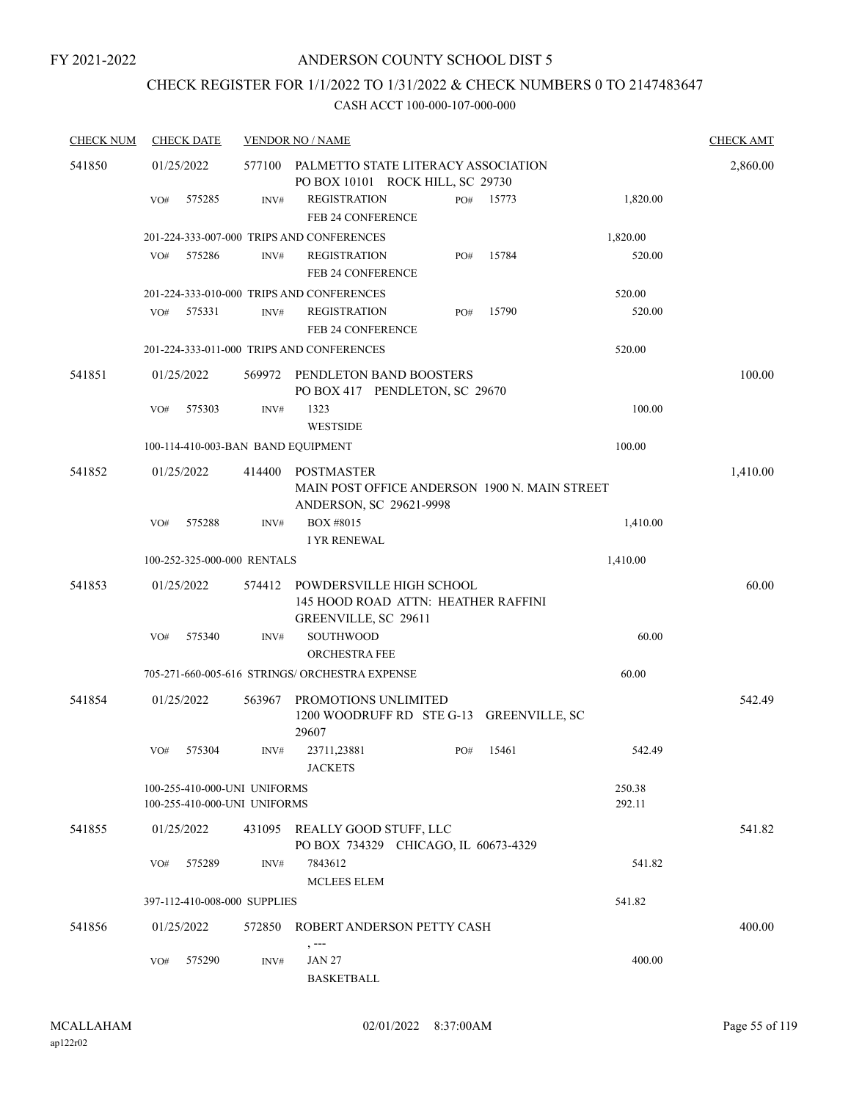# CHECK REGISTER FOR 1/1/2022 TO 1/31/2022 & CHECK NUMBERS 0 TO 2147483647

| <b>CHECK NUM</b> | <b>CHECK DATE</b> |                                                              | <b>VENDOR NO / NAME</b>                                                                       |                  | <b>CHECK AMT</b> |
|------------------|-------------------|--------------------------------------------------------------|-----------------------------------------------------------------------------------------------|------------------|------------------|
| 541850           | 01/25/2022        | 577100                                                       | PALMETTO STATE LITERACY ASSOCIATION<br>PO BOX 10101 ROCK HILL, SC 29730                       |                  | 2,860.00         |
|                  | 575285<br>VO#     | INV#                                                         | <b>REGISTRATION</b><br>15773<br>PO#<br>FEB 24 CONFERENCE                                      | 1,820.00         |                  |
|                  |                   |                                                              | 201-224-333-007-000 TRIPS AND CONFERENCES                                                     | 1,820.00         |                  |
|                  | 575286<br>VO#     | INV#                                                         | <b>REGISTRATION</b><br>15784<br>PO#<br>FEB 24 CONFERENCE                                      | 520.00           |                  |
|                  |                   |                                                              | 201-224-333-010-000 TRIPS AND CONFERENCES                                                     | 520.00           |                  |
|                  | 575331<br>VO#     | INV#                                                         | <b>REGISTRATION</b><br>15790<br>PO#<br>FEB 24 CONFERENCE                                      | 520.00           |                  |
|                  |                   |                                                              | 201-224-333-011-000 TRIPS AND CONFERENCES                                                     | 520.00           |                  |
| 541851           | 01/25/2022        | 569972                                                       | PENDLETON BAND BOOSTERS<br>PO BOX 417 PENDLETON, SC 29670                                     |                  | 100.00           |
|                  | 575303<br>VO#     | INV#                                                         | 1323<br><b>WESTSIDE</b>                                                                       | 100.00           |                  |
|                  |                   | 100-114-410-003-BAN BAND EQUIPMENT                           |                                                                                               | 100.00           |                  |
| 541852           | 01/25/2022        | 414400                                                       | <b>POSTMASTER</b><br>MAIN POST OFFICE ANDERSON 1900 N. MAIN STREET<br>ANDERSON, SC 29621-9998 |                  | 1,410.00         |
|                  | VO#<br>575288     | INV#                                                         | BOX #8015<br><b>I YR RENEWAL</b>                                                              | 1,410.00         |                  |
|                  |                   | 100-252-325-000-000 RENTALS                                  |                                                                                               | 1,410.00         |                  |
| 541853           | 01/25/2022        | 574412                                                       | POWDERSVILLE HIGH SCHOOL                                                                      |                  | 60.00            |
|                  |                   |                                                              | 145 HOOD ROAD ATTN: HEATHER RAFFINI<br>GREENVILLE, SC 29611                                   |                  |                  |
|                  | 575340<br>VO#     | INV#                                                         | <b>SOUTHWOOD</b><br><b>ORCHESTRA FEE</b>                                                      | 60.00            |                  |
|                  |                   |                                                              | 705-271-660-005-616 STRINGS/ ORCHESTRA EXPENSE                                                | 60.00            |                  |
| 541854           | 01/25/2022        | 563967                                                       | PROMOTIONS UNLIMITED<br>1200 WOODRUFF RD STE G-13 GREENVILLE, SC<br>29607                     |                  | 542.49           |
|                  | 575304<br>VO#     | INV#                                                         | 23711,23881<br>15461<br>PO#<br><b>JACKETS</b>                                                 | 542.49           |                  |
|                  |                   | 100-255-410-000-UNI UNIFORMS<br>100-255-410-000-UNI UNIFORMS |                                                                                               | 250.38<br>292.11 |                  |
| 541855           | 01/25/2022        |                                                              | 431095 REALLY GOOD STUFF, LLC<br>PO BOX 734329 CHICAGO, IL 60673-4329                         |                  | 541.82           |
|                  | 575289<br>VO#     | INV#                                                         | 7843612<br>MCLEES ELEM                                                                        | 541.82           |                  |
|                  |                   | 397-112-410-008-000 SUPPLIES                                 |                                                                                               | 541.82           |                  |
| 541856           | 01/25/2022        | 572850                                                       | ROBERT ANDERSON PETTY CASH                                                                    |                  | 400.00           |
|                  | 575290<br>VO#     | INV#                                                         | , ---<br><b>JAN 27</b><br><b>BASKETBALL</b>                                                   | 400.00           |                  |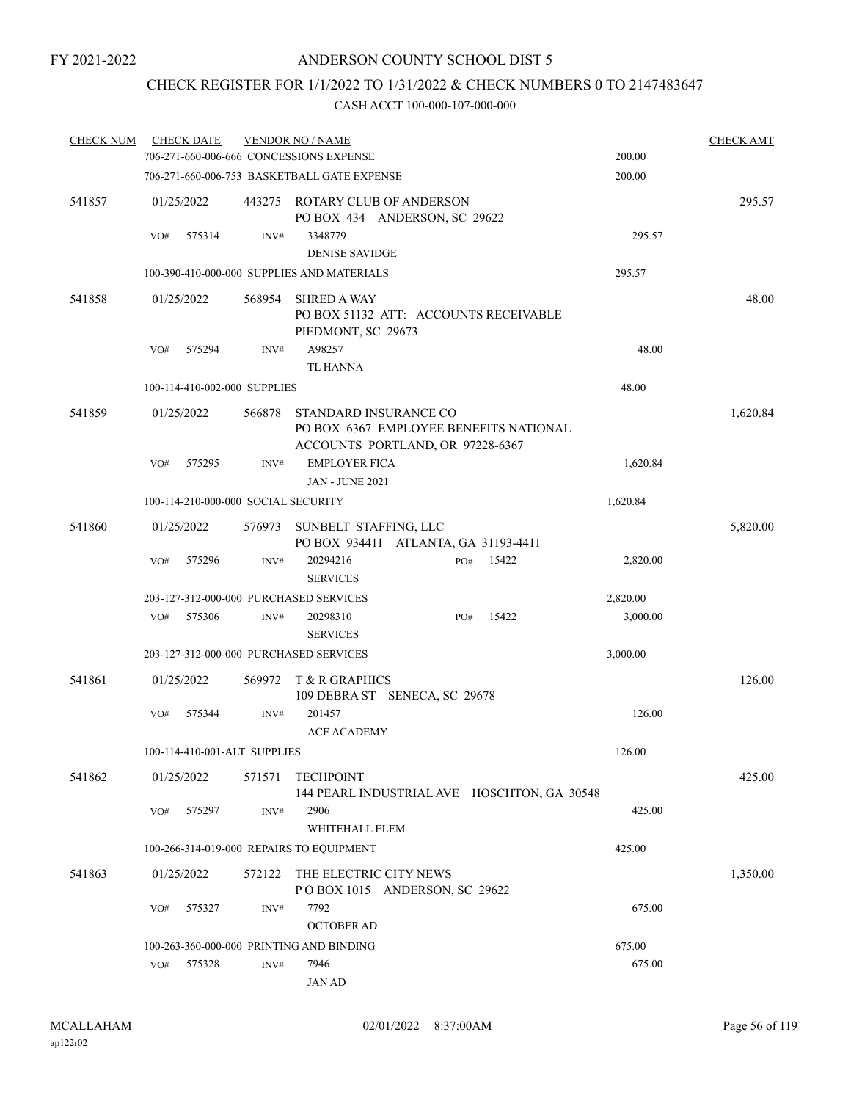## CHECK REGISTER FOR 1/1/2022 TO 1/31/2022 & CHECK NUMBERS 0 TO 2147483647

| <b>CHECK NUM</b> | <b>CHECK DATE</b> |                                     | <b>VENDOR NO / NAME</b>                        |                                                                            |       |          | <b>CHECK AMT</b> |
|------------------|-------------------|-------------------------------------|------------------------------------------------|----------------------------------------------------------------------------|-------|----------|------------------|
|                  |                   |                                     | 706-271-660-006-666 CONCESSIONS EXPENSE        |                                                                            |       | 200.00   |                  |
|                  |                   |                                     | 706-271-660-006-753 BASKETBALL GATE EXPENSE    |                                                                            |       | 200.00   |                  |
| 541857           | 01/25/2022        |                                     |                                                | 443275 ROTARY CLUB OF ANDERSON<br>PO BOX 434 ANDERSON, SC 29622            |       |          | 295.57           |
|                  | 575314<br>VO#     | INV#                                | 3348779<br><b>DENISE SAVIDGE</b>               |                                                                            |       | 295.57   |                  |
|                  |                   |                                     | 100-390-410-000-000 SUPPLIES AND MATERIALS     |                                                                            |       | 295.57   |                  |
| 541858           | 01/25/2022        | 568954                              | <b>SHRED A WAY</b><br>PIEDMONT, SC 29673       | PO BOX 51132 ATT: ACCOUNTS RECEIVABLE                                      |       |          | 48.00            |
|                  | 575294<br>VO#     | INV#                                | A98257<br><b>TL HANNA</b>                      |                                                                            |       | 48.00    |                  |
|                  |                   | 100-114-410-002-000 SUPPLIES        |                                                |                                                                            |       | 48.00    |                  |
| 541859           | 01/25/2022        | 566878                              | STANDARD INSURANCE CO                          | PO BOX 6367 EMPLOYEE BENEFITS NATIONAL<br>ACCOUNTS PORTLAND, OR 97228-6367 |       |          | 1,620.84         |
|                  | 575295<br>VO#     | INV#                                | <b>EMPLOYER FICA</b><br><b>JAN - JUNE 2021</b> |                                                                            |       | 1,620.84 |                  |
|                  |                   | 100-114-210-000-000 SOCIAL SECURITY |                                                |                                                                            |       | 1,620.84 |                  |
| 541860           | 01/25/2022        | 576973                              | SUNBELT STAFFING, LLC                          | PO BOX 934411 ATLANTA, GA 31193-4411                                       |       |          | 5,820.00         |
|                  | VO#<br>575296     | INV#                                | 20294216<br><b>SERVICES</b>                    | PO#                                                                        | 15422 | 2,820.00 |                  |
|                  |                   |                                     | 203-127-312-000-000 PURCHASED SERVICES         |                                                                            |       | 2,820.00 |                  |
|                  | 575306<br>VO#     | INV#                                | 20298310<br><b>SERVICES</b>                    | PO#                                                                        | 15422 | 3,000.00 |                  |
|                  |                   |                                     | 203-127-312-000-000 PURCHASED SERVICES         |                                                                            |       | 3,000.00 |                  |
| 541861           | 01/25/2022        | 569972                              | T & R GRAPHICS                                 | 109 DEBRA ST SENECA, SC 29678                                              |       |          | 126.00           |
|                  | 575344<br>VO#     | INV#                                | 201457<br><b>ACE ACADEMY</b>                   |                                                                            |       | 126.00   |                  |
|                  |                   | 100-114-410-001-ALT SUPPLIES        |                                                |                                                                            |       | 126.00   |                  |
| 541862           | 01/25/2022        | 571571                              | <b>TECHPOINT</b>                               | 144 PEARL INDUSTRIAL AVE HOSCHTON, GA 30548                                |       |          | 425.00           |
|                  | VO#<br>575297     | INV#                                | 2906<br>WHITEHALL ELEM                         |                                                                            |       | 425.00   |                  |
|                  |                   |                                     | 100-266-314-019-000 REPAIRS TO EQUIPMENT       |                                                                            |       | 425.00   |                  |
| 541863           | 01/25/2022        | 572122                              | THE ELECTRIC CITY NEWS                         | POBOX 1015 ANDERSON, SC 29622                                              |       |          | 1,350.00         |
|                  | 575327<br>VO#     | INV#                                | 7792<br><b>OCTOBER AD</b>                      |                                                                            |       | 675.00   |                  |
|                  |                   |                                     | 100-263-360-000-000 PRINTING AND BINDING       |                                                                            |       | 675.00   |                  |
|                  | VO#<br>575328     | INV#                                | 7946<br><b>JAN AD</b>                          |                                                                            |       | 675.00   |                  |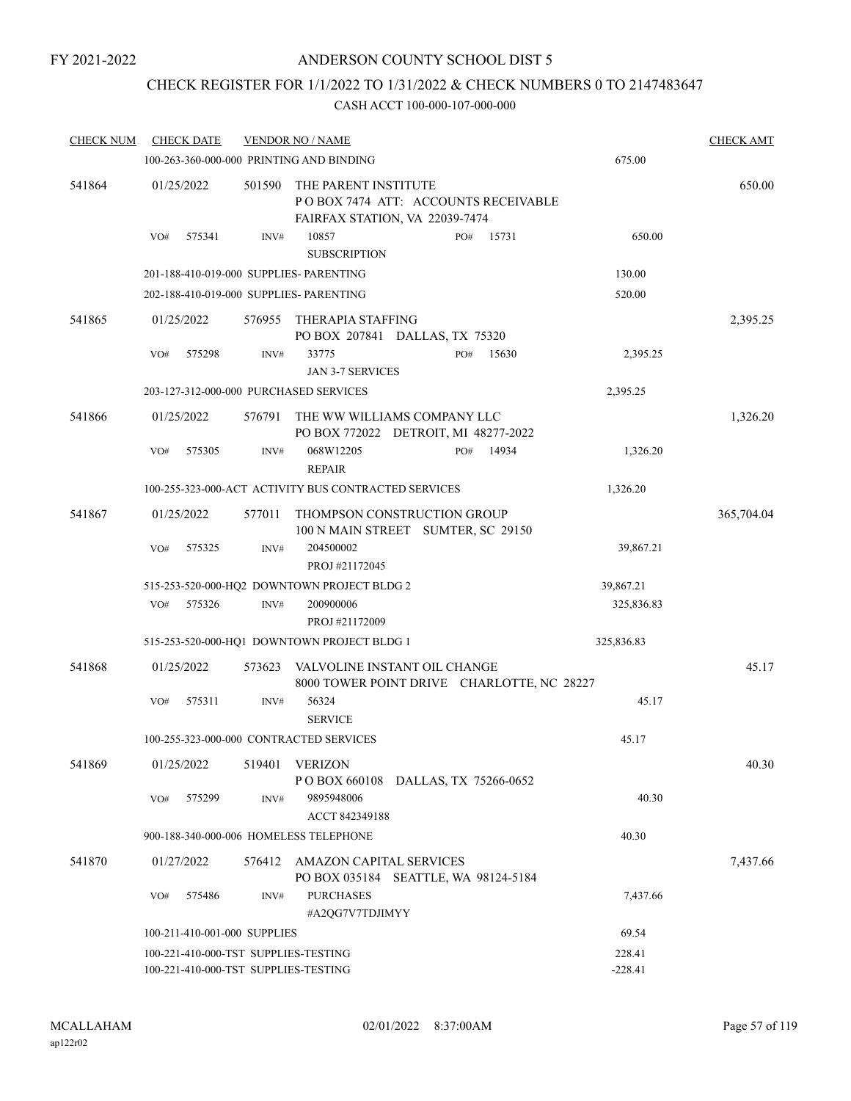### CHECK REGISTER FOR 1/1/2022 TO 1/31/2022 & CHECK NUMBERS 0 TO 2147483647

| <b>CHECK NUM</b> | <b>CHECK DATE</b> |                                                                              | <b>VENDOR NO / NAME</b>                                                                       |     |       |                     | <b>CHECK AMT</b> |
|------------------|-------------------|------------------------------------------------------------------------------|-----------------------------------------------------------------------------------------------|-----|-------|---------------------|------------------|
|                  |                   |                                                                              | 100-263-360-000-000 PRINTING AND BINDING                                                      |     |       | 675.00              |                  |
| 541864           | 01/25/2022        | 501590                                                                       | THE PARENT INSTITUTE<br>POBOX 7474 ATT: ACCOUNTS RECEIVABLE<br>FAIRFAX STATION, VA 22039-7474 |     |       |                     | 650.00           |
|                  | 575341<br>VO#     | INV#                                                                         | 10857<br><b>SUBSCRIPTION</b>                                                                  | PO# | 15731 | 650.00              |                  |
|                  |                   |                                                                              | 201-188-410-019-000 SUPPLIES- PARENTING                                                       |     |       | 130.00              |                  |
|                  |                   |                                                                              | 202-188-410-019-000 SUPPLIES- PARENTING                                                       |     |       | 520.00              |                  |
| 541865           | 01/25/2022        | 576955                                                                       | THERAPIA STAFFING<br>PO BOX 207841 DALLAS, TX 75320                                           |     |       |                     | 2,395.25         |
|                  | VO#<br>575298     | INV#                                                                         | 33775<br><b>JAN 3-7 SERVICES</b>                                                              | PO# | 15630 | 2,395.25            |                  |
|                  |                   |                                                                              | 203-127-312-000-000 PURCHASED SERVICES                                                        |     |       | 2,395.25            |                  |
| 541866           | 01/25/2022        | 576791                                                                       | THE WW WILLIAMS COMPANY LLC<br>PO BOX 772022 DETROIT, MI 48277-2022                           |     |       |                     | 1,326.20         |
|                  | 575305<br>VO#     | INV#                                                                         | 068W12205<br><b>REPAIR</b>                                                                    | PO# | 14934 | 1,326.20            |                  |
|                  |                   |                                                                              | 100-255-323-000-ACT ACTIVITY BUS CONTRACTED SERVICES                                          |     |       | 1,326.20            |                  |
| 541867           | 01/25/2022        | 577011                                                                       | THOMPSON CONSTRUCTION GROUP<br>100 N MAIN STREET SUMTER, SC 29150                             |     |       |                     | 365,704.04       |
|                  | VO#<br>575325     | INV#                                                                         | 204500002<br>PROJ #21172045                                                                   |     |       | 39,867.21           |                  |
|                  |                   |                                                                              | 515-253-520-000-HQ2 DOWNTOWN PROJECT BLDG 2                                                   |     |       | 39,867.21           |                  |
|                  | 575326<br>VO#     | INV#                                                                         | 200900006<br>PROJ #21172009                                                                   |     |       | 325,836.83          |                  |
|                  |                   |                                                                              | 515-253-520-000-HQ1 DOWNTOWN PROJECT BLDG 1                                                   |     |       | 325,836.83          |                  |
| 541868           | 01/25/2022        | 573623                                                                       | VALVOLINE INSTANT OIL CHANGE<br>8000 TOWER POINT DRIVE CHARLOTTE, NC 28227                    |     |       |                     | 45.17            |
|                  | 575311<br>VO#     | INV#                                                                         | 56324<br><b>SERVICE</b>                                                                       |     |       | 45.17               |                  |
|                  |                   |                                                                              | 100-255-323-000-000 CONTRACTED SERVICES                                                       |     |       | 45.17               |                  |
| 541869           | 01/25/2022        | 519401                                                                       | VERIZON<br>POBOX 660108 DALLAS, TX 75266-0652                                                 |     |       |                     | 40.30            |
|                  | VO#<br>575299     | INV#                                                                         | 9895948006<br>ACCT 842349188                                                                  |     |       | 40.30               |                  |
|                  |                   |                                                                              | 900-188-340-000-006 HOMELESS TELEPHONE                                                        |     |       | 40.30               |                  |
| 541870           | 01/27/2022        | 576412                                                                       | AMAZON CAPITAL SERVICES<br>PO BOX 035184 SEATTLE, WA 98124-5184                               |     |       |                     | 7,437.66         |
|                  | 575486<br>VO#     | INV#                                                                         | <b>PURCHASES</b><br>#A2QG7V7TDJIMYY                                                           |     |       | 7,437.66            |                  |
|                  |                   | 100-211-410-001-000 SUPPLIES                                                 |                                                                                               |     |       | 69.54               |                  |
|                  |                   | 100-221-410-000-TST SUPPLIES-TESTING<br>100-221-410-000-TST SUPPLIES-TESTING |                                                                                               |     |       | 228.41<br>$-228.41$ |                  |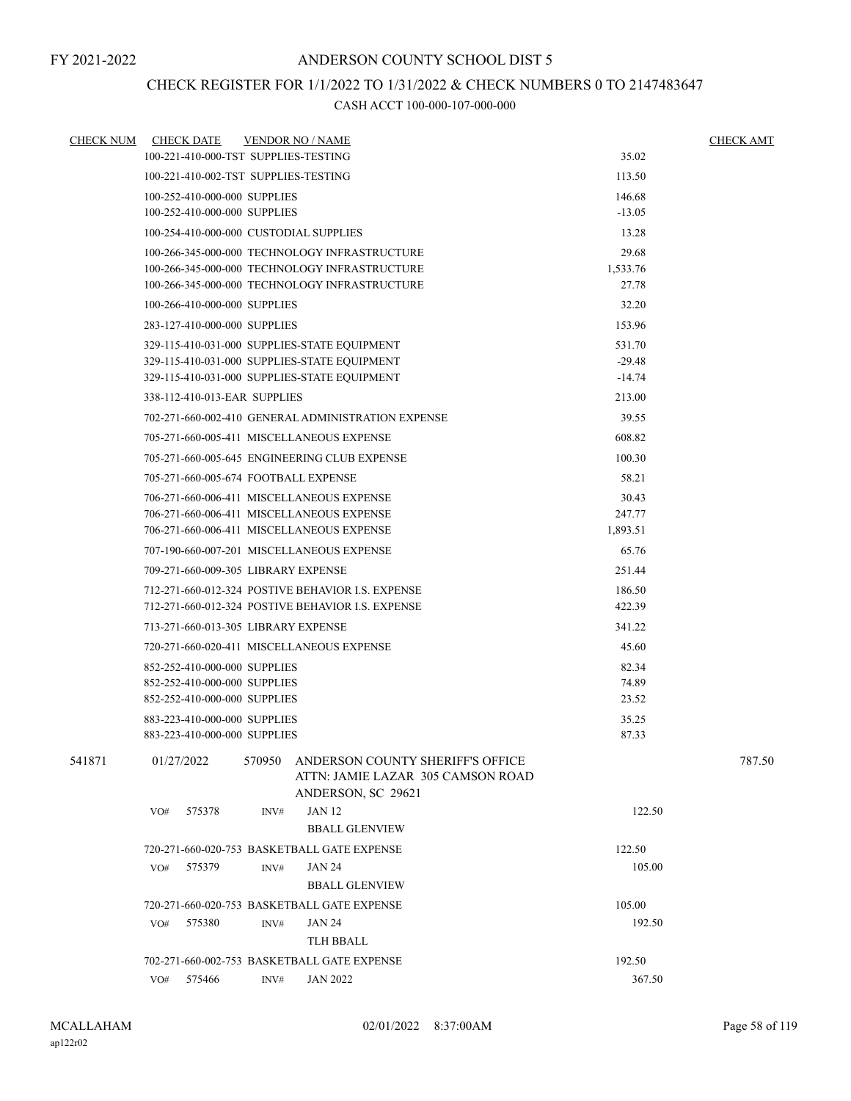## CHECK REGISTER FOR 1/1/2022 TO 1/31/2022 & CHECK NUMBERS 0 TO 2147483647

| <b>CHECK NUM</b> | <b>CHECK DATE</b>                           |        | <b>VENDOR NO / NAME</b>                                                                     |          | <b>CHECK AMT</b> |  |
|------------------|---------------------------------------------|--------|---------------------------------------------------------------------------------------------|----------|------------------|--|
|                  | 100-221-410-000-TST SUPPLIES-TESTING        |        |                                                                                             | 35.02    |                  |  |
|                  | 100-221-410-002-TST SUPPLIES-TESTING        |        |                                                                                             | 113.50   |                  |  |
|                  | 100-252-410-000-000 SUPPLIES                |        |                                                                                             | 146.68   |                  |  |
|                  | 100-252-410-000-000 SUPPLIES                |        |                                                                                             | $-13.05$ |                  |  |
|                  | 100-254-410-000-000 CUSTODIAL SUPPLIES      |        |                                                                                             | 13.28    |                  |  |
|                  |                                             |        | 100-266-345-000-000 TECHNOLOGY INFRASTRUCTURE                                               | 29.68    |                  |  |
|                  |                                             |        | 100-266-345-000-000 TECHNOLOGY INFRASTRUCTURE                                               | 1,533.76 |                  |  |
|                  |                                             |        | 100-266-345-000-000 TECHNOLOGY INFRASTRUCTURE                                               | 27.78    |                  |  |
|                  | 100-266-410-000-000 SUPPLIES                |        |                                                                                             | 32.20    |                  |  |
|                  | 283-127-410-000-000 SUPPLIES                |        |                                                                                             | 153.96   |                  |  |
|                  |                                             |        | 329-115-410-031-000 SUPPLIES-STATE EQUIPMENT                                                | 531.70   |                  |  |
|                  |                                             |        | 329-115-410-031-000 SUPPLIES-STATE EQUIPMENT                                                | $-29.48$ |                  |  |
|                  |                                             |        | 329-115-410-031-000 SUPPLIES-STATE EQUIPMENT                                                | $-14.74$ |                  |  |
|                  | 338-112-410-013-EAR SUPPLIES                |        |                                                                                             | 213.00   |                  |  |
|                  |                                             |        | 702-271-660-002-410 GENERAL ADMINISTRATION EXPENSE                                          | 39.55    |                  |  |
|                  |                                             |        | 705-271-660-005-411 MISCELLANEOUS EXPENSE                                                   | 608.82   |                  |  |
|                  |                                             |        | 705-271-660-005-645 ENGINEERING CLUB EXPENSE                                                | 100.30   |                  |  |
|                  | 705-271-660-005-674 FOOTBALL EXPENSE        |        |                                                                                             | 58.21    |                  |  |
|                  |                                             |        | 706-271-660-006-411 MISCELLANEOUS EXPENSE                                                   | 30.43    |                  |  |
|                  |                                             |        | 706-271-660-006-411 MISCELLANEOUS EXPENSE                                                   | 247.77   |                  |  |
|                  | 706-271-660-006-411 MISCELLANEOUS EXPENSE   |        | 1,893.51                                                                                    |          |                  |  |
|                  |                                             |        | 707-190-660-007-201 MISCELLANEOUS EXPENSE                                                   | 65.76    |                  |  |
|                  | 709-271-660-009-305 LIBRARY EXPENSE         |        |                                                                                             | 251.44   |                  |  |
|                  |                                             |        | 712-271-660-012-324 POSTIVE BEHAVIOR I.S. EXPENSE                                           | 186.50   |                  |  |
|                  |                                             |        | 712-271-660-012-324 POSTIVE BEHAVIOR I.S. EXPENSE                                           | 422.39   |                  |  |
|                  | 713-271-660-013-305 LIBRARY EXPENSE         |        | 341.22                                                                                      |          |                  |  |
|                  | 720-271-660-020-411 MISCELLANEOUS EXPENSE   |        | 45.60                                                                                       |          |                  |  |
|                  | 852-252-410-000-000 SUPPLIES                |        |                                                                                             | 82.34    |                  |  |
|                  | 852-252-410-000-000 SUPPLIES                |        |                                                                                             | 74.89    |                  |  |
|                  | 852-252-410-000-000 SUPPLIES                |        |                                                                                             | 23.52    |                  |  |
|                  | 883-223-410-000-000 SUPPLIES                |        |                                                                                             | 35.25    |                  |  |
|                  | 883-223-410-000-000 SUPPLIES                |        |                                                                                             | 87.33    |                  |  |
| 541871           | 01/27/2022                                  | 570950 | ANDERSON COUNTY SHERIFF'S OFFICE<br>ATTN: JAMIE LAZAR 305 CAMSON ROAD<br>ANDERSON, SC 29621 |          | 787.50           |  |
|                  | 575378<br>VO#                               | INV#   | JAN 12                                                                                      | 122.50   |                  |  |
|                  |                                             |        | <b>BBALL GLENVIEW</b>                                                                       |          |                  |  |
|                  |                                             |        | 720-271-660-020-753 BASKETBALL GATE EXPENSE                                                 | 122.50   |                  |  |
|                  | VO#<br>575379                               | INV#   | <b>JAN 24</b>                                                                               | 105.00   |                  |  |
|                  |                                             |        | <b>BBALL GLENVIEW</b>                                                                       |          |                  |  |
|                  | 720-271-660-020-753 BASKETBALL GATE EXPENSE |        | 105.00                                                                                      |          |                  |  |
|                  | 575380<br>VO#                               | INV#   | 192.50                                                                                      |          |                  |  |
|                  |                                             |        | JAN 24<br>TLH BBALL                                                                         |          |                  |  |
|                  |                                             |        | 702-271-660-002-753 BASKETBALL GATE EXPENSE                                                 | 192.50   |                  |  |
|                  | 575466<br>VO#                               | INV#   | <b>JAN 2022</b>                                                                             | 367.50   |                  |  |
|                  |                                             |        |                                                                                             |          |                  |  |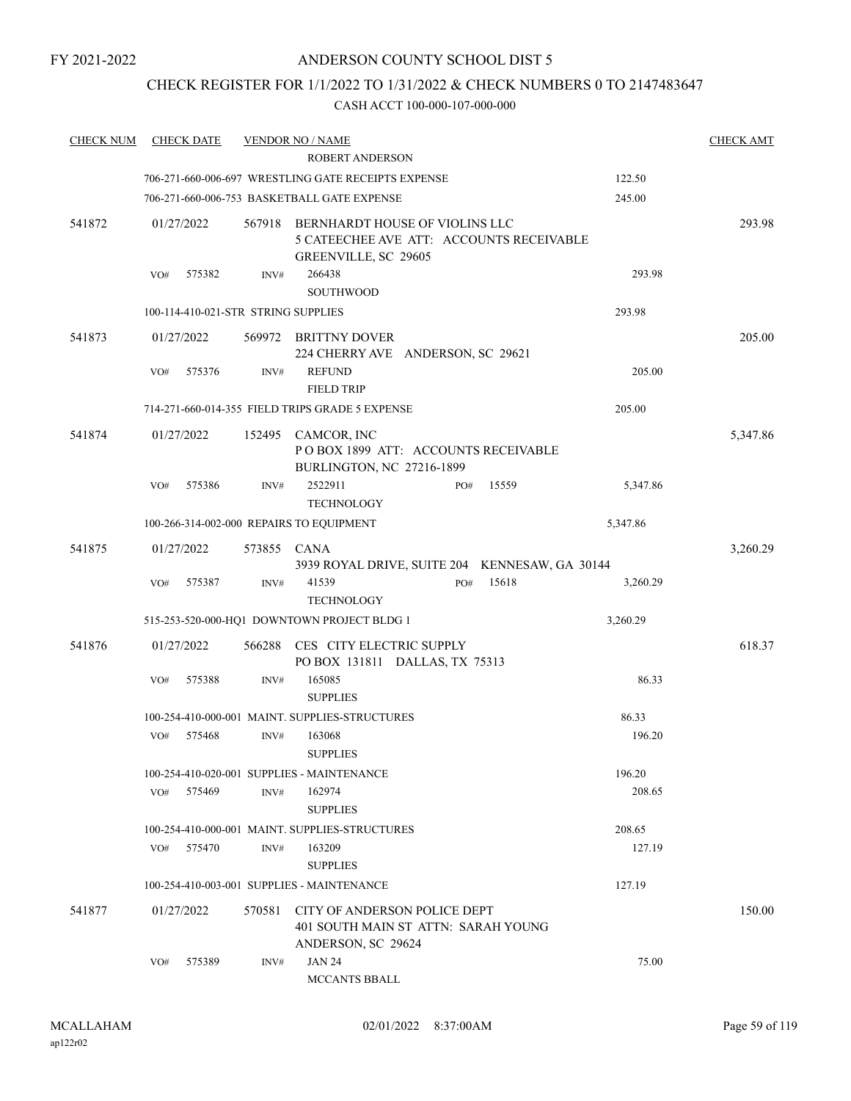## CHECK REGISTER FOR 1/1/2022 TO 1/31/2022 & CHECK NUMBERS 0 TO 2147483647

| <b>CHECK NUM</b> | <b>CHECK DATE</b>                        |             | <b>VENDOR NO / NAME</b>                                                                   |     |       |          | <b>CHECK AMT</b> |
|------------------|------------------------------------------|-------------|-------------------------------------------------------------------------------------------|-----|-------|----------|------------------|
|                  |                                          |             | <b>ROBERT ANDERSON</b>                                                                    |     |       |          |                  |
|                  |                                          |             | 706-271-660-006-697 WRESTLING GATE RECEIPTS EXPENSE                                       |     |       | 122.50   |                  |
|                  |                                          |             | 706-271-660-006-753 BASKETBALL GATE EXPENSE                                               |     |       | 245.00   |                  |
| 541872           | 01/27/2022                               | 567918      | BERNHARDT HOUSE OF VIOLINS LLC<br>5 CATEECHEE AVE ATT: ACCOUNTS RECEIVABLE                |     |       |          | 293.98           |
|                  | 575382<br>VO#                            | INV#        | GREENVILLE, SC 29605<br>266438                                                            |     |       | 293.98   |                  |
|                  |                                          |             | <b>SOUTHWOOD</b>                                                                          |     |       |          |                  |
|                  | 100-114-410-021-STR STRING SUPPLIES      |             |                                                                                           |     |       | 293.98   |                  |
| 541873           | 01/27/2022                               |             | 569972 BRITTNY DOVER<br>224 CHERRY AVE ANDERSON, SC 29621                                 |     |       |          | 205.00           |
|                  | VO#<br>575376                            | INV#        | <b>REFUND</b><br><b>FIELD TRIP</b>                                                        |     |       | 205.00   |                  |
|                  |                                          |             | 714-271-660-014-355 FIELD TRIPS GRADE 5 EXPENSE                                           |     |       | 205.00   |                  |
| 541874           | 01/27/2022                               |             | 152495 CAMCOR, INC<br>POBOX 1899 ATT: ACCOUNTS RECEIVABLE<br>BURLINGTON, NC 27216-1899    |     |       |          | 5,347.86         |
|                  | 575386<br>VO#                            | INV#        | 2522911<br><b>TECHNOLOGY</b>                                                              | PO# | 15559 | 5,347.86 |                  |
|                  | 100-266-314-002-000 REPAIRS TO EQUIPMENT |             |                                                                                           |     |       | 5,347.86 |                  |
| 541875           | 01/27/2022                               | 573855 CANA | 3939 ROYAL DRIVE, SUITE 204 KENNESAW, GA 30144                                            |     |       |          | 3,260.29         |
|                  | 575387<br>VO#                            | INV#        | 41539<br><b>TECHNOLOGY</b>                                                                | PO# | 15618 | 3,260.29 |                  |
|                  |                                          |             | 515-253-520-000-HQ1 DOWNTOWN PROJECT BLDG 1                                               |     |       | 3,260.29 |                  |
| 541876           | 01/27/2022                               | 566288      | CES CITY ELECTRIC SUPPLY<br>PO BOX 131811 DALLAS, TX 75313                                |     |       |          | 618.37           |
|                  | 575388<br>VO#                            | INV#        | 165085<br><b>SUPPLIES</b>                                                                 |     |       | 86.33    |                  |
|                  |                                          |             | 100-254-410-000-001 MAINT. SUPPLIES-STRUCTURES                                            |     |       | 86.33    |                  |
|                  | VO#<br>575468                            | INV#        | 163068<br><b>SUPPLIES</b>                                                                 |     |       | 196.20   |                  |
|                  |                                          |             | 100-254-410-020-001 SUPPLIES - MAINTENANCE                                                |     |       | 196.20   |                  |
|                  | 575469<br>VO#                            | INV#        | 162974<br><b>SUPPLIES</b>                                                                 |     |       | 208.65   |                  |
|                  |                                          |             | 100-254-410-000-001 MAINT, SUPPLIES-STRUCTURES                                            |     |       | 208.65   |                  |
|                  | 575470<br>VO#                            | INV#        | 163209<br><b>SUPPLIES</b>                                                                 |     |       | 127.19   |                  |
|                  |                                          |             | 100-254-410-003-001 SUPPLIES - MAINTENANCE                                                |     |       | 127.19   |                  |
| 541877           | 01/27/2022                               | 570581      | CITY OF ANDERSON POLICE DEPT<br>401 SOUTH MAIN ST ATTN: SARAH YOUNG<br>ANDERSON, SC 29624 |     |       |          | 150.00           |
|                  | 575389<br>VO#                            | INV#        | <b>JAN 24</b><br>MCCANTS BBALL                                                            |     |       | 75.00    |                  |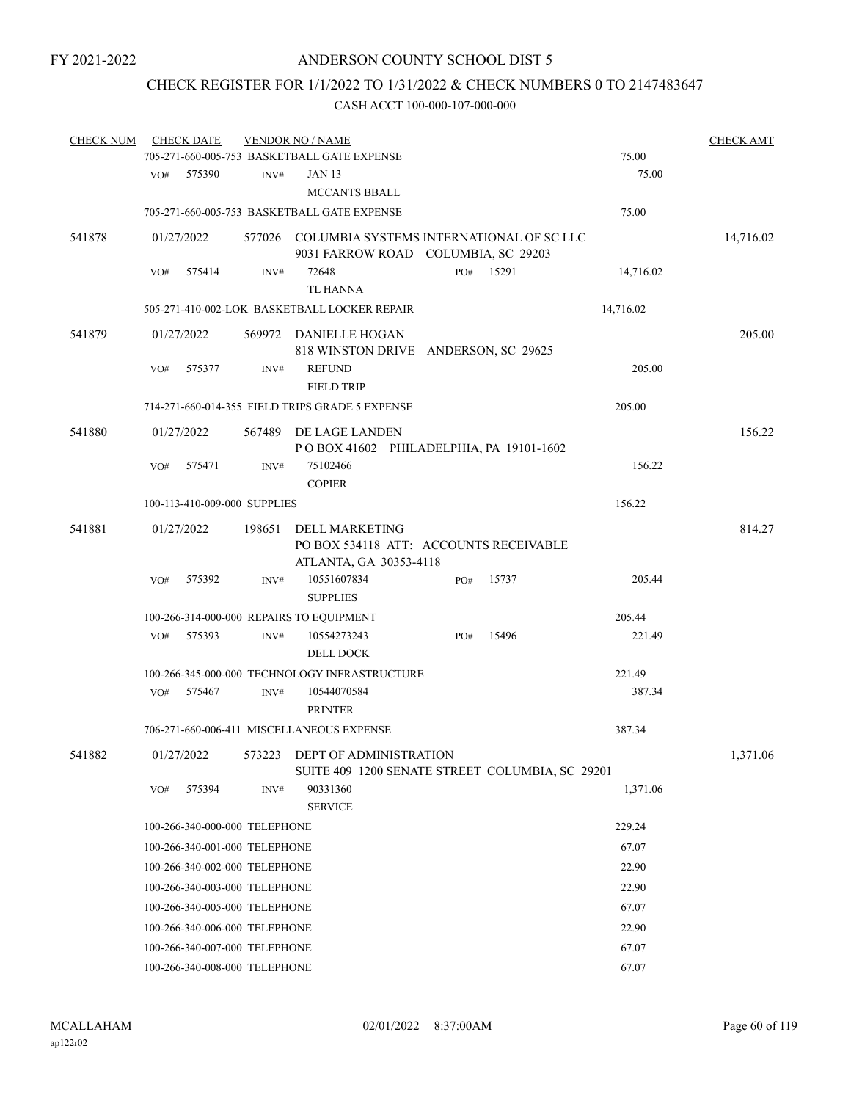# CHECK REGISTER FOR 1/1/2022 TO 1/31/2022 & CHECK NUMBERS 0 TO 2147483647

| <b>CHECK NUM</b> |     | <b>CHECK DATE</b>             |        | <b>VENDOR NO / NAME</b>                                                                |     |       |           | <b>CHECK AMT</b> |
|------------------|-----|-------------------------------|--------|----------------------------------------------------------------------------------------|-----|-------|-----------|------------------|
|                  |     |                               |        | 705-271-660-005-753 BASKETBALL GATE EXPENSE                                            |     |       | 75.00     |                  |
|                  | VO# | 575390                        | INV#   | <b>JAN 13</b><br>MCCANTS BBALL                                                         |     |       | 75.00     |                  |
|                  |     |                               |        | 705-271-660-005-753 BASKETBALL GATE EXPENSE                                            |     |       | 75.00     |                  |
| 541878           |     | 01/27/2022                    |        | 577026 COLUMBIA SYSTEMS INTERNATIONAL OF SC LLC<br>9031 FARROW ROAD COLUMBIA, SC 29203 |     |       |           | 14,716.02        |
|                  | VO# | 575414                        | INV#   | 72648<br><b>TL HANNA</b>                                                               | PO# | 15291 | 14,716.02 |                  |
|                  |     |                               |        | 505-271-410-002-LOK BASKETBALL LOCKER REPAIR                                           |     |       | 14,716.02 |                  |
| 541879           |     | 01/27/2022                    |        | 569972 DANIELLE HOGAN<br>818 WINSTON DRIVE ANDERSON, SC 29625                          |     |       |           | 205.00           |
|                  | VO# | 575377                        | INV#   | <b>REFUND</b><br><b>FIELD TRIP</b>                                                     |     |       | 205.00    |                  |
|                  |     |                               |        | 714-271-660-014-355 FIELD TRIPS GRADE 5 EXPENSE                                        |     |       | 205.00    |                  |
| 541880           |     | 01/27/2022                    | 567489 | DE LAGE LANDEN<br>POBOX 41602 PHILADELPHIA, PA 19101-1602                              |     |       |           | 156.22           |
|                  | VO# | 575471                        | INV#   | 75102466<br><b>COPIER</b>                                                              |     |       | 156.22    |                  |
|                  |     | 100-113-410-009-000 SUPPLIES  |        |                                                                                        |     |       | 156.22    |                  |
|                  |     | 01/27/2022                    | 198651 | <b>DELL MARKETING</b>                                                                  |     |       |           | 814.27           |
| 541881           |     |                               |        | PO BOX 534118 ATT: ACCOUNTS RECEIVABLE<br>ATLANTA, GA 30353-4118                       |     |       |           |                  |
|                  | VO# | 575392                        | INV#   | 10551607834<br><b>SUPPLIES</b>                                                         | PO# | 15737 | 205.44    |                  |
|                  |     |                               |        | 100-266-314-000-000 REPAIRS TO EQUIPMENT                                               |     |       | 205.44    |                  |
|                  | VO# | 575393                        | INV#   | 10554273243<br><b>DELL DOCK</b>                                                        | PO# | 15496 | 221.49    |                  |
|                  |     |                               |        | 100-266-345-000-000 TECHNOLOGY INFRASTRUCTURE                                          |     |       | 221.49    |                  |
|                  | VO# | 575467                        | INV#   | 10544070584<br><b>PRINTER</b>                                                          |     |       | 387.34    |                  |
|                  |     |                               |        | 706-271-660-006-411 MISCELLANEOUS EXPENSE                                              |     |       | 387.34    |                  |
| 541882           |     | 01/27/2022                    |        | 573223 DEPT OF ADMINISTRATION<br>SUITE 409 1200 SENATE STREET COLUMBIA, SC 29201       |     |       |           | 1,371.06         |
|                  | VO# | 575394                        | INV#   | 90331360<br><b>SERVICE</b>                                                             |     |       | 1,371.06  |                  |
|                  |     | 100-266-340-000-000 TELEPHONE |        |                                                                                        |     |       | 229.24    |                  |
|                  |     | 100-266-340-001-000 TELEPHONE |        |                                                                                        |     |       | 67.07     |                  |
|                  |     | 100-266-340-002-000 TELEPHONE |        |                                                                                        |     |       | 22.90     |                  |
|                  |     | 100-266-340-003-000 TELEPHONE |        |                                                                                        |     |       | 22.90     |                  |
|                  |     | 100-266-340-005-000 TELEPHONE |        |                                                                                        |     |       | 67.07     |                  |
|                  |     | 100-266-340-006-000 TELEPHONE |        |                                                                                        |     |       | 22.90     |                  |
|                  |     | 100-266-340-007-000 TELEPHONE |        |                                                                                        |     |       | 67.07     |                  |
|                  |     | 100-266-340-008-000 TELEPHONE |        |                                                                                        |     |       | 67.07     |                  |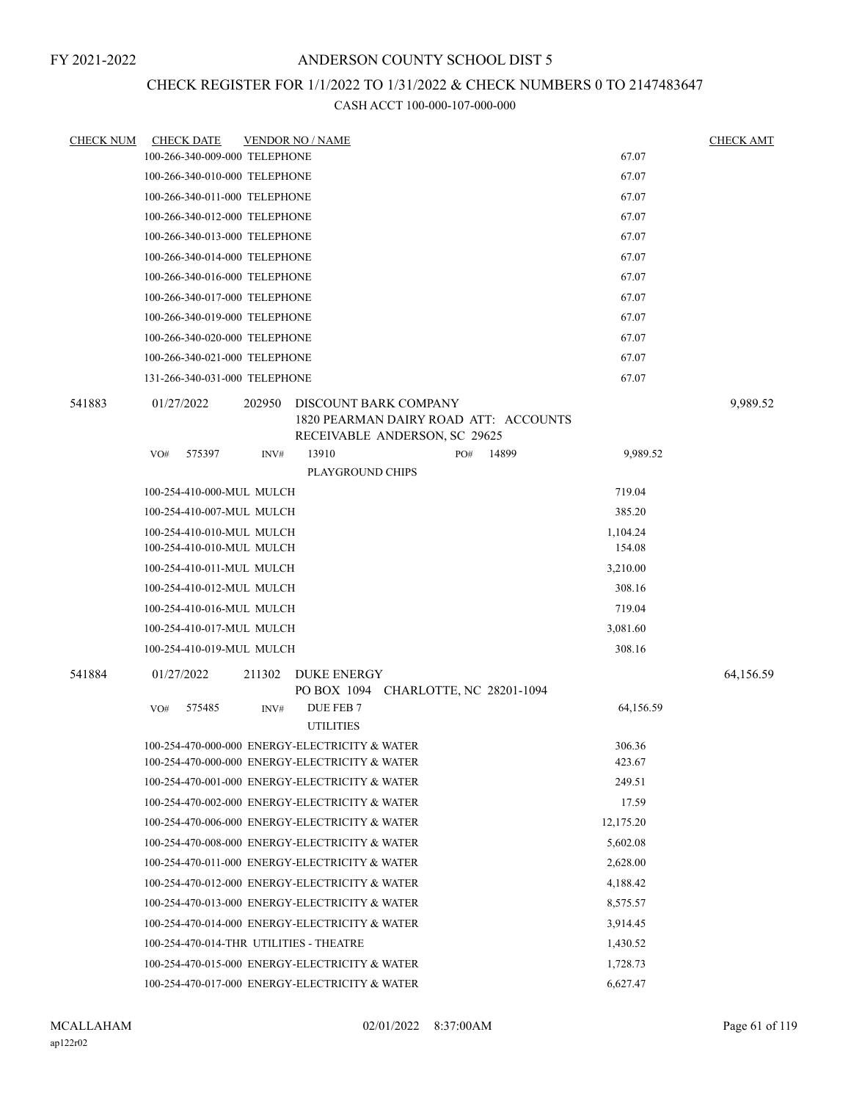## CHECK REGISTER FOR 1/1/2022 TO 1/31/2022 & CHECK NUMBERS 0 TO 2147483647

| <b>CHECK NUM</b> | <b>CHECK DATE</b>                       |        | <b>VENDOR NO / NAME</b>                                                                         |     |       |           | <b>CHECK AMT</b> |
|------------------|-----------------------------------------|--------|-------------------------------------------------------------------------------------------------|-----|-------|-----------|------------------|
|                  | 100-266-340-009-000 TELEPHONE           |        |                                                                                                 |     |       | 67.07     |                  |
|                  | 100-266-340-010-000 TELEPHONE           |        |                                                                                                 |     |       | 67.07     |                  |
|                  | 100-266-340-011-000 TELEPHONE           |        |                                                                                                 |     |       | 67.07     |                  |
|                  | 100-266-340-012-000 TELEPHONE           |        |                                                                                                 |     |       | 67.07     |                  |
|                  | 100-266-340-013-000 TELEPHONE           |        |                                                                                                 |     |       | 67.07     |                  |
|                  | 100-266-340-014-000 TELEPHONE           |        |                                                                                                 |     |       | 67.07     |                  |
|                  | 100-266-340-016-000 TELEPHONE           |        |                                                                                                 |     |       | 67.07     |                  |
|                  | 100-266-340-017-000 TELEPHONE           |        |                                                                                                 |     |       | 67.07     |                  |
|                  | 100-266-340-019-000 TELEPHONE           |        |                                                                                                 |     |       | 67.07     |                  |
|                  | 100-266-340-020-000 TELEPHONE           |        |                                                                                                 |     |       | 67.07     |                  |
|                  | 100-266-340-021-000 TELEPHONE           |        |                                                                                                 |     |       | 67.07     |                  |
|                  | 131-266-340-031-000 TELEPHONE           |        |                                                                                                 |     |       | 67.07     |                  |
| 541883           | 01/27/2022                              | 202950 | DISCOUNT BARK COMPANY<br>1820 PEARMAN DAIRY ROAD ATT: ACCOUNTS<br>RECEIVABLE ANDERSON, SC 29625 |     |       |           | 9,989.52         |
|                  | 575397<br>VO#                           | INV#   | 13910                                                                                           | PO# | 14899 | 9,989.52  |                  |
|                  |                                         |        | <b>PLAYGROUND CHIPS</b>                                                                         |     |       |           |                  |
|                  | 100-254-410-000-MUL MULCH               |        |                                                                                                 |     |       | 719.04    |                  |
|                  | 100-254-410-007-MUL MULCH               |        |                                                                                                 |     |       | 385.20    |                  |
|                  | 100-254-410-010-MUL MULCH               |        |                                                                                                 |     |       | 1,104.24  |                  |
|                  | 100-254-410-010-MUL MULCH               |        |                                                                                                 |     |       | 154.08    |                  |
|                  | 100-254-410-011-MUL MULCH               |        |                                                                                                 |     |       | 3,210.00  |                  |
|                  | 100-254-410-012-MUL MULCH               |        |                                                                                                 |     |       | 308.16    |                  |
|                  | 100-254-410-016-MUL MULCH               |        |                                                                                                 |     |       | 719.04    |                  |
|                  | 100-254-410-017-MUL MULCH               |        |                                                                                                 |     |       | 3,081.60  |                  |
|                  | 100-254-410-019-MUL MULCH               |        |                                                                                                 |     |       | 308.16    |                  |
| 541884           | 01/27/2022                              | 211302 | <b>DUKE ENERGY</b><br>PO BOX 1094 CHARLOTTE, NC 28201-1094                                      |     |       |           | 64,156.59        |
|                  | 575485<br>VO#                           | INV#   | DUE FEB 7<br><b>UTILITIES</b>                                                                   |     |       | 64,156.59 |                  |
|                  |                                         |        | 100-254-470-000-000 ENERGY-ELECTRICITY & WATER                                                  |     |       | 306.36    |                  |
|                  |                                         |        | 100-254-470-000-000 ENERGY-ELECTRICITY & WATER                                                  |     |       | 423.67    |                  |
|                  |                                         |        | 100-254-470-001-000 ENERGY-ELECTRICITY & WATER                                                  |     |       | 249.51    |                  |
|                  |                                         |        | 100-254-470-002-000 ENERGY-ELECTRICITY & WATER                                                  |     |       | 17.59     |                  |
|                  |                                         |        | 100-254-470-006-000 ENERGY-ELECTRICITY & WATER                                                  |     |       | 12,175.20 |                  |
|                  |                                         |        | 100-254-470-008-000 ENERGY-ELECTRICITY & WATER                                                  |     |       | 5,602.08  |                  |
|                  |                                         |        | 100-254-470-011-000 ENERGY-ELECTRICITY & WATER                                                  |     |       | 2,628.00  |                  |
|                  |                                         |        | 100-254-470-012-000 ENERGY-ELECTRICITY & WATER                                                  |     |       | 4,188.42  |                  |
|                  |                                         |        | 100-254-470-013-000 ENERGY-ELECTRICITY & WATER                                                  |     |       | 8,575.57  |                  |
|                  |                                         |        | 100-254-470-014-000 ENERGY-ELECTRICITY & WATER                                                  |     |       | 3,914.45  |                  |
|                  | 100-254-470-014-THR UTILITIES - THEATRE |        |                                                                                                 |     |       | 1,430.52  |                  |
|                  |                                         |        | 100-254-470-015-000 ENERGY-ELECTRICITY & WATER                                                  |     |       | 1,728.73  |                  |
|                  |                                         |        | 100-254-470-017-000 ENERGY-ELECTRICITY & WATER                                                  |     |       | 6,627.47  |                  |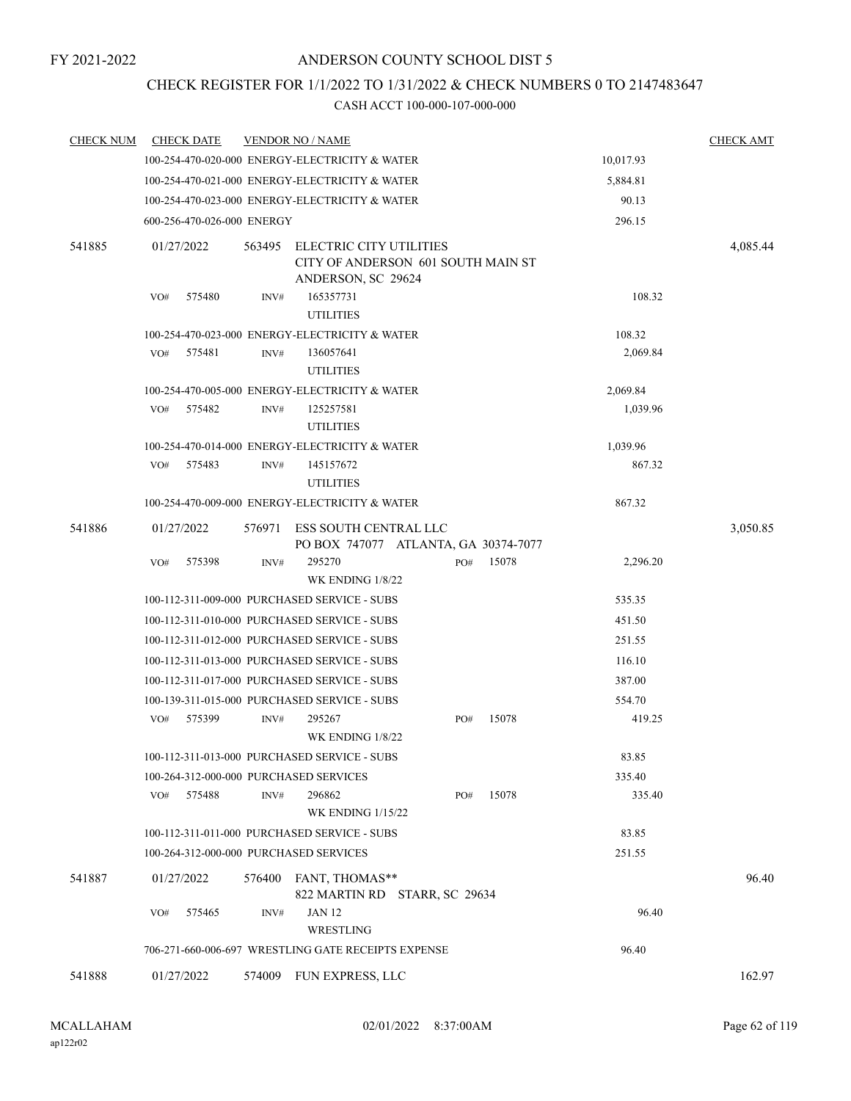# CHECK REGISTER FOR 1/1/2022 TO 1/31/2022 & CHECK NUMBERS 0 TO 2147483647

| <b>CHECK NUM</b> | <b>CHECK DATE</b>                      |        | <b>VENDOR NO / NAME</b>                                                             |     |       |           | <b>CHECK AMT</b> |
|------------------|----------------------------------------|--------|-------------------------------------------------------------------------------------|-----|-------|-----------|------------------|
|                  |                                        |        | 100-254-470-020-000 ENERGY-ELECTRICITY & WATER                                      |     |       | 10,017.93 |                  |
|                  |                                        |        | 100-254-470-021-000 ENERGY-ELECTRICITY & WATER                                      |     |       | 5,884.81  |                  |
|                  |                                        |        | 100-254-470-023-000 ENERGY-ELECTRICITY & WATER                                      |     |       | 90.13     |                  |
|                  | 600-256-470-026-000 ENERGY             |        |                                                                                     |     |       | 296.15    |                  |
| 541885           | 01/27/2022                             | 563495 | ELECTRIC CITY UTILITIES<br>CITY OF ANDERSON 601 SOUTH MAIN ST<br>ANDERSON, SC 29624 |     |       |           | 4,085.44         |
|                  | 575480<br>VO#                          | INV#   | 165357731<br><b>UTILITIES</b>                                                       |     |       | 108.32    |                  |
|                  |                                        |        | 100-254-470-023-000 ENERGY-ELECTRICITY & WATER                                      |     |       | 108.32    |                  |
|                  | 575481<br>VO#                          | INV#   | 136057641<br><b>UTILITIES</b>                                                       |     |       | 2,069.84  |                  |
|                  |                                        |        | 100-254-470-005-000 ENERGY-ELECTRICITY & WATER                                      |     |       | 2,069.84  |                  |
|                  | VO#<br>575482                          | INV#   | 125257581<br><b>UTILITIES</b>                                                       |     |       | 1,039.96  |                  |
|                  |                                        |        | 100-254-470-014-000 ENERGY-ELECTRICITY & WATER                                      |     |       | 1,039.96  |                  |
|                  | 575483<br>VO#                          | INV#   | 145157672<br><b>UTILITIES</b>                                                       |     |       | 867.32    |                  |
|                  |                                        |        | 100-254-470-009-000 ENERGY-ELECTRICITY & WATER                                      |     |       | 867.32    |                  |
| 541886           | 01/27/2022                             | 576971 | ESS SOUTH CENTRAL LLC<br>PO BOX 747077 ATLANTA, GA 30374-7077                       |     |       |           | 3,050.85         |
|                  | 575398<br>VO#                          | INV#   | 295270<br>WK ENDING 1/8/22                                                          | PO# | 15078 | 2,296.20  |                  |
|                  |                                        |        | 100-112-311-009-000 PURCHASED SERVICE - SUBS                                        |     |       | 535.35    |                  |
|                  |                                        |        | 100-112-311-010-000 PURCHASED SERVICE - SUBS                                        |     |       | 451.50    |                  |
|                  |                                        |        | 100-112-311-012-000 PURCHASED SERVICE - SUBS                                        |     |       | 251.55    |                  |
|                  |                                        |        | 100-112-311-013-000 PURCHASED SERVICE - SUBS                                        |     |       | 116.10    |                  |
|                  |                                        |        | 100-112-311-017-000 PURCHASED SERVICE - SUBS                                        |     |       | 387.00    |                  |
|                  |                                        |        | 100-139-311-015-000 PURCHASED SERVICE - SUBS                                        |     |       | 554.70    |                  |
|                  | 575399<br>VO#                          | INV#   | 295267<br>WK ENDING 1/8/22                                                          | PO# | 15078 | 419.25    |                  |
|                  |                                        |        | 100-112-311-013-000 PURCHASED SERVICE - SUBS                                        |     |       | 83.85     |                  |
|                  | 100-264-312-000-000 PURCHASED SERVICES |        |                                                                                     |     |       | 335.40    |                  |
|                  | 575488<br>VO#                          | INV#   | 296862<br><b>WK ENDING 1/15/22</b>                                                  | PO# | 15078 | 335.40    |                  |
|                  |                                        |        | 100-112-311-011-000 PURCHASED SERVICE - SUBS                                        |     |       | 83.85     |                  |
|                  | 100-264-312-000-000 PURCHASED SERVICES |        |                                                                                     |     |       | 251.55    |                  |
| 541887           | 01/27/2022                             | 576400 | FANT, THOMAS**<br>822 MARTIN RD STARR, SC 29634                                     |     |       |           | 96.40            |
|                  | 575465<br>VO#                          | INV#   | <b>JAN 12</b><br>WRESTLING                                                          |     |       | 96.40     |                  |
|                  |                                        |        | 706-271-660-006-697 WRESTLING GATE RECEIPTS EXPENSE                                 |     |       | 96.40     |                  |
| 541888           | 01/27/2022                             | 574009 | FUN EXPRESS, LLC                                                                    |     |       |           | 162.97           |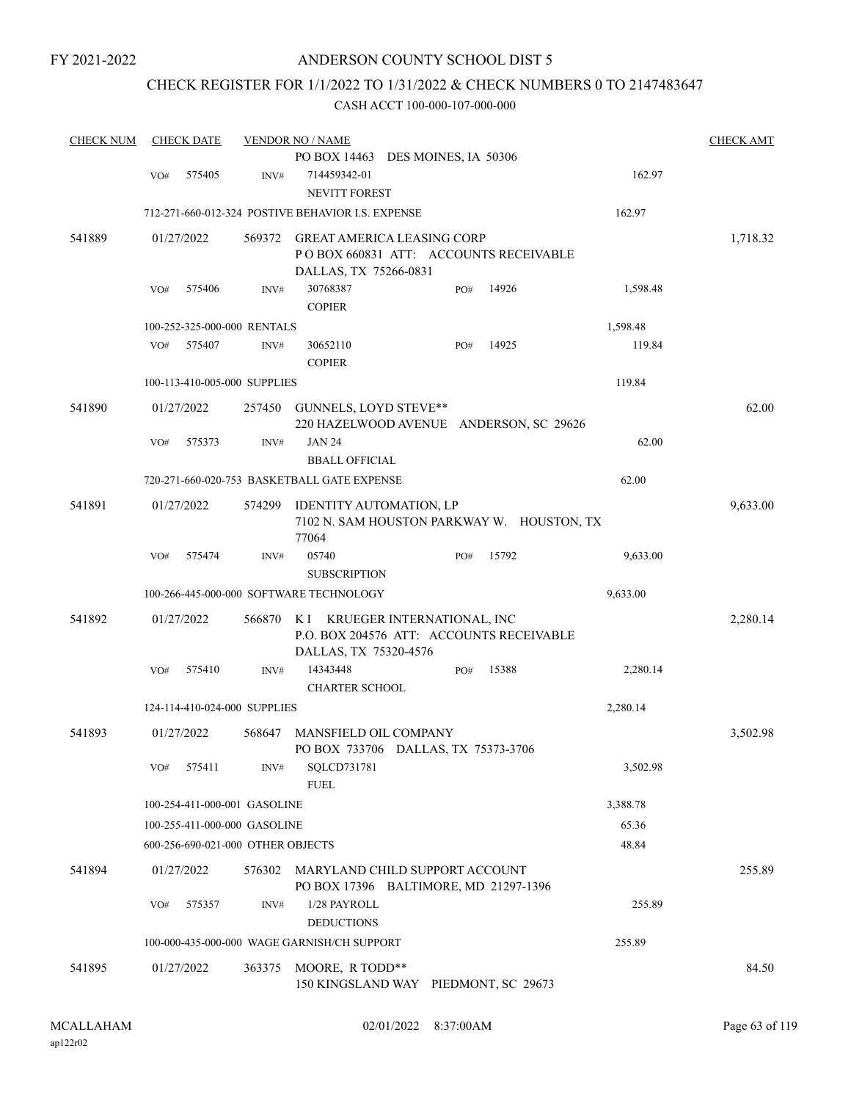FY 2021-2022

### ANDERSON COUNTY SCHOOL DIST 5

### CHECK REGISTER FOR 1/1/2022 TO 1/31/2022 & CHECK NUMBERS 0 TO 2147483647

| <b>CHECK NUM</b> |     | <b>CHECK DATE</b> |                                   | <b>VENDOR NO / NAME</b>                                                                              | <b>CHECK AMT</b> |
|------------------|-----|-------------------|-----------------------------------|------------------------------------------------------------------------------------------------------|------------------|
|                  |     |                   |                                   | PO BOX 14463 DES MOINES, IA 50306                                                                    |                  |
|                  | VO# | 575405            | INV#                              | 714459342-01<br><b>NEVITT FOREST</b>                                                                 | 162.97           |
|                  |     |                   |                                   | 712-271-660-012-324 POSTIVE BEHAVIOR I.S. EXPENSE<br>162.97                                          |                  |
| 541889           |     | 01/27/2022        | 569372                            | <b>GREAT AMERICA LEASING CORP</b><br>PO BOX 660831 ATT: ACCOUNTS RECEIVABLE<br>DALLAS, TX 75266-0831 | 1,718.32         |
|                  | VO# | 575406            | INV#                              | 30768387<br>14926<br>1,598.48<br>PO#<br><b>COPIER</b>                                                |                  |
|                  |     |                   | 100-252-325-000-000 RENTALS       | 1,598.48                                                                                             |                  |
|                  | VO# | 575407            | INV#                              | 14925<br>30652110<br>PO#<br><b>COPIER</b>                                                            | 119.84           |
|                  |     |                   | 100-113-410-005-000 SUPPLIES      | 119.84                                                                                               |                  |
| 541890           |     | 01/27/2022        | 257450                            | GUNNELS, LOYD STEVE**<br>220 HAZELWOOD AVENUE ANDERSON, SC 29626                                     | 62.00            |
|                  | VO# | 575373            | INV#                              | <b>JAN 24</b><br><b>BBALL OFFICIAL</b>                                                               | 62.00            |
|                  |     |                   |                                   | 62.00<br>720-271-660-020-753 BASKETBALL GATE EXPENSE                                                 |                  |
| 541891           |     | 01/27/2022        | 574299                            | <b>IDENTITY AUTOMATION, LP</b><br>7102 N. SAM HOUSTON PARKWAY W. HOUSTON, TX<br>77064                | 9,633.00         |
|                  | VO# | 575474            | INV#                              | 15792<br>9,633.00<br>05740<br>PO#<br><b>SUBSCRIPTION</b>                                             |                  |
|                  |     |                   |                                   | 100-266-445-000-000 SOFTWARE TECHNOLOGY<br>9,633.00                                                  |                  |
| 541892           |     | 01/27/2022        | 566870                            | K I KRUEGER INTERNATIONAL, INC<br>P.O. BOX 204576 ATT: ACCOUNTS RECEIVABLE<br>DALLAS, TX 75320-4576  | 2,280.14         |
|                  | VO# | 575410            | INV#                              | 14343448<br>15388<br>2,280.14<br>PO#<br><b>CHARTER SCHOOL</b>                                        |                  |
|                  |     |                   | 124-114-410-024-000 SUPPLIES      | 2,280.14                                                                                             |                  |
| 541893           |     | 01/27/2022        | 568647                            | <b>MANSFIELD OIL COMPANY</b><br>PO BOX 733706 DALLAS, TX 75373-3706                                  | 3,502.98         |
|                  | VO# | 575411            | INV#                              | SQLCD731781<br>3,502.98<br><b>FUEL</b>                                                               |                  |
|                  |     |                   | 100-254-411-000-001 GASOLINE      | 3,388.78                                                                                             |                  |
|                  |     |                   | 100-255-411-000-000 GASOLINE      | 65.36                                                                                                |                  |
|                  |     |                   | 600-256-690-021-000 OTHER OBJECTS | 48.84                                                                                                |                  |
| 541894           |     | 01/27/2022        | 576302                            | MARYLAND CHILD SUPPORT ACCOUNT<br>PO BOX 17396 BALTIMORE, MD 21297-1396                              | 255.89           |
|                  | VO# | 575357            | INV#                              | 1/28 PAYROLL<br><b>DEDUCTIONS</b>                                                                    | 255.89           |
|                  |     |                   |                                   | 100-000-435-000-000 WAGE GARNISH/CH SUPPORT<br>255.89                                                |                  |
| 541895           |     | 01/27/2022        | 363375                            | MOORE, R TODD**<br>150 KINGSLAND WAY PIEDMONT, SC 29673                                              | 84.50            |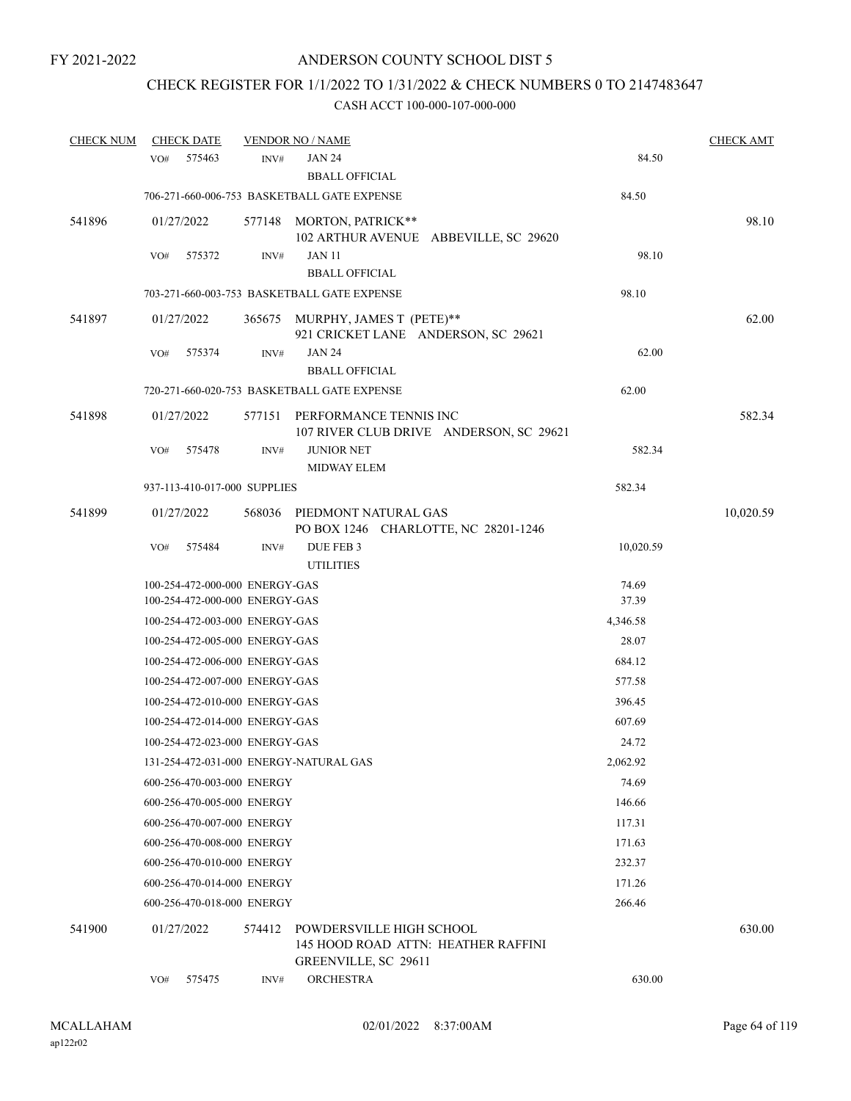## CHECK REGISTER FOR 1/1/2022 TO 1/31/2022 & CHECK NUMBERS 0 TO 2147483647

| <b>CHECK NUM</b> | <b>CHECK DATE</b> |                                |        | <b>VENDOR NO / NAME</b>                                                                 |           | <b>CHECK AMT</b> |
|------------------|-------------------|--------------------------------|--------|-----------------------------------------------------------------------------------------|-----------|------------------|
|                  | VO#               | 575463                         | INV#   | <b>JAN 24</b>                                                                           | 84.50     |                  |
|                  |                   |                                |        | <b>BBALL OFFICIAL</b>                                                                   |           |                  |
|                  |                   |                                |        | 706-271-660-006-753 BASKETBALL GATE EXPENSE                                             | 84.50     |                  |
| 541896           | 01/27/2022        |                                |        | 577148 MORTON, PATRICK**                                                                |           | 98.10            |
|                  | VO#               | 575372                         | INV#   | 102 ARTHUR AVENUE ABBEVILLE, SC 29620<br><b>JAN 11</b>                                  | 98.10     |                  |
|                  |                   |                                |        | <b>BBALL OFFICIAL</b>                                                                   |           |                  |
|                  |                   |                                |        | 703-271-660-003-753 BASKETBALL GATE EXPENSE                                             | 98.10     |                  |
| 541897           | 01/27/2022        |                                |        | 365675 MURPHY, JAMES T (PETE)**<br>921 CRICKET LANE ANDERSON, SC 29621                  |           | 62.00            |
|                  | VO#               | 575374                         | INV#   | <b>JAN 24</b><br><b>BBALL OFFICIAL</b>                                                  | 62.00     |                  |
|                  |                   |                                |        | 720-271-660-020-753 BASKETBALL GATE EXPENSE                                             | 62.00     |                  |
| 541898           | 01/27/2022        |                                | 577151 | PERFORMANCE TENNIS INC<br>107 RIVER CLUB DRIVE ANDERSON, SC 29621                       |           | 582.34           |
|                  | VO#               | 575478                         | INV#   | <b>JUNIOR NET</b><br><b>MIDWAY ELEM</b>                                                 | 582.34    |                  |
|                  |                   | 937-113-410-017-000 SUPPLIES   |        |                                                                                         | 582.34    |                  |
| 541899           | 01/27/2022        |                                | 568036 | PIEDMONT NATURAL GAS<br>PO BOX 1246 CHARLOTTE, NC 28201-1246                            |           | 10,020.59        |
|                  | VO#               | 575484                         | INV#   | DUE FEB 3<br><b>UTILITIES</b>                                                           | 10,020.59 |                  |
|                  |                   | 100-254-472-000-000 ENERGY-GAS |        |                                                                                         | 74.69     |                  |
|                  |                   | 100-254-472-000-000 ENERGY-GAS |        |                                                                                         | 37.39     |                  |
|                  |                   | 100-254-472-003-000 ENERGY-GAS |        |                                                                                         | 4,346.58  |                  |
|                  |                   | 100-254-472-005-000 ENERGY-GAS |        |                                                                                         | 28.07     |                  |
|                  |                   | 100-254-472-006-000 ENERGY-GAS |        |                                                                                         | 684.12    |                  |
|                  |                   | 100-254-472-007-000 ENERGY-GAS |        |                                                                                         | 577.58    |                  |
|                  |                   | 100-254-472-010-000 ENERGY-GAS |        |                                                                                         | 396.45    |                  |
|                  |                   | 100-254-472-014-000 ENERGY-GAS |        |                                                                                         | 607.69    |                  |
|                  |                   | 100-254-472-023-000 ENERGY-GAS |        |                                                                                         | 24.72     |                  |
|                  |                   |                                |        | 131-254-472-031-000 ENERGY-NATURAL GAS                                                  | 2,062.92  |                  |
|                  |                   | 600-256-470-003-000 ENERGY     |        |                                                                                         | 74.69     |                  |
|                  |                   | 600-256-470-005-000 ENERGY     |        |                                                                                         | 146.66    |                  |
|                  |                   | 600-256-470-007-000 ENERGY     |        |                                                                                         | 117.31    |                  |
|                  |                   | 600-256-470-008-000 ENERGY     |        |                                                                                         | 171.63    |                  |
|                  |                   | 600-256-470-010-000 ENERGY     |        |                                                                                         | 232.37    |                  |
|                  |                   | 600-256-470-014-000 ENERGY     |        |                                                                                         | 171.26    |                  |
|                  |                   | 600-256-470-018-000 ENERGY     |        |                                                                                         | 266.46    |                  |
| 541900           | 01/27/2022        |                                | 574412 | POWDERSVILLE HIGH SCHOOL<br>145 HOOD ROAD ATTN: HEATHER RAFFINI<br>GREENVILLE, SC 29611 |           | 630.00           |
|                  | VO#               | 575475                         | INV#   | <b>ORCHESTRA</b>                                                                        | 630.00    |                  |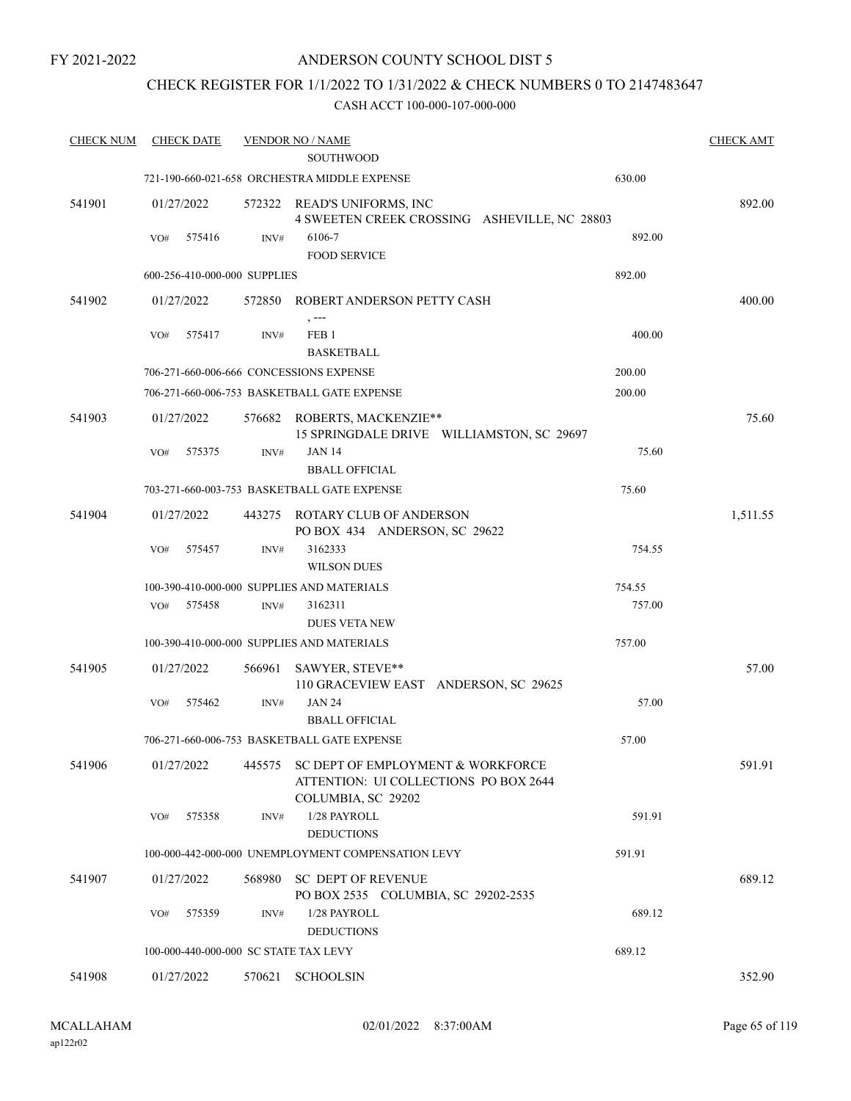FY 2021-2022

### ANDERSON COUNTY SCHOOL DIST 5

### CHECK REGISTER FOR 1/1/2022 TO 1/31/2022 & CHECK NUMBERS 0 TO 2147483647

| <b>CHECK NUM</b> | <b>CHECK DATE</b>                       |        | <b>VENDOR NO / NAME</b>                                                                          |        | <b>CHECK AMT</b> |
|------------------|-----------------------------------------|--------|--------------------------------------------------------------------------------------------------|--------|------------------|
|                  |                                         |        | <b>SOUTHWOOD</b>                                                                                 |        |                  |
|                  |                                         |        | 721-190-660-021-658 ORCHESTRA MIDDLE EXPENSE                                                     | 630.00 |                  |
| 541901           | 01/27/2022                              |        | 572322 READ'S UNIFORMS, INC<br>4 SWEETEN CREEK CROSSING ASHEVILLE, NC 28803                      |        | 892.00           |
|                  | VO#<br>575416                           | INV#   | 6106-7                                                                                           | 892.00 |                  |
|                  |                                         |        | <b>FOOD SERVICE</b>                                                                              |        |                  |
|                  | 600-256-410-000-000 SUPPLIES            |        |                                                                                                  | 892.00 |                  |
| 541902           | 01/27/2022                              | 572850 | ROBERT ANDERSON PETTY CASH                                                                       |        | 400.00           |
|                  |                                         |        | , ---                                                                                            |        |                  |
|                  | 575417<br>VO#                           | INV#   | FEB <sub>1</sub><br><b>BASKETBALL</b>                                                            | 400.00 |                  |
|                  | 706-271-660-006-666 CONCESSIONS EXPENSE |        |                                                                                                  | 200.00 |                  |
|                  |                                         |        | 706-271-660-006-753 BASKETBALL GATE EXPENSE                                                      | 200.00 |                  |
| 541903           | 01/27/2022                              |        | 576682 ROBERTS, MACKENZIE**<br>15 SPRINGDALE DRIVE WILLIAMSTON, SC 29697                         |        | 75.60            |
|                  | 575375<br>VO#                           | INV#   | <b>JAN 14</b>                                                                                    | 75.60  |                  |
|                  |                                         |        | <b>BBALL OFFICIAL</b>                                                                            |        |                  |
|                  |                                         |        | 703-271-660-003-753 BASKETBALL GATE EXPENSE                                                      | 75.60  |                  |
| 541904           | 01/27/2022                              | 443275 | <b>ROTARY CLUB OF ANDERSON</b><br>PO BOX 434 ANDERSON, SC 29622                                  |        | 1,511.55         |
|                  | VO#<br>575457                           | INV#   | 3162333<br><b>WILSON DUES</b>                                                                    | 754.55 |                  |
|                  |                                         |        | 100-390-410-000-000 SUPPLIES AND MATERIALS                                                       | 754.55 |                  |
|                  | 575458<br>VO#                           | INV#   | 3162311<br><b>DUES VETA NEW</b>                                                                  | 757.00 |                  |
|                  |                                         |        | 100-390-410-000-000 SUPPLIES AND MATERIALS                                                       | 757.00 |                  |
| 541905           | 01/27/2022                              | 566961 | SAWYER, STEVE**<br>110 GRACEVIEW EAST ANDERSON, SC 29625                                         |        | 57.00            |
|                  | VO#<br>575462                           | INV#   | <b>JAN 24</b><br><b>BBALL OFFICIAL</b>                                                           | 57.00  |                  |
|                  |                                         |        | 706-271-660-006-753 BASKETBALL GATE EXPENSE                                                      | 57.00  |                  |
| 541906           | 01/27/2022                              | 445575 | SC DEPT OF EMPLOYMENT & WORKFORCE<br>ATTENTION: UI COLLECTIONS PO BOX 2644<br>COLUMBIA, SC 29202 |        | 591.91           |
|                  | 575358<br>VO#                           | INV#   | 1/28 PAYROLL<br><b>DEDUCTIONS</b>                                                                | 591.91 |                  |
|                  |                                         |        | 100-000-442-000-000 UNEMPLOYMENT COMPENSATION LEVY                                               | 591.91 |                  |
| 541907           | 01/27/2022                              | 568980 | SC DEPT OF REVENUE<br>PO BOX 2535 COLUMBIA, SC 29202-2535                                        |        | 689.12           |
|                  | 575359<br>VO#                           | INV#   | 1/28 PAYROLL<br><b>DEDUCTIONS</b>                                                                | 689.12 |                  |
|                  | 100-000-440-000-000 SC STATE TAX LEVY   |        |                                                                                                  | 689.12 |                  |
| 541908           | 01/27/2022                              | 570621 | <b>SCHOOLSIN</b>                                                                                 |        | 352.90           |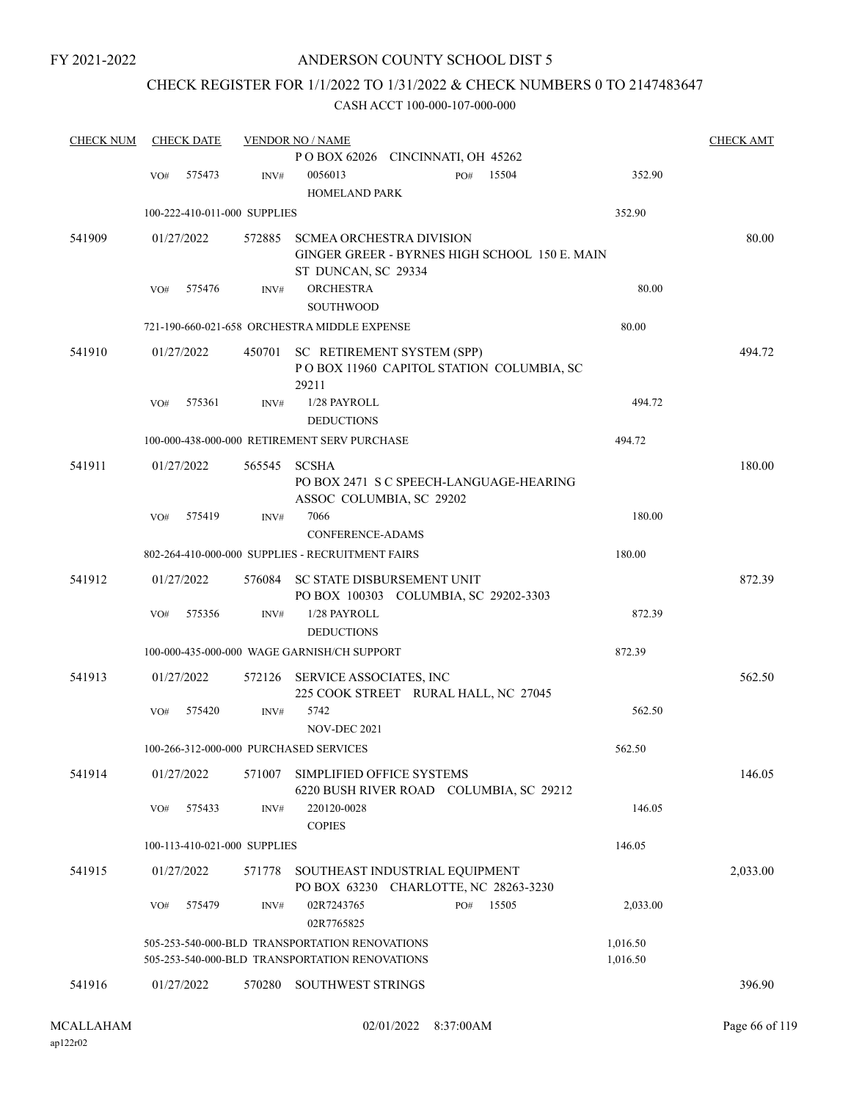FY 2021-2022

### ANDERSON COUNTY SCHOOL DIST 5

# CHECK REGISTER FOR 1/1/2022 TO 1/31/2022 & CHECK NUMBERS 0 TO 2147483647

| <b>CHECK NUM</b> |     | <b>CHECK DATE</b> |                              | <b>VENDOR NO / NAME</b>                                                       |           |       |          | <b>CHECK AMT</b> |
|------------------|-----|-------------------|------------------------------|-------------------------------------------------------------------------------|-----------|-------|----------|------------------|
|                  |     |                   |                              | POBOX 62026 CINCINNATI, OH 45262                                              |           |       |          |                  |
|                  | VO# | 575473            | INV#                         | 0056013                                                                       | PO#       | 15504 | 352.90   |                  |
|                  |     |                   |                              | <b>HOMELAND PARK</b>                                                          |           |       |          |                  |
|                  |     |                   | 100-222-410-011-000 SUPPLIES |                                                                               |           |       | 352.90   |                  |
| 541909           |     | 01/27/2022        | 572885                       | <b>SCMEA ORCHESTRA DIVISION</b>                                               |           |       |          | 80.00            |
|                  |     |                   |                              | GINGER GREER - BYRNES HIGH SCHOOL 150 E. MAIN                                 |           |       |          |                  |
|                  |     |                   |                              | ST DUNCAN, SC 29334                                                           |           |       |          |                  |
|                  | VO# | 575476            | INV#                         | <b>ORCHESTRA</b>                                                              |           |       | 80.00    |                  |
|                  |     |                   |                              | <b>SOUTHWOOD</b>                                                              |           |       |          |                  |
|                  |     |                   |                              | 721-190-660-021-658 ORCHESTRA MIDDLE EXPENSE                                  |           |       | 80.00    |                  |
|                  |     |                   |                              |                                                                               |           |       |          |                  |
| 541910           |     | 01/27/2022        |                              | 450701 SC RETIREMENT SYSTEM (SPP)<br>POBOX 11960 CAPITOL STATION COLUMBIA, SC |           |       |          | 494.72           |
|                  |     |                   |                              | 29211                                                                         |           |       |          |                  |
|                  | VO# | 575361            | INV#                         | 1/28 PAYROLL                                                                  |           |       | 494.72   |                  |
|                  |     |                   |                              | <b>DEDUCTIONS</b>                                                             |           |       |          |                  |
|                  |     |                   |                              | 100-000-438-000-000 RETIREMENT SERV PURCHASE                                  |           |       | 494.72   |                  |
| 541911           |     | 01/27/2022        | 565545                       | <b>SCSHA</b>                                                                  |           |       |          | 180.00           |
|                  |     |                   |                              | PO BOX 2471 S C SPEECH-LANGUAGE-HEARING                                       |           |       |          |                  |
|                  |     |                   |                              | ASSOC COLUMBIA, SC 29202                                                      |           |       |          |                  |
|                  | VO# | 575419            | INV#                         | 7066                                                                          |           |       | 180.00   |                  |
|                  |     |                   |                              | CONFERENCE-ADAMS                                                              |           |       |          |                  |
|                  |     |                   |                              | 802-264-410-000-000 SUPPLIES - RECRUITMENT FAIRS                              |           |       | 180.00   |                  |
| 541912           |     | 01/27/2022        | 576084                       | SC STATE DISBURSEMENT UNIT                                                    |           |       |          | 872.39           |
|                  |     |                   |                              | PO BOX 100303 COLUMBIA, SC 29202-3303                                         |           |       |          |                  |
|                  | VO# | 575356            | INV#                         | 1/28 PAYROLL                                                                  |           |       | 872.39   |                  |
|                  |     |                   |                              | <b>DEDUCTIONS</b>                                                             |           |       |          |                  |
|                  |     |                   |                              | 100-000-435-000-000 WAGE GARNISH/CH SUPPORT                                   |           |       | 872.39   |                  |
| 541913           |     | 01/27/2022        | 572126                       | SERVICE ASSOCIATES, INC                                                       |           |       |          | 562.50           |
|                  |     |                   |                              | 225 COOK STREET RURAL HALL, NC 27045                                          |           |       |          |                  |
|                  | VO# | 575420            | INV#                         | 5742                                                                          |           |       | 562.50   |                  |
|                  |     |                   |                              | NOV-DEC 2021                                                                  |           |       |          |                  |
|                  |     |                   |                              | 100-266-312-000-000 PURCHASED SERVICES                                        |           |       | 562.50   |                  |
| 541914           |     | 01/27/2022        | 571007                       | SIMPLIFIED OFFICE SYSTEMS                                                     |           |       |          | 146.05           |
|                  |     |                   |                              | 6220 BUSH RIVER ROAD COLUMBIA, SC 29212                                       |           |       |          |                  |
|                  | VO# | 575433            | INV#                         | 220120-0028                                                                   |           |       | 146.05   |                  |
|                  |     |                   |                              | <b>COPIES</b>                                                                 |           |       |          |                  |
|                  |     |                   | 100-113-410-021-000 SUPPLIES |                                                                               |           |       | 146.05   |                  |
| 541915           |     | 01/27/2022        | 571778                       | SOUTHEAST INDUSTRIAL EQUIPMENT                                                |           |       |          | 2,033.00         |
|                  |     |                   |                              | PO BOX 63230 CHARLOTTE, NC 28263-3230                                         |           |       |          |                  |
|                  | VO# | 575479            | INV#                         | 02R7243765                                                                    | PO# 15505 |       | 2,033.00 |                  |
|                  |     |                   |                              | 02R7765825                                                                    |           |       |          |                  |
|                  |     |                   |                              | 505-253-540-000-BLD TRANSPORTATION RENOVATIONS                                |           |       | 1,016.50 |                  |
|                  |     |                   |                              | 505-253-540-000-BLD TRANSPORTATION RENOVATIONS                                |           |       | 1,016.50 |                  |
| 541916           |     | 01/27/2022        | 570280                       | SOUTHWEST STRINGS                                                             |           |       |          | 396.90           |
|                  |     |                   |                              |                                                                               |           |       |          |                  |
|                  |     |                   |                              |                                                                               |           |       |          |                  |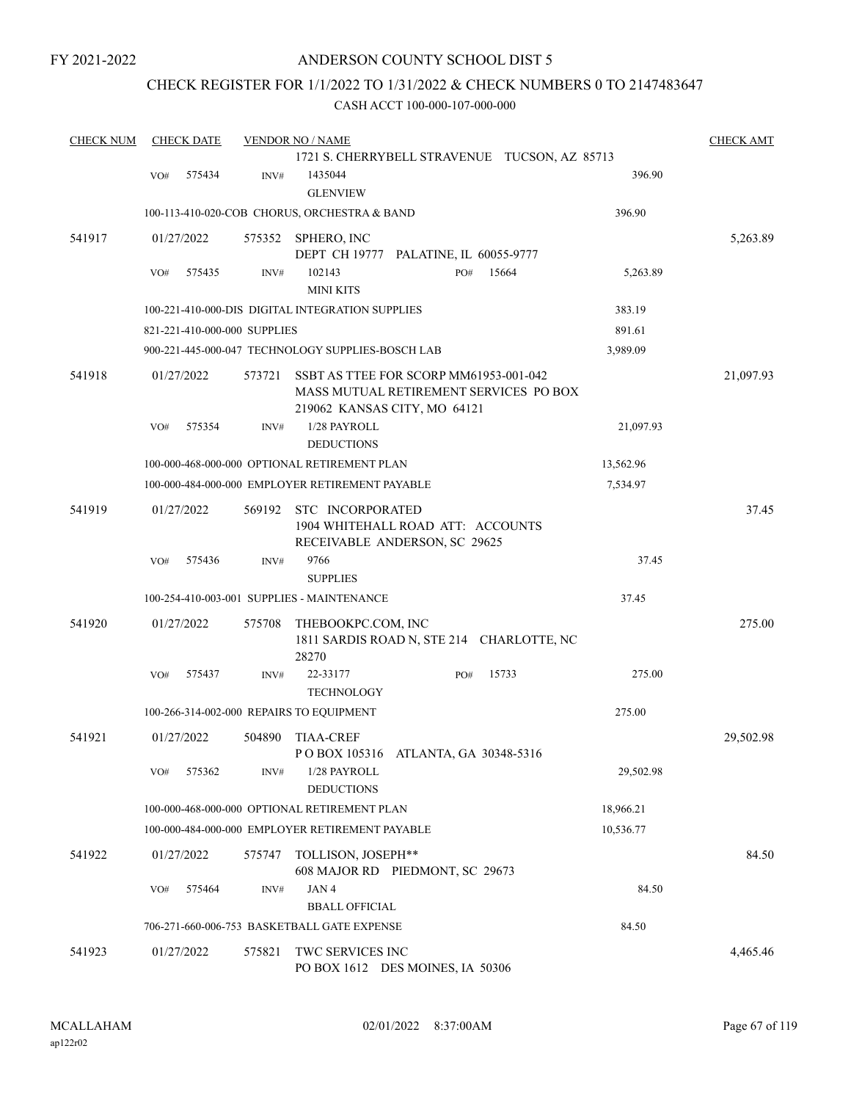### CHECK REGISTER FOR 1/1/2022 TO 1/31/2022 & CHECK NUMBERS 0 TO 2147483647

| <b>CHECK NUM</b> | <b>CHECK DATE</b> |                              | <b>VENDOR NO / NAME</b>                                                                |     |                                               |           | <b>CHECK AMT</b> |
|------------------|-------------------|------------------------------|----------------------------------------------------------------------------------------|-----|-----------------------------------------------|-----------|------------------|
|                  |                   |                              |                                                                                        |     | 1721 S. CHERRYBELL STRAVENUE TUCSON, AZ 85713 |           |                  |
|                  | 575434<br>VO#     | INV#                         | 1435044<br><b>GLENVIEW</b>                                                             |     |                                               | 396.90    |                  |
|                  |                   |                              | 100-113-410-020-COB CHORUS, ORCHESTRA & BAND                                           |     |                                               | 396.90    |                  |
| 541917           | 01/27/2022        | 575352                       | SPHERO, INC<br>DEPT CH 19777 PALATINE, IL 60055-9777                                   |     |                                               |           | 5,263.89         |
|                  | 575435<br>VO#     | INV#                         | 102143<br><b>MINI KITS</b>                                                             | PO# | 15664                                         | 5,263.89  |                  |
|                  |                   |                              | 100-221-410-000-DIS DIGITAL INTEGRATION SUPPLIES                                       |     |                                               | 383.19    |                  |
|                  |                   | 821-221-410-000-000 SUPPLIES |                                                                                        |     |                                               | 891.61    |                  |
|                  |                   |                              | 900-221-445-000-047 TECHNOLOGY SUPPLIES-BOSCH LAB                                      |     |                                               | 3,989.09  |                  |
| 541918           | 01/27/2022        | 573721                       | SSBT AS TTEE FOR SCORP MM61953-001-042<br>219062 KANSAS CITY, MO 64121                 |     | MASS MUTUAL RETIREMENT SERVICES PO BOX        |           | 21,097.93        |
|                  | 575354<br>VO#     | INV#                         | 1/28 PAYROLL<br><b>DEDUCTIONS</b>                                                      |     |                                               | 21,097.93 |                  |
|                  |                   |                              | 100-000-468-000-000 OPTIONAL RETIREMENT PLAN                                           |     |                                               | 13,562.96 |                  |
|                  |                   |                              | 100-000-484-000-000 EMPLOYER RETIREMENT PAYABLE                                        |     |                                               | 7,534.97  |                  |
| 541919           | 01/27/2022        | 569192                       | STC INCORPORATED<br>1904 WHITEHALL ROAD ATT: ACCOUNTS<br>RECEIVABLE ANDERSON, SC 29625 |     |                                               |           | 37.45            |
|                  | 575436<br>VO#     | INV#                         | 9766<br><b>SUPPLIES</b>                                                                |     |                                               | 37.45     |                  |
|                  |                   |                              | 100-254-410-003-001 SUPPLIES - MAINTENANCE                                             |     |                                               | 37.45     |                  |
| 541920           | 01/27/2022        | 575708                       | THEBOOKPC.COM, INC<br>28270                                                            |     | 1811 SARDIS ROAD N, STE 214 CHARLOTTE, NC     |           | 275.00           |
|                  | VO#<br>575437     | INV#                         | 22-33177<br><b>TECHNOLOGY</b>                                                          | PO# | 15733                                         | 275.00    |                  |
|                  |                   |                              | 100-266-314-002-000 REPAIRS TO EQUIPMENT                                               |     |                                               | 275.00    |                  |
| 541921           | 01/27/2022        | 504890                       | <b>TIAA-CREF</b><br>P O BOX 105316 ATLANTA, GA 30348-5316                              |     |                                               |           | 29,502.98        |
|                  | 575362<br>VO#     | INV#                         | 1/28 PAYROLL<br><b>DEDUCTIONS</b>                                                      |     |                                               | 29,502.98 |                  |
|                  |                   |                              | 100-000-468-000-000 OPTIONAL RETIREMENT PLAN                                           |     |                                               | 18,966.21 |                  |
|                  |                   |                              | 100-000-484-000-000 EMPLOYER RETIREMENT PAYABLE                                        |     |                                               | 10,536.77 |                  |
| 541922           | 01/27/2022        | 575747                       | TOLLISON, JOSEPH**<br>608 MAJOR RD PIEDMONT, SC 29673                                  |     |                                               |           | 84.50            |
|                  | 575464<br>VO#     | INV#                         | JAN 4                                                                                  |     |                                               | 84.50     |                  |
|                  |                   |                              | <b>BBALL OFFICIAL</b>                                                                  |     |                                               |           |                  |
|                  |                   |                              | 706-271-660-006-753 BASKETBALL GATE EXPENSE                                            |     |                                               | 84.50     |                  |
| 541923           | 01/27/2022        | 575821                       | TWC SERVICES INC<br>PO BOX 1612 DES MOINES, IA 50306                                   |     |                                               |           | 4,465.46         |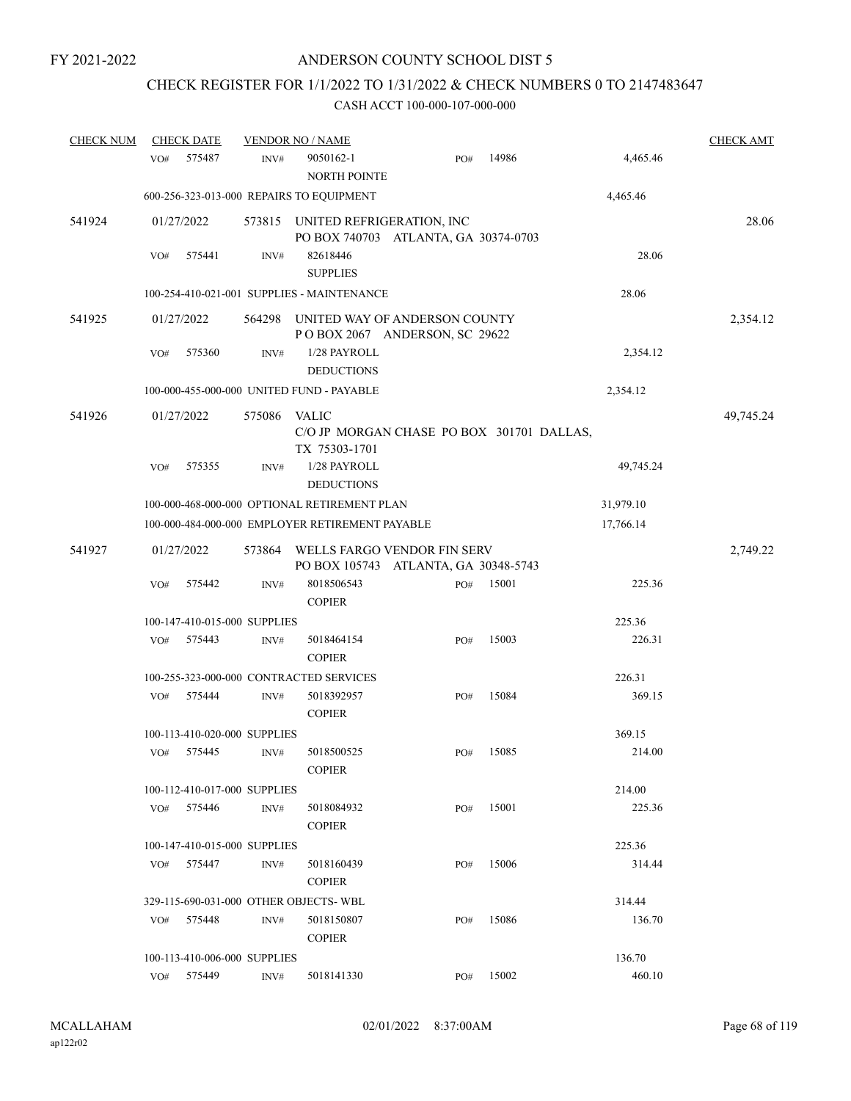# CHECK REGISTER FOR 1/1/2022 TO 1/31/2022 & CHECK NUMBERS 0 TO 2147483647

| <b>CHECK NUM</b> |     | <b>CHECK DATE</b>            |        | <b>VENDOR NO / NAME</b>                                             |     |       |           | <b>CHECK AMT</b> |
|------------------|-----|------------------------------|--------|---------------------------------------------------------------------|-----|-------|-----------|------------------|
|                  | VO# | 575487                       | INV#   | 9050162-1<br><b>NORTH POINTE</b>                                    | PO# | 14986 | 4,465.46  |                  |
|                  |     |                              |        | 600-256-323-013-000 REPAIRS TO EQUIPMENT                            |     |       | 4,465.46  |                  |
| 541924           |     | 01/27/2022                   | 573815 | UNITED REFRIGERATION, INC<br>PO BOX 740703 ATLANTA, GA 30374-0703   |     |       |           | 28.06            |
|                  | VO# | 575441                       | INV#   | 82618446<br><b>SUPPLIES</b>                                         |     |       | 28.06     |                  |
|                  |     |                              |        | 100-254-410-021-001 SUPPLIES - MAINTENANCE                          |     |       | 28.06     |                  |
| 541925           |     | 01/27/2022                   | 564298 | UNITED WAY OF ANDERSON COUNTY<br>POBOX 2067 ANDERSON, SC 29622      |     |       |           | 2,354.12         |
|                  | VO# | 575360                       | INV#   | 1/28 PAYROLL<br><b>DEDUCTIONS</b>                                   |     |       | 2,354.12  |                  |
|                  |     |                              |        | 100-000-455-000-000 UNITED FUND - PAYABLE                           |     |       | 2,354.12  |                  |
| 541926           |     | 01/27/2022                   | 575086 | VALIC<br>C/O JP MORGAN CHASE PO BOX 301701 DALLAS,<br>TX 75303-1701 |     |       |           | 49,745.24        |
|                  | VO# | 575355                       | INV#   | 1/28 PAYROLL<br><b>DEDUCTIONS</b>                                   |     |       | 49,745.24 |                  |
|                  |     |                              |        | 100-000-468-000-000 OPTIONAL RETIREMENT PLAN                        |     |       | 31,979.10 |                  |
|                  |     |                              |        | 100-000-484-000-000 EMPLOYER RETIREMENT PAYABLE                     |     |       | 17,766.14 |                  |
| 541927           |     | 01/27/2022                   | 573864 | WELLS FARGO VENDOR FIN SERV<br>PO BOX 105743 ATLANTA, GA 30348-5743 |     |       |           | 2,749.22         |
|                  | VO# | 575442                       | INV#   | 8018506543<br><b>COPIER</b>                                         | PO# | 15001 | 225.36    |                  |
|                  |     | 100-147-410-015-000 SUPPLIES |        |                                                                     |     |       | 225.36    |                  |
|                  | VO# | 575443                       | INV#   | 5018464154<br><b>COPIER</b>                                         | PO# | 15003 | 226.31    |                  |
|                  |     |                              |        | 100-255-323-000-000 CONTRACTED SERVICES                             |     |       | 226.31    |                  |
|                  | VO# | 575444                       | INV#   | 5018392957<br><b>COPIER</b>                                         | PO# | 15084 | 369.15    |                  |
|                  |     | 100-113-410-020-000 SUPPLIES |        |                                                                     |     |       | 369.15    |                  |
|                  |     | VO# 575445                   | INV#   | 5018500525<br><b>COPIER</b>                                         | PO# | 15085 | 214.00    |                  |
|                  |     | 100-112-410-017-000 SUPPLIES |        |                                                                     |     |       | 214.00    |                  |
|                  | VO# | 575446                       | INV#   | 5018084932<br><b>COPIER</b>                                         | PO# | 15001 | 225.36    |                  |
|                  |     | 100-147-410-015-000 SUPPLIES |        |                                                                     |     |       | 225.36    |                  |
|                  | VO# | 575447                       | INV#   | 5018160439<br><b>COPIER</b>                                         | PO# | 15006 | 314.44    |                  |
|                  |     |                              |        | 329-115-690-031-000 OTHER OBJECTS-WBL                               |     |       | 314.44    |                  |
|                  | VO# | 575448                       | INV#   | 5018150807<br><b>COPIER</b>                                         | PO# | 15086 | 136.70    |                  |
|                  |     | 100-113-410-006-000 SUPPLIES |        |                                                                     |     |       | 136.70    |                  |
|                  |     | VO# 575449                   | INV#   | 5018141330                                                          | PO# | 15002 | 460.10    |                  |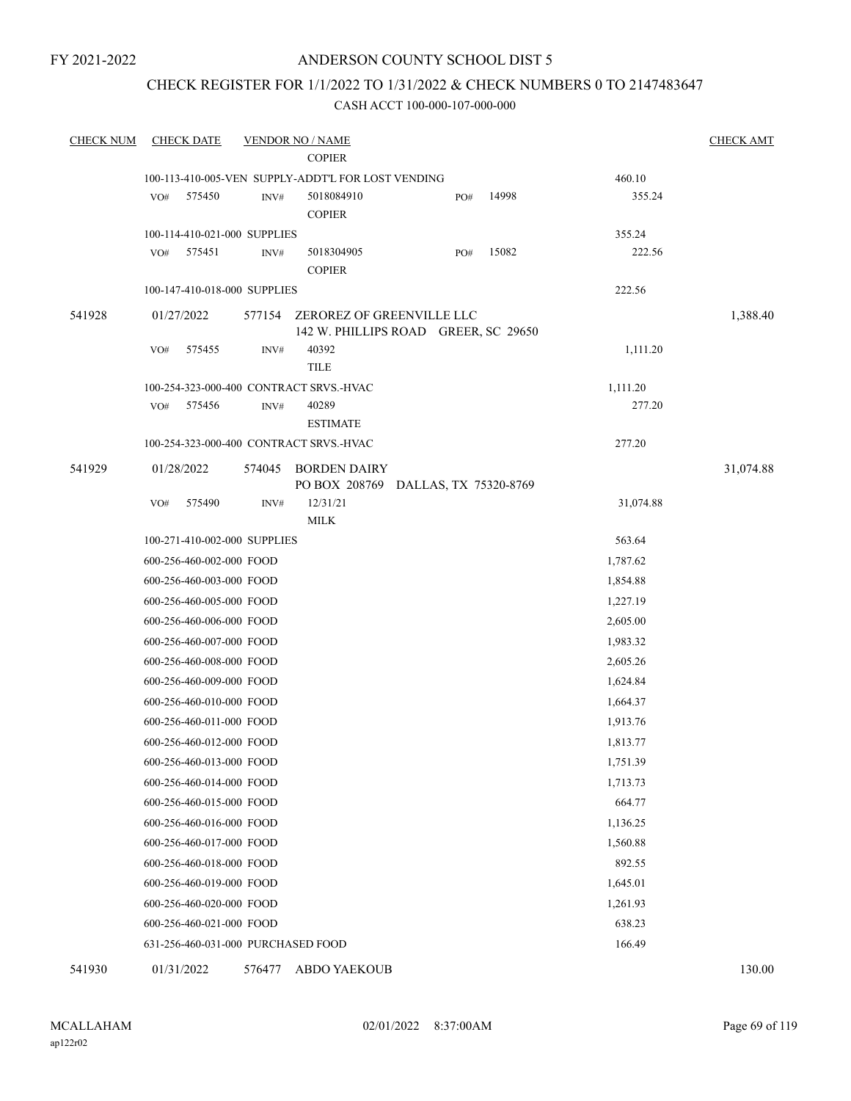FY 2021-2022

#### ANDERSON COUNTY SCHOOL DIST 5

## CHECK REGISTER FOR 1/1/2022 TO 1/31/2022 & CHECK NUMBERS 0 TO 2147483647

#### CASH ACCT 100-000-107-000-000

| <b>CHECK NUM</b> | <b>CHECK DATE</b>                       |                | <b>VENDOR NO / NAME</b>                                           |                       |     |       |           | <b>CHECK AMT</b> |
|------------------|-----------------------------------------|----------------|-------------------------------------------------------------------|-----------------------|-----|-------|-----------|------------------|
|                  |                                         |                | <b>COPIER</b>                                                     |                       |     |       |           |                  |
|                  |                                         |                | 100-113-410-005-VEN SUPPLY-ADDT'L FOR LOST VENDING                |                       |     |       | 460.10    |                  |
|                  | 575450<br>VO#                           | INV#           | 5018084910                                                        |                       | PO# | 14998 | 355.24    |                  |
|                  |                                         |                | <b>COPIER</b>                                                     |                       |     |       |           |                  |
|                  | 100-114-410-021-000 SUPPLIES            |                |                                                                   |                       |     |       | 355.24    |                  |
|                  | 575451<br>VO#                           | INV#           | 5018304905                                                        |                       | PO# | 15082 | 222.56    |                  |
|                  |                                         |                | <b>COPIER</b>                                                     |                       |     |       |           |                  |
|                  | 100-147-410-018-000 SUPPLIES            |                |                                                                   |                       |     |       | 222.56    |                  |
| 541928           | 01/27/2022                              | 577154         | ZEROREZ OF GREENVILLE LLC<br>142 W. PHILLIPS ROAD GREER, SC 29650 |                       |     |       |           | 1,388.40         |
|                  | VO#<br>575455                           | INV#           | 40392                                                             |                       |     |       | 1,111.20  |                  |
|                  |                                         |                | <b>TILE</b>                                                       |                       |     |       |           |                  |
|                  | 100-254-323-000-400 CONTRACT SRVS.-HVAC |                |                                                                   |                       |     |       | 1,111.20  |                  |
|                  | 575456<br>VO#                           | $\text{INV}\#$ | 40289                                                             |                       |     |       | 277.20    |                  |
|                  |                                         |                | <b>ESTIMATE</b>                                                   |                       |     |       |           |                  |
|                  | 100-254-323-000-400 CONTRACT SRVS.-HVAC |                |                                                                   |                       |     |       | 277.20    |                  |
| 541929           | 01/28/2022                              | 574045         | <b>BORDEN DAIRY</b>                                               |                       |     |       |           | 31,074.88        |
|                  |                                         |                | PO BOX 208769                                                     | DALLAS, TX 75320-8769 |     |       |           |                  |
|                  | 575490<br>VO#                           | INV#           | 12/31/21<br><b>MILK</b>                                           |                       |     |       | 31,074.88 |                  |
|                  | 100-271-410-002-000 SUPPLIES            |                |                                                                   |                       |     |       | 563.64    |                  |
|                  | 600-256-460-002-000 FOOD                |                |                                                                   |                       |     |       | 1,787.62  |                  |
|                  | 600-256-460-003-000 FOOD                |                |                                                                   |                       |     |       | 1,854.88  |                  |
|                  | 600-256-460-005-000 FOOD                |                |                                                                   |                       |     |       | 1,227.19  |                  |
|                  | 600-256-460-006-000 FOOD                |                |                                                                   |                       |     |       | 2,605.00  |                  |
|                  | 600-256-460-007-000 FOOD                |                |                                                                   |                       |     |       | 1,983.32  |                  |
|                  | 600-256-460-008-000 FOOD                |                |                                                                   |                       |     |       | 2,605.26  |                  |
|                  | 600-256-460-009-000 FOOD                |                |                                                                   |                       |     |       | 1,624.84  |                  |
|                  | 600-256-460-010-000 FOOD                |                |                                                                   |                       |     |       | 1,664.37  |                  |
|                  | 600-256-460-011-000 FOOD                |                |                                                                   |                       |     |       | 1,913.76  |                  |
|                  | 600-256-460-012-000 FOOD                |                |                                                                   |                       |     |       | 1,813.77  |                  |
|                  | 600-256-460-013-000 FOOD                |                |                                                                   |                       |     |       | 1,751.39  |                  |
|                  | 600-256-460-014-000 FOOD                |                |                                                                   |                       |     |       | 1,713.73  |                  |
|                  | 600-256-460-015-000 FOOD                |                |                                                                   |                       |     |       | 664.77    |                  |
|                  | 600-256-460-016-000 FOOD                |                |                                                                   |                       |     |       | 1,136.25  |                  |
|                  | 600-256-460-017-000 FOOD                |                |                                                                   |                       |     |       | 1,560.88  |                  |
|                  | 600-256-460-018-000 FOOD                |                |                                                                   |                       |     |       | 892.55    |                  |
|                  | 600-256-460-019-000 FOOD                |                |                                                                   |                       |     |       | 1,645.01  |                  |
|                  | 600-256-460-020-000 FOOD                |                |                                                                   |                       |     |       | 1,261.93  |                  |
|                  | 600-256-460-021-000 FOOD                |                |                                                                   |                       |     |       | 638.23    |                  |
|                  | 631-256-460-031-000 PURCHASED FOOD      |                |                                                                   |                       |     |       | 166.49    |                  |
|                  |                                         |                |                                                                   |                       |     |       |           |                  |

541930 01/31/2022 576477 ABDO YAEKOUB 130.00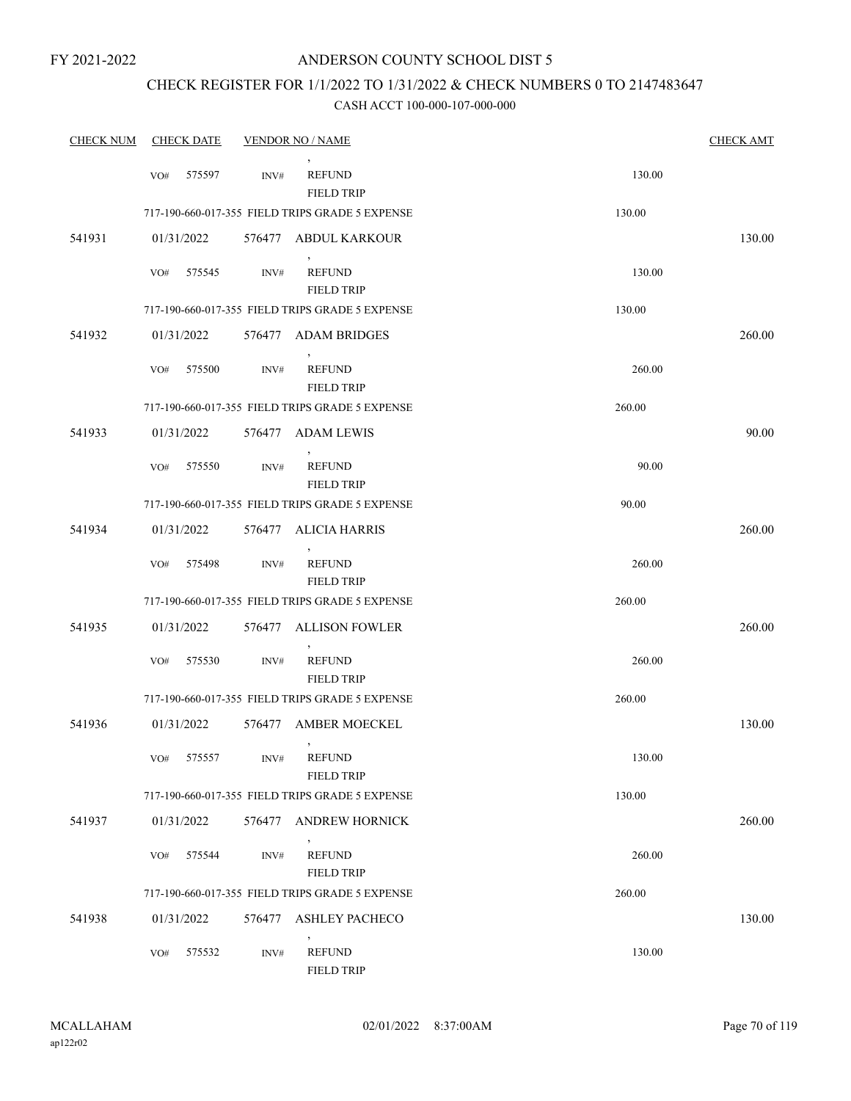### CHECK REGISTER FOR 1/1/2022 TO 1/31/2022 & CHECK NUMBERS 0 TO 2147483647

| <b>CHECK NUM</b> |     | <b>CHECK DATE</b> |                | <b>VENDOR NO / NAME</b>                              |        | <b>CHECK AMT</b> |
|------------------|-----|-------------------|----------------|------------------------------------------------------|--------|------------------|
|                  | VO# | 575597            | INV#           | <b>REFUND</b><br><b>FIELD TRIP</b>                   | 130.00 |                  |
|                  |     |                   |                | 717-190-660-017-355 FIELD TRIPS GRADE 5 EXPENSE      | 130.00 |                  |
| 541931           |     | 01/31/2022        |                | 576477 ABDUL KARKOUR                                 |        | 130.00           |
|                  | VO# | 575545            | INV#           | <b>REFUND</b><br><b>FIELD TRIP</b>                   | 130.00 |                  |
|                  |     |                   |                | 717-190-660-017-355 FIELD TRIPS GRADE 5 EXPENSE      | 130.00 |                  |
| 541932           |     | 01/31/2022        |                | 576477 ADAM BRIDGES                                  |        | 260.00           |
|                  | VO# | 575500            | INV#           | <b>REFUND</b><br><b>FIELD TRIP</b>                   | 260.00 |                  |
|                  |     |                   |                | 717-190-660-017-355 FIELD TRIPS GRADE 5 EXPENSE      | 260.00 |                  |
| 541933           |     | 01/31/2022        | 576477         | <b>ADAM LEWIS</b>                                    |        | 90.00            |
|                  | VO# | 575550            | INV#           | <b>REFUND</b><br><b>FIELD TRIP</b>                   | 90.00  |                  |
|                  |     |                   |                | 717-190-660-017-355 FIELD TRIPS GRADE 5 EXPENSE      | 90.00  |                  |
| 541934           |     | 01/31/2022        | 576477         | <b>ALICIA HARRIS</b>                                 |        | 260.00           |
|                  | VO# | 575498            | INV#           | <b>REFUND</b><br><b>FIELD TRIP</b>                   | 260.00 |                  |
|                  |     |                   |                | 717-190-660-017-355 FIELD TRIPS GRADE 5 EXPENSE      | 260.00 |                  |
| 541935           |     | 01/31/2022        | 576477         | <b>ALLISON FOWLER</b>                                |        | 260.00           |
|                  | VO# | 575530            | $\text{INV}\#$ | $\overline{ }$<br><b>REFUND</b><br><b>FIELD TRIP</b> | 260.00 |                  |
|                  |     |                   |                | 717-190-660-017-355 FIELD TRIPS GRADE 5 EXPENSE      | 260.00 |                  |
| 541936           |     | 01/31/2022        | 576477         | AMBER MOECKEL                                        |        | 130.00           |
|                  | VO# | 575557            | INV#           | $\,$<br><b>REFUND</b><br><b>FIELD TRIP</b>           | 130.00 |                  |
|                  |     |                   |                | 717-190-660-017-355 FIELD TRIPS GRADE 5 EXPENSE      | 130.00 |                  |
| 541937           |     | 01/31/2022        |                | 576477 ANDREW HORNICK                                |        | 260.00           |
|                  | VO# | 575544            | INV#           | <b>REFUND</b><br><b>FIELD TRIP</b>                   | 260.00 |                  |
|                  |     |                   |                | 717-190-660-017-355 FIELD TRIPS GRADE 5 EXPENSE      | 260.00 |                  |
| 541938           |     | 01/31/2022        | 576477         | <b>ASHLEY PACHECO</b>                                |        | 130.00           |
|                  | VO# | 575532            | INV#           | <b>REFUND</b><br><b>FIELD TRIP</b>                   | 130.00 |                  |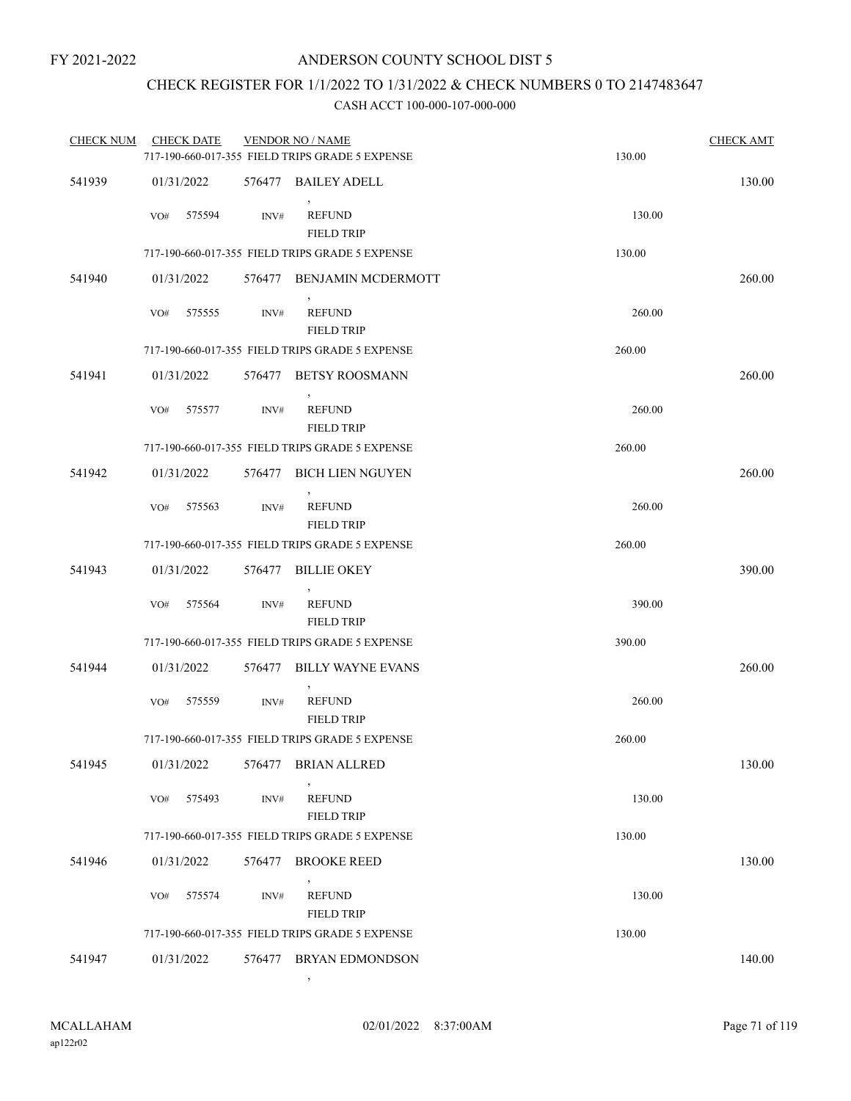## CHECK REGISTER FOR 1/1/2022 TO 1/31/2022 & CHECK NUMBERS 0 TO 2147483647

#### CASH ACCT 100-000-107-000-000

| <b>CHECK NUM</b> | <b>CHECK DATE</b> |        | <b>VENDOR NO / NAME</b>                         |        | <b>CHECK AMT</b> |
|------------------|-------------------|--------|-------------------------------------------------|--------|------------------|
|                  |                   |        | 717-190-660-017-355 FIELD TRIPS GRADE 5 EXPENSE | 130.00 |                  |
| 541939           | 01/31/2022        |        | 576477 BAILEY ADELL                             |        | 130.00           |
|                  | 575594<br>VO#     | INV#   | <b>REFUND</b><br><b>FIELD TRIP</b>              | 130.00 |                  |
|                  |                   |        | 717-190-660-017-355 FIELD TRIPS GRADE 5 EXPENSE | 130.00 |                  |
| 541940           | 01/31/2022        |        | 576477 BENJAMIN MCDERMOTT                       |        | 260.00           |
|                  | 575555<br>VO#     | INV#   | <b>REFUND</b><br><b>FIELD TRIP</b>              | 260.00 |                  |
|                  |                   |        | 717-190-660-017-355 FIELD TRIPS GRADE 5 EXPENSE | 260.00 |                  |
| 541941           | 01/31/2022        | 576477 | BETSY ROOSMANN                                  |        | 260.00           |
|                  | 575577<br>VO#     | INV#   | <b>REFUND</b><br><b>FIELD TRIP</b>              | 260.00 |                  |
|                  |                   |        | 717-190-660-017-355 FIELD TRIPS GRADE 5 EXPENSE | 260.00 |                  |
| 541942           | 01/31/2022        |        | 576477 BICH LIEN NGUYEN                         |        | 260.00           |
|                  | VO#<br>575563     | INV#   | <b>REFUND</b><br><b>FIELD TRIP</b>              | 260.00 |                  |
|                  |                   |        | 717-190-660-017-355 FIELD TRIPS GRADE 5 EXPENSE | 260.00 |                  |
| 541943           | 01/31/2022        |        | 576477 BILLIE OKEY                              |        | 390.00           |
|                  | 575564<br>VO#     | INV#   | <b>REFUND</b><br><b>FIELD TRIP</b>              | 390.00 |                  |
|                  |                   |        | 717-190-660-017-355 FIELD TRIPS GRADE 5 EXPENSE | 390.00 |                  |
| 541944           | 01/31/2022        | 576477 | <b>BILLY WAYNE EVANS</b>                        |        | 260.00           |
|                  | VO#<br>575559     | INV#   | <b>REFUND</b><br><b>FIELD TRIP</b>              | 260.00 |                  |
|                  |                   |        | 717-190-660-017-355 FIELD TRIPS GRADE 5 EXPENSE | 260.00 |                  |
| 541945           | 01/31/2022        |        | 576477 BRIAN ALLRED                             |        | 130.00           |
|                  | 575493<br>VO#     | INV#   | <b>REFUND</b><br><b>FIELD TRIP</b>              | 130.00 |                  |
|                  |                   |        | 717-190-660-017-355 FIELD TRIPS GRADE 5 EXPENSE | 130.00 |                  |
| 541946           | 01/31/2022        |        | 576477 BROOKE REED                              |        | 130.00           |
|                  | 575574<br>VO#     | INV#   | <b>REFUND</b><br><b>FIELD TRIP</b>              | 130.00 |                  |
|                  |                   |        | 717-190-660-017-355 FIELD TRIPS GRADE 5 EXPENSE | 130.00 |                  |
| 541947           | 01/31/2022        | 576477 | BRYAN EDMONDSON                                 |        | 140.00           |

,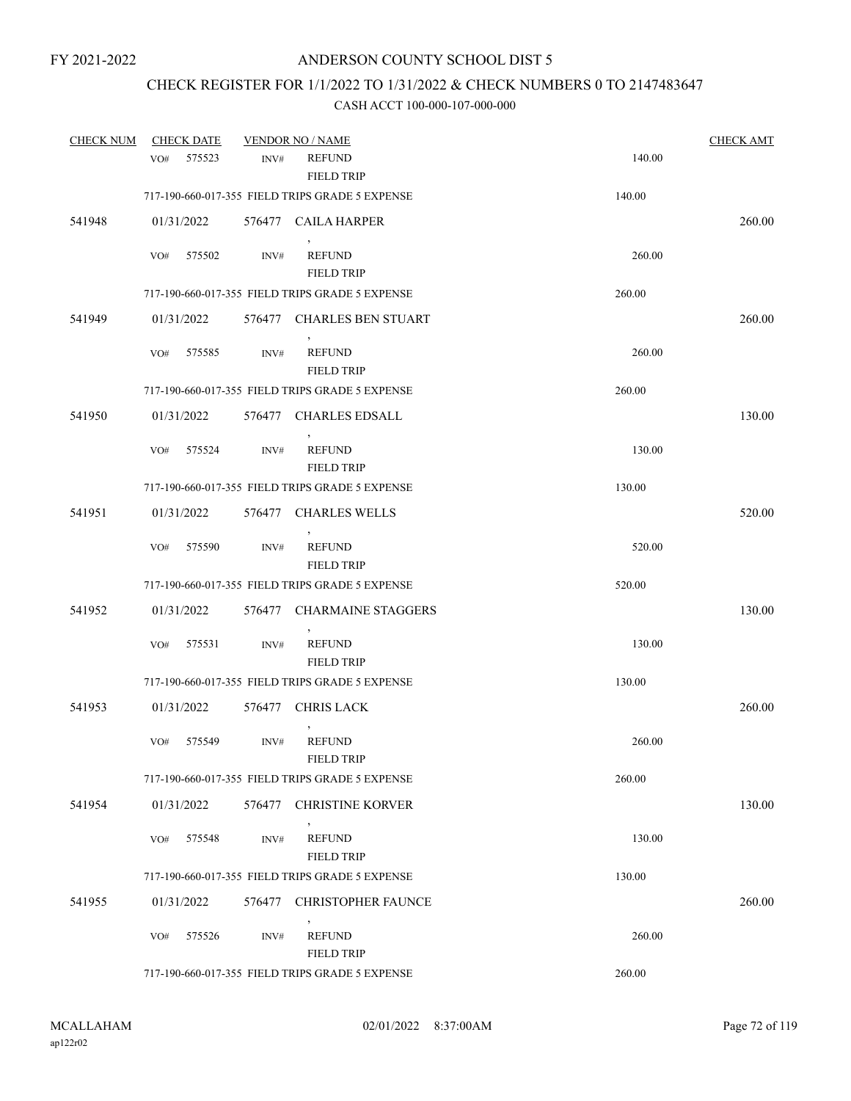## CHECK REGISTER FOR 1/1/2022 TO 1/31/2022 & CHECK NUMBERS 0 TO 2147483647

| <b>CHECK NUM</b> |     | <b>CHECK DATE</b> |        | <b>VENDOR NO / NAME</b>                         |        | <b>CHECK AMT</b> |
|------------------|-----|-------------------|--------|-------------------------------------------------|--------|------------------|
|                  | VO# | 575523            | INV#   | <b>REFUND</b><br><b>FIELD TRIP</b>              | 140.00 |                  |
|                  |     |                   |        | 717-190-660-017-355 FIELD TRIPS GRADE 5 EXPENSE | 140.00 |                  |
| 541948           |     | 01/31/2022        |        | 576477 CAILA HARPER                             |        | 260.00           |
|                  | VO# | 575502            | INV#   | <b>REFUND</b><br><b>FIELD TRIP</b>              | 260.00 |                  |
|                  |     |                   |        | 717-190-660-017-355 FIELD TRIPS GRADE 5 EXPENSE | 260.00 |                  |
| 541949           |     | 01/31/2022        |        | 576477 CHARLES BEN STUART                       |        | 260.00           |
|                  | VO# | 575585            | INV#   | <b>REFUND</b><br><b>FIELD TRIP</b>              | 260.00 |                  |
|                  |     |                   |        | 717-190-660-017-355 FIELD TRIPS GRADE 5 EXPENSE | 260.00 |                  |
| 541950           |     | 01/31/2022        | 576477 | <b>CHARLES EDSALL</b>                           |        | 130.00           |
|                  | VO# | 575524            | INV#   | $\,$<br><b>REFUND</b><br><b>FIELD TRIP</b>      | 130.00 |                  |
|                  |     |                   |        | 717-190-660-017-355 FIELD TRIPS GRADE 5 EXPENSE | 130.00 |                  |
| 541951           |     | 01/31/2022        | 576477 | <b>CHARLES WELLS</b>                            |        | 520.00           |
|                  | VO# | 575590            | INV#   | $^\circ$<br><b>REFUND</b><br><b>FIELD TRIP</b>  | 520.00 |                  |
|                  |     |                   |        | 717-190-660-017-355 FIELD TRIPS GRADE 5 EXPENSE | 520.00 |                  |
| 541952           |     | 01/31/2022        | 576477 | <b>CHARMAINE STAGGERS</b>                       |        | 130.00           |
|                  | VO# | 575531            | INV#   | <b>REFUND</b><br><b>FIELD TRIP</b>              | 130.00 |                  |
|                  |     |                   |        | 717-190-660-017-355 FIELD TRIPS GRADE 5 EXPENSE | 130.00 |                  |
| 541953           |     | 01/31/2022        |        | 576477 CHRIS LACK                               |        | 260.00           |
|                  | VO# | 575549            | INV#   | <b>REFUND</b><br><b>FIELD TRIP</b>              | 260.00 |                  |
|                  |     |                   |        | 717-190-660-017-355 FIELD TRIPS GRADE 5 EXPENSE | 260.00 |                  |
| 541954           |     | 01/31/2022        | 576477 | <b>CHRISTINE KORVER</b>                         |        | 130.00           |
|                  | VO# | 575548            | INV#   | <b>REFUND</b><br><b>FIELD TRIP</b>              | 130.00 |                  |
|                  |     |                   |        | 717-190-660-017-355 FIELD TRIPS GRADE 5 EXPENSE | 130.00 |                  |
| 541955           |     | 01/31/2022        | 576477 | CHRISTOPHER FAUNCE                              |        | 260.00           |
|                  | VO# | 575526            | INV#   | <b>REFUND</b><br><b>FIELD TRIP</b>              | 260.00 |                  |
|                  |     |                   |        | 717-190-660-017-355 FIELD TRIPS GRADE 5 EXPENSE | 260.00 |                  |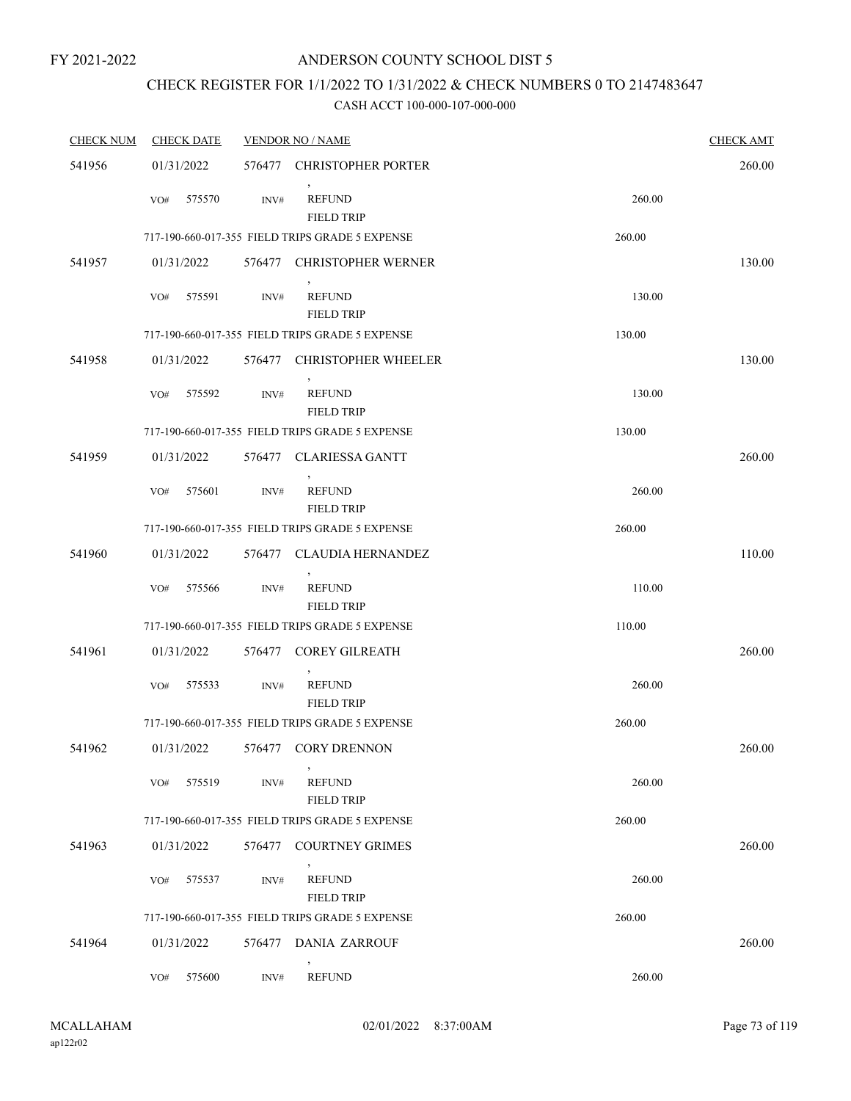### ANDERSON COUNTY SCHOOL DIST 5

# CHECK REGISTER FOR 1/1/2022 TO 1/31/2022 & CHECK NUMBERS 0 TO 2147483647

| <b>CHECK NUM</b> | <b>CHECK DATE</b> |        | <b>VENDOR NO / NAME</b>                         |        | <b>CHECK AMT</b> |
|------------------|-------------------|--------|-------------------------------------------------|--------|------------------|
| 541956           | 01/31/2022        |        | 576477 CHRISTOPHER PORTER                       |        | 260.00           |
|                  | 575570<br>VO#     | INV#   | $\,$<br><b>REFUND</b><br><b>FIELD TRIP</b>      | 260.00 |                  |
|                  |                   |        | 717-190-660-017-355 FIELD TRIPS GRADE 5 EXPENSE | 260.00 |                  |
| 541957           | 01/31/2022        |        | 576477 CHRISTOPHER WERNER                       |        | 130.00           |
|                  | 575591<br>VO#     | INV#   | $\,$<br><b>REFUND</b><br><b>FIELD TRIP</b>      | 130.00 |                  |
|                  |                   |        | 717-190-660-017-355 FIELD TRIPS GRADE 5 EXPENSE | 130.00 |                  |
| 541958           | 01/31/2022        |        | 576477 CHRISTOPHER WHEELER                      |        | 130.00           |
|                  | 575592<br>VO#     | INV#   | <b>REFUND</b><br><b>FIELD TRIP</b>              | 130.00 |                  |
|                  |                   |        | 717-190-660-017-355 FIELD TRIPS GRADE 5 EXPENSE | 130.00 |                  |
| 541959           | 01/31/2022        |        | 576477 CLARIESSA GANTT                          |        | 260.00           |
|                  | 575601<br>VO#     | INV#   | <b>REFUND</b><br><b>FIELD TRIP</b>              | 260.00 |                  |
|                  |                   |        | 717-190-660-017-355 FIELD TRIPS GRADE 5 EXPENSE | 260.00 |                  |
| 541960           | 01/31/2022        |        | 576477 CLAUDIA HERNANDEZ                        |        | 110.00           |
|                  | VO#<br>575566     | INV#   | <b>REFUND</b><br><b>FIELD TRIP</b>              | 110.00 |                  |
|                  |                   |        | 717-190-660-017-355 FIELD TRIPS GRADE 5 EXPENSE | 110.00 |                  |
| 541961           | 01/31/2022        |        | 576477 COREY GILREATH                           |        | 260.00           |
|                  | 575533<br>VO#     | INV#   | <b>REFUND</b><br><b>FIELD TRIP</b>              | 260.00 |                  |
|                  |                   |        | 717-190-660-017-355 FIELD TRIPS GRADE 5 EXPENSE | 260.00 |                  |
| 541962           | 01/31/2022        |        | 576477 CORY DRENNON                             |        | 260.00           |
|                  | 575519<br>VO#     | INV#   | $\,$<br><b>REFUND</b><br><b>FIELD TRIP</b>      | 260.00 |                  |
|                  |                   |        | 717-190-660-017-355 FIELD TRIPS GRADE 5 EXPENSE | 260.00 |                  |
| 541963           | 01/31/2022        | 576477 | <b>COURTNEY GRIMES</b>                          |        | 260.00           |
|                  | 575537<br>VO#     | INV#   | <b>REFUND</b><br><b>FIELD TRIP</b>              | 260.00 |                  |
|                  |                   |        | 717-190-660-017-355 FIELD TRIPS GRADE 5 EXPENSE | 260.00 |                  |
| 541964           | 01/31/2022        | 576477 | DANIA ZARROUF                                   |        | 260.00           |
|                  | 575600<br>VO#     | INV#   | <b>REFUND</b>                                   | 260.00 |                  |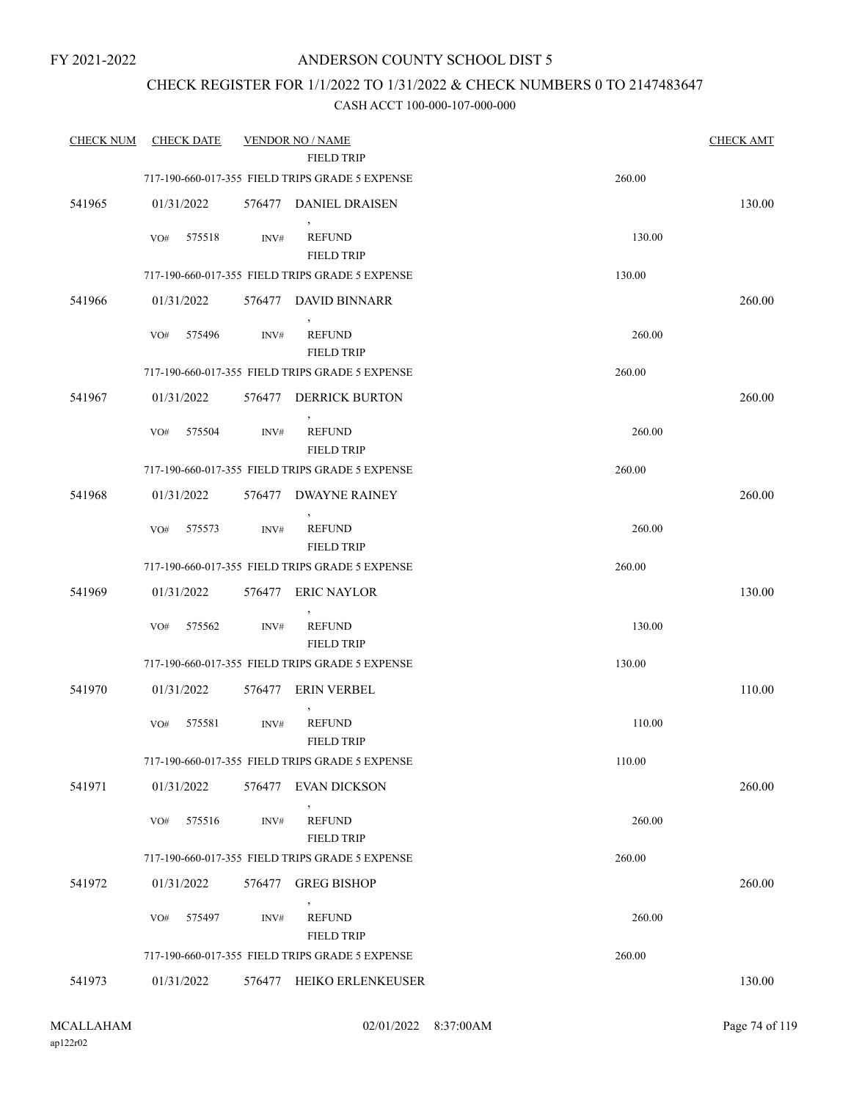### ANDERSON COUNTY SCHOOL DIST 5

### CHECK REGISTER FOR 1/1/2022 TO 1/31/2022 & CHECK NUMBERS 0 TO 2147483647

| <b>CHECK NUM</b> | <b>CHECK DATE</b> |        | <b>VENDOR NO / NAME</b>                                              |        | <b>CHECK AMT</b> |
|------------------|-------------------|--------|----------------------------------------------------------------------|--------|------------------|
|                  |                   |        | <b>FIELD TRIP</b><br>717-190-660-017-355 FIELD TRIPS GRADE 5 EXPENSE | 260.00 |                  |
|                  |                   |        |                                                                      |        |                  |
| 541965           | 01/31/2022        |        | 576477 DANIEL DRAISEN                                                |        | 130.00           |
|                  | 575518<br>VO#     | INV#   | <b>REFUND</b><br><b>FIELD TRIP</b>                                   | 130.00 |                  |
|                  |                   |        | 717-190-660-017-355 FIELD TRIPS GRADE 5 EXPENSE                      | 130.00 |                  |
| 541966           | 01/31/2022        |        | 576477 DAVID BINNARR                                                 |        | 260.00           |
|                  | 575496<br>VO#     | INV#   | <b>REFUND</b><br><b>FIELD TRIP</b>                                   | 260.00 |                  |
|                  |                   |        | 717-190-660-017-355 FIELD TRIPS GRADE 5 EXPENSE                      | 260.00 |                  |
| 541967           | 01/31/2022        | 576477 | <b>DERRICK BURTON</b>                                                |        | 260.00           |
|                  | 575504<br>VO#     | INV#   | $\,$<br><b>REFUND</b><br><b>FIELD TRIP</b>                           | 260.00 |                  |
|                  |                   |        | 717-190-660-017-355 FIELD TRIPS GRADE 5 EXPENSE                      | 260.00 |                  |
| 541968           | 01/31/2022        | 576477 | DWAYNE RAINEY                                                        |        | 260.00           |
|                  | 575573<br>VO#     | INV#   | $\overline{ }$<br><b>REFUND</b><br><b>FIELD TRIP</b>                 | 260.00 |                  |
|                  |                   |        | 717-190-660-017-355 FIELD TRIPS GRADE 5 EXPENSE                      | 260.00 |                  |
| 541969           | 01/31/2022        |        | 576477 ERIC NAYLOR                                                   |        | 130.00           |
|                  | 575562<br>VO#     | INV#   | <b>REFUND</b><br><b>FIELD TRIP</b>                                   | 130.00 |                  |
|                  |                   |        | 717-190-660-017-355 FIELD TRIPS GRADE 5 EXPENSE                      | 130.00 |                  |
| 541970           | 01/31/2022        | 576477 | ERIN VERBEL                                                          |        | 110.00           |
|                  | VO#<br>575581     | INV#   | $\,$<br><b>REFUND</b><br><b>FIELD TRIP</b>                           | 110.00 |                  |
|                  |                   |        | 717-190-660-017-355 FIELD TRIPS GRADE 5 EXPENSE                      | 110.00 |                  |
| 541971           | 01/31/2022        | 576477 | <b>EVAN DICKSON</b>                                                  |        | 260.00           |
|                  | 575516<br>VO#     | INV#   | <b>REFUND</b><br><b>FIELD TRIP</b>                                   | 260.00 |                  |
|                  |                   |        | 717-190-660-017-355 FIELD TRIPS GRADE 5 EXPENSE                      | 260.00 |                  |
| 541972           | 01/31/2022        | 576477 | <b>GREG BISHOP</b>                                                   |        | 260.00           |
|                  | 575497<br>VO#     | INV#   | <b>REFUND</b><br><b>FIELD TRIP</b>                                   | 260.00 |                  |
|                  |                   |        | 717-190-660-017-355 FIELD TRIPS GRADE 5 EXPENSE                      | 260.00 |                  |
| 541973           | 01/31/2022        |        | 576477 HEIKO ERLENKEUSER                                             |        | 130.00           |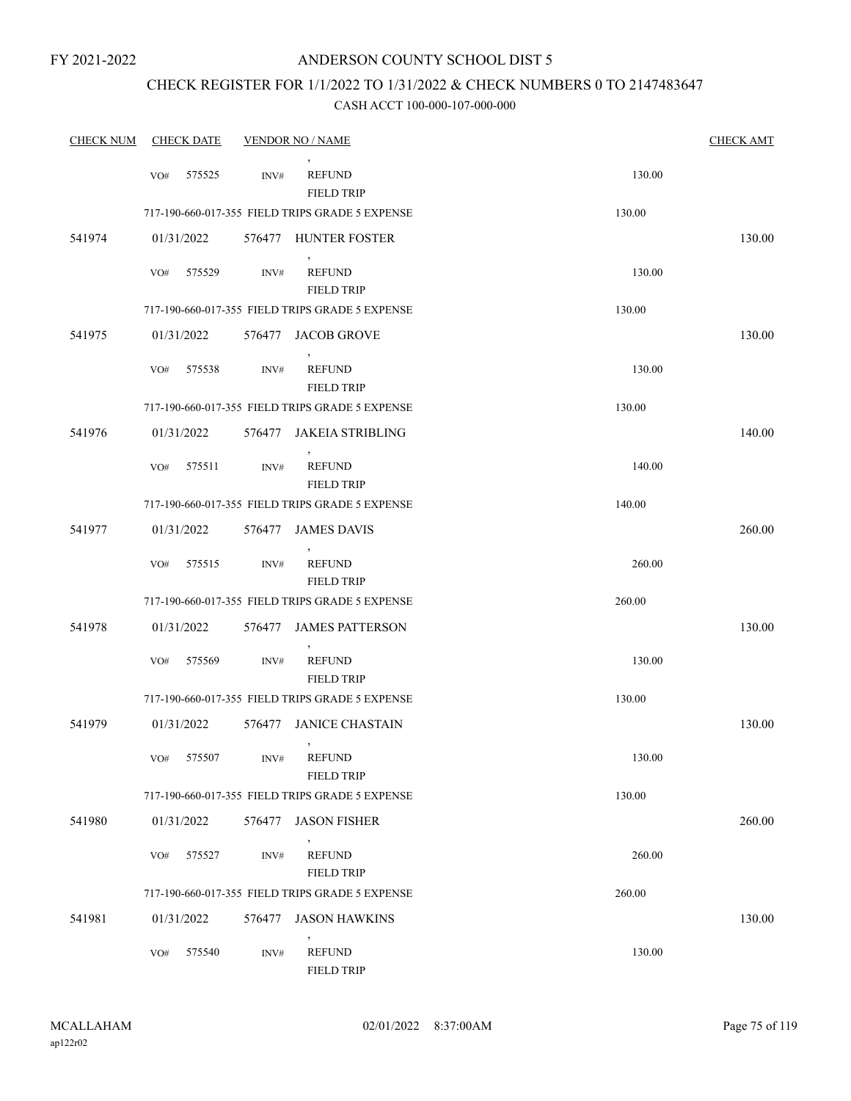### CHECK REGISTER FOR 1/1/2022 TO 1/31/2022 & CHECK NUMBERS 0 TO 2147483647

| <b>CHECK NUM</b> |     | <b>CHECK DATE</b> |        | <b>VENDOR NO / NAME</b>                                        |        | <b>CHECK AMT</b> |
|------------------|-----|-------------------|--------|----------------------------------------------------------------|--------|------------------|
|                  | VO# | 575525            | INV#   | <b>REFUND</b><br><b>FIELD TRIP</b>                             | 130.00 |                  |
|                  |     |                   |        | 717-190-660-017-355 FIELD TRIPS GRADE 5 EXPENSE                | 130.00 |                  |
| 541974           |     | 01/31/2022        |        | 576477 HUNTER FOSTER                                           |        | 130.00           |
|                  | VO# | 575529            | INV#   | <b>REFUND</b><br><b>FIELD TRIP</b>                             | 130.00 |                  |
|                  |     |                   |        | 717-190-660-017-355 FIELD TRIPS GRADE 5 EXPENSE                | 130.00 |                  |
| 541975           |     | 01/31/2022        |        | 576477 JACOB GROVE                                             |        | 130.00           |
|                  | VO# | 575538            | INV#   | <b>REFUND</b><br><b>FIELD TRIP</b>                             | 130.00 |                  |
|                  |     |                   |        | 717-190-660-017-355 FIELD TRIPS GRADE 5 EXPENSE                | 130.00 |                  |
| 541976           |     | 01/31/2022        | 576477 | JAKEIA STRIBLING                                               |        | 140.00           |
|                  | VO# | 575511            | INV#   | <b>REFUND</b><br><b>FIELD TRIP</b>                             | 140.00 |                  |
|                  |     |                   |        | 717-190-660-017-355 FIELD TRIPS GRADE 5 EXPENSE                | 140.00 |                  |
| 541977           |     | 01/31/2022        | 576477 | <b>JAMES DAVIS</b>                                             |        | 260.00           |
|                  | VO# | 575515            | INV#   | $\,$<br><b>REFUND</b><br><b>FIELD TRIP</b>                     | 260.00 |                  |
|                  |     |                   |        | 717-190-660-017-355 FIELD TRIPS GRADE 5 EXPENSE                | 260.00 |                  |
| 541978           |     | 01/31/2022        |        | 576477 JAMES PATTERSON                                         |        | 130.00           |
|                  | VO# | 575569            | INV#   | $\overline{\phantom{a}}$<br><b>REFUND</b><br><b>FIELD TRIP</b> | 130.00 |                  |
|                  |     |                   |        | 717-190-660-017-355 FIELD TRIPS GRADE 5 EXPENSE                | 130.00 |                  |
| 541979           |     | 01/31/2022        | 576477 | JANICE CHASTAIN                                                |        | 130.00           |
|                  | VO# | 575507            | INV#   | $\,$<br><b>REFUND</b><br><b>FIELD TRIP</b>                     | 130.00 |                  |
|                  |     |                   |        | 717-190-660-017-355 FIELD TRIPS GRADE 5 EXPENSE                | 130.00 |                  |
| 541980           |     | 01/31/2022        | 576477 | <b>JASON FISHER</b>                                            |        | 260.00           |
|                  | VO# | 575527            | INV#   | <b>REFUND</b><br><b>FIELD TRIP</b>                             | 260.00 |                  |
|                  |     |                   |        | 717-190-660-017-355 FIELD TRIPS GRADE 5 EXPENSE                | 260.00 |                  |
| 541981           |     | 01/31/2022        | 576477 | <b>JASON HAWKINS</b>                                           |        | 130.00           |
|                  | VO# | 575540            | INV#   | <b>REFUND</b><br><b>FIELD TRIP</b>                             | 130.00 |                  |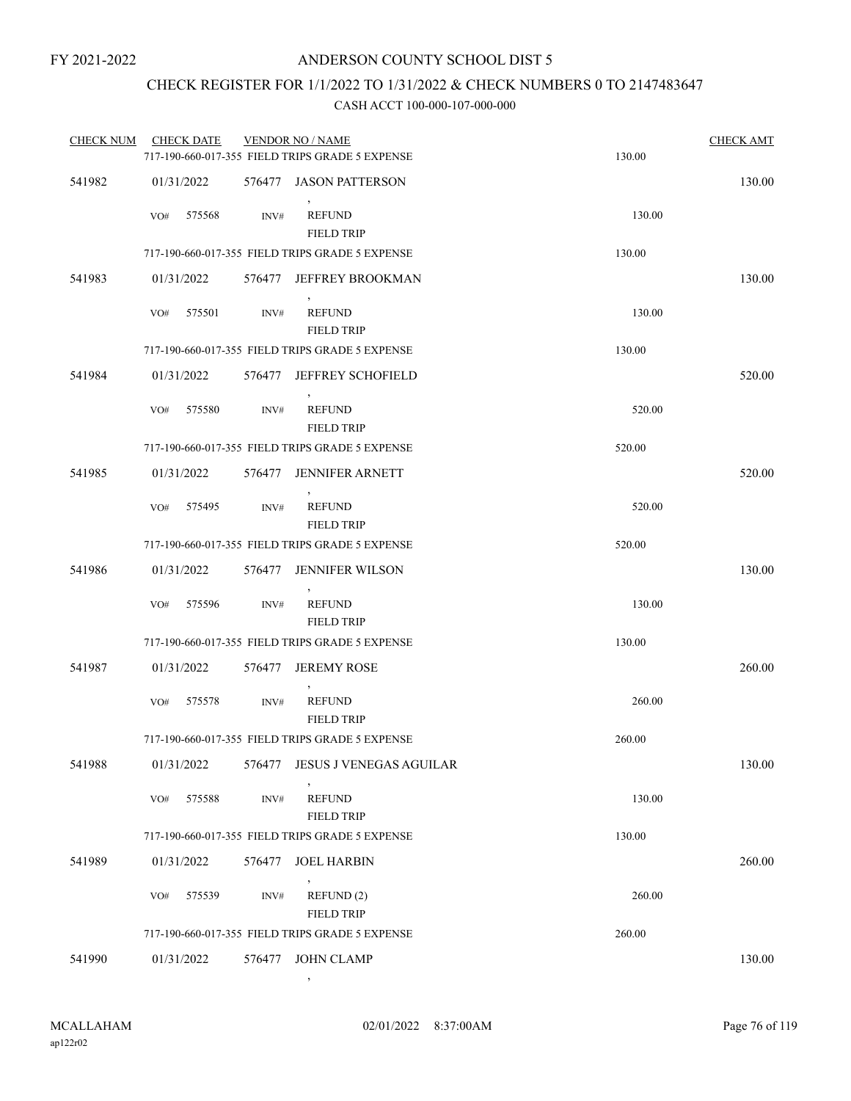## CHECK REGISTER FOR 1/1/2022 TO 1/31/2022 & CHECK NUMBERS 0 TO 2147483647

#### CASH ACCT 100-000-107-000-000

| <b>CHECK NUM</b> | <b>CHECK DATE</b> |        | <b>VENDOR NO / NAME</b>                         |        | <b>CHECK AMT</b> |
|------------------|-------------------|--------|-------------------------------------------------|--------|------------------|
|                  |                   |        | 717-190-660-017-355 FIELD TRIPS GRADE 5 EXPENSE | 130.00 |                  |
| 541982           | 01/31/2022        | 576477 | <b>JASON PATTERSON</b>                          |        | 130.00           |
|                  | VO#<br>575568     | INV#   | <b>REFUND</b><br><b>FIELD TRIP</b>              | 130.00 |                  |
|                  |                   |        | 717-190-660-017-355 FIELD TRIPS GRADE 5 EXPENSE | 130.00 |                  |
| 541983           | 01/31/2022        | 576477 | JEFFREY BROOKMAN                                |        | 130.00           |
|                  | 575501<br>VO#     | INV#   | <b>REFUND</b><br><b>FIELD TRIP</b>              | 130.00 |                  |
|                  |                   |        | 717-190-660-017-355 FIELD TRIPS GRADE 5 EXPENSE | 130.00 |                  |
| 541984           | 01/31/2022        | 576477 | JEFFREY SCHOFIELD                               |        | 520.00           |
|                  | 575580<br>VO#     | INV#   | <b>REFUND</b><br><b>FIELD TRIP</b>              | 520.00 |                  |
|                  |                   |        | 717-190-660-017-355 FIELD TRIPS GRADE 5 EXPENSE | 520.00 |                  |
| 541985           | 01/31/2022        | 576477 | <b>JENNIFER ARNETT</b>                          |        | 520.00           |
|                  | VO#<br>575495     | INV#   | <b>REFUND</b><br><b>FIELD TRIP</b>              | 520.00 |                  |
|                  |                   |        | 717-190-660-017-355 FIELD TRIPS GRADE 5 EXPENSE | 520.00 |                  |
| 541986           | 01/31/2022        |        | 576477 JENNIFER WILSON                          |        | 130.00           |
|                  | 575596<br>VO#     | INV#   | <b>REFUND</b><br><b>FIELD TRIP</b>              | 130.00 |                  |
|                  |                   |        | 717-190-660-017-355 FIELD TRIPS GRADE 5 EXPENSE | 130.00 |                  |
| 541987           | 01/31/2022        | 576477 | <b>JEREMY ROSE</b>                              |        | 260.00           |
|                  | VO#<br>575578     | INV#   | $\,$<br><b>REFUND</b><br><b>FIELD TRIP</b>      | 260.00 |                  |
|                  |                   |        | 717-190-660-017-355 FIELD TRIPS GRADE 5 EXPENSE | 260.00 |                  |
| 541988           | 01/31/2022        | 576477 | JESUS J VENEGAS AGUILAR                         |        | 130.00           |
|                  | 575588<br>VO#     | INV#   | <b>REFUND</b><br><b>FIELD TRIP</b>              | 130.00 |                  |
|                  |                   |        | 717-190-660-017-355 FIELD TRIPS GRADE 5 EXPENSE | 130.00 |                  |
| 541989           | 01/31/2022        | 576477 | <b>JOEL HARBIN</b>                              |        | 260.00           |
|                  | 575539<br>VO#     | INV#   | REFUND(2)<br><b>FIELD TRIP</b>                  | 260.00 |                  |
|                  |                   |        | 717-190-660-017-355 FIELD TRIPS GRADE 5 EXPENSE | 260.00 |                  |
| 541990           | 01/31/2022        | 576477 | <b>JOHN CLAMP</b>                               |        | 130.00           |

,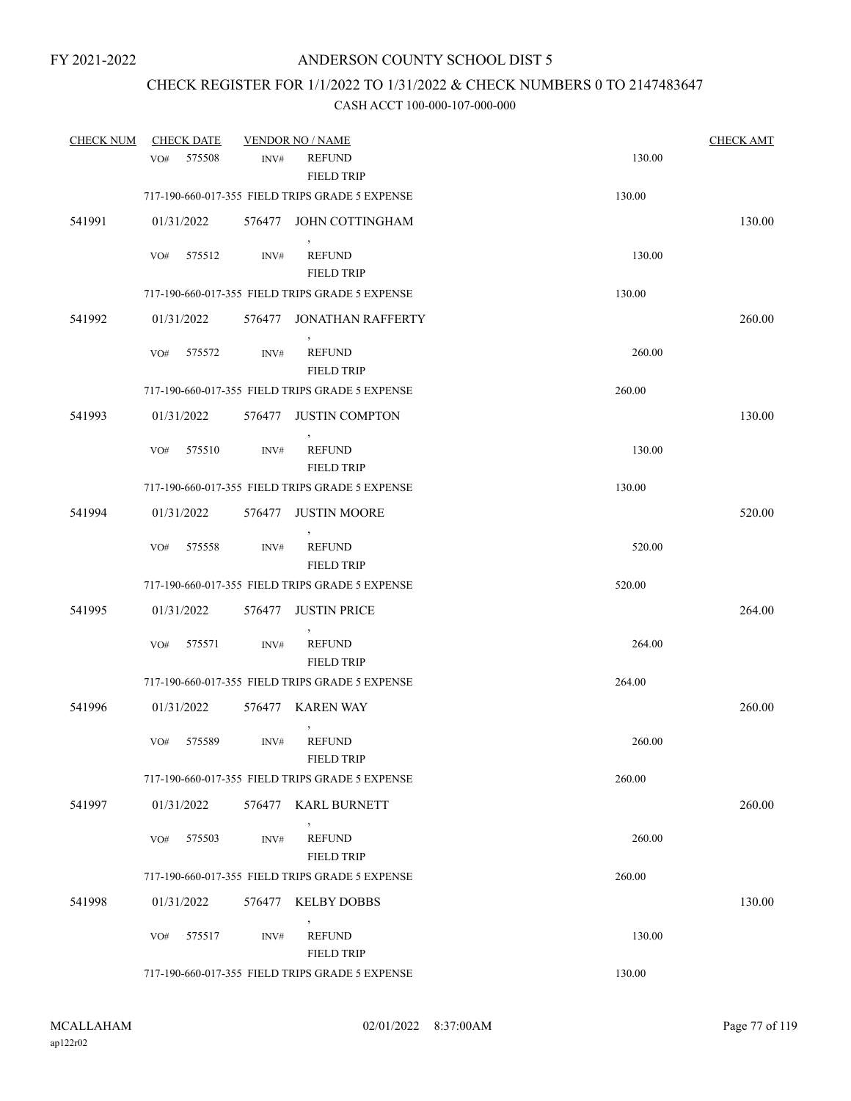## CHECK REGISTER FOR 1/1/2022 TO 1/31/2022 & CHECK NUMBERS 0 TO 2147483647

| <b>CHECK NUM</b> | <b>CHECK DATE</b>         |        | <b>VENDOR NO / NAME</b>                         |        | <b>CHECK AMT</b> |
|------------------|---------------------------|--------|-------------------------------------------------|--------|------------------|
|                  | 575508<br>VO <sub>#</sub> | INV#   | <b>REFUND</b><br><b>FIELD TRIP</b>              | 130.00 |                  |
|                  |                           |        | 717-190-660-017-355 FIELD TRIPS GRADE 5 EXPENSE | 130.00 |                  |
| 541991           | 01/31/2022                |        | 576477 JOHN COTTINGHAM                          |        | 130.00           |
|                  | 575512<br>VO#             | INV#   | <b>REFUND</b><br><b>FIELD TRIP</b>              | 130.00 |                  |
|                  |                           |        | 717-190-660-017-355 FIELD TRIPS GRADE 5 EXPENSE | 130.00 |                  |
| 541992           | 01/31/2022                |        | 576477 JONATHAN RAFFERTY                        |        | 260.00           |
|                  | VO#<br>575572             | INV#   | <b>REFUND</b><br><b>FIELD TRIP</b>              | 260.00 |                  |
|                  |                           |        | 717-190-660-017-355 FIELD TRIPS GRADE 5 EXPENSE | 260.00 |                  |
| 541993           | 01/31/2022                | 576477 | <b>JUSTIN COMPTON</b>                           |        | 130.00           |
|                  | 575510<br>VO#             | INV#   | $\,$<br><b>REFUND</b><br><b>FIELD TRIP</b>      | 130.00 |                  |
|                  |                           |        | 717-190-660-017-355 FIELD TRIPS GRADE 5 EXPENSE | 130.00 |                  |
| 541994           | 01/31/2022                | 576477 | <b>JUSTIN MOORE</b><br>$\,$                     |        | 520.00           |
|                  | VO#<br>575558             | INV#   | <b>REFUND</b><br><b>FIELD TRIP</b>              | 520.00 |                  |
|                  |                           |        | 717-190-660-017-355 FIELD TRIPS GRADE 5 EXPENSE | 520.00 |                  |
| 541995           | 01/31/2022                |        | 576477 JUSTIN PRICE                             |        | 264.00           |
|                  | 575571<br>VO#             | INV#   | <b>REFUND</b><br><b>FIELD TRIP</b>              | 264.00 |                  |
|                  |                           |        | 717-190-660-017-355 FIELD TRIPS GRADE 5 EXPENSE | 264.00 |                  |
| 541996           | 01/31/2022                |        | 576477 KAREN WAY                                |        | 260.00           |
|                  | 575589<br>VO#             | INV#   | <b>REFUND</b><br><b>FIELD TRIP</b>              | 260.00 |                  |
|                  |                           |        | 717-190-660-017-355 FIELD TRIPS GRADE 5 EXPENSE | 260.00 |                  |
| 541997           | 01/31/2022                |        | 576477 KARL BURNETT                             |        | 260.00           |
|                  | 575503<br>VO#             | INV#   | <b>REFUND</b><br><b>FIELD TRIP</b>              | 260.00 |                  |
|                  |                           |        | 717-190-660-017-355 FIELD TRIPS GRADE 5 EXPENSE | 260.00 |                  |
| 541998           | 01/31/2022                |        | 576477 KELBY DOBBS                              |        | 130.00           |
|                  | 575517<br>VO#             | INV#   | <b>REFUND</b><br><b>FIELD TRIP</b>              | 130.00 |                  |
|                  |                           |        | 717-190-660-017-355 FIELD TRIPS GRADE 5 EXPENSE | 130.00 |                  |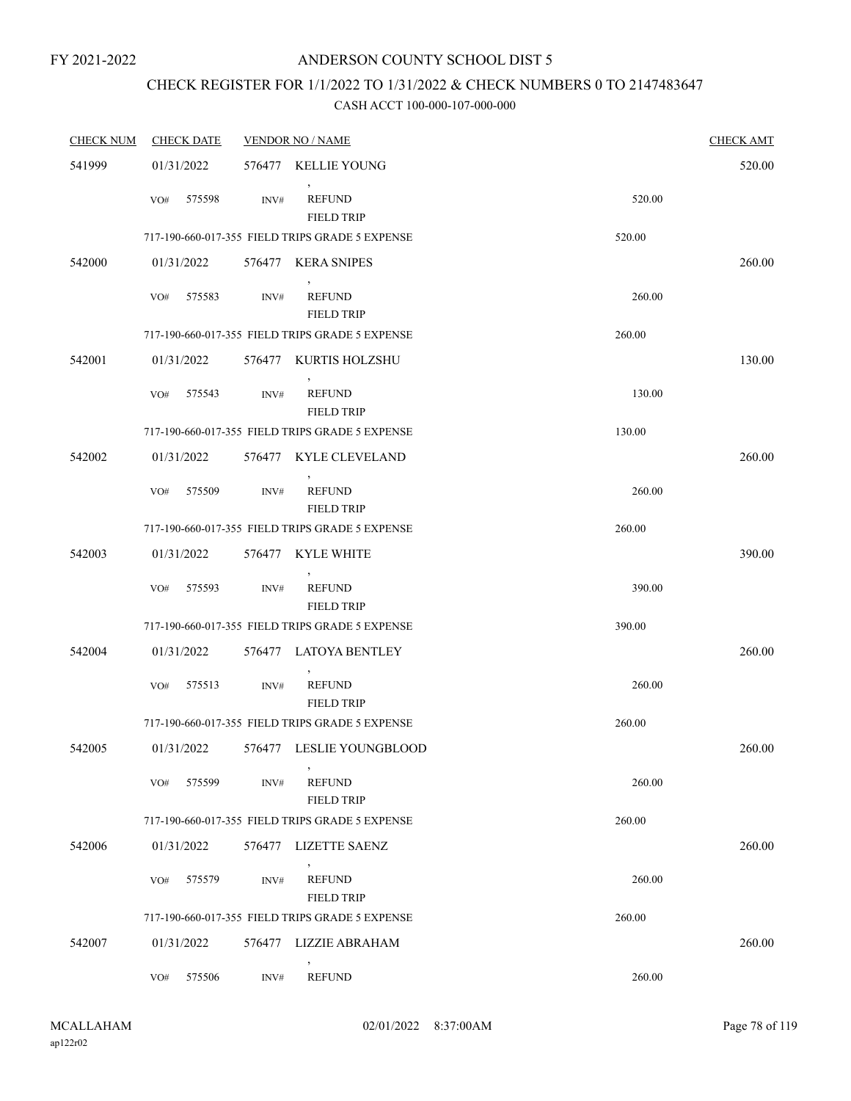### ANDERSON COUNTY SCHOOL DIST 5

# CHECK REGISTER FOR 1/1/2022 TO 1/31/2022 & CHECK NUMBERS 0 TO 2147483647

| <b>CHECK NUM</b> | <b>CHECK DATE</b> |        | <b>VENDOR NO / NAME</b>                         |        | <b>CHECK AMT</b> |
|------------------|-------------------|--------|-------------------------------------------------|--------|------------------|
| 541999           | 01/31/2022        | 576477 | KELLIE YOUNG                                    |        | 520.00           |
|                  | 575598<br>VO#     | INV#   | $\,$<br><b>REFUND</b><br><b>FIELD TRIP</b>      | 520.00 |                  |
|                  |                   |        | 717-190-660-017-355 FIELD TRIPS GRADE 5 EXPENSE | 520.00 |                  |
| 542000           | 01/31/2022        |        | 576477 KERA SNIPES<br>$\overline{ }$            |        | 260.00           |
|                  | 575583<br>VO#     | INV#   | <b>REFUND</b><br><b>FIELD TRIP</b>              | 260.00 |                  |
|                  |                   |        | 717-190-660-017-355 FIELD TRIPS GRADE 5 EXPENSE | 260.00 |                  |
| 542001           | 01/31/2022        |        | 576477 KURTIS HOLZSHU                           |        | 130.00           |
|                  | 575543<br>VO#     | INV#   | <b>REFUND</b><br><b>FIELD TRIP</b>              | 130.00 |                  |
|                  |                   |        | 717-190-660-017-355 FIELD TRIPS GRADE 5 EXPENSE | 130.00 |                  |
| 542002           | 01/31/2022        |        | 576477 KYLE CLEVELAND                           |        | 260.00           |
|                  | 575509<br>VO#     | INV#   | <b>REFUND</b><br><b>FIELD TRIP</b>              | 260.00 |                  |
|                  |                   |        | 717-190-660-017-355 FIELD TRIPS GRADE 5 EXPENSE | 260.00 |                  |
| 542003           | 01/31/2022        |        | 576477 KYLE WHITE                               |        | 390.00           |
|                  | VO#<br>575593     | INV#   | <b>REFUND</b><br><b>FIELD TRIP</b>              | 390.00 |                  |
|                  |                   |        | 717-190-660-017-355 FIELD TRIPS GRADE 5 EXPENSE | 390.00 |                  |
| 542004           | 01/31/2022        |        | 576477 LATOYA BENTLEY                           |        | 260.00           |
|                  | 575513<br>VO#     | INV#   | <b>REFUND</b><br><b>FIELD TRIP</b>              | 260.00 |                  |
|                  |                   |        | 717-190-660-017-355 FIELD TRIPS GRADE 5 EXPENSE | 260.00 |                  |
| 542005           | 01/31/2022        |        | 576477 LESLIE YOUNGBLOOD                        |        | 260.00           |
|                  | 575599<br>VO#     | INV#   | $\,$<br><b>REFUND</b><br><b>FIELD TRIP</b>      | 260.00 |                  |
|                  |                   |        | 717-190-660-017-355 FIELD TRIPS GRADE 5 EXPENSE | 260.00 |                  |
| 542006           | 01/31/2022        | 576477 | LIZETTE SAENZ                                   |        | 260.00           |
|                  | 575579<br>VO#     | INV#   | <b>REFUND</b><br><b>FIELD TRIP</b>              | 260.00 |                  |
|                  |                   |        | 717-190-660-017-355 FIELD TRIPS GRADE 5 EXPENSE | 260.00 |                  |
| 542007           | 01/31/2022        |        | 576477 LIZZIE ABRAHAM                           |        | 260.00           |
|                  | 575506<br>VO#     | INV#   | <b>REFUND</b>                                   | 260.00 |                  |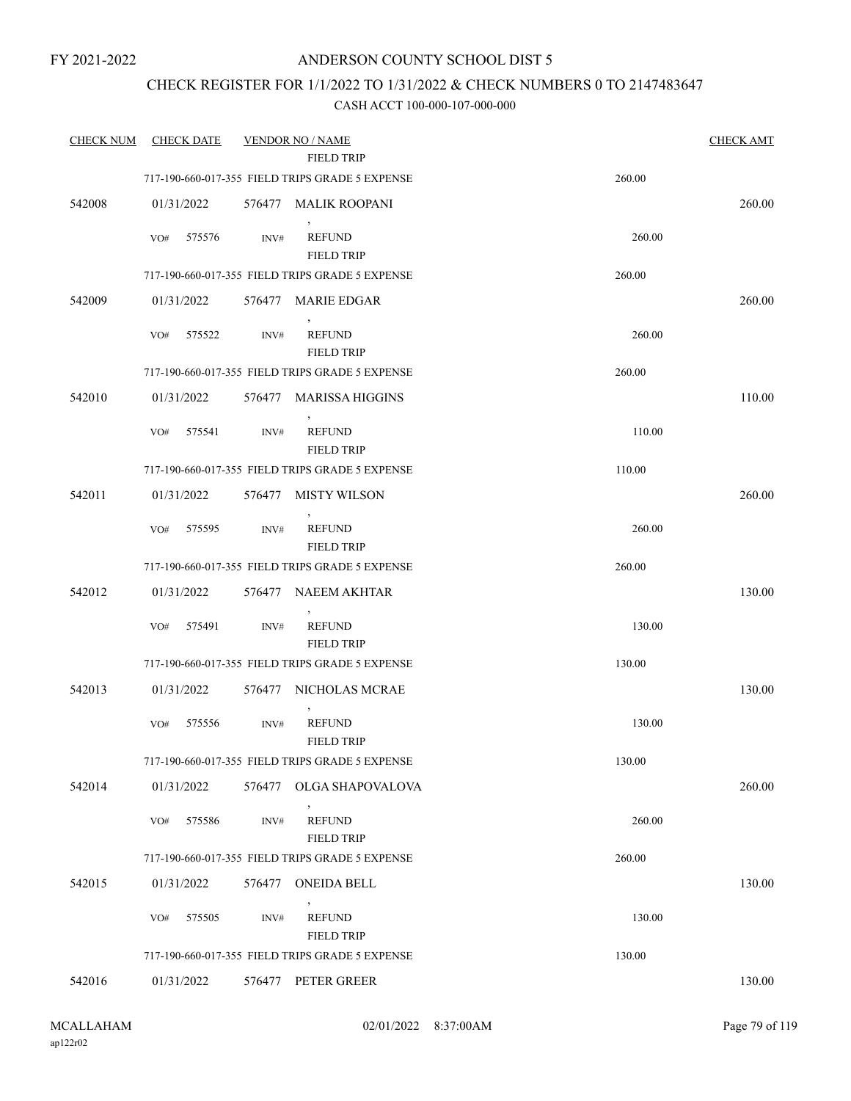### ANDERSON COUNTY SCHOOL DIST 5

### CHECK REGISTER FOR 1/1/2022 TO 1/31/2022 & CHECK NUMBERS 0 TO 2147483647

| <b>CHECK NUM</b> | <b>CHECK DATE</b> |        | <b>VENDOR NO / NAME</b>                                              |        | <b>CHECK AMT</b> |
|------------------|-------------------|--------|----------------------------------------------------------------------|--------|------------------|
|                  |                   |        | <b>FIELD TRIP</b><br>717-190-660-017-355 FIELD TRIPS GRADE 5 EXPENSE | 260.00 |                  |
| 542008           | 01/31/2022        |        | 576477 MALIK ROOPANI                                                 |        | 260.00           |
|                  | VO#<br>575576     | INV#   | <b>REFUND</b><br><b>FIELD TRIP</b>                                   | 260.00 |                  |
|                  |                   |        | 717-190-660-017-355 FIELD TRIPS GRADE 5 EXPENSE                      | 260.00 |                  |
| 542009           | 01/31/2022        |        | 576477 MARIE EDGAR                                                   |        | 260.00           |
|                  | 575522<br>VO#     | INV#   | <b>REFUND</b><br><b>FIELD TRIP</b>                                   | 260.00 |                  |
|                  |                   |        | 717-190-660-017-355 FIELD TRIPS GRADE 5 EXPENSE                      | 260.00 |                  |
| 542010           | 01/31/2022        | 576477 | MARISSA HIGGINS                                                      |        | 110.00           |
|                  | 575541<br>VO#     | INV#   | $\,$<br><b>REFUND</b><br><b>FIELD TRIP</b>                           | 110.00 |                  |
|                  |                   |        | 717-190-660-017-355 FIELD TRIPS GRADE 5 EXPENSE                      | 110.00 |                  |
| 542011           | 01/31/2022        | 576477 | <b>MISTY WILSON</b>                                                  |        | 260.00           |
|                  | 575595<br>VO#     | INV#   | $\overline{ }$<br><b>REFUND</b><br><b>FIELD TRIP</b>                 | 260.00 |                  |
|                  |                   |        | 717-190-660-017-355 FIELD TRIPS GRADE 5 EXPENSE                      | 260.00 |                  |
| 542012           | 01/31/2022        |        | 576477 NAEEM AKHTAR                                                  |        | 130.00           |
|                  | 575491<br>VO#     | INV#   | <b>REFUND</b><br><b>FIELD TRIP</b>                                   | 130.00 |                  |
|                  |                   |        | 717-190-660-017-355 FIELD TRIPS GRADE 5 EXPENSE                      | 130.00 |                  |
| 542013           | 01/31/2022        |        | 576477 NICHOLAS MCRAE                                                |        | 130.00           |
|                  | VO#<br>575556     | INV#   | <b>REFUND</b><br><b>FIELD TRIP</b>                                   | 130.00 |                  |
|                  |                   |        | 717-190-660-017-355 FIELD TRIPS GRADE 5 EXPENSE                      | 130.00 |                  |
| 542014           | 01/31/2022        | 576477 | OLGA SHAPOVALOVA                                                     |        | 260.00           |
|                  | 575586<br>VO#     | INV#   | <b>REFUND</b><br><b>FIELD TRIP</b>                                   | 260.00 |                  |
|                  |                   |        | 717-190-660-017-355 FIELD TRIPS GRADE 5 EXPENSE                      | 260.00 |                  |
| 542015           | 01/31/2022        | 576477 | ONEIDA BELL                                                          |        | 130.00           |
|                  | VO#<br>575505     | INV#   | <b>REFUND</b><br><b>FIELD TRIP</b>                                   | 130.00 |                  |
|                  |                   |        | 717-190-660-017-355 FIELD TRIPS GRADE 5 EXPENSE                      | 130.00 |                  |
| 542016           | 01/31/2022        |        | 576477 PETER GREER                                                   |        | 130.00           |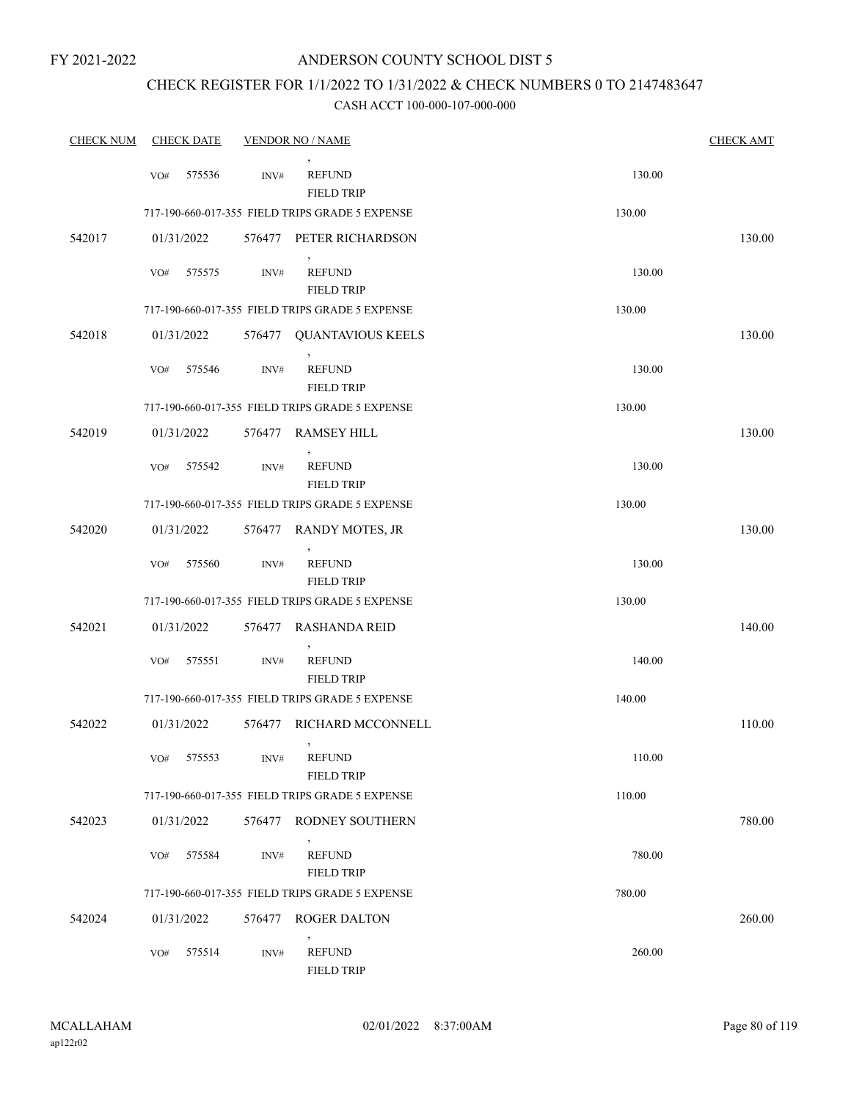### ANDERSON COUNTY SCHOOL DIST 5

### CHECK REGISTER FOR 1/1/2022 TO 1/31/2022 & CHECK NUMBERS 0 TO 2147483647

| <b>CHECK NUM</b> |     | <b>CHECK DATE</b> |                  | <b>VENDOR NO / NAME</b>                             |        | <b>CHECK AMT</b> |
|------------------|-----|-------------------|------------------|-----------------------------------------------------|--------|------------------|
|                  | VO# | 575536            | $\text{INV}\#$   | <b>REFUND</b><br><b>FIELD TRIP</b>                  | 130.00 |                  |
|                  |     |                   |                  | 717-190-660-017-355 FIELD TRIPS GRADE 5 EXPENSE     | 130.00 |                  |
| 542017           |     | 01/31/2022        |                  | 576477 PETER RICHARDSON                             |        | 130.00           |
|                  | VO# | 575575            | INV#             | <b>REFUND</b><br><b>FIELD TRIP</b>                  | 130.00 |                  |
|                  |     |                   |                  | 717-190-660-017-355 FIELD TRIPS GRADE 5 EXPENSE     | 130.00 |                  |
| 542018           |     | 01/31/2022        | 576477           | <b>QUANTAVIOUS KEELS</b>                            |        | 130.00           |
|                  | VO# | 575546            | INV#             | <b>REFUND</b><br><b>FIELD TRIP</b>                  | 130.00 |                  |
|                  |     |                   |                  | 717-190-660-017-355 FIELD TRIPS GRADE 5 EXPENSE     | 130.00 |                  |
| 542019           |     | 01/31/2022        | 576477           | <b>RAMSEY HILL</b>                                  |        | 130.00           |
|                  | VO# | 575542            | $\text{INV}\#$   | <b>REFUND</b><br><b>FIELD TRIP</b>                  | 130.00 |                  |
|                  |     |                   |                  | 717-190-660-017-355 FIELD TRIPS GRADE 5 EXPENSE     | 130.00 |                  |
| 542020           |     | 01/31/2022        | 576477           | RANDY MOTES, JR                                     |        | 130.00           |
|                  | VO# | 575560            | INV#             | <b>REFUND</b><br><b>FIELD TRIP</b>                  | 130.00 |                  |
|                  |     |                   |                  | 717-190-660-017-355 FIELD TRIPS GRADE 5 EXPENSE     | 130.00 |                  |
| 542021           |     | 01/31/2022        | 576477           | RASHANDA REID                                       |        | 140.00           |
|                  | VO# | 575551            | $\mathrm{INV}\#$ | $\mathcal{P}$<br><b>REFUND</b><br><b>FIELD TRIP</b> | 140.00 |                  |
|                  |     |                   |                  | 717-190-660-017-355 FIELD TRIPS GRADE 5 EXPENSE     | 140.00 |                  |
| 542022           |     | 01/31/2022        | 576477           | RICHARD MCCONNELL                                   |        | 110.00           |
|                  | VO# | 575553            | INV#             | $\,$<br><b>REFUND</b><br><b>FIELD TRIP</b>          | 110.00 |                  |
|                  |     |                   |                  | 717-190-660-017-355 FIELD TRIPS GRADE 5 EXPENSE     | 110.00 |                  |
| 542023           |     | 01/31/2022        |                  | 576477 RODNEY SOUTHERN                              |        | 780.00           |
|                  | VO# | 575584            | INV#             | <b>REFUND</b><br><b>FIELD TRIP</b>                  | 780.00 |                  |
|                  |     |                   |                  | 717-190-660-017-355 FIELD TRIPS GRADE 5 EXPENSE     | 780.00 |                  |
| 542024           |     | 01/31/2022        |                  | 576477 ROGER DALTON                                 |        | 260.00           |
|                  | VO# | 575514            | INV#             | <b>REFUND</b><br><b>FIELD TRIP</b>                  | 260.00 |                  |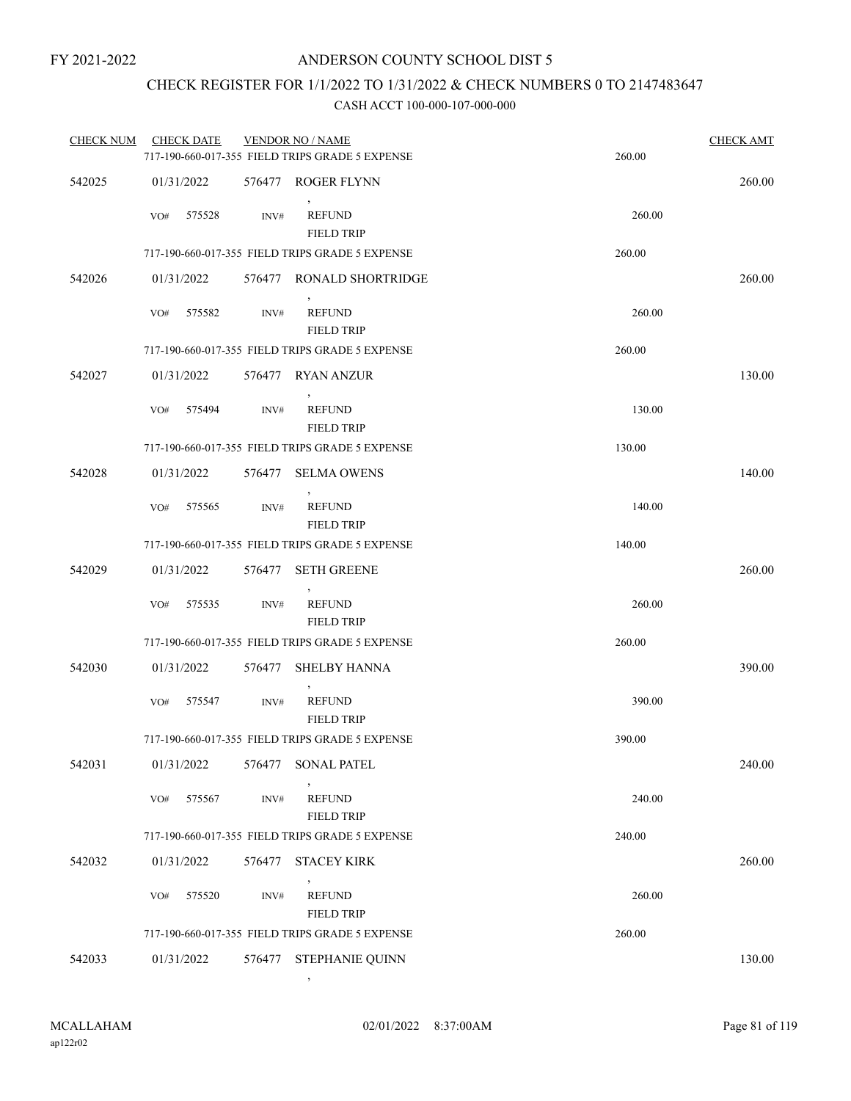## CHECK REGISTER FOR 1/1/2022 TO 1/31/2022 & CHECK NUMBERS 0 TO 2147483647

#### CASH ACCT 100-000-107-000-000

| <b>CHECK NUM</b> | <b>CHECK DATE</b> |        | <b>VENDOR NO / NAME</b><br>717-190-660-017-355 FIELD TRIPS GRADE 5 EXPENSE | 260.00 | <b>CHECK AMT</b> |
|------------------|-------------------|--------|----------------------------------------------------------------------------|--------|------------------|
| 542025           | 01/31/2022        |        | 576477 ROGER FLYNN                                                         |        | 260.00           |
|                  | VO#<br>575528     | INV#   | <b>REFUND</b><br><b>FIELD TRIP</b>                                         | 260.00 |                  |
|                  |                   |        | 717-190-660-017-355 FIELD TRIPS GRADE 5 EXPENSE                            | 260.00 |                  |
| 542026           | 01/31/2022        |        | 576477 RONALD SHORTRIDGE                                                   |        | 260.00           |
|                  | 575582<br>VO#     | INV#   | $\,$<br><b>REFUND</b><br><b>FIELD TRIP</b>                                 | 260.00 |                  |
|                  |                   |        | 717-190-660-017-355 FIELD TRIPS GRADE 5 EXPENSE                            | 260.00 |                  |
| 542027           | 01/31/2022        |        | 576477 RYAN ANZUR                                                          |        | 130.00           |
|                  | 575494<br>VO#     | INV#   | <b>REFUND</b><br><b>FIELD TRIP</b>                                         | 130.00 |                  |
|                  |                   |        | 717-190-660-017-355 FIELD TRIPS GRADE 5 EXPENSE                            | 130.00 |                  |
| 542028           | 01/31/2022        | 576477 | <b>SELMA OWENS</b>                                                         |        | 140.00           |
|                  | 575565<br>VO#     | INV#   | <b>REFUND</b><br><b>FIELD TRIP</b>                                         | 140.00 |                  |
|                  |                   |        | 717-190-660-017-355 FIELD TRIPS GRADE 5 EXPENSE                            | 140.00 |                  |
| 542029           | 01/31/2022        | 576477 | <b>SETH GREENE</b>                                                         |        | 260.00           |
|                  | 575535<br>VO#     | INV#   | <b>REFUND</b><br><b>FIELD TRIP</b>                                         | 260.00 |                  |
|                  |                   |        | 717-190-660-017-355 FIELD TRIPS GRADE 5 EXPENSE                            | 260.00 |                  |
| 542030           | 01/31/2022        | 576477 | <b>SHELBY HANNA</b>                                                        |        | 390.00           |
|                  | VO#<br>575547     | INV#   | <b>REFUND</b><br><b>FIELD TRIP</b>                                         | 390.00 |                  |
|                  |                   |        | 717-190-660-017-355 FIELD TRIPS GRADE 5 EXPENSE                            | 390.00 |                  |
| 542031           | 01/31/2022        | 576477 | <b>SONAL PATEL</b>                                                         |        | 240.00           |
|                  | 575567<br>VO#     | INV#   | <b>REFUND</b><br><b>FIELD TRIP</b>                                         | 240.00 |                  |
|                  |                   |        | 717-190-660-017-355 FIELD TRIPS GRADE 5 EXPENSE                            | 240.00 |                  |
| 542032           | 01/31/2022        | 576477 | <b>STACEY KIRK</b>                                                         |        | 260.00           |
|                  | 575520<br>VO#     | INV#   | <b>REFUND</b><br><b>FIELD TRIP</b>                                         | 260.00 |                  |
|                  |                   |        | 717-190-660-017-355 FIELD TRIPS GRADE 5 EXPENSE                            | 260.00 |                  |
| 542033           | 01/31/2022        | 576477 | STEPHANIE QUINN                                                            |        | 130.00           |

,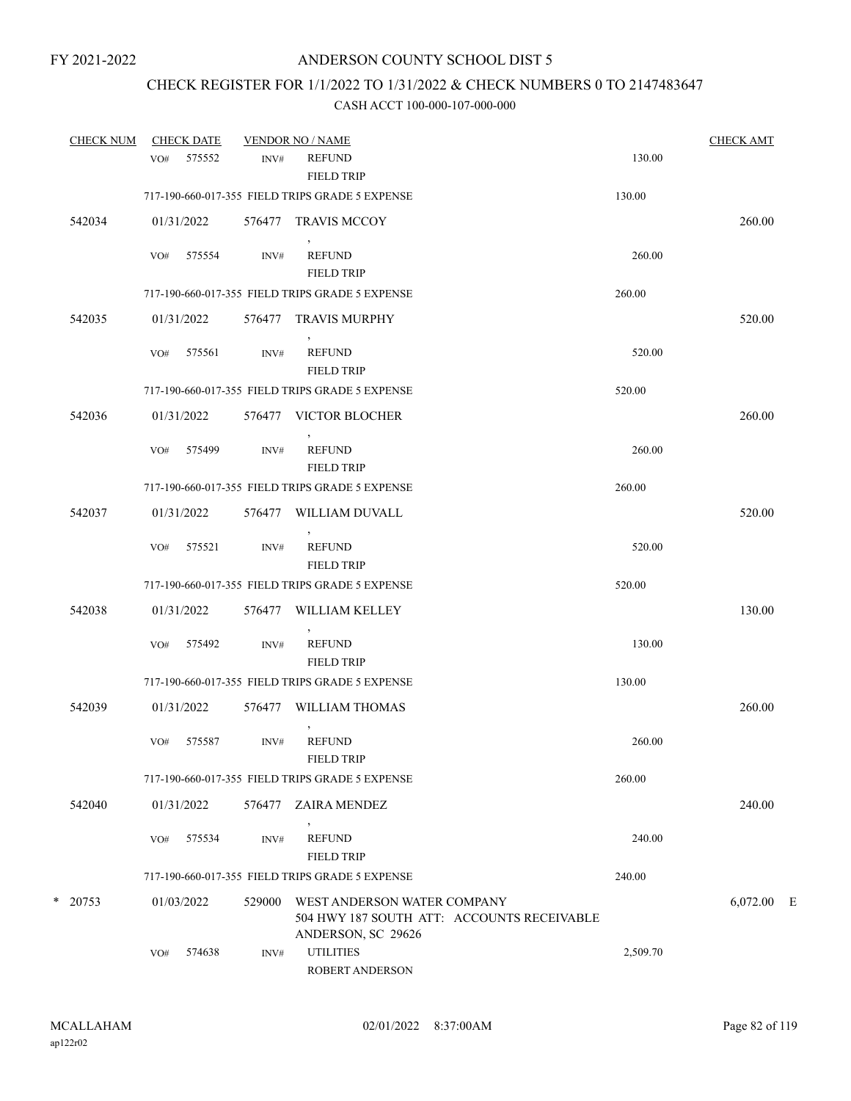### CHECK REGISTER FOR 1/1/2022 TO 1/31/2022 & CHECK NUMBERS 0 TO 2147483647

| <b>CHECK NUM</b> |     | <b>CHECK DATE</b> |        | <b>VENDOR NO / NAME</b>                                                                         |          | <b>CHECK AMT</b> |  |
|------------------|-----|-------------------|--------|-------------------------------------------------------------------------------------------------|----------|------------------|--|
|                  | VO# | 575552            | INV#   | <b>REFUND</b><br><b>FIELD TRIP</b>                                                              | 130.00   |                  |  |
|                  |     |                   |        | 717-190-660-017-355 FIELD TRIPS GRADE 5 EXPENSE                                                 | 130.00   |                  |  |
| 542034           |     | 01/31/2022        |        | 576477 TRAVIS MCCOY                                                                             |          | 260.00           |  |
|                  | VO# | 575554            | INV#   | <b>REFUND</b><br><b>FIELD TRIP</b>                                                              | 260.00   |                  |  |
|                  |     |                   |        | 717-190-660-017-355 FIELD TRIPS GRADE 5 EXPENSE                                                 | 260.00   |                  |  |
| 542035           |     | 01/31/2022        |        | 576477 TRAVIS MURPHY                                                                            |          | 520.00           |  |
|                  | VO# | 575561            | INV#   | <b>REFUND</b><br><b>FIELD TRIP</b>                                                              | 520.00   |                  |  |
|                  |     |                   |        | 717-190-660-017-355 FIELD TRIPS GRADE 5 EXPENSE                                                 | 520.00   |                  |  |
| 542036           |     | 01/31/2022        |        | 576477 VICTOR BLOCHER                                                                           |          | 260.00           |  |
|                  | VO# | 575499            | INV#   | <b>REFUND</b><br><b>FIELD TRIP</b>                                                              | 260.00   |                  |  |
|                  |     |                   |        | 717-190-660-017-355 FIELD TRIPS GRADE 5 EXPENSE                                                 | 260.00   |                  |  |
| 542037           |     | 01/31/2022        | 576477 | WILLIAM DUVALL                                                                                  |          | 520.00           |  |
|                  | VO# | 575521            | INV#   | $\,$<br><b>REFUND</b><br><b>FIELD TRIP</b>                                                      | 520.00   |                  |  |
|                  |     |                   |        | 717-190-660-017-355 FIELD TRIPS GRADE 5 EXPENSE                                                 | 520.00   |                  |  |
| 542038           |     | 01/31/2022        |        | 576477 WILLIAM KELLEY                                                                           |          | 130.00           |  |
|                  | VO# | 575492            | INV#   | $\overline{ }$<br><b>REFUND</b><br><b>FIELD TRIP</b>                                            | 130.00   |                  |  |
|                  |     |                   |        | 717-190-660-017-355 FIELD TRIPS GRADE 5 EXPENSE                                                 | 130.00   |                  |  |
| 542039           |     | 01/31/2022        | 576477 | WILLIAM THOMAS                                                                                  |          | 260.00           |  |
|                  | VO# | 575587            | INV#   | <b>REFUND</b><br><b>FIELD TRIP</b>                                                              | 260.00   |                  |  |
|                  |     |                   |        | 717-190-660-017-355 FIELD TRIPS GRADE 5 EXPENSE                                                 | 260.00   |                  |  |
| 542040           |     | 01/31/2022        | 576477 | ZAIRA MENDEZ                                                                                    |          | 240.00           |  |
|                  | VO# | 575534            | INV#   | <b>REFUND</b><br><b>FIELD TRIP</b>                                                              | 240.00   |                  |  |
|                  |     |                   |        | 717-190-660-017-355 FIELD TRIPS GRADE 5 EXPENSE                                                 | 240.00   |                  |  |
| $*$ 20753        |     | 01/03/2022        | 529000 | WEST ANDERSON WATER COMPANY<br>504 HWY 187 SOUTH ATT: ACCOUNTS RECEIVABLE<br>ANDERSON, SC 29626 |          | $6,072.00$ E     |  |
|                  | VO# | 574638            | INV#   | <b>UTILITIES</b><br><b>ROBERT ANDERSON</b>                                                      | 2,509.70 |                  |  |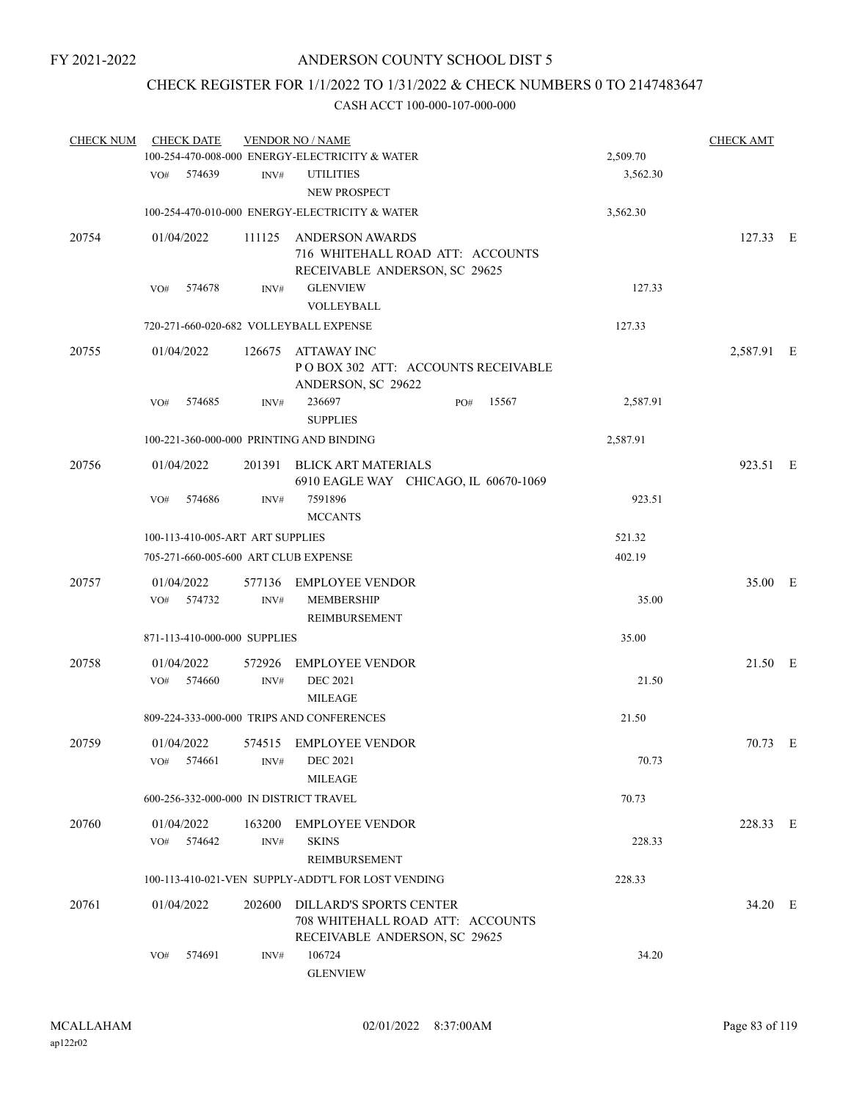# CHECK REGISTER FOR 1/1/2022 TO 1/31/2022 & CHECK NUMBERS 0 TO 2147483647

| <b>CHECK NUM</b> | <b>CHECK DATE</b>                      |                | <b>VENDOR NO / NAME</b><br>100-254-470-008-000 ENERGY-ELECTRICITY & WATER                           |              |          | <b>CHECK AMT</b> |  |
|------------------|----------------------------------------|----------------|-----------------------------------------------------------------------------------------------------|--------------|----------|------------------|--|
|                  |                                        |                |                                                                                                     |              | 2,509.70 |                  |  |
|                  | 574639<br>VO#                          | INV#           | <b>UTILITIES</b><br><b>NEW PROSPECT</b>                                                             |              | 3,562.30 |                  |  |
|                  |                                        |                | 100-254-470-010-000 ENERGY-ELECTRICITY & WATER                                                      |              | 3,562.30 |                  |  |
| 20754            | 01/04/2022                             | 111125         | <b>ANDERSON AWARDS</b><br>716 WHITEHALL ROAD ATT: ACCOUNTS<br>RECEIVABLE ANDERSON, SC 29625         |              |          | 127.33 E         |  |
|                  | 574678<br>VO#                          | INV#           | <b>GLENVIEW</b><br>VOLLEYBALL                                                                       |              | 127.33   |                  |  |
|                  |                                        |                | 720-271-660-020-682 VOLLEYBALL EXPENSE                                                              |              | 127.33   |                  |  |
| 20755            | 01/04/2022                             |                | 126675 ATTAWAY INC<br>POBOX 302 ATT: ACCOUNTS RECEIVABLE<br>ANDERSON, SC 29622                      |              |          | 2,587.91 E       |  |
|                  | VO#<br>574685                          | INV#           | 236697<br><b>SUPPLIES</b>                                                                           | 15567<br>PO# | 2,587.91 |                  |  |
|                  |                                        |                | 100-221-360-000-000 PRINTING AND BINDING                                                            |              | 2,587.91 |                  |  |
| 20756            | 01/04/2022                             | 201391         | <b>BLICK ART MATERIALS</b><br>6910 EAGLE WAY CHICAGO, IL 60670-1069                                 |              |          | 923.51 E         |  |
|                  | VO#<br>574686                          | INV#           | 7591896<br><b>MCCANTS</b>                                                                           |              | 923.51   |                  |  |
|                  | 100-113-410-005-ART ART SUPPLIES       |                |                                                                                                     |              | 521.32   |                  |  |
|                  | 705-271-660-005-600 ART CLUB EXPENSE   |                |                                                                                                     |              | 402.19   |                  |  |
| 20757            | 01/04/2022<br>VO#<br>574732            | 577136<br>INV# | <b>EMPLOYEE VENDOR</b><br><b>MEMBERSHIP</b><br>REIMBURSEMENT                                        |              | 35.00    | 35.00 E          |  |
|                  | 871-113-410-000-000 SUPPLIES           |                |                                                                                                     |              | 35.00    |                  |  |
| 20758            | 01/04/2022<br>574660<br>VO#            | 572926<br>INV# | <b>EMPLOYEE VENDOR</b><br><b>DEC 2021</b><br><b>MILEAGE</b>                                         |              | 21.50    | 21.50 E          |  |
|                  |                                        |                | 809-224-333-000-000 TRIPS AND CONFERENCES                                                           |              | 21.50    |                  |  |
| 20759            | 01/04/2022<br>574661<br>VO#            | INV#           | 574515 EMPLOYEE VENDOR<br><b>DEC 2021</b><br><b>MILEAGE</b>                                         |              | 70.73    | 70.73 E          |  |
|                  | 600-256-332-000-000 IN DISTRICT TRAVEL |                |                                                                                                     |              | 70.73    |                  |  |
| 20760            | 01/04/2022<br>574642<br>VO#            | 163200<br>INV# | <b>EMPLOYEE VENDOR</b><br><b>SKINS</b>                                                              |              | 228.33   | 228.33 E         |  |
|                  |                                        |                | REIMBURSEMENT<br>100-113-410-021-VEN SUPPLY-ADDT'L FOR LOST VENDING                                 |              | 228.33   |                  |  |
| 20761            | 01/04/2022                             | 202600         | <b>DILLARD'S SPORTS CENTER</b><br>708 WHITEHALL ROAD ATT: ACCOUNTS<br>RECEIVABLE ANDERSON, SC 29625 |              |          | 34.20 E          |  |
|                  | 574691<br>VO#                          | INV#           | 106724<br><b>GLENVIEW</b>                                                                           |              | 34.20    |                  |  |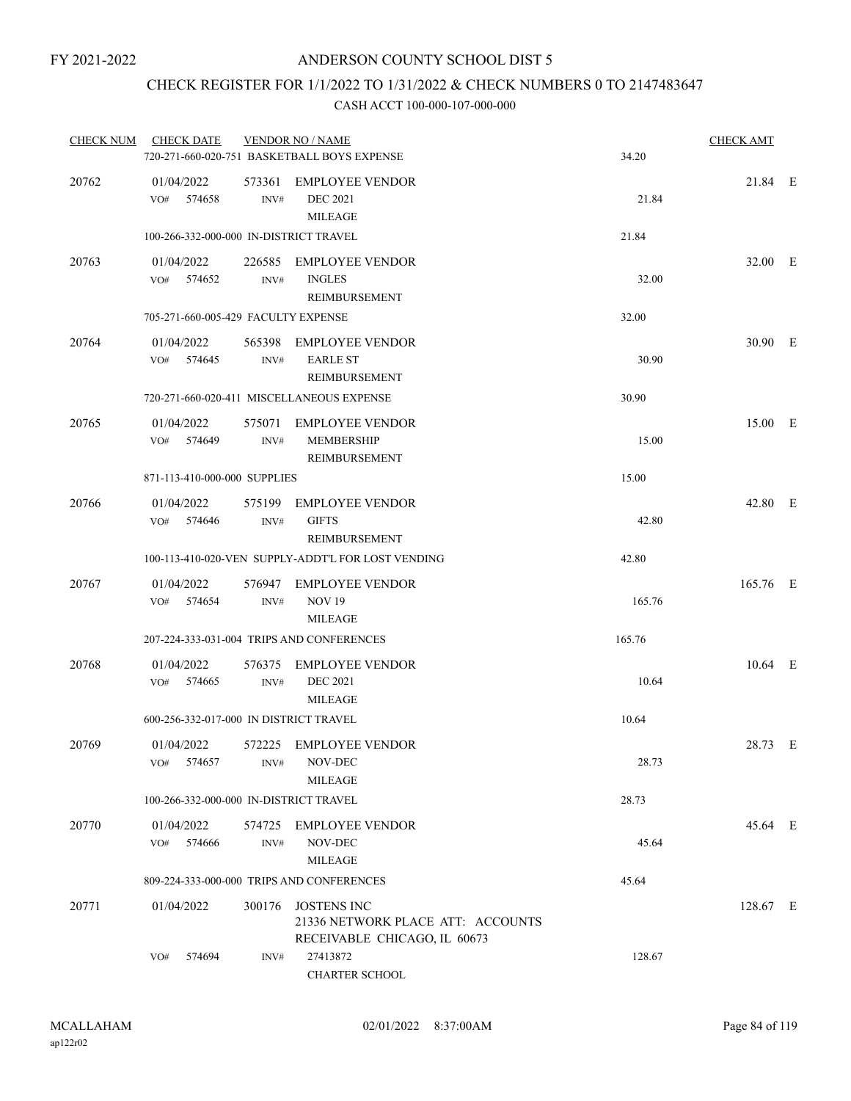### CHECK REGISTER FOR 1/1/2022 TO 1/31/2022 & CHECK NUMBERS 0 TO 2147483647

| <b>CHECK NUM</b> | <b>CHECK DATE</b>                      |                | <b>VENDOR NO / NAME</b><br>720-271-660-020-751 BASKETBALL BOYS EXPENSE                  | 34.20  | <b>CHECK AMT</b> |  |
|------------------|----------------------------------------|----------------|-----------------------------------------------------------------------------------------|--------|------------------|--|
| 20762            | 01/04/2022<br>VO#<br>574658            | 573361<br>INV# | <b>EMPLOYEE VENDOR</b><br><b>DEC 2021</b><br><b>MILEAGE</b>                             | 21.84  | 21.84 E          |  |
|                  | 100-266-332-000-000 IN-DISTRICT TRAVEL |                |                                                                                         | 21.84  |                  |  |
| 20763            | 01/04/2022<br>574652<br>VO#            | 226585<br>INV# | EMPLOYEE VENDOR<br><b>INGLES</b><br>REIMBURSEMENT                                       | 32.00  | 32.00 E          |  |
|                  | 705-271-660-005-429 FACULTY EXPENSE    |                |                                                                                         | 32.00  |                  |  |
| 20764            | 01/04/2022<br>574645<br>VO#            | 565398<br>INV# | EMPLOYEE VENDOR<br><b>EARLE ST</b><br>REIMBURSEMENT                                     | 30.90  | 30.90 E          |  |
|                  |                                        |                | 720-271-660-020-411 MISCELLANEOUS EXPENSE                                               | 30.90  |                  |  |
| 20765            | 01/04/2022<br>VO#<br>574649            | 575071<br>INV# | <b>EMPLOYEE VENDOR</b><br>MEMBERSHIP<br><b>REIMBURSEMENT</b>                            | 15.00  | 15.00 E          |  |
|                  | 871-113-410-000-000 SUPPLIES           |                |                                                                                         | 15.00  |                  |  |
| 20766            | 01/04/2022<br>574646<br>VO#            | INV#           | 575199 EMPLOYEE VENDOR<br><b>GIFTS</b><br>REIMBURSEMENT                                 | 42.80  | 42.80 E          |  |
|                  |                                        |                | 100-113-410-020-VEN SUPPLY-ADDT'L FOR LOST VENDING                                      | 42.80  |                  |  |
| 20767            | 01/04/2022<br>VO#<br>574654            | 576947<br>INV# | <b>EMPLOYEE VENDOR</b><br><b>NOV 19</b><br><b>MILEAGE</b>                               | 165.76 | 165.76 E         |  |
|                  |                                        |                | 207-224-333-031-004 TRIPS AND CONFERENCES                                               | 165.76 |                  |  |
| 20768            | 01/04/2022<br>574665<br>VO#            | 576375<br>INV# | <b>EMPLOYEE VENDOR</b><br><b>DEC 2021</b><br><b>MILEAGE</b>                             | 10.64  | 10.64 E          |  |
|                  | 600-256-332-017-000 IN DISTRICT TRAVEL |                |                                                                                         | 10.64  |                  |  |
| 20769            | 01/04/2022<br>574657<br>VO#            | INV#           | 572225 EMPLOYEE VENDOR<br>NOV-DEC<br><b>MILEAGE</b>                                     | 28.73  | 28.73 E          |  |
|                  | 100-266-332-000-000 IN-DISTRICT TRAVEL |                |                                                                                         | 28.73  |                  |  |
| 20770            | 01/04/2022<br>574666<br>VO#            | 574725<br>INV# | EMPLOYEE VENDOR<br>NOV-DEC<br>MILEAGE                                                   | 45.64  | 45.64 E          |  |
|                  |                                        |                | 809-224-333-000-000 TRIPS AND CONFERENCES                                               | 45.64  |                  |  |
| 20771            | 01/04/2022                             |                | 300176 JOSTENS INC<br>21336 NETWORK PLACE ATT: ACCOUNTS<br>RECEIVABLE CHICAGO, IL 60673 |        | 128.67 E         |  |
|                  | 574694<br>VO#                          | INV#           | 27413872<br><b>CHARTER SCHOOL</b>                                                       | 128.67 |                  |  |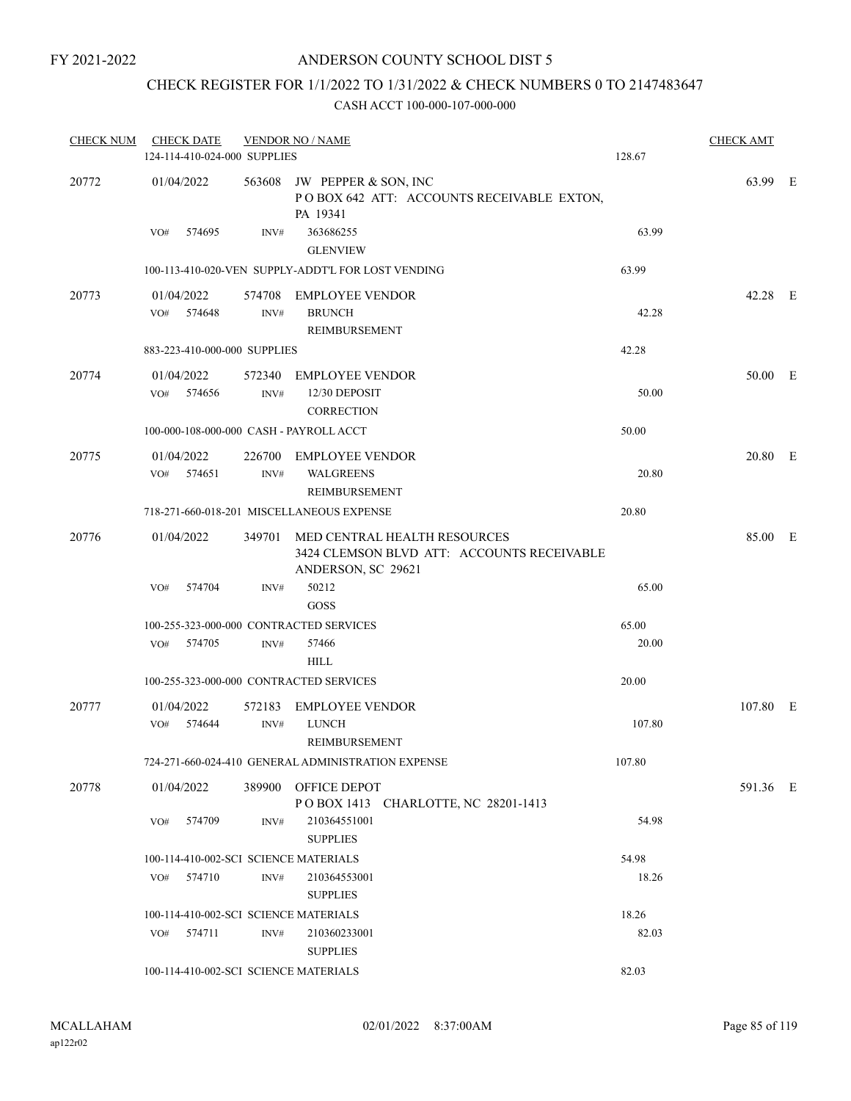# CHECK REGISTER FOR 1/1/2022 TO 1/31/2022 & CHECK NUMBERS 0 TO 2147483647

| <b>CHECK NUM</b> | <b>CHECK DATE</b><br>124-114-410-024-000 SUPPLIES |                | <b>VENDOR NO / NAME</b>                                                                                 | 128.67 | <b>CHECK AMT</b> |  |
|------------------|---------------------------------------------------|----------------|---------------------------------------------------------------------------------------------------------|--------|------------------|--|
| 20772            | 01/04/2022                                        |                | 563608 JW PEPPER & SON, INC<br>POBOX 642 ATT: ACCOUNTS RECEIVABLE EXTON,<br>PA 19341                    |        | 63.99 E          |  |
|                  | 574695<br>VO#                                     | INV#           | 363686255<br><b>GLENVIEW</b>                                                                            | 63.99  |                  |  |
|                  |                                                   |                | 100-113-410-020-VEN SUPPLY-ADDT'L FOR LOST VENDING                                                      | 63.99  |                  |  |
| 20773            | 01/04/2022<br>VO# 574648                          | INV#           | 574708 EMPLOYEE VENDOR<br><b>BRUNCH</b><br>REIMBURSEMENT                                                | 42.28  | 42.28 E          |  |
|                  | 883-223-410-000-000 SUPPLIES                      |                |                                                                                                         | 42.28  |                  |  |
| 20774            | 01/04/2022<br>VO#<br>574656                       | 572340<br>INV# | EMPLOYEE VENDOR<br>12/30 DEPOSIT<br><b>CORRECTION</b>                                                   | 50.00  | 50.00 E          |  |
|                  | 100-000-108-000-000 CASH - PAYROLL ACCT           |                |                                                                                                         | 50.00  |                  |  |
| 20775            | 01/04/2022<br>VO# 574651                          | 226700<br>INV# | <b>EMPLOYEE VENDOR</b><br><b>WALGREENS</b><br>REIMBURSEMENT                                             | 20.80  | 20.80 E          |  |
|                  |                                                   |                | 718-271-660-018-201 MISCELLANEOUS EXPENSE                                                               | 20.80  |                  |  |
| 20776            | 01/04/2022                                        |                | 349701 MED CENTRAL HEALTH RESOURCES<br>3424 CLEMSON BLVD ATT: ACCOUNTS RECEIVABLE<br>ANDERSON, SC 29621 |        | 85.00 E          |  |
|                  | 574704<br>VO#                                     | INV#           | 50212<br>GOSS                                                                                           | 65.00  |                  |  |
|                  | 100-255-323-000-000 CONTRACTED SERVICES           |                |                                                                                                         | 65.00  |                  |  |
|                  | 574705<br>VO#                                     | INV#           | 57466<br><b>HILL</b>                                                                                    | 20.00  |                  |  |
|                  | 100-255-323-000-000 CONTRACTED SERVICES           |                |                                                                                                         | 20.00  |                  |  |
| 20777            | 01/04/2022<br>574644<br>VO#                       | 572183<br>INV# | <b>EMPLOYEE VENDOR</b><br><b>LUNCH</b><br>REIMBURSEMENT                                                 | 107.80 | 107.80 E         |  |
|                  |                                                   |                | 724-271-660-024-410 GENERAL ADMINISTRATION EXPENSE                                                      | 107.80 |                  |  |
| 20778            | 01/04/2022                                        | 389900         | OFFICE DEPOT<br>POBOX 1413 CHARLOTTE, NC 28201-1413                                                     |        | 591.36 E         |  |
|                  | 574709<br>VO#                                     | INV#           | 210364551001<br><b>SUPPLIES</b>                                                                         | 54.98  |                  |  |
|                  | 100-114-410-002-SCI SCIENCE MATERIALS             |                |                                                                                                         | 54.98  |                  |  |
|                  | 574710<br>VO#                                     | INV#           | 210364553001<br><b>SUPPLIES</b>                                                                         | 18.26  |                  |  |
|                  | 100-114-410-002-SCI SCIENCE MATERIALS             |                |                                                                                                         | 18.26  |                  |  |
|                  | $VO#$ 574711                                      | INV#           | 210360233001<br><b>SUPPLIES</b>                                                                         | 82.03  |                  |  |
|                  | 100-114-410-002-SCI SCIENCE MATERIALS             |                |                                                                                                         | 82.03  |                  |  |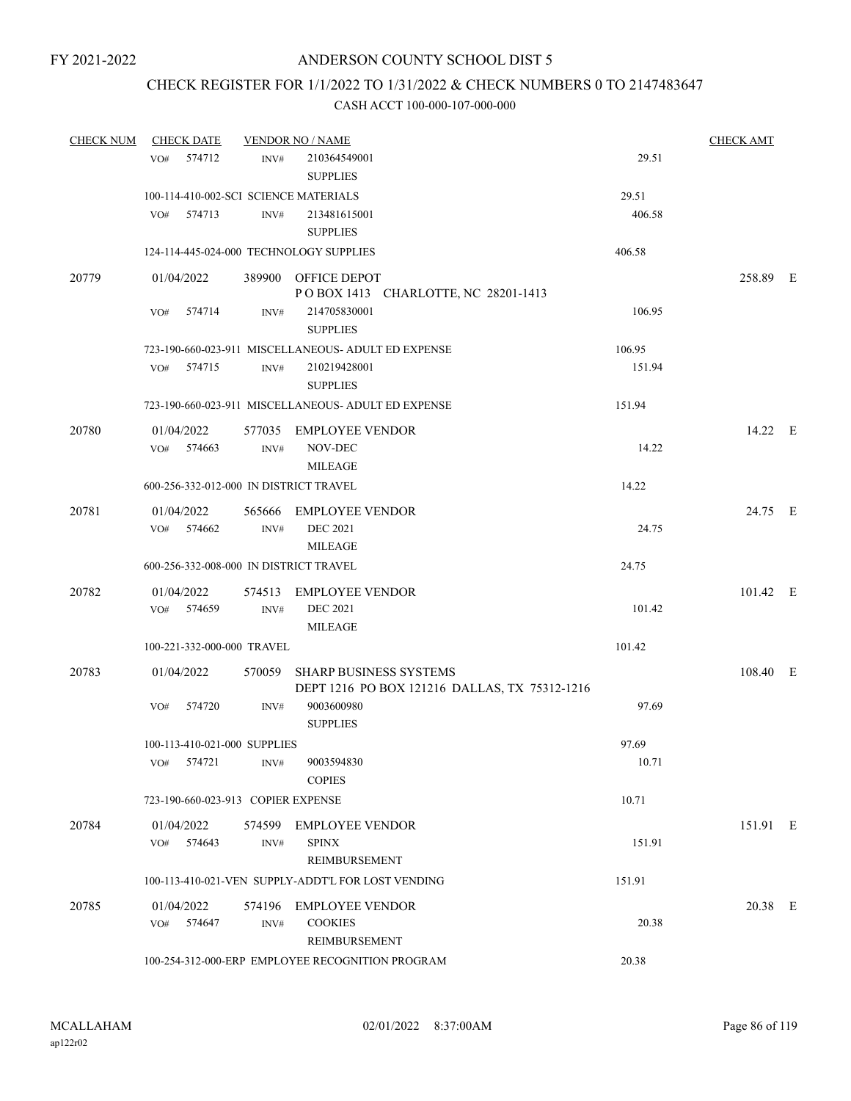### CHECK REGISTER FOR 1/1/2022 TO 1/31/2022 & CHECK NUMBERS 0 TO 2147483647

| <b>CHECK NUM</b> | <b>CHECK DATE</b>                      |        | <b>VENDOR NO / NAME</b>                                                        |        | <b>CHECK AMT</b> |  |
|------------------|----------------------------------------|--------|--------------------------------------------------------------------------------|--------|------------------|--|
|                  | 574712<br>VO#                          | INV#   | 210364549001<br><b>SUPPLIES</b>                                                | 29.51  |                  |  |
|                  | 100-114-410-002-SCI SCIENCE MATERIALS  |        |                                                                                | 29.51  |                  |  |
|                  | VO#<br>574713                          | INV#   | 213481615001<br><b>SUPPLIES</b>                                                | 406.58 |                  |  |
|                  |                                        |        | 124-114-445-024-000 TECHNOLOGY SUPPLIES                                        | 406.58 |                  |  |
| 20779            | 01/04/2022                             |        | 389900 OFFICE DEPOT<br>POBOX 1413 CHARLOTTE, NC 28201-1413                     |        | 258.89 E         |  |
|                  | 574714<br>VO#                          | INV#   | 214705830001<br><b>SUPPLIES</b>                                                | 106.95 |                  |  |
|                  |                                        |        | 723-190-660-023-911 MISCELLANEOUS- ADULT ED EXPENSE                            | 106.95 |                  |  |
|                  | 574715<br>VO#                          | INV#   | 210219428001<br><b>SUPPLIES</b>                                                | 151.94 |                  |  |
|                  |                                        |        | 723-190-660-023-911 MISCELLANEOUS- ADULT ED EXPENSE                            | 151.94 |                  |  |
| 20780            | 01/04/2022                             | 577035 | EMPLOYEE VENDOR                                                                |        | 14.22 E          |  |
|                  | VO#<br>574663                          | INV#   | NOV-DEC<br><b>MILEAGE</b>                                                      | 14.22  |                  |  |
|                  | 600-256-332-012-000 IN DISTRICT TRAVEL |        |                                                                                | 14.22  |                  |  |
| 20781            | 01/04/2022                             |        | 565666 EMPLOYEE VENDOR                                                         |        | 24.75 E          |  |
|                  | VO# 574662                             | INV#   | <b>DEC 2021</b><br><b>MILEAGE</b>                                              | 24.75  |                  |  |
|                  | 600-256-332-008-000 IN DISTRICT TRAVEL |        |                                                                                | 24.75  |                  |  |
| 20782            | 01/04/2022                             |        | 574513 EMPLOYEE VENDOR                                                         |        | 101.42 E         |  |
|                  | VO# 574659                             | INV#   | <b>DEC 2021</b><br><b>MILEAGE</b>                                              | 101.42 |                  |  |
|                  | 100-221-332-000-000 TRAVEL             |        |                                                                                | 101.42 |                  |  |
| 20783            | 01/04/2022                             | 570059 | <b>SHARP BUSINESS SYSTEMS</b><br>DEPT 1216 PO BOX 121216 DALLAS, TX 75312-1216 |        | 108.40 E         |  |
|                  | 574720<br>VO#                          | INV#   | 9003600980<br><b>SUPPLIES</b>                                                  | 97.69  |                  |  |
|                  | 100-113-410-021-000 SUPPLIES           |        |                                                                                | 97.69  |                  |  |
|                  | 574721<br>VO#                          | INV#   | 9003594830<br><b>COPIES</b>                                                    | 10.71  |                  |  |
|                  | 723-190-660-023-913 COPIER EXPENSE     |        |                                                                                | 10.71  |                  |  |
| 20784            | 01/04/2022                             |        | 574599 EMPLOYEE VENDOR                                                         |        | 151.91 E         |  |
|                  | VO#<br>574643                          | INV#   | <b>SPINX</b><br><b>REIMBURSEMENT</b>                                           | 151.91 |                  |  |
|                  |                                        |        | 100-113-410-021-VEN SUPPLY-ADDT'L FOR LOST VENDING                             | 151.91 |                  |  |
| 20785            | 01/04/2022                             |        | 574196 EMPLOYEE VENDOR                                                         |        | 20.38 E          |  |
|                  | 574647<br>VO#                          | INV#   | <b>COOKIES</b><br>REIMBURSEMENT                                                | 20.38  |                  |  |
|                  |                                        |        | 100-254-312-000-ERP EMPLOYEE RECOGNITION PROGRAM                               | 20.38  |                  |  |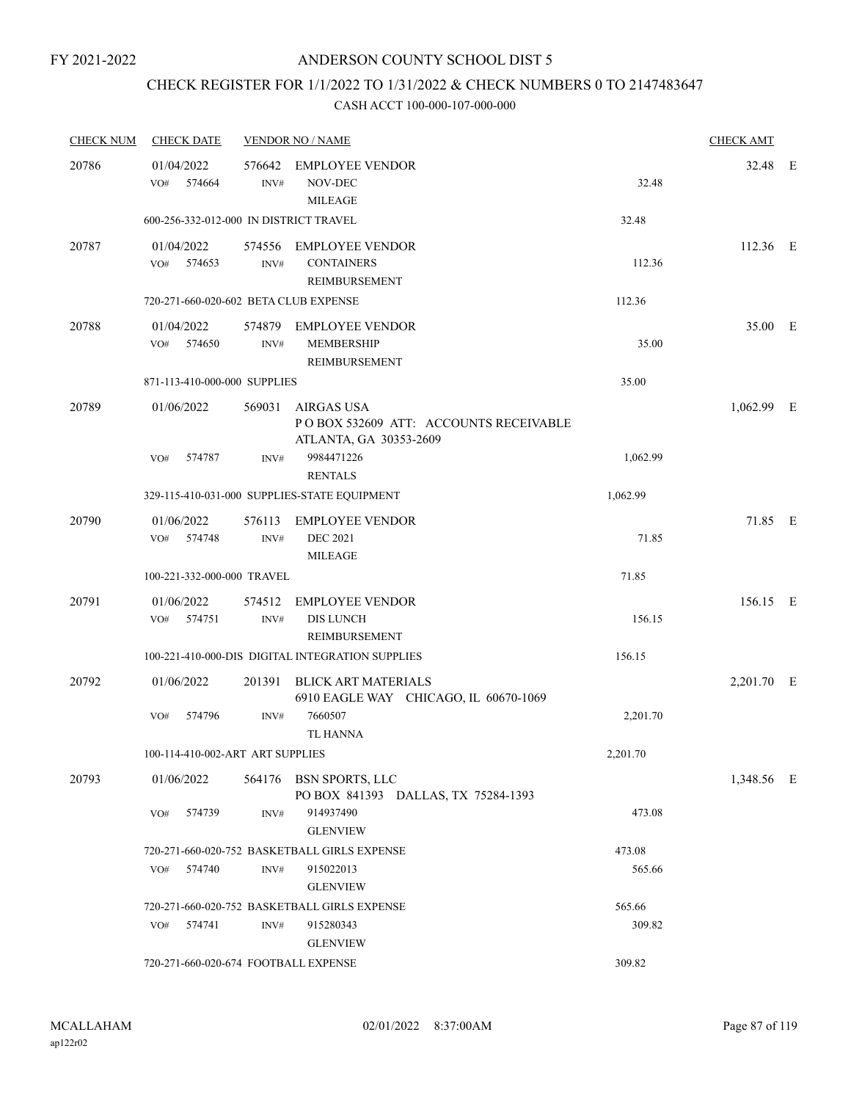### CHECK REGISTER FOR 1/1/2022 TO 1/31/2022 & CHECK NUMBERS 0 TO 2147483647

| <b>CHECK NUM</b> | <b>CHECK DATE</b>                      |                | <b>VENDOR NO / NAME</b>                                                              |          | <b>CHECK AMT</b> |  |
|------------------|----------------------------------------|----------------|--------------------------------------------------------------------------------------|----------|------------------|--|
| 20786            | 01/04/2022<br>574664<br>VO#            | 576642<br>INV# | EMPLOYEE VENDOR<br>NOV-DEC<br><b>MILEAGE</b>                                         | 32.48    | 32.48 E          |  |
|                  | 600-256-332-012-000 IN DISTRICT TRAVEL |                |                                                                                      | 32.48    |                  |  |
| 20787            | 01/04/2022<br>VO#<br>574653            | INV#           | 574556 EMPLOYEE VENDOR<br><b>CONTAINERS</b><br>REIMBURSEMENT                         | 112.36   | $112.36$ E       |  |
|                  | 720-271-660-020-602 BETA CLUB EXPENSE  |                |                                                                                      | 112.36   |                  |  |
| 20788            | 01/04/2022<br>574650<br>VO#            | INV#           | 574879 EMPLOYEE VENDOR<br><b>MEMBERSHIP</b><br>REIMBURSEMENT                         | 35.00    | 35.00 E          |  |
|                  | 871-113-410-000-000 SUPPLIES           |                |                                                                                      | 35.00    |                  |  |
| 20789            | 01/06/2022                             | 569031         | <b>AIRGAS USA</b><br>POBOX 532609 ATT: ACCOUNTS RECEIVABLE<br>ATLANTA, GA 30353-2609 |          | $1,062.99$ E     |  |
|                  | 574787<br>VO#                          | INV#           | 9984471226<br><b>RENTALS</b>                                                         | 1,062.99 |                  |  |
|                  |                                        |                | 329-115-410-031-000 SUPPLIES-STATE EQUIPMENT                                         | 1,062.99 |                  |  |
| 20790            | 01/06/2022<br>574748<br>VO#            | 576113<br>INV# | <b>EMPLOYEE VENDOR</b><br><b>DEC 2021</b><br><b>MILEAGE</b>                          | 71.85    | 71.85 E          |  |
|                  | 100-221-332-000-000 TRAVEL             |                |                                                                                      | 71.85    |                  |  |
| 20791            | 01/06/2022<br>574751<br>VO#            | 574512<br>INV# | <b>EMPLOYEE VENDOR</b><br><b>DIS LUNCH</b><br>REIMBURSEMENT                          | 156.15   | 156.15 E         |  |
|                  |                                        |                | 100-221-410-000-DIS DIGITAL INTEGRATION SUPPLIES                                     | 156.15   |                  |  |
| 20792            | 01/06/2022                             | 201391         | <b>BLICK ART MATERIALS</b><br>6910 EAGLE WAY CHICAGO, IL 60670-1069                  |          | 2,201.70 E       |  |
|                  | 574796<br>VO#                          | INV#           | 7660507<br><b>TL HANNA</b>                                                           | 2,201.70 |                  |  |
|                  | 100-114-410-002-ART ART SUPPLIES       |                |                                                                                      | 2,201.70 |                  |  |
| 20793            | 01/06/2022                             |                | 564176 BSN SPORTS, LLC<br>PO BOX 841393 DALLAS, TX 75284-1393                        |          | 1,348.56 E       |  |
|                  | 574739<br>VO#                          | INV#           | 914937490<br><b>GLENVIEW</b>                                                         | 473.08   |                  |  |
|                  |                                        |                | 720-271-660-020-752 BASKETBALL GIRLS EXPENSE                                         | 473.08   |                  |  |
|                  | 574740<br>VO#                          | INV#           | 915022013<br><b>GLENVIEW</b>                                                         | 565.66   |                  |  |
|                  |                                        |                | 720-271-660-020-752 BASKETBALL GIRLS EXPENSE                                         | 565.66   |                  |  |
|                  | VO#<br>574741                          | INV#           | 915280343<br><b>GLENVIEW</b>                                                         | 309.82   |                  |  |
|                  | 720-271-660-020-674 FOOTBALL EXPENSE   |                |                                                                                      | 309.82   |                  |  |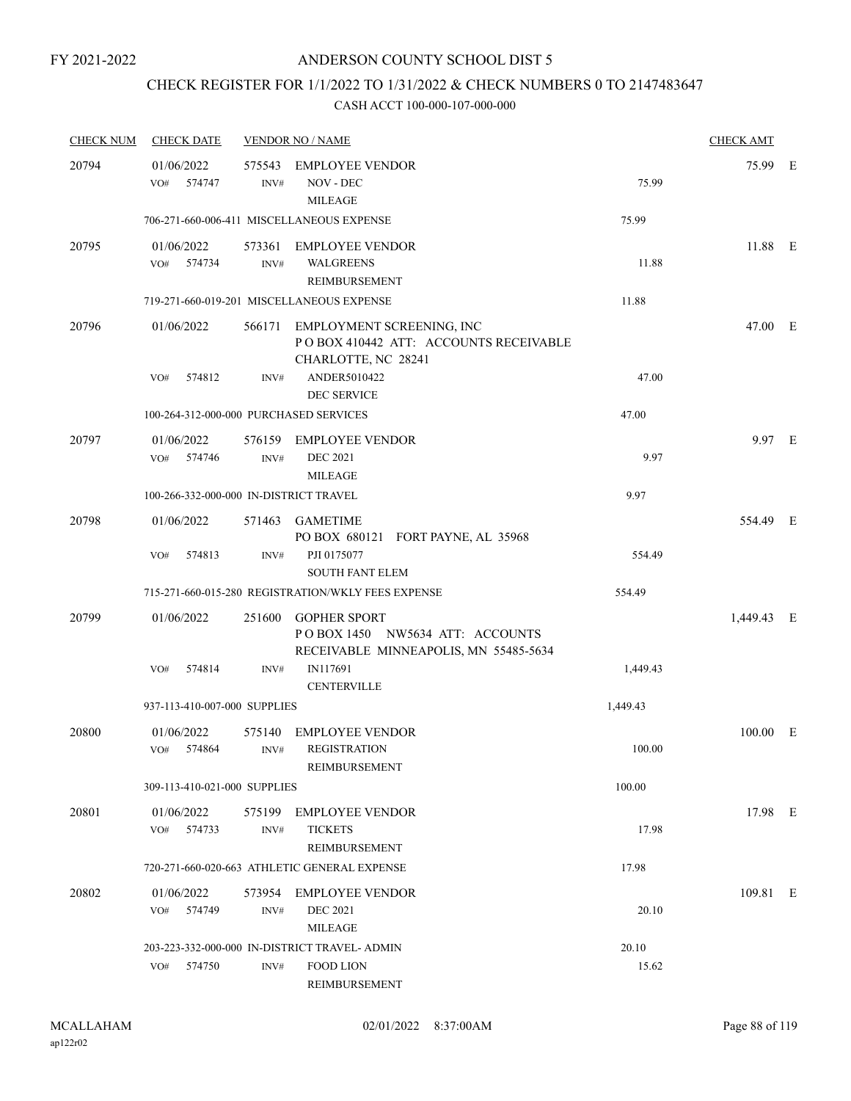## CHECK REGISTER FOR 1/1/2022 TO 1/31/2022 & CHECK NUMBERS 0 TO 2147483647

| <b>CHECK NUM</b> | <b>CHECK DATE</b>                      |                          | <b>VENDOR NO / NAME</b>                                                                                           |          | <b>CHECK AMT</b> |  |
|------------------|----------------------------------------|--------------------------|-------------------------------------------------------------------------------------------------------------------|----------|------------------|--|
| 20794            | 01/06/2022<br>574747<br>VO#            | 575543<br>INV#           | <b>EMPLOYEE VENDOR</b><br>NOV - DEC<br><b>MILEAGE</b>                                                             | 75.99    | 75.99 E          |  |
|                  |                                        |                          | 706-271-660-006-411 MISCELLANEOUS EXPENSE                                                                         | 75.99    |                  |  |
| 20795            | 01/06/2022<br>VO# 574734               | 573361<br>$\text{INV}\#$ | <b>EMPLOYEE VENDOR</b><br><b>WALGREENS</b><br>REIMBURSEMENT                                                       | 11.88    | 11.88 E          |  |
|                  |                                        |                          | 719-271-660-019-201 MISCELLANEOUS EXPENSE                                                                         | 11.88    |                  |  |
| 20796            | 01/06/2022                             |                          | 566171 EMPLOYMENT SCREENING, INC<br>PO BOX 410442 ATT: ACCOUNTS RECEIVABLE<br>CHARLOTTE, NC 28241<br>ANDER5010422 | 47.00    | 47.00 E          |  |
|                  | VO#<br>574812                          | INV#                     | <b>DEC SERVICE</b>                                                                                                |          |                  |  |
|                  | 100-264-312-000-000 PURCHASED SERVICES |                          |                                                                                                                   | 47.00    |                  |  |
| 20797            | 01/06/2022<br>574746<br>VO#            | INV#                     | 576159 EMPLOYEE VENDOR<br><b>DEC 2021</b><br><b>MILEAGE</b>                                                       | 9.97     | 9.97 E           |  |
|                  | 100-266-332-000-000 IN-DISTRICT TRAVEL |                          |                                                                                                                   | 9.97     |                  |  |
| 20798            | 01/06/2022                             |                          | 571463 GAMETIME<br>PO BOX 680121 FORT PAYNE, AL 35968                                                             |          | 554.49 E         |  |
|                  | 574813<br>VO#                          | INV#                     | PJI 0175077<br><b>SOUTH FANT ELEM</b>                                                                             | 554.49   |                  |  |
|                  |                                        |                          | 715-271-660-015-280 REGISTRATION/WKLY FEES EXPENSE                                                                | 554.49   |                  |  |
| 20799            | 01/06/2022                             | 251600                   | <b>GOPHER SPORT</b><br>POBOX 1450 NW5634 ATT: ACCOUNTS<br>RECEIVABLE MINNEAPOLIS, MN 55485-5634                   |          | 1,449.43 E       |  |
|                  | 574814<br>VO#                          | INV#                     | IN117691<br><b>CENTERVILLE</b>                                                                                    | 1,449.43 |                  |  |
|                  | 937-113-410-007-000 SUPPLIES           |                          |                                                                                                                   | 1,449.43 |                  |  |
| 20800            | 01/06/2022                             | 575140                   | <b>EMPLOYEE VENDOR</b>                                                                                            |          | 100.00 E         |  |
|                  | 574864<br>VO#                          | INV#                     | <b>REGISTRATION</b><br>REIMBURSEMENT                                                                              | 100.00   |                  |  |
|                  | 309-113-410-021-000 SUPPLIES           |                          |                                                                                                                   | 100.00   |                  |  |
| 20801            | 01/06/2022<br>574733<br>VO#            | 575199<br>INV#           | <b>EMPLOYEE VENDOR</b><br><b>TICKETS</b><br>REIMBURSEMENT                                                         | 17.98    | 17.98 E          |  |
|                  |                                        |                          | 720-271-660-020-663 ATHLETIC GENERAL EXPENSE                                                                      | 17.98    |                  |  |
| 20802            | 01/06/2022<br>574749<br>VO#            | 573954<br>INV#           | EMPLOYEE VENDOR<br><b>DEC 2021</b><br><b>MILEAGE</b>                                                              | 20.10    | 109.81 E         |  |
|                  |                                        |                          | 203-223-332-000-000 IN-DISTRICT TRAVEL- ADMIN                                                                     | 20.10    |                  |  |
|                  | 574750<br>VO#                          | INV#                     | <b>FOOD LION</b><br>REIMBURSEMENT                                                                                 | 15.62    |                  |  |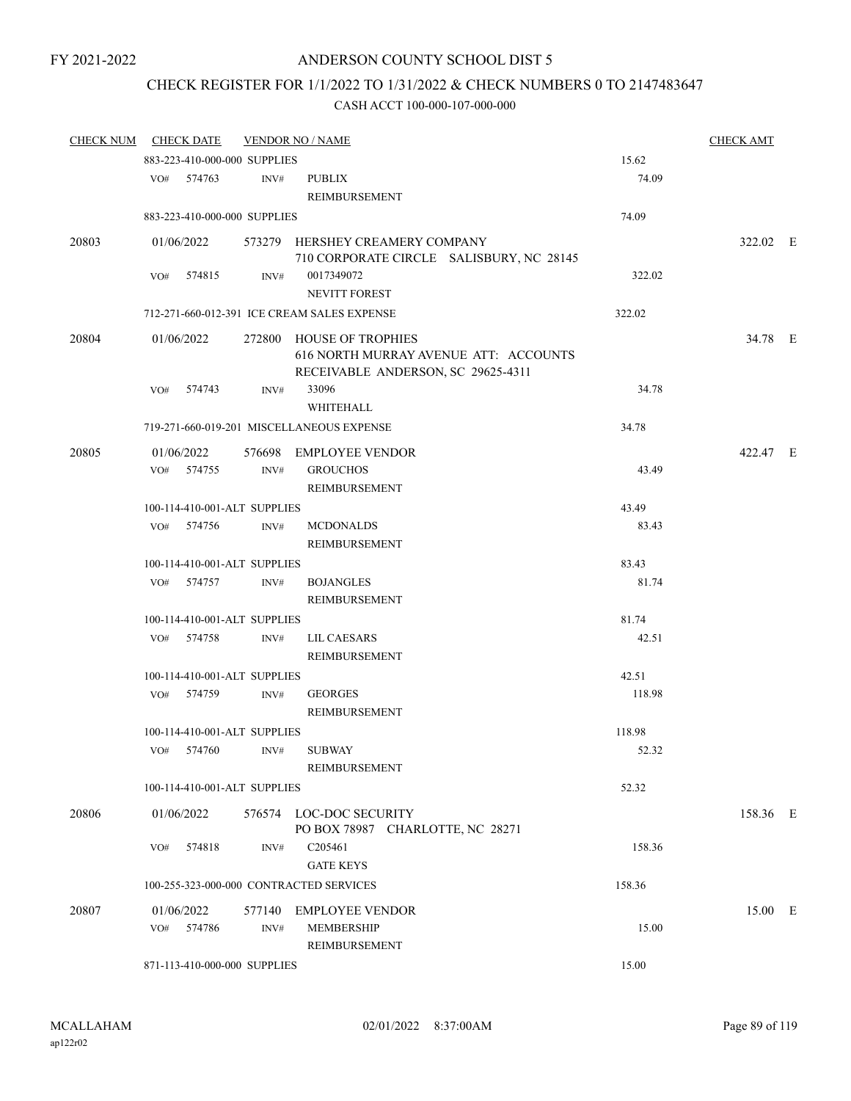# CHECK REGISTER FOR 1/1/2022 TO 1/31/2022 & CHECK NUMBERS 0 TO 2147483647

| <b>CHECK NUM</b> | <b>CHECK DATE</b> |        |                              | <b>VENDOR NO / NAME</b>                                                                                 |        | <b>CHECK AMT</b> |  |
|------------------|-------------------|--------|------------------------------|---------------------------------------------------------------------------------------------------------|--------|------------------|--|
|                  |                   |        | 883-223-410-000-000 SUPPLIES |                                                                                                         | 15.62  |                  |  |
|                  | VO# 574763        |        | INV#                         | <b>PUBLIX</b><br>REIMBURSEMENT                                                                          | 74.09  |                  |  |
|                  |                   |        | 883-223-410-000-000 SUPPLIES |                                                                                                         | 74.09  |                  |  |
|                  |                   |        |                              |                                                                                                         |        |                  |  |
| 20803            | 01/06/2022        |        |                              | 573279 HERSHEY CREAMERY COMPANY<br>710 CORPORATE CIRCLE SALISBURY, NC 28145                             |        | 322.02 E         |  |
|                  | VO#               | 574815 | INV#                         | 0017349072<br><b>NEVITT FOREST</b>                                                                      | 322.02 |                  |  |
|                  |                   |        |                              | 712-271-660-012-391 ICE CREAM SALES EXPENSE                                                             | 322.02 |                  |  |
| 20804            | 01/06/2022        |        |                              | 272800 HOUSE OF TROPHIES<br>616 NORTH MURRAY AVENUE ATT: ACCOUNTS<br>RECEIVABLE ANDERSON, SC 29625-4311 |        | 34.78 E          |  |
|                  | VO#               | 574743 | INV#                         | 33096<br><b>WHITEHALL</b>                                                                               | 34.78  |                  |  |
|                  |                   |        |                              | 719-271-660-019-201 MISCELLANEOUS EXPENSE                                                               | 34.78  |                  |  |
| 20805            | 01/06/2022        |        |                              | 576698 EMPLOYEE VENDOR                                                                                  |        | 422.47 E         |  |
|                  | VO# 574755        |        | INV#                         | <b>GROUCHOS</b><br><b>REIMBURSEMENT</b>                                                                 | 43.49  |                  |  |
|                  |                   |        | 100-114-410-001-ALT SUPPLIES |                                                                                                         | 43.49  |                  |  |
|                  | VO#               | 574756 | INV#                         | <b>MCDONALDS</b><br>REIMBURSEMENT                                                                       | 83.43  |                  |  |
|                  |                   |        | 100-114-410-001-ALT SUPPLIES |                                                                                                         | 83.43  |                  |  |
|                  | VO# 574757        |        | INV#                         | <b>BOJANGLES</b>                                                                                        | 81.74  |                  |  |
|                  |                   |        |                              | REIMBURSEMENT                                                                                           |        |                  |  |
|                  |                   |        | 100-114-410-001-ALT SUPPLIES |                                                                                                         | 81.74  |                  |  |
|                  | VO# 574758        |        | INV#                         | <b>LIL CAESARS</b><br>REIMBURSEMENT                                                                     | 42.51  |                  |  |
|                  |                   |        | 100-114-410-001-ALT SUPPLIES |                                                                                                         | 42.51  |                  |  |
|                  | VO# 574759        |        | INV#                         | <b>GEORGES</b><br>REIMBURSEMENT                                                                         | 118.98 |                  |  |
|                  |                   |        | 100-114-410-001-ALT SUPPLIES |                                                                                                         | 118.98 |                  |  |
|                  | VO# 574760        |        | INV#                         | <b>SUBWAY</b><br>REIMBURSEMENT                                                                          | 52.32  |                  |  |
|                  |                   |        | 100-114-410-001-ALT SUPPLIES |                                                                                                         | 52.32  |                  |  |
| 20806            | 01/06/2022        |        |                              | 576574 LOC-DOC SECURITY<br>PO BOX 78987 CHARLOTTE, NC 28271                                             |        | 158.36 E         |  |
|                  | VO#               | 574818 | INV#                         | C205461<br><b>GATE KEYS</b>                                                                             | 158.36 |                  |  |
|                  |                   |        |                              | 100-255-323-000-000 CONTRACTED SERVICES                                                                 | 158.36 |                  |  |
|                  |                   |        |                              |                                                                                                         |        |                  |  |
| 20807            | 01/06/2022<br>VO# | 574786 | 577140<br>INV#               | EMPLOYEE VENDOR<br><b>MEMBERSHIP</b><br>REIMBURSEMENT                                                   | 15.00  | 15.00 E          |  |
|                  |                   |        | 871-113-410-000-000 SUPPLIES |                                                                                                         | 15.00  |                  |  |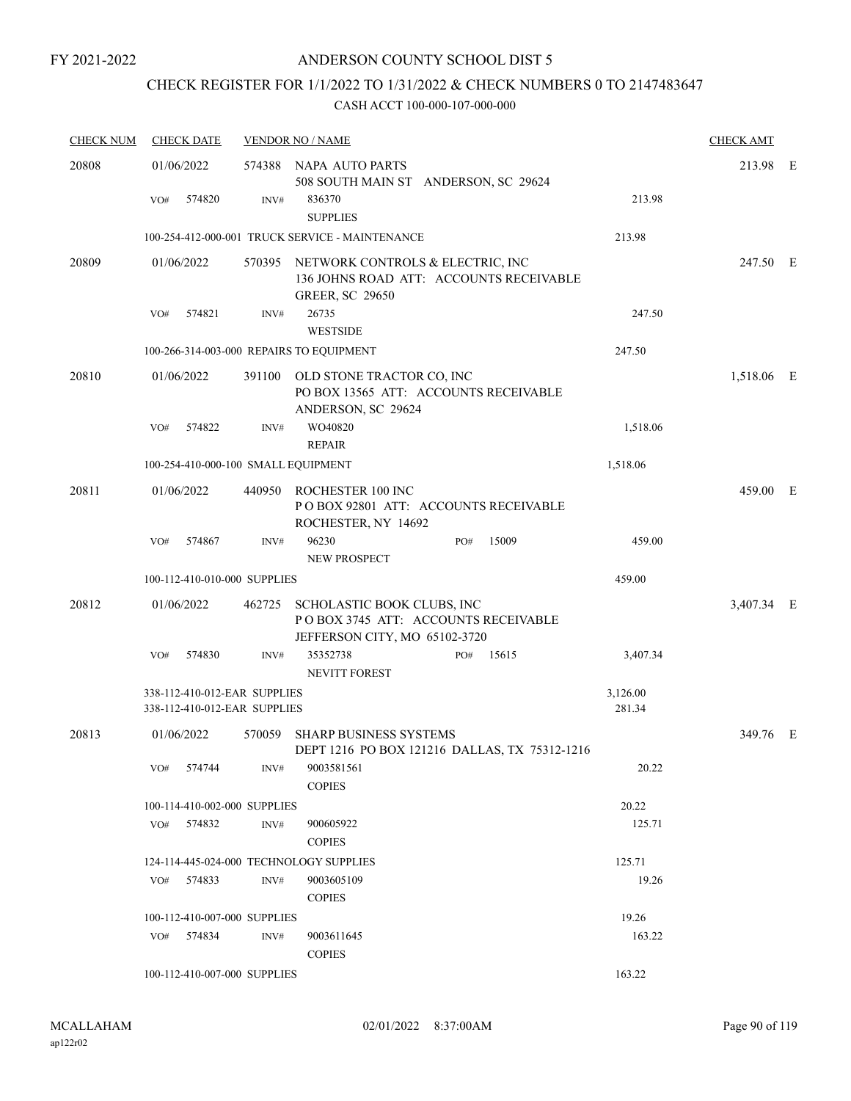# CHECK REGISTER FOR 1/1/2022 TO 1/31/2022 & CHECK NUMBERS 0 TO 2147483647

| <b>CHECK NUM</b> | <b>CHECK DATE</b>                                            |        | <b>VENDOR NO / NAME</b>                                                                                      |                    | <b>CHECK AMT</b> |  |
|------------------|--------------------------------------------------------------|--------|--------------------------------------------------------------------------------------------------------------|--------------------|------------------|--|
| 20808            | 01/06/2022                                                   |        | 574388 NAPA AUTO PARTS<br>508 SOUTH MAIN ST ANDERSON, SC 29624                                               |                    | 213.98 E         |  |
|                  | 574820<br>VO#                                                | INV#   | 836370<br><b>SUPPLIES</b>                                                                                    | 213.98             |                  |  |
|                  |                                                              |        | 100-254-412-000-001 TRUCK SERVICE - MAINTENANCE                                                              | 213.98             |                  |  |
| 20809            | 01/06/2022                                                   |        | 570395 NETWORK CONTROLS & ELECTRIC, INC<br>136 JOHNS ROAD ATT: ACCOUNTS RECEIVABLE<br><b>GREER, SC 29650</b> |                    | 247.50 E         |  |
|                  | 574821<br>VO#                                                | INV#   | 26735<br><b>WESTSIDE</b>                                                                                     | 247.50             |                  |  |
|                  | 100-266-314-003-000 REPAIRS TO EQUIPMENT                     |        |                                                                                                              | 247.50             |                  |  |
| 20810            | 01/06/2022                                                   |        | 391100 OLD STONE TRACTOR CO, INC<br>PO BOX 13565 ATT: ACCOUNTS RECEIVABLE<br>ANDERSON, SC 29624              |                    | 1,518.06 E       |  |
|                  | VO#<br>574822                                                | INV#   | WO40820<br><b>REPAIR</b>                                                                                     | 1,518.06           |                  |  |
|                  | 100-254-410-000-100 SMALL EQUIPMENT                          |        |                                                                                                              | 1,518.06           |                  |  |
| 20811            | 01/06/2022                                                   |        | 440950 ROCHESTER 100 INC<br>PO BOX 92801 ATT: ACCOUNTS RECEIVABLE<br>ROCHESTER, NY 14692                     |                    | 459.00 E         |  |
|                  | 574867<br>VO#                                                | INV#   | 96230<br>15009<br>PO#<br><b>NEW PROSPECT</b>                                                                 | 459.00             |                  |  |
|                  | 100-112-410-010-000 SUPPLIES                                 |        |                                                                                                              | 459.00             |                  |  |
| 20812            | 01/06/2022                                                   |        | 462725 SCHOLASTIC BOOK CLUBS, INC<br>POBOX 3745 ATT: ACCOUNTS RECEIVABLE<br>JEFFERSON CITY, MO 65102-3720    |                    | 3,407.34 E       |  |
|                  | 574830<br>VO#                                                | INV#   | 35352738<br>15615<br>PO#<br>NEVITT FOREST                                                                    | 3,407.34           |                  |  |
|                  | 338-112-410-012-EAR SUPPLIES<br>338-112-410-012-EAR SUPPLIES |        |                                                                                                              | 3,126.00<br>281.34 |                  |  |
| 20813            | 01/06/2022                                                   | 570059 | SHARP BUSINESS SYSTEMS<br>DEPT 1216 PO BOX 121216 DALLAS, TX 75312-1216                                      |                    | 349.76 E         |  |
|                  | 574744<br>VO#                                                | INV#   | 9003581561<br><b>COPIES</b>                                                                                  | 20.22              |                  |  |
|                  | 100-114-410-002-000 SUPPLIES                                 |        |                                                                                                              | 20.22              |                  |  |
|                  | 574832<br>VO#                                                | INV#   | 900605922<br><b>COPIES</b>                                                                                   | 125.71             |                  |  |
|                  | 124-114-445-024-000 TECHNOLOGY SUPPLIES                      |        |                                                                                                              | 125.71             |                  |  |
|                  | 574833<br>VO#                                                | INV#   | 9003605109<br><b>COPIES</b>                                                                                  | 19.26              |                  |  |
|                  | 100-112-410-007-000 SUPPLIES                                 |        |                                                                                                              | 19.26              |                  |  |
|                  | 574834<br>VO#                                                | INV#   | 9003611645<br><b>COPIES</b>                                                                                  | 163.22             |                  |  |
|                  | 100-112-410-007-000 SUPPLIES                                 |        |                                                                                                              | 163.22             |                  |  |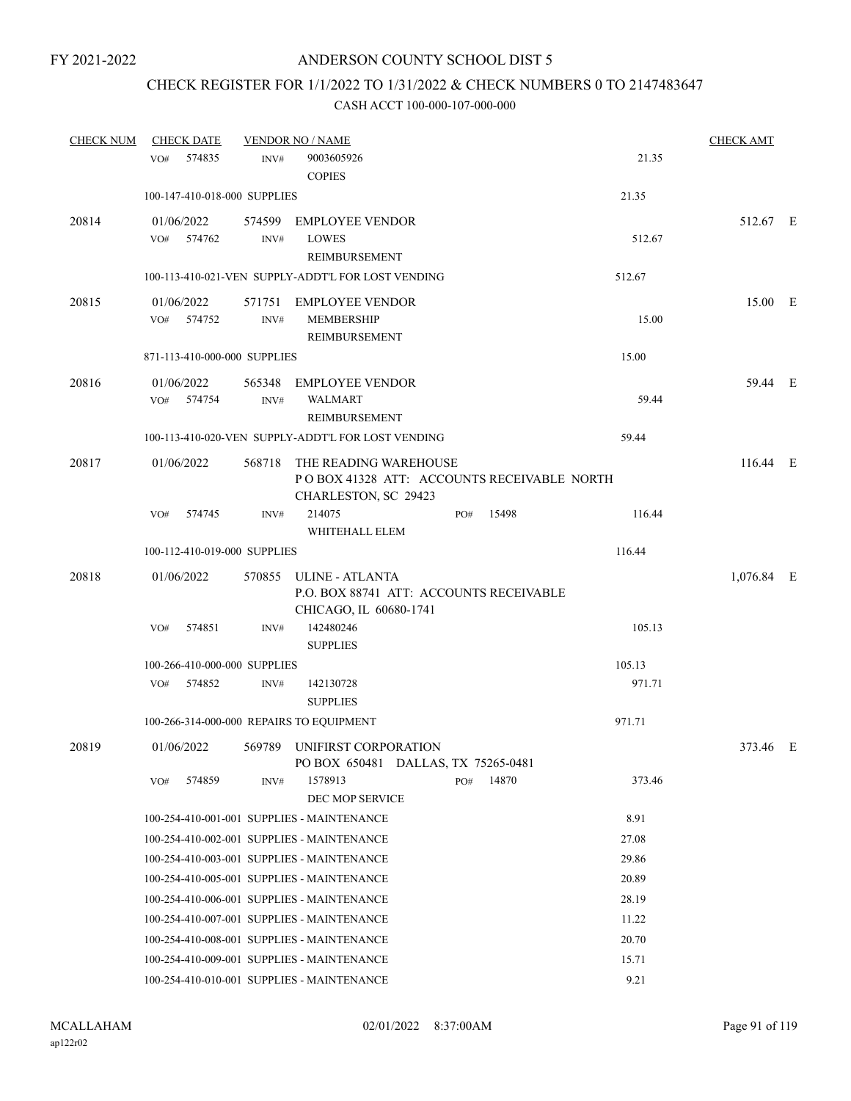## CHECK REGISTER FOR 1/1/2022 TO 1/31/2022 & CHECK NUMBERS 0 TO 2147483647

| <b>CHECK NUM</b> | <b>CHECK DATE</b>                        |        | <b>VENDOR NO / NAME</b>                                             |     |       |        | <b>CHECK AMT</b> |  |
|------------------|------------------------------------------|--------|---------------------------------------------------------------------|-----|-------|--------|------------------|--|
|                  | 574835<br>VO#                            | INV#   | 9003605926                                                          |     |       | 21.35  |                  |  |
|                  |                                          |        | <b>COPIES</b>                                                       |     |       |        |                  |  |
|                  | 100-147-410-018-000 SUPPLIES             |        |                                                                     |     |       | 21.35  |                  |  |
| 20814            | 01/06/2022                               |        | 574599 EMPLOYEE VENDOR                                              |     |       |        | 512.67 E         |  |
|                  | 574762<br>VO#                            | INV#   | LOWES                                                               |     |       | 512.67 |                  |  |
|                  |                                          |        | REIMBURSEMENT                                                       |     |       |        |                  |  |
|                  |                                          |        | 100-113-410-021-VEN SUPPLY-ADDT'L FOR LOST VENDING                  |     |       | 512.67 |                  |  |
| 20815            | 01/06/2022                               |        | 571751 EMPLOYEE VENDOR                                              |     |       |        | 15.00 E          |  |
|                  | VO# 574752                               | INV#   | <b>MEMBERSHIP</b>                                                   |     |       | 15.00  |                  |  |
|                  |                                          |        | REIMBURSEMENT                                                       |     |       |        |                  |  |
|                  | 871-113-410-000-000 SUPPLIES             |        |                                                                     |     |       | 15.00  |                  |  |
| 20816            | 01/06/2022                               | 565348 | EMPLOYEE VENDOR                                                     |     |       |        | 59.44 E          |  |
|                  | VO#<br>574754                            | INV#   | WALMART                                                             |     |       | 59.44  |                  |  |
|                  |                                          |        | <b>REIMBURSEMENT</b>                                                |     |       |        |                  |  |
|                  |                                          |        | 100-113-410-020-VEN SUPPLY-ADDT'L FOR LOST VENDING                  |     |       | 59.44  |                  |  |
| 20817            | 01/06/2022                               |        | 568718 THE READING WAREHOUSE                                        |     |       |        | 116.44 E         |  |
|                  |                                          |        | PO BOX 41328 ATT: ACCOUNTS RECEIVABLE NORTH<br>CHARLESTON, SC 29423 |     |       |        |                  |  |
|                  | 574745<br>VO#                            | INV#   | 214075                                                              | PO# | 15498 | 116.44 |                  |  |
|                  |                                          |        | WHITEHALL ELEM                                                      |     |       |        |                  |  |
|                  | 100-112-410-019-000 SUPPLIES             |        |                                                                     |     |       | 116.44 |                  |  |
| 20818            | 01/06/2022                               |        | 570855 ULINE - ATLANTA                                              |     |       |        | 1,076.84 E       |  |
|                  |                                          |        | P.O. BOX 88741 ATT: ACCOUNTS RECEIVABLE                             |     |       |        |                  |  |
|                  |                                          |        | CHICAGO, IL 60680-1741                                              |     |       |        |                  |  |
|                  | 574851<br>VO#                            | INV#   | 142480246                                                           |     |       | 105.13 |                  |  |
|                  |                                          |        | <b>SUPPLIES</b>                                                     |     |       |        |                  |  |
|                  | 100-266-410-000-000 SUPPLIES             |        |                                                                     |     |       | 105.13 |                  |  |
|                  | 574852<br>VO#                            | INV#   | 142130728                                                           |     |       | 971.71 |                  |  |
|                  |                                          |        | <b>SUPPLIES</b>                                                     |     |       | 971.71 |                  |  |
|                  | 100-266-314-000-000 REPAIRS TO EQUIPMENT |        |                                                                     |     |       |        |                  |  |
| 20819            | 01/06/2022                               |        | 569789 UNIFIRST CORPORATION                                         |     |       |        | 373.46 E         |  |
|                  | 574859<br>VO#                            | INV#   | PO BOX 650481 DALLAS, TX 75265-0481<br>1578913                      | PO# | 14870 | 373.46 |                  |  |
|                  |                                          |        | DEC MOP SERVICE                                                     |     |       |        |                  |  |
|                  |                                          |        | 100-254-410-001-001 SUPPLIES - MAINTENANCE                          |     |       | 8.91   |                  |  |
|                  |                                          |        | 100-254-410-002-001 SUPPLIES - MAINTENANCE                          |     |       | 27.08  |                  |  |
|                  |                                          |        | 100-254-410-003-001 SUPPLIES - MAINTENANCE                          |     |       | 29.86  |                  |  |
|                  |                                          |        | 100-254-410-005-001 SUPPLIES - MAINTENANCE                          |     |       | 20.89  |                  |  |
|                  |                                          |        | 100-254-410-006-001 SUPPLIES - MAINTENANCE                          |     |       | 28.19  |                  |  |
|                  |                                          |        | 100-254-410-007-001 SUPPLIES - MAINTENANCE                          |     |       | 11.22  |                  |  |
|                  |                                          |        | 100-254-410-008-001 SUPPLIES - MAINTENANCE                          |     |       | 20.70  |                  |  |
|                  |                                          |        | 100-254-410-009-001 SUPPLIES - MAINTENANCE                          |     |       | 15.71  |                  |  |
|                  |                                          |        | 100-254-410-010-001 SUPPLIES - MAINTENANCE                          |     |       | 9.21   |                  |  |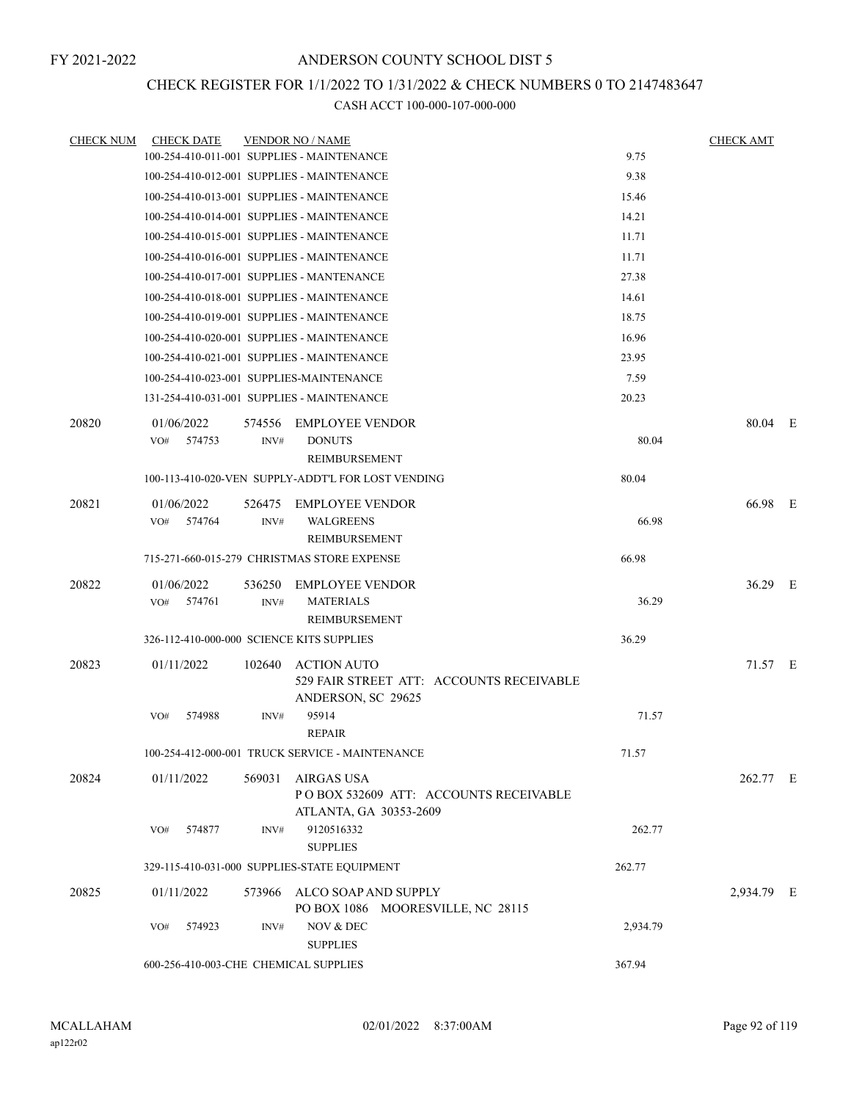### CHECK REGISTER FOR 1/1/2022 TO 1/31/2022 & CHECK NUMBERS 0 TO 2147483647

| <b>CHECK NUM</b> | <b>CHECK DATE</b>                          |                | <b>VENDOR NO / NAME</b>                                                               |          | <b>CHECK AMT</b> |  |
|------------------|--------------------------------------------|----------------|---------------------------------------------------------------------------------------|----------|------------------|--|
|                  | 100-254-410-011-001 SUPPLIES - MAINTENANCE |                |                                                                                       | 9.75     |                  |  |
|                  | 100-254-410-012-001 SUPPLIES - MAINTENANCE |                |                                                                                       | 9.38     |                  |  |
|                  | 100-254-410-013-001 SUPPLIES - MAINTENANCE |                |                                                                                       | 15.46    |                  |  |
|                  | 100-254-410-014-001 SUPPLIES - MAINTENANCE |                |                                                                                       | 14.21    |                  |  |
|                  | 100-254-410-015-001 SUPPLIES - MAINTENANCE |                |                                                                                       | 11.71    |                  |  |
|                  | 100-254-410-016-001 SUPPLIES - MAINTENANCE |                |                                                                                       | 11.71    |                  |  |
|                  | 100-254-410-017-001 SUPPLIES - MANTENANCE  |                |                                                                                       | 27.38    |                  |  |
|                  | 100-254-410-018-001 SUPPLIES - MAINTENANCE |                |                                                                                       | 14.61    |                  |  |
|                  | 100-254-410-019-001 SUPPLIES - MAINTENANCE |                |                                                                                       | 18.75    |                  |  |
|                  | 100-254-410-020-001 SUPPLIES - MAINTENANCE |                |                                                                                       | 16.96    |                  |  |
|                  | 100-254-410-021-001 SUPPLIES - MAINTENANCE |                |                                                                                       | 23.95    |                  |  |
|                  | 100-254-410-023-001 SUPPLIES-MAINTENANCE   |                |                                                                                       | 7.59     |                  |  |
|                  | 131-254-410-031-001 SUPPLIES - MAINTENANCE |                |                                                                                       | 20.23    |                  |  |
| 20820            | 01/06/2022<br>VO#<br>574753                | 574556<br>INV# | <b>EMPLOYEE VENDOR</b><br><b>DONUTS</b><br><b>REIMBURSEMENT</b>                       | 80.04    | 80.04 E          |  |
|                  |                                            |                | 100-113-410-020-VEN SUPPLY-ADDT'L FOR LOST VENDING                                    | 80.04    |                  |  |
| 20821            | 01/06/2022                                 | 526475         | <b>EMPLOYEE VENDOR</b>                                                                |          | 66.98 E          |  |
|                  | 574764<br>VO#                              | INV#           | <b>WALGREENS</b><br>REIMBURSEMENT                                                     | 66.98    |                  |  |
|                  |                                            |                | 715-271-660-015-279 CHRISTMAS STORE EXPENSE                                           | 66.98    |                  |  |
| 20822            | 01/06/2022                                 | 536250         | <b>EMPLOYEE VENDOR</b>                                                                |          | 36.29 E          |  |
|                  | 574761<br>VO#                              | INV#           | <b>MATERIALS</b><br><b>REIMBURSEMENT</b>                                              | 36.29    |                  |  |
|                  | 326-112-410-000-000 SCIENCE KITS SUPPLIES  |                |                                                                                       | 36.29    |                  |  |
| 20823            | 01/11/2022                                 | 102640         | <b>ACTION AUTO</b><br>529 FAIR STREET ATT: ACCOUNTS RECEIVABLE<br>ANDERSON, SC 29625  |          | 71.57 E          |  |
|                  | 574988<br>VO#                              | INV#           | 95914<br><b>REPAIR</b>                                                                | 71.57    |                  |  |
|                  |                                            |                | 100-254-412-000-001 TRUCK SERVICE - MAINTENANCE                                       | 71.57    |                  |  |
| 20824            | 01/11/2022                                 |                | 569031 AIRGAS USA<br>PO BOX 532609 ATT: ACCOUNTS RECEIVABLE<br>ATLANTA, GA 30353-2609 |          | 262.77 E         |  |
|                  | 574877<br>VO#                              | INV#           | 9120516332<br><b>SUPPLIES</b>                                                         | 262.77   |                  |  |
|                  |                                            |                | 329-115-410-031-000 SUPPLIES-STATE EQUIPMENT                                          | 262.77   |                  |  |
| 20825            | 01/11/2022                                 |                | 573966 ALCO SOAP AND SUPPLY<br>PO BOX 1086 MOORESVILLE, NC 28115                      |          | 2,934.79 E       |  |
|                  | 574923<br>VO#                              | INV#           | NOV & DEC<br><b>SUPPLIES</b>                                                          | 2,934.79 |                  |  |
|                  | 600-256-410-003-CHE CHEMICAL SUPPLIES      |                |                                                                                       | 367.94   |                  |  |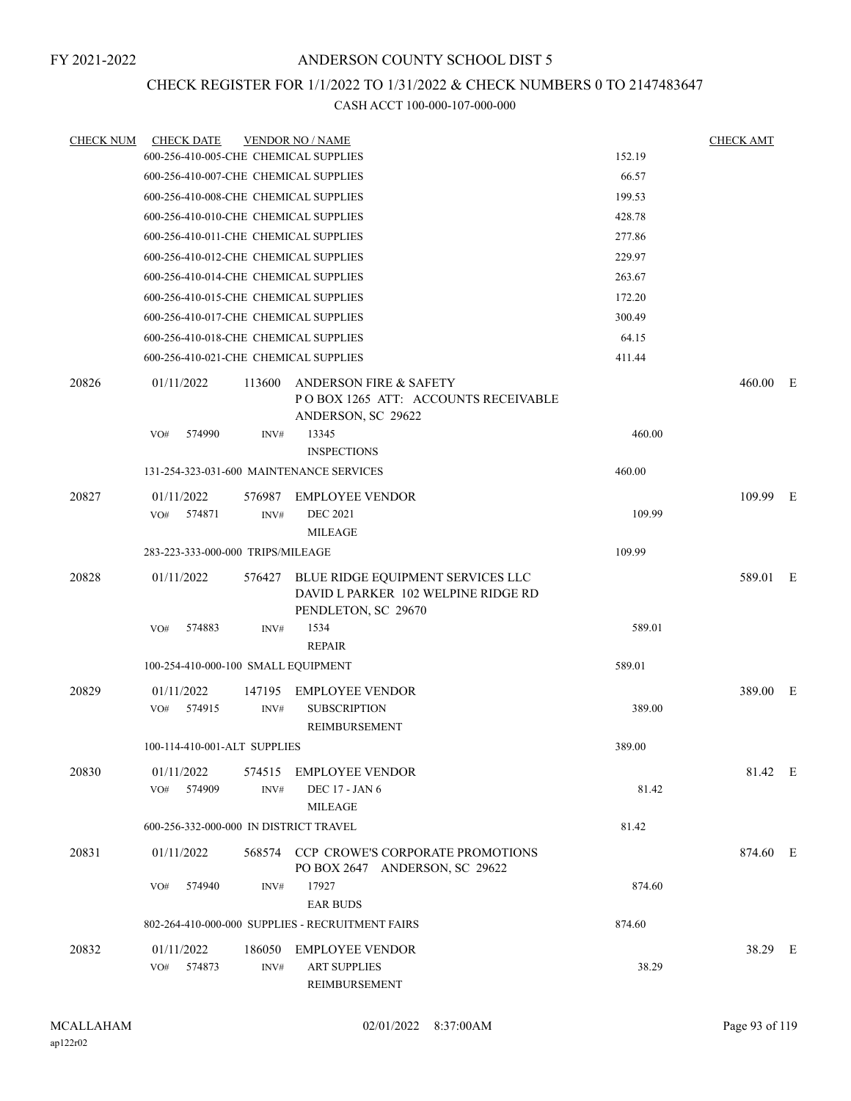# CHECK REGISTER FOR 1/1/2022 TO 1/31/2022 & CHECK NUMBERS 0 TO 2147483647

| <b>CHECK NUM</b> | <b>CHECK DATE</b>                      |                | <b>VENDOR NO / NAME</b>                                                                         |        | <b>CHECK AMT</b> |  |
|------------------|----------------------------------------|----------------|-------------------------------------------------------------------------------------------------|--------|------------------|--|
|                  | 600-256-410-005-CHE CHEMICAL SUPPLIES  |                |                                                                                                 | 152.19 |                  |  |
|                  | 600-256-410-007-CHE CHEMICAL SUPPLIES  |                |                                                                                                 | 66.57  |                  |  |
|                  | 600-256-410-008-CHE CHEMICAL SUPPLIES  |                |                                                                                                 | 199.53 |                  |  |
|                  | 600-256-410-010-CHE CHEMICAL SUPPLIES  |                |                                                                                                 | 428.78 |                  |  |
|                  | 600-256-410-011-CHE CHEMICAL SUPPLIES  |                |                                                                                                 | 277.86 |                  |  |
|                  | 600-256-410-012-CHE CHEMICAL SUPPLIES  |                |                                                                                                 | 229.97 |                  |  |
|                  | 600-256-410-014-CHE CHEMICAL SUPPLIES  |                |                                                                                                 | 263.67 |                  |  |
|                  | 600-256-410-015-CHE CHEMICAL SUPPLIES  |                |                                                                                                 | 172.20 |                  |  |
|                  | 600-256-410-017-CHE CHEMICAL SUPPLIES  |                |                                                                                                 | 300.49 |                  |  |
|                  | 600-256-410-018-CHE CHEMICAL SUPPLIES  |                |                                                                                                 | 64.15  |                  |  |
|                  | 600-256-410-021-CHE CHEMICAL SUPPLIES  |                |                                                                                                 | 411.44 |                  |  |
| 20826            | 01/11/2022                             | 113600         | ANDERSON FIRE & SAFETY<br>POBOX 1265 ATT: ACCOUNTS RECEIVABLE<br>ANDERSON, SC 29622             |        | $460.00$ E       |  |
|                  | 574990<br>VO#                          | INV#           | 13345<br><b>INSPECTIONS</b>                                                                     | 460.00 |                  |  |
|                  |                                        |                | 131-254-323-031-600 MAINTENANCE SERVICES                                                        | 460.00 |                  |  |
| 20827            | 01/11/2022<br>VO# 574871               | 576987<br>INV# | <b>EMPLOYEE VENDOR</b><br><b>DEC 2021</b><br><b>MILEAGE</b>                                     | 109.99 | 109.99 E         |  |
|                  | 283-223-333-000-000 TRIPS/MILEAGE      |                |                                                                                                 | 109.99 |                  |  |
| 20828            | 01/11/2022                             | 576427         | BLUE RIDGE EQUIPMENT SERVICES LLC<br>DAVID L PARKER 102 WELPINE RIDGE RD<br>PENDLETON, SC 29670 |        | 589.01 E         |  |
|                  | 574883<br>VO#                          | INV#           | 1534<br><b>REPAIR</b>                                                                           | 589.01 |                  |  |
|                  | 100-254-410-000-100 SMALL EQUIPMENT    |                |                                                                                                 | 589.01 |                  |  |
| 20829            | 01/11/2022                             | 147195         | <b>EMPLOYEE VENDOR</b>                                                                          |        | 389.00 E         |  |
|                  | VO#<br>574915                          | INV#           | <b>SUBSCRIPTION</b><br><b>REIMBURSEMENT</b>                                                     | 389.00 |                  |  |
|                  | 100-114-410-001-ALT SUPPLIES           |                |                                                                                                 | 389.00 |                  |  |
| 20830            | 01/11/2022<br>574909<br>VO#            | INV#           | 574515 EMPLOYEE VENDOR<br>DEC 17 - JAN 6<br><b>MILEAGE</b>                                      | 81.42  | 81.42 E          |  |
|                  | 600-256-332-000-000 IN DISTRICT TRAVEL |                |                                                                                                 | 81.42  |                  |  |
| 20831            | 01/11/2022                             |                | 568574 CCP CROWE'S CORPORATE PROMOTIONS<br>PO BOX 2647 ANDERSON, SC 29622                       |        | 874.60 E         |  |
|                  | VO#<br>574940                          | INV#           | 17927<br><b>EAR BUDS</b>                                                                        | 874.60 |                  |  |
|                  |                                        |                | 802-264-410-000-000 SUPPLIES - RECRUITMENT FAIRS                                                | 874.60 |                  |  |
| 20832            | 01/11/2022<br>VO#<br>574873            | INV#           | 186050 EMPLOYEE VENDOR<br><b>ART SUPPLIES</b><br>REIMBURSEMENT                                  | 38.29  | 38.29 E          |  |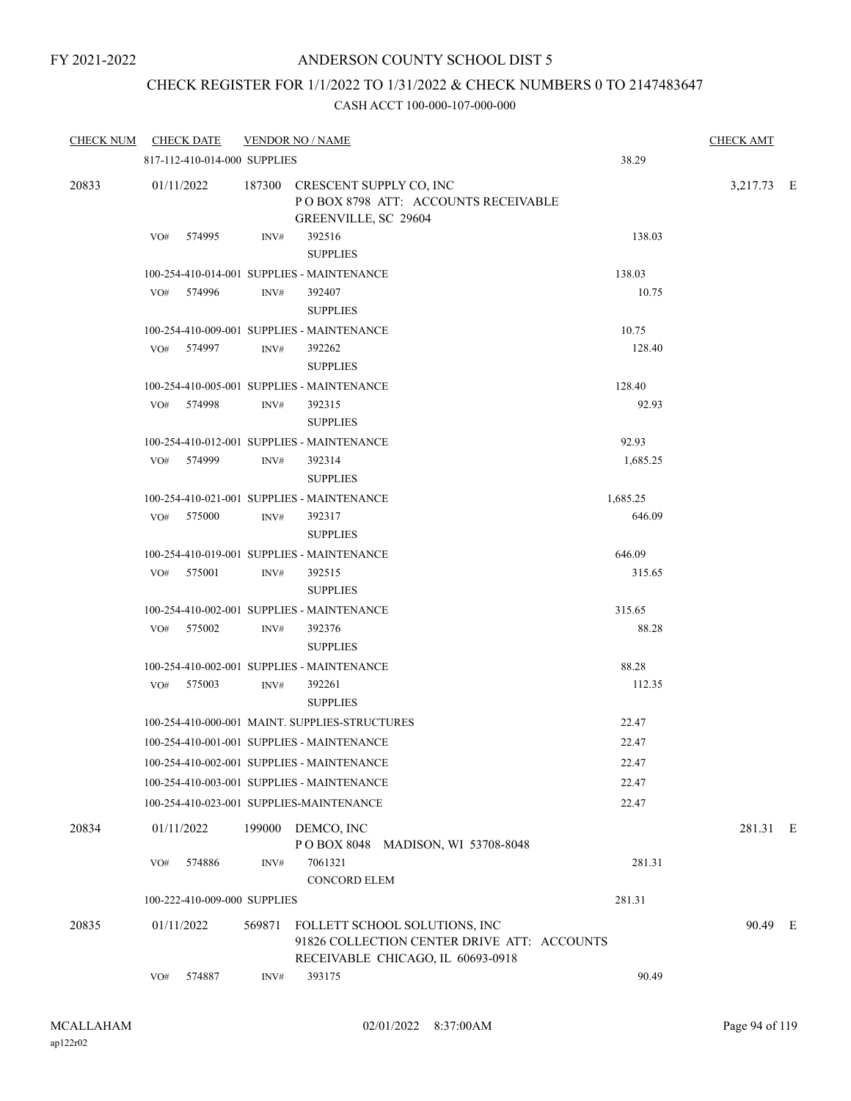## CHECK REGISTER FOR 1/1/2022 TO 1/31/2022 & CHECK NUMBERS 0 TO 2147483647

| <b>CHECK DATE</b><br><b>CHECK NUM</b> |                                          |        | <b>VENDOR NO / NAME</b>                                                                                           |          | <b>CHECK AMT</b> |  |
|---------------------------------------|------------------------------------------|--------|-------------------------------------------------------------------------------------------------------------------|----------|------------------|--|
|                                       | 817-112-410-014-000 SUPPLIES             |        |                                                                                                                   | 38.29    |                  |  |
| 20833                                 | 01/11/2022                               |        | 187300 CRESCENT SUPPLY CO, INC<br>POBOX 8798 ATT: ACCOUNTS RECEIVABLE<br>GREENVILLE, SC 29604                     |          | 3,217.73 E       |  |
|                                       | VO#<br>574995                            | INV#   | 392516<br><b>SUPPLIES</b>                                                                                         | 138.03   |                  |  |
|                                       |                                          |        | 100-254-410-014-001 SUPPLIES - MAINTENANCE                                                                        | 138.03   |                  |  |
|                                       | 574996<br>VO#                            | INV#   | 392407<br><b>SUPPLIES</b>                                                                                         | 10.75    |                  |  |
|                                       |                                          |        | 100-254-410-009-001 SUPPLIES - MAINTENANCE                                                                        | 10.75    |                  |  |
|                                       | 574997<br>VO#                            | INV#   | 392262<br><b>SUPPLIES</b>                                                                                         | 128.40   |                  |  |
|                                       |                                          |        | 100-254-410-005-001 SUPPLIES - MAINTENANCE                                                                        | 128.40   |                  |  |
|                                       | 574998<br>VO#                            | INV#   | 392315<br><b>SUPPLIES</b>                                                                                         | 92.93    |                  |  |
|                                       |                                          |        | 100-254-410-012-001 SUPPLIES - MAINTENANCE                                                                        | 92.93    |                  |  |
|                                       | 574999<br>VO#                            | INV#   | 392314<br><b>SUPPLIES</b>                                                                                         | 1,685.25 |                  |  |
|                                       |                                          |        | 100-254-410-021-001 SUPPLIES - MAINTENANCE                                                                        | 1,685.25 |                  |  |
|                                       | 575000<br>VO#                            | INV#   | 392317<br><b>SUPPLIES</b>                                                                                         | 646.09   |                  |  |
|                                       |                                          |        | 100-254-410-019-001 SUPPLIES - MAINTENANCE                                                                        | 646.09   |                  |  |
|                                       | VO# 575001                               | INV#   | 392515<br><b>SUPPLIES</b>                                                                                         | 315.65   |                  |  |
|                                       |                                          |        | 100-254-410-002-001 SUPPLIES - MAINTENANCE                                                                        | 315.65   |                  |  |
|                                       | 575002<br>VO#                            | INV#   | 392376<br><b>SUPPLIES</b>                                                                                         | 88.28    |                  |  |
|                                       |                                          |        | 100-254-410-002-001 SUPPLIES - MAINTENANCE                                                                        | 88.28    |                  |  |
|                                       | 575003<br>VO#                            | INV#   | 392261<br><b>SUPPLIES</b>                                                                                         | 112.35   |                  |  |
|                                       |                                          |        | 100-254-410-000-001 MAINT. SUPPLIES-STRUCTURES                                                                    | 22.47    |                  |  |
|                                       |                                          |        | 100-254-410-001-001 SUPPLIES - MAINTENANCE                                                                        | 22.47    |                  |  |
|                                       |                                          |        | 100-254-410-002-001 SUPPLIES - MAINTENANCE                                                                        | 22.47    |                  |  |
|                                       |                                          |        | 100-254-410-003-001 SUPPLIES - MAINTENANCE                                                                        | 22.47    |                  |  |
|                                       | 100-254-410-023-001 SUPPLIES-MAINTENANCE |        |                                                                                                                   | 22.47    |                  |  |
| 20834                                 | 01/11/2022                               |        | 199000 DEMCO, INC<br>POBOX 8048 MADISON, WI 53708-8048                                                            |          | 281.31 E         |  |
|                                       | 574886<br>VO#                            | INV#   | 7061321<br><b>CONCORD ELEM</b>                                                                                    | 281.31   |                  |  |
|                                       | 100-222-410-009-000 SUPPLIES             |        |                                                                                                                   | 281.31   |                  |  |
| 20835                                 | 01/11/2022                               | 569871 | FOLLETT SCHOOL SOLUTIONS, INC<br>91826 COLLECTION CENTER DRIVE ATT: ACCOUNTS<br>RECEIVABLE CHICAGO, IL 60693-0918 |          | 90.49 E          |  |
|                                       | 574887<br>VO#                            | INV#   | 393175                                                                                                            | 90.49    |                  |  |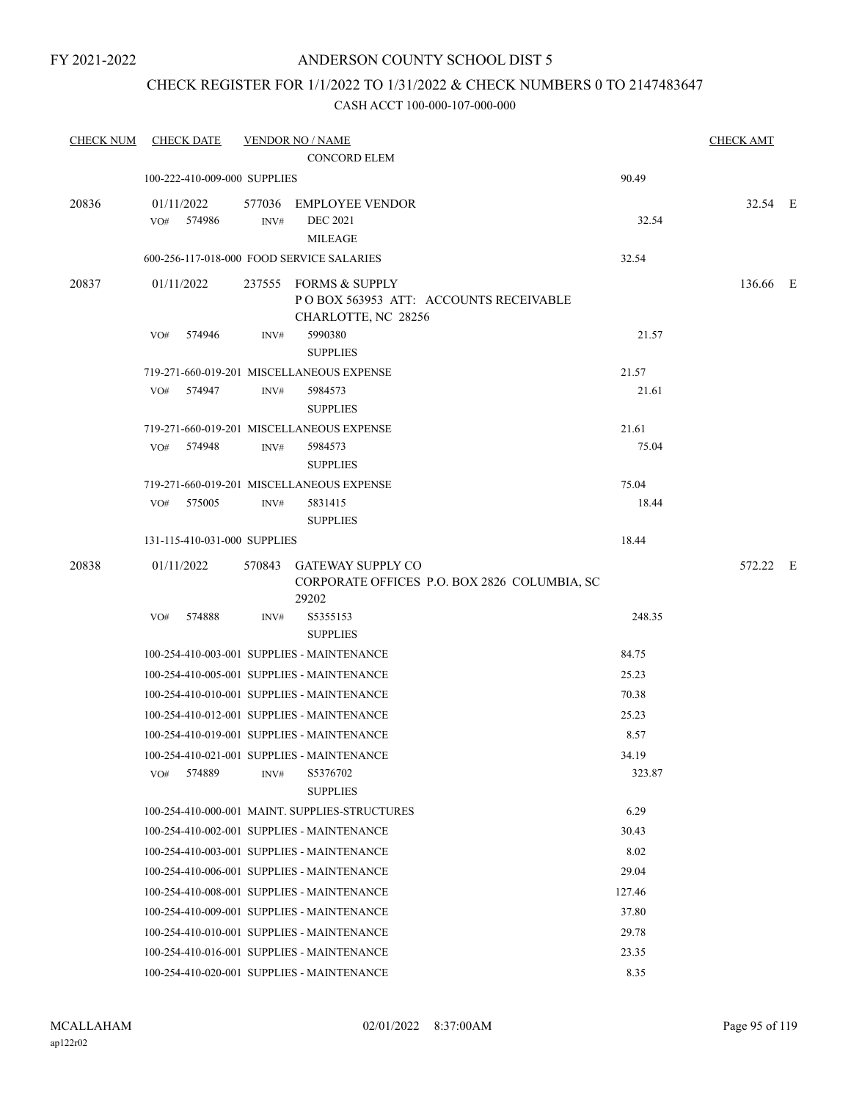### CHECK REGISTER FOR 1/1/2022 TO 1/31/2022 & CHECK NUMBERS 0 TO 2147483647

| <b>CHECK NUM</b> | <b>CHECK DATE</b>                         |        | <b>VENDOR NO / NAME</b>                                                                |                 | <b>CHECK AMT</b> |  |
|------------------|-------------------------------------------|--------|----------------------------------------------------------------------------------------|-----------------|------------------|--|
|                  |                                           |        | <b>CONCORD ELEM</b>                                                                    |                 |                  |  |
|                  | 100-222-410-009-000 SUPPLIES              |        |                                                                                        | 90.49           |                  |  |
| 20836            | 01/11/2022                                | 577036 | <b>EMPLOYEE VENDOR</b>                                                                 |                 | 32.54 E          |  |
|                  | VO#<br>574986                             | INV#   | <b>DEC 2021</b>                                                                        | 32.54           |                  |  |
|                  |                                           |        | <b>MILEAGE</b>                                                                         |                 |                  |  |
|                  | 600-256-117-018-000 FOOD SERVICE SALARIES |        |                                                                                        | 32.54           |                  |  |
| 20837            | 01/11/2022                                |        | 237555 FORMS & SUPPLY<br>PO BOX 563953 ATT: ACCOUNTS RECEIVABLE<br>CHARLOTTE, NC 28256 |                 | 136.66 E         |  |
|                  | 574946<br>VO#                             | INV#   | 5990380                                                                                | 21.57           |                  |  |
|                  |                                           |        | <b>SUPPLIES</b>                                                                        |                 |                  |  |
|                  |                                           |        | 719-271-660-019-201 MISCELLANEOUS EXPENSE                                              | 21.57           |                  |  |
|                  | 574947<br>VO#                             | INV#   | 5984573<br><b>SUPPLIES</b>                                                             | 21.61           |                  |  |
|                  |                                           |        | 719-271-660-019-201 MISCELLANEOUS EXPENSE                                              | 21.61           |                  |  |
|                  | 574948<br>VO#                             | INV#   | 5984573                                                                                | 75.04           |                  |  |
|                  |                                           |        | <b>SUPPLIES</b>                                                                        |                 |                  |  |
|                  |                                           |        | 719-271-660-019-201 MISCELLANEOUS EXPENSE                                              | 75.04           |                  |  |
|                  | 575005<br>VO#                             | INV#   | 5831415                                                                                | 18.44           |                  |  |
|                  |                                           |        | <b>SUPPLIES</b>                                                                        |                 |                  |  |
|                  | 131-115-410-031-000 SUPPLIES              |        |                                                                                        | 18.44           |                  |  |
| 20838            | 01/11/2022                                |        | 570843 GATEWAY SUPPLY CO<br>CORPORATE OFFICES P.O. BOX 2826 COLUMBIA, SC<br>29202      |                 | 572.22 E         |  |
|                  | 574888<br>VO#                             | INV#   | S5355153<br><b>SUPPLIES</b>                                                            | 248.35          |                  |  |
|                  |                                           |        | 100-254-410-003-001 SUPPLIES - MAINTENANCE                                             | 84.75           |                  |  |
|                  |                                           |        | 100-254-410-005-001 SUPPLIES - MAINTENANCE                                             | 25.23           |                  |  |
|                  |                                           |        | 100-254-410-010-001 SUPPLIES - MAINTENANCE                                             | 70.38           |                  |  |
|                  |                                           |        | 100-254-410-012-001 SUPPLIES - MAINTENANCE                                             | 25.23           |                  |  |
|                  |                                           |        | 100-254-410-019-001 SUPPLIES - MAINTENANCE                                             | 8.57            |                  |  |
|                  |                                           |        |                                                                                        |                 |                  |  |
|                  | 574889<br>VO#                             | INV#   | 100-254-410-021-001 SUPPLIES - MAINTENANCE<br>S5376702<br><b>SUPPLIES</b>              | 34.19<br>323.87 |                  |  |
|                  |                                           |        | 100-254-410-000-001 MAINT. SUPPLIES-STRUCTURES                                         | 6.29            |                  |  |
|                  |                                           |        | 100-254-410-002-001 SUPPLIES - MAINTENANCE                                             | 30.43           |                  |  |
|                  |                                           |        | 100-254-410-003-001 SUPPLIES - MAINTENANCE                                             | 8.02            |                  |  |
|                  |                                           |        | 100-254-410-006-001 SUPPLIES - MAINTENANCE                                             | 29.04           |                  |  |
|                  |                                           |        | 100-254-410-008-001 SUPPLIES - MAINTENANCE                                             | 127.46          |                  |  |
|                  |                                           |        | 100-254-410-009-001 SUPPLIES - MAINTENANCE                                             | 37.80           |                  |  |
|                  |                                           |        | 100-254-410-010-001 SUPPLIES - MAINTENANCE                                             | 29.78           |                  |  |
|                  |                                           |        | 100-254-410-016-001 SUPPLIES - MAINTENANCE                                             | 23.35           |                  |  |
|                  |                                           |        | 100-254-410-020-001 SUPPLIES - MAINTENANCE                                             | 8.35            |                  |  |
|                  |                                           |        |                                                                                        |                 |                  |  |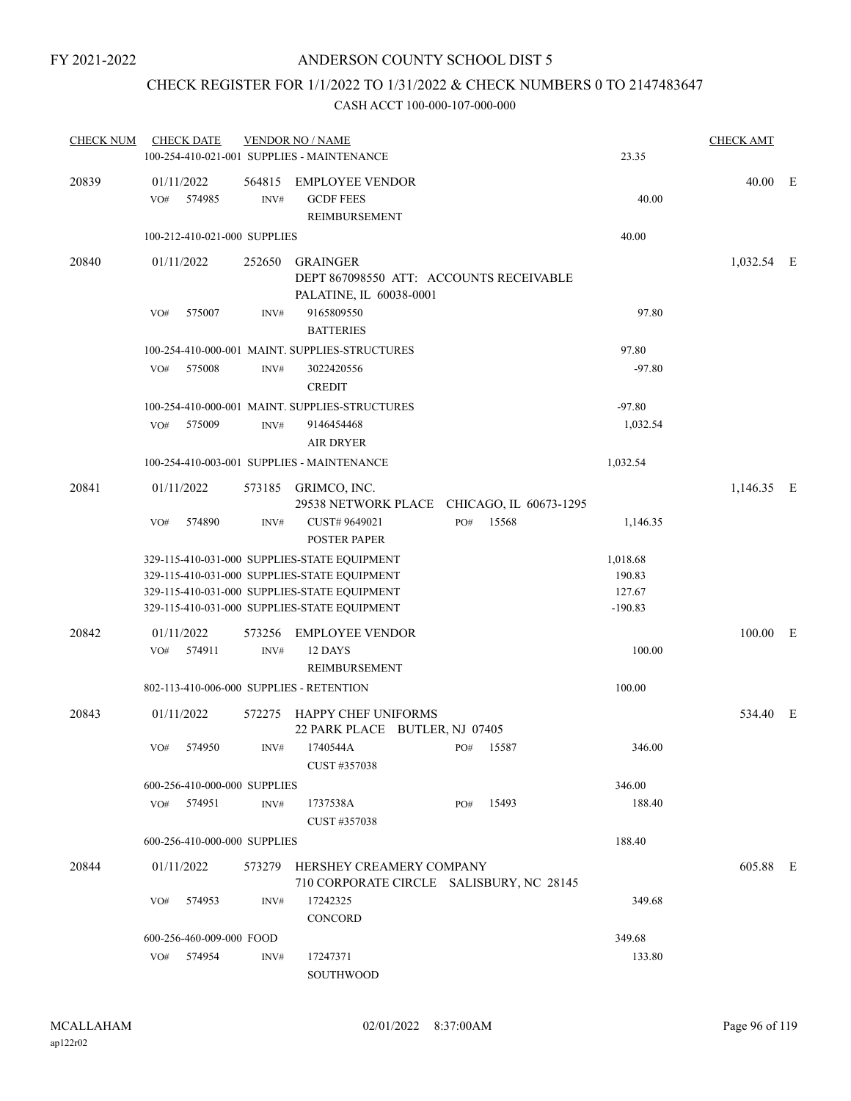## CHECK REGISTER FOR 1/1/2022 TO 1/31/2022 & CHECK NUMBERS 0 TO 2147483647

| <b>CHECK NUM</b> | <b>CHECK DATE</b>                        |                | <b>VENDOR NO / NAME</b><br>100-254-410-021-001 SUPPLIES - MAINTENANCE                                                                                                                        |     |       | 23.35                                     | <b>CHECK AMT</b> |  |
|------------------|------------------------------------------|----------------|----------------------------------------------------------------------------------------------------------------------------------------------------------------------------------------------|-----|-------|-------------------------------------------|------------------|--|
| 20839            | 01/11/2022<br>574985<br>VO#              | 564815<br>INV# | <b>EMPLOYEE VENDOR</b><br><b>GCDF FEES</b><br>REIMBURSEMENT                                                                                                                                  |     |       | 40.00                                     | 40.00 E          |  |
|                  | 100-212-410-021-000 SUPPLIES             |                |                                                                                                                                                                                              |     |       | 40.00                                     |                  |  |
| 20840            | 01/11/2022                               | 252650         | <b>GRAINGER</b><br>DEPT 867098550 ATT: ACCOUNTS RECEIVABLE<br>PALATINE, IL 60038-0001                                                                                                        |     |       |                                           | $1,032.54$ E     |  |
|                  | 575007<br>VO#                            | INV#           | 9165809550<br><b>BATTERIES</b>                                                                                                                                                               |     |       | 97.80                                     |                  |  |
|                  |                                          |                | 100-254-410-000-001 MAINT. SUPPLIES-STRUCTURES                                                                                                                                               |     |       | 97.80                                     |                  |  |
|                  | VO#<br>575008                            | INV#           | 3022420556<br><b>CREDIT</b>                                                                                                                                                                  |     |       | $-97.80$                                  |                  |  |
|                  |                                          |                | 100-254-410-000-001 MAINT, SUPPLIES-STRUCTURES                                                                                                                                               |     |       | $-97.80$                                  |                  |  |
|                  | 575009<br>VO#                            | INV#           | 9146454468<br><b>AIR DRYER</b>                                                                                                                                                               |     |       | 1,032.54                                  |                  |  |
|                  |                                          |                | 100-254-410-003-001 SUPPLIES - MAINTENANCE                                                                                                                                                   |     |       | 1,032.54                                  |                  |  |
| 20841            | 01/11/2022                               |                | 573185 GRIMCO, INC.<br>29538 NETWORK PLACE CHICAGO, IL 60673-1295                                                                                                                            |     |       |                                           | 1,146.35 E       |  |
|                  | 574890<br>VO#                            | INV#           | CUST# 9649021<br><b>POSTER PAPER</b>                                                                                                                                                         | PO# | 15568 | 1,146.35                                  |                  |  |
|                  |                                          |                | 329-115-410-031-000 SUPPLIES-STATE EQUIPMENT<br>329-115-410-031-000 SUPPLIES-STATE EQUIPMENT<br>329-115-410-031-000 SUPPLIES-STATE EQUIPMENT<br>329-115-410-031-000 SUPPLIES-STATE EQUIPMENT |     |       | 1,018.68<br>190.83<br>127.67<br>$-190.83$ |                  |  |
| 20842            | 01/11/2022<br>574911<br>VO#              | 573256<br>INV# | <b>EMPLOYEE VENDOR</b><br>12 DAYS<br>REIMBURSEMENT                                                                                                                                           |     |       | 100.00                                    | 100.00 E         |  |
|                  | 802-113-410-006-000 SUPPLIES - RETENTION |                |                                                                                                                                                                                              |     |       | 100.00                                    |                  |  |
| 20843            | 01/11/2022                               | 572275         | <b>HAPPY CHEF UNIFORMS</b><br>22 PARK PLACE BUTLER, NJ 07405                                                                                                                                 |     |       |                                           | 534.40 E         |  |
|                  | 574950<br>VO#                            | INV#           | 1740544A<br>CUST #357038                                                                                                                                                                     | PO# | 15587 | 346.00                                    |                  |  |
|                  | 600-256-410-000-000 SUPPLIES             |                |                                                                                                                                                                                              |     |       | 346.00                                    |                  |  |
|                  | VO# 574951                               | INV#           | 1737538A<br>CUST #357038                                                                                                                                                                     | PO# | 15493 | 188.40                                    |                  |  |
|                  | 600-256-410-000-000 SUPPLIES             |                |                                                                                                                                                                                              |     |       | 188.40                                    |                  |  |
| 20844            | 01/11/2022                               |                | 573279 HERSHEY CREAMERY COMPANY<br>710 CORPORATE CIRCLE SALISBURY, NC 28145                                                                                                                  |     |       |                                           | 605.88 E         |  |
|                  | 574953<br>VO#                            | INV#           | 17242325<br>CONCORD                                                                                                                                                                          |     |       | 349.68                                    |                  |  |
|                  | 600-256-460-009-000 FOOD                 |                |                                                                                                                                                                                              |     |       | 349.68                                    |                  |  |
|                  | 574954<br>VO#                            | INV#           | 17247371<br>SOUTHWOOD                                                                                                                                                                        |     |       | 133.80                                    |                  |  |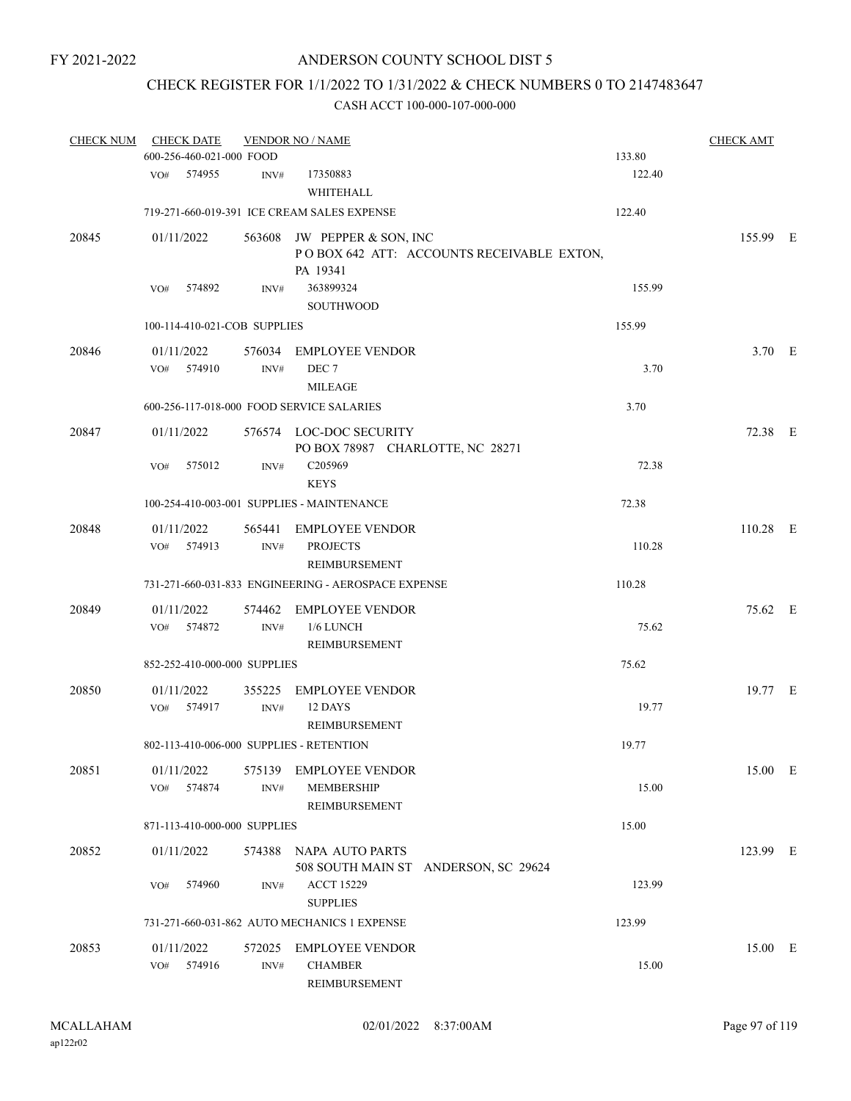## CHECK REGISTER FOR 1/1/2022 TO 1/31/2022 & CHECK NUMBERS 0 TO 2147483647

| <b>CHECK NUM</b> | <b>CHECK DATE</b>        |                          |                              | <b>VENDOR NO / NAME</b>                                                              |        | <b>CHECK AMT</b> |  |
|------------------|--------------------------|--------------------------|------------------------------|--------------------------------------------------------------------------------------|--------|------------------|--|
|                  |                          | 600-256-460-021-000 FOOD |                              |                                                                                      | 133.80 |                  |  |
|                  | VO#                      | 574955                   | INV#                         | 17350883<br>WHITEHALL                                                                | 122.40 |                  |  |
|                  |                          |                          |                              | 719-271-660-019-391 ICE CREAM SALES EXPENSE                                          | 122.40 |                  |  |
| 20845            | 01/11/2022               |                          |                              | 563608 JW PEPPER & SON, INC<br>POBOX 642 ATT: ACCOUNTS RECEIVABLE EXTON,<br>PA 19341 |        | 155.99 E         |  |
|                  | VO#                      | 574892                   | INV#                         | 363899324<br>SOUTHWOOD                                                               | 155.99 |                  |  |
|                  |                          |                          | 100-114-410-021-COB SUPPLIES |                                                                                      | 155.99 |                  |  |
| 20846            | 01/11/2022               |                          |                              | 576034 EMPLOYEE VENDOR                                                               |        | 3.70 E           |  |
|                  | VO#                      | 574910                   | INV#                         | DEC <sub>7</sub><br><b>MILEAGE</b>                                                   | 3.70   |                  |  |
|                  |                          |                          |                              | 600-256-117-018-000 FOOD SERVICE SALARIES                                            | 3.70   |                  |  |
| 20847            | 01/11/2022               |                          |                              | 576574 LOC-DOC SECURITY<br>PO BOX 78987 CHARLOTTE, NC 28271                          |        | 72.38 E          |  |
|                  | VO#                      | 575012                   | INV#                         | C205969<br><b>KEYS</b>                                                               | 72.38  |                  |  |
|                  |                          |                          |                              | 100-254-410-003-001 SUPPLIES - MAINTENANCE                                           | 72.38  |                  |  |
| 20848            | 01/11/2022<br>VO# 574913 |                          | 565441<br>INV#               | <b>EMPLOYEE VENDOR</b><br><b>PROJECTS</b><br>REIMBURSEMENT                           | 110.28 | 110.28 E         |  |
|                  |                          |                          |                              | 731-271-660-031-833 ENGINEERING - AEROSPACE EXPENSE                                  | 110.28 |                  |  |
| 20849            | 01/11/2022<br>VO# 574872 |                          | INV#                         | 574462 EMPLOYEE VENDOR<br>1/6 LUNCH<br>REIMBURSEMENT                                 | 75.62  | 75.62 E          |  |
|                  |                          |                          | 852-252-410-000-000 SUPPLIES |                                                                                      | 75.62  |                  |  |
| 20850            | 01/11/2022<br>VO#        | 574917                   | 355225<br>INV#               | EMPLOYEE VENDOR<br>12 DAYS<br>REIMBURSEMENT                                          | 19.77  | 19.77 E          |  |
|                  |                          |                          |                              | 802-113-410-006-000 SUPPLIES - RETENTION                                             | 19.77  |                  |  |
| 20851            | 01/11/2022<br>VO# 574874 |                          | INV#                         | 575139 EMPLOYEE VENDOR<br>MEMBERSHIP<br>REIMBURSEMENT                                | 15.00  | 15.00 E          |  |
|                  |                          |                          | 871-113-410-000-000 SUPPLIES |                                                                                      | 15.00  |                  |  |
| 20852            | 01/11/2022               |                          |                              | 574388 NAPA AUTO PARTS<br>508 SOUTH MAIN ST ANDERSON, SC 29624                       |        | 123.99 E         |  |
|                  | VO#                      | 574960                   | INV#                         | <b>ACCT 15229</b><br><b>SUPPLIES</b>                                                 | 123.99 |                  |  |
|                  |                          |                          |                              | 731-271-660-031-862 AUTO MECHANICS 1 EXPENSE                                         | 123.99 |                  |  |
| 20853            | 01/11/2022<br>VO#        | 574916                   | INV#                         | 572025 EMPLOYEE VENDOR<br><b>CHAMBER</b><br>REIMBURSEMENT                            | 15.00  | 15.00 E          |  |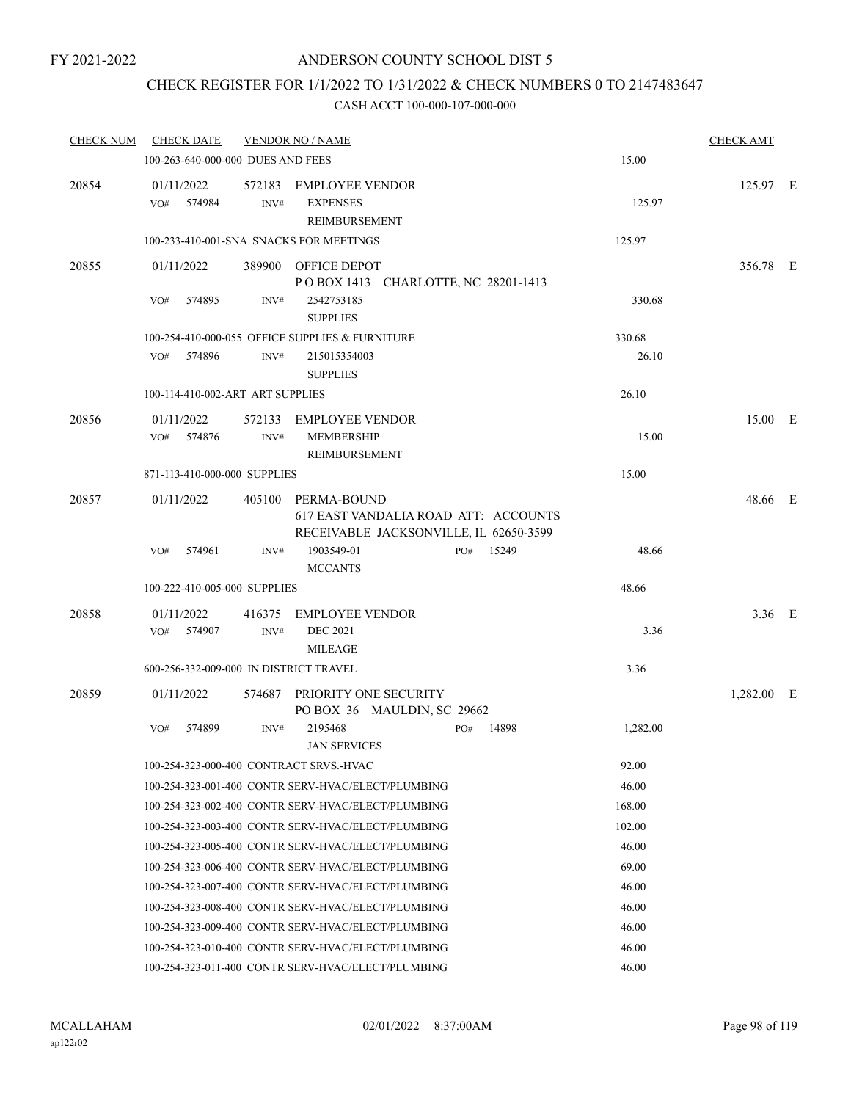### CHECK REGISTER FOR 1/1/2022 TO 1/31/2022 & CHECK NUMBERS 0 TO 2147483647

| CHECK NUM | <b>CHECK DATE</b>                      |                | <b>VENDOR NO / NAME</b>                                                                      |     |       |          | <b>CHECK AMT</b> |  |
|-----------|----------------------------------------|----------------|----------------------------------------------------------------------------------------------|-----|-------|----------|------------------|--|
|           | 100-263-640-000-000 DUES AND FEES      |                |                                                                                              |     |       | 15.00    |                  |  |
| 20854     | 01/11/2022<br>VO# 574984               | INV#           | 572183 EMPLOYEE VENDOR<br><b>EXPENSES</b><br>REIMBURSEMENT                                   |     |       | 125.97   | 125.97 E         |  |
|           |                                        |                | 100-233-410-001-SNA SNACKS FOR MEETINGS                                                      |     |       | 125.97   |                  |  |
| 20855     | 01/11/2022                             |                | 389900 OFFICE DEPOT<br>POBOX 1413 CHARLOTTE, NC 28201-1413                                   |     |       |          | 356.78 E         |  |
|           | 574895<br>VO#                          | INV#           | 2542753185<br><b>SUPPLIES</b>                                                                |     |       | 330.68   |                  |  |
|           |                                        |                | 100-254-410-000-055 OFFICE SUPPLIES & FURNITURE                                              |     |       | 330.68   |                  |  |
|           | VO# 574896                             | INV#           | 215015354003<br><b>SUPPLIES</b>                                                              |     |       | 26.10    |                  |  |
|           | 100-114-410-002-ART ART SUPPLIES       |                |                                                                                              |     |       | 26.10    |                  |  |
| 20856     | 01/11/2022<br>VO# 574876               | INV#           | 572133 EMPLOYEE VENDOR<br><b>MEMBERSHIP</b><br>REIMBURSEMENT                                 |     |       | 15.00    | 15.00 E          |  |
|           | 871-113-410-000-000 SUPPLIES           |                |                                                                                              |     |       | 15.00    |                  |  |
| 20857     | 01/11/2022                             |                | 405100 PERMA-BOUND                                                                           |     |       |          | 48.66 E          |  |
|           | VO#<br>574961                          | INV#           | 617 EAST VANDALIA ROAD ATT: ACCOUNTS<br>RECEIVABLE JACKSONVILLE, IL 62650-3599<br>1903549-01 | PO# | 15249 | 48.66    |                  |  |
|           |                                        |                | <b>MCCANTS</b>                                                                               |     |       |          |                  |  |
|           | 100-222-410-005-000 SUPPLIES           |                |                                                                                              |     |       | 48.66    |                  |  |
| 20858     | 01/11/2022<br>VO# 574907               | 416375<br>INV# | EMPLOYEE VENDOR<br><b>DEC 2021</b><br><b>MILEAGE</b>                                         |     |       | 3.36     | $3.36$ E         |  |
|           | 600-256-332-009-000 IN DISTRICT TRAVEL |                |                                                                                              |     |       | 3.36     |                  |  |
| 20859     | 01/11/2022                             |                | 574687 PRIORITY ONE SECURITY<br>PO BOX 36 MAULDIN, SC 29662                                  |     |       |          | 1,282.00 E       |  |
|           | 574899<br>VO#                          | INV#           | 2195468<br><b>JAN SERVICES</b>                                                               | PO# | 14898 | 1,282.00 |                  |  |
|           |                                        |                | 100-254-323-000-400 CONTRACT SRVS.-HVAC                                                      |     |       | 92.00    |                  |  |
|           |                                        |                | 100-254-323-001-400 CONTR SERV-HVAC/ELECT/PLUMBING                                           |     |       | 46.00    |                  |  |
|           |                                        |                | 100-254-323-002-400 CONTR SERV-HVAC/ELECT/PLUMBING                                           |     |       | 168.00   |                  |  |
|           |                                        |                | 100-254-323-003-400 CONTR SERV-HVAC/ELECT/PLUMBING                                           |     |       | 102.00   |                  |  |
|           |                                        |                | 100-254-323-005-400 CONTR SERV-HVAC/ELECT/PLUMBING                                           |     |       | 46.00    |                  |  |
|           |                                        |                | 100-254-323-006-400 CONTR SERV-HVAC/ELECT/PLUMBING                                           |     |       | 69.00    |                  |  |
|           |                                        |                | 100-254-323-007-400 CONTR SERV-HVAC/ELECT/PLUMBING                                           |     |       | 46.00    |                  |  |
|           |                                        |                | 100-254-323-008-400 CONTR SERV-HVAC/ELECT/PLUMBING                                           |     |       | 46.00    |                  |  |
|           |                                        |                | 100-254-323-009-400 CONTR SERV-HVAC/ELECT/PLUMBING                                           |     |       | 46.00    |                  |  |
|           |                                        |                | 100-254-323-010-400 CONTR SERV-HVAC/ELECT/PLUMBING                                           |     |       | 46.00    |                  |  |
|           |                                        |                | 100-254-323-011-400 CONTR SERV-HVAC/ELECT/PLUMBING                                           |     |       | 46.00    |                  |  |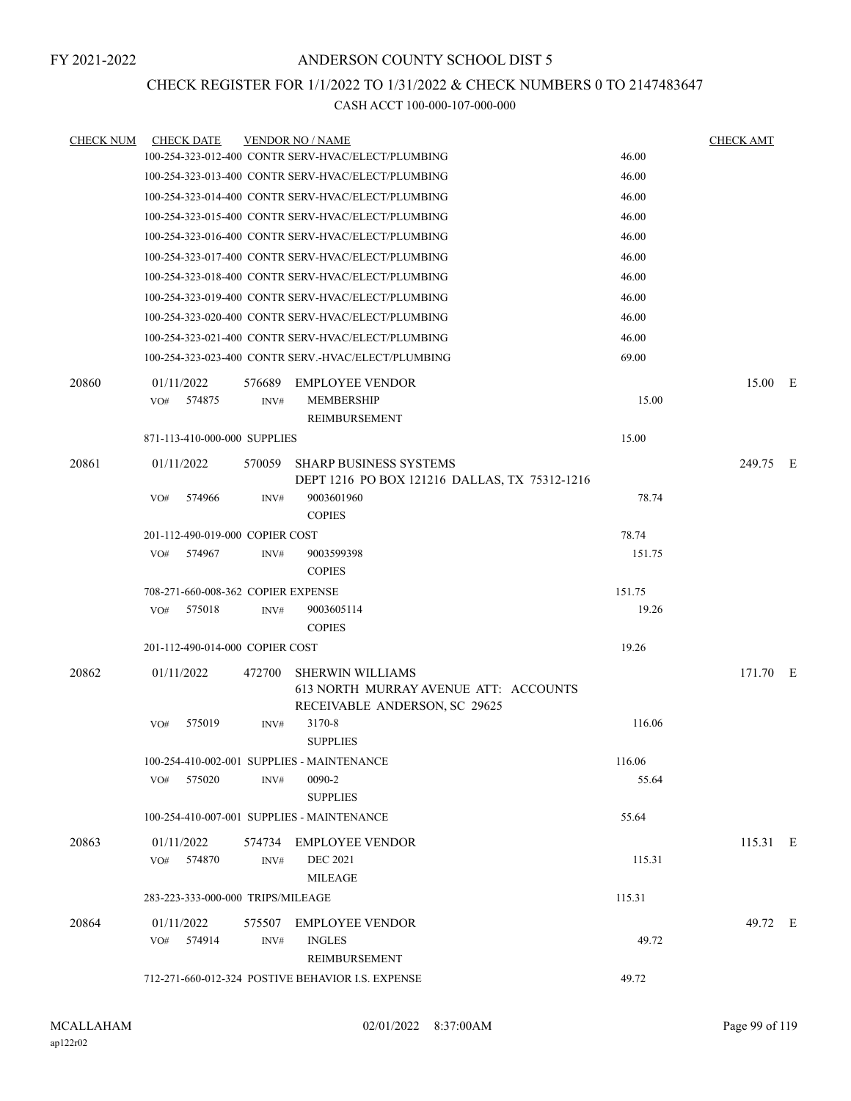### CHECK REGISTER FOR 1/1/2022 TO 1/31/2022 & CHECK NUMBERS 0 TO 2147483647

| <b>CHECK NUM</b> | <b>CHECK DATE</b>                  |        | <b>VENDOR NO / NAME</b>                                                                           |        | <b>CHECK AMT</b> |  |
|------------------|------------------------------------|--------|---------------------------------------------------------------------------------------------------|--------|------------------|--|
|                  |                                    |        | 100-254-323-012-400 CONTR SERV-HVAC/ELECT/PLUMBING                                                | 46.00  |                  |  |
|                  |                                    |        | 100-254-323-013-400 CONTR SERV-HVAC/ELECT/PLUMBING                                                | 46.00  |                  |  |
|                  |                                    |        | 100-254-323-014-400 CONTR SERV-HVAC/ELECT/PLUMBING                                                | 46.00  |                  |  |
|                  |                                    |        | 100-254-323-015-400 CONTR SERV-HVAC/ELECT/PLUMBING                                                | 46.00  |                  |  |
|                  |                                    |        | 100-254-323-016-400 CONTR SERV-HVAC/ELECT/PLUMBING                                                | 46.00  |                  |  |
|                  |                                    |        | 100-254-323-017-400 CONTR SERV-HVAC/ELECT/PLUMBING                                                | 46.00  |                  |  |
|                  |                                    |        | 100-254-323-018-400 CONTR SERV-HVAC/ELECT/PLUMBING                                                | 46.00  |                  |  |
|                  |                                    |        | 100-254-323-019-400 CONTR SERV-HVAC/ELECT/PLUMBING                                                | 46.00  |                  |  |
|                  |                                    |        | 100-254-323-020-400 CONTR SERV-HVAC/ELECT/PLUMBING                                                | 46.00  |                  |  |
|                  |                                    |        | 100-254-323-021-400 CONTR SERV-HVAC/ELECT/PLUMBING                                                | 46.00  |                  |  |
|                  |                                    |        | 100-254-323-023-400 CONTR SERV.-HVAC/ELECT/PLUMBING                                               | 69.00  |                  |  |
| 20860            | 01/11/2022                         | 576689 | <b>EMPLOYEE VENDOR</b>                                                                            |        | 15.00 E          |  |
|                  | 574875<br>VO#                      | INV#   | <b>MEMBERSHIP</b>                                                                                 | 15.00  |                  |  |
|                  |                                    |        | REIMBURSEMENT                                                                                     |        |                  |  |
|                  | 871-113-410-000-000 SUPPLIES       |        |                                                                                                   | 15.00  |                  |  |
| 20861            | 01/11/2022                         | 570059 | <b>SHARP BUSINESS SYSTEMS</b><br>DEPT 1216 PO BOX 121216 DALLAS, TX 75312-1216                    |        | 249.75 E         |  |
|                  | 574966<br>VO#                      | INV#   | 9003601960<br><b>COPIES</b>                                                                       | 78.74  |                  |  |
|                  | 201-112-490-019-000 COPIER COST    |        |                                                                                                   | 78.74  |                  |  |
|                  | 574967<br>VO#                      | INV#   | 9003599398<br><b>COPIES</b>                                                                       | 151.75 |                  |  |
|                  | 708-271-660-008-362 COPIER EXPENSE |        |                                                                                                   | 151.75 |                  |  |
|                  | VO#<br>575018                      | INV#   | 9003605114<br><b>COPIES</b>                                                                       | 19.26  |                  |  |
|                  | 201-112-490-014-000 COPIER COST    |        |                                                                                                   | 19.26  |                  |  |
| 20862            | 01/11/2022                         | 472700 | <b>SHERWIN WILLIAMS</b><br>613 NORTH MURRAY AVENUE ATT: ACCOUNTS<br>RECEIVABLE ANDERSON, SC 29625 |        | 171.70 E         |  |
|                  | 575019<br>VO#                      | INV#   | 3170-8<br><b>SUPPLIES</b>                                                                         | 116.06 |                  |  |
|                  |                                    |        | 100-254-410-002-001 SUPPLIES - MAINTENANCE                                                        | 116.06 |                  |  |
|                  | VO# 575020                         | INV#   | 0090-2<br><b>SUPPLIES</b>                                                                         | 55.64  |                  |  |
|                  |                                    |        | 100-254-410-007-001 SUPPLIES - MAINTENANCE                                                        | 55.64  |                  |  |
| 20863            | 01/11/2022                         |        | 574734 EMPLOYEE VENDOR                                                                            |        | 115.31 E         |  |
|                  | VO#<br>574870                      | INV#   | <b>DEC 2021</b><br><b>MILEAGE</b>                                                                 | 115.31 |                  |  |
|                  | 283-223-333-000-000 TRIPS/MILEAGE  |        |                                                                                                   | 115.31 |                  |  |
| 20864            | 01/11/2022                         |        | 575507 EMPLOYEE VENDOR                                                                            |        | 49.72 E          |  |
|                  | 574914<br>VO#                      | INV#   | <b>INGLES</b><br>REIMBURSEMENT                                                                    | 49.72  |                  |  |
|                  |                                    |        | 712-271-660-012-324 POSTIVE BEHAVIOR I.S. EXPENSE                                                 | 49.72  |                  |  |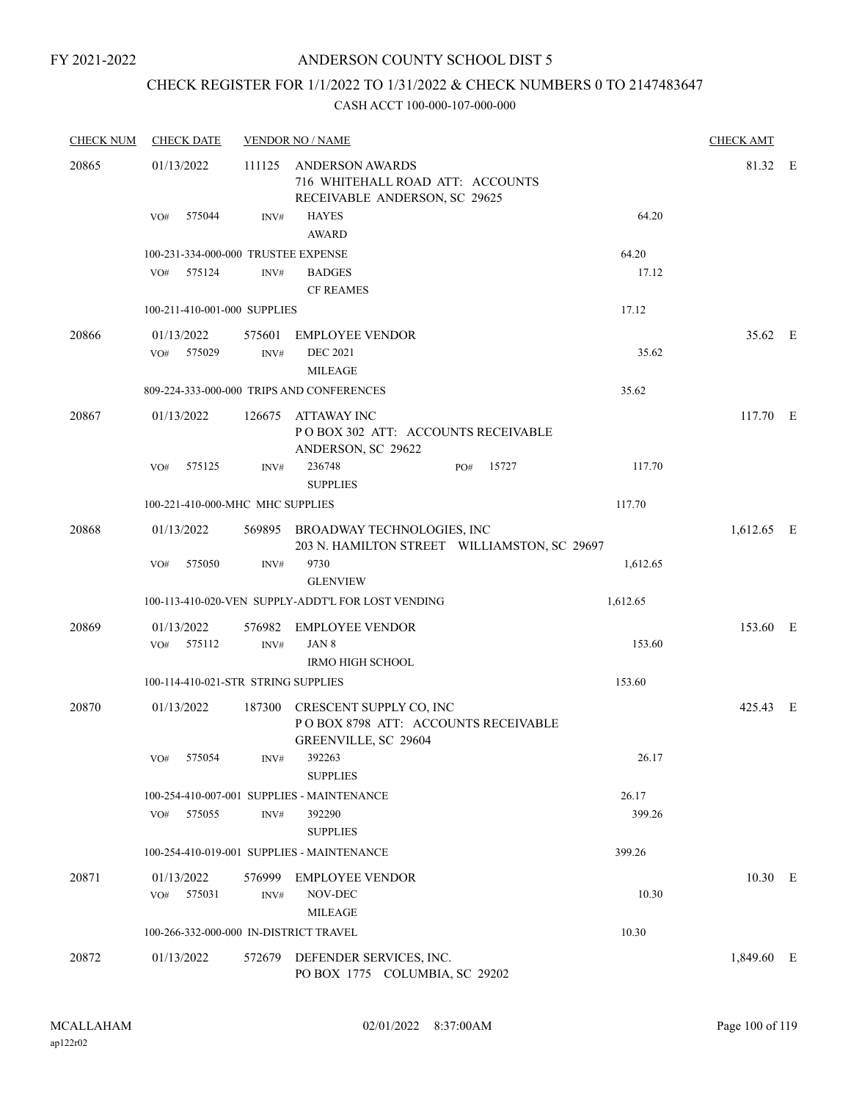### ANDERSON COUNTY SCHOOL DIST 5

# CHECK REGISTER FOR 1/1/2022 TO 1/31/2022 & CHECK NUMBERS 0 TO 2147483647

| <b>CHECK NUM</b> | <b>CHECK DATE</b>                      |                | <b>VENDOR NO / NAME</b>                                                                       |       |          | <b>CHECK AMT</b> |  |
|------------------|----------------------------------------|----------------|-----------------------------------------------------------------------------------------------|-------|----------|------------------|--|
| 20865            | 01/13/2022                             | 111125         | <b>ANDERSON AWARDS</b><br>716 WHITEHALL ROAD ATT: ACCOUNTS<br>RECEIVABLE ANDERSON, SC 29625   |       |          | 81.32 E          |  |
|                  | 575044<br>VO#                          | INV#           | <b>HAYES</b><br><b>AWARD</b>                                                                  |       | 64.20    |                  |  |
|                  | 100-231-334-000-000 TRUSTEE EXPENSE    |                |                                                                                               |       | 64.20    |                  |  |
|                  | 575124<br>VO#                          | INV#           | <b>BADGES</b><br><b>CF REAMES</b>                                                             |       | 17.12    |                  |  |
|                  | 100-211-410-001-000 SUPPLIES           |                |                                                                                               |       | 17.12    |                  |  |
| 20866            | 01/13/2022<br>575029<br>VO#            | 575601<br>INV# | <b>EMPLOYEE VENDOR</b><br><b>DEC 2021</b><br><b>MILEAGE</b>                                   |       | 35.62    | 35.62 E          |  |
|                  |                                        |                | 809-224-333-000-000 TRIPS AND CONFERENCES                                                     |       | 35.62    |                  |  |
| 20867            | 01/13/2022                             |                | 126675 ATTAWAY INC<br>POBOX 302 ATT: ACCOUNTS RECEIVABLE<br>ANDERSON, SC 29622                |       |          | 117.70 E         |  |
|                  | 575125<br>VO#                          | INV#           | 236748<br>PO#<br><b>SUPPLIES</b>                                                              | 15727 | 117.70   |                  |  |
|                  | 100-221-410-000-MHC MHC SUPPLIES       |                |                                                                                               |       | 117.70   |                  |  |
| 20868            | 01/13/2022                             |                | 569895 BROADWAY TECHNOLOGIES, INC<br>203 N. HAMILTON STREET WILLIAMSTON, SC 29697             |       |          | 1,612.65 E       |  |
|                  | VO#<br>575050                          | INV#           | 9730<br><b>GLENVIEW</b>                                                                       |       | 1,612.65 |                  |  |
|                  |                                        |                | 100-113-410-020-VEN SUPPLY-ADDT'L FOR LOST VENDING                                            |       | 1,612.65 |                  |  |
| 20869            | 01/13/2022<br>575112<br>VO#            | INV#           | 576982 EMPLOYEE VENDOR<br>JAN 8                                                               |       | 153.60   | 153.60 E         |  |
|                  |                                        |                | <b>IRMO HIGH SCHOOL</b>                                                                       |       |          |                  |  |
|                  | 100-114-410-021-STR STRING SUPPLIES    |                |                                                                                               |       | 153.60   |                  |  |
| 20870            | 01/13/2022                             |                | 187300 CRESCENT SUPPLY CO, INC<br>POBOX 8798 ATT: ACCOUNTS RECEIVABLE<br>GREENVILLE, SC 29604 |       |          | 425.43 E         |  |
|                  | VO# 575054                             |                | INV# 392263<br><b>SUPPLIES</b>                                                                |       | 26.17    |                  |  |
|                  |                                        |                | 100-254-410-007-001 SUPPLIES - MAINTENANCE                                                    |       | 26.17    |                  |  |
|                  | VO#<br>575055                          | INV#           | 392290<br><b>SUPPLIES</b>                                                                     |       | 399.26   |                  |  |
|                  |                                        |                | 100-254-410-019-001 SUPPLIES - MAINTENANCE                                                    |       | 399.26   |                  |  |
| 20871            | 01/13/2022<br>VO#<br>575031            | 576999<br>INV# | <b>EMPLOYEE VENDOR</b><br>NOV-DEC<br><b>MILEAGE</b>                                           |       | 10.30    | 10.30 E          |  |
|                  | 100-266-332-000-000 IN-DISTRICT TRAVEL |                |                                                                                               |       | 10.30    |                  |  |
| 20872            | 01/13/2022                             |                | 572679 DEFENDER SERVICES, INC.<br>PO BOX 1775 COLUMBIA, SC 29202                              |       |          | 1,849.60 E       |  |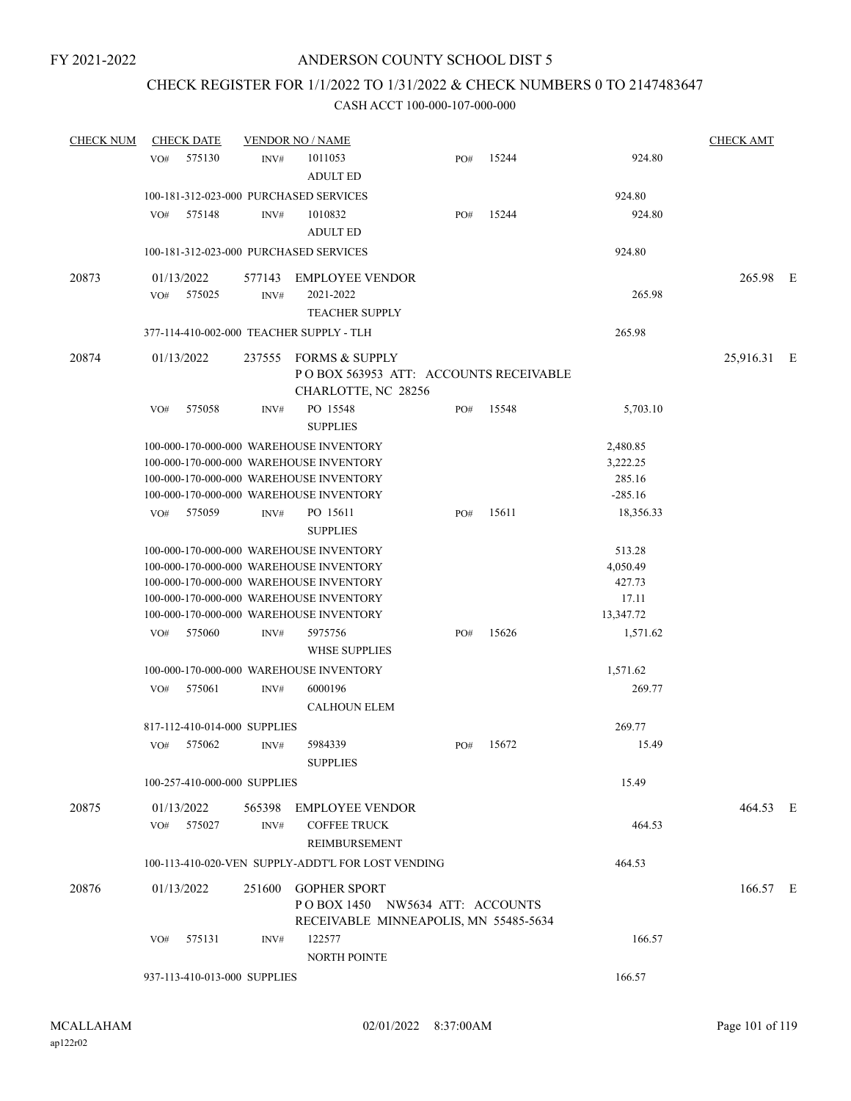### CHECK REGISTER FOR 1/1/2022 TO 1/31/2022 & CHECK NUMBERS 0 TO 2147483647

| <b>CHECK NUM</b> | <b>CHECK DATE</b>                        |                | <b>VENDOR NO / NAME</b>                                                                                                                                                                                             |     |       |                                                    | <b>CHECK AMT</b> |  |
|------------------|------------------------------------------|----------------|---------------------------------------------------------------------------------------------------------------------------------------------------------------------------------------------------------------------|-----|-------|----------------------------------------------------|------------------|--|
|                  | 575130<br>VO#                            | INV#           | 1011053<br><b>ADULT ED</b>                                                                                                                                                                                          | PO# | 15244 | 924.80                                             |                  |  |
|                  | 100-181-312-023-000 PURCHASED SERVICES   |                |                                                                                                                                                                                                                     |     |       | 924.80                                             |                  |  |
|                  | VO#<br>575148                            | INV#           | 1010832<br><b>ADULT ED</b>                                                                                                                                                                                          | PO# | 15244 | 924.80                                             |                  |  |
|                  | 100-181-312-023-000 PURCHASED SERVICES   |                |                                                                                                                                                                                                                     |     |       | 924.80                                             |                  |  |
| 20873            | 01/13/2022                               | 577143         | <b>EMPLOYEE VENDOR</b>                                                                                                                                                                                              |     |       |                                                    | 265.98 E         |  |
|                  | VO#<br>575025                            | INV#           | 2021-2022<br><b>TEACHER SUPPLY</b>                                                                                                                                                                                  |     |       | 265.98                                             |                  |  |
|                  | 377-114-410-002-000 TEACHER SUPPLY - TLH |                |                                                                                                                                                                                                                     |     |       | 265.98                                             |                  |  |
| 20874            | 01/13/2022                               |                | 237555 FORMS & SUPPLY<br>POBOX 563953 ATT: ACCOUNTS RECEIVABLE                                                                                                                                                      |     |       |                                                    | 25,916.31 E      |  |
|                  | 575058<br>VO#                            | INV#           | CHARLOTTE, NC 28256<br>PO 15548                                                                                                                                                                                     | PO# | 15548 | 5,703.10                                           |                  |  |
|                  |                                          |                | <b>SUPPLIES</b><br>100-000-170-000-000 WAREHOUSE INVENTORY<br>100-000-170-000-000 WAREHOUSE INVENTORY<br>100-000-170-000-000 WAREHOUSE INVENTORY<br>100-000-170-000-000 WAREHOUSE INVENTORY                         |     |       | 2,480.85<br>3,222.25<br>285.16<br>$-285.16$        |                  |  |
|                  | VO#<br>575059                            | INV#           | PO 15611<br><b>SUPPLIES</b>                                                                                                                                                                                         | PO# | 15611 | 18,356.33                                          |                  |  |
|                  |                                          |                | 100-000-170-000-000 WAREHOUSE INVENTORY<br>100-000-170-000-000 WAREHOUSE INVENTORY<br>100-000-170-000-000 WAREHOUSE INVENTORY<br>100-000-170-000-000 WAREHOUSE INVENTORY<br>100-000-170-000-000 WAREHOUSE INVENTORY |     |       | 513.28<br>4,050.49<br>427.73<br>17.11<br>13,347.72 |                  |  |
|                  | 575060<br>VO#                            | INV#           | 5975756<br><b>WHSE SUPPLIES</b>                                                                                                                                                                                     | PO# | 15626 | 1,571.62                                           |                  |  |
|                  |                                          |                | 100-000-170-000-000 WAREHOUSE INVENTORY                                                                                                                                                                             |     |       | 1,571.62                                           |                  |  |
|                  | 575061<br>VO#                            | INV#           | 6000196<br><b>CALHOUN ELEM</b>                                                                                                                                                                                      |     |       | 269.77                                             |                  |  |
|                  | 817-112-410-014-000 SUPPLIES             |                |                                                                                                                                                                                                                     |     |       | 269.77                                             |                  |  |
|                  | 575062<br>VO#                            | INV#           | 5984339<br><b>SUPPLIES</b>                                                                                                                                                                                          | PO# | 15672 | 15.49                                              |                  |  |
|                  | 100-257-410-000-000 SUPPLIES             |                |                                                                                                                                                                                                                     |     |       | 15.49                                              |                  |  |
| 20875            | 01/13/2022<br>575027<br>VO#              | 565398<br>INV# | <b>EMPLOYEE VENDOR</b><br><b>COFFEE TRUCK</b><br><b>REIMBURSEMENT</b>                                                                                                                                               |     |       | 464.53                                             | 464.53 E         |  |
|                  |                                          |                | 100-113-410-020-VEN SUPPLY-ADDT'L FOR LOST VENDING                                                                                                                                                                  |     |       | 464.53                                             |                  |  |
| 20876            | 01/13/2022                               | 251600         | <b>GOPHER SPORT</b><br>POBOX 1450 NW5634 ATT: ACCOUNTS<br>RECEIVABLE MINNEAPOLIS, MN 55485-5634                                                                                                                     |     |       |                                                    | 166.57 E         |  |
|                  | VO#<br>575131                            | INV#           | 122577<br>NORTH POINTE                                                                                                                                                                                              |     |       | 166.57                                             |                  |  |
|                  | 937-113-410-013-000 SUPPLIES             |                |                                                                                                                                                                                                                     |     |       | 166.57                                             |                  |  |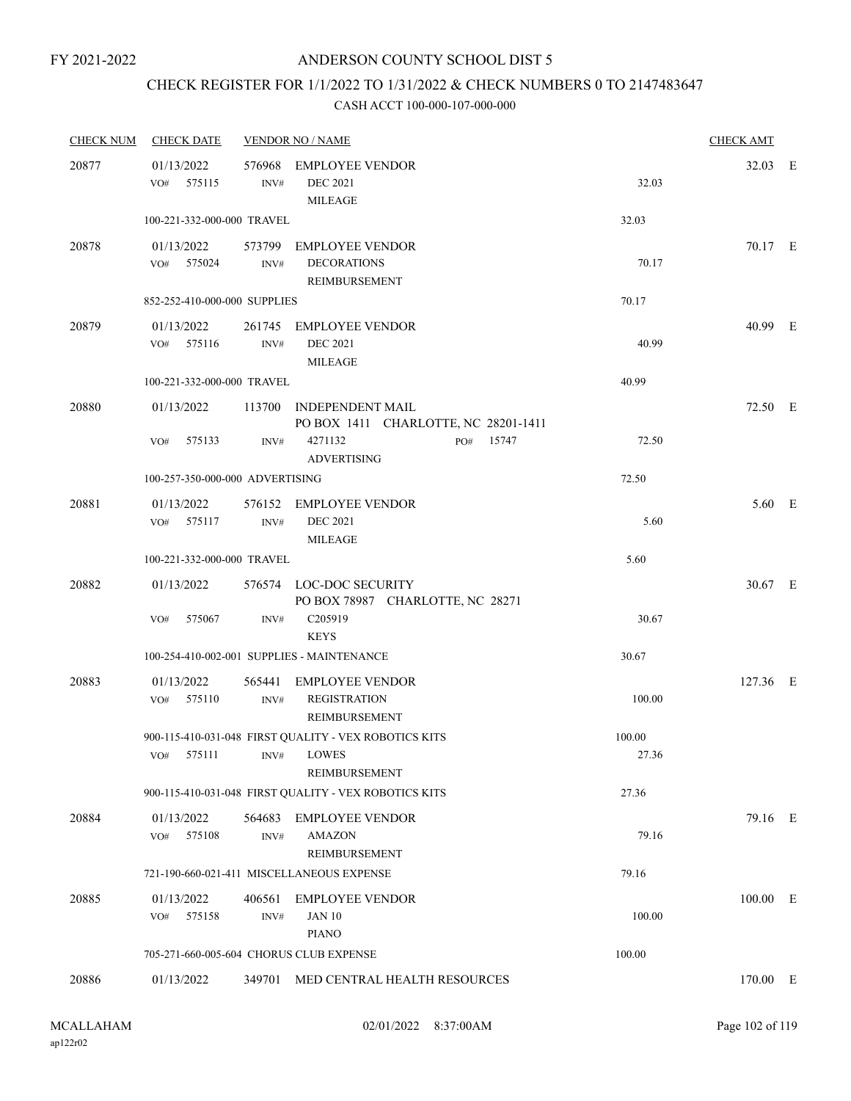# CHECK REGISTER FOR 1/1/2022 TO 1/31/2022 & CHECK NUMBERS 0 TO 2147483647

| <b>CHECK NUM</b> | <b>CHECK DATE</b>                       |                | <b>VENDOR NO / NAME</b>                                               |        | <b>CHECK AMT</b> |  |
|------------------|-----------------------------------------|----------------|-----------------------------------------------------------------------|--------|------------------|--|
| 20877            | 01/13/2022<br>575115<br>VO#             | INV#           | 576968 EMPLOYEE VENDOR<br><b>DEC 2021</b><br><b>MILEAGE</b>           | 32.03  | 32.03 E          |  |
|                  | 100-221-332-000-000 TRAVEL              |                |                                                                       | 32.03  |                  |  |
| 20878            | 01/13/2022<br>VO# 575024                | INV#           | 573799 EMPLOYEE VENDOR<br><b>DECORATIONS</b><br>REIMBURSEMENT         | 70.17  | 70.17 E          |  |
|                  | 852-252-410-000-000 SUPPLIES            |                |                                                                       | 70.17  |                  |  |
| 20879            | 01/13/2022<br>VO# 575116                | INV#           | 261745 EMPLOYEE VENDOR<br><b>DEC 2021</b><br><b>MILEAGE</b>           | 40.99  | 40.99 E          |  |
|                  | 100-221-332-000-000 TRAVEL              |                |                                                                       | 40.99  |                  |  |
| 20880            | 01/13/2022                              |                | 113700 INDEPENDENT MAIL<br>PO BOX 1411 CHARLOTTE, NC 28201-1411       |        | 72.50 E          |  |
|                  | 575133<br>VO#                           | INV#           | 4271132<br>PO# 15747<br><b>ADVERTISING</b>                            | 72.50  |                  |  |
|                  | 100-257-350-000-000 ADVERTISING         |                |                                                                       | 72.50  |                  |  |
| 20881            | 01/13/2022<br>VO# 575117                | INV#           | 576152 EMPLOYEE VENDOR<br><b>DEC 2021</b><br><b>MILEAGE</b>           | 5.60   | 5.60 E           |  |
|                  | 100-221-332-000-000 TRAVEL              |                |                                                                       | 5.60   |                  |  |
| 20882            | 01/13/2022                              |                | 576574 LOC-DOC SECURITY<br>PO BOX 78987 CHARLOTTE, NC 28271           |        | 30.67 E          |  |
|                  | 575067<br>VO#                           | INV#           | C205919<br><b>KEYS</b>                                                | 30.67  |                  |  |
|                  |                                         |                | 100-254-410-002-001 SUPPLIES - MAINTENANCE                            | 30.67  |                  |  |
| 20883            | 01/13/2022<br>VO#<br>575110             | INV#           | 565441 EMPLOYEE VENDOR<br><b>REGISTRATION</b><br><b>REIMBURSEMENT</b> | 100.00 | 127.36 E         |  |
|                  |                                         |                | 900-115-410-031-048 FIRST QUALITY - VEX ROBOTICS KITS                 | 100.00 |                  |  |
|                  |                                         |                | REIMBURSEMENT                                                         | 27.36  |                  |  |
|                  |                                         |                | 900-115-410-031-048 FIRST QUALITY - VEX ROBOTICS KITS                 | 27.36  |                  |  |
| 20884            | 01/13/2022<br>575108<br>VO#             | INV#           | 564683 EMPLOYEE VENDOR<br><b>AMAZON</b><br>REIMBURSEMENT              | 79.16  | 79.16 E          |  |
|                  |                                         |                | 721-190-660-021-411 MISCELLANEOUS EXPENSE                             | 79.16  |                  |  |
| 20885            | 01/13/2022<br>575158<br>VO#             | 406561<br>INV# | <b>EMPLOYEE VENDOR</b><br><b>JAN 10</b><br><b>PIANO</b>               | 100.00 | $100.00$ E       |  |
|                  | 705-271-660-005-604 CHORUS CLUB EXPENSE |                |                                                                       | 100.00 |                  |  |
| 20886            | 01/13/2022                              |                | 349701 MED CENTRAL HEALTH RESOURCES                                   |        | 170.00 E         |  |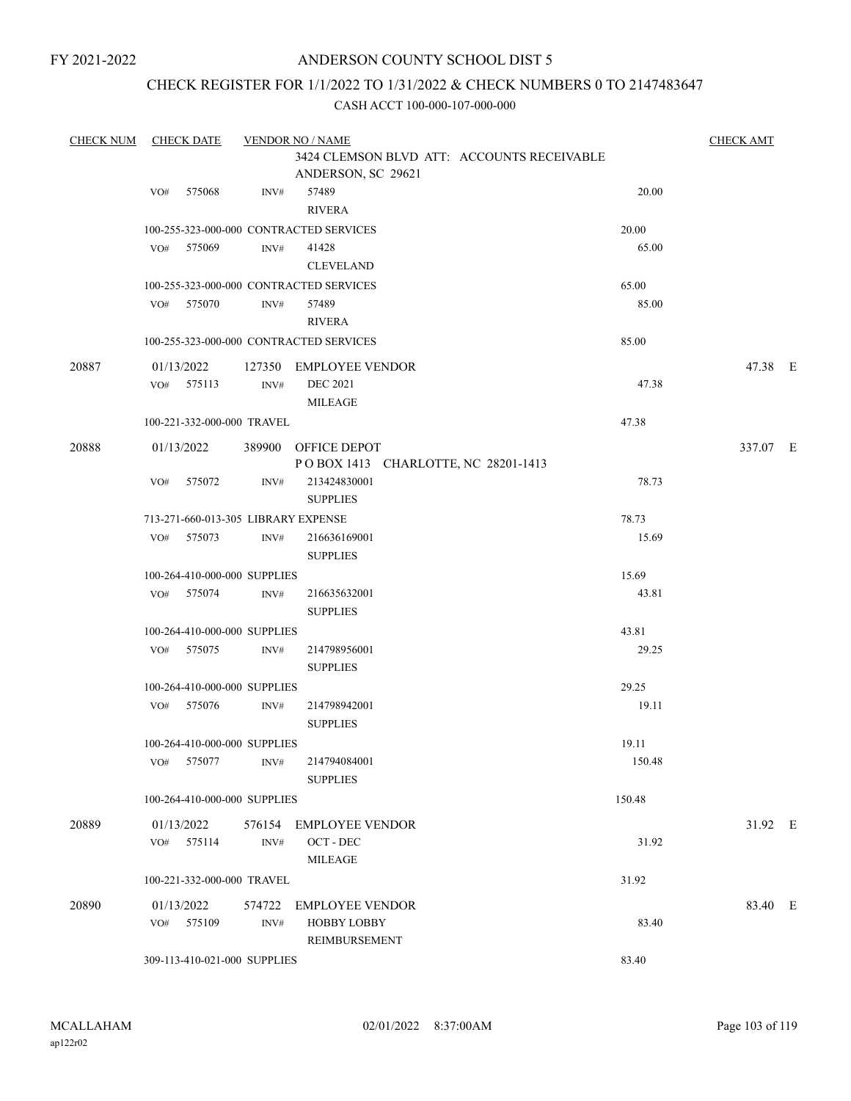### ANDERSON COUNTY SCHOOL DIST 5

### CHECK REGISTER FOR 1/1/2022 TO 1/31/2022 & CHECK NUMBERS 0 TO 2147483647

| <b>CHECK NUM</b> | <b>CHECK DATE</b>                   |        | <b>VENDOR NO / NAME</b>                                          | <b>CHECK AMT</b> |          |  |  |  |
|------------------|-------------------------------------|--------|------------------------------------------------------------------|------------------|----------|--|--|--|
|                  |                                     |        | 3424 CLEMSON BLVD ATT: ACCOUNTS RECEIVABLE<br>ANDERSON, SC 29621 |                  |          |  |  |  |
|                  | 575068<br>VO#                       | INV#   | 57489<br><b>RIVERA</b>                                           | 20.00            |          |  |  |  |
|                  |                                     |        | 100-255-323-000-000 CONTRACTED SERVICES                          | 20.00            |          |  |  |  |
|                  | VO# 575069                          | INV#   | 41428<br><b>CLEVELAND</b>                                        | 65.00            |          |  |  |  |
|                  |                                     |        | 100-255-323-000-000 CONTRACTED SERVICES                          | 65.00            |          |  |  |  |
|                  | 575070<br>VO#                       | INV#   | 57489<br><b>RIVERA</b>                                           | 85.00            |          |  |  |  |
|                  |                                     |        | 100-255-323-000-000 CONTRACTED SERVICES                          | 85.00            |          |  |  |  |
| 20887            | 01/13/2022                          |        | 127350 EMPLOYEE VENDOR                                           |                  | 47.38 E  |  |  |  |
|                  | VO# 575113                          | INV#   | <b>DEC 2021</b><br><b>MILEAGE</b>                                | 47.38            |          |  |  |  |
|                  | 100-221-332-000-000 TRAVEL          |        |                                                                  | 47.38            |          |  |  |  |
| 20888            | 01/13/2022                          | 389900 | OFFICE DEPOT<br>POBOX 1413 CHARLOTTE, NC 28201-1413              |                  | 337.07 E |  |  |  |
|                  | 575072<br>VO#                       | INV#   | 213424830001<br><b>SUPPLIES</b>                                  | 78.73            |          |  |  |  |
|                  | 713-271-660-013-305 LIBRARY EXPENSE |        |                                                                  | 78.73            |          |  |  |  |
|                  | 575073<br>VO#                       | INV#   | 216636169001<br><b>SUPPLIES</b>                                  | 15.69            |          |  |  |  |
|                  | 100-264-410-000-000 SUPPLIES        |        |                                                                  | 15.69            |          |  |  |  |
|                  | 575074<br>VO#                       | INV#   | 216635632001<br><b>SUPPLIES</b>                                  | 43.81            |          |  |  |  |
|                  | 100-264-410-000-000 SUPPLIES        |        |                                                                  | 43.81            |          |  |  |  |
|                  | VO#<br>575075                       | INV#   | 214798956001<br><b>SUPPLIES</b>                                  | 29.25            |          |  |  |  |
|                  | 100-264-410-000-000 SUPPLIES        |        |                                                                  | 29.25            |          |  |  |  |
|                  | VO# 575076                          | INV#   | 214798942001<br><b>SUPPLIES</b>                                  | 19.11            |          |  |  |  |
|                  | 100-264-410-000-000 SUPPLIES        |        |                                                                  | 19.11            |          |  |  |  |
|                  | VO# 575077                          | INV#   | 214794084001<br><b>SUPPLIES</b>                                  | 150.48           |          |  |  |  |
|                  | 100-264-410-000-000 SUPPLIES        |        |                                                                  | 150.48           |          |  |  |  |
| 20889            | 01/13/2022                          |        | 576154 EMPLOYEE VENDOR                                           |                  | 31.92 E  |  |  |  |
|                  | VO# 575114                          | INV#   | OCT - DEC<br>MILEAGE                                             | 31.92            |          |  |  |  |
|                  | 100-221-332-000-000 TRAVEL          |        |                                                                  | 31.92            |          |  |  |  |
| 20890            | 01/13/2022<br>VO# 575109            | INV#   | 574722 EMPLOYEE VENDOR<br><b>HOBBY LOBBY</b>                     | 83.40            | 83.40 E  |  |  |  |
|                  |                                     |        | REIMBURSEMENT                                                    |                  |          |  |  |  |
|                  | 309-113-410-021-000 SUPPLIES        |        |                                                                  | 83.40            |          |  |  |  |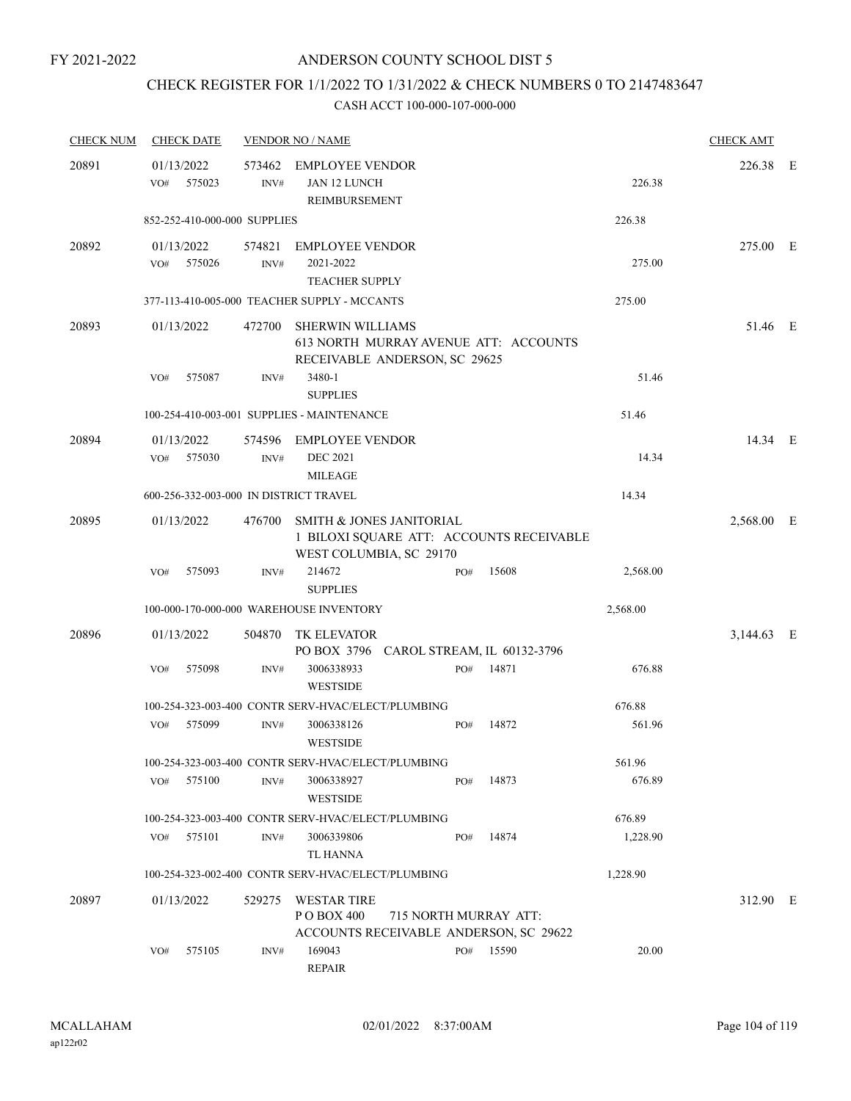## CHECK REGISTER FOR 1/1/2022 TO 1/31/2022 & CHECK NUMBERS 0 TO 2147483647

| <b>CHECK NUM</b> | <b>CHECK DATE</b>                      |                | <b>VENDOR NO / NAME</b>                                        |                                                                        |       |          | <b>CHECK AMT</b> |  |
|------------------|----------------------------------------|----------------|----------------------------------------------------------------|------------------------------------------------------------------------|-------|----------|------------------|--|
| 20891            | 01/13/2022<br>VO#<br>575023            | 573462<br>INV# | <b>EMPLOYEE VENDOR</b><br>JAN 12 LUNCH<br>REIMBURSEMENT        |                                                                        |       | 226.38   | 226.38 E         |  |
|                  | 852-252-410-000-000 SUPPLIES           |                |                                                                |                                                                        |       | 226.38   |                  |  |
| 20892            | 01/13/2022<br>575026<br>VO#            | 574821<br>INV# | <b>EMPLOYEE VENDOR</b><br>2021-2022<br><b>TEACHER SUPPLY</b>   |                                                                        |       | 275.00   | 275.00 E         |  |
|                  |                                        |                | 377-113-410-005-000 TEACHER SUPPLY - MCCANTS                   |                                                                        |       | 275.00   |                  |  |
| 20893            | 01/13/2022                             | 472700         | <b>SHERWIN WILLIAMS</b>                                        | 613 NORTH MURRAY AVENUE ATT: ACCOUNTS<br>RECEIVABLE ANDERSON, SC 29625 |       |          | 51.46 E          |  |
|                  | VO#<br>575087                          | INV#           | 3480-1<br><b>SUPPLIES</b>                                      |                                                                        |       | 51.46    |                  |  |
|                  |                                        |                | 100-254-410-003-001 SUPPLIES - MAINTENANCE                     |                                                                        |       | 51.46    |                  |  |
| 20894            | 01/13/2022<br>575030<br>VO#            | INV#           | 574596 EMPLOYEE VENDOR<br><b>DEC 2021</b><br><b>MILEAGE</b>    |                                                                        |       | 14.34    | 14.34 E          |  |
|                  | 600-256-332-003-000 IN DISTRICT TRAVEL |                |                                                                |                                                                        |       | 14.34    |                  |  |
| 20895            | 01/13/2022                             | 476700         | <b>SMITH &amp; JONES JANITORIAL</b><br>WEST COLUMBIA, SC 29170 | 1 BILOXI SQUARE ATT: ACCOUNTS RECEIVABLE                               |       |          | 2,568.00 E       |  |
|                  | 575093<br>VO#                          | INV#           | 214672<br><b>SUPPLIES</b>                                      | PO#                                                                    | 15608 | 2,568.00 |                  |  |
|                  |                                        |                | 100-000-170-000-000 WAREHOUSE INVENTORY                        |                                                                        |       | 2,568.00 |                  |  |
| 20896            | 01/13/2022                             | 504870         | <b>TK ELEVATOR</b>                                             | PO BOX 3796 CAROL STREAM, IL 60132-3796                                |       |          | 3,144.63 E       |  |
|                  | 575098<br>VO#                          | INV#           | 3006338933<br><b>WESTSIDE</b>                                  | PO#                                                                    | 14871 | 676.88   |                  |  |
|                  |                                        |                | 100-254-323-003-400 CONTR SERV-HVAC/ELECT/PLUMBING             |                                                                        |       | 676.88   |                  |  |
|                  | 575099<br>VO#                          | INV#           | 3006338126<br><b>WESTSIDE</b>                                  | PO#                                                                    | 14872 | 561.96   |                  |  |
|                  |                                        |                | 100-254-323-003-400 CONTR SERV-HVAC/ELECT/PLUMBING             |                                                                        |       | 561.96   |                  |  |
|                  | 575100<br>VO#                          | INV#           | 3006338927<br><b>WESTSIDE</b>                                  | PO#                                                                    | 14873 | 676.89   |                  |  |
|                  |                                        |                | 100-254-323-003-400 CONTR SERV-HVAC/ELECT/PLUMBING             |                                                                        |       | 676.89   |                  |  |
|                  | 575101<br>VO#                          | INV#           | 3006339806<br>TL HANNA                                         | PO#                                                                    | 14874 | 1,228.90 |                  |  |
|                  |                                        |                | 100-254-323-002-400 CONTR SERV-HVAC/ELECT/PLUMBING             |                                                                        |       | 1,228.90 |                  |  |
| 20897            | 01/13/2022                             |                | 529275 WESTAR TIRE<br>P O BOX 400                              | 715 NORTH MURRAY ATT:<br>ACCOUNTS RECEIVABLE ANDERSON, SC 29622        |       |          | 312.90 E         |  |
|                  | 575105<br>VO#                          | INV#           | 169043<br><b>REPAIR</b>                                        | PO#                                                                    | 15590 | 20.00    |                  |  |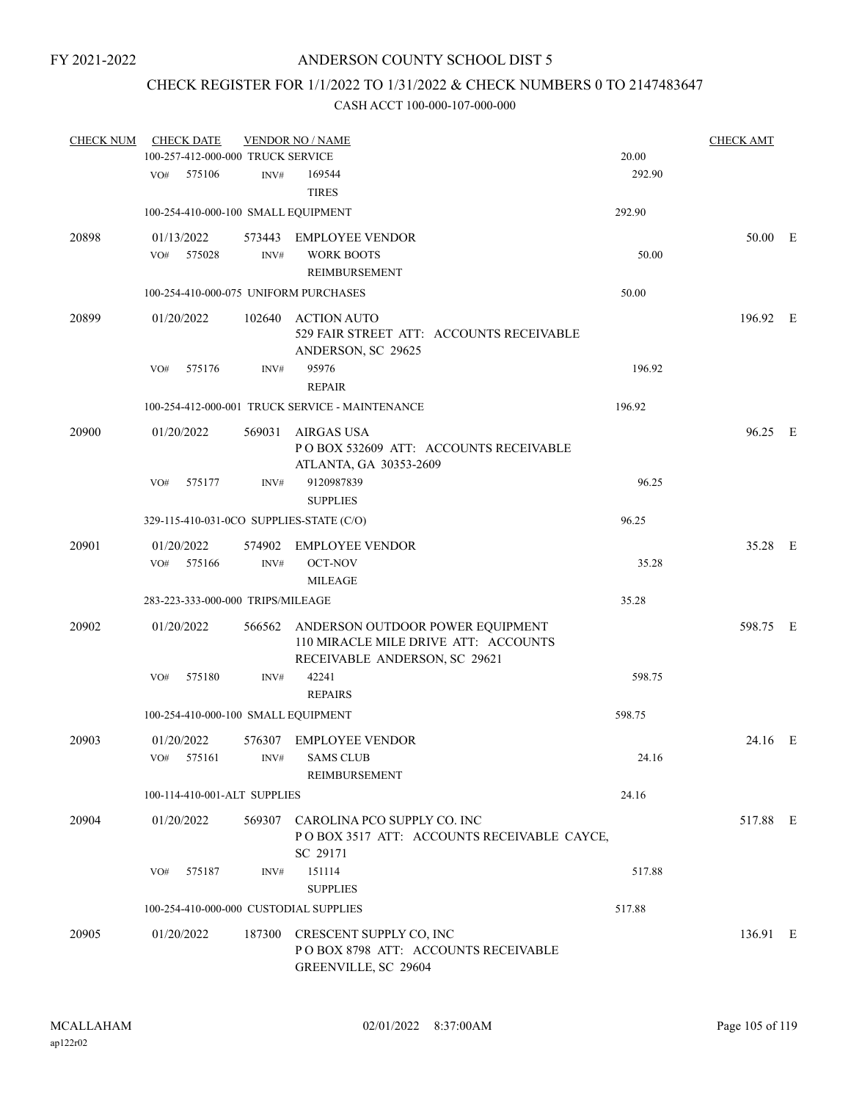### CHECK REGISTER FOR 1/1/2022 TO 1/31/2022 & CHECK NUMBERS 0 TO 2147483647

| <b>CHECK NUM</b> |     | <b>CHECK DATE</b>                 |        | <b>VENDOR NO / NAME</b>                                                                                          |        | <b>CHECK AMT</b> |  |
|------------------|-----|-----------------------------------|--------|------------------------------------------------------------------------------------------------------------------|--------|------------------|--|
|                  |     | 100-257-412-000-000 TRUCK SERVICE |        |                                                                                                                  | 20.00  |                  |  |
|                  | VO# | 575106                            | INV#   | 169544<br><b>TIRES</b>                                                                                           | 292.90 |                  |  |
|                  |     |                                   |        | 100-254-410-000-100 SMALL EQUIPMENT                                                                              | 292.90 |                  |  |
| 20898            |     | 01/13/2022                        |        | 573443 EMPLOYEE VENDOR                                                                                           |        | 50.00 E          |  |
|                  | VO# | 575028                            | INV#   | <b>WORK BOOTS</b>                                                                                                | 50.00  |                  |  |
|                  |     |                                   |        | <b>REIMBURSEMENT</b>                                                                                             |        |                  |  |
|                  |     |                                   |        | 100-254-410-000-075 UNIFORM PURCHASES                                                                            | 50.00  |                  |  |
| 20899            |     | 01/20/2022                        | 102640 | <b>ACTION AUTO</b><br>529 FAIR STREET ATT: ACCOUNTS RECEIVABLE<br>ANDERSON, SC 29625                             |        | 196.92 E         |  |
|                  | VO# | 575176                            | INV#   | 95976                                                                                                            | 196.92 |                  |  |
|                  |     |                                   |        | <b>REPAIR</b>                                                                                                    |        |                  |  |
|                  |     |                                   |        | 100-254-412-000-001 TRUCK SERVICE - MAINTENANCE                                                                  | 196.92 |                  |  |
| 20900            |     | 01/20/2022                        | 569031 | <b>AIRGAS USA</b><br>PO BOX 532609 ATT: ACCOUNTS RECEIVABLE<br>ATLANTA, GA 30353-2609                            |        | 96.25 E          |  |
|                  | VO# | 575177                            | INV#   | 9120987839<br><b>SUPPLIES</b>                                                                                    | 96.25  |                  |  |
|                  |     |                                   |        | 329-115-410-031-0CO SUPPLIES-STATE (C/O)                                                                         | 96.25  |                  |  |
| 20901            |     | 01/20/2022                        | 574902 | <b>EMPLOYEE VENDOR</b>                                                                                           |        | 35.28 E          |  |
|                  | VO# | 575166                            | INV#   | <b>OCT-NOV</b><br><b>MILEAGE</b>                                                                                 | 35.28  |                  |  |
|                  |     | 283-223-333-000-000 TRIPS/MILEAGE |        |                                                                                                                  | 35.28  |                  |  |
|                  |     |                                   |        |                                                                                                                  |        |                  |  |
| 20902            |     | 01/20/2022                        |        | 566562 ANDERSON OUTDOOR POWER EQUIPMENT<br>110 MIRACLE MILE DRIVE ATT: ACCOUNTS<br>RECEIVABLE ANDERSON, SC 29621 |        | 598.75 E         |  |
|                  | VO# | 575180                            | INV#   | 42241<br><b>REPAIRS</b>                                                                                          | 598.75 |                  |  |
|                  |     |                                   |        | 100-254-410-000-100 SMALL EQUIPMENT                                                                              | 598.75 |                  |  |
| 20903            |     | 01/20/2022                        |        | 576307 EMPLOYEE VENDOR                                                                                           |        | 24.16 E          |  |
|                  | VO# | 575161                            | INV#   | <b>SAMS CLUB</b><br>REIMBURSEMENT                                                                                | 24.16  |                  |  |
|                  |     | 100-114-410-001-ALT SUPPLIES      |        |                                                                                                                  | 24.16  |                  |  |
| 20904            |     | 01/20/2022                        |        | 569307 CAROLINA PCO SUPPLY CO. INC<br>POBOX 3517 ATT: ACCOUNTS RECEIVABLE CAYCE,<br>SC 29171                     |        | 517.88 E         |  |
|                  | VO# | 575187                            | INV#   | 151114<br><b>SUPPLIES</b>                                                                                        | 517.88 |                  |  |
|                  |     |                                   |        | 100-254-410-000-000 CUSTODIAL SUPPLIES                                                                           | 517.88 |                  |  |
| 20905            |     | 01/20/2022                        |        | 187300 CRESCENT SUPPLY CO, INC<br>POBOX 8798 ATT: ACCOUNTS RECEIVABLE<br>GREENVILLE, SC 29604                    |        | 136.91 E         |  |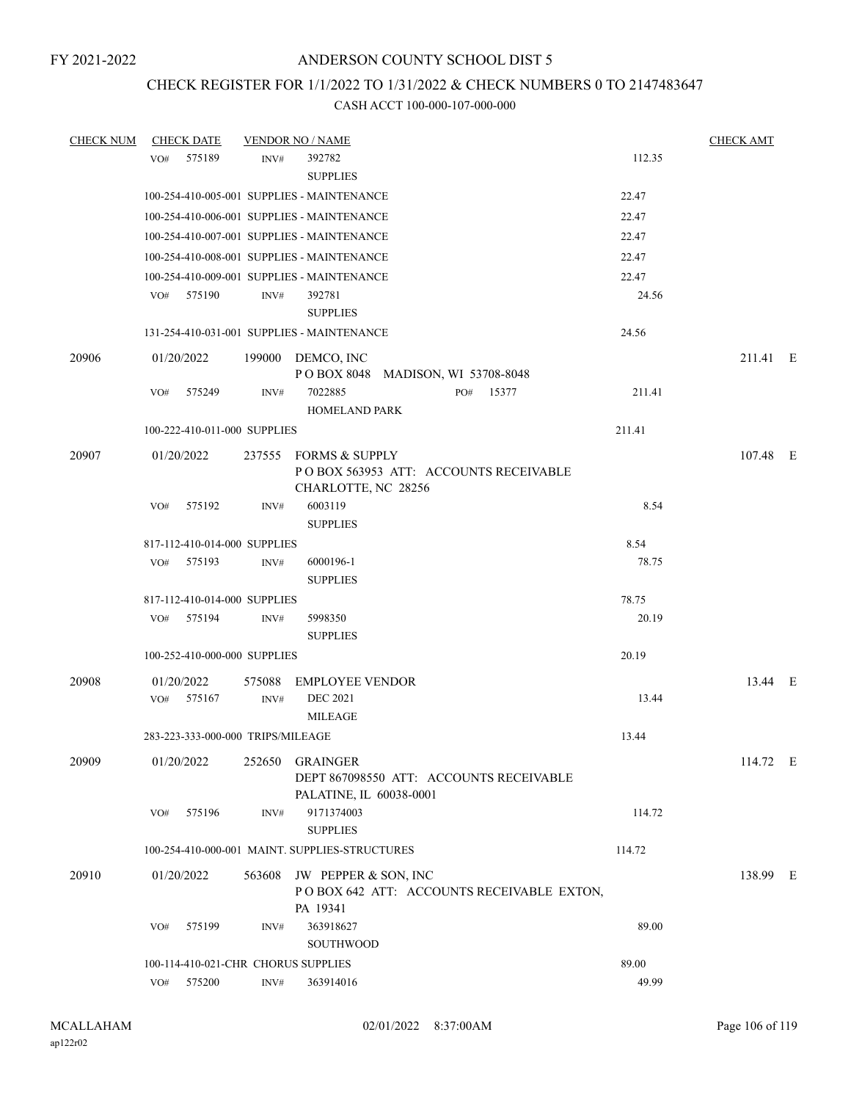#### CHECK REGISTER FOR 1/1/2022 TO 1/31/2022 & CHECK NUMBERS 0 TO 2147483647

| <b>CHECK NUM</b> | <b>CHECK DATE</b>                   |        | <b>VENDOR NO / NAME</b>                                                               |        | <b>CHECK AMT</b> |  |
|------------------|-------------------------------------|--------|---------------------------------------------------------------------------------------|--------|------------------|--|
|                  | 575189<br>VO#                       | INV#   | 392782                                                                                | 112.35 |                  |  |
|                  |                                     |        | <b>SUPPLIES</b>                                                                       |        |                  |  |
|                  |                                     |        | 100-254-410-005-001 SUPPLIES - MAINTENANCE                                            | 22.47  |                  |  |
|                  |                                     |        | 100-254-410-006-001 SUPPLIES - MAINTENANCE                                            | 22.47  |                  |  |
|                  |                                     |        | 100-254-410-007-001 SUPPLIES - MAINTENANCE                                            | 22.47  |                  |  |
|                  |                                     |        | 100-254-410-008-001 SUPPLIES - MAINTENANCE                                            | 22.47  |                  |  |
|                  |                                     |        | 100-254-410-009-001 SUPPLIES - MAINTENANCE                                            | 22.47  |                  |  |
|                  | VO# 575190                          | INV#   | 392781<br><b>SUPPLIES</b>                                                             | 24.56  |                  |  |
|                  |                                     |        | 131-254-410-031-001 SUPPLIES - MAINTENANCE                                            | 24.56  |                  |  |
| 20906            | 01/20/2022                          |        | 199000 DEMCO, INC<br>POBOX 8048 MADISON, WI 53708-8048                                |        | 211.41 E         |  |
|                  | 575249<br>VO#                       | INV#   | 7022885<br>PO# 15377<br><b>HOMELAND PARK</b>                                          | 211.41 |                  |  |
|                  | 100-222-410-011-000 SUPPLIES        |        |                                                                                       | 211.41 |                  |  |
| 20907            | 01/20/2022                          |        | 237555 FORMS & SUPPLY<br>POBOX 563953 ATT: ACCOUNTS RECEIVABLE<br>CHARLOTTE, NC 28256 |        | 107.48 E         |  |
|                  | 575192<br>VO#                       | INV#   | 6003119<br><b>SUPPLIES</b>                                                            | 8.54   |                  |  |
|                  | 817-112-410-014-000 SUPPLIES        |        |                                                                                       | 8.54   |                  |  |
|                  | VO#<br>575193                       | INV#   | 6000196-1<br><b>SUPPLIES</b>                                                          | 78.75  |                  |  |
|                  | 817-112-410-014-000 SUPPLIES        |        |                                                                                       | 78.75  |                  |  |
|                  | 575194<br>VO#                       | INV#   | 5998350                                                                               | 20.19  |                  |  |
|                  |                                     |        | <b>SUPPLIES</b>                                                                       |        |                  |  |
|                  | 100-252-410-000-000 SUPPLIES        |        |                                                                                       | 20.19  |                  |  |
| 20908            | 01/20/2022                          | 575088 | <b>EMPLOYEE VENDOR</b>                                                                |        | 13.44 E          |  |
|                  | 575167<br>VO#                       | INV#   | <b>DEC 2021</b><br><b>MILEAGE</b>                                                     | 13.44  |                  |  |
|                  | 283-223-333-000-000 TRIPS/MILEAGE   |        |                                                                                       | 13.44  |                  |  |
| 20909            | 01/20/2022                          |        | 252650 GRAINGER<br>DEPT 867098550 ATT: ACCOUNTS RECEIVABLE<br>PALATINE, IL 60038-0001 |        | 114.72 E         |  |
|                  | 575196<br>VO#                       | INV#   | 9171374003<br><b>SUPPLIES</b>                                                         | 114.72 |                  |  |
|                  |                                     |        | 100-254-410-000-001 MAINT. SUPPLIES-STRUCTURES                                        | 114.72 |                  |  |
| 20910            | 01/20/2022                          | 563608 | JW PEPPER & SON, INC<br>POBOX 642 ATT: ACCOUNTS RECEIVABLE EXTON,<br>PA 19341         |        | 138.99 E         |  |
|                  | 575199<br>VO#                       | INV#   | 363918627<br>SOUTHWOOD                                                                | 89.00  |                  |  |
|                  | 100-114-410-021-CHR CHORUS SUPPLIES |        |                                                                                       | 89.00  |                  |  |
|                  | VO#<br>575200                       | INV#   | 363914016                                                                             | 49.99  |                  |  |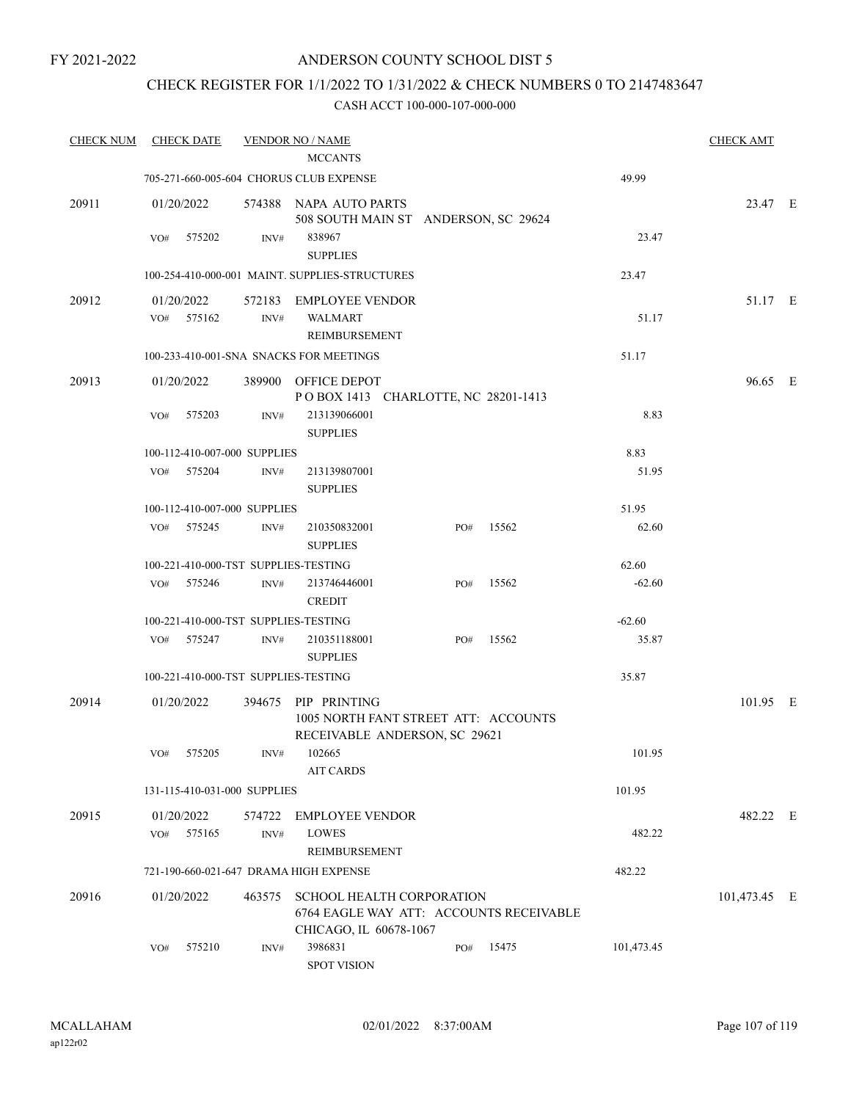### CHECK REGISTER FOR 1/1/2022 TO 1/31/2022 & CHECK NUMBERS 0 TO 2147483647

| <b>CHECK NUM</b> | <b>CHECK DATE</b>                    |        | <b>VENDOR NO / NAME</b>                                                     |     |       |            | <b>CHECK AMT</b> |  |
|------------------|--------------------------------------|--------|-----------------------------------------------------------------------------|-----|-------|------------|------------------|--|
|                  |                                      |        | <b>MCCANTS</b><br>705-271-660-005-604 CHORUS CLUB EXPENSE                   |     |       | 49.99      |                  |  |
|                  |                                      |        |                                                                             |     |       |            |                  |  |
| 20911            | 01/20/2022                           |        | 574388 NAPA AUTO PARTS<br>508 SOUTH MAIN ST ANDERSON, SC 29624              |     |       |            | 23.47 E          |  |
|                  | VO#<br>575202                        | INV#   | 838967                                                                      |     |       | 23.47      |                  |  |
|                  |                                      |        | <b>SUPPLIES</b>                                                             |     |       |            |                  |  |
|                  |                                      |        | 100-254-410-000-001 MAINT. SUPPLIES-STRUCTURES                              |     |       | 23.47      |                  |  |
| 20912            | 01/20/2022                           | 572183 | <b>EMPLOYEE VENDOR</b>                                                      |     |       |            | 51.17 E          |  |
|                  | 575162<br>VO#                        | INV#   | <b>WALMART</b>                                                              |     |       | 51.17      |                  |  |
|                  |                                      |        | REIMBURSEMENT                                                               |     |       |            |                  |  |
|                  |                                      |        | 100-233-410-001-SNA SNACKS FOR MEETINGS                                     |     |       | 51.17      |                  |  |
| 20913            | 01/20/2022                           | 389900 | OFFICE DEPOT                                                                |     |       |            | 96.65 E          |  |
|                  |                                      |        | POBOX 1413 CHARLOTTE, NC 28201-1413                                         |     |       |            |                  |  |
|                  | VO#<br>575203                        | INV#   | 213139066001                                                                |     |       | 8.83       |                  |  |
|                  |                                      |        | <b>SUPPLIES</b>                                                             |     |       |            |                  |  |
|                  | 100-112-410-007-000 SUPPLIES         |        |                                                                             |     |       | 8.83       |                  |  |
|                  | 575204<br>VO#                        | INV#   | 213139807001<br><b>SUPPLIES</b>                                             |     |       | 51.95      |                  |  |
|                  | 100-112-410-007-000 SUPPLIES         |        |                                                                             |     |       | 51.95      |                  |  |
|                  | VO#<br>575245                        | INV#   | 210350832001<br><b>SUPPLIES</b>                                             | PO# | 15562 | 62.60      |                  |  |
|                  | 100-221-410-000-TST SUPPLIES-TESTING |        |                                                                             |     |       | 62.60      |                  |  |
|                  | 575246<br>VO#                        | INV#   | 213746446001                                                                | PO# | 15562 | $-62.60$   |                  |  |
|                  |                                      |        | <b>CREDIT</b>                                                               |     |       |            |                  |  |
|                  | 100-221-410-000-TST SUPPLIES-TESTING |        |                                                                             |     |       | $-62.60$   |                  |  |
|                  | 575247<br>VO#                        | INV#   | 210351188001                                                                | PO# | 15562 | 35.87      |                  |  |
|                  |                                      |        | <b>SUPPLIES</b>                                                             |     |       |            |                  |  |
|                  | 100-221-410-000-TST SUPPLIES-TESTING |        |                                                                             |     |       | 35.87      |                  |  |
| 20914            | 01/20/2022                           | 394675 | PIP PRINTING                                                                |     |       |            | 101.95 E         |  |
|                  |                                      |        | 1005 NORTH FANT STREET ATT: ACCOUNTS<br>RECEIVABLE ANDERSON, SC 29621       |     |       |            |                  |  |
|                  | VO# 575205                           |        | $INV#$ 102665                                                               |     |       | 101.95     |                  |  |
|                  |                                      |        | <b>AIT CARDS</b>                                                            |     |       |            |                  |  |
|                  | 131-115-410-031-000 SUPPLIES         |        |                                                                             |     |       | 101.95     |                  |  |
| 20915            | 01/20/2022                           |        | 574722 EMPLOYEE VENDOR                                                      |     |       |            | 482.22 E         |  |
|                  | VO# 575165                           | INV#   | <b>LOWES</b>                                                                |     |       | 482.22     |                  |  |
|                  |                                      |        | REIMBURSEMENT                                                               |     |       |            |                  |  |
|                  |                                      |        | 721-190-660-021-647 DRAMA HIGH EXPENSE                                      |     |       | 482.22     |                  |  |
| 20916            | 01/20/2022                           | 463575 | <b>SCHOOL HEALTH CORPORATION</b><br>6764 EAGLE WAY ATT: ACCOUNTS RECEIVABLE |     |       |            | 101,473.45 E     |  |
|                  | 575210<br>VO#                        | INV#   | CHICAGO, IL 60678-1067<br>3986831                                           | PO# | 15475 | 101,473.45 |                  |  |
|                  |                                      |        | <b>SPOT VISION</b>                                                          |     |       |            |                  |  |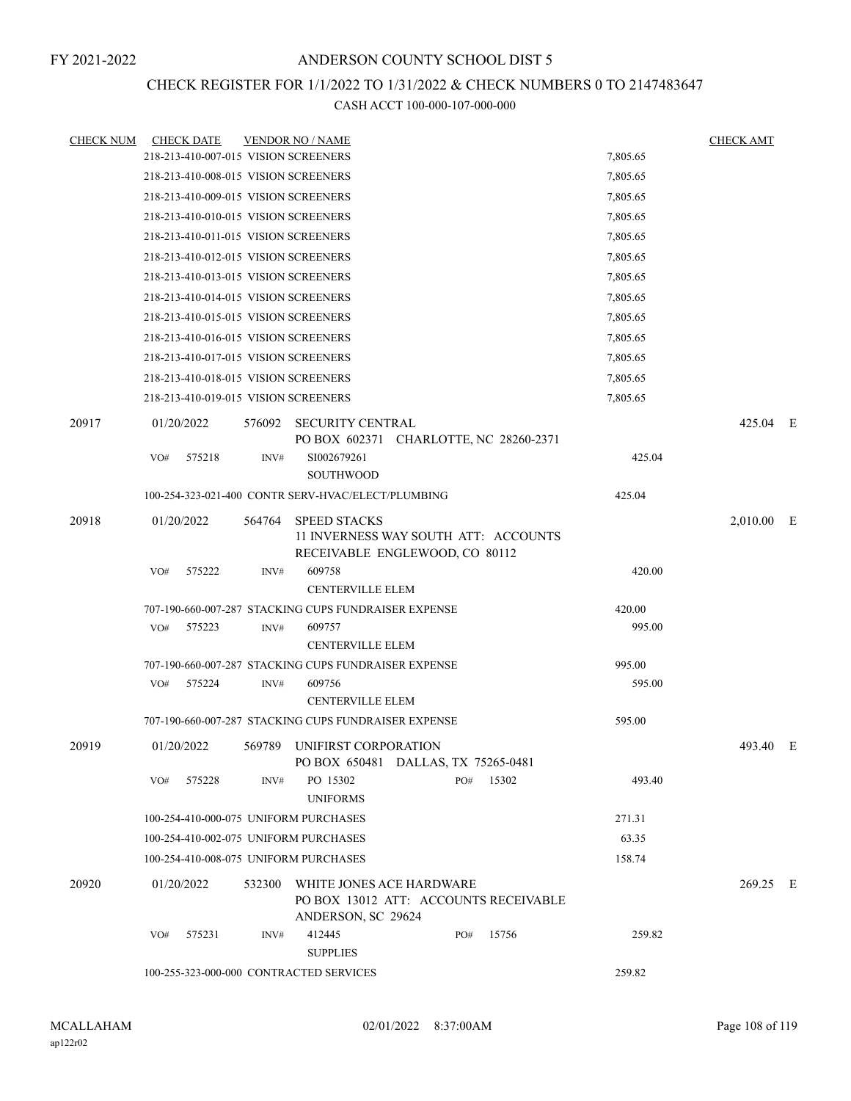### CHECK REGISTER FOR 1/1/2022 TO 1/31/2022 & CHECK NUMBERS 0 TO 2147483647

| <b>CHECK NUM</b> | <b>CHECK DATE</b>                                    |        | <b>VENDOR NO / NAME</b>                                                                        |     |       |          | <b>CHECK AMT</b> |  |
|------------------|------------------------------------------------------|--------|------------------------------------------------------------------------------------------------|-----|-------|----------|------------------|--|
|                  | 218-213-410-007-015 VISION SCREENERS                 |        |                                                                                                |     |       | 7,805.65 |                  |  |
|                  | 218-213-410-008-015 VISION SCREENERS                 |        |                                                                                                |     |       | 7,805.65 |                  |  |
|                  | 218-213-410-009-015 VISION SCREENERS                 |        |                                                                                                |     |       | 7,805.65 |                  |  |
|                  | 218-213-410-010-015 VISION SCREENERS                 |        |                                                                                                |     |       | 7,805.65 |                  |  |
|                  | 218-213-410-011-015 VISION SCREENERS                 |        |                                                                                                |     |       | 7,805.65 |                  |  |
|                  | 218-213-410-012-015 VISION SCREENERS                 |        |                                                                                                |     |       | 7,805.65 |                  |  |
|                  | 218-213-410-013-015 VISION SCREENERS                 |        |                                                                                                |     |       | 7,805.65 |                  |  |
|                  | 218-213-410-014-015 VISION SCREENERS                 |        |                                                                                                |     |       | 7,805.65 |                  |  |
|                  | 218-213-410-015-015 VISION SCREENERS                 |        |                                                                                                |     |       | 7,805.65 |                  |  |
|                  | 218-213-410-016-015 VISION SCREENERS                 |        |                                                                                                |     |       | 7,805.65 |                  |  |
|                  | 218-213-410-017-015 VISION SCREENERS                 |        |                                                                                                |     |       | 7,805.65 |                  |  |
|                  | 218-213-410-018-015 VISION SCREENERS                 |        |                                                                                                |     |       | 7,805.65 |                  |  |
|                  | 218-213-410-019-015 VISION SCREENERS                 |        |                                                                                                |     |       | 7,805.65 |                  |  |
| 20917            | 01/20/2022                                           |        | 576092 SECURITY CENTRAL<br>PO BOX 602371 CHARLOTTE, NC 28260-2371                              |     |       |          | 425.04 E         |  |
|                  | 575218<br>VO#                                        | INV#   | SI002679261<br><b>SOUTHWOOD</b>                                                                |     |       | 425.04   |                  |  |
|                  | 100-254-323-021-400 CONTR SERV-HVAC/ELECT/PLUMBING   |        |                                                                                                |     |       | 425.04   |                  |  |
| 20918            | 01/20/2022                                           | 564764 | <b>SPEED STACKS</b><br>11 INVERNESS WAY SOUTH ATT: ACCOUNTS<br>RECEIVABLE ENGLEWOOD, CO 80112  |     |       |          | $2,010.00$ E     |  |
|                  | 575222<br>VO#                                        | INV#   | 609758                                                                                         |     |       | 420.00   |                  |  |
|                  |                                                      |        | <b>CENTERVILLE ELEM</b>                                                                        |     |       |          |                  |  |
|                  | 707-190-660-007-287 STACKING CUPS FUNDRAISER EXPENSE |        |                                                                                                |     |       | 420.00   |                  |  |
|                  | 575223<br>VO#                                        | INV#   | 609757<br><b>CENTERVILLE ELEM</b>                                                              |     |       | 995.00   |                  |  |
|                  | 707-190-660-007-287 STACKING CUPS FUNDRAISER EXPENSE |        |                                                                                                |     |       | 995.00   |                  |  |
|                  | 575224<br>VO#                                        | INV#   | 609756<br><b>CENTERVILLE ELEM</b>                                                              |     |       | 595.00   |                  |  |
|                  | 707-190-660-007-287 STACKING CUPS FUNDRAISER EXPENSE |        |                                                                                                |     |       | 595.00   |                  |  |
| 20919            | 01/20/2022                                           | 569789 | UNIFIRST CORPORATION<br>PO BOX 650481 DALLAS, TX 75265-0481                                    |     |       |          | 493.40 E         |  |
|                  | 575228<br>VO#                                        | INV#   | PO 15302<br><b>UNIFORMS</b>                                                                    | PO# | 15302 | 493.40   |                  |  |
|                  | 100-254-410-000-075 UNIFORM PURCHASES                |        |                                                                                                |     |       | 271.31   |                  |  |
|                  | 100-254-410-002-075 UNIFORM PURCHASES                |        |                                                                                                |     |       | 63.35    |                  |  |
|                  | 100-254-410-008-075 UNIFORM PURCHASES                |        |                                                                                                |     |       | 158.74   |                  |  |
| 20920            | 01/20/2022                                           |        | 532300 WHITE JONES ACE HARDWARE<br>PO BOX 13012 ATT: ACCOUNTS RECEIVABLE<br>ANDERSON, SC 29624 |     |       |          | 269.25 E         |  |
|                  | 575231<br>VO#                                        | INV#   | 412445<br><b>SUPPLIES</b>                                                                      | PO# | 15756 | 259.82   |                  |  |
|                  | 100-255-323-000-000 CONTRACTED SERVICES              |        |                                                                                                |     |       | 259.82   |                  |  |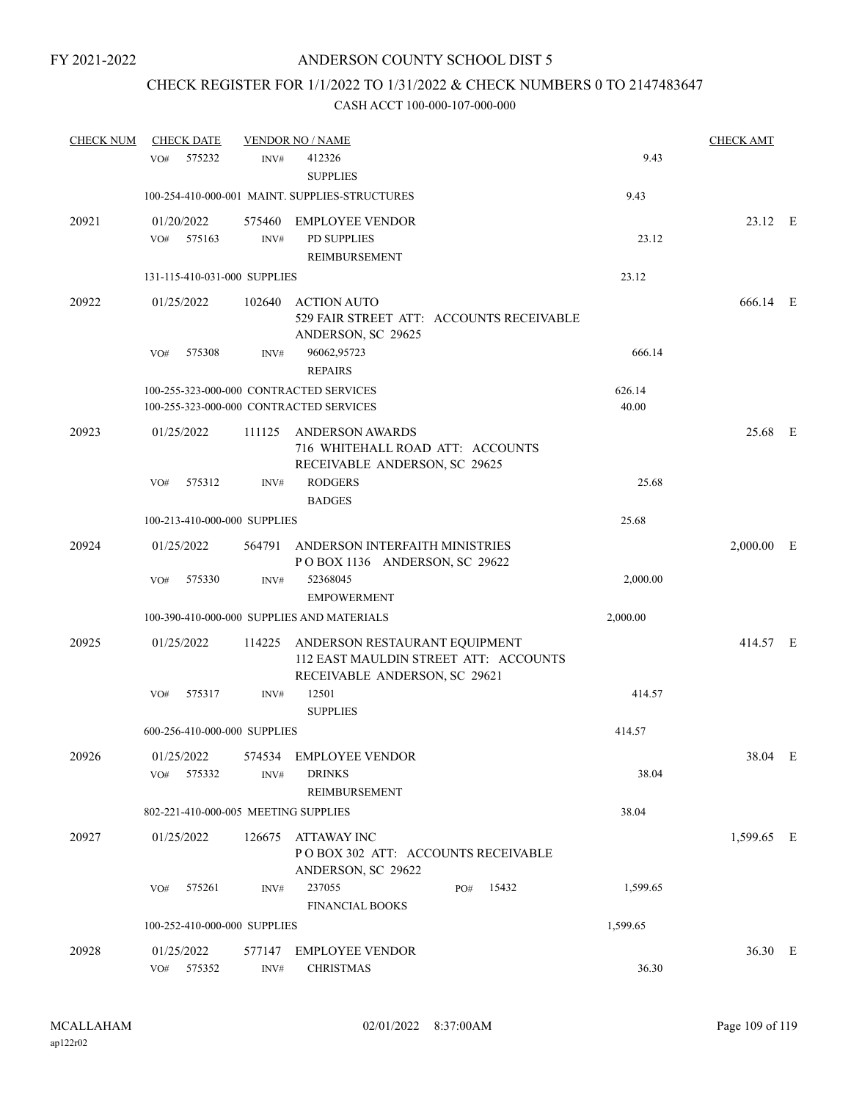## CHECK REGISTER FOR 1/1/2022 TO 1/31/2022 & CHECK NUMBERS 0 TO 2147483647

| <b>CHECK NUM</b> | <b>CHECK DATE</b>                    |        | <b>VENDOR NO / NAME</b>                                                                                        |                 | <b>CHECK AMT</b> |  |
|------------------|--------------------------------------|--------|----------------------------------------------------------------------------------------------------------------|-----------------|------------------|--|
|                  | 575232<br>VO <sub>#</sub>            | INV#   | 412326<br><b>SUPPLIES</b>                                                                                      | 9.43            |                  |  |
|                  |                                      |        | 100-254-410-000-001 MAINT. SUPPLIES-STRUCTURES                                                                 | 9.43            |                  |  |
| 20921            | 01/20/2022<br>575163<br>VO#          | INV#   | 575460 EMPLOYEE VENDOR<br>PD SUPPLIES<br>REIMBURSEMENT                                                         | 23.12           | 23.12 E          |  |
|                  | 131-115-410-031-000 SUPPLIES         |        |                                                                                                                | 23.12           |                  |  |
| 20922            | 01/25/2022                           | 102640 | <b>ACTION AUTO</b><br>529 FAIR STREET ATT: ACCOUNTS RECEIVABLE<br>ANDERSON, SC 29625                           |                 | 666.14 E         |  |
|                  | 575308<br>VO#                        | INV#   | 96062,95723<br><b>REPAIRS</b>                                                                                  | 666.14          |                  |  |
|                  |                                      |        | 100-255-323-000-000 CONTRACTED SERVICES<br>100-255-323-000-000 CONTRACTED SERVICES                             | 626.14<br>40.00 |                  |  |
| 20923            | 01/25/2022                           | 111125 | <b>ANDERSON AWARDS</b><br>716 WHITEHALL ROAD ATT: ACCOUNTS<br>RECEIVABLE ANDERSON, SC 29625                    |                 | 25.68 E          |  |
|                  | 575312<br>VO#                        | INV#   | <b>RODGERS</b><br><b>BADGES</b>                                                                                | 25.68           |                  |  |
|                  | 100-213-410-000-000 SUPPLIES         |        |                                                                                                                | 25.68           |                  |  |
| 20924            | 01/25/2022                           | 564791 | ANDERSON INTERFAITH MINISTRIES<br>POBOX 1136 ANDERSON, SC 29622                                                |                 | $2,000.00$ E     |  |
|                  | 575330<br>VO#                        | INV#   | 52368045<br><b>EMPOWERMENT</b>                                                                                 | 2,000.00        |                  |  |
|                  |                                      |        | 100-390-410-000-000 SUPPLIES AND MATERIALS                                                                     | 2,000.00        |                  |  |
| 20925            | 01/25/2022                           |        | 114225 ANDERSON RESTAURANT EQUIPMENT<br>112 EAST MAULDIN STREET ATT: ACCOUNTS<br>RECEIVABLE ANDERSON, SC 29621 |                 | 414.57 E         |  |
|                  | VO#<br>575317                        | INV#   | 12501<br><b>SUPPLIES</b>                                                                                       | 414.57          |                  |  |
|                  | 600-256-410-000-000 SUPPLIES         |        |                                                                                                                | 414.57          |                  |  |
| 20926            | 01/25/2022<br>575332<br>VO#          | INV#   | 574534 EMPLOYEE VENDOR<br><b>DRINKS</b><br>REIMBURSEMENT                                                       | 38.04           | 38.04 E          |  |
|                  | 802-221-410-000-005 MEETING SUPPLIES |        |                                                                                                                | 38.04           |                  |  |
| 20927            | 01/25/2022                           | 126675 | ATTAWAY INC<br>PO BOX 302 ATT: ACCOUNTS RECEIVABLE<br>ANDERSON, SC 29622                                       |                 | 1,599.65 E       |  |
|                  | VO#<br>575261                        | INV#   | 237055<br>15432<br>PO#<br><b>FINANCIAL BOOKS</b>                                                               | 1,599.65        |                  |  |
|                  | 100-252-410-000-000 SUPPLIES         |        |                                                                                                                | 1,599.65        |                  |  |
| 20928            | 01/25/2022<br>VO#<br>575352          | INV#   | 577147 EMPLOYEE VENDOR<br><b>CHRISTMAS</b>                                                                     | 36.30           | 36.30 E          |  |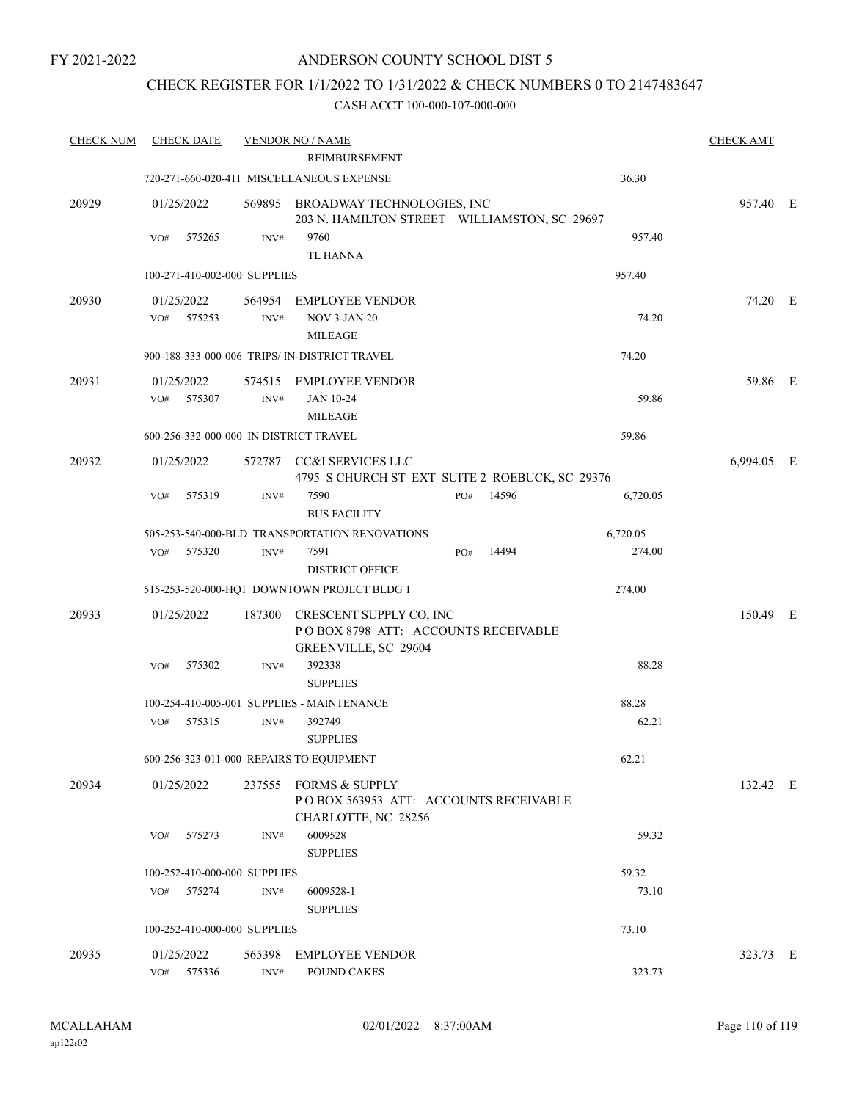FY 2021-2022

## ANDERSON COUNTY SCHOOL DIST 5

## CHECK REGISTER FOR 1/1/2022 TO 1/31/2022 & CHECK NUMBERS 0 TO 2147483647

| <b>CHECK NUM</b> | <b>CHECK DATE</b>                      |                | <b>VENDOR NO / NAME</b>                                                           |     |       |          | <b>CHECK AMT</b> |  |
|------------------|----------------------------------------|----------------|-----------------------------------------------------------------------------------|-----|-------|----------|------------------|--|
|                  |                                        |                | <b>REIMBURSEMENT</b>                                                              |     |       |          |                  |  |
|                  |                                        |                | 720-271-660-020-411 MISCELLANEOUS EXPENSE                                         |     |       | 36.30    |                  |  |
| 20929            | 01/25/2022                             |                | 569895 BROADWAY TECHNOLOGIES, INC<br>203 N. HAMILTON STREET WILLIAMSTON, SC 29697 |     |       |          | 957.40 E         |  |
|                  | VO#<br>575265                          | INV#           | 9760                                                                              |     |       | 957.40   |                  |  |
|                  |                                        |                | TL HANNA                                                                          |     |       |          |                  |  |
|                  | 100-271-410-002-000 SUPPLIES           |                |                                                                                   |     |       | 957.40   |                  |  |
| 20930            | 01/25/2022                             |                | 564954 EMPLOYEE VENDOR                                                            |     |       |          | 74.20 E          |  |
|                  | VO#<br>575253                          | INV#           | NOV 3-JAN 20                                                                      |     |       | 74.20    |                  |  |
|                  |                                        |                | <b>MILEAGE</b>                                                                    |     |       |          |                  |  |
|                  |                                        |                | 900-188-333-000-006 TRIPS/ IN-DISTRICT TRAVEL                                     |     |       | 74.20    |                  |  |
| 20931            | 01/25/2022                             |                | 574515 EMPLOYEE VENDOR                                                            |     |       |          | 59.86 E          |  |
|                  | VO# 575307                             | INV#           | JAN 10-24                                                                         |     |       | 59.86    |                  |  |
|                  |                                        |                | <b>MILEAGE</b>                                                                    |     |       |          |                  |  |
|                  | 600-256-332-000-000 IN DISTRICT TRAVEL |                |                                                                                   |     |       | 59.86    |                  |  |
| 20932            | 01/25/2022                             |                | 572787 CC&I SERVICES LLC<br>4795 S CHURCH ST EXT SUITE 2 ROEBUCK, SC 29376        |     |       |          | 6,994.05 E       |  |
|                  | 575319<br>VO#                          | INV#           | 7590<br><b>BUS FACILITY</b>                                                       | PO# | 14596 | 6,720.05 |                  |  |
|                  |                                        |                | 505-253-540-000-BLD TRANSPORTATION RENOVATIONS                                    |     |       | 6,720.05 |                  |  |
|                  | 575320<br>VO#                          | INV#           | 7591                                                                              | PO# | 14494 | 274.00   |                  |  |
|                  |                                        |                | <b>DISTRICT OFFICE</b>                                                            |     |       |          |                  |  |
|                  |                                        |                | 515-253-520-000-HQ1 DOWNTOWN PROJECT BLDG 1                                       |     |       | 274.00   |                  |  |
| 20933            | 01/25/2022                             |                | 187300 CRESCENT SUPPLY CO, INC<br>POBOX 8798 ATT: ACCOUNTS RECEIVABLE             |     |       |          | 150.49 E         |  |
|                  | VO#<br>575302                          | INV#           | GREENVILLE, SC 29604<br>392338                                                    |     |       | 88.28    |                  |  |
|                  |                                        |                | <b>SUPPLIES</b>                                                                   |     |       |          |                  |  |
|                  |                                        |                | 100-254-410-005-001 SUPPLIES - MAINTENANCE                                        |     |       | 88.28    |                  |  |
|                  | 575315<br>VO#                          | INV#           | 392749                                                                            |     |       | 62.21    |                  |  |
|                  |                                        |                | <b>SUPPLIES</b>                                                                   |     |       |          |                  |  |
|                  |                                        |                | 600-256-323-011-000 REPAIRS TO EQUIPMENT                                          |     |       | 62.21    |                  |  |
| 20934            | 01/25/2022                             |                | 237555 FORMS & SUPPLY<br>POBOX 563953 ATT: ACCOUNTS RECEIVABLE                    |     |       |          | 132.42 E         |  |
|                  |                                        |                | CHARLOTTE, NC 28256                                                               |     |       |          |                  |  |
|                  | 575273<br>VO#                          | INV#           | 6009528                                                                           |     |       | 59.32    |                  |  |
|                  |                                        |                | <b>SUPPLIES</b>                                                                   |     |       |          |                  |  |
|                  | 100-252-410-000-000 SUPPLIES           |                |                                                                                   |     |       | 59.32    |                  |  |
|                  | 575274<br>VO#                          | INV#           | 6009528-1                                                                         |     |       | 73.10    |                  |  |
|                  |                                        |                | <b>SUPPLIES</b>                                                                   |     |       |          |                  |  |
|                  | 100-252-410-000-000 SUPPLIES           |                |                                                                                   |     |       | 73.10    |                  |  |
| 20935            | 01/25/2022                             | 565398         | <b>EMPLOYEE VENDOR</b>                                                            |     |       |          | 323.73 E         |  |
|                  | 575336<br>VO#                          | $\text{INV}\#$ | POUND CAKES                                                                       |     |       | 323.73   |                  |  |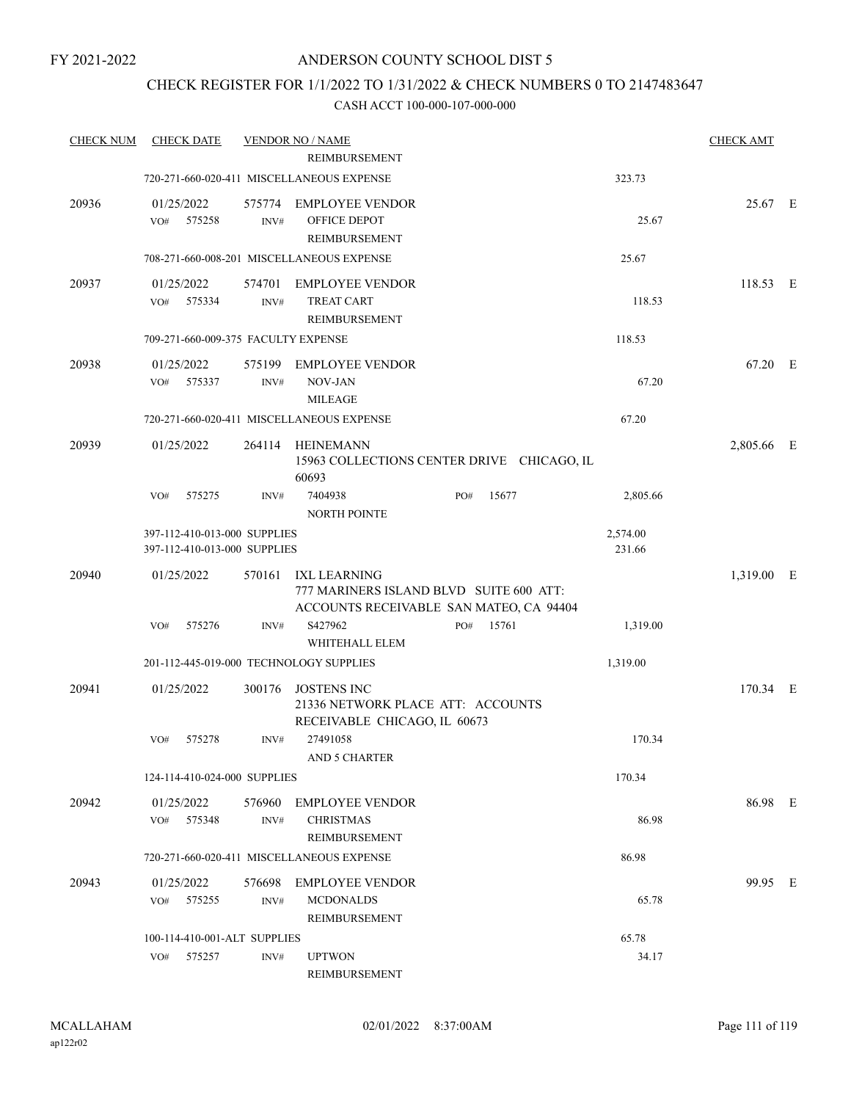## CHECK REGISTER FOR 1/1/2022 TO 1/31/2022 & CHECK NUMBERS 0 TO 2147483647

| <b>CHECK NUM</b> | <b>CHECK DATE</b>                                            |                | <b>VENDOR NO / NAME</b>                                                                            |     |       |                    | <b>CHECK AMT</b> |  |
|------------------|--------------------------------------------------------------|----------------|----------------------------------------------------------------------------------------------------|-----|-------|--------------------|------------------|--|
|                  |                                                              |                | <b>REIMBURSEMENT</b>                                                                               |     |       |                    |                  |  |
|                  |                                                              |                | 720-271-660-020-411 MISCELLANEOUS EXPENSE                                                          |     |       | 323.73             |                  |  |
| 20936            | 01/25/2022<br>575258<br>VO#                                  | INV#           | 575774 EMPLOYEE VENDOR<br>OFFICE DEPOT<br>REIMBURSEMENT                                            |     |       | 25.67              | 25.67 E          |  |
|                  |                                                              |                | 708-271-660-008-201 MISCELLANEOUS EXPENSE                                                          |     |       | 25.67              |                  |  |
| 20937            | 01/25/2022<br>VO#<br>575334                                  | INV#           | 574701 EMPLOYEE VENDOR<br><b>TREAT CART</b><br>REIMBURSEMENT                                       |     |       | 118.53             | 118.53 E         |  |
|                  | 709-271-660-009-375 FACULTY EXPENSE                          |                |                                                                                                    |     |       | 118.53             |                  |  |
| 20938            | 01/25/2022<br>575337<br>VO#                                  | 575199<br>INV# | <b>EMPLOYEE VENDOR</b><br>NOV-JAN                                                                  |     |       | 67.20              | 67.20 E          |  |
|                  |                                                              |                | <b>MILEAGE</b><br>720-271-660-020-411 MISCELLANEOUS EXPENSE                                        |     |       | 67.20              |                  |  |
| 20939            | 01/25/2022                                                   | 264114         | HEINEMANN                                                                                          |     |       |                    | 2,805.66 E       |  |
|                  |                                                              |                | 15963 COLLECTIONS CENTER DRIVE CHICAGO, IL<br>60693                                                |     |       |                    |                  |  |
|                  | 575275<br>VO#                                                | INV#           | 7404938<br><b>NORTH POINTE</b>                                                                     | PO# | 15677 | 2,805.66           |                  |  |
|                  | 397-112-410-013-000 SUPPLIES<br>397-112-410-013-000 SUPPLIES |                |                                                                                                    |     |       | 2,574.00<br>231.66 |                  |  |
| 20940            | 01/25/2022                                                   | 570161         | IXL LEARNING<br>777 MARINERS ISLAND BLVD SUITE 600 ATT:<br>ACCOUNTS RECEIVABLE SAN MATEO, CA 94404 |     |       |                    | 1,319.00 E       |  |
|                  | 575276<br>VO#                                                | INV#           | S427962<br>WHITEHALL ELEM                                                                          | PO# | 15761 | 1,319.00           |                  |  |
|                  | 201-112-445-019-000 TECHNOLOGY SUPPLIES                      |                |                                                                                                    |     |       | 1,319.00           |                  |  |
| 20941            | 01/25/2022                                                   | 300176         | <b>JOSTENS INC</b><br>21336 NETWORK PLACE ATT: ACCOUNTS<br>RECEIVABLE CHICAGO, IL 60673            |     |       |                    | 170.34 E         |  |
|                  | 575278<br>VO#                                                | INV#           | 27491058<br>AND 5 CHARTER                                                                          |     |       | 170.34             |                  |  |
|                  | 124-114-410-024-000 SUPPLIES                                 |                |                                                                                                    |     |       | 170.34             |                  |  |
| 20942            | 01/25/2022<br>VO# 575348                                     | 576960<br>INV# | EMPLOYEE VENDOR<br><b>CHRISTMAS</b><br>REIMBURSEMENT                                               |     |       | 86.98              | 86.98 E          |  |
|                  |                                                              |                | 720-271-660-020-411 MISCELLANEOUS EXPENSE                                                          |     |       | 86.98              |                  |  |
| 20943            | 01/25/2022<br>VO# 575255                                     | 576698<br>INV# | EMPLOYEE VENDOR<br><b>MCDONALDS</b><br>REIMBURSEMENT                                               |     |       | 65.78              | 99.95 E          |  |
|                  | 100-114-410-001-ALT SUPPLIES                                 |                |                                                                                                    |     |       | 65.78              |                  |  |
|                  | 575257<br>VO#                                                | INV#           | <b>UPTWON</b><br>REIMBURSEMENT                                                                     |     |       | 34.17              |                  |  |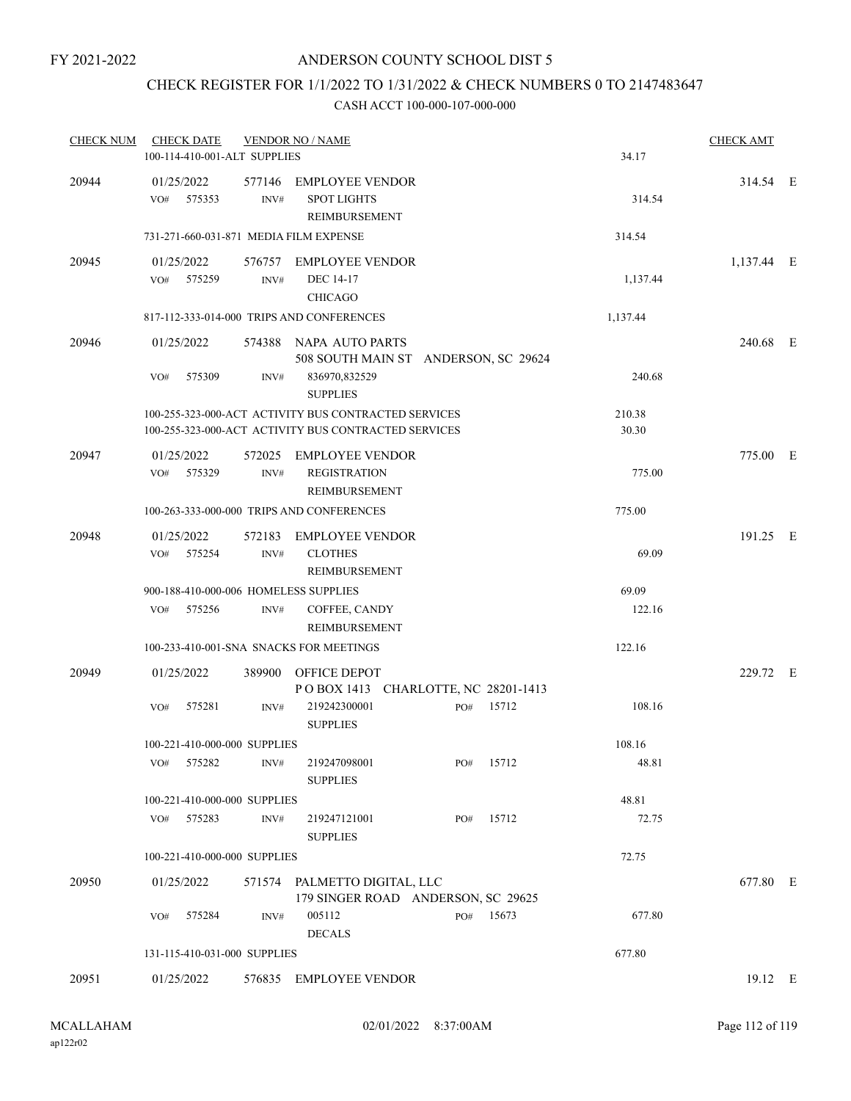## CHECK REGISTER FOR 1/1/2022 TO 1/31/2022 & CHECK NUMBERS 0 TO 2147483647

| <b>CHECK NUM</b> | <b>CHECK DATE</b><br>100-114-410-001-ALT SUPPLIES |                | <b>VENDOR NO / NAME</b>                                                                                      |     |           | 34.17           | <b>CHECK AMT</b> |  |
|------------------|---------------------------------------------------|----------------|--------------------------------------------------------------------------------------------------------------|-----|-----------|-----------------|------------------|--|
| 20944            | 01/25/2022<br>575353<br>VO#                       | 577146<br>INV# | <b>EMPLOYEE VENDOR</b><br><b>SPOT LIGHTS</b><br><b>REIMBURSEMENT</b>                                         |     |           | 314.54          | 314.54 E         |  |
|                  | 731-271-660-031-871 MEDIA FILM EXPENSE            |                |                                                                                                              |     |           | 314.54          |                  |  |
| 20945            | 01/25/2022<br>VO#<br>575259                       | INV#           | 576757 EMPLOYEE VENDOR<br>DEC 14-17<br><b>CHICAGO</b>                                                        |     |           | 1,137.44        | 1,137.44 E       |  |
|                  |                                                   |                | 817-112-333-014-000 TRIPS AND CONFERENCES                                                                    |     |           | 1,137.44        |                  |  |
| 20946            | 01/25/2022                                        |                | 574388 NAPA AUTO PARTS<br>508 SOUTH MAIN ST ANDERSON, SC 29624                                               |     |           |                 | 240.68 E         |  |
|                  | 575309<br>VO#                                     | INV#           | 836970,832529<br><b>SUPPLIES</b>                                                                             |     |           | 240.68          |                  |  |
|                  |                                                   |                | 100-255-323-000-ACT ACTIVITY BUS CONTRACTED SERVICES<br>100-255-323-000-ACT ACTIVITY BUS CONTRACTED SERVICES |     |           | 210.38<br>30.30 |                  |  |
| 20947            | 01/25/2022<br>575329<br>VO#                       | INV#           | 572025 EMPLOYEE VENDOR<br><b>REGISTRATION</b><br>REIMBURSEMENT                                               |     |           | 775.00          | 775.00 E         |  |
|                  |                                                   |                | 100-263-333-000-000 TRIPS AND CONFERENCES                                                                    |     |           | 775.00          |                  |  |
| 20948            | 01/25/2022<br>575254<br>VO#                       | 572183<br>INV# | <b>EMPLOYEE VENDOR</b><br><b>CLOTHES</b><br>REIMBURSEMENT                                                    |     |           | 69.09           | 191.25 E         |  |
|                  | 900-188-410-000-006 HOMELESS SUPPLIES             |                |                                                                                                              |     |           | 69.09           |                  |  |
|                  | 575256<br>VO#                                     | INV#           | COFFEE, CANDY<br>REIMBURSEMENT                                                                               |     |           | 122.16          |                  |  |
|                  |                                                   |                | 100-233-410-001-SNA SNACKS FOR MEETINGS                                                                      |     |           | 122.16          |                  |  |
| 20949            | 01/25/2022                                        |                | 389900 OFFICE DEPOT<br>POBOX 1413 CHARLOTTE, NC 28201-1413                                                   |     |           |                 | 229.72 E         |  |
|                  | VO#<br>575281                                     | INV#           | 219242300001<br><b>SUPPLIES</b>                                                                              | PO# | 15712     | 108.16          |                  |  |
|                  | 100-221-410-000-000 SUPPLIES                      |                |                                                                                                              |     |           | 108.16          |                  |  |
|                  | VO# 575282                                        | INV#           | 219247098001<br><b>SUPPLIES</b>                                                                              |     | PO# 15712 | 48.81           |                  |  |
|                  | 100-221-410-000-000 SUPPLIES                      |                |                                                                                                              |     |           | 48.81           |                  |  |
|                  | 575283<br>VO#                                     | INV#           | 219247121001<br><b>SUPPLIES</b>                                                                              | PO# | 15712     | 72.75           |                  |  |
|                  | 100-221-410-000-000 SUPPLIES                      |                |                                                                                                              |     |           | 72.75           |                  |  |
| 20950            | 01/25/2022                                        |                | 571574 PALMETTO DIGITAL, LLC<br>179 SINGER ROAD ANDERSON, SC 29625                                           |     |           |                 | 677.80 E         |  |
|                  | 575284<br>VO#                                     | INV#           | 005112<br><b>DECALS</b>                                                                                      |     | PO# 15673 | 677.80          |                  |  |
|                  | 131-115-410-031-000 SUPPLIES                      |                |                                                                                                              |     |           | 677.80          |                  |  |
| 20951            | 01/25/2022                                        |                | 576835 EMPLOYEE VENDOR                                                                                       |     |           |                 | 19.12 E          |  |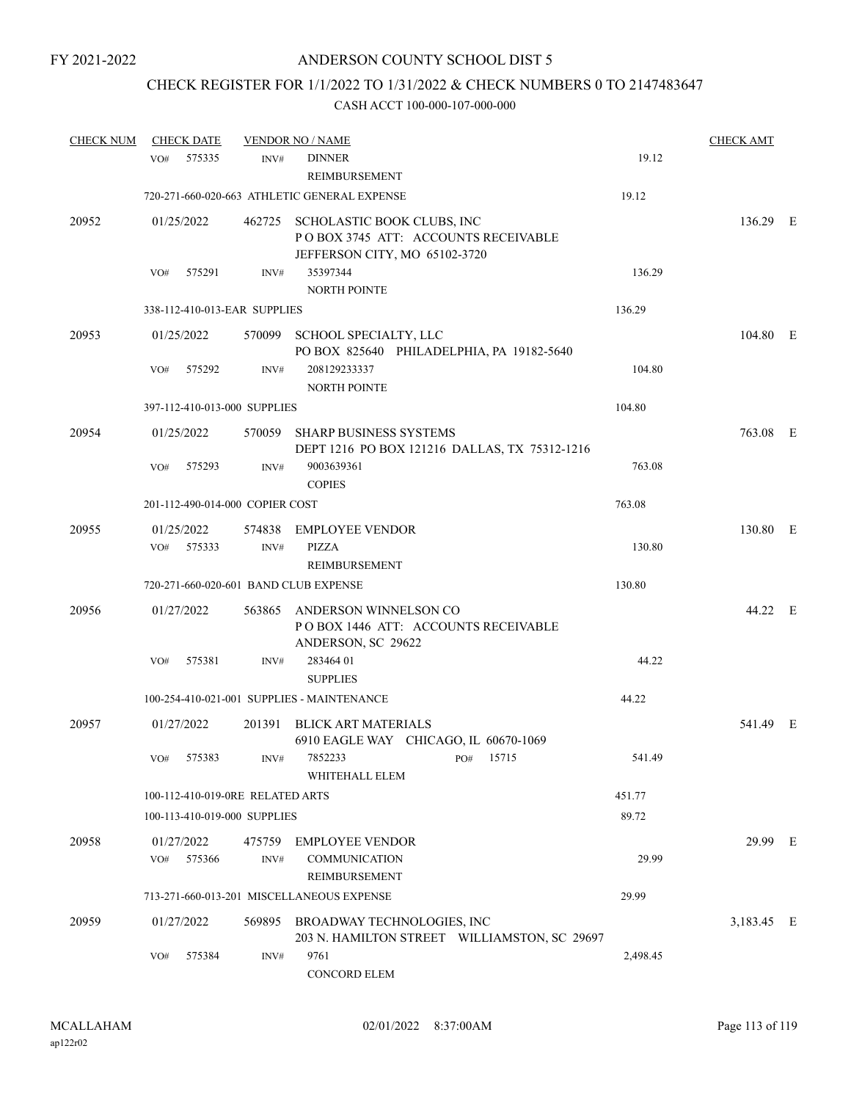# CHECK REGISTER FOR 1/1/2022 TO 1/31/2022 & CHECK NUMBERS 0 TO 2147483647

| <b>CHECK NUM</b> | <b>CHECK DATE</b>                     |      | <b>VENDOR NO / NAME</b>                                                                                   |          | <b>CHECK AMT</b> |  |
|------------------|---------------------------------------|------|-----------------------------------------------------------------------------------------------------------|----------|------------------|--|
|                  | 575335<br>VO#                         | INV# | <b>DINNER</b><br>REIMBURSEMENT                                                                            | 19.12    |                  |  |
|                  |                                       |      | 720-271-660-020-663 ATHLETIC GENERAL EXPENSE                                                              | 19.12    |                  |  |
| 20952            | 01/25/2022                            |      | 462725 SCHOLASTIC BOOK CLUBS, INC<br>POBOX 3745 ATT: ACCOUNTS RECEIVABLE<br>JEFFERSON CITY, MO 65102-3720 |          | 136.29 E         |  |
|                  | 575291<br>VO#                         | INV# | 35397344<br><b>NORTH POINTE</b>                                                                           | 136.29   |                  |  |
|                  | 338-112-410-013-EAR SUPPLIES          |      |                                                                                                           | 136.29   |                  |  |
| 20953            | 01/25/2022                            |      | 570099 SCHOOL SPECIALTY, LLC<br>PO BOX 825640 PHILADELPHIA, PA 19182-5640                                 |          | 104.80 E         |  |
|                  | 575292<br>VO#                         | INV# | 208129233337<br><b>NORTH POINTE</b>                                                                       | 104.80   |                  |  |
|                  | 397-112-410-013-000 SUPPLIES          |      |                                                                                                           | 104.80   |                  |  |
| 20954            | 01/25/2022                            |      | 570059 SHARP BUSINESS SYSTEMS<br>DEPT 1216 PO BOX 121216 DALLAS, TX 75312-1216                            |          | 763.08 E         |  |
|                  | 575293<br>VO#                         | INV# | 9003639361<br><b>COPIES</b>                                                                               | 763.08   |                  |  |
|                  | 201-112-490-014-000 COPIER COST       |      |                                                                                                           | 763.08   |                  |  |
| 20955            | 01/25/2022<br>VO# 575333              | INV# | 574838 EMPLOYEE VENDOR<br><b>PIZZA</b>                                                                    | 130.80   | 130.80 E         |  |
|                  |                                       |      | REIMBURSEMENT                                                                                             |          |                  |  |
|                  | 720-271-660-020-601 BAND CLUB EXPENSE |      |                                                                                                           | 130.80   |                  |  |
| 20956            | 01/27/2022                            |      | 563865 ANDERSON WINNELSON CO<br>POBOX 1446 ATT: ACCOUNTS RECEIVABLE<br>ANDERSON, SC 29622                 |          | 44.22 E          |  |
|                  | 575381<br>VO#                         | INV# | 283464 01<br><b>SUPPLIES</b>                                                                              | 44.22    |                  |  |
|                  |                                       |      | 100-254-410-021-001 SUPPLIES - MAINTENANCE                                                                | 44.22    |                  |  |
| 20957            | 01/27/2022                            |      | 201391 BLICK ART MATERIALS<br>6910 EAGLE WAY CHICAGO, IL 60670-1069                                       |          | 541.49 E         |  |
|                  | VO# 575383                            | INV# | 7852233<br>PO# 15715<br>WHITEHALL ELEM                                                                    | 541.49   |                  |  |
|                  | 100-112-410-019-0RE RELATED ARTS      |      |                                                                                                           | 451.77   |                  |  |
|                  | 100-113-410-019-000 SUPPLIES          |      |                                                                                                           | 89.72    |                  |  |
| 20958            | 01/27/2022<br>VO#<br>575366           | INV# | 475759 EMPLOYEE VENDOR<br><b>COMMUNICATION</b><br><b>REIMBURSEMENT</b>                                    | 29.99    | 29.99 E          |  |
|                  |                                       |      | 713-271-660-013-201 MISCELLANEOUS EXPENSE                                                                 | 29.99    |                  |  |
| 20959            | 01/27/2022                            |      | 569895 BROADWAY TECHNOLOGIES, INC<br>203 N. HAMILTON STREET WILLIAMSTON, SC 29697                         |          | 3,183.45 E       |  |
|                  | VO#<br>575384                         | INV# | 9761<br>CONCORD ELEM                                                                                      | 2,498.45 |                  |  |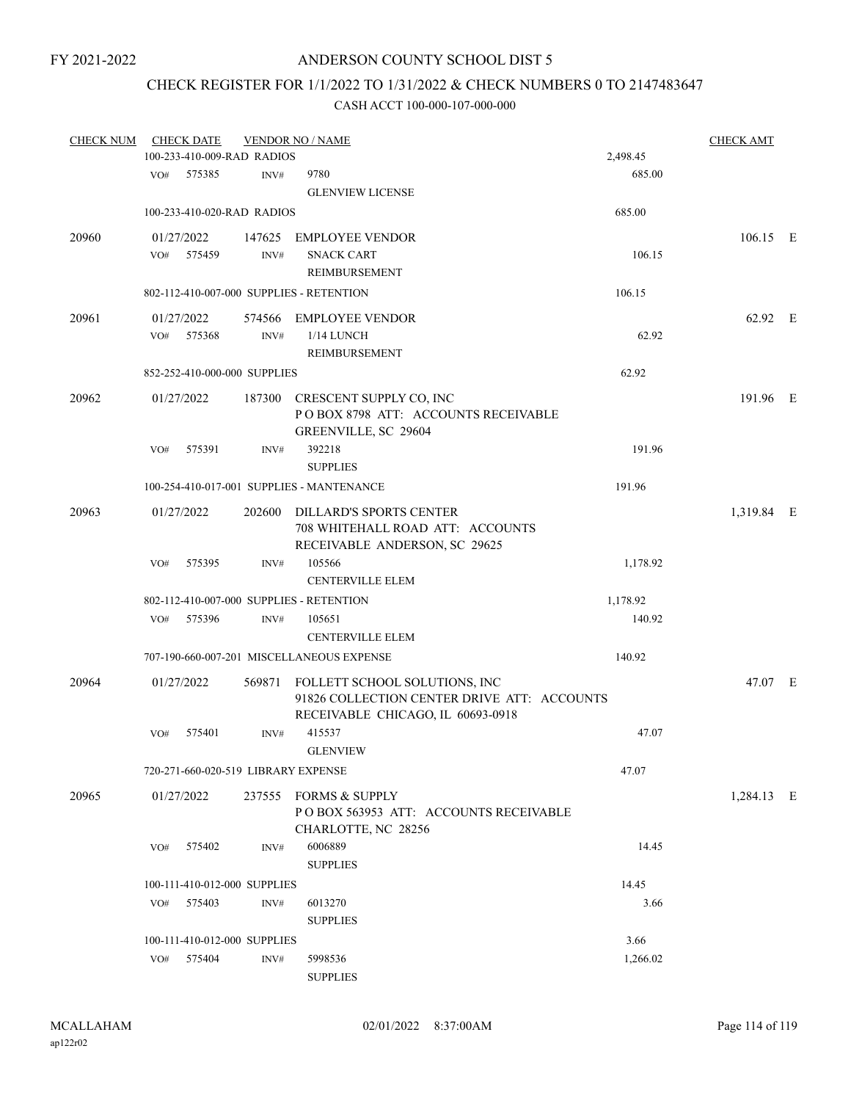# CHECK REGISTER FOR 1/1/2022 TO 1/31/2022 & CHECK NUMBERS 0 TO 2147483647

| <b>CHECK NUM</b> |     | <b>CHECK DATE</b>                    |        | <b>VENDOR NO / NAME</b>                     |                    | <b>CHECK AMT</b> |  |
|------------------|-----|--------------------------------------|--------|---------------------------------------------|--------------------|------------------|--|
|                  | VO# | 100-233-410-009-RAD RADIOS<br>575385 | INV#   | 9780                                        | 2,498.45<br>685.00 |                  |  |
|                  |     |                                      |        | <b>GLENVIEW LICENSE</b>                     |                    |                  |  |
|                  |     | 100-233-410-020-RAD RADIOS           |        |                                             | 685.00             |                  |  |
| 20960            |     | 01/27/2022                           |        | 147625 EMPLOYEE VENDOR                      |                    | $106.15$ E       |  |
|                  | VO# | 575459                               | INV#   | <b>SNACK CART</b>                           | 106.15             |                  |  |
|                  |     |                                      |        | REIMBURSEMENT                               |                    |                  |  |
|                  |     |                                      |        | 802-112-410-007-000 SUPPLIES - RETENTION    | 106.15             |                  |  |
| 20961            |     | 01/27/2022                           |        | 574566 EMPLOYEE VENDOR                      |                    | 62.92 E          |  |
|                  | VO# | 575368                               | INV#   | 1/14 LUNCH                                  | 62.92              |                  |  |
|                  |     |                                      |        | REIMBURSEMENT                               |                    |                  |  |
|                  |     | 852-252-410-000-000 SUPPLIES         |        |                                             | 62.92              |                  |  |
| 20962            |     | 01/27/2022                           |        | 187300 CRESCENT SUPPLY CO, INC              |                    | 191.96 E         |  |
|                  |     |                                      |        | POBOX 8798 ATT: ACCOUNTS RECEIVABLE         |                    |                  |  |
|                  |     |                                      |        | GREENVILLE, SC 29604                        |                    |                  |  |
|                  | VO# | 575391                               | INV#   | 392218                                      | 191.96             |                  |  |
|                  |     |                                      |        | <b>SUPPLIES</b>                             |                    |                  |  |
|                  |     |                                      |        | 100-254-410-017-001 SUPPLIES - MANTENANCE   | 191.96             |                  |  |
| 20963            |     | 01/27/2022                           |        | 202600 DILLARD'S SPORTS CENTER              |                    | 1,319.84 E       |  |
|                  |     |                                      |        | 708 WHITEHALL ROAD ATT: ACCOUNTS            |                    |                  |  |
|                  |     |                                      |        | RECEIVABLE ANDERSON, SC 29625               |                    |                  |  |
|                  | VO# | 575395                               | INV#   | 105566                                      | 1,178.92           |                  |  |
|                  |     |                                      |        | <b>CENTERVILLE ELEM</b>                     |                    |                  |  |
|                  |     |                                      |        | 802-112-410-007-000 SUPPLIES - RETENTION    | 1,178.92           |                  |  |
|                  | VO# | 575396                               | INV#   | 105651                                      | 140.92             |                  |  |
|                  |     |                                      |        | <b>CENTERVILLE ELEM</b>                     |                    |                  |  |
|                  |     |                                      |        | 707-190-660-007-201 MISCELLANEOUS EXPENSE   | 140.92             |                  |  |
| 20964            |     | 01/27/2022                           | 569871 | FOLLETT SCHOOL SOLUTIONS, INC               |                    | 47.07 E          |  |
|                  |     |                                      |        | 91826 COLLECTION CENTER DRIVE ATT: ACCOUNTS |                    |                  |  |
|                  |     | 575401                               |        | RECEIVABLE CHICAGO, IL 60693-0918<br>415537 | 47.07              |                  |  |
|                  | VO# |                                      | INV#   | <b>GLENVIEW</b>                             |                    |                  |  |
|                  |     | 720-271-660-020-519 LIBRARY EXPENSE  |        |                                             | 47.07              |                  |  |
| 20965            |     | 01/27/2022                           |        | 237555 FORMS & SUPPLY                       |                    | 1,284.13 E       |  |
|                  |     |                                      |        | POBOX 563953 ATT: ACCOUNTS RECEIVABLE       |                    |                  |  |
|                  |     |                                      |        | CHARLOTTE, NC 28256                         |                    |                  |  |
|                  | VO# | 575402                               | INV#   | 6006889                                     | 14.45              |                  |  |
|                  |     |                                      |        | <b>SUPPLIES</b>                             |                    |                  |  |
|                  |     | 100-111-410-012-000 SUPPLIES         |        |                                             | 14.45              |                  |  |
|                  | VO# | 575403                               | INV#   | 6013270                                     | 3.66               |                  |  |
|                  |     |                                      |        | <b>SUPPLIES</b>                             |                    |                  |  |
|                  |     | 100-111-410-012-000 SUPPLIES         |        |                                             | 3.66               |                  |  |
|                  | VO# | 575404                               | INV#   | 5998536                                     | 1,266.02           |                  |  |
|                  |     |                                      |        | <b>SUPPLIES</b>                             |                    |                  |  |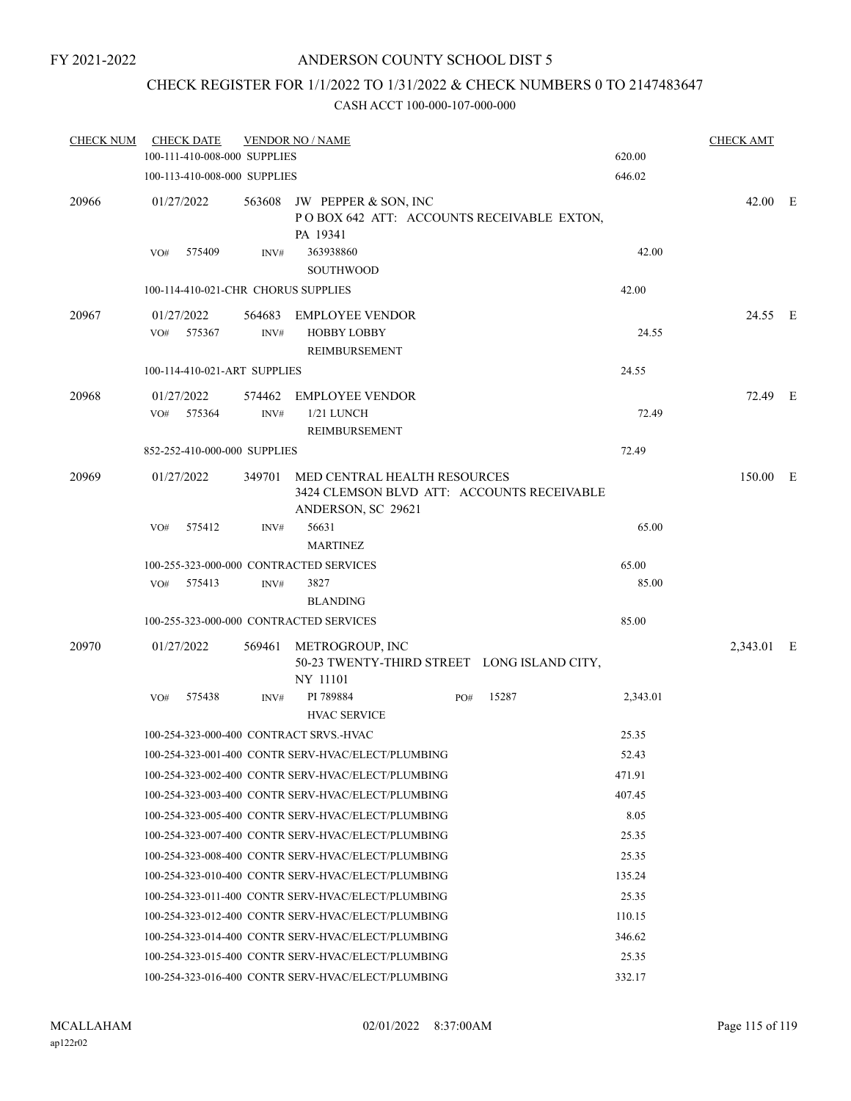# CHECK REGISTER FOR 1/1/2022 TO 1/31/2022 & CHECK NUMBERS 0 TO 2147483647

| <b>CHECK NUM</b> | <b>CHECK DATE</b><br>100-111-410-008-000 SUPPLIES |      | <b>VENDOR NO / NAME</b>                                                                                 |     |       | 620.00   | <b>CHECK AMT</b> |  |
|------------------|---------------------------------------------------|------|---------------------------------------------------------------------------------------------------------|-----|-------|----------|------------------|--|
|                  | 100-113-410-008-000 SUPPLIES                      |      |                                                                                                         |     |       | 646.02   |                  |  |
| 20966            | 01/27/2022                                        |      | 563608 JW PEPPER & SON, INC<br>POBOX 642 ATT: ACCOUNTS RECEIVABLE EXTON,                                |     |       |          | 42.00 E          |  |
|                  | 575409<br>VO#                                     | INV# | PA 19341<br>363938860<br><b>SOUTHWOOD</b>                                                               |     |       | 42.00    |                  |  |
|                  | 100-114-410-021-CHR CHORUS SUPPLIES               |      |                                                                                                         |     |       | 42.00    |                  |  |
| 20967            | 01/27/2022<br>VO#<br>575367                       | INV# | 564683 EMPLOYEE VENDOR<br><b>HOBBY LOBBY</b><br>REIMBURSEMENT                                           |     |       | 24.55    | 24.55 E          |  |
|                  | 100-114-410-021-ART SUPPLIES                      |      |                                                                                                         |     |       | 24.55    |                  |  |
| 20968            | 01/27/2022<br>VO#<br>575364                       | INV# | 574462 EMPLOYEE VENDOR<br>1/21 LUNCH                                                                    |     |       | 72.49    | 72.49 E          |  |
|                  |                                                   |      | <b>REIMBURSEMENT</b>                                                                                    |     |       |          |                  |  |
|                  | 852-252-410-000-000 SUPPLIES                      |      |                                                                                                         |     |       | 72.49    |                  |  |
| 20969            | 01/27/2022                                        |      | 349701 MED CENTRAL HEALTH RESOURCES<br>3424 CLEMSON BLVD ATT: ACCOUNTS RECEIVABLE<br>ANDERSON, SC 29621 |     |       |          | 150.00 E         |  |
|                  | VO#<br>575412                                     | INV# | 56631<br><b>MARTINEZ</b>                                                                                |     |       | 65.00    |                  |  |
|                  | 100-255-323-000-000 CONTRACTED SERVICES           |      |                                                                                                         |     |       | 65.00    |                  |  |
|                  | 575413<br>VO#                                     | INV# | 3827<br><b>BLANDING</b>                                                                                 |     |       | 85.00    |                  |  |
|                  | 100-255-323-000-000 CONTRACTED SERVICES           |      |                                                                                                         |     |       | 85.00    |                  |  |
| 20970            | 01/27/2022                                        |      | 569461 METROGROUP, INC<br>50-23 TWENTY-THIRD STREET LONG ISLAND CITY,<br>NY 11101                       |     |       |          | 2,343.01 E       |  |
|                  | 575438<br>VO#                                     | INV# | PI 789884<br><b>HVAC SERVICE</b>                                                                        | PO# | 15287 | 2,343.01 |                  |  |
|                  | 100-254-323-000-400 CONTRACT SRVS.-HVAC           |      |                                                                                                         |     |       | 25.35    |                  |  |
|                  |                                                   |      | 100-254-323-001-400 CONTR SERV-HVAC/ELECT/PLUMBING                                                      |     |       | 52.43    |                  |  |
|                  |                                                   |      | 100-254-323-002-400 CONTR SERV-HVAC/ELECT/PLUMBING                                                      |     |       | 471.91   |                  |  |
|                  |                                                   |      | 100-254-323-003-400 CONTR SERV-HVAC/ELECT/PLUMBING                                                      |     |       | 407.45   |                  |  |
|                  |                                                   |      | 100-254-323-005-400 CONTR SERV-HVAC/ELECT/PLUMBING                                                      |     |       | 8.05     |                  |  |
|                  |                                                   |      | 100-254-323-007-400 CONTR SERV-HVAC/ELECT/PLUMBING                                                      |     |       | 25.35    |                  |  |
|                  |                                                   |      | 100-254-323-008-400 CONTR SERV-HVAC/ELECT/PLUMBING                                                      |     |       | 25.35    |                  |  |
|                  |                                                   |      | 100-254-323-010-400 CONTR SERV-HVAC/ELECT/PLUMBING                                                      |     |       | 135.24   |                  |  |
|                  |                                                   |      | 100-254-323-011-400 CONTR SERV-HVAC/ELECT/PLUMBING                                                      |     |       | 25.35    |                  |  |
|                  |                                                   |      | 100-254-323-012-400 CONTR SERV-HVAC/ELECT/PLUMBING                                                      |     |       | 110.15   |                  |  |
|                  |                                                   |      | 100-254-323-014-400 CONTR SERV-HVAC/ELECT/PLUMBING                                                      |     |       | 346.62   |                  |  |
|                  |                                                   |      | 100-254-323-015-400 CONTR SERV-HVAC/ELECT/PLUMBING                                                      |     |       | 25.35    |                  |  |
|                  |                                                   |      | 100-254-323-016-400 CONTR SERV-HVAC/ELECT/PLUMBING                                                      |     |       | 332.17   |                  |  |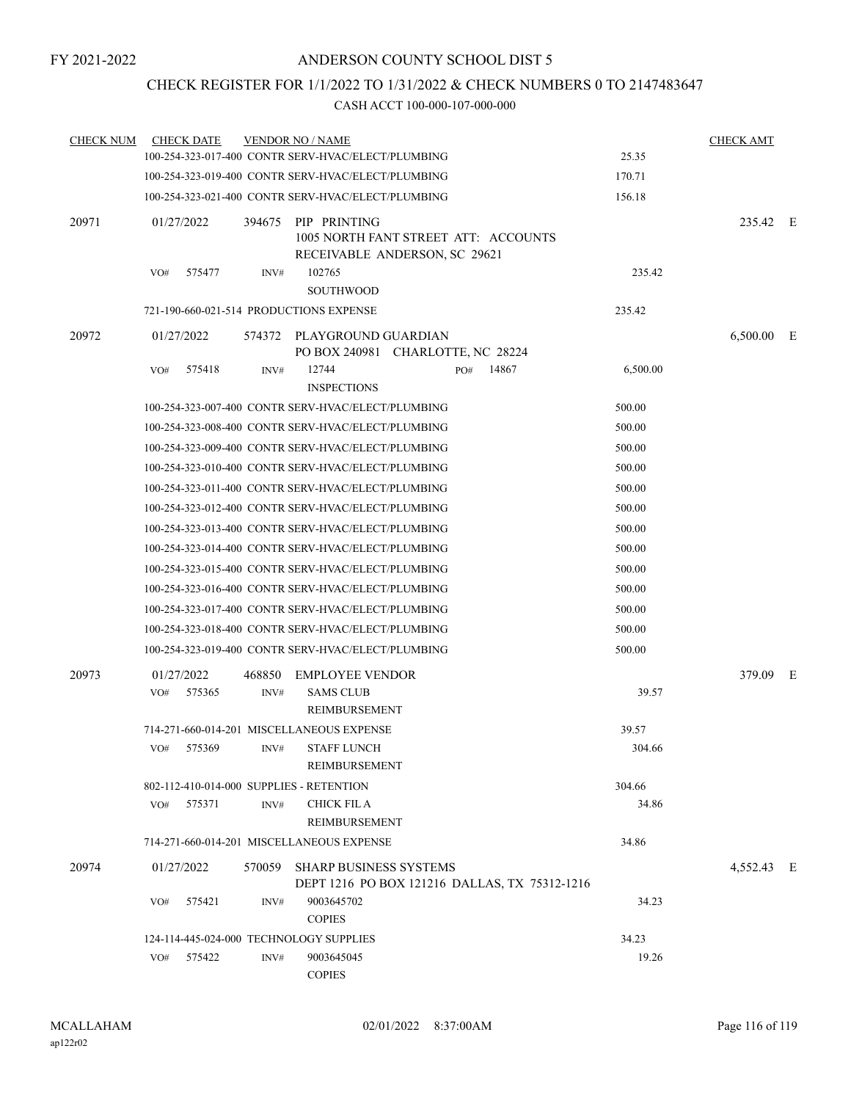# CHECK REGISTER FOR 1/1/2022 TO 1/31/2022 & CHECK NUMBERS 0 TO 2147483647

| <b>CHECK NUM</b> | <b>CHECK DATE</b>                        |                | <b>VENDOR NO / NAME</b>                                                               |     |       |          | <b>CHECK AMT</b> |  |
|------------------|------------------------------------------|----------------|---------------------------------------------------------------------------------------|-----|-------|----------|------------------|--|
|                  |                                          |                | 100-254-323-017-400 CONTR SERV-HVAC/ELECT/PLUMBING                                    |     |       | 25.35    |                  |  |
|                  |                                          |                | 100-254-323-019-400 CONTR SERV-HVAC/ELECT/PLUMBING                                    |     |       | 170.71   |                  |  |
|                  |                                          |                | 100-254-323-021-400 CONTR SERV-HVAC/ELECT/PLUMBING                                    |     |       | 156.18   |                  |  |
| 20971            | 01/27/2022                               | 394675         | PIP PRINTING<br>1005 NORTH FANT STREET ATT: ACCOUNTS<br>RECEIVABLE ANDERSON, SC 29621 |     |       |          | 235.42 E         |  |
|                  | 575477<br>VO#                            | INV#           | 102765<br><b>SOUTHWOOD</b>                                                            |     |       | 235.42   |                  |  |
|                  | 721-190-660-021-514 PRODUCTIONS EXPENSE  |                |                                                                                       |     |       | 235.42   |                  |  |
| 20972            | 01/27/2022                               |                | 574372 PLAYGROUND GUARDIAN<br>PO BOX 240981 CHARLOTTE, NC 28224                       |     |       |          | 6,500.00 E       |  |
|                  | 575418<br>VO#                            | INV#           | 12744<br><b>INSPECTIONS</b>                                                           | PO# | 14867 | 6,500.00 |                  |  |
|                  |                                          |                | 100-254-323-007-400 CONTR SERV-HVAC/ELECT/PLUMBING                                    |     |       | 500.00   |                  |  |
|                  |                                          |                | 100-254-323-008-400 CONTR SERV-HVAC/ELECT/PLUMBING                                    |     |       | 500.00   |                  |  |
|                  |                                          |                | 100-254-323-009-400 CONTR SERV-HVAC/ELECT/PLUMBING                                    |     |       | 500.00   |                  |  |
|                  |                                          |                | 100-254-323-010-400 CONTR SERV-HVAC/ELECT/PLUMBING                                    |     |       | 500.00   |                  |  |
|                  |                                          |                | 100-254-323-011-400 CONTR SERV-HVAC/ELECT/PLUMBING                                    |     |       | 500.00   |                  |  |
|                  |                                          |                | 100-254-323-012-400 CONTR SERV-HVAC/ELECT/PLUMBING                                    |     |       | 500.00   |                  |  |
|                  |                                          |                | 100-254-323-013-400 CONTR SERV-HVAC/ELECT/PLUMBING                                    |     |       | 500.00   |                  |  |
|                  |                                          |                | 100-254-323-014-400 CONTR SERV-HVAC/ELECT/PLUMBING                                    |     |       | 500.00   |                  |  |
|                  |                                          |                | 100-254-323-015-400 CONTR SERV-HVAC/ELECT/PLUMBING                                    |     |       | 500.00   |                  |  |
|                  |                                          |                | 100-254-323-016-400 CONTR SERV-HVAC/ELECT/PLUMBING                                    |     |       | 500.00   |                  |  |
|                  |                                          |                | 100-254-323-017-400 CONTR SERV-HVAC/ELECT/PLUMBING                                    |     |       | 500.00   |                  |  |
|                  |                                          |                | 100-254-323-018-400 CONTR SERV-HVAC/ELECT/PLUMBING                                    |     |       | 500.00   |                  |  |
|                  |                                          |                | 100-254-323-019-400 CONTR SERV-HVAC/ELECT/PLUMBING                                    |     |       | 500.00   |                  |  |
| 20973            | 01/27/2022<br>VO#<br>575365              | 468850<br>INV# | <b>EMPLOYEE VENDOR</b><br><b>SAMS CLUB</b><br><b>REIMBURSEMENT</b>                    |     |       | 39.57    | 379.09 E         |  |
|                  |                                          |                | 714-271-660-014-201 MISCELLANEOUS EXPENSE                                             |     |       | 39.57    |                  |  |
|                  | 575369<br>VO#                            | INV#           | <b>STAFF LUNCH</b><br><b>REIMBURSEMENT</b>                                            |     |       | 304.66   |                  |  |
|                  | 802-112-410-014-000 SUPPLIES - RETENTION |                |                                                                                       |     |       | 304.66   |                  |  |
|                  | VO#<br>575371                            | INV#           | <b>CHICK FIL A</b><br>REIMBURSEMENT                                                   |     |       | 34.86    |                  |  |
|                  |                                          |                | 714-271-660-014-201 MISCELLANEOUS EXPENSE                                             |     |       | 34.86    |                  |  |
| 20974            | 01/27/2022                               | 570059         | <b>SHARP BUSINESS SYSTEMS</b>                                                         |     |       |          | 4,552.43 E       |  |
|                  | 575421<br>VO#                            | INV#           | DEPT 1216 PO BOX 121216 DALLAS, TX 75312-1216<br>9003645702<br><b>COPIES</b>          |     |       | 34.23    |                  |  |
|                  | 124-114-445-024-000 TECHNOLOGY SUPPLIES  |                |                                                                                       |     |       | 34.23    |                  |  |
|                  | 575422<br>VO#                            | INV#           | 9003645045<br><b>COPIES</b>                                                           |     |       | 19.26    |                  |  |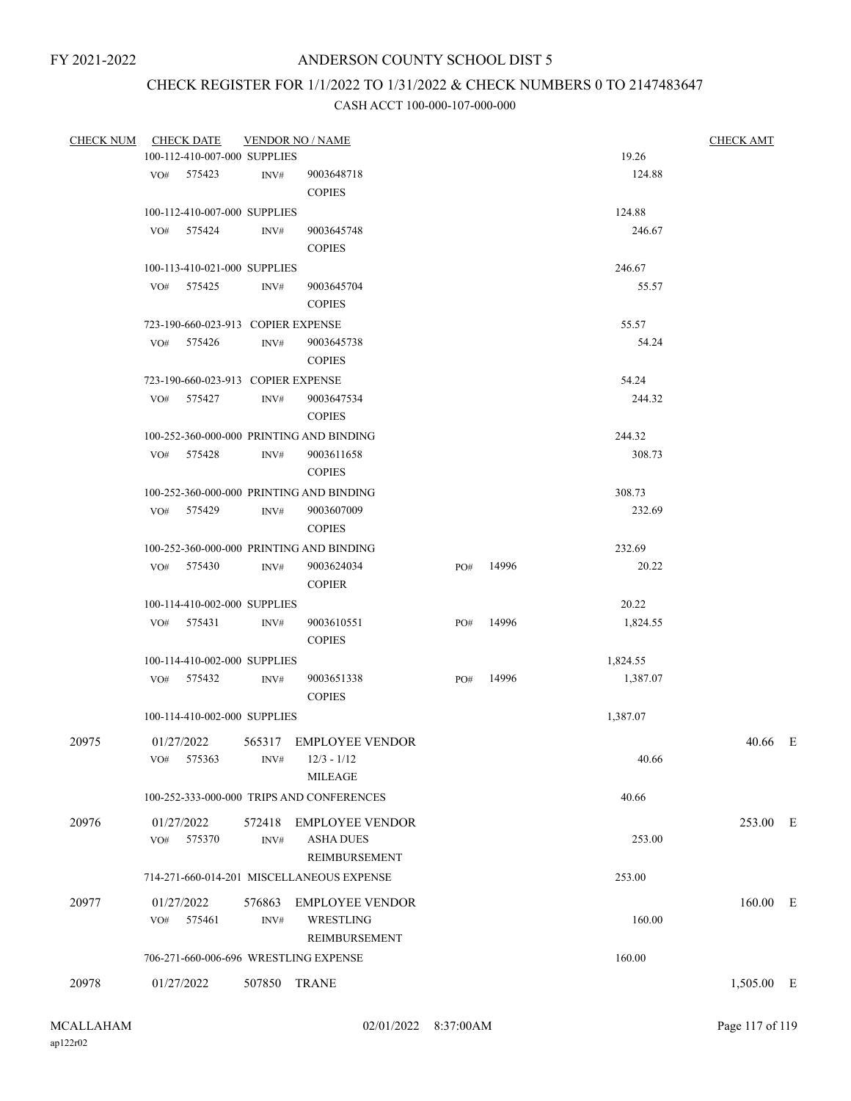# CHECK REGISTER FOR 1/1/2022 TO 1/31/2022 & CHECK NUMBERS 0 TO 2147483647

| CHECK NUM |                   | <b>CHECK DATE</b>                  |                | <b>VENDOR NO / NAME</b>                                     |     |       |          | <b>CHECK AMT</b> |  |
|-----------|-------------------|------------------------------------|----------------|-------------------------------------------------------------|-----|-------|----------|------------------|--|
|           |                   | 100-112-410-007-000 SUPPLIES       |                |                                                             |     |       | 19.26    |                  |  |
|           |                   | VO# 575423                         | INV#           | 9003648718                                                  |     |       | 124.88   |                  |  |
|           |                   |                                    |                | $\mbox{COPIES}$                                             |     |       |          |                  |  |
|           |                   | 100-112-410-007-000 SUPPLIES       |                |                                                             |     |       | 124.88   |                  |  |
|           |                   | $VO#$ 575424                       | INV#           | 9003645748                                                  |     |       | 246.67   |                  |  |
|           |                   |                                    |                | <b>COPIES</b>                                               |     |       |          |                  |  |
|           |                   | 100-113-410-021-000 SUPPLIES       |                |                                                             |     |       | 246.67   |                  |  |
|           |                   | VO# 575425                         | INV#           | 9003645704<br><b>COPIES</b>                                 |     |       | 55.57    |                  |  |
|           |                   | 723-190-660-023-913 COPIER EXPENSE |                |                                                             |     |       | 55.57    |                  |  |
|           |                   | VO# 575426                         | INV#           | 9003645738<br><b>COPIES</b>                                 |     |       | 54.24    |                  |  |
|           |                   | 723-190-660-023-913 COPIER EXPENSE |                |                                                             |     |       | 54.24    |                  |  |
|           |                   | VO# 575427                         | INV#           | 9003647534<br><b>COPIES</b>                                 |     |       | 244.32   |                  |  |
|           |                   |                                    |                | 100-252-360-000-000 PRINTING AND BINDING                    |     |       | 244.32   |                  |  |
|           |                   | VO# 575428                         | INV#           | 9003611658                                                  |     |       | 308.73   |                  |  |
|           |                   |                                    |                | <b>COPIES</b>                                               |     |       |          |                  |  |
|           |                   |                                    |                | 100-252-360-000-000 PRINTING AND BINDING                    |     |       | 308.73   |                  |  |
|           |                   | VO# 575429                         | $\text{INV}\#$ | 9003607009                                                  |     |       | 232.69   |                  |  |
|           |                   |                                    |                | <b>COPIES</b>                                               |     |       |          |                  |  |
|           |                   |                                    |                | 100-252-360-000-000 PRINTING AND BINDING                    |     |       | 232.69   |                  |  |
|           |                   | VO# 575430                         | INV#           | 9003624034<br><b>COPIER</b>                                 | PO# | 14996 | 20.22    |                  |  |
|           |                   | 100-114-410-002-000 SUPPLIES       |                |                                                             |     |       | 20.22    |                  |  |
|           |                   | VO# 575431                         | INV#           | 9003610551<br><b>COPIES</b>                                 | PO# | 14996 | 1,824.55 |                  |  |
|           |                   | 100-114-410-002-000 SUPPLIES       |                |                                                             |     |       | 1,824.55 |                  |  |
|           |                   | VO# 575432                         | INV#           | 9003651338<br><b>COPIES</b>                                 | PO# | 14996 | 1,387.07 |                  |  |
|           |                   | 100-114-410-002-000 SUPPLIES       |                |                                                             |     |       | 1,387.07 |                  |  |
| 20975     | 01/27/2022<br>VO# | 575363                             | INV#           | 565317 EMPLOYEE VENDOR<br>$12/3 - 1/12$<br><b>MILEAGE</b>   |     |       | 40.66    | 40.66 E          |  |
|           |                   |                                    |                | 100-252-333-000-000 TRIPS AND CONFERENCES                   |     |       | 40.66    |                  |  |
| 20976     | 01/27/2022<br>VO# | 575370                             | 572418<br>INV# | <b>EMPLOYEE VENDOR</b><br><b>ASHA DUES</b><br>REIMBURSEMENT |     |       | 253.00   | 253.00 E         |  |
|           |                   |                                    |                | 714-271-660-014-201 MISCELLANEOUS EXPENSE                   |     |       | 253.00   |                  |  |
| 20977     | 01/27/2022        | VO# 575461                         | 576863<br>INV# | <b>EMPLOYEE VENDOR</b><br>WRESTLING<br>REIMBURSEMENT        |     |       | 160.00   | 160.00 E         |  |
|           |                   |                                    |                | 706-271-660-006-696 WRESTLING EXPENSE                       |     |       | 160.00   |                  |  |
| 20978     | 01/27/2022        |                                    | 507850         | TRANE                                                       |     |       |          | 1,505.00 E       |  |
|           |                   |                                    |                |                                                             |     |       |          |                  |  |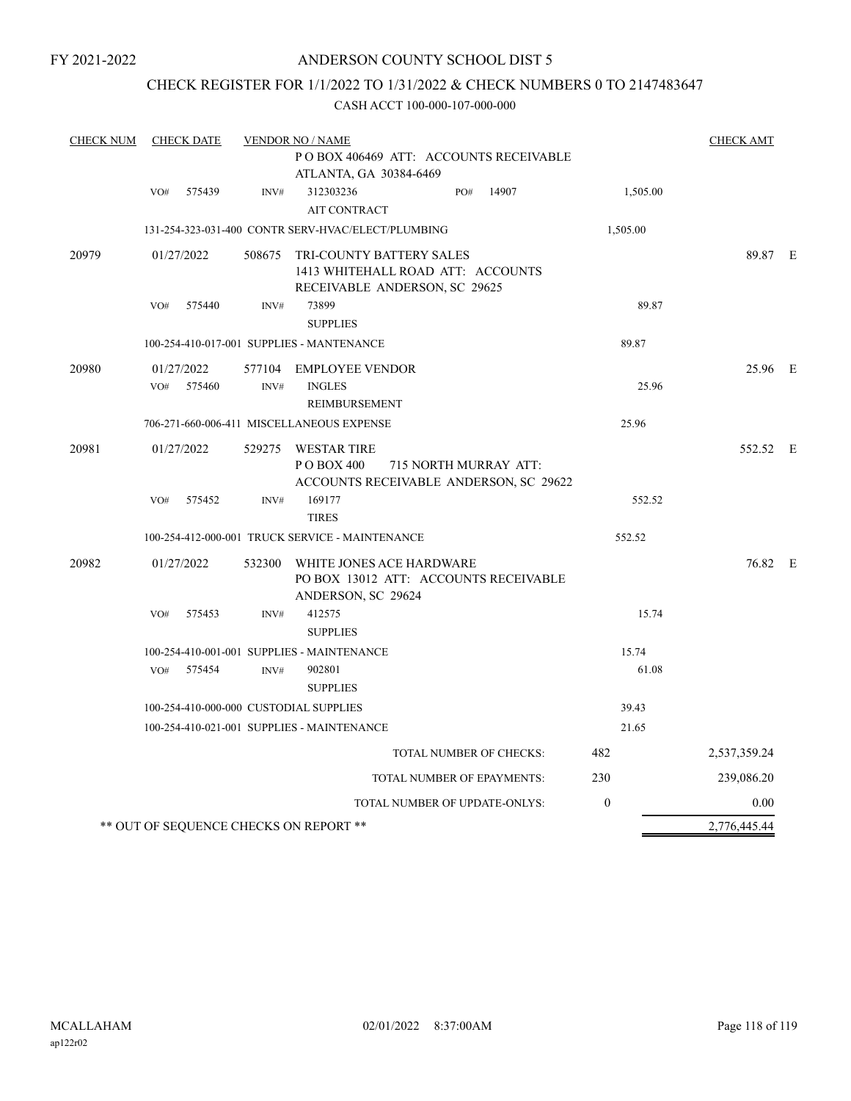FY 2021-2022

## ANDERSON COUNTY SCHOOL DIST 5

## CHECK REGISTER FOR 1/1/2022 TO 1/31/2022 & CHECK NUMBERS 0 TO 2147483647

| <b>CHECK NUM</b> | <b>CHECK DATE</b>                      |        | <b>VENDOR NO / NAME</b>                                                                              |              | <b>CHECK AMT</b> |  |
|------------------|----------------------------------------|--------|------------------------------------------------------------------------------------------------------|--------------|------------------|--|
|                  |                                        |        | PO BOX 406469 ATT: ACCOUNTS RECEIVABLE                                                               |              |                  |  |
|                  |                                        |        | ATLANTA, GA 30384-6469                                                                               |              |                  |  |
|                  | 575439<br>VO#                          | INV#   | 312303236<br>14907<br>PO#<br><b>AIT CONTRACT</b>                                                     | 1,505.00     |                  |  |
|                  |                                        |        | 131-254-323-031-400 CONTR SERV-HVAC/ELECT/PLUMBING                                                   | 1,505.00     |                  |  |
|                  |                                        |        |                                                                                                      |              |                  |  |
| 20979            | 01/27/2022                             | 508675 | TRI-COUNTY BATTERY SALES<br>1413 WHITEHALL ROAD ATT: ACCOUNTS<br>RECEIVABLE ANDERSON, SC 29625       |              | 89.87 E          |  |
|                  | VO#<br>575440                          | INV#   | 73899<br><b>SUPPLIES</b>                                                                             | 89.87        |                  |  |
|                  |                                        |        | 100-254-410-017-001 SUPPLIES - MANTENANCE                                                            | 89.87        |                  |  |
| 20980            | 01/27/2022                             | 577104 | EMPLOYEE VENDOR                                                                                      |              | 25.96 E          |  |
|                  | 575460<br>VO#                          | INV#   | <b>INGLES</b><br>REIMBURSEMENT                                                                       | 25.96        |                  |  |
|                  |                                        |        | 706-271-660-006-411 MISCELLANEOUS EXPENSE                                                            | 25.96        |                  |  |
| 20981            | 01/27/2022                             |        | 529275 WESTAR TIRE<br>P O BOX 400<br>715 NORTH MURRAY ATT:<br>ACCOUNTS RECEIVABLE ANDERSON, SC 29622 |              | 552.52 E         |  |
|                  | 575452<br>VO#                          | INV#   | 169177<br><b>TIRES</b>                                                                               | 552.52       |                  |  |
|                  |                                        |        | 100-254-412-000-001 TRUCK SERVICE - MAINTENANCE                                                      | 552.52       |                  |  |
| 20982            | 01/27/2022                             |        | 532300 WHITE JONES ACE HARDWARE<br>PO BOX 13012 ATT: ACCOUNTS RECEIVABLE<br>ANDERSON, SC 29624       |              | 76.82 E          |  |
|                  | VO#<br>575453                          | INV#   | 412575<br><b>SUPPLIES</b>                                                                            | 15.74        |                  |  |
|                  |                                        |        | 100-254-410-001-001 SUPPLIES - MAINTENANCE                                                           | 15.74        |                  |  |
|                  | 575454<br>VO#                          | INV#   | 902801                                                                                               | 61.08        |                  |  |
|                  |                                        |        | <b>SUPPLIES</b>                                                                                      |              |                  |  |
|                  | 100-254-410-000-000 CUSTODIAL SUPPLIES |        |                                                                                                      | 39.43        |                  |  |
|                  |                                        |        | 100-254-410-021-001 SUPPLIES - MAINTENANCE                                                           | 21.65        |                  |  |
|                  |                                        |        | TOTAL NUMBER OF CHECKS:                                                                              | 482          | 2,537,359.24     |  |
|                  |                                        |        | TOTAL NUMBER OF EPAYMENTS:                                                                           | 230          | 239,086.20       |  |
|                  |                                        |        | TOTAL NUMBER OF UPDATE-ONLYS:                                                                        | $\mathbf{0}$ | 0.00             |  |
|                  | ** OUT OF SEQUENCE CHECKS ON REPORT ** |        |                                                                                                      |              | 2,776,445.44     |  |